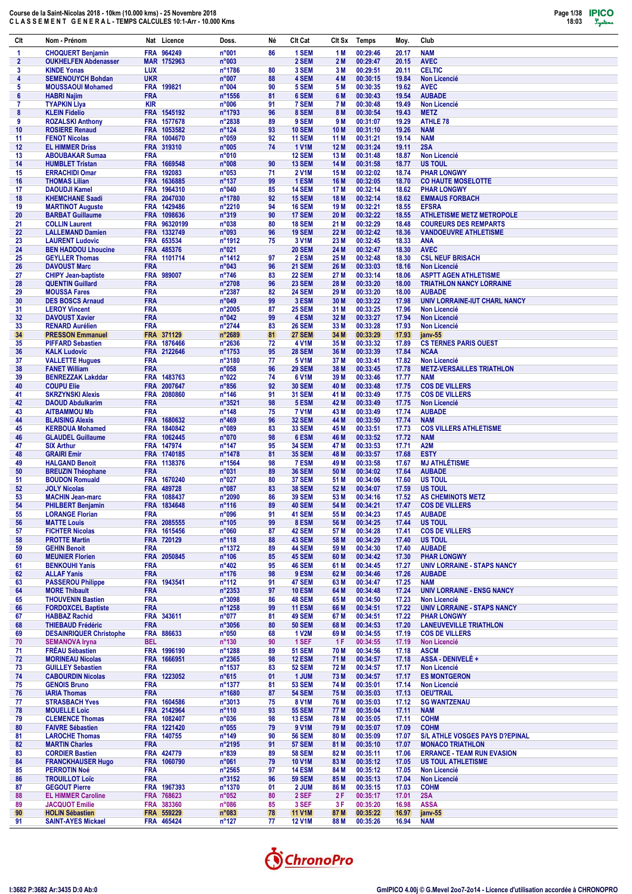| Clt          | Nom - Prénom                                          |                          | Nat Licence                | Doss.                     | Né       | Clt Cat                        | CIt Sx              | Temps                | Moy.           | Club                                            |
|--------------|-------------------------------------------------------|--------------------------|----------------------------|---------------------------|----------|--------------------------------|---------------------|----------------------|----------------|-------------------------------------------------|
| 1            | <b>CHOQUERT Benjamin</b>                              |                          | FRA 964249                 | n°001                     | 86       | 1 SEM                          | 1 M                 | 00:29:46             | 20.17          | <b>NAM</b>                                      |
| $\mathbf{2}$ | <b>OUKHELFEN Abdenasser</b>                           |                          | MAR 1752963                | n°003                     |          | 2 SEM                          | 2 M                 | 00:29:47             | 20.15          | <b>AVEC</b>                                     |
| 3            | <b>KINDE Yonas</b>                                    | <b>LUX</b>               |                            | n°1786                    | 80       | 3 SEM                          | 3 M                 | 00:29:51             | 20.11          | <b>CELTIC</b>                                   |
| 4            | <b>SEMENOUYCH Bohdan</b>                              | <b>UKR</b>               |                            | n°007                     | 88       | 4 SEM                          | 4 M                 | 00:30:15             | 19.84          | Non Licencié                                    |
| 5<br>6       | <b>MOUSSAOUI Mohamed</b><br><b>HABRI Najim</b>        | <b>FRA</b>               | FRA 199821                 | n°004<br>$n^{\circ}$ 1556 | 90<br>81 | 5 SEM<br>6 SEM                 | 5 M<br>6 M          | 00:30:35<br>00:30:43 | 19.62<br>19.54 | <b>AVEC</b><br><b>AUBADE</b>                    |
| 7            | <b>TYAPKIN Liya</b>                                   | <b>KIR</b>               |                            | n°006                     | 91       | 7 SEM                          | 7 M                 | 00:30:48             | 19.49          | <b>Non Licencié</b>                             |
| 8            | <b>KLEIN Fidelio</b>                                  |                          | FRA 1545192                | n°1793                    | 96       | 8 SEM                          | 8 M                 | 00:30:54             | 19.43          | <b>METZ</b>                                     |
| 9            | <b>ROZALSKI Anthony</b>                               |                          | FRA 1577678                | n°2838                    | 89       | 9 SEM                          | 9 M                 | 00:31:07             | 19.29          | <b>ATHLE 78</b>                                 |
| 10           | <b>ROSIERE Renaud</b>                                 |                          | FRA 1053582                | $n^{\circ}124$            | 93       | <b>10 SEM</b>                  | 10 <sub>M</sub>     | 00:31:10             | 19.26          | <b>NAM</b>                                      |
| 11           | <b>FENOT Nicolas</b>                                  |                          | FRA 1004670                | n°059                     | 92       | <b>11 SEM</b>                  | 11 M                | 00:31:21             | 19.14          | <b>NAM</b>                                      |
| 12           | <b>EL HIMMER Driss</b>                                |                          | FRA 319310                 | n°005                     | 74       | <b>1 V1M</b>                   | 12 M                | 00:31:24             | 19.11          | 2SA                                             |
| 13           | <b>ABOUBAKAR Sumaa</b>                                | <b>FRA</b>               |                            | n°010                     |          | <b>12 SEM</b>                  | 13 M                | 00:31:48             | 18.87          | Non Licencié                                    |
| 14           | <b>HUMBLET Tristan</b>                                |                          | FRA 1669548                | n°008                     | 90       | <b>13 SEM</b>                  | 14 M                | 00:31:58             | 18.77          | <b>US TOUL</b>                                  |
| 15<br>16     | <b>ERRACHIDI Omar</b><br><b>THOMAS Lilian</b>         |                          | FRA 192083<br>FRA 1636885  | n°053<br>$n^{\circ}$ 137  | 71<br>99 | <b>2 V1M</b><br>1 ESM          | 15 M<br><b>16 M</b> | 00:32:02<br>00:32:05 | 18.74<br>18.70 | <b>PHAR LONGWY</b><br><b>CO HAUTE MOSELOTTE</b> |
| 17           | <b>DAOUDJI Kamel</b>                                  |                          | FRA 1964310                | n°040                     | 85       | <b>14 SEM</b>                  | 17 M                | 00:32:14             | 18.62          | <b>PHAR LONGWY</b>                              |
| 18           | <b>KHEMCHANE Saadi</b>                                |                          | FRA 2047030                | n°1780                    | 92       | <b>15 SEM</b>                  | <b>18 M</b>         | 00:32:14             | 18.62          | <b>EMMAUS FORBACH</b>                           |
| 19           | <b>MARTINOT Auguste</b>                               |                          | FRA 1429486                | n°2210                    | 94       | <b>16 SEM</b>                  | 19 M                | 00:32:21             | 18.55          | <b>EFSRA</b>                                    |
| 20           | <b>BARBAT Guillaume</b>                               |                          | FRA 1098636                | $n^{\circ}319$            | 90       | <b>17 SEM</b>                  | 20 M                | 00:32:22             | 18.55          | <b>ATHLETISME METZ METROPOLE</b>                |
| 21           | <b>COLLIN Laurent</b>                                 |                          | FRA 96320199               | n°038                     | 80       | <b>18 SEM</b>                  | 21 M                | 00:32:29             | 18.48          | <b>COUREURS DES REMPARTS</b>                    |
| 22           | <b>LALLEMAND Damien</b>                               |                          | FRA 1332749                | n°093                     | 96       | <b>19 SEM</b>                  | 22 M                | 00:32:42             | 18.36          | <b>VANDOEUVRE ATHLETISME</b>                    |
| 23           | <b>LAURENT Ludovic</b>                                |                          | FRA 653534                 | n°1912                    | 75       | 3 V <sub>1</sub> M             | 23 M                | 00:32:45             | 18.33          | <b>ANA</b>                                      |
| 24           | <b>BEN HADDOU Lhoucine</b><br><b>GEYLLER Thomas</b>   |                          | FRA 485376<br>FRA 1101714  | n°021                     | 97       | <b>20 SEM</b><br>2 ESM         | 24 M<br>25 M        | 00:32:47<br>00:32:48 | 18.30<br>18.30 | <b>AVEC</b><br><b>CSL NEUF BRISACH</b>          |
| 25<br>26     | <b>DAVOUST Marc</b>                                   | <b>FRA</b>               |                            | n°1412<br>n°043           | 96       | <b>21 SEM</b>                  | 26 M                | 00:33:03             | 18.16          | <b>Non Licencié</b>                             |
| 27           | <b>CHIPY Jean-baptiste</b>                            |                          | FRA 989007                 | $n^{\circ}746$            | 83       | <b>22 SEM</b>                  | 27 M                | 00:33:14             | 18.06          | <b>ASPTT AGEN ATHLETISME</b>                    |
| 28           | <b>QUENTIN Guillard</b>                               | <b>FRA</b>               |                            | n°2708                    | 96       | <b>23 SEM</b>                  | 28 M                | 00:33:20             | 18.00          | <b>TRIATHLON NANCY LORRAINE</b>                 |
| 29           | <b>MOUSSA Fares</b>                                   | <b>FRA</b>               |                            | n°2387                    | 82       | <b>24 SEM</b>                  | 29 M                | 00:33:20             | 18.00          | <b>AUBADE</b>                                   |
| 30           | <b>DES BOSCS Arnaud</b>                               | <b>FRA</b>               |                            | n°049                     | 99       | 3 ESM                          | 30 M                | 00:33:22             | 17.98          | UNIV LORRAINE-IUT CHARL NANCY                   |
| 31           | <b>LEROY Vincent</b>                                  | <b>FRA</b>               |                            | n°2005                    | 87       | <b>25 SEM</b>                  | 31 M                | 00:33:25             | 17.96          | Non Licencié                                    |
| 32           | <b>DAVOUST Xavier</b>                                 | <b>FRA</b>               |                            | $n^{\circ}042$            | 99       | 4 ESM                          | 32 M                | 00:33:27             | 17.94          | <b>Non Licencié</b>                             |
| 33           | <b>RENARD Aurélien</b>                                | <b>FRA</b>               |                            | n°2744                    | 83       | <b>26 SEM</b>                  | 33 M                | 00:33:28             | 17.93          | <b>Non Licencié</b>                             |
| 34           | <b>PRESSON Emmanuel</b>                               |                          | FRA 371129                 | n°2689                    | 81       | <b>27 SEM</b>                  | 34 M                | 00:33:29<br>00:33:32 | 17.93          | janv-55<br><b>CS TERNES PARIS OUEST</b>         |
| 35<br>36     | <b>PIFFARD Sebastien</b><br><b>KALK Ludovic</b>       |                          | FRA 1876466<br>FRA 2122646 | n°2636<br>n°1753          | 72<br>95 | <b>4 V1M</b><br><b>28 SEM</b>  | 35 M<br>36 M        | 00:33:39             | 17.89<br>17.84 | <b>NCAA</b>                                     |
| 37           | <b>VALLETTE Hugues</b>                                | <b>FRA</b>               |                            | n°3180                    | 77       | <b>5 V1M</b>                   | 37 M                | 00:33:41             | 17.82          | <b>Non Licencié</b>                             |
| 38           | <b>FANET William</b>                                  | <b>FRA</b>               |                            | n°058                     | 96       | <b>29 SEM</b>                  | 38 M                | 00:33:45             | 17.78          | <b>METZ-VERSAILLES TRIATHLON</b>                |
| 39           | <b>BENREZZAK Lakddar</b>                              |                          | FRA 1483763                | n°022                     | 74       | 6 V <sub>1</sub> M             | 39 M                | 00:33:46             | 17.77          | <b>NAM</b>                                      |
| 40           | <b>COUPU Elie</b>                                     |                          | FRA 2007647                | $n^{\circ}856$            | 92       | <b>30 SEM</b>                  | 40 M                | 00:33:48             | 17.75          | <b>COS DE VILLERS</b>                           |
| 41           | <b>SKRZYNSKI Alexis</b>                               |                          | FRA 2080860                | $n^{\circ}$ 146           | 91       | <b>31 SEM</b>                  | 41 M                | 00:33:49             | 17.75          | <b>COS DE VILLERS</b>                           |
| 42           | <b>DAOUD Abdulkarim</b>                               | <b>FRA</b>               |                            | n°3521                    | 98       | 5 ESM                          | 42 M                | 00:33:49             | 17.75          | <b>Non Licencié</b>                             |
| 43           | <b>AITBAMMOU Mb</b>                                   | <b>FRA</b>               |                            | $n^{\circ}$ 148           | 75       | <b>7 V1M</b>                   | 43 M                | 00:33:49             | 17.74          | <b>AUBADE</b>                                   |
| 44           | <b>BLAISING Alexis</b>                                |                          | FRA 1680632                | $n^{\circ}469$            | 96       | <b>32 SEM</b>                  | 44 M                | 00:33:50             | 17.74          | <b>NAM</b>                                      |
| 45<br>46     | <b>KERBOUA Mohamed</b><br><b>GLAUDEL Guillaume</b>    |                          | FRA 1840842<br>FRA 1062445 | n°089<br>n°070            | 83<br>98 | <b>33 SEM</b><br>6 ESM         | 45 M<br>46 M        | 00:33:51<br>00:33:52 | 17.73<br>17.72 | <b>COS VILLERS ATHLETISME</b><br><b>NAM</b>     |
| 47           | <b>SIX Arthur</b>                                     |                          | FRA 147974                 | $n^{\circ}$ 147           | 95       | <b>34 SEM</b>                  | 47 M                | 00:33:53             | 17.71          | A2M                                             |
| 48           | <b>GRAIRI Emir</b>                                    |                          | FRA 1740185                | n°1478                    | 81       | <b>35 SEM</b>                  | 48 M                | 00:33:57             | 17.68          | <b>ESTY</b>                                     |
| 49           | <b>HALGAND Benoit</b>                                 |                          | FRA 1138376                | n°1564                    | 98       | 7 ESM                          | 49 M                | 00:33:58             | 17.67          | <b>MJ ATHLÉTISME</b>                            |
| 50           | <b>BREUZIN Théophane</b>                              | <b>FRA</b>               |                            | n°031                     | 89       | <b>36 SEM</b>                  | 50 M                | 00:34:02             | 17.64          | <b>AUBADE</b>                                   |
| 51           | <b>BOUDON Romuald</b>                                 |                          | FRA 1670240                | n°027                     | 80       | <b>37 SEM</b>                  | 51 M                | 00:34:06             | 17.60          | <b>US TOUL</b>                                  |
| 52           | <b>JOLY Nicolas</b>                                   |                          | FRA 489728                 | n°087                     | 83       | <b>38 SEM</b>                  | 52 M                | 00:34:07             | 17.59          | <b>US TOUL</b>                                  |
| 53           | <b>MACHIN Jean-marc</b>                               |                          | FRA 1088437                | n°2090                    | 86       | <b>39 SEM</b>                  | 53 M                | 00:34:16             | 17.52          | <b>AS CHEMINOTS METZ</b>                        |
| 54           | <b>PHILBERT Benjamin</b>                              |                          | FRA 1834648                | $n^{\circ}116$            | 89       | <b>40 SEM</b>                  | 54 M                | 00:34:21             | 17.47          | <b>COS DE VILLERS</b>                           |
| 55<br>56     | <b>LORANGE Florian</b><br><b>MATTE Louis</b>          | FRA                      | FRA 2085555                | n°096<br>$n^{\circ}105$   | 91<br>99 | 41 SEM<br>8 ESM                | 55 M<br>56 M        | 00:34:23<br>00:34:25 | 11.45<br>17.44 | <b>AUBADE</b><br><b>US TOUL</b>                 |
| 57           | <b>FICHTER Nicolas</b>                                |                          | FRA 1615456                | n°060                     | 87       | <b>42 SEM</b>                  | 57 M                | 00:34:28             | 17.41          | <b>COS DE VILLERS</b>                           |
| 58           | <b>PROTTE Martin</b>                                  |                          | FRA 720129                 | $n^{\circ}$ 118           | 88       | 43 SEM                         | 58 M                | 00:34:29             | 17.40          | <b>US TOUL</b>                                  |
| 59           | <b>GEHIN Benoit</b>                                   | <b>FRA</b>               |                            | n°1372                    | 89       | <b>44 SEM</b>                  | 59 M                | 00:34:30             | 17.40          | <b>AUBADE</b>                                   |
| 60           | <b>MEUNIER Florien</b>                                |                          | FRA 2050845                | $n^{\circ}106$            | 85       | <b>45 SEM</b>                  | 60 M                | 00:34:42             | 17.30          | <b>PHAR LONGWY</b>                              |
| 61           | <b>BENKOUHI Yanis</b>                                 | <b>FRA</b>               |                            | $n^{\circ}402$            | 95       | <b>46 SEM</b>                  | 61 M                | 00:34:45             | 17.27          | <b>UNIV LORRAINE - STAPS NANCY</b>              |
| 62           | <b>ALLAF Yanis</b>                                    | <b>FRA</b>               |                            | $n^{\circ}176$            | 98       | 9 ESM                          | 62 M                | 00:34:46             | 17.26          | <b>AUBADE</b>                                   |
| 63           | <b>PASSEROU Philippe</b>                              |                          | FRA 1943541                | $n^{\circ}112$            | 91       | <b>47 SEM</b>                  | 63 M                | 00:34:47             | 17.25          | <b>NAM</b>                                      |
| 64           | <b>MORE Thibault</b>                                  | <b>FRA</b>               |                            | n°2353                    | 97       | <b>10 ESM</b>                  | 64 M                | 00:34:48             | 17.24          | <b>UNIV LORRAINE - ENSG NANCY</b>               |
| 65<br>66     | <b>THOUVENIN Bastien</b><br><b>FORDOXCEL Baptiste</b> | <b>FRA</b><br><b>FRA</b> |                            | n°3098<br>n°1258          | 86<br>99 | <b>48 SEM</b><br><b>11 ESM</b> | 65 M<br>66 M        | 00:34:50<br>00:34:51 | 17.23<br>17.22 | Non Licencié<br>UNIV LORRAINE - STAPS NANCY     |
| 67           | <b>HABBAZ Rachid</b>                                  |                          | FRA 343611                 | $n^{\circ}077$            | 81       | <b>49 SEM</b>                  | 67 M                | 00:34:51             | 17.22          | <b>PHAR LONGWY</b>                              |
| 68           | <b>THIEBAUD Frédéric</b>                              | <b>FRA</b>               |                            | $n^{\circ}3056$           | 80       | <b>50 SEM</b>                  | 68 M                | 00:34:53             | 17.20          | <b>LANEUVEVILLE TRIATHLON</b>                   |
| 69           | <b>DESAINRIQUER Christophe</b>                        |                          | FRA 886633                 | $n^{\circ}050$            | 68       | 1 V2M                          | 69 M                | 00:34:55             | 17.19          | <b>COS DE VILLERS</b>                           |
| 70           | <b>SEMANOVA Iryna</b>                                 | <b>BEL</b>               |                            | $n^{\circ}130$            | 90       | 1 SEF                          | 1 F                 | 00:34:55             | 17.19          | Non Licencié                                    |
| 71           | <b>FRÉAU Sébastien</b>                                |                          | FRA 1996190                | n°1288                    | 89       | <b>51 SEM</b>                  | 70 M                | 00:34:56             | 17.18          | <b>ASCM</b>                                     |
| 72           | <b>MORINEAU Nicolas</b>                               |                          | FRA 1666951                | n°2365                    | 98       | <b>12 ESM</b>                  | 71 M                | 00:34:57             | 17.18          | ASSA - DENIVELÉ +                               |
| 73           | <b>GUILLEY Sebastien</b>                              | <b>FRA</b>               |                            | n°1537                    | 83       | <b>52 SEM</b>                  | 72 M                | 00:34:57             | 17.17          | Non Licencié                                    |
| 74<br>75     | <b>CABOURDIN Nicolas</b><br><b>GENOIS Bruno</b>       | <b>FRA</b>               | FRA 1223052                | $n^{\circ}615$<br>n°1377  | 01<br>81 | 1 JUM<br><b>53 SEM</b>         | 73 M<br>74 M        | 00:34:57<br>00:35:01 | 17.17<br>17.14 | <b>ES MONTGERON</b><br>Non Licencié             |
| 76           | <b>IARIA Thomas</b>                                   | <b>FRA</b>               |                            | n°1680                    | 87       | <b>54 SEM</b>                  | 75 M                | 00:35:03             | 17.13          | <b>OEU'TRAIL</b>                                |
| 77           | <b>STRASBACH Yves</b>                                 |                          | FRA 1604586                | $n^{\circ}3013$           | 75       | 8 V1M                          | 76 M                | 00:35:03             | 17.12          | <b>SG WANTZENAU</b>                             |
| 78           | <b>MOUELLE Loic</b>                                   |                          | FRA 2142964                | $n^{\circ}110$            | 93       | <b>55 SEM</b>                  | 77 M                | 00:35:04             | 17.11          | <b>NAM</b>                                      |
| 79           | <b>CLEMENCE Thomas</b>                                |                          | FRA 1082407                | n°036                     | 98       | <b>13 ESM</b>                  | 78 M                | 00:35:05             | 17.11          | <b>COHM</b>                                     |
| 80           | <b>FAIVRE Sébastien</b>                               |                          | FRA 1221420                | $n^{\circ}055$            | 79       | 9 V <sub>1</sub> M             | 79 M                | 00:35:07             | 17.09          | <b>COHM</b>                                     |
| 81           | <b>LAROCHE Thomas</b>                                 |                          | FRA 140755                 | $n^{\circ}$ 149           | 90       | <b>56 SEM</b>                  | 80 M                | 00:35:09             | 17.07          | S/L ATHLE VOSGES PAYS D?EPINAL                  |
| 82           | <b>MARTIN Charles</b>                                 | <b>FRA</b>               |                            | n°2195                    | 91       | <b>57 SEM</b>                  | 81 M                | 00:35:10             | 17.07          | <b>MONACO TRIATHLON</b>                         |
| 83           | <b>CORDIER Bastien</b>                                |                          | FRA 424779                 | $n^{\circ}839$            | 89       | <b>58 SEM</b>                  | 82 M                | 00:35:11             | 17.06          | <b>ERRANCE - TEAM RUN EVASION</b>               |
| 84           | <b>FRANCKHAUSER Hugo</b>                              |                          | FRA 1060790                | n°061                     | 79       | <b>10 V1M</b>                  | 83 M                | 00:35:12             | 17.05          | <b>US TOUL ATHLETISME</b>                       |
| 85<br>86     | <b>PERROTIN Noé</b><br><b>TROUILLOT Loïc</b>          | <b>FRA</b><br><b>FRA</b> |                            | $n^{\circ}2565$<br>n°3152 | 97<br>96 | <b>14 ESM</b><br><b>59 SEM</b> | 84 M<br>85 M        | 00:35:12<br>00:35:13 | 17.05<br>17.04 | Non Licencié<br><b>Non Licencié</b>             |
| 87           | <b>GEGOUT Pierre</b>                                  |                          | FRA 1967393                | n°1370                    | 01       | 2 JUM                          | 86 M                | 00:35:15             | 17.03          | <b>COHM</b>                                     |
| 88           | <b>EL HIMMER Caroline</b>                             |                          | FRA 768623                 | $n^{\circ}052$            | 80       | 2 SEF                          | 2 F                 | 00:35:17             | 17.01          | 2SA                                             |
| 89           | <b>JACQUOT Emilie</b>                                 |                          | FRA 383360                 | $n^{\circ}086$            | 85       | 3 SEF                          | 3 F                 | 00:35:20             | 16.98          | <b>ASSA</b>                                     |
| 90           | <b>HOLIN Sébastien</b>                                |                          | FRA 559229                 | n°083                     | 78       | <b>11 V1M</b>                  | 87 M                | 00:35:22             | 16.97          | janv-55                                         |
| 91           | <b>SAINT-AYES Mickael</b>                             |                          | FRA 465424                 | $n^{\circ}127$            | 77       | <b>12 V1M</b>                  | 88 M                | 00:35:26             | 16.94          | <b>NAM</b>                                      |

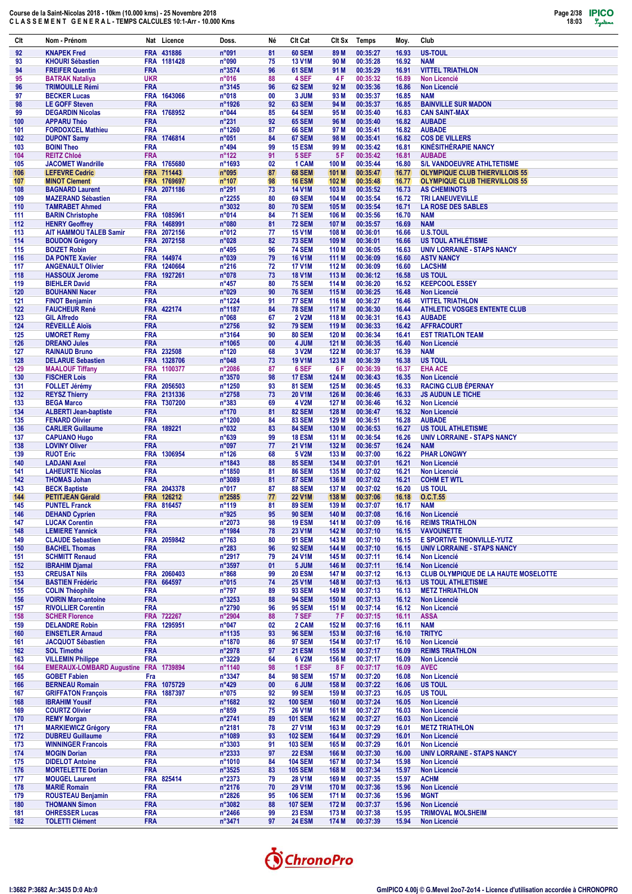| Clt        | Nom - Prénom                                       |                          | Nat Licence | Doss.                     | Né                | Clt Cat                        | Clt Sx           | Temps                | Moy.           | Club                                                     |
|------------|----------------------------------------------------|--------------------------|-------------|---------------------------|-------------------|--------------------------------|------------------|----------------------|----------------|----------------------------------------------------------|
| 92         | <b>KNAPEK Fred</b>                                 |                          | FRA 431886  | n°091                     | 81                | <b>60 SEM</b>                  | 89 M             | 00:35:27             | 16.93          | <b>US-TOUL</b>                                           |
| 93         | <b>KHOURI Sébastien</b>                            |                          | FRA 1181428 | n°090                     | 75                | <b>13 V1M</b>                  | 90 M             | 00:35:28             | 16.92          | <b>NAM</b>                                               |
| 94         | <b>FREIFER Quentin</b>                             | <b>FRA</b>               |             | n°3574                    | 96                | 61 SEM                         | 91 M             | 00:35:29             | 16.91          | <b>VITTEL TRIATHLON</b>                                  |
| 95         | <b>BATRAK Nataliya</b>                             | <b>UKR</b>               |             | n°016                     | 88                | 4 SEF                          | 4 F              | 00:35:32             | 16.89          | <b>Non Licencié</b>                                      |
| 96         | <b>TRIMOUILLE Rémi</b>                             | <b>FRA</b>               |             | n°3145                    | 96                | 62 SEM                         | 92 M             | 00:35:36             | 16.86          | <b>Non Licencié</b>                                      |
| 97         | <b>BECKER Lucas</b>                                |                          | FRA 1643066 | n°018                     | 00                | 3 JUM                          | 93 M             | 00:35:37             | 16.85          | <b>NAM</b>                                               |
| 98         | <b>LE GOFF Steven</b>                              | <b>FRA</b>               |             | n°1926                    | 92                | <b>63 SEM</b>                  | 94 M             | 00:35:37             | 16.85          | <b>BAINVILLE SUR MADON</b>                               |
| 99         | <b>DEGARDIN Nicolas</b>                            |                          | FRA 1768952 | n°044                     | 85                | <b>64 SEM</b>                  | 95 M             | 00:35:40             | 16.83          | <b>CAN SAINT-MAX</b>                                     |
| 100        | <b>APPARU Théo</b>                                 | <b>FRA</b>               |             | $n^{\circ}231$            | 92                | <b>65 SEM</b>                  | 96 M             | 00:35:40             | 16.82          | <b>AUBADE</b>                                            |
| 101        | <b>FORDOXCEL Mathieu</b>                           | <b>FRA</b>               |             | n°1260                    | 87                | <b>66 SEM</b>                  | 97 M             | 00:35:41             | 16.82          | <b>AUBADE</b>                                            |
| 102        | <b>DUPONT Samy</b>                                 |                          | FRA 1746814 | n°051                     | 84                | 67 SEM                         | 98 M             | 00:35:41             | 16.82          | <b>COS DE VILLERS</b>                                    |
| 103        | <b>BOINI Theo</b>                                  | <b>FRA</b>               |             | $n^{\circ}494$            | 99                | <b>15 ESM</b>                  | 99 M             | 00:35:42             | 16.81          | <b>KINÉSITHÉRAPIE NANCY</b>                              |
| 104        | <b>REITZ Chloé</b>                                 | <b>FRA</b>               |             | $n^{\circ}$ 122           | 91                | 5 SEF                          | 5F               | 00:35:42             | 16.81          | <b>AUBADE</b>                                            |
| 105        | <b>JACOMET Wandrille</b>                           |                          | FRA 1765680 | n°1693                    | 02                | 1 CAM                          | 100 M            | 00:35:44             | 16.80          | <b>S/L VANDOEUVRE ATHLTETISME</b>                        |
| 106        | <b>LEFEVRE Cedric</b>                              |                          | FRA 711443  | n°095                     | 87                | <b>68 SEM</b>                  | 101 M            | 00:35:47             | 16.77          | <b>OLYMPIQUE CLUB THIERVILLOIS 55</b>                    |
| 107        | <b>MINOT Clement</b>                               |                          | FRA 1769697 | $n^{\circ}$ 107           | 98                | <b>16 ESM</b>                  | 102 M            | 00:35:48             | 16.77          | <b>OLYMPIQUE CLUB THIERVILLOIS 55</b>                    |
| 108        | <b>BAGNARD Laurent</b>                             |                          | FRA 2071186 | $n^{\circ}291$            | 73                | <b>14 V1M</b>                  | 103 M            | 00:35:52             | 16.73          | <b>AS CHEMINOTS</b>                                      |
| 109        | <b>MAZERAND Sébastien</b>                          | <b>FRA</b><br><b>FRA</b> |             | n°2255<br>n°3032          | 80<br>80          | <b>69 SEM</b><br><b>70 SEM</b> | 104 M<br>105 M   | 00:35:54<br>00:35:54 | 16.72          | <b>TRI LANEUVEVILLE</b><br><b>LA ROSE DES SABLES</b>     |
| 110<br>111 | <b>TAMRABET Ahmed</b>                              |                          | FRA 1085961 | n°014                     | 84                | <b>71 SEM</b>                  | 106 M            | 00:35:56             | 16.71<br>16.70 | <b>NAM</b>                                               |
| 112        | <b>BARIN Christophe</b><br><b>HENRY Geoffrey</b>   |                          | FRA 1468991 | n°080                     | 81                | <b>72 SEM</b>                  | 107 M            | 00:35:57             | 16.69          | <b>NAM</b>                                               |
| 113        | <b>AIT HAMMOU TALEB Samir</b>                      |                          | FRA 2072156 | n°012                     | 77                | <b>15 V1M</b>                  | 108 M            | 00:36:01             | 16.66          | <b>U.S.TOUL</b>                                          |
| 114        | <b>BOUDON Grégory</b>                              |                          | FRA 2072158 | n°028                     | 82                | <b>73 SEM</b>                  | 109 M            | 00:36:01             | 16.66          | <b>US TOUL ATHLÉTISME</b>                                |
| 115        | <b>BOIZET Robin</b>                                | <b>FRA</b>               |             | $n^{\circ}495$            | 96                | <b>74 SEM</b>                  | 110 M            | 00:36:05             | 16.63          | <b>UNIV LORRAINE - STAPS NANCY</b>                       |
| 116        | <b>DA PONTE Xavier</b>                             |                          | FRA 144974  | n°039                     | 79                | <b>16 V1M</b>                  | 111 M            | 00:36:09             | 16.60          | <b>ASTV NANCY</b>                                        |
| 117        | <b>ANGENAULT Olivier</b>                           |                          | FRA 1240664 | $n^{\circ}216$            | 72                | <b>17 V1M</b>                  | 112 M            | 00:36:09             | 16.60          | <b>LACSHM</b>                                            |
| 118        | <b>HASSOUX Jerome</b>                              |                          | FRA 1927261 | n°078                     | 73                | <b>18 V1M</b>                  | 113 M            | 00:36:12             | 16.58          | US TOUL                                                  |
| 119        | <b>BIEHLER David</b>                               | <b>FRA</b>               |             | $n^{\circ}457$            | 80                | <b>75 SEM</b>                  | 114 M            | 00:36:20             | 16.52          | <b>KEEPCOOL ESSEY</b>                                    |
| 120        | <b>BOUHANNI Nacer</b>                              | <b>FRA</b>               |             | n°029                     | 90                | <b>76 SEM</b>                  | 115 M            | 00:36:25             | 16.48          | <b>Non Licencié</b>                                      |
| 121        | <b>FINOT Benjamin</b>                              | <b>FRA</b>               |             | n°1224                    | 91                | <b>77 SEM</b>                  | 116 M            | 00:36:27             | 16.46          | <b>VITTEL TRIATHLON</b>                                  |
| 122        | <b>FAUCHEUR René</b>                               |                          | FRA 422174  | n°1187                    | 84                | <b>78 SEM</b>                  | 117 M            | 00:36:30             | 16.44          | ATHLETIC VOSGES ENTENTE CLUB                             |
| 123        | <b>GIL Alfredo</b>                                 | <b>FRA</b>               |             | $n^{\circ}068$            | 67                | <b>2 V2M</b>                   | 118 M            | 00:36:31             | 16.43          | <b>AUBADE</b>                                            |
| 124        | <b>RÉVEILLÉ Aloïs</b>                              | <b>FRA</b>               |             | n°2756                    | 92                | <b>79 SEM</b>                  | 119 M            | 00:36:33             | 16.42          | <b>AFFRACOURT</b>                                        |
| 125        | <b>UMORET Remy</b>                                 | <b>FRA</b>               |             | n°3164                    | 90                | <b>80 SEM</b>                  | 120 M            | 00:36:34             | 16.41          | <b>EST TRIATLON TEAM</b>                                 |
| 126        | <b>DREANO Jules</b>                                | <b>FRA</b>               |             | n°1065                    | 00                | 4 JUM                          | 121 M            | 00:36:35             | 16.40          | <b>Non Licencié</b>                                      |
| 127        | <b>RAINAUD Bruno</b>                               |                          | FRA 232508  | $n^{\circ}120$            | 68                | 3 V2M                          | 122 M            | 00:36:37             | 16.39          | <b>NAM</b>                                               |
| 128        | <b>DELARUE Sebastien</b>                           |                          | FRA 1328706 | n°048                     | 73                | <b>19 V1M</b>                  | 123 M            | 00:36:39             | 16.38          | <b>US TOUL</b>                                           |
| 129        | <b>MAALOUF Tiffany</b>                             |                          | FRA 1100377 | n°2086                    | 87                | 6 SEF                          | 6 F              | 00:36:39             | 16.37          | <b>EHA ACE</b>                                           |
| 130        | <b>FISCHER Lois</b>                                | <b>FRA</b>               |             | n°3570                    | 98                | <b>17 ESM</b>                  | 124 M            | 00:36:43             | 16.35          | Non Licencié                                             |
| 131        | <b>FOLLET Jérémy</b>                               |                          | FRA 2056503 | n°1250                    | 93                | <b>81 SEM</b>                  | 125 M            | 00:36:45             | 16.33          | <b>RACING CLUB ÉPERNAY</b>                               |
| 132        | <b>REYSZ Thierry</b>                               |                          | FRA 2131336 | n°2758                    | 73                | <b>20 V1M</b>                  | 126 M            | 00:36:46             | 16.33          | <b>JS AUDUN LE TICHE</b>                                 |
| 133        | <b>BEGA Marco</b>                                  |                          | FRA T307200 | $n^{\circ}383$            | 69                | 4 V2M                          | 127 M            | 00:36:46             | 16.32          | <b>Non Licencié</b>                                      |
| 134        | <b>ALBERTI Jean-baptiste</b>                       | <b>FRA</b>               |             | n°170                     | 81                | <b>82 SEM</b>                  | 128 M            | 00:36:47             | 16.32          | <b>Non Licencié</b>                                      |
| 135        | <b>FENARD Olivier</b>                              | <b>FRA</b>               |             | n°1200                    | 84                | <b>83 SEM</b>                  | 129 M            | 00:36:51             | 16.28          | <b>AUBADE</b>                                            |
| 136<br>137 | <b>CARLIER Guillaume</b>                           | <b>FRA</b>               | FRA 189221  | n°032<br>n°639            | 83<br>99          | <b>84 SEM</b><br><b>18 ESM</b> | 130 M<br>131 M   | 00:36:53<br>00:36:54 | 16.27<br>16.26 | <b>US TOUL ATHLETISME</b><br>UNIV LORRAINE - STAPS NANCY |
| 138        | <b>CAPUANO Hugo</b><br><b>LOVINY Oliver</b>        | <b>FRA</b>               |             | n°097                     | 77                | <b>21 V1M</b>                  | 132 M            | 00:36:57             | 16.24          | <b>NAM</b>                                               |
| 139        | <b>RUOT Eric</b>                                   |                          | FRA 1306954 | $n^{\circ}$ 126           | 68                | 5 V2M                          | 133 M            | 00:37:00             | 16.22          | <b>PHAR LONGWY</b>                                       |
| 140        | <b>LADJANI Axel</b>                                | <b>FRA</b>               |             | n°1843                    | 88                | <b>85 SEM</b>                  | 134 M            | 00:37:01             | 16.21          | <b>Non Licencié</b>                                      |
| 141        | <b>LAHEURTE Nicolas</b>                            | <b>FRA</b>               |             | n°1850                    | 81                | <b>86 SEM</b>                  | 135 M            | 00:37:02             | 16.21          | <b>Non Licencié</b>                                      |
| 142        | <b>THOMAS Johan</b>                                | <b>FRA</b>               |             | n°3089                    | 81                | <b>87 SEM</b>                  | 136 M            | 00:37:02             | 16.21          | <b>COHM ET WTL</b>                                       |
| 143        | <b>BECK Baptiste</b>                               |                          | FRA 2043378 | n°017                     | 87                | <b>88 SEM</b>                  | 137 M            | 00:37:02             | 16.20          | <b>US TOUL</b>                                           |
| 144        | <b>PETITJEAN Gérald</b>                            |                          | FRA 126212  | $n^{\circ}2585$           | 77                | <b>22 V1M</b>                  | 138 <sub>M</sub> | 00:37:06             | 16.18          | O.C.T.55                                                 |
| 145        | <b>PUNTEL Franck</b>                               |                          | FRA 816457  | $n^{\circ}119$            | 81                | <b>89 SEM</b>                  | 139 M            | 00:37:07             | 16.17          | <b>NAM</b>                                               |
| 146        | <b>DEHAND Cyprien</b>                              | <b>FRA</b>               |             | n°925                     | 95                | <b>90 SEM</b>                  | 140 M            | 00:37:08             | 16.16          | Non Licencié                                             |
| 147        | <b>LUCAK Corentin</b>                              | <b>FRA</b>               |             | n°2073                    | 98                | <b>19 ESM</b>                  | 141 M            | 00:37:09             | 16.16          | <b>REIMS TRIATHLON</b>                                   |
| 148        | <b>LEMIERE Yannick</b>                             | <b>FRA</b>               |             | n°1984                    | 78                | 23 V1M                         | 142 M            | 00:37:10             | 16.15          | <b>VAVOUNETTE</b>                                        |
| 149        | <b>CLAUDE Sebastien</b>                            |                          | FRA 2059842 | $n^{\circ}763$            | 80                | <b>91 SEM</b>                  | 143 M            | 00:37:10             | 16.15          | <b>E SPORTIVE THIONVILLE-YUTZ</b>                        |
| 150        | <b>BACHEL Thomas</b>                               | <b>FRA</b>               |             | $n^{\circ}283$            | 96                | <b>92 SEM</b>                  | 144 M            | 00:37:10             | 16.15          | UNIV LORRAINE - STAPS NANCY                              |
| 151        | <b>SCHMITT Renaud</b>                              | <b>FRA</b>               |             | n°2917                    | 79                | <b>24 V1M</b>                  | 145 M            | 00:37:11             | 16.14          | <b>Non Licencié</b>                                      |
| 152        | <b>IBRAHIM Djamal</b>                              | <b>FRA</b>               |             | n°3597                    | 01                | 5 JUM                          | 146 M            | 00:37:11             | 16.14          | <b>Non Licencié</b>                                      |
| 153        | <b>CREUSAT Nils</b>                                |                          | FRA 2060403 | $n^{\circ}868$            | 99                | <b>20 ESM</b>                  | 147 M            | 00:37:12             | 16.13          | <b>CLUB OLYMPIQUE DE LA HAUTE MOSELOTTE</b>              |
| 154        | <b>BASTIEN Frédéric</b>                            |                          | FRA 664597  | n°015                     | 74                | <b>25 V1M</b>                  | 148 M            | 00:37:13             | 16.13          | <b>US TOUL ATHLETISME</b>                                |
| 155        | <b>COLIN Théophile</b>                             | <b>FRA</b>               |             | $n^{\circ}797$            | 89                | <b>93 SEM</b>                  | 149 M            | 00:37:13             | 16.13          | <b>METZ THRIATHLON</b>                                   |
| 156        | <b>VOIRIN Marc-antoine</b>                         | <b>FRA</b><br><b>FRA</b> |             | n°3253                    | 88<br>96          | <b>94 SEM</b><br><b>95 SEM</b> | 150 M<br>151 M   | 00:37:13<br>00:37:14 | 16.12<br>16.12 | <b>Non Licencié</b><br><b>Non Licencié</b>               |
| 157<br>158 | <b>RIVOLLIER Corentin</b><br><b>SCHER Florence</b> |                          | FRA 722267  | n°2790<br>$n^{\circ}2904$ | 88                | 7 SEF                          | 7 F              | 00:37:15             | 16.11          | <b>ASSA</b>                                              |
| 159        | <b>DELANDRE Robin</b>                              |                          | FRA 1295951 | n°047                     | 02                | 2 CAM                          | 152 M            | 00:37:16             | 16.11          | <b>NAM</b>                                               |
| 160        | <b>EINSETLER Arnaud</b>                            | <b>FRA</b>               |             | n°1135                    | 93                | <b>96 SEM</b>                  | 153 M            | 00:37:16             | 16.10          | <b>TRITYC</b>                                            |
| 161        | <b>JACQUOT Sébastien</b>                           | <b>FRA</b>               |             | n°1870                    | 86                | <b>97 SEM</b>                  | 154 M            | 00:37:17             | 16.10          | Non Licencié                                             |
| 162        | <b>SOL Timothé</b>                                 | <b>FRA</b>               |             | n°2978                    | 97                | <b>21 ESM</b>                  | 155 M            | 00:37:17             | 16.09          | <b>REIMS TRIATHLON</b>                                   |
| 163        | <b>VILLEMIN Philippe</b>                           | <b>FRA</b>               |             | n°3229                    | 64                | 6 V2M                          | 156 M            | 00:37:17             | 16.09          | <b>Non Licencié</b>                                      |
| 164        | EMERAUX-LOMBARD Augustine FRA 1739894              |                          |             | n°1140                    | 98                | 1 ESF                          | 8 F              | 00:37:17             | 16.09          | <b>AVEC</b>                                              |
| 165        | <b>GOBET Fabien</b>                                | Fra                      |             | n°3347                    | 84                | <b>98 SEM</b>                  | 157 M            | 00:37:20             | 16.08          | <b>Non Licencié</b>                                      |
| 166        | <b>BERNEAU Romain</b>                              |                          | FRA 1075729 | $n^{\circ}429$            | $\boldsymbol{00}$ | 6 JUM                          | 158 M            | 00:37:22             | 16.06          | <b>US TOUL</b>                                           |
| 167        | <b>GRIFFATON François</b>                          |                          | FRA 1887397 | n°075                     | 92                | <b>99 SEM</b>                  | 159 M            | 00:37:23             | 16.05          | <b>US TOUL</b>                                           |
| 168        | <b>IBRAHIM Yousif</b>                              | <b>FRA</b>               |             | n°1682                    | 92                | <b>100 SEM</b>                 | 160 M            | 00:37:24             | 16.05          | <b>Non Licencié</b>                                      |
| 169        | <b>COURTZ Olivier</b>                              | <b>FRA</b>               |             | $n^{\circ}859$            | 75                | <b>26 V1M</b>                  | 161 M            | 00:37:27             | 16.03          | <b>Non Licencié</b>                                      |
| 170        | <b>REMY Morgan</b>                                 | <b>FRA</b>               |             | n°2741                    | 89                | <b>101 SEM</b>                 | 162 M            | 00:37:27             | 16.03          | <b>Non Licencié</b>                                      |
| 171        | <b>MARKIEWICZ Grégory</b>                          | <b>FRA</b>               |             | n°2181                    | 78                | <b>27 V1M</b>                  | 163 M            | 00:37:29             | 16.01          | <b>METZ TRIATHLON</b>                                    |
| 172        | <b>DUBREU Guillaume</b>                            | <b>FRA</b>               |             | n°1089                    | 93                | <b>102 SEM</b>                 | 164 M            | 00:37:29             | 16.01          | <b>Non Licencié</b>                                      |
| 173        | <b>WINNINGER Francois</b>                          | <b>FRA</b>               |             | $n^{\circ}3303$           | 91                | <b>103 SEM</b>                 | 165 M            | 00:37:29             | 16.01          | <b>Non Licencié</b>                                      |
| 174        | <b>MOGIN Dorian</b>                                | <b>FRA</b>               |             | $n^{\circ}2333$           | 97                | <b>22 ESM</b>                  | 166 M            | 00:37:30             | 16.00          | UNIV LORRAINE - STAPS NANCY                              |
| 175        | <b>DIDELOT Antoine</b>                             | <b>FRA</b>               |             | n°1010                    | 84                | <b>104 SEM</b>                 | 167 M            | 00:37:34             | 15.98          | <b>Non Licencié</b>                                      |
| 176        | <b>MORTELETTE Dorian</b>                           | <b>FRA</b>               |             | n°3525                    | 83                | <b>105 SEM</b>                 | 168 M            | 00:37:34             | 15.97          | Non Licencié                                             |
| 177        | <b>MOUGEL Laurent</b><br><b>MARIÉ Romain</b>       |                          | FRA 825414  | $n^{\circ}2373$           | 79                | <b>28 V1M</b><br><b>29 V1M</b> | 169 M            | 00:37:35             | 15.97          | <b>ACHM</b>                                              |
| 178<br>179 | <b>ROUSTEAU Benjamin</b>                           | <b>FRA</b><br><b>FRA</b> |             | n°2176<br>n°2826          | 70<br>95          | <b>106 SEM</b>                 | 170 M<br>171 M   | 00:37:36<br>00:37:36 | 15.96<br>15.96 | <b>Non Licencié</b><br><b>MGNT</b>                       |
| 180        | <b>THOMANN Simon</b>                               | <b>FRA</b>               |             | $n^{\circ}3082$           | 88                | <b>107 SEM</b>                 | 172 M            | 00:37:37             | 15.96          | <b>Non Licencié</b>                                      |
| 181        | <b>OHRESSER Lucas</b>                              | <b>FRA</b>               |             | n°2466                    | 99                | <b>23 ESM</b>                  | 173 M            | 00:37:38             | 15.95          | <b>TRIMOVAL MOLSHEIM</b>                                 |
| 182        | <b>TOLETTI Clément</b>                             | <b>FRA</b>               |             | $n^{\circ}3471$           | 97                | <b>24 ESM</b>                  | 174 M            | 00:37:39             | 15.94          | Non Licencié                                             |

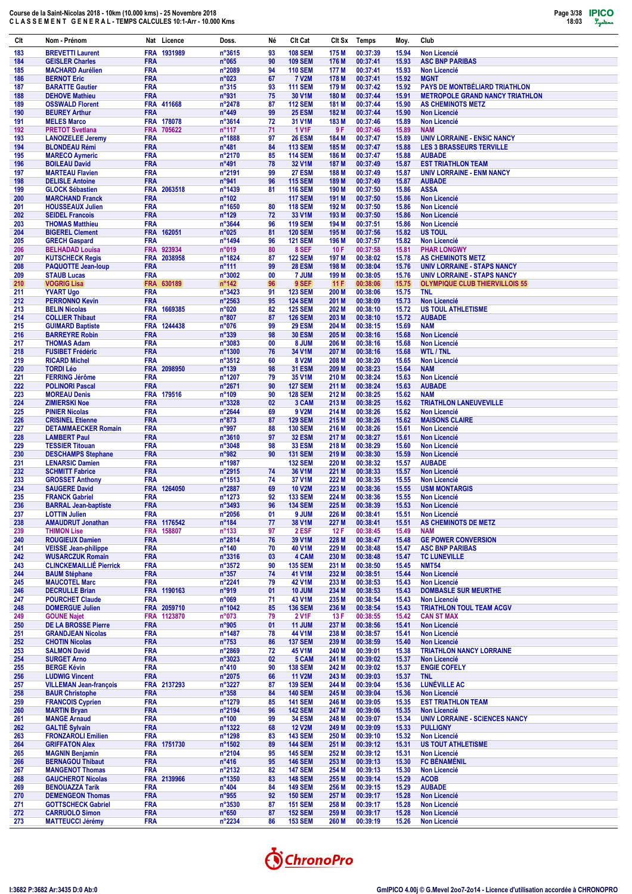| Clt        | Nom - Prénom                                        | Nat Licence                         | Doss.                             | Né       | Clt Cat                          | CIt Sx         | Temps                | Moy.           | Club                                                          |
|------------|-----------------------------------------------------|-------------------------------------|-----------------------------------|----------|----------------------------------|----------------|----------------------|----------------|---------------------------------------------------------------|
| 183        | <b>BREVETTI Laurent</b>                             | FRA 1931989                         | n°3615                            | 93       | <b>108 SEM</b>                   | 175 M          | 00:37:39             | 15.94          | Non Licencié                                                  |
| 184        | <b>GEISLER Charles</b>                              | <b>FRA</b>                          | n°065                             | 90       | <b>109 SEM</b>                   | 176 M          | 00:37:41             | 15.93          | <b>ASC BNP PARIBAS</b>                                        |
| 185        | <b>MACHARD Aurélien</b>                             | <b>FRA</b>                          | n°2089                            | 94       | <b>110 SEM</b>                   | 177 M          | 00:37:41             | 15.93          | <b>Non Licencié</b>                                           |
| 186        | <b>BERNOT Eric</b>                                  | <b>FRA</b>                          | n°023                             | 67       | <b>7 V2M</b>                     | 178 M          | 00:37:41             | 15.92          | <b>MGNT</b>                                                   |
| 187        | <b>BARATTE Gautier</b>                              | <b>FRA</b>                          | $n^{\circ}315$                    | 93       | <b>111 SEM</b>                   | 179 M          | 00:37:42             | 15.92          | PAYS DE MONTBÉLIARD TRIATHLON                                 |
| 188        | <b>DEHOVE Mathieu</b>                               | <b>FRA</b>                          | n°931                             | 75       | 30 V1M                           | 180 M          | 00:37:44             | 15.91          | <b>METROPOLE GRAND NANCY TRIATHLON</b>                        |
| 189        | <b>OSSWALD Florent</b>                              | FRA 411668                          | $n^{\circ}$ 2478                  | 87       | <b>112 SEM</b>                   | 181 M          | 00:37:44             | 15.90          | <b>AS CHEMINOTS METZ</b>                                      |
| 190        | <b>BEUREY Arthur</b>                                | <b>FRA</b>                          | n°449                             | 99       | <b>25 ESM</b>                    | 182 M          | 00:37:44             | 15.90          | <b>Non Licencié</b>                                           |
| 191        | <b>MELES Marco</b>                                  | FRA 178078                          | n°3614                            | 72       | 31 V1M                           | 183 M          | 00:37:46             | 15.89          | <b>Non Licencié</b>                                           |
| 192        | <b>PRETOT Svetlana</b>                              | <b>FRA</b><br>705622                | $n^{\circ}$ 117                   | 71       | <b>1 V1F</b>                     | 9 F            | 00:37:46             | 15.89          | <b>NAM</b>                                                    |
| 193        | <b>LANOIZELEE Jeremy</b>                            | <b>FRA</b>                          | n°1888                            | 97       | <b>26 ESM</b>                    | 184 M          | 00:37:47             | 15.89          | <b>UNIV LORRAINE - ENSIC NANCY</b>                            |
| 194        | <b>BLONDEAU Rémi</b>                                | <b>FRA</b>                          | $n^{\circ}481$                    | 84       | <b>113 SEM</b>                   | 185 M          | 00:37:47             | 15.88          | <b>LES 3 BRASSEURS TERVILLE</b>                               |
| 195        | <b>MARECO Aymeric</b>                               | <b>FRA</b>                          | n°2170                            | 85       | <b>114 SEM</b><br>32 V1M         | 186 M          | 00:37:47<br>00:37:49 | 15.88          | <b>AUBADE</b>                                                 |
| 196<br>197 | <b>BOILEAU David</b><br><b>MARTEAU Flavien</b>      | <b>FRA</b><br><b>FRA</b>            | $n^{\circ}491$<br>n°2191          | 78<br>99 | <b>27 ESM</b>                    | 187 M<br>188 M | 00:37:49             | 15.87<br>15.87 | <b>EST TRIATHLON TEAM</b><br><b>UNIV LORRAINE - ENM NANCY</b> |
| 198        | <b>DELISLE Antoine</b>                              | <b>FRA</b>                          | n°941                             | 96       | <b>115 SEM</b>                   | 189 M          | 00:37:49             | 15.87          | <b>AUBADE</b>                                                 |
| 199        | <b>GLOCK Sébastien</b>                              | <b>FRA</b><br>2063518               | n°1439                            | 81       | <b>116 SEM</b>                   | 190 M          | 00:37:50             | 15.86          | <b>ASSA</b>                                                   |
| 200        | <b>MARCHAND Franck</b>                              | <b>FRA</b>                          | $n^{\circ}102$                    |          | <b>117 SEM</b>                   | 191 M          | 00:37:50             | 15.86          | <b>Non Licencié</b>                                           |
| 201        | <b>HOUSSEAUX Julien</b>                             | <b>FRA</b>                          | n°1650                            | 80       | <b>118 SEM</b>                   | 192 M          | 00:37:50             | 15.86          | <b>Non Licencié</b>                                           |
| 202        | <b>SEIDEL Francois</b>                              | <b>FRA</b>                          | $n^{\circ}$ 129                   | 72       | 33 V1M                           | 193 M          | 00:37:50             | 15.86          | <b>Non Licencié</b>                                           |
| 203        | <b>THOMAS Matthieu</b>                              | <b>FRA</b>                          | n°3644                            | 96       | <b>119 SEM</b>                   | 194 M          | 00:37:51             | 15.86          | Non Licencié                                                  |
| 204        | <b>BIGEREL Clement</b>                              | FRA 162051                          | n°025                             | 81       | <b>120 SEM</b>                   | 195 M          | 00:37:56             | 15.82          | <b>US TOUL</b>                                                |
| 205        | <b>GRECH Gaspard</b>                                | <b>FRA</b>                          | n°1494                            | 96       | <b>121 SEM</b>                   | 196 M          | 00:37:57             | 15.82          | <b>Non Licencié</b>                                           |
| 206        | <b>BELHADAD Louisa</b>                              | <b>FRA</b><br>923934                | n°019                             | 80       | 8 SEF                            | 10F            | 00:37:58             | 15.81          | <b>PHAR LONGWY</b>                                            |
| 207        | <b>KUTSCHECK Regis</b>                              | <b>FRA</b><br>2038958               | n°1824                            | 87       | <b>122 SEM</b>                   | 197 M          | 00:38:02             | 15.78          | <b>AS CHEMINOTS METZ</b>                                      |
| 208        | <b>PAQUOTTE Jean-loup</b>                           | <b>FRA</b>                          | $n^{\circ}111$                    | 99       | <b>28 ESM</b>                    | 198 M          | 00:38:04             | 15.76          | <b>UNIV LORRAINE - STAPS NANCY</b>                            |
| 209        | <b>STAUB Lucas</b>                                  | <b>FRA</b>                          | n°3002                            | 00       | 7 JUM                            | 199 M          | 00:38:05             | 15.76          | <b>UNIV LORRAINE - STAPS NANCY</b>                            |
| 210        | <b>VOGRIG Lisa</b>                                  | <b>FRA</b><br>630189                | $n^{\circ}$ 142                   | 96       | 9 SEF                            | 11F            | 00:38:06             | 15.75          | <b>OLYMPIQUE CLUB THIERVILLOIS 55</b>                         |
| 211        | <b>YVART Ugo</b>                                    | <b>FRA</b>                          | $n^{\circ}3423$                   | 91       | <b>123 SEM</b>                   | 200 M          | 00:38:06             | 15.75          | <b>TNL</b>                                                    |
| 212        | <b>PERRONNO Kevin</b><br><b>BELIN Nicolas</b>       | <b>FRA</b>                          | n°2563                            | 95       | <b>124 SEM</b>                   | 201 M          | 00:38:09             | 15.73          | <b>Non Licencié</b>                                           |
| 213<br>214 | <b>COLLIER Thibaut</b>                              | <b>FRA</b><br>1669385<br><b>FRA</b> | n°020<br>$n^{\circ}807$           | 82<br>87 | <b>125 SEM</b><br><b>126 SEM</b> | 202 M<br>203 M | 00:38:10<br>00:38:10 | 15.72<br>15.72 | <b>US TOUL ATHLETISME</b><br><b>AUBADE</b>                    |
| 215        | <b>GUIMARD Baptiste</b>                             | FRA 1244438                         | n°076                             | 99       | <b>29 ESM</b>                    | 204 M          | 00:38:15             | 15.69          | <b>NAM</b>                                                    |
| 216        | <b>BARREYRE Robin</b>                               | <b>FRA</b>                          | $n^{\circ}339$                    | 98       | <b>30 ESM</b>                    | 205 M          | 00:38:16             | 15.68          | <b>Non Licencié</b>                                           |
| 217        | <b>THOMAS Adam</b>                                  | <b>FRA</b>                          | n°3083                            | 00       | 8 JUM                            | 206 M          | 00:38:16             | 15.68          | <b>Non Licencié</b>                                           |
| 218        | <b>FUSIBET Frédéric</b>                             | <b>FRA</b>                          | n°1300                            | 76       | 34 V1M                           | 207 M          | 00:38:16             | 15.68          | <b>WTL/TNL</b>                                                |
| 219        | <b>RICARD Michel</b>                                | <b>FRA</b>                          | n°3512                            | 60       | 8 V2M                            | 208 M          | 00:38:20             | 15.65          | <b>Non Licencié</b>                                           |
| 220        | <b>TORDI Léo</b>                                    | FRA 2098950                         | n°139                             | 98       | <b>31 ESM</b>                    | 209 M          | 00:38:23             | 15.64          | <b>NAM</b>                                                    |
| 221        | <b>FERRING Jérôme</b>                               | <b>FRA</b>                          | n°1207                            | 79       | 35 V1M                           | 210 M          | 00:38:24             | 15.63          | <b>Non Licencié</b>                                           |
| 222        | <b>POLINORI Pascal</b>                              | <b>FRA</b>                          | n°2671                            | 90       | <b>127 SEM</b>                   | 211 M          | 00:38:24             | 15.63          | <b>AUBADE</b>                                                 |
| 223        | <b>MOREAU Denis</b>                                 | FRA 179516                          | $n^{\circ}109$                    | 90       | <b>128 SEM</b>                   | 212 M          | 00:38:25             | 15.62          | <b>NAM</b>                                                    |
| 224        | <b>ZIMIERSKI Noe</b>                                | <b>FRA</b>                          | n°3328                            | 02       | 3 CAM                            | 213 M          | 00:38:25             | 15.62          | <b>TRIATHLON LANEUVEVILLE</b>                                 |
| 225        | <b>PINIER Nicolas</b>                               | <b>FRA</b>                          | n°2644                            | 69       | 9 V2M                            | 214 M          | 00:38:26             | 15.62          | <b>Non Licencié</b>                                           |
| 226        | <b>CRISINEL Etienne</b>                             | <b>FRA</b>                          | $n^{\circ}873$                    | 87       | <b>129 SEM</b>                   | 215 M          | 00:38:26             | 15.62          | <b>MAISONS CLAIRE</b>                                         |
| 227        | <b>DETAMMAECKER Romain</b>                          | <b>FRA</b>                          | n°997                             | 88       | <b>130 SEM</b>                   | 216 M          | 00:38:26             | 15.61          | <b>Non Licencié</b>                                           |
| 228        | <b>LAMBERT Paul</b>                                 | <b>FRA</b>                          | n°3610                            | 97       | <b>32 ESM</b>                    | 217 M          | 00:38:27             | 15.61          | <b>Non Licencié</b>                                           |
| 229<br>230 | <b>TESSIER Titouan</b>                              | <b>FRA</b><br><b>FRA</b>            | $n^{\circ}3048$<br>n°982          | 98<br>90 | <b>33 ESM</b><br><b>131 SEM</b>  | 218 M<br>219 M | 00:38:29<br>00:38:30 | 15.60<br>15.59 | <b>Non Licencié</b><br><b>Non Licencié</b>                    |
| 231        | <b>DESCHAMPS Stephane</b><br><b>LENARSIC Damien</b> | <b>FRA</b>                          | n°1987                            |          | <b>132 SEM</b>                   | 220 M          | 00:38:32             | 15.57          | <b>AUBADE</b>                                                 |
| 232        | <b>SCHMITT Fabrice</b>                              | <b>FRA</b>                          | n°2915                            | 74       | 36 V1M                           | 221 M          | 00:38:33             | 15.57          | <b>Non Licencié</b>                                           |
| 233        | <b>GROSSET Anthony</b>                              | <b>FRA</b>                          | n°1513                            | 74       | 37 V1M                           | 222 M          | 00:38:35             | 15.55          | <b>Non Licencié</b>                                           |
| 234        | <b>SAUGERE David</b>                                | FRA 1264050                         | n°2887                            | 69       | <b>10 V2M</b>                    | 223 M          | 00:38:36             | 15.55          | <b>USM MONTARGIS</b>                                          |
| 235        | <b>FRANCK Gabriel</b>                               | <b>FRA</b>                          | $n^{\circ}$ 1273                  | 92       | <b>133 SEM</b>                   | 224 M          | 00:38:36             | 15.55          | <b>Non Licencié</b>                                           |
| 236        | <b>BARRAL Jean-baptiste</b>                         | <b>FRA</b>                          | n°3493                            | 96       | <b>134 SEM</b>                   | 225 M          | 00:38:39             | 15.53          | <b>Non Licencié</b>                                           |
| 237        | <b>LOTTIN Julien</b>                                | <b>FRA</b>                          | n°2056                            | 01       | 9 JUM                            | 226 M          | 00:38:41             | 15.51          | Non Licencié                                                  |
| 238        | <b>AMAUDRUT Jonathan</b>                            | FRA 1176542                         | $n^{\circ}184$                    | 77       | 38 V1M                           | 227 M          | 00:38:41             | 15.51          | AS CHEMINOTS DE METZ                                          |
| 239        | <b>THIMON Lise</b>                                  | FRA 158807                          | $n^{\circ}133$                    | 97       | 2 ESF                            | 12F            | 00:38:45             | 15.49          | <b>NAM</b>                                                    |
| 240        | <b>ROUGIEUX Damien</b>                              | <b>FRA</b>                          | n°2814                            | 76       | 39 V1M                           | 228 M          | 00:38:47             | 15.48          | <b>GE POWER CONVERSION</b>                                    |
| 241        | <b>VEISSE Jean-philippe</b>                         | <b>FRA</b>                          | $n^{\circ}$ 140                   | 70       | 40 V1M                           | 229 M          | 00:38:48             | 15.47          | <b>ASC BNP PARIBAS</b>                                        |
| 242        | <b>WUSARCZUK Romain</b>                             | <b>FRA</b>                          | $n^{\circ}3316$                   | 03       | 4 CAM                            | 230 M          | 00:38:48             | 15.47          | <b>TC LUNEVILLE</b>                                           |
| 243        | <b>CLINCKEMAILLIE Pierrick</b>                      | <b>FRA</b>                          | $n^{\circ}3572$                   | 90       | <b>135 SEM</b>                   | 231 M          | 00:38:50             | 15.45          | <b>NMT54</b>                                                  |
| 244        | <b>BAUM Stéphane</b><br><b>MAUCOTEL Marc</b>        | <b>FRA</b><br><b>FRA</b>            | $n^{\circ}357$                    | 74<br>79 | 41 V1M<br>42 V1M                 | 232 M<br>233 M | 00:38:51<br>00:38:53 | 15.44          | Non Licencié<br><b>Non Licencié</b>                           |
| 245<br>246 | <b>DECRULLE Brian</b>                               | FRA 1190163                         | n°2241<br>n°919                   | 01       | <b>10 JUM</b>                    | 234 M          | 00:38:53             | 15.43<br>15.43 | <b>DOMBASLE SUR MEURTHE</b>                                   |
| 247        | <b>POURCHET Claude</b>                              | <b>FRA</b>                          | n°069                             | 71       | 43 V1M                           | 235 M          | 00:38:54             | 15.43          | <b>Non Licencié</b>                                           |
| 248        | <b>DOMERGUE Julien</b>                              | FRA 2059710                         | n°1042                            | 85       | <b>136 SEM</b>                   | 236 M          | 00:38:54             | 15.43          | <b>TRIATHLON TOUL TEAM ACGV</b>                               |
| 249        | <b>GOUNE Najet</b>                                  | FRA 1123870                         | n°073                             | 79       | <b>2 V1F</b>                     | 13 F           | 00:38:55             | 15.42          | <b>CAN ST MAX</b>                                             |
| 250        | <b>DE LA BROSSE Pierre</b>                          | <b>FRA</b>                          | n°905                             | 01       | 11 JUM                           | 237 M          | 00:38:56             | 15.41          | Non Licencié                                                  |
| 251        | <b>GRANDJEAN Nicolas</b>                            | <b>FRA</b>                          | n°1487                            | 78       | 44 V1M                           | 238 M          | 00:38:57             | 15.41          | <b>Non Licencié</b>                                           |
| 252        | <b>CHOTIN Nicolas</b>                               | <b>FRA</b>                          | $n^{\circ}753$                    | 86       | <b>137 SEM</b>                   | 239 M          | 00:38:59             | 15.40          | <b>Non Licencié</b>                                           |
| 253        | <b>SALMON David</b>                                 | <b>FRA</b>                          | n°2869                            | 72       | 45 V1M                           | 240 M          | 00:39:01             | 15.38          | <b>TRIATHLON NANCY LORRAINE</b>                               |
| 254        | <b>SURGET Arno</b>                                  | <b>FRA</b>                          | n°3023                            | 02       | 5 CAM                            | 241 M          | 00:39:02             | 15.37          | <b>Non Licencié</b>                                           |
| 255        | <b>BERGE Kévin</b>                                  | <b>FRA</b>                          | $n^{\circ}410$                    | 90       | <b>138 SEM</b>                   | 242 M          | 00:39:02             | 15.37          | <b>ENGIE COFELY</b>                                           |
| 256        | <b>LUDWIG Vincent</b>                               | <b>FRA</b>                          | n°2075                            | 66       | <b>11 V2M</b>                    | 243 M          | 00:39:03             | 15.37          | <b>TNL</b>                                                    |
| 257        | <b>VILLEMAN Jean-françois</b>                       | FRA 2137293<br><b>FRA</b>           | n°3227                            | 87       | <b>139 SEM</b><br><b>140 SEM</b> | 244 M          | 00:39:04             | 15.36          | LUNÉVILLE AC                                                  |
| 258<br>259 | <b>BAUR Christophe</b><br><b>FRANCOIS Cyprien</b>   | <b>FRA</b>                          | $n^{\circ}358$<br>n°1279          | 84<br>85 | <b>141 SEM</b>                   | 245 M<br>246 M | 00:39:04<br>00:39:05 | 15.36<br>15.35 | <b>Non Licencié</b><br><b>EST TRIATHLON TEAM</b>              |
| 260        | <b>MARTIN Bryan</b>                                 | <b>FRA</b>                          | n°2194                            | 96       | <b>142 SEM</b>                   | 247 M          | 00:39:06             | 15.35          | <b>Non Licencié</b>                                           |
| 261        | <b>MANGE Arnaud</b>                                 | <b>FRA</b>                          | $n^{\circ}100$                    | 99       | <b>34 ESM</b>                    | 248 M          | 00:39:07             | 15.34          | UNIV LORRAINE - SCIENCES NANCY                                |
| 262        | <b>GALTIE Sylvain</b>                               | <b>FRA</b>                          | n°1322                            | 68       | <b>12 V2M</b>                    | 249 M          | 00:39:09             | 15.33          | <b>PULLIGNY</b>                                               |
| 263        | <b>FRONZAROLI Emilien</b>                           | <b>FRA</b>                          | n°1298                            | 83       | <b>143 SEM</b>                   | 250 M          | 00:39:10             | 15.32          | <b>Non Licencié</b>                                           |
| 264        | <b>GRIFFATON Alex</b>                               | FRA 1751730                         | n°1502                            | 89       | <b>144 SEM</b>                   | 251 M          | 00:39:12             | 15.31          | <b>US TOUT ATHLETISME</b>                                     |
| 265        | <b>MAGNIN Benjamin</b>                              | <b>FRA</b>                          | n°2104                            | 95       | <b>145 SEM</b>                   | 252 M          | 00:39:12             | 15.31          | <b>Non Licencié</b>                                           |
| 266        | <b>BERNAGOU Thibaut</b>                             | <b>FRA</b>                          | $n^{\circ}416$                    | 95       | <b>146 SEM</b>                   | 253 M          | 00:39:13             | 15.30          | <b>FC BÉNAMÉNIL</b>                                           |
| 267        | <b>MANGENOT Thomas</b>                              | <b>FRA</b>                          | n°2132                            | 82       | <b>147 SEM</b>                   | 254 M          | 00:39:13             | 15.30          | Non Licencié                                                  |
| 268        | <b>GAUCHEROT Nicolas</b>                            | FRA 2139966                         | n°1350                            | 83       | <b>148 SEM</b>                   | 255 M          | 00:39:14             | 15.29          | <b>ACOB</b>                                                   |
| 269        | <b>BENOUAZZA Tarik</b>                              | <b>FRA</b>                          | $n^{\circ}404$                    | 84       | <b>149 SEM</b>                   | 256 M          | 00:39:15             | 15.29          | <b>AUBADE</b>                                                 |
| 270        | <b>DEMENGEON Thomas</b>                             | <b>FRA</b>                          | $n^{\circ}955$                    | 92       | <b>150 SEM</b>                   | 257 M          | 00:39:17             | 15.28          | <b>Non Licencié</b>                                           |
| 271        | <b>GOTTSCHECK Gabriel</b>                           | <b>FRA</b><br><b>FRA</b>            | n°3530                            | 87       | <b>151 SEM</b>                   | 258 M          | 00:39:17             | 15.28          | <b>Non Licencié</b>                                           |
| 272<br>273 | <b>CARRUOLO Simon</b><br><b>MATTEUCCI Jérémy</b>    | <b>FRA</b>                          | $n^{\circ}650$<br>$n^{\circ}2234$ | 87<br>86 | <b>152 SEM</b><br><b>153 SEM</b> | 259 M<br>260 M | 00:39:17<br>00:39:19 | 15.28<br>15.26 | <b>Non Licencié</b><br><b>Non Licencié</b>                    |
|            |                                                     |                                     |                                   |          |                                  |                |                      |                |                                                               |

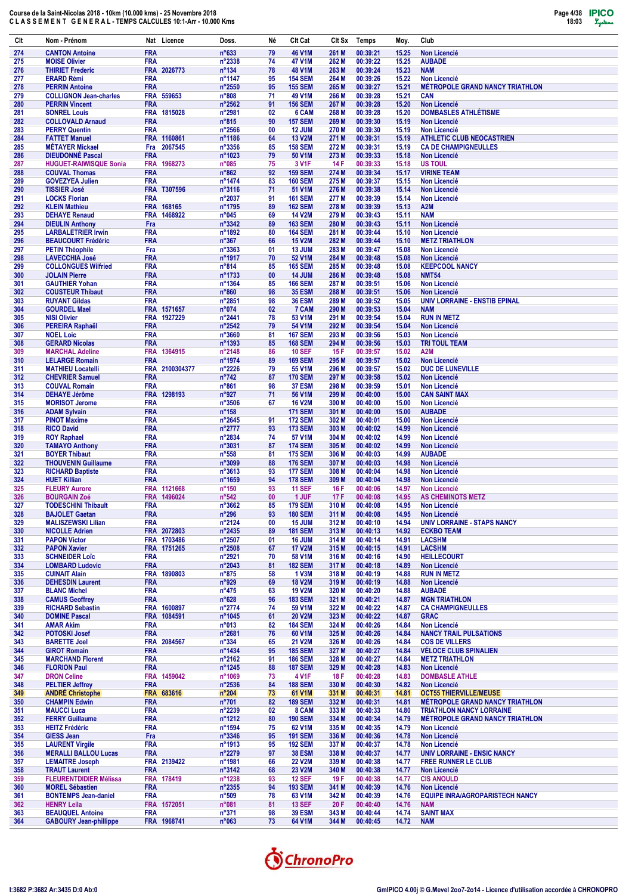| Clt        | Nom - Prénom                                        | Nat Licence                | Doss.                             | Né        | Clt Cat                          | Clt Sx         | Temps                | Moy.           | Club                                                  |
|------------|-----------------------------------------------------|----------------------------|-----------------------------------|-----------|----------------------------------|----------------|----------------------|----------------|-------------------------------------------------------|
| 274        | <b>CANTON Antoine</b>                               | <b>FRA</b>                 | $n^{\circ}633$                    | 79        | <b>46 V1M</b>                    | 261 M          | 00:39:21             | 15.25          | <b>Non Licencié</b>                                   |
| 275        | <b>MOISE Olivier</b>                                | <b>FRA</b>                 | $n^{\circ}2338$                   | 74        | 47 V1M                           | 262 M          | 00:39:22             | 15.25          | <b>AUBADE</b>                                         |
| 276        | <b>THIRIET Frederic</b>                             | FRA 2026773                | $n^{\circ}$ 134                   | 78        | <b>48 V1M</b>                    | 263 M          | 00:39:24             | 15.23          | <b>NAM</b>                                            |
| 277        | <b>ERARD Rémi</b>                                   | <b>FRA</b>                 | n°1147                            | 95        | <b>154 SEM</b>                   | 264 M          | 00:39:26             | 15.22          | <b>Non Licencié</b>                                   |
| 278        | <b>PERRIN Antoine</b>                               | <b>FRA</b>                 | $n^{\circ}2550$                   | 95        | <b>155 SEM</b>                   | 265 M          | 00:39:27             | 15.21          | <b>MÉTROPOLE GRAND NANCY TRIATHLON</b>                |
| 279        | <b>COLLIGNON Jean-charles</b>                       | <b>FRA</b><br>559653       | $n^{\circ}808$                    | 71        | 49 V1M                           | 266 M          | 00:39:28             | 15.21          | <b>CAN</b>                                            |
| 280        | <b>PERRIN Vincent</b>                               | <b>FRA</b>                 | $n^{\circ}2562$                   | 91        | <b>156 SEM</b>                   | 267 M          | 00:39:28             | 15.20          | <b>Non Licencié</b>                                   |
| 281        | <b>SONREL Louis</b>                                 | FRA 1815028<br><b>FRA</b>  | n°2981                            | 02        | 6 CAM                            | 268 M          | 00:39:28<br>00:39:30 | 15.20          | <b>DOMBASLES ATHLÉTISME</b>                           |
| 282        | <b>COLLOVALD Arnaud</b>                             | <b>FRA</b>                 | $n^{\circ}815$                    | 90<br>00  | <b>157 SEM</b><br>12 JUM         | 269 M<br>270 M | 00:39:30             | 15.19<br>15.19 | <b>Non Licencié</b><br>Non Licencié                   |
| 283<br>284 | <b>PERRY Quentin</b><br><b>FATTET Manuel</b>        | FRA 1160861                | $n^{\circ}2566$<br>n°1186         | 64        | <b>13 V2M</b>                    | 271 M          | 00:39:31             | 15.19          | <b>ATHLETIC CLUB NEOCASTRIEN</b>                      |
| 285        | <b>MÉTAYER Mickael</b>                              | Fra<br>2067545             | n°3356                            | 85        | <b>158 SEM</b>                   | 272 M          | 00:39:31             | 15.19          | <b>CA DE CHAMPIGNEULLES</b>                           |
| 286        | <b>DIEUDONNÉ Pascal</b>                             | <b>FRA</b>                 | $n^{\circ}1023$                   | 79        | 50 V1M                           | 273 M          | 00:39:33             | 15.18          | <b>Non Licencié</b>                                   |
| 287        | <b>HUGUET-RAIWISQUE Sonia</b>                       | <b>FRA</b><br>1968273      | $n^{\circ}085$                    | 75        | 3 V <sub>1</sub> F               | 14 F           | 00:39:33             | 15.18          | <b>US TOUL</b>                                        |
| 288        | <b>COUVAL Thomas</b>                                | <b>FRA</b>                 | $n^{\circ}862$                    | 92        | <b>159 SEM</b>                   | 274 M          | 00:39:34             | 15.17          | <b>VIRINE TEAM</b>                                    |
| 289        | <b>GOVEZYEA Julien</b>                              | <b>FRA</b>                 | n°1474                            | 83        | <b>160 SEM</b>                   | 275 M          | 00:39:37             | 15.15          | <b>Non Licencié</b>                                   |
| 290        | <b>TISSIER José</b>                                 | FRA T307596                | $n^{\circ}3116$                   | 71        | 51 V1M                           | 276 M          | 00:39:38             | 15.14          | <b>Non Licencié</b>                                   |
| 291        | <b>LOCKS Florian</b>                                | <b>FRA</b>                 | n°2037                            | 91        | <b>161 SEM</b>                   | 277 M          | 00:39:39             | 15.14          | <b>Non Licencié</b>                                   |
| 292        | <b>KLEIN Mathieu</b>                                | FRA 168165                 | n°1795                            | 89        | <b>162 SEM</b>                   | 278 M          | 00:39:39             | 15.13          | A <sub>2</sub> M                                      |
| 293        | <b>DEHAYE Renaud</b>                                | <b>FRA</b><br>1468922      | n°045                             | 69        | <b>14 V2M</b>                    | 279 M          | 00:39:43             | 15.11          | <b>NAM</b>                                            |
| 294        | <b>DIEULIN Anthony</b>                              | Fra                        | $n^{\circ}3342$                   | 89        | <b>163 SEM</b>                   | 280 M          | 00:39:43             | 15.11          | Non Licencié                                          |
| 295        | <b>LARBALETRIER Irwin</b>                           | <b>FRA</b><br><b>FRA</b>   | n°1892                            | 80<br>66  | <b>164 SEM</b><br><b>15 V2M</b>  | 281 M<br>282 M | 00:39:44<br>00:39:44 | 15.10          | Non Licencié                                          |
| 296<br>297 | <b>BEAUCOURT Frédéric</b><br><b>PETIN Théophile</b> | Fra                        | $n^{\circ}367$<br>$n^{\circ}3363$ | 01        | 13 JUM                           | 283 M          | 00:39:47             | 15.10<br>15.08 | <b>METZ TRIATHLON</b><br><b>Non Licencié</b>          |
| 298        | <b>LAVECCHIA José</b>                               | <b>FRA</b>                 | n°1917                            | 70        | <b>52 V1M</b>                    | 284 M          | 00:39:48             | 15.08          | <b>Non Licencié</b>                                   |
| 299        | <b>COLLONGUES Wilfried</b>                          | <b>FRA</b>                 | $n^{\circ}814$                    | 85        | <b>165 SEM</b>                   | 285 M          | 00:39:48             | 15.08          | <b>KEEPCOOL NANCY</b>                                 |
| 300        | <b>JOLAIN Pierre</b>                                | <b>FRA</b>                 | n°1733                            | $\bf{00}$ | <b>14 JUM</b>                    | 286 M          | 00:39:48             | 15.08          | <b>NMT54</b>                                          |
| 301        | <b>GAUTHIER Yohan</b>                               | <b>FRA</b>                 | n°1364                            | 85        | <b>166 SEM</b>                   | 287 M          | 00:39:51             | 15.06          | <b>Non Licencié</b>                                   |
| 302        | <b>COUSTEUR Thibaut</b>                             | <b>FRA</b>                 | $n^{\circ}860$                    | 98        | <b>35 ESM</b>                    | 288 M          | 00:39:51             | 15.06          | <b>Non Licencié</b>                                   |
| 303        | <b>RUYANT Gildas</b>                                | <b>FRA</b>                 | n°2851                            | 98        | <b>36 ESM</b>                    | 289 M          | 00:39:52             | 15.05          | UNIV LORRAINE - ENSTIB EPINAL                         |
| 304        | <b>GOURDEL Mael</b>                                 | FRA 1571657                | n°074                             | 02        | 7 CAM                            | 290 M          | 00:39:53             | 15.04          | <b>NAM</b>                                            |
| 305        | <b>NISI Olivier</b>                                 | <b>FRA</b><br>1927229      | n°2441                            | 78        | 53 V1M                           | 291 M          | 00:39:54             | 15.04          | <b>RUN IN METZ</b>                                    |
| 306        | PEREIRA Raphaël                                     | <b>FRA</b>                 | $n^{\circ}2542$                   | 79        | 54 V1M                           | 292 M          | 00:39:54             | 15.04          | Non Licencié                                          |
| 307<br>308 | <b>NOEL Loic</b><br><b>GERARD Nicolas</b>           | <b>FRA</b><br><b>FRA</b>   | n°3660<br>n°1393                  | 81<br>85  | <b>167 SEM</b><br><b>168 SEM</b> | 293 M<br>294 M | 00:39:56<br>00:39:56 | 15.03          | <b>Non Licencié</b><br><b>TRI TOUL TEAM</b>           |
| 309        | <b>MARCHAL Adeline</b>                              | <b>FRA</b><br>1364915      | n°2148                            | 86        | <b>10 SEF</b>                    | 15F            | 00:39:57             | 15.03<br>15.02 | A2M                                                   |
| 310        | <b>LELARGE Romain</b>                               | <b>FRA</b>                 | n°1974                            | 89        | <b>169 SEM</b>                   | 295 M          | 00:39:57             | 15.02          | <b>Non Licencié</b>                                   |
| 311        | <b>MATHIEU Locatelli</b>                            | FRA 2100304377             | $n^{\circ}2226$                   | 79        | 55 V1M                           | 296 M          | 00:39:57             | 15.02          | DUC DE LUNEVILLE                                      |
| 312        | <b>CHEVRIER Samuel</b>                              | <b>FRA</b>                 | $n^{\circ}742$                    | 87        | <b>170 SEM</b>                   | 297 M          | 00:39:58             | 15.02          | Non Licencié                                          |
| 313        | <b>COUVAL Romain</b>                                | <b>FRA</b>                 | $n^{\circ}861$                    | 98        | 37 ESM                           | 298 M          | 00:39:59             | 15.01          | <b>Non Licencié</b>                                   |
| 314        | <b>DEHAYE Jérôme</b>                                | FRA 1298193                | n°927                             | 71        | 56 V1M                           | 299 M          | 00:40:00             | 15.00          | <b>CAN SAINT MAX</b>                                  |
| 315        | <b>MORISOT Jerome</b>                               | <b>FRA</b>                 | $n^{\circ}3506$                   | 67        | <b>16 V2M</b>                    | 300 M          | 00:40:00             | 15.00          | Non Licencié                                          |
| 316        | <b>ADAM Sylvain</b>                                 | <b>FRA</b>                 | $n^{\circ}$ 158                   |           | <b>171 SEM</b>                   | 301 M          | 00:40:00             | 15.00          | <b>AUBADE</b>                                         |
| 317        | <b>PINOT Maxime</b>                                 | <b>FRA</b>                 | $n^{\circ}2645$                   | 91        | <b>172 SEM</b>                   | 302 M          | 00:40:01             | 15.00          | <b>Non Licencié</b>                                   |
| 318        | <b>RICO David</b>                                   | <b>FRA</b>                 | n°2777                            | 93        | <b>173 SEM</b>                   | 303 M          | 00:40:02             | 14.99          | <b>Non Licencié</b>                                   |
| 319        | <b>ROY Raphael</b>                                  | <b>FRA</b>                 | n°2834                            | 74        | 57 V1M                           | 304 M          | 00:40:02             | 14.99          | <b>Non Licencié</b>                                   |
| 320<br>321 | <b>TAMAYO Anthony</b><br><b>BOYER Thibaut</b>       | <b>FRA</b><br><b>FRA</b>   | n°3031<br>$n^{\circ}558$          | 87<br>81  | <b>174 SEM</b><br><b>175 SEM</b> | 305 M<br>306 M | 00:40:02<br>00:40:03 | 14.99<br>14.99 | <b>Non Licencié</b><br><b>AUBADE</b>                  |
| 322        | <b>THOUVENIN Guillaume</b>                          | <b>FRA</b>                 | n°3099                            | 88        | <b>176 SEM</b>                   | 307 M          | 00:40:03             | 14.98          | <b>Non Licencié</b>                                   |
| 323        | <b>RICHARD Baptiste</b>                             | <b>FRA</b>                 | n°3613                            | 93        | <b>177 SEM</b>                   | 308 M          | 00:40:04             | 14.98          | <b>Non Licencié</b>                                   |
| 324        | <b>HUET Killian</b>                                 | <b>FRA</b>                 | n°1659                            | 94        | <b>178 SEM</b>                   | 309 M          | 00:40:04             | 14.98          | Non Licencié                                          |
| 325        | <b>FLEURY Aurore</b>                                | FRA 1121668                | $n^{\circ}150$                    | 93        | <b>11 SEF</b>                    | 16F            | 00:40:06             | 14.97          | <b>Non Licencié</b>                                   |
| 326        | <b>BOURGAIN Zoé</b>                                 | <b>FRA</b><br>1496024      | $n^{\circ}542$                    | 00        | 1 JUF                            | 17F            | 00:40:08             | 14.95          | <b>AS CHEMINOTS METZ</b>                              |
| 327        | <b>TODESCHINI Thibault</b>                          | <b>FRA</b>                 | $n^{\circ}3662$                   | 85        | <b>179 SEM</b>                   | 310 M          | 00:40:08             | 14.95          | <b>Non Licencié</b>                                   |
| 328        | <b>BAJOLET Gaetan</b>                               | <b>FRA</b>                 | $n^{\circ}296$                    | 93        | <b>180 SEM</b>                   | 311 M          | 00:40:08             | 14.95          | <b>Non Licencié</b>                                   |
| 329        | <b>MALISZEWSKI Lilian</b>                           | <b>FRA</b>                 | n°2124                            | 00        | 15 JUM                           | 312 M          | 00:40:10             | 14.94          | UNIV LORRAINE - STAPS NANCY                           |
| 330        | <b>NICOLLE Adrien</b>                               | FRA 2072803                | n°2435                            | 89        | <b>181 SEM</b>                   | 313 M          | 00:40:13             | 14.92          | <b>ECKBO TEAM</b>                                     |
| 331<br>332 | <b>PAPON Victor</b><br><b>PAPON Xavier</b>          | FRA 1703486<br>FRA 1751265 | n°2507<br>$n^{\circ}2508$         | 01<br>67  | 16 JUM<br><b>17 V2M</b>          | 314 M<br>315 M | 00:40:14<br>00:40:15 | 14.91<br>14.91 | <b>LACSHM</b><br><b>LACSHM</b>                        |
| 333        | <b>SCHNEIDER Loïc</b>                               | <b>FRA</b>                 | n°2921                            | 70        | 58 V1M                           | 316 M          | 00:40:16             | 14.90          | <b>HEILLECOURT</b>                                    |
| 334        | <b>LOMBARD Ludovic</b>                              | <b>FRA</b>                 | $n^{\circ}2043$                   | 81        | <b>182 SEM</b>                   | 317 M          | 00:40:18             | 14.89          | Non Licencié                                          |
| 335        | <b>CUINAIT Alain</b>                                | FRA 1890803                | $n^{\circ}875$                    | 58        | 1 V3M                            | 318 M          | 00:40:19             | 14.88          | <b>RUN IN METZ</b>                                    |
| 336        | <b>DEHESDIN Laurent</b>                             | <b>FRA</b>                 | n°929                             | 69        | <b>18 V2M</b>                    | 319 M          | 00:40:19             | 14.88          | <b>Non Licencié</b>                                   |
| 337        | <b>BLANC Michel</b>                                 | <b>FRA</b>                 | $n^{\circ}475$                    | 63        | <b>19 V2M</b>                    | 320 M          | 00:40:20             | 14.88          | <b>AUBADE</b>                                         |
| 338        | <b>CAMUS Geoffrey</b>                               | <b>FRA</b>                 | $n^{\circ}628$                    | 96        | <b>183 SEM</b>                   | 321 M          | 00:40:21             | 14.87          | <b>MGN TRIATHLON</b>                                  |
| 339        | <b>RICHARD Sebastin</b>                             | FRA 1600897                | n°2774                            | 74        | 59 V1M                           | 322 M          | 00:40:22             | 14.87          | <b>CA CHAMPIGNEULLES</b>                              |
| 340        | <b>DOMINE Pascal</b>                                | FRA 1084591                | $n^{\circ}1045$                   | 61        | <b>20 V2M</b>                    | 323 M          | 00:40:22             | 14.87          | <b>GRAC</b>                                           |
| 341        | <b>AMAR Akim</b>                                    | <b>FRA</b>                 | $n^{\circ}013$                    | 82        | <b>184 SEM</b>                   | 324 M          | 00:40:26             | 14.84          | Non Licencié                                          |
| 342        | <b>POTOSKI Josef</b>                                | <b>FRA</b>                 | n°2681                            | 76        | 60 V1M                           | 325 M          | 00:40:26             | 14.84          | <b>NANCY TRAIL PULSATIONS</b>                         |
| 343<br>344 | <b>BARETTE Joel</b><br><b>GIROT Romain</b>          | FRA 2084567<br><b>FRA</b>  | $n^{\circ}334$<br>n°1434          | 65<br>95  | <b>21 V2M</b><br><b>185 SEM</b>  | 326 M<br>327 M | 00:40:26<br>00:40:27 | 14.84<br>14.84 | <b>COS DE VILLERS</b><br><b>VÉLOCE CLUB SPINALIEN</b> |
| 345        | <b>MARCHAND Florent</b>                             | <b>FRA</b>                 | n°2162                            | 91        | <b>186 SEM</b>                   | 328 M          | 00:40:27             | 14.84          | <b>METZ TRIATHLON</b>                                 |
| 346        | <b>FLORION Paul</b>                                 | <b>FRA</b>                 | n°1245                            | 88        | <b>187 SEM</b>                   | 329 M          | 00:40:28             | 14.83          | Non Licencié                                          |
| 347        | <b>DRON Celine</b>                                  | FRA 1459042                | n°1069                            | 73        | 4 V1F                            | 18 F           | 00:40:28             | 14.83          | <b>DOMBASLE ATHLE</b>                                 |
| 348        | <b>PELTIER Jeffrey</b>                              | <b>FRA</b>                 | $n^{\circ}2536$                   | 84        | <b>188 SEM</b>                   | 330 M          | 00:40:30             | 14.82          | Non Licencié                                          |
| 349        | <b>ANDRÉ Christophe</b>                             | FRA 683616                 | $n^{\circ}204$                    | 73        | 61 V1M                           | 331 M          | 00:40:31             | 14.81          | <b>OCT55 THIERVILLE/MEUSE</b>                         |
| 350        | <b>CHAMPIN Edwin</b>                                | <b>FRA</b>                 | $n^{\circ}701$                    | 82        | <b>189 SEM</b>                   | 332 M          | 00:40:31             | 14.81          | <b>MÉTROPOLE GRAND NANCY TRIATHLON</b>                |
| 351        | <b>MAUCCI Luca</b>                                  | <b>FRA</b>                 | n°2239                            | 02        | 8 CAM                            | 333 M          | 00:40:33             | 14.80          | <b>TRIATHLON NANCY LORRAINE</b>                       |
| 352        | <b>FERRY Guillaume</b>                              | <b>FRA</b>                 | n°1212                            | 80        | <b>190 SEM</b>                   | 334 M          | 00:40:34             | 14.79          | <b>METROPOLE GRAND NANCY TRIATHLON</b>                |
| 353        | <b>HEITZ Frédéric</b>                               | <b>FRA</b>                 | n°1594                            | 75        | 62 V1M                           | 335 M          | 00:40:35             | 14.79          | Non Licencié                                          |
| 354        | <b>GIESS Jean</b><br><b>LAURENT Virgile</b>         | Fra<br><b>FRA</b>          | n°3346<br>n°1913                  | 95<br>95  | <b>191 SEM</b><br><b>192 SEM</b> | 336 M<br>337 M | 00:40:36<br>00:40:37 | 14.78          | <b>Non Licencié</b><br>Non Licencié                   |
| 355<br>356 | <b>MERALLI BALLOU Lucas</b>                         | <b>FRA</b>                 | n°2279                            | 97        | <b>38 ESM</b>                    | 338 M          | 00:40:37             | 14.78<br>14.77 | <b>UNIV LORRAINE - ENSIC NANCY</b>                    |
| 357        | <b>LEMAITRE Joseph</b>                              | FRA 2139422                | n°1981                            | 66        | <b>22 V2M</b>                    | 339 M          | 00:40:38             | 14.77          | <b>FREE RUNNER LE CLUB</b>                            |
| 358        | <b>TRAUT Laurent</b>                                | <b>FRA</b>                 | $n^{\circ}3142$                   | 68        | 23 V2M                           | 340 M          | 00:40:38             | 14.77          | Non Licencié                                          |
| 359        | <b>FLEURENTDIDIER Mélissa</b>                       | FRA 178419                 | n°1238                            | 93        | <b>12 SEF</b>                    | 19 F           | 00:40:38             | 14.77          | <b>CIS ANOULD</b>                                     |
| 360        | <b>MOREL Sébastien</b>                              | <b>FRA</b>                 | $n^{\circ}2355$                   | 94        | <b>193 SEM</b>                   | 341 M          | 00:40:39             | 14.76          | <b>Non Licencié</b>                                   |
| 361        | <b>BONTEMPS Jean-daniel</b>                         | <b>FRA</b>                 | $n^{\circ}509$                    | 78        | 63 V1M                           | 342 M          | 00:40:39             | 14.76          | <b>EQUIPE INRA/AGROPARISTECH NANCY</b>                |
| 362        | <b>HENRY Leila</b>                                  | FRA 1572051                | n°081                             | 81        | <b>13 SEF</b>                    | 20F            | 00:40:40             | 14.76          | <b>NAM</b>                                            |
| 363        | <b>BEAUQUEL Antoine</b>                             | <b>FRA</b>                 | $n^{\circ}371$                    | 98        | <b>39 ESM</b>                    | 343 M          | 00:40:44             | 14.74          | <b>SAINT MAX</b>                                      |
| 364        | <b>GABOURY Jean-phillippe</b>                       | FRA 1968741                | $n^{\circ}063$                    | 73        | 64 V1M                           | 344 M          | 00:40:45             | 14.72          | <b>NAM</b>                                            |

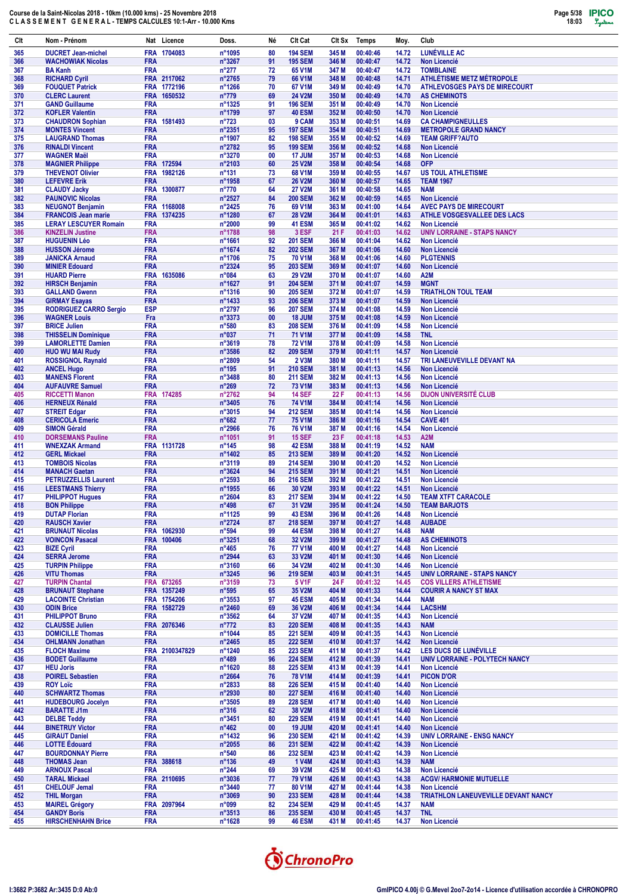| Clt        | Nom - Prénom                                       |                          | Nat Licence                | Doss.                              | Né       | Clt Cat                          | CIt Sx         | Temps                | Moy.           | Club                                                         |
|------------|----------------------------------------------------|--------------------------|----------------------------|------------------------------------|----------|----------------------------------|----------------|----------------------|----------------|--------------------------------------------------------------|
| 365        | <b>DUCRET Jean-michel</b>                          |                          | FRA 1704083                | n°1095                             | 80       | <b>194 SEM</b>                   | 345 M          | 00:40:46             | 14.72          | LUNÉVILLE AC                                                 |
| 366        | <b>WACHOWIAK Nicolas</b>                           | <b>FRA</b>               |                            | n°3267                             | 91       | <b>195 SEM</b>                   | 346 M          | 00:40:47             | 14.72          | <b>Non Licencié</b>                                          |
| 367        | <b>BA Kanh</b>                                     | <b>FRA</b>               |                            | $n^{\circ}277$                     | 72       | 65 V1M                           | 347 M          | 00:40:47             | 14.72          | <b>TOMBLAINE</b>                                             |
| 368        | <b>RICHARD Cyril</b>                               |                          | FRA 2117062                | n°2765                             | 79       | 66 V1M                           | 348 M          | 00:40:48             | 14.71          | <b>ATHLÉTISME METZ MÉTROPOLE</b>                             |
| 369        | <b>FOUQUET Patrick</b>                             |                          | FRA 1772196<br>FRA 1650532 | $n^{\circ}$ 1266                   | 70       | 67 V1M                           | 349 M          | 00:40:49             | 14.70          | <b>ATHLEVOSGES PAYS DE MIRECOURT</b>                         |
| 370<br>371 | <b>CLERC Laurent</b><br><b>GAND Guillaume</b>      | <b>FRA</b>               |                            | $n^{\circ}779$<br>n°1325           | 69<br>91 | <b>24 V2M</b><br><b>196 SEM</b>  | 350 M<br>351 M | 00:40:49<br>00:40:49 | 14.70<br>14.70 | <b>AS CHEMINOTS</b><br>Non Licencié                          |
| 372        | <b>KOFLER Valentin</b>                             | <b>FRA</b>               |                            | n°1799                             | 97       | <b>40 ESM</b>                    | 352 M          | 00:40:50             | 14.70          | <b>Non Licencié</b>                                          |
| 373        | <b>CHAUDRON Sophian</b>                            |                          | FRA 1581493                | $n^{\circ}723$                     | 03       | 9 CAM                            | 353 M          | 00:40:51             | 14.69          | <b>CA CHAMPIGNEULLES</b>                                     |
| 374        | <b>MONTES Vincent</b>                              | <b>FRA</b>               |                            | n°2351                             | 95       | <b>197 SEM</b>                   | 354 M          | 00:40:51             | 14.69          | <b>METROPOLE GRAND NANCY</b>                                 |
| 375        | <b>LAUGRAND Thomas</b>                             | <b>FRA</b>               |                            | n°1907                             | 82       | <b>198 SEM</b>                   | 355 M          | 00:40:52             | 14.69          | <b>TEAM GRIFF?AUTO</b>                                       |
| 376        | <b>RINALDI Vincent</b>                             | <b>FRA</b>               |                            | n°2782                             | 95       | <b>199 SEM</b>                   | 356 M          | 00:40:52             | 14.68          | <b>Non Licencié</b>                                          |
| 377        | <b>WAGNER Maël</b>                                 | <b>FRA</b>               |                            | n°3270                             | 00       | 17 JUM                           | 357 M          | 00:40:53             | 14.68          | <b>Non Licencié</b>                                          |
| 378        | <b>MAGNIER Philippe</b>                            |                          | FRA 172594                 | n°2103                             | 60       | <b>25 V2M</b>                    | 358 M          | 00:40:54             | 14.68          | <b>OFP</b>                                                   |
| 379        | <b>THEVENOT Olivier</b><br><b>LEFEVRE Erik</b>     | <b>FRA</b>               | 1982126                    | $n^{\circ}131$                     | 73       | 68 V1M                           | 359 M          | 00:40:55<br>00:40:57 | 14.67          | <b>US TOUL ATHLETISME</b><br><b>TEAM 1967</b>                |
| 380<br>381 | <b>CLAUDY Jacky</b>                                | <b>FRA</b>               | FRA 1300877                | n°1958<br>$n^{\circ}770$           | 67<br>64 | <b>26 V2M</b><br><b>27 V2M</b>   | 360 M<br>361 M | 00:40:58             | 14.65<br>14.65 | <b>NAM</b>                                                   |
| 382        | <b>PAUNOVIC Nicolas</b>                            | <b>FRA</b>               |                            | n°2527                             | 84       | <b>200 SEM</b>                   | 362 M          | 00:40:59             | 14.65          | <b>Non Licencié</b>                                          |
| 383        | <b>NEUGNOT Benjamin</b>                            |                          | FRA 1168008                | n°2425                             | 76       | 69 V1M                           | 363 M          | 00:41:00             | 14.64          | <b>AVEC PAYS DE MIRECOURT</b>                                |
| 384        | <b>FRANCOIS Jean marie</b>                         | <b>FRA</b>               | 1374235                    | n°1280                             | 67       | <b>28 V2M</b>                    | 364 M          | 00:41:01             | 14.63          | ATHLE VOSGESVALLEE DES LACS                                  |
| 385        | <b>LERAY LESCUYER Romain</b>                       | <b>FRA</b>               |                            | n°2000                             | 99       | <b>41 ESM</b>                    | 365 M          | 00:41:02             | 14.62          | <b>Non Licencié</b>                                          |
| 386        | <b>KINZELIN Justine</b>                            | <b>FRA</b>               |                            | n°1788                             | 98       | 3 ESF                            | 21 F           | 00:41:03             | 14.62          | <b>UNIV LORRAINE - STAPS NANCY</b>                           |
| 387        | <b>HUGUENIN Léo</b>                                | <b>FRA</b>               |                            | n°1661                             | 92       | <b>201 SEM</b>                   | 366 M          | 00:41:04             | 14.62          | <b>Non Licencié</b>                                          |
| 388        | <b>HUSSON Jérome</b>                               | <b>FRA</b>               |                            | n°1674                             | 82       | <b>202 SEM</b>                   | 367 M          | 00:41:06             | 14.60          | <b>Non Licencié</b>                                          |
| 389<br>390 | <b>JANICKA Arnaud</b><br><b>MINIER Edouard</b>     | <b>FRA</b><br><b>FRA</b> |                            | n°1706<br>n°2324                   | 75<br>95 | <b>70 V1M</b><br><b>203 SEM</b>  | 368 M<br>369 M | 00:41:06<br>00:41:07 | 14.60<br>14.60 | <b>PLGTENNIS</b><br><b>Non Licencié</b>                      |
| 391        | <b>HUARD Pierre</b>                                | <b>FRA</b>               | 1635086                    | n°084                              | 63       | <b>29 V2M</b>                    | 370 M          | 00:41:07             | 14.60          | A2M                                                          |
| 392        | <b>HIRSCH Benjamin</b>                             | <b>FRA</b>               |                            | n°1627                             | 91       | <b>204 SEM</b>                   | 371 M          | 00:41:07             | 14.59          | <b>MGNT</b>                                                  |
| 393        | <b>GALLAND Gwenn</b>                               | <b>FRA</b>               |                            | $n^{\circ}$ 1316                   | 90       | <b>205 SEM</b>                   | 372 M          | 00:41:07             | 14.59          | <b>TRIATHLON TOUL TEAM</b>                                   |
| 394        | <b>GIRMAY Esayas</b>                               | <b>FRA</b>               |                            | n°1433                             | 93       | <b>206 SEM</b>                   | 373 M          | 00:41:07             | 14.59          | <b>Non Licencié</b>                                          |
| 395        | <b>RODRIGUEZ CARRO Sergio</b>                      | <b>ESP</b>               |                            | n°2797                             | 96       | <b>207 SEM</b>                   | 374 M          | 00:41:08             | 14.59          | <b>Non Licencié</b>                                          |
| 396        | <b>WAGNER Louis</b>                                | Fra                      |                            | $n^{\circ}3373$                    | 00       | 18 JUM                           | 375 M          | 00:41:08             | 14.59          | <b>Non Licencié</b>                                          |
| 397        | <b>BRICE Julien</b>                                | <b>FRA</b>               |                            | $n^{\circ}580$                     | 83       | <b>208 SEM</b>                   | 376 M          | 00:41:09             | 14.58          | <b>Non Licencié</b>                                          |
| 398<br>399 | <b>THISSELIN Dominique</b>                         | <b>FRA</b><br><b>FRA</b> |                            | n°037                              | 71<br>78 | 71 V1M<br><b>72 V1M</b>          | 377 M<br>378 M | 00:41:09<br>00:41:09 | 14.58<br>14.58 | <b>TNL</b>                                                   |
| 400        | <b>LAMORLETTE Damien</b><br><b>HUO WU MAI Rudy</b> | <b>FRA</b>               |                            | $n^{\circ}3619$<br>$n^{\circ}3586$ | 82       | <b>209 SEM</b>                   | 379 M          | 00:41:11             | 14.57          | <b>Non Licencié</b><br><b>Non Licencié</b>                   |
| 401        | <b>ROSSIGNOL Raynald</b>                           | <b>FRA</b>               |                            | n°2809                             | 54       | <b>2 V3M</b>                     | 380 M          | 00:41:11             | 14.57          | TRI LANEUVEVILLE DEVANT NA                                   |
| 402        | <b>ANCEL Hugo</b>                                  | <b>FRA</b>               |                            | $n^{\circ}$ 195                    | 91       | <b>210 SEM</b>                   | 381 M          | 00:41:13             | 14.56          | <b>Non Licencié</b>                                          |
| 403        | <b>MANENS Florent</b>                              | <b>FRA</b>               |                            | $n^{\circ}3488$                    | 80       | <b>211 SEM</b>                   | 382 M          | 00:41:13             | 14.56          | <b>Non Licencié</b>                                          |
| 404        | <b>AUFAUVRE Samuel</b>                             | <b>FRA</b>               |                            | $n^{\circ}269$                     | 72       | <b>73 V1M</b>                    | 383 M          | 00:41:13             | 14.56          | <b>Non Licencié</b>                                          |
| 405        | <b>RICCETTI Manon</b>                              |                          | FRA 174285                 | n°2762                             | 94       | <b>14 SEF</b>                    | 22 F           | 00:41:13             | 14.56          | <b>DIJON UNIVERSITÉ CLUB</b>                                 |
| 406        | <b>HERNEUX Rénald</b>                              | <b>FRA</b>               |                            | $n^{\circ}3405$                    | 76       | 74 V1M                           | 384 M          | 00:41:14             | 14.56          | <b>Non Licencié</b>                                          |
| 407        | <b>STREIT Edgar</b>                                | <b>FRA</b>               |                            | n°3015                             | 94       | <b>212 SEM</b>                   | 385 M          | 00:41:14             | 14.56          | <b>Non Licencié</b>                                          |
| 408<br>409 | <b>CERICOLA Emeric</b><br><b>SIMON Gérald</b>      | <b>FRA</b><br><b>FRA</b> |                            | $n^{\circ}682$<br>$n^{\circ}2966$  | 77<br>76 | <b>75 V1M</b><br>76 V1M          | 386 M<br>387 M | 00:41:16<br>00:41:16 | 14.54<br>14.54 | <b>CAVE 401</b><br><b>Non Licencié</b>                       |
| 410        | <b>DORSEMANS Pauline</b>                           | <b>FRA</b>               |                            | n°1051                             | 91       | <b>15 SEF</b>                    | 23 F           | 00:41:18             | 14.53          | A <sub>2</sub> M                                             |
| 411        | <b>WNEXZAK Armand</b>                              |                          | FRA 1131728                | $n^{\circ}$ 145                    | 98       | 42 ESM                           | 388 M          | 00:41:19             | 14.52          | <b>NAM</b>                                                   |
| 412        | <b>GERL Mickael</b>                                | <b>FRA</b>               |                            | n°1402                             | 85       | <b>213 SEM</b>                   | 389 M          | 00:41:20             | 14.52          | <b>Non Licencié</b>                                          |
| 413        | <b>TOMBOIS Nicolas</b>                             | <b>FRA</b>               |                            | n°3119                             | 89       | <b>214 SEM</b>                   | 390 M          | 00:41:20             | 14.52          | <b>Non Licencié</b>                                          |
| 414        | <b>MANACH Gaetan</b>                               | <b>FRA</b>               |                            | n°3624                             | 94       | <b>215 SEM</b>                   | 391 M          | 00:41:21             | 14.51          | <b>Non Licencié</b>                                          |
| 415        | <b>PETRUZZELLIS Laurent</b>                        | <b>FRA</b>               |                            | n°2593                             | 86       | <b>216 SEM</b>                   | 392 M          | 00:41:22             | 14.51          | Non Licencié                                                 |
| 416        | <b>LEESTMANS Thierry</b>                           | <b>FRA</b>               |                            | n°1955                             | 66       | 30 V2M                           | 393 M          | 00:41:22             | 14.51          | <b>Non Licencié</b>                                          |
| 417<br>418 | <b>PHILIPPOT Hugues</b><br><b>BON Philippe</b>     | <b>FRA</b><br><b>FRA</b> |                            | $n^{\circ}2604$<br>$n^{\circ}498$  | 83<br>67 | <b>217 SEM</b><br>31 V2M         | 394 M<br>395 M | 00:41:22<br>00:41:24 | 14.50<br>14.50 | <b>TEAM XTFT CARACOLE</b><br><b>TEAM BARJOTS</b>             |
| 419        | <b>DUTAP Florian</b>                               | <b>FRA</b>               |                            | $n^{\circ}1125$                    | 99       | <b>43 ESM</b>                    | 396 M          | 00:41:26             | 14.48          | Non Licencié                                                 |
| 420        | <b>RAUSCH Xavier</b>                               | <b>FRA</b>               |                            | n°2724                             | 87       | <b>218 SEM</b>                   | 397 M          | 00:41:27             | 14.48          | <b>AUBADE</b>                                                |
| 421        | <b>BRUNAUT Nicolas</b>                             |                          | FRA 1062930                | $n^{\circ}594$                     | 99       | <b>44 ESM</b>                    | 398 M          | 00:41:27             | 14.48          | <b>NAM</b>                                                   |
| 422        | <b>VOINCON Pasacal</b>                             |                          | FRA 100406                 | n°3251                             | 68       | 32 V2M                           | 399 M          | 00:41:27             | 14.48          | <b>AS CHEMINOTS</b>                                          |
| 423        | <b>BIZE Cyril</b>                                  | <b>FRA</b>               |                            | $n^{\circ}465$                     | 76       | <b>77 V1M</b>                    | 400 M          | 00:41:27             | 14.48          | <b>Non Licencié</b>                                          |
| 424        | <b>SERRA Jerome</b>                                | <b>FRA</b>               |                            | n°2944                             | 63       | 33 V2M                           | 401 M          | 00:41:30             | 14.46          | <b>Non Licencié</b>                                          |
| 425        | <b>TURPIN Philippe</b>                             | <b>FRA</b>               |                            | $n^{\circ}3160$                    | 66       | 34 V2M                           | 402 M          | 00:41:30             | 14.46          | <b>Non Licencié</b>                                          |
| 426<br>427 | <b>VITU Thomas</b><br><b>TURPIN Chantal</b>        | <b>FRA</b>               | FRA 673265                 | $n^{\circ}3245$<br>n°3159          | 96<br>73 | <b>219 SEM</b><br><b>5 V1F</b>   | 403 M<br>24 F  | 00:41:31<br>00:41:32 | 14.45<br>14.45 | UNIV LORRAINE - STAPS NANCY<br><b>COS VILLERS ATHLETISME</b> |
| 428        | <b>BRUNAUT Stephane</b>                            |                          | FRA 1357249                | $n^{\circ}595$                     | 65       | 35 V2M                           | 404 M          | 00:41:33             | 14.44          | <b>COURIR A NANCY ST MAX</b>                                 |
| 429        | <b>LACOINTE Christian</b>                          |                          | FRA 1754206                | n°3553                             | 97       | <b>45 ESM</b>                    | 405 M          | 00:41:34             | 14.44          | <b>NAM</b>                                                   |
| 430        | <b>ODIN Brice</b>                                  |                          | FRA 1582729                | $n^{\circ}2460$                    | 69       | 36 V2M                           | 406 M          | 00:41:34             | 14.44          | <b>LACSHM</b>                                                |
| 431        | <b>PHILIPPOT Bruno</b>                             | <b>FRA</b>               |                            | $n^{\circ}3562$                    | 64       | 37 V2M                           | 407 M          | 00:41:35             | 14.43          | <b>Non Licencié</b>                                          |
| 432        | <b>CLAUSSE Julien</b>                              |                          | FRA 2076346                | $n^{\circ}772$                     | 83       | <b>220 SEM</b>                   | 408 M          | 00:41:35             | 14.43          | <b>NAM</b>                                                   |
| 433        | <b>DOMICILLE Thomas</b>                            | <b>FRA</b>               |                            | n°1044                             | 85       | <b>221 SEM</b>                   | 409 M          | 00:41:35             | 14.43          | <b>Non Licencié</b>                                          |
| 434<br>435 | <b>OHLMANN Jonathan</b><br><b>FLOCH Maxime</b>     | <b>FRA</b>               | FRA 2100347829             | $n^{\circ}2465$<br>n°1240          | 85<br>85 | <b>222 SEM</b><br><b>223 SEM</b> | 410 M<br>411 M | 00:41:37<br>00:41:37 | 14.42<br>14.42 | <b>Non Licencié</b><br>LES DUCS DE LUNÉVILLE                 |
| 436        | <b>BODET Guillaume</b>                             | <b>FRA</b>               |                            | $n^{\circ}489$                     | 96       | <b>224 SEM</b>                   | 412 M          | 00:41:39             | 14.41          | UNIV LORRAINE - POLYTECH NANCY                               |
| 437        | <b>HEU Joris</b>                                   | <b>FRA</b>               |                            | n°1620                             | 88       | <b>225 SEM</b>                   | 413 M          | 00:41:39             | 14.41          | <b>Non Licencié</b>                                          |
| 438        | <b>POIREL Sebastien</b>                            | <b>FRA</b>               |                            | $n^{\circ}2664$                    | 76       | 78 V1M                           | 414 M          | 00:41:39             | 14.41          | <b>PICON D'OR</b>                                            |
| 439        | <b>ROY Loïc</b>                                    | <b>FRA</b>               |                            | n°2833                             | 88       | <b>226 SEM</b>                   | 415 M          | 00:41:40             | 14.40          | <b>Non Licencié</b>                                          |
| 440        | <b>SCHWARTZ Thomas</b>                             | <b>FRA</b>               |                            | n°2930                             | 80       | <b>227 SEM</b>                   | 416 M          | 00:41:40             | 14.40          | <b>Non Licencié</b>                                          |
| 441        | <b>HUDEBOURG Jocelyn</b>                           | <b>FRA</b>               |                            | $n^{\circ}3505$                    | 89       | <b>228 SEM</b>                   | 417 M          | 00:41:40             | 14.40          | Non Licencié                                                 |
| 442        | <b>BARATTE J1m</b>                                 | <b>FRA</b>               |                            | $n^{\circ}316$                     | 62       | 38 V2M                           | 418 M          | 00:41:41             | 14.40          | <b>Non Licencié</b>                                          |
| 443        | <b>DELBE Teddy</b>                                 | <b>FRA</b>               |                            | $n^{\circ}3451$                    | 80       | <b>229 SEM</b>                   | 419 M          | 00:41:41             | 14.40          | <b>Non Licencié</b>                                          |
| 444<br>445 | <b>BINETRUY Victor</b><br><b>GIRAUT Daniel</b>     | <b>FRA</b><br><b>FRA</b> |                            | $n^{\circ}462$<br>n°1432           | 00<br>96 | <b>19 JUM</b><br><b>230 SEM</b>  | 420 M<br>421 M | 00:41:41<br>00:41:42 | 14.40<br>14.39 | Non Licencié<br><b>UNIV LORRAINE - ENSG NANCY</b>            |
| 446        | <b>LOTTE Edouard</b>                               | <b>FRA</b>               |                            | $n^{\circ}2055$                    | 86       | <b>231 SEM</b>                   | 422 M          | 00:41:42             | 14.39          | <b>Non Licencié</b>                                          |
| 447        | <b>BOURDONNAY Pierre</b>                           | <b>FRA</b>               |                            | $n^{\circ}540$                     | 86       | <b>232 SEM</b>                   | 423 M          | 00:41:42             | 14.39          | <b>Non Licencié</b>                                          |
| 448        | <b>THOMAS Jean</b>                                 |                          | FRA 388618                 | $n^{\circ}$ 136                    | 49       | 1 V4M                            | 424 M          | 00:41:43             | 14.39          | <b>NAM</b>                                                   |
| 449        | <b>ARNOUX Pascal</b>                               | <b>FRA</b>               |                            | $n^{\circ}244$                     | 69       | 39 V2M                           | 425 M          | 00:41:43             | 14.38          | <b>Non Licencié</b>                                          |
| 450        | <b>TARAL Mickael</b>                               |                          | FRA 2110695                | $n^{\circ}3036$                    | 77       | 79 V1M                           | 426 M          | 00:41:43             | 14.38          | <b>ACGV/ HARMONIE MUTUELLE</b>                               |
| 451        | <b>CHELOUF Jemal</b>                               | <b>FRA</b>               |                            | n°3440                             | 77       | 80 V1M                           | 427 M          | 00:41:44             | 14.38          | Non Licencié                                                 |
| 452        | <b>THIL Morgan</b>                                 | <b>FRA</b>               |                            | $n^{\circ}3069$                    | 90       | <b>233 SEM</b>                   | 428 M          | 00:41:44             | 14.38          | TRIATHLON LANEUVEVILLE DEVANT NANCY                          |
| 453<br>454 | <b>MAIREL Grégory</b><br><b>GANDY Boris</b>        | <b>FRA</b>               | FRA 2097964                | n°099<br>$n^{\circ}3513$           | 82<br>86 | <b>234 SEM</b><br><b>235 SEM</b> | 429 M<br>430 M | 00:41:45<br>00:41:45 | 14.37<br>14.37 | <b>NAM</b><br><b>TNL</b>                                     |
| 455        | <b>HIRSCHENHAHN Brice</b>                          | <b>FRA</b>               |                            | n°1628                             | 99       | <b>46 ESM</b>                    | 431 M          | 00:41:45             | 14.37          | Non Licencié                                                 |

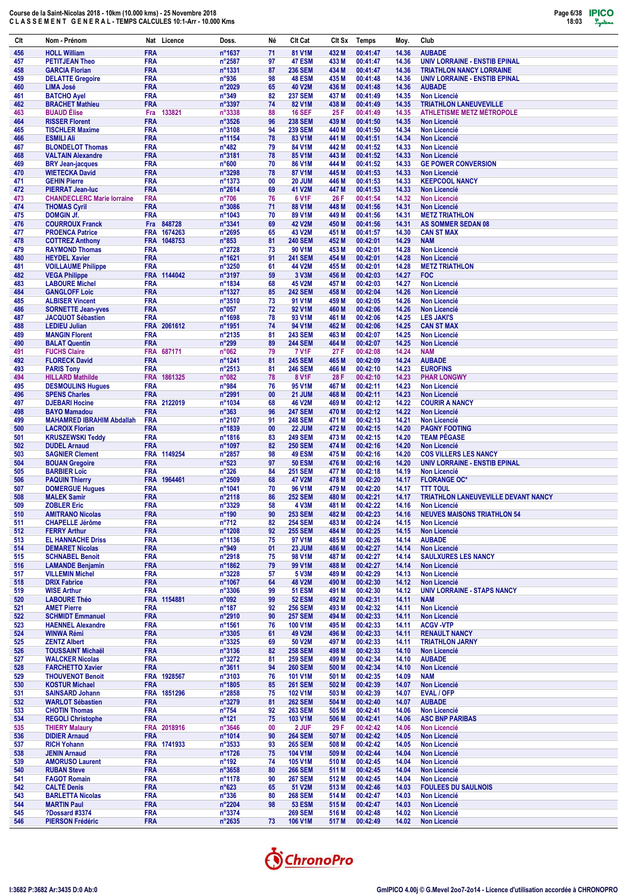

| Clt        | Nom - Prénom                                               |                          | Nat Licence | Doss.                              | Né       | Clt Cat                          | CIt Sx         | Temps                | Moy.           | Club                                                                 |
|------------|------------------------------------------------------------|--------------------------|-------------|------------------------------------|----------|----------------------------------|----------------|----------------------|----------------|----------------------------------------------------------------------|
| 456        | <b>HOLL William</b>                                        | <b>FRA</b>               |             | n°1637                             | 71       | 81 V1M                           | 432 M          | 00:41:47             | 14.36          | <b>AUBADE</b>                                                        |
| 457        | <b>PETITJEAN Theo</b>                                      | <b>FRA</b>               |             | n°2587                             | 97       | 47 ESM                           | 433 M          | 00:41:47             | 14.36          | UNIV LORRAINE - ENSTIB EPINAL                                        |
| 458<br>459 | <b>GARCIA Florian</b><br><b>DELATTE Gregoire</b>           | <b>FRA</b><br><b>FRA</b> |             | n°1331<br>n°936                    | 87<br>98 | <b>236 SEM</b><br><b>48 ESM</b>  | 434 M<br>435 M | 00:41:47<br>00:41:48 | 14.36<br>14.36 | <b>TRIATHLON NANCY LORRAINE</b><br>UNIV LORRAINE - ENSTIB EPINAL     |
| 460        | <b>LIMA José</b>                                           | <b>FRA</b>               |             | n°2029                             | 65       | <b>40 V2M</b>                    | 436 M          | 00:41:48             | 14.36          | <b>AUBADE</b>                                                        |
| 461        | <b>BATCHO Ayel</b>                                         | <b>FRA</b>               |             | $n^{\circ}349$                     | 82       | <b>237 SEM</b>                   | 437 M          | 00:41:49             | 14.35          | <b>Non Licencié</b>                                                  |
| 462<br>463 | <b>BRACHET Mathieu</b><br><b>BUAUD Elise</b>               | <b>FRA</b><br>Fra        | 133821      | n°3397<br>n°3338                   | 74<br>88 | 82 V1M<br><b>16 SEF</b>          | 438 M<br>25 F  | 00:41:49<br>00:41:49 | 14.35<br>14.35 | <b>TRIATHLON LANEUVEVILLE</b><br><b>ATHLETISME METZ MÉTROPOLE</b>    |
| 464        | <b>RISSER Florent</b>                                      | <b>FRA</b>               |             | n°3526                             | 96       | <b>238 SEM</b>                   | 439 M          | 00:41:50             | 14.35          | <b>Non Licencié</b>                                                  |
| 465        | <b>TISCHLER Maxime</b>                                     | <b>FRA</b>               |             | n°3108                             | 94       | <b>239 SEM</b>                   | 440 M          | 00:41:50             | 14.34          | <b>Non Licencié</b>                                                  |
| 466<br>467 | <b>ESMILI Ali</b><br><b>BLONDELOT Thomas</b>               | <b>FRA</b><br><b>FRA</b> |             | n°1154<br>$n^{\circ}482$           | 78<br>79 | 83 V <sub>1</sub> M<br>84 V1M    | 441 M<br>442 M | 00:41:51<br>00:41:52 | 14.34<br>14.33 | <b>Non Licencié</b><br><b>Non Licencié</b>                           |
| 468        | <b>VALTAIN Alexandre</b>                                   | <b>FRA</b>               |             | n°3181                             | 78       | 85 V1M                           | 443 M          | 00:41:52             | 14.33          | <b>Non Licencié</b>                                                  |
| 469        | <b>BRY Jean-jacques</b>                                    | <b>FRA</b>               |             | n°600                              | 70       | 86 V <sub>1</sub> M              | 444 M          | 00:41:52             | 14.33          | <b>GE POWER CONVERSION</b>                                           |
| 470<br>471 | <b>WIETECKA David</b><br><b>GEHIN Pierre</b>               | <b>FRA</b><br><b>FRA</b> |             | n°3298<br>n°1373                   | 78<br>00 | 87 V1M<br><b>20 JUM</b>          | 445 M<br>446 M | 00:41:53<br>00:41:53 | 14.33<br>14.33 | <b>Non Licencié</b><br><b>KEEPCOOL NANCY</b>                         |
| 472        | <b>PIERRAT Jean-luc</b>                                    | <b>FRA</b>               |             | $n^{\circ}2614$                    | 69       | 41 V2M                           | 447 M          | 00:41:53             | 14.33          | <b>Non Licencié</b>                                                  |
| 473        | <b>CHANDECLERC Marie lorraine</b>                          | <b>FRA</b>               |             | $n^{\circ}706$                     | 76       | 6 V <sub>1</sub> F               | 26 F           | 00:41:54             | 14.32          | <b>Non Licencié</b>                                                  |
| 474<br>475 | <b>THOMAS Cyril</b><br><b>DOMGIN Jf.</b>                   | <b>FRA</b><br><b>FRA</b> |             | n°3086<br>n°1043                   | 71<br>70 | 88 V1M<br>89 V1M                 | 448 M<br>449 M | 00:41:56<br>00:41:56 | 14.31<br>14.31 | <b>Non Licencié</b><br><b>METZ TRIATHLON</b>                         |
| 476        | <b>COURROUX Franck</b>                                     | Fra                      | 848728      | n°3341                             | 69       | <b>42 V2M</b>                    | 450 M          | 00:41:56             | 14.31          | <b>AS SOMMER SEDAN 08</b>                                            |
| 477        | <b>PROENCA Patrice</b>                                     | <b>FRA</b>               | 1674263     | n°2695                             | 65       | 43 V2M                           | 451 M          | 00:41:57             | 14.30          | <b>CAN ST MAX</b>                                                    |
| 478<br>479 | <b>COTTREZ Anthony</b><br><b>RAYMOND Thomas</b>            | <b>FRA</b><br><b>FRA</b> | 1048753     | $n^{\circ}853$<br>n°2728           | 81<br>73 | <b>240 SEM</b><br>90 V1M         | 452 M<br>453 M | 00:42:01<br>00:42:01 | 14.29<br>14.28 | <b>NAM</b><br><b>Non Licencié</b>                                    |
| 480        | <b>HEYDEL Xavier</b>                                       | <b>FRA</b>               |             | n°1621                             | 91       | <b>241 SEM</b>                   | 454 M          | 00:42:01             | 14.28          | <b>Non Licencié</b>                                                  |
| 481        | <b>VOILLAUME Philippe</b>                                  | <b>FRA</b>               |             | n°3250                             | 61       | 44 V2M                           | 455 M          | 00:42:01             | 14.28          | <b>METZ TRIATHLON</b>                                                |
| 482<br>483 | <b>VEGA Philippe</b><br><b>LABOURE Michel</b>              | <b>FRA</b>               | FRA 1144042 | n°3197<br>n°1834                   | 59<br>68 | 3 V3M<br>45 V2M                  | 456 M<br>457 M | 00:42:03<br>00:42:03 | 14.27<br>14.27 | <b>FOC</b><br><b>Non Licencié</b>                                    |
| 484        | <b>GANGLOFF Loic</b>                                       | <b>FRA</b>               |             | n°1327                             | 85       | <b>242 SEM</b>                   | 458 M          | 00:42:04             | 14.26          | <b>Non Licencié</b>                                                  |
| 485        | <b>ALBISER Vincent</b>                                     | <b>FRA</b>               |             | n°3510                             | 73       | 91 V1M                           | 459 M          | 00:42:05             | 14.26          | <b>Non Licencié</b>                                                  |
| 486        | <b>SORNETTE Jean-yves</b><br><b>JACQUOT Sébastien</b>      | <b>FRA</b><br><b>FRA</b> |             | n°057                              | 72<br>78 | 92 V1M<br>93 V1M                 | 460 M<br>461 M | 00:42:06<br>00:42:06 | 14.26<br>14.25 | <b>Non Licencié</b><br><b>LES JAKI'S</b>                             |
| 487<br>488 | <b>LEDIEU Julian</b>                                       |                          | FRA 2061612 | n°1698<br>n°1951                   | 74       | 94 V1M                           | 462 M          | 00:42:06             | 14.25          | <b>CAN ST MAX</b>                                                    |
| 489        | <b>MANGIN Florent</b>                                      | <b>FRA</b>               |             | n°2135                             | 81       | <b>243 SEM</b>                   | 463 M          | 00:42:07             | 14.25          | <b>Non Licencié</b>                                                  |
| 490        | <b>BALAT Quentin</b>                                       | <b>FRA</b>               |             | $n^{\circ}299$                     | 89<br>79 | <b>244 SEM</b>                   | 464 M          | 00:42:07             | 14.25          | <b>Non Licencié</b>                                                  |
| 491<br>492 | <b>FUCHS Claire</b><br><b>FLORECK David</b>                | <b>FRA</b><br><b>FRA</b> | 687171      | n°062<br>n°1241                    | 81       | <b>7 V1F</b><br><b>245 SEM</b>   | 27 F<br>465 M  | 00:42:08<br>00:42:09 | 14.24<br>14.24 | <b>NAM</b><br><b>AUBADE</b>                                          |
| 493        | <b>PARIS Tony</b>                                          | <b>FRA</b>               |             | n°2513                             | 81       | <b>246 SEM</b>                   | 466 M          | 00:42:10             | 14.23          | <b>EUROFINS</b>                                                      |
| 494        | <b>HILLARD Mathilde</b>                                    | <b>FRA</b>               | 1861325     | n°082                              | 78       | 8 V1F                            | 28 F           | 00:42:10             | 14.23          | <b>PHAR LONGWY</b>                                                   |
| 495<br>496 | <b>DESMOULINS Hugues</b><br><b>SPENS Charles</b>           | <b>FRA</b><br><b>FRA</b> |             | n°984<br>n°2991                    | 76<br>00 | 95 V1M<br>21 JUM                 | 467 M<br>468 M | 00:42:11<br>00:42:11 | 14.23<br>14.23 | <b>Non Licencié</b><br><b>Non Licencié</b>                           |
| 497        | <b>DJEBARI Hocine</b>                                      |                          | FRA 2122019 | n°1034                             | 68       | <b>46 V2M</b>                    | 469 M          | 00:42:12             | 14.22          | <b>COURIR A NANCY</b>                                                |
| 498        | <b>BAYO Mamadou</b>                                        | <b>FRA</b>               |             | $n^{\circ}363$                     | 96       | <b>247 SEM</b>                   | 470 M          | 00:42:12             | 14.22          | <b>Non Licencié</b>                                                  |
| 499<br>500 | <b>MAHAMRED IBRAHIM Abdallah</b><br><b>LACROIX Florian</b> | <b>FRA</b><br><b>FRA</b> |             | n°2107<br>n°1839                   | 91<br>00 | <b>248 SEM</b><br>22 JUM         | 471 M<br>472 M | 00:42:13<br>00:42:15 | 14.21<br>14.20 | <b>Non Licencié</b><br><b>PAGNY FOOTING</b>                          |
| 501        | <b>KRUSZEWSKI Teddy</b>                                    | <b>FRA</b>               |             | n°1816                             | 83       | <b>249 SEM</b>                   | 473 M          | 00:42:15             | 14.20          | <b>TEAM PÉGASE</b>                                                   |
| 502        | <b>DUDEL Arnaud</b>                                        | <b>FRA</b>               |             | n°1097                             | 82       | <b>250 SEM</b>                   | 474 M          | 00:42:16             | 14.20          | <b>Non Licencié</b>                                                  |
| 503<br>504 | <b>SAGNIER Clement</b><br><b>BOUAN Gregoire</b>            | <b>FRA</b>               | FRA 1149254 | n°2857<br>$n^{\circ}523$           | 98<br>97 | <b>49 ESM</b><br><b>50 ESM</b>   | 475 M<br>476 M | 00:42:16<br>00:42:16 | 14.20<br>14.20 | <b>COS VILLERS LES NANCY</b><br><b>UNIV LORRAINE - ENSTIB EPINAL</b> |
| 505        | <b>BARBIER Loïc</b>                                        | <b>FRA</b>               |             | $n^{\circ}326$                     | 84       | <b>251 SEM</b>                   | 477 M          | 00:42:18             | 14.19          | <b>Non Licencié</b>                                                  |
| 506        | <b>PAQUIN Thierry</b>                                      | <b>FRA</b>               | 1964461     | n°2509                             | 68       | 47 V2M                           | 478 M          | 00:42:20             | 14.17          | <b>FLORANGE OC*</b>                                                  |
| 507<br>508 | <b>DOMERGUE Hugues</b><br><b>MALEK Samir</b>               | <b>FRA</b><br><b>FRA</b> |             | n°1041<br>n°2118                   | 70<br>86 | 96 V1M<br><b>252 SEM</b>         | 479 M<br>480 M | 00:42:20<br>00:42:21 | 14.17<br>14.17 | <b>TTT TOUL</b><br><b>TRIATHLON LANEUVEVILLE DEVANT NANCY</b>        |
| 509        | <b>ZOBLER Eric</b>                                         | <b>FRA</b>               |             | n°3329                             | 58       | 4 V3M                            | 481 M          | 00:42:22             | 14.16          | Non Licencié                                                         |
| 510        | <b>AMITRANO Nicolas</b>                                    | <b>FRA</b>               |             | n°190                              | 90       | <b>253 SEM</b>                   | 482 M          | 00:42:23             | 14.16          | <b>NEUVES MAISONS TRIATHLON 54</b>                                   |
| 511<br>512 | <b>CHAPELLE Jérôme</b><br><b>FERRY Arthur</b>              | <b>FRA</b><br><b>FRA</b> |             | $n^{\circ}712$<br>n°1208           | 82<br>92 | <b>254 SEM</b><br><b>255 SEM</b> | 483 M<br>484 M | 00:42:24<br>00:42:25 | 14.15<br>14.15 | <b>Non Licencié</b><br>Non Licencié                                  |
| 513        | <b>EL HANNACHE Driss</b>                                   | <b>FRA</b>               |             | n°1136                             | 75       | 97 V1M                           | 485 M          | 00:42:26             | 14.14          | <b>AUBADE</b>                                                        |
| 514        | <b>DEMARET Nicolas</b>                                     | <b>FRA</b>               |             | n°949                              | 01       | 23 JUM                           | 486 M          | 00:42:27             | 14.14          | Non Licencié                                                         |
| 515<br>516 | <b>SCHNABEL Benoit</b><br><b>LAMANDE Benjamin</b>          | <b>FRA</b><br><b>FRA</b> |             | $n^{\circ}2918$<br>n°1862          | 75<br>79 | 98 V1M<br>99 V <sub>1</sub> M    | 487 M<br>488 M | 00:42:27<br>00:42:27 | 14.14<br>14.14 | <b>SAULXURES LES NANCY</b><br><b>Non Licencié</b>                    |
| 517        | <b>VILLEMIN Michel</b>                                     | <b>FRA</b>               |             | $n^{\circ}3228$                    | 57       | 5 V3M                            | 489 M          | 00:42:29             | 14.13          | Non Licencié                                                         |
| 518        | <b>DRIX Fabrice</b>                                        | <b>FRA</b>               |             | n°1067                             | 64       | <b>48 V2M</b>                    | 490 M          | 00:42:30             | 14.12          | <b>Non Licencié</b>                                                  |
| 519<br>520 | <b>WISE Arthur</b><br><b>LABOURE Théo</b>                  | <b>FRA</b>               | FRA 1154881 | $n^{\circ}3306$<br>n°092           | 99<br>99 | <b>51 ESM</b><br><b>52 ESM</b>   | 491 M<br>492 M | 00:42:30<br>00:42:31 | 14.12<br>14.11 | UNIV LORRAINE - STAPS NANCY<br><b>NAM</b>                            |
| 521        | <b>AMET Pierre</b>                                         | <b>FRA</b>               |             | $n^{\circ}187$                     | 92       | <b>256 SEM</b>                   | 493 M          | 00:42:32             | 14.11          | Non Licencié                                                         |
| 522<br>523 | <b>SCHMIDT Emmanuel</b><br><b>HAENNEL Alexandre</b>        | <b>FRA</b><br><b>FRA</b> |             | n°2910                             | 90<br>76 | <b>257 SEM</b>                   | 494 M<br>495 M | 00:42:33             | 14.11<br>14.11 | <b>Non Licencié</b>                                                  |
| 524        | <b>WINWA Rémi</b>                                          | <b>FRA</b>               |             | n°1561<br>$n^{\circ}3305$          | 61       | 100 V1M<br>49 V2M                | 496 M          | 00:42:33<br>00:42:33 | 14.11          | <b>ACGV-VTP</b><br><b>RENAULT NANCY</b>                              |
| 525        | <b>ZENTZ Albert</b>                                        | <b>FRA</b>               |             | $n^{\circ}3325$                    | 69       | 50 V2M                           | 497 M          | 00:42:33             | 14.11          | <b>TRIATHLON JARNY</b>                                               |
| 526        | <b>TOUSSAINT Michaël</b>                                   | <b>FRA</b>               |             | $n^{\circ}3136$                    | 82       | <b>258 SEM</b>                   | 498 M          | 00:42:33             | 14.10          | Non Licencié                                                         |
| 527<br>528 | <b>WALCKER Nicolas</b><br><b>FARCHETTO Xavier</b>          | <b>FRA</b><br><b>FRA</b> |             | $n^{\circ}3272$<br>$n^{\circ}3611$ | 81<br>94 | <b>259 SEM</b><br><b>260 SEM</b> | 499 M<br>500 M | 00:42:34<br>00:42:34 | 14.10<br>14.10 | <b>AUBADE</b><br>Non Licencié                                        |
| 529        | <b>THOUVENOT Benoit</b>                                    |                          | FRA 1928567 | $n^{\circ}3103$                    | 76       | <b>101 V1M</b>                   | 501 M          | 00:42:35             | 14.09          | <b>NAM</b>                                                           |
| 530        | <b>KOSTUR Michael</b>                                      | <b>FRA</b>               |             | $n^{\circ}1805$                    | 85       | <b>261 SEM</b>                   | 502 M          | 00:42:39             | 14.07          | Non Licencié                                                         |
| 531<br>532 | <b>SAINSARD Johann</b><br><b>WARLOT Sébastien</b>          | <b>FRA</b>               | FRA 1851296 | $n^{\circ}2858$<br>$n^{\circ}3279$ | 75<br>81 | 102 V1M<br><b>262 SEM</b>        | 503 M<br>504 M | 00:42:39<br>00:42:40 | 14.07<br>14.07 | <b>EVAL / OFP</b><br><b>AUBADE</b>                                   |
| 533        | <b>CHOTIN Thomas</b>                                       | <b>FRA</b>               |             | $n^{\circ}754$                     | 92       | <b>263 SEM</b>                   | 505 M          | 00:42:41             | 14.06          | <b>Non Licencié</b>                                                  |
| 534        | <b>REGOLI Christophe</b>                                   | <b>FRA</b>               |             | $n^{\circ}121$                     | 75       | 103 V1M                          | 506 M          | 00:42:41             | 14.06          | <b>ASC BNP PARIBAS</b>                                               |
| 535<br>536 | <b>THIERY Malaury</b><br><b>DIDIER Arnaud</b>              | <b>FRA</b>               | FRA 2018916 | $n^{\circ}3646$<br>n°1014          | 00<br>90 | 2 JUF<br><b>264 SEM</b>          | 29 F<br>507 M  | 00:42:42<br>00:42:42 | 14.06<br>14.05 | Non Licencié<br><b>Non Licencié</b>                                  |
| 537        | <b>RICH Yohann</b>                                         |                          | FRA 1741933 | $n^{\circ}3533$                    | 93       | <b>265 SEM</b>                   | 508 M          | 00:42:42             | 14.05          | <b>Non Licencié</b>                                                  |
| 538        | <b>JENIN Arnaud</b>                                        | <b>FRA</b>               |             | n°1726                             | 75       | <b>104 V1M</b>                   | 509 M          | 00:42:44             | 14.04          | <b>Non Licencié</b>                                                  |
| 539<br>540 | <b>AMORUSO Laurent</b><br><b>RUBAN Steve</b>               | <b>FRA</b><br><b>FRA</b> |             | $n^{\circ}$ 192<br>n°3658          | 74<br>80 | 105 V1M<br><b>266 SEM</b>        | 510 M<br>511 M | 00:42:45<br>00:42:45 | 14.04<br>14.04 | <b>Non Licencié</b><br><b>Non Licencié</b>                           |
| 541        | <b>FAGOT Romain</b>                                        | <b>FRA</b>               |             | n°1178                             | 90       | <b>267 SEM</b>                   | 512 M          | 00:42:45             | 14.04          | <b>Non Licencié</b>                                                  |
| 542        | <b>CALTÉ Denis</b>                                         | <b>FRA</b>               |             | $n^{\circ}623$                     | 65       | 51 V2M                           | 513 M          | 00:42:46             | 14.03          | <b>FOULEES DU SAULNOIS</b>                                           |
| 543<br>544 | <b>BARLETTA Nicolas</b><br><b>MARTIN Paul</b>              | <b>FRA</b><br><b>FRA</b> |             | $n^{\circ}336$<br>$n^{\circ}2204$  | 80<br>98 | <b>268 SEM</b><br><b>53 ESM</b>  | 514 M<br>515 M | 00:42:47<br>00:42:47 | 14.03<br>14.03 | <b>Non Licencié</b><br><b>Non Licencié</b>                           |
| 545        | ?Dossard #3374                                             | <b>FRA</b>               |             | $n^{\circ}3374$                    |          | <b>269 SEM</b>                   | 516 M          | 00:42:48             | 14.02          | Non Licencié                                                         |
| 546        | <b>PIERSON Frédéric</b>                                    | <b>FRA</b>               |             | $n^{\circ}2635$                    | 73       | 106 V1M                          | 517 M          | 00:42:49             | 14.02          | Non Licencié                                                         |

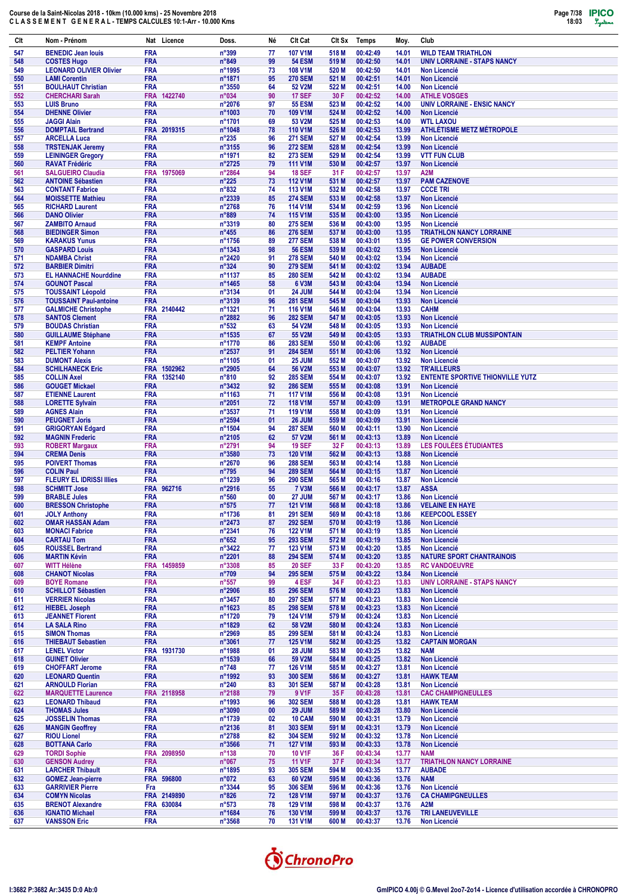| Clt        | Nom - Prénom                                                | Nat Licence               | Doss.                                | Né                      | Clt Cat                          | Clt Sx         | Temps                | Moy.           | Club                                       |
|------------|-------------------------------------------------------------|---------------------------|--------------------------------------|-------------------------|----------------------------------|----------------|----------------------|----------------|--------------------------------------------|
| 547        | <b>BENEDIC Jean louis</b>                                   | <b>FRA</b>                | n°399                                | 77                      | <b>107 V1M</b>                   | 518 M          | 00:42:49             | 14.01          | <b>WILD TEAM TRIATHLON</b>                 |
| 548        | <b>COSTES Hugo</b>                                          | <b>FRA</b>                | n°849                                | 99                      | <b>54 ESM</b>                    | 519 M          | 00:42:50             | 14.01          | <b>UNIV LORRAINE - STAPS NANCY</b>         |
| 549        | <b>LEONARD OLIVIER Olivier</b>                              | <b>FRA</b>                | n°1995                               | 73                      | <b>108 V1M</b>                   | 520 M          | 00:42:50             | 14.01          | <b>Non Licencié</b>                        |
| 550        | <b>LAMI Corentin</b>                                        | <b>FRA</b>                | n°1871                               | 95                      | <b>270 SEM</b>                   | 521 M          | 00:42:51             | 14.01          | <b>Non Licencié</b>                        |
| 551        | <b>BOULHAUT Christian</b>                                   | <b>FRA</b>                | n°3550                               | 64                      | 52 V2M                           | 522 M          | 00:42:51             | 14.00          | <b>Non Licencié</b>                        |
| 552        | <b>CHERCHARI Sarah</b>                                      | 1422740<br><b>FRA</b>     | n°034                                | 90                      | <b>17 SEF</b>                    | 30 F           | 00:42:52             | 14.00          | <b>ATHLE VOSGES</b>                        |
| 553        | <b>LUIS Bruno</b>                                           | <b>FRA</b>                | n°2076                               | 97                      | <b>55 ESM</b>                    | 523 M          | 00:42:52<br>00:42:52 | 14.00          | <b>UNIV LORRAINE - ENSIC NANCY</b>         |
| 554<br>555 | <b>DHENNE Olivier</b><br><b>JAGGI Alain</b>                 | <b>FRA</b><br><b>FRA</b>  | n°1003<br>n°1701                     | 70<br>69                | 109 V1M<br>53 V2M                | 524 M<br>525 M | 00:42:53             | 14.00<br>14.00 | <b>Non Licencié</b><br><b>WTL LAXOU</b>    |
| 556        | <b>DOMPTAIL Bertrand</b>                                    | <b>FRA</b><br>2019315     | n°1048                               | 78                      | <b>110 V1M</b>                   | 526 M          | 00:42:53             | 13.99          | ATHLÉTISME METZ MÉTROPOLE                  |
| 557        | <b>ARCELLA Luca</b>                                         | <b>FRA</b>                | $n^{\circ}235$                       | 96                      | <b>271 SEM</b>                   | 527 M          | 00:42:54             | 13.99          | <b>Non Licencié</b>                        |
| 558        | <b>TRSTENJAK Jeremy</b>                                     | <b>FRA</b>                | n°3155                               | 96                      | <b>272 SEM</b>                   | 528 M          | 00:42:54             | 13.99          | <b>Non Licencié</b>                        |
| 559        | <b>LEININGER Gregory</b>                                    | <b>FRA</b>                | n°1971                               | 82                      | <b>273 SEM</b>                   | 529 M          | 00:42:54             | 13.99          | <b>VTT FUN CLUB</b>                        |
| 560        | <b>RAVAT Frédéric</b>                                       | <b>FRA</b>                | n°2725                               | 79                      | <b>111 V1M</b>                   | 530 M          | 00:42:57             | 13.97          | <b>Non Licencié</b>                        |
| 561        | <b>SALGUEIRO Claudia</b>                                    | <b>FRA</b><br>1975069     | n°2864                               | 94                      | <b>18 SEF</b>                    | 31 F           | 00:42:57             | 13.97          | A2M                                        |
| 562        | <b>ANTOINE Sébastien</b>                                    | <b>FRA</b>                | $n^{\circ}225$                       | 73                      | <b>112 V1M</b>                   | 531 M          | 00:42:57             | 13.97          | <b>PAM CAZENOVE</b>                        |
| 563        | <b>CONTANT Fabrice</b>                                      | <b>FRA</b>                | $n^{\circ}832$                       | 74                      | <b>113 V1M</b>                   | 532 M          | 00:42:58             | 13.97          | <b>CCCE TRI</b>                            |
| 564        | <b>MOISSETTE Mathieu</b><br><b>RICHARD Laurent</b>          | <b>FRA</b><br><b>FRA</b>  | n°2339<br>n°2768                     | 85<br>76                | <b>274 SEM</b><br><b>114 V1M</b> | 533 M<br>534 M | 00:42:58<br>00:42:59 | 13.97<br>13.96 | <b>Non Licencié</b>                        |
| 565<br>566 | <b>DANO Olivier</b>                                         | <b>FRA</b>                | n°889                                | 74                      | <b>115 V1M</b>                   | 535 M          | 00:43:00             | 13.95          | <b>Non Licencié</b><br><b>Non Licencié</b> |
| 567        | <b>ZAMBITO Arnaud</b>                                       | <b>FRA</b>                | n°3319                               | 80                      | <b>275 SEM</b>                   | 536 M          | 00:43:00             | 13.95          | <b>Non Licencié</b>                        |
| 568        | <b>BIEDINGER Simon</b>                                      | <b>FRA</b>                | $n^{\circ}455$                       | 86                      | <b>276 SEM</b>                   | 537 M          | 00:43:00             | 13.95          | <b>TRIATHLON NANCY LORRAINE</b>            |
| 569        | <b>KARAKUS Yunus</b>                                        | <b>FRA</b>                | n°1756                               | 89                      | <b>277 SEM</b>                   | 538 M          | 00:43:01             | 13.95          | <b>GE POWER CONVERSION</b>                 |
| 570        | <b>GASPARD Louis</b>                                        | <b>FRA</b>                | n°1343                               | 98                      | <b>56 ESM</b>                    | 539 M          | 00:43:02             | 13.95          | <b>Non Licencié</b>                        |
| 571        | <b>NDAMBA Christ</b>                                        | <b>FRA</b>                | n°2420                               | 91                      | <b>278 SEM</b>                   | 540 M          | 00:43:02             | 13.94          | <b>Non Licencié</b>                        |
| 572        | <b>BARBIER Dimitri</b>                                      | <b>FRA</b>                | $n^{\circ}324$                       | 90                      | <b>279 SEM</b>                   | 541 M          | 00:43:02             | 13.94          | <b>AUBADE</b>                              |
| 573        | <b>EL HANNACHE Nourddine</b>                                | <b>FRA</b>                | n°1137                               | 85                      | <b>280 SEM</b>                   | 542 M          | 00:43:02             | 13.94          | <b>AUBADE</b>                              |
| 574        | <b>GOUNOT Pascal</b>                                        | <b>FRA</b>                | n°1465                               | 58                      | 6 V3M                            | 543 M          | 00:43:04             | 13.94          | <b>Non Licencié</b>                        |
| 575        | <b>TOUSSAINT Léopold</b>                                    | <b>FRA</b>                | n°3134                               | 01                      | <b>24 JUM</b>                    | 544 M          | 00:43:04             | 13.94          | <b>Non Licencié</b>                        |
| 576<br>577 | <b>TOUSSAINT Paul-antoine</b><br><b>GALMICHE Christophe</b> | <b>FRA</b><br>FRA 2140442 | n°3139<br>n°1321                     | 96<br>71                | <b>281 SEM</b><br>116 V1M        | 545 M<br>546 M | 00:43:04<br>00:43:04 | 13.93<br>13.93 | <b>Non Licencié</b><br><b>CAHM</b>         |
| 578        | <b>SANTOS Clement</b>                                       | <b>FRA</b>                | n°2882                               | 96                      | <b>282 SEM</b>                   | 547 M          | 00:43:05             | 13.93          | <b>Non Licencié</b>                        |
| 579        | <b>BOUDAS Christian</b>                                     | <b>FRA</b>                | $n^{\circ}532$                       | 63                      | 54 V2M                           | 548 M          | 00:43:05             | 13.93          | <b>Non Licencié</b>                        |
| 580        | <b>GUILLAUME Stéphane</b>                                   | <b>FRA</b>                | n°1535                               | 67                      | 55 V2M                           | 549 M          | 00:43:05             | 13.93          | <b>TRIATHLON CLUB MUSSIPONTAIN</b>         |
| 581        | <b>KEMPF Antoine</b>                                        | <b>FRA</b>                | n°1770                               | 86                      | <b>283 SEM</b>                   | 550 M          | 00:43:06             | 13.92          | <b>AUBADE</b>                              |
| 582        | <b>PELTIER Yohann</b>                                       | <b>FRA</b>                | n°2537                               | 91                      | <b>284 SEM</b>                   | 551 M          | 00:43:06             | 13.92          | <b>Non Licencié</b>                        |
| 583        | <b>DUMONT Alexis</b>                                        | <b>FRA</b>                | n°1105                               | 01                      | 25 JUM                           | 552 M          | 00:43:07             | 13.92          | <b>Non Licencié</b>                        |
| 584        | <b>SCHILHANECK Eric</b>                                     | <b>FRA</b><br>1502962     | n°2905                               | 64                      | <b>56 V2M</b>                    | 553 M          | 00:43:07             | 13.92          | <b>TR'AILLEURS</b>                         |
| 585        | <b>COLLIN Axel</b>                                          | <b>FRA</b><br>1352140     | $n^{\circ}810$                       | 92                      | <b>285 SEM</b>                   | 554 M          | 00:43:07             | 13.92          | <b>ENTENTE SPORTIVE THIONVILLE YUTZ</b>    |
| 586        | <b>GOUGET Mickael</b>                                       | <b>FRA</b>                | n°3432                               | 92                      | <b>286 SEM</b>                   | 555 M          | 00:43:08             | 13.91          | <b>Non Licencié</b>                        |
| 587        | <b>ETIENNE Laurent</b>                                      | <b>FRA</b>                | n°1163                               | 71                      | <b>117 V1M</b>                   | 556 M          | 00:43:08             | 13.91          | <b>Non Licencié</b>                        |
| 588        | <b>LORETTE Sylvain</b>                                      | <b>FRA</b><br><b>FRA</b>  | n°2051                               | 72                      | <b>118 V1M</b>                   | 557 M          | 00:43:09<br>00:43:09 | 13.91          | <b>METROPOLE GRAND NANCY</b>               |
| 589<br>590 | <b>AGNES Alain</b><br><b>PEUGNET Joris</b>                  | <b>FRA</b>                | n°3537<br>n°2594                     | 71<br>01                | <b>119 V1M</b><br><b>26 JUM</b>  | 558 M<br>559 M | 00:43:09             | 13.91<br>13.91 | <b>Non Licencié</b><br><b>Non Licencié</b> |
| 591        | <b>GRIGORYAN Edgard</b>                                     | <b>FRA</b>                | n°1504                               | 94                      | <b>287 SEM</b>                   | 560 M          | 00:43:11             | 13.90          | <b>Non Licencié</b>                        |
| 592        | <b>MAGNIN Frederic</b>                                      | <b>FRA</b>                | n°2105                               | 62                      | <b>57 V2M</b>                    | 561 M          | 00:43:13             | 13.89          | <b>Non Licencié</b>                        |
| 593        | <b>ROBERT Margaux</b>                                       | <b>FRA</b>                | n°2791                               | 94                      | <b>19 SEF</b>                    | 32 F           | 00:43:13             | 13.89          | LES FOULÉES ÉTUDIANTES                     |
| 594        | <b>CREMA Denis</b>                                          | <b>FRA</b>                | n°3580                               | 73                      | <b>120 V1M</b>                   | 562 M          | 00:43:13             | 13.88          | <b>Non Licencié</b>                        |
| 595        | <b>POIVERT Thomas</b>                                       | <b>FRA</b>                | n°2670                               | 96                      | <b>288 SEM</b>                   | 563 M          | 00:43:14             | 13.88          | <b>Non Licencié</b>                        |
| 596        | <b>COLIN Paul</b>                                           | <b>FRA</b>                | $n^{\circ}795$                       | 94                      | <b>289 SEM</b>                   | 564 M          | 00:43:15             | 13.87          | <b>Non Licencié</b>                        |
| 597        | <b>FLEURY EL IDRISSI Illies</b>                             | <b>FRA</b>                | n°1239                               | 96                      | <b>290 SEM</b>                   | 565 M          | 00:43:16             | 13.87          | <b>Non Licencié</b>                        |
| 598        | <b>SCHMITT Jose</b>                                         | FRA 962716                | n°2916                               | 55                      | <b>7 V3M</b>                     | 566 M          | 00:43:17             | 13.87          | <b>ASSA</b>                                |
| 599        | <b>BRABLE Jules</b>                                         | <b>FRA</b>                | $n^{\circ}560$                       | 00                      | <b>27 JUM</b>                    | 567 M          | 00:43:17             | 13.86          | <b>Non Licencié</b>                        |
| 600        | <b>BRESSON Christophe</b>                                   | <b>FRA</b>                | $n^{\circ}575$                       | 77                      | <b>121 V1M</b>                   | 568 M          | 00:43:18             | 13.86          | <b>VELAINE EN HAYE</b>                     |
| 601<br>602 | <b>JOLY Anthony</b><br><b>OMAR HASSAN Adam</b>              | <b>FRA</b><br><b>FRA</b>  | $n^{\circ}$ 1736<br>$n^{\circ}$ 2473 | 81<br>87                | <b>291 SEM</b><br><b>292 SEM</b> | 569 M<br>570 M | 00:43:18<br>00:43:19 | 13.86<br>13.86 | <b>KEEPCOOL ESSEY</b><br>Non Licencié      |
| 603        | <b>MONACI Fabrice</b>                                       | <b>FRA</b>                | n°2341                               | 76                      | 122 V1M                          | 571 M          | 00:43:19             | 13.85          | Non Licencié                               |
| 604        | <b>CARTAU Tom</b>                                           | <b>FRA</b>                | $n^{\circ}652$                       | 95                      | <b>293 SEM</b>                   | 572 M          | 00:43:19             | 13.85          | <b>Non Licencié</b>                        |
| 605        | <b>ROUSSEL Bertrand</b>                                     | <b>FRA</b>                | $n^{\circ}3422$                      | 77                      | 123 V1M                          | 573 M          | 00:43:20             | 13.85          | Non Licencié                               |
| 606        | <b>MARTIN Kévin</b>                                         | <b>FRA</b>                | n°2201                               | 88                      | <b>294 SEM</b>                   | 574 M          | 00:43:20             | 13.85          | <b>NATURE SPORT CHANTRAINOIS</b>           |
| 607        | <b>WITT Hélène</b>                                          | FRA 1459859               | $n^{\circ}3308$                      | 85                      | <b>20 SEF</b>                    | 33 F           | 00:43:20             | 13.85          | <b>RC VANDOEUVRE</b>                       |
| 608        | <b>CHANOT Nicolas</b>                                       | <b>FRA</b>                | $n^{\circ}709$                       | 94                      | <b>295 SEM</b>                   | 575 M          | 00:43:22             | 13.84          | Non Licencié                               |
| 609        | <b>BOYE Romane</b>                                          | <b>FRA</b>                | $n^{\circ}557$                       | 99                      | 4 ESF                            | 34 F           | 00:43:23             | 13.83          | UNIV LORRAINE - STAPS NANCY                |
| 610        | <b>SCHILLOT Sébastien</b>                                   | <b>FRA</b>                | $n^{\circ}2906$                      | 85                      | <b>296 SEM</b>                   | 576 M          | 00:43:23             | 13.83          | Non Licencié                               |
| 611        | <b>VERRIER Nicolas</b>                                      | <b>FRA</b><br><b>FRA</b>  | $n^{\circ}3457$                      | 80                      | <b>297 SEM</b>                   | 577 M          | 00:43:23             | 13.83          | <b>Non Licencié</b>                        |
| 612<br>613 | <b>HIEBEL Joseph</b><br><b>JEANNET Florent</b>              | <b>FRA</b>                | $n^{\circ}1623$<br>n°1720            | 85<br>79                | <b>298 SEM</b><br><b>124 V1M</b> | 578 M<br>579 M | 00:43:23<br>00:43:24 | 13.83<br>13.83 | Non Licencié<br><b>Non Licencié</b>        |
| 614        | <b>LA SALA Rino</b>                                         | <b>FRA</b>                | n°1829                               | 62                      | 58 V2M                           | 580 M          | 00:43:24             | 13.83          | <b>Non Licencié</b>                        |
| 615        | <b>SIMON Thomas</b>                                         | <b>FRA</b>                | n°2969                               | 85                      | <b>299 SEM</b>                   | 581 M          | 00:43:24             | 13.83          | Non Licencié                               |
| 616        | <b>THIEBAUT Sebastien</b>                                   | <b>FRA</b>                | $n^{\circ}3061$                      | 77                      | 125 V1M                          | 582 M          | 00:43:25             | 13.82          | <b>CAPTAIN MORGAN</b>                      |
| 617        | <b>LENEL Victor</b>                                         | FRA 1931730               | n°1988                               | 01                      | <b>28 JUM</b>                    | 583 M          | 00:43:25             | 13.82          | <b>NAM</b>                                 |
| 618        | <b>GUINET Olivier</b>                                       | <b>FRA</b>                | n°1539                               | 66                      | 59 V2M                           | 584 M          | 00:43:25             | 13.82          | Non Licencié                               |
| 619        | <b>CHOFFART Jerome</b>                                      | <b>FRA</b>                | $n^{\circ}748$                       | 77                      | 126 V1M                          | 585 M          | 00:43:27             | 13.81          | Non Licencié                               |
| 620        | <b>LEONARD Quentin</b>                                      | <b>FRA</b>                | n°1992                               | 93                      | <b>300 SEM</b>                   | 586 M          | 00:43:27             | 13.81          | <b>HAWK TEAM</b>                           |
| 621        | <b>ARNOULD Florian</b>                                      | <b>FRA</b>                | $n^{\circ}240$                       | 83                      | <b>301 SEM</b>                   | 587 M          | 00:43:28             | 13.81          | Non Licencié                               |
| 622        | <b>MARQUETTE Laurence</b>                                   | FRA 2118958               | n°2188                               | 79                      | 9 V <sub>1</sub> F               | 35 F           | 00:43:28             | 13.81          | <b>CAC CHAMPIGNEULLES</b>                  |
| 623        | <b>LEONARD Thibaud</b>                                      | <b>FRA</b>                | n°1993                               | 96                      | <b>302 SEM</b>                   | 588 M          | 00:43:28<br>00:43:28 | 13.81          | <b>HAWK TEAM</b>                           |
| 624<br>625 | <b>THOMAS Jules</b><br><b>JOSSELIN Thomas</b>               | <b>FRA</b><br><b>FRA</b>  | n°3090<br>n°1739                     | $\boldsymbol{00}$<br>02 | <b>29 JUM</b><br><b>10 CAM</b>   | 589 M<br>590 M | 00:43:31             | 13.80<br>13.79 | <b>Non Licencié</b><br><b>Non Licencié</b> |
| 626        | <b>MANGIN Geoffrey</b>                                      | <b>FRA</b>                | n°2136                               | 81                      | <b>303 SEM</b>                   | 591 M          | 00:43:31             | 13.79          | <b>Non Licencié</b>                        |
| 627        | <b>RIOU Lionel</b>                                          | <b>FRA</b>                | n°2788                               | 82                      | <b>304 SEM</b>                   | 592 M          | 00:43:32             | 13.78          | Non Licencié                               |
| 628        | <b>BOTTANA Carlo</b>                                        | <b>FRA</b>                | $n^{\circ}3566$                      | 71                      | <b>127 V1M</b>                   | 593 M          | 00:43:33             | 13.78          | Non Licencié                               |
| 629        | <b>TORDI Sophie</b>                                         | FRA 2098950               | $n^{\circ}$ 138                      | 70                      | <b>10 V1F</b>                    | 36 F           | 00:43:34             | 13.77          | <b>NAM</b>                                 |
| 630        | <b>GENSON Audrey</b>                                        | <b>FRA</b>                | $n^{\circ}067$                       | 75                      | <b>11 V1F</b>                    | 37 F           | 00:43:34             | 13.77          | <b>TRIATHLON NANCY LORRAINE</b>            |
| 631        | <b>LARCHER Thibault</b>                                     | <b>FRA</b>                | n°1895                               | 93                      | <b>305 SEM</b>                   | 594 M          | 00:43:35             | 13.77          | <b>AUBADE</b>                              |
| 632        | <b>GOMEZ Jean-pierre</b>                                    | FRA 596800                | $n^{\circ}072$                       | 63                      | 60 V2M                           | 595 M          | 00:43:36             | 13.76          | <b>NAM</b>                                 |
| 633        | <b>GARRIVIER Pierre</b>                                     | Fra                       | n°3344                               | 95                      | <b>306 SEM</b>                   | 596 M          | 00:43:36             | 13.76          | Non Licencié                               |
| 634        | <b>COMYN Nicolas</b>                                        | FRA 2149890               | $n^{\circ}826$                       | 72                      | 128 V1M                          | 597 M          | 00:43:37             | 13.76          | <b>CA CHAMIPGNEULLES</b>                   |
| 635<br>636 | <b>BRENOT Alexandre</b><br><b>IGNATIO Michael</b>           | FRA 630084<br><b>FRA</b>  | $n^{\circ}573$<br>n°1684             | 78<br>76                | 129 V1M<br>130 V1M               | 598 M<br>599 M | 00:43:37<br>00:43:37 | 13.76<br>13.76 | A2M<br><b>TRI LANEUVEVILLE</b>             |
| 637        | <b>VANSSON Eric</b>                                         | <b>FRA</b>                | $n^{\circ}3568$                      | 70                      | 131 V1M                          | 600 M          | 00:43:37             | 13.76          | Non Licencié                               |
|            |                                                             |                           |                                      |                         |                                  |                |                      |                |                                            |

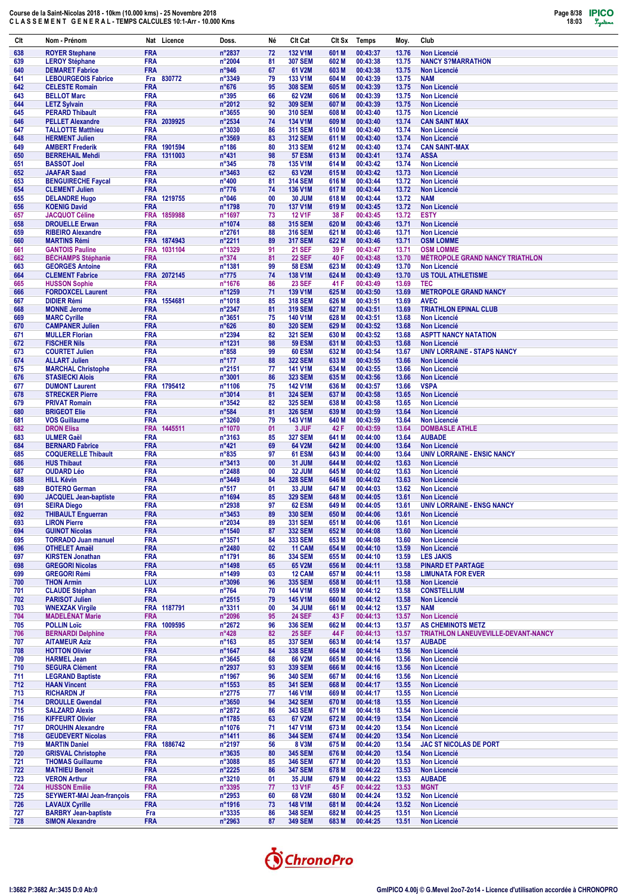| Clt        | Nom - Prénom                                         | Nat Licence               | Doss.                               | Né       | Clt Cat                          | CIt Sx         | Temps                | Moy.           | Club                                                       |
|------------|------------------------------------------------------|---------------------------|-------------------------------------|----------|----------------------------------|----------------|----------------------|----------------|------------------------------------------------------------|
| 638        | <b>ROYER Stephane</b>                                | <b>FRA</b>                | n°2837                              | 72       | 132 V1M                          | 601 M          | 00:43:37             | 13.76          | <b>Non Licencié</b>                                        |
| 639<br>640 | <b>LEROY Stéphane</b><br><b>DEMARET Fabrice</b>      | <b>FRA</b><br><b>FRA</b>  | n°2004<br>$n^{\circ}$ 946           | 81<br>67 | <b>307 SEM</b><br>61 V2M         | 602 M<br>603 M | 00:43:38<br>00:43:38 | 13.75<br>13.75 | <b>NANCY S?MARRATHON</b><br><b>Non Licencié</b>            |
| 641        | <b>LEBOURGEOIS Fabrice</b>                           | Fra 830772                | n°3349                              | 79       | <b>133 V1M</b>                   | 604 M          | 00:43:39             | 13.75          | <b>NAM</b>                                                 |
| 642        | <b>CELESTE Romain</b>                                | <b>FRA</b>                | $n^{\circ}676$                      | 95       | <b>308 SEM</b>                   | 605 M          | 00:43:39             | 13.75          | <b>Non Licencié</b>                                        |
| 643        | <b>BELLOT Marc</b>                                   | <b>FRA</b>                | $n^{\circ}395$                      | 66       | 62 V2M                           | 606 M          | 00:43:39<br>00:43:39 | 13.75          | <b>Non Licencié</b>                                        |
| 644<br>645 | <b>LETZ Sylvain</b><br><b>PERARD Thibault</b>        | <b>FRA</b><br><b>FRA</b>  | n°2012<br>n°3655                    | 92<br>90 | <b>309 SEM</b><br><b>310 SEM</b> | 607 M<br>608 M | 00:43:40             | 13.75<br>13.75 | <b>Non Licencié</b><br><b>Non Licencié</b>                 |
| 646        | <b>PELLET Alexandre</b>                              | FRA 2039925               | n°2534                              | 74       | <b>134 V1M</b>                   | 609 M          | 00:43:40             | 13.74          | <b>CAN SAINT MAX</b>                                       |
| 647        | <b>TALLOTTE Matthieu</b>                             | <b>FRA</b>                | n°3030                              | 86       | <b>311 SEM</b>                   | 610 M          | 00:43:40             | 13.74          | <b>Non Licencié</b>                                        |
| 648<br>649 | <b>HERMENT Julien</b><br><b>AMBERT Frederik</b>      | <b>FRA</b><br>FRA 1901594 | n°3569<br>$n^{\circ}$ 186           | 83<br>80 | <b>312 SEM</b><br><b>313 SEM</b> | 611 M<br>612 M | 00:43:40<br>00:43:40 | 13.74<br>13.74 | <b>Non Licencié</b><br><b>CAN SAINT-MAX</b>                |
| 650        | <b>BERREHAIL Mehdi</b>                               | FRA 1311003               | n°431                               | 98       | <b>57 ESM</b>                    | 613 M          | 00:43:41             | 13.74          | <b>ASSA</b>                                                |
| 651        | <b>BASSOT Joel</b>                                   | <b>FRA</b>                | $n^{\circ}345$                      | 78       | 135 V1M                          | 614 M          | 00:43:42             | 13.74          | <b>Non Licencié</b>                                        |
| 652<br>653 | <b>JAAFAR Saad</b><br><b>BENGUIRECHE Faycal</b>      | <b>FRA</b><br><b>FRA</b>  | n°3463<br>n°400                     | 62<br>81 | 63 V2M<br><b>314 SEM</b>         | 615 M<br>616 M | 00:43:42<br>00:43:44 | 13.73<br>13.72 | Non Licencié<br>Non Licencié                               |
| 654        | <b>CLEMENT Julien</b>                                | <b>FRA</b>                | $n^{\circ}776$                      | 74       | 136 V1M                          | 617 M          | 00:43:44             | 13.72          | <b>Non Licencié</b>                                        |
| 655        | <b>DELANDRE Hugo</b>                                 | FRA 1219755               | n°046                               | 00       | <b>30 JUM</b>                    | 618 M          | 00:43:44             | 13.72          | <b>NAM</b>                                                 |
| 656        | <b>KOENIG David</b>                                  | <b>FRA</b>                | n°1798                              | 70       | <b>137 V1M</b>                   | 619 M          | 00:43:45             | 13.72          | <b>Non Licencié</b>                                        |
| 657<br>658 | <b>JACQUOT Céline</b><br><b>DROUELLE Erwan</b>       | FRA 1859988<br><b>FRA</b> | n°1697<br>n°1074                    | 73<br>88 | <b>12 V1F</b><br><b>315 SEM</b>  | 38 F<br>620 M  | 00:43:45<br>00:43:46 | 13.72<br>13.71 | <b>ESTY</b><br><b>Non Licencié</b>                         |
| 659        | <b>RIBEIRO Alexandre</b>                             | <b>FRA</b>                | n°2761                              | 88       | <b>316 SEM</b>                   | 621 M          | 00:43:46             | 13.71          | <b>Non Licencié</b>                                        |
| 660        | <b>MARTINS Rémi</b>                                  | FRA 1874943               | n°2211                              | 89       | <b>317 SEM</b>                   | 622 M          | 00:43:46             | 13.71          | <b>OSM LOMME</b>                                           |
| 661<br>662 | <b>GANTOIS Pauline</b><br><b>BÉCHAMPS Stéphanie</b>  | FRA 1031104<br><b>FRA</b> | n°1329<br>$n^{\circ}374$            | 91<br>81 | <b>21 SEF</b><br><b>22 SEF</b>   | 39 F<br>40 F   | 00:43:47<br>00:43:48 | 13.71<br>13.70 | <b>OSM LOMME</b><br><b>MÉTROPOLE GRAND NANCY TRIATHLON</b> |
| 663        | <b>GEORGES Antoine</b>                               | <b>FRA</b>                | n°1381                              | 99       | <b>58 ESM</b>                    | 623 M          | 00:43:49             | 13.70          | <b>Non Licencié</b>                                        |
| 664        | <b>CLEMENT Fabrice</b>                               | FRA 2072145               | $n^{\circ}775$                      | 74       | 138 V1M                          | 624 M          | 00:43:49             | 13.70          | <b>US TOUL ATHLETISME</b>                                  |
| 665<br>666 | <b>HUSSON Sophie</b><br><b>FORDOXCEL Laurent</b>     | <b>FRA</b><br><b>FRA</b>  | n°1676<br>n°1259                    | 86<br>71 | <b>23 SEF</b><br>139 V1M         | 41 F<br>625 M  | 00:43:49<br>00:43:50 | 13.69<br>13.69 | TEC.<br><b>METROPOLE GRAND NANCY</b>                       |
| 667        | <b>DIDIER Rémi</b>                                   | <b>FRA</b><br>1554681     | n°1018                              | 85       | <b>318 SEM</b>                   | 626 M          | 00:43:51             | 13.69          | <b>AVEC</b>                                                |
| 668        | <b>MONNE Jerome</b>                                  | <b>FRA</b>                | n°2347                              | 81       | <b>319 SEM</b>                   | 627 M          | 00:43:51             | 13.69          | <b>TRIATHLON EPINAL CLUB</b>                               |
| 669        | <b>MARC Cyrille</b>                                  | <b>FRA</b>                | n°3651                              | 75       | <b>140 V1M</b>                   | 628 M          | 00:43:51             | 13.68          | <b>Non Licencié</b>                                        |
| 670<br>671 | <b>CAMPANER Julien</b><br><b>MULLER Florian</b>      | <b>FRA</b><br><b>FRA</b>  | $n^{\circ}626$<br>n°2394            | 80<br>82 | <b>320 SEM</b><br><b>321 SEM</b> | 629 M<br>630 M | 00:43:52<br>00:43:52 | 13.68<br>13.68 | <b>Non Licencié</b><br><b>ASPTT NANCY NATATION</b>         |
| 672        | <b>FISCHER Nils</b>                                  | <b>FRA</b>                | n°1231                              | 98       | <b>59 ESM</b>                    | 631 M          | 00:43:53             | 13.68          | <b>Non Licencié</b>                                        |
| 673        | <b>COURTET Julien</b>                                | <b>FRA</b>                | $n^{\circ}858$                      | 99       | <b>60 ESM</b>                    | 632 M          | 00:43:54             | 13.67          | <b>UNIV LORRAINE - STAPS NANCY</b>                         |
| 674<br>675 | <b>ALLART Julien</b>                                 | <b>FRA</b><br><b>FRA</b>  | $n^{\circ}$ 177<br>n°2151           | 88<br>77 | <b>322 SEM</b><br><b>141 V1M</b> | 633 M<br>634 M | 00:43:55<br>00:43:55 | 13.66<br>13.66 | <b>Non Licencié</b><br><b>Non Licencié</b>                 |
| 676        | <b>MARCHAL Christophe</b><br><b>STASIECKI Alois</b>  | <b>FRA</b>                | n°3001                              | 86       | <b>323 SEM</b>                   | 635 M          | 00:43:56             | 13.66          | <b>Non Licencié</b>                                        |
| 677        | <b>DUMONT Laurent</b>                                | FRA 1795412               | n°1106                              | 75       | <b>142 V1M</b>                   | 636 M          | 00:43:57             | 13.66          | <b>VSPA</b>                                                |
| 678        | <b>STRECKER Pierre</b>                               | <b>FRA</b>                | n°3014                              | 81       | <b>324 SEM</b>                   | 637 M          | 00:43:58             | 13.65          | <b>Non Licencié</b>                                        |
| 679<br>680 | <b>PRIVAT Romain</b><br><b>BRIGEOT Elie</b>          | <b>FRA</b><br><b>FRA</b>  | n°3542<br>$n^{\circ}584$            | 82<br>81 | <b>325 SEM</b><br><b>326 SEM</b> | 638 M<br>639 M | 00:43:58<br>00:43:59 | 13.65<br>13.64 | Non Licencié<br><b>Non Licencié</b>                        |
| 681        | <b>VOS Guillaume</b>                                 | <b>FRA</b>                | n°3260                              | 79       | 143 V1M                          | 640 M          | 00:43:59             | 13.64          | <b>Non Licencié</b>                                        |
| 682        | <b>DRON Elisa</b>                                    | FRA 1445511               | n°1070                              | 01       | 3 JUF                            | 42 F           | 00:43:59             | 13.64          | <b>DOMBASLE ATHLE</b>                                      |
| 683<br>684 | <b>ULMER Gaël</b><br><b>BERNARD Fabrice</b>          | <b>FRA</b><br><b>FRA</b>  | n°3163<br>$n^{\circ}421$            | 85<br>69 | <b>327 SEM</b><br>64 V2M         | 641 M<br>642 M | 00:44:00<br>00:44:00 | 13.64<br>13.64 | <b>AUBADE</b><br>Non Licencié                              |
| 685        | <b>COQUERELLE Thibault</b>                           | <b>FRA</b>                | $n^{\circ}835$                      | 97       | 61 ESM                           | 643 M          | 00:44:00             | 13.64          | <b>UNIV LORRAINE - ENSIC NANCY</b>                         |
| 686        | <b>HUS Thibaut</b>                                   | <b>FRA</b>                | n°3413                              | 00       | 31 JUM                           | 644 M          | 00:44:02             | 13.63          | <b>Non Licencié</b>                                        |
| 687<br>688 | <b>OUDARD Léo</b><br><b>HILL Kévin</b>               | <b>FRA</b><br><b>FRA</b>  | n°2488<br>n°3449                    | 00<br>84 | 32 JUM<br><b>328 SEM</b>         | 645 M<br>646 M | 00:44:02<br>00:44:02 | 13.63<br>13.63 | <b>Non Licencié</b><br><b>Non Licencié</b>                 |
| 689        | <b>BOTERO German</b>                                 | <b>FRA</b>                | $n^{\circ}517$                      | 01       | 33 JUM                           | 647 M          | 00:44:03             | 13.62          | <b>Non Licencié</b>                                        |
| 690        | <b>JACQUEL Jean-baptiste</b>                         | <b>FRA</b>                | n°1694                              | 85       | <b>329 SEM</b>                   | 648 M          | 00:44:05             | 13.61          | <b>Non Licencié</b>                                        |
| 691<br>692 | <b>SEIRA Diego</b><br><b>THIBAULT Enguerran</b>      | <b>FRA</b><br><b>FRA</b>  | n°2938<br>n°3453                    | 97<br>89 | 62 ESM<br><b>330 SEM</b>         | 649 M<br>650 M | 00:44:05<br>00:44:06 | 13.61          | <b>UNIV LORRAINE - ENSG NANCY</b>                          |
| 693        | <b>LIRON Pierre</b>                                  | <b>FRA</b>                | n°2034                              | 89       | <b>331 SEM</b>                   | 651 M          | 00:44:06             | 13.61<br>13.61 | <b>Non Licencié</b><br>Non Licencié                        |
| 694        | <b>GUINOT Nicolas</b>                                | <b>FRA</b>                | n°1540                              | 87       | <b>332 SEM</b>                   | 652 M          | 00:44:08             | 13.60          | <b>Non Licencié</b>                                        |
| 695        | <b>TORRADO Juan manuel</b>                           | <b>FRA</b>                | $n^{\circ}3571$                     | 84       | 333 SEM                          | 653 M          | 00:44:08             | 13.60          | <b>Non Licencié</b>                                        |
| 696<br>697 | <b>OTHELET Amaël</b><br><b>KIRSTEN Jonathan</b>      | <b>FRA</b><br><b>FRA</b>  | n°2480<br>n°1791                    | 02<br>86 | <b>11 CAM</b><br><b>334 SEM</b>  | 654 M<br>655 M | 00:44:10<br>00:44:10 | 13.59<br>13.59 | Non Licencié<br><b>LES JAKIS</b>                           |
| 698        | <b>GREGORI Nicolas</b>                               | <b>FRA</b>                | n°1498                              | 65       | 65 V2M                           | 656 M          | 00:44:11             | 13.58          | <b>PINARD ET PARTAGE</b>                                   |
| 699        | <b>GREGORI Rémi</b>                                  | <b>FRA</b>                | n°1499                              | 03       | 12 CAM                           | 657 M          | 00:44:11             | 13.58          | <b>LIMUNATA FOR EVER</b>                                   |
| 700<br>701 | <b>THON Armin</b><br><b>CLAUDE Stéphan</b>           | <b>LUX</b><br><b>FRA</b>  | $n^{\circ}3096$<br>n°764            | 96<br>70 | <b>335 SEM</b><br><b>144 V1M</b> | 658 M<br>659 M | 00:44:11<br>00:44:12 | 13.58<br>13.58 | <b>Non Licencié</b><br><b>CONSTELLIUM</b>                  |
| 702        | <b>PARISOT Julien</b>                                | <b>FRA</b>                | $n^{\circ}2515$                     | 79       | <b>145 V1M</b>                   | 660 M          | 00:44:12             | 13.58          | <b>Non Licencié</b>                                        |
| 703        | <b>WNEXZAK Virgile</b>                               | FRA 1187791               | $n^{\circ}3311$                     | 00       | <b>34 JUM</b>                    | 661 M          | 00:44:12             | 13.57          | <b>NAM</b>                                                 |
| 704        | <b>MADELENAT Marie</b><br><b>POLLIN Loïc</b>         | <b>FRA</b><br>FRA 1009595 | n°2096                              | 95       | <b>24 SEF</b>                    | 43 F<br>662 M  | 00:44:13             | 13.57<br>13.57 | <b>Non Licencié</b><br><b>AS CHEMINOTS METZ</b>            |
| 705<br>706 | <b>BERNARDI Delphine</b>                             | <b>FRA</b>                | n°2672<br>$n^{\circ}428$            | 96<br>82 | <b>336 SEM</b><br><b>25 SEF</b>  | 44 F           | 00:44:13<br>00:44:13 | 13.57          | TRIATHLON LANEUVEVILLE-DEVANT-NANCY                        |
| 707        | <b>AITAMEUR Aziz</b>                                 | <b>FRA</b>                | $n^{\circ}163$                      | 85       | <b>337 SEM</b>                   | 663 M          | 00:44:14             | 13.57          | <b>AUBADE</b>                                              |
| 708        | <b>HOTTON Olivier</b>                                | <b>FRA</b>                | $n^{\circ}1647$                     | 84       | <b>338 SEM</b>                   | 664 M          | 00:44:14             | 13.56          | Non Licencié                                               |
| 709<br>710 | <b>HARMEL Jean</b><br><b>SEGURA Clément</b>          | <b>FRA</b><br><b>FRA</b>  | $n^{\circ}3645$<br>n°2937           | 68<br>93 | 66 V2M<br>339 SEM                | 665 M<br>666 M | 00:44:16<br>00:44:16 | 13.56<br>13.56 | <b>Non Licencié</b><br>Non Licencié                        |
| 711        | <b>LEGRAND Baptiste</b>                              | <b>FRA</b>                | n°1967                              | 96       | <b>340 SEM</b>                   | 667 M          | 00:44:16             | 13.56          | <b>Non Licencié</b>                                        |
| 712        | <b>HAAN Vincent</b>                                  | <b>FRA</b>                | $n^{\circ}$ 1553                    | 85       | <b>341 SEM</b>                   | 668 M          | 00:44:17             | 13.55          | Non Licencié                                               |
| 713<br>714 | <b>RICHARDN Jf</b><br><b>DROULLE Gwendal</b>         | <b>FRA</b><br><b>FRA</b>  | $n^{\circ}2775$<br>$n^{\circ}3650$  | 77<br>94 | 146 V1M<br><b>342 SEM</b>        | 669 M<br>670 M | 00:44:17<br>00:44:18 | 13.55<br>13.55 | <b>Non Licencié</b><br>Non Licencié                        |
| 715        | <b>SALZARD Alexis</b>                                | <b>FRA</b>                | $n^{\circ}2872$                     | 86       | 343 SEM                          | 671 M          | 00:44:18             | 13.54          | <b>Non Licencié</b>                                        |
| 716        | <b>KIFFEURT Olivier</b>                              | <b>FRA</b>                | $n^{\circ}$ 1785                    | 63       | 67 V2M                           | 672 M          | 00:44:19             | 13.54          | <b>Non Licencié</b>                                        |
| 717        | <b>DROUHIN Alexandre</b>                             | <b>FRA</b>                | n°1076                              | 71       | <b>147 V1M</b>                   | 673 M          | 00:44:20             | 13.54          | Non Licencié                                               |
| 718<br>719 | <b>GEUDEVERT Nicolas</b><br><b>MARTIN Daniel</b>     | <b>FRA</b><br>FRA 1886742 | n°1411<br>n°2197                    | 86<br>56 | <b>344 SEM</b><br><b>8 V3M</b>   | 674 M<br>675 M | 00:44:20<br>00:44:20 | 13.54<br>13.54 | <b>Non Licencié</b><br><b>JAC ST NICOLAS DE PORT</b>       |
| 720        | <b>GRISVAL Christophe</b>                            | <b>FRA</b>                | $n^{\circ}3635$                     | 80       | <b>345 SEM</b>                   | 676 M          | 00:44:20             | 13.54          | <b>Non Licencié</b>                                        |
| 721        | <b>THOMAS Guillaume</b>                              | <b>FRA</b>                | $n^{\circ}3088$                     | 85       | <b>346 SEM</b>                   | 677 M          | 00:44:20             | 13.53          | <b>Non Licencié</b>                                        |
| 722<br>723 | <b>MATHIEU Benoit</b><br><b>VERON Arthur</b>         | <b>FRA</b><br><b>FRA</b>  | $n^{\circ}2225$<br>n°3210           | 86<br>01 | <b>347 SEM</b><br><b>35 JUM</b>  | 678 M<br>679 M | 00:44:22<br>00:44:22 | 13.53<br>13.53 | <b>Non Licencié</b><br><b>AUBADE</b>                       |
| 724        | <b>HUSSON Emilie</b>                                 | <b>FRA</b>                | $n^{\circ}3395$                     | 77       | <b>13 V1F</b>                    | 45 F           | 00:44:22             | 13.53          | <b>MGNT</b>                                                |
| 725        | <b>SEYWERT-MAI Jean-françois</b>                     | <b>FRA</b>                | $n^{\circ}2953$                     | 60       | 68 V2M                           | 680 M          | 00:44:24             | 13.52          | <b>Non Licencié</b>                                        |
| 726<br>727 | <b>LAVAUX Cyrille</b><br><b>BARBRY Jean-baptiste</b> | <b>FRA</b><br>Fra         | $n^{\circ}$ 1916<br>$n^{\circ}3335$ | 73<br>86 | 148 V1M<br><b>348 SEM</b>        | 681 M<br>682 M | 00:44:24<br>00:44:25 | 13.52<br>13.51 | <b>Non Licencié</b><br><b>Non Licencié</b>                 |
| 728        | <b>SIMON Alexandre</b>                               | <b>FRA</b>                | n°2963                              | 87       | <b>349 SEM</b>                   | 683 M          | 00:44:25             | 13.51          | Non Licencié                                               |

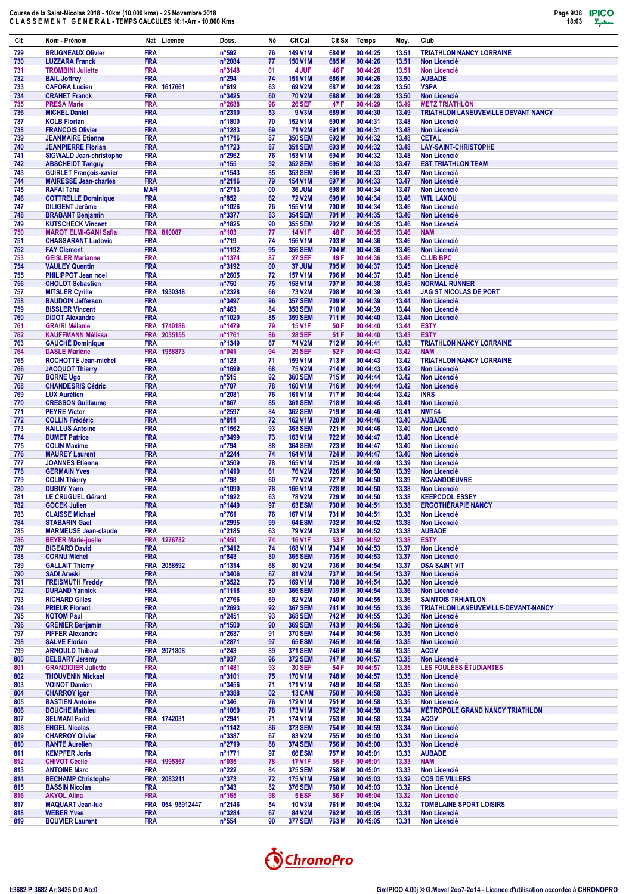| Clt        | Nom - Prénom                                                |                          | Nat Licence            | Doss.                               | Né       | Clt Cat                          | CIt Sx         | <b>Temps</b>         | Moy.           | Club                                                         |
|------------|-------------------------------------------------------------|--------------------------|------------------------|-------------------------------------|----------|----------------------------------|----------------|----------------------|----------------|--------------------------------------------------------------|
| 729        | <b>BRUGNEAUX Olivier</b>                                    | <b>FRA</b>               |                        | n°592                               | 76       | 149 V1M                          | 684 M          | 00:44:25             | 13.51          | <b>TRIATHLON NANCY LORRAINE</b>                              |
| 730        | <b>LUZZARA Franck</b>                                       | <b>FRA</b>               |                        | n°2084                              | 77       | <b>150 V1M</b>                   | 685 M          | 00:44:26             | 13.51          | <b>Non Licencié</b>                                          |
| 731<br>732 | <b>TROMBINI Juliette</b><br><b>BAIL Joffrey</b>             | <b>FRA</b><br><b>FRA</b> |                        | n°3148<br>n°294                     | 01<br>74 | 4 JUF<br><b>151 V1M</b>          | 46 F<br>686 M  | 00:44:26<br>00:44:26 | 13.51<br>13.50 | <b>Non Licencié</b><br><b>AUBADE</b>                         |
| 733        | <b>CAFORA Lucien</b>                                        | <b>FRA</b>               | 1617661                | n°619                               | 63       | 69 V2M                           | 687 M          | 00:44:28             | 13.50          | <b>VSPA</b>                                                  |
| 734        | <b>CRAHET Franck</b>                                        | <b>FRA</b>               |                        | n°3425                              | 60       | <b>70 V2M</b>                    | 688 M          | 00:44:28             | 13.50          | <b>Non Licencié</b>                                          |
| 735<br>736 | <b>PRESA Marie</b><br><b>MICHEL Daniel</b>                  | <b>FRA</b><br><b>FRA</b> |                        | n°2688<br>n°2310                    | 96<br>53 | <b>26 SEF</b><br><b>9 V3M</b>    | 47 F<br>689 M  | 00:44:29<br>00:44:30 | 13.49<br>13.49 | <b>METZ TRIATHLON</b><br>TRIATHLON LANEUVEVILLE DEVANT NANCY |
| 737        | <b>KOLB Florian</b>                                         | <b>FRA</b>               |                        | n°1800                              | 70       | <b>152 V1M</b>                   | 690 M          | 00:44:31             | 13.48          | <b>Non Licencié</b>                                          |
| 738        | <b>FRANCOIS Olivier</b>                                     | <b>FRA</b>               |                        | n°1283                              | 69       | 71 V2M                           | 691 M          | 00:44:31             | 13.48          | <b>Non Licencié</b>                                          |
| 739        | <b>JEANMAIRE Etienne</b>                                    | <b>FRA</b><br><b>FRA</b> |                        | n°1716                              | 87       | <b>350 SEM</b><br><b>351 SEM</b> | 692 M          | 00:44:32<br>00:44:32 | 13.48          | <b>CETAL</b><br><b>LAY-SAINT-CHRISTOPHE</b>                  |
| 740<br>741 | <b>JEANPIERRE Florian</b><br><b>SIGWALD Jean-christophe</b> | <b>FRA</b>               |                        | n°1723<br>n°2962                    | 87<br>76 | 153 V1M                          | 693 M<br>694 M | 00:44:32             | 13.48<br>13.48 | <b>Non Licencié</b>                                          |
| 742        | <b>ABSCHEIDT Tanguy</b>                                     | <b>FRA</b>               |                        | $n^{\circ}155$                      | 92       | <b>352 SEM</b>                   | 695 M          | 00:44:33             | 13.47          | <b>EST TRIATHLON TEAM</b>                                    |
| 743        | <b>GUIRLET François-xavier</b>                              | <b>FRA</b>               |                        | n°1543                              | 85       | <b>353 SEM</b>                   | 696 M          | 00:44:33             | 13.47          | <b>Non Licencié</b>                                          |
| 744<br>745 | <b>MAIRESSE Jean-charles</b><br><b>RAFAI Taha</b>           | <b>FRA</b><br><b>MAR</b> |                        | n°2116<br>$n^{\circ}2713$           | 79<br>00 | <b>154 V1M</b><br>36 JUM         | 697 M<br>698 M | 00:44:33<br>00:44:34 | 13.47<br>13.47 | <b>Non Licencié</b><br><b>Non Licencié</b>                   |
| 746        | <b>COTTRELLE Dominique</b>                                  | <b>FRA</b>               |                        | $n^{\circ}852$                      | 62       | <b>72 V2M</b>                    | 699 M          | 00:44:34             | 13.46          | <b>WTL LAXOU</b>                                             |
| 747        | <b>DILIGENT Jérôme</b>                                      | <b>FRA</b>               |                        | n°1026                              | 76       | <b>155 V1M</b>                   | 700 M          | 00:44:34             | 13.46          | <b>Non Licencié</b>                                          |
| 748<br>749 | <b>BRABANT Benjamin</b><br><b>KUTSCHECK Vincent</b>         | <b>FRA</b><br><b>FRA</b> |                        | n°3377<br>n°1825                    | 83<br>90 | <b>354 SEM</b><br><b>355 SEM</b> | 701 M<br>702 M | 00:44:35<br>00:44:35 | 13.46<br>13.46 | <b>Non Licencié</b><br><b>Non Licencié</b>                   |
| 750        | <b>MAROT ELMI-GANI Safia</b>                                |                          | FRA 810087             | n°103                               | 77       | <b>14 V1F</b>                    | 48 F           | 00:44:35             | 13.46          | <b>NAM</b>                                                   |
| 751        | <b>CHASSARANT Ludovic</b>                                   | <b>FRA</b>               |                        | $n^{\circ}719$                      | 74       | <b>156 V1M</b>                   | 703 M          | 00:44:36             | 13.46          | <b>Non Licencié</b>                                          |
| 752<br>753 | <b>FAY Clement</b><br><b>GEISLER Marianne</b>               | <b>FRA</b><br><b>FRA</b> |                        | n°1192<br>n°1374                    | 95<br>87 | <b>356 SEM</b><br><b>27 SEF</b>  | 704 M<br>49 F  | 00:44:36<br>00:44:36 | 13.46<br>13.46 | <b>Non Licencié</b><br><b>CLUB BPC</b>                       |
| 754        | <b>VAULEY Quentin</b>                                       | <b>FRA</b>               |                        | n°3192                              | 00       | 37 JUM                           | 705 M          | 00:44:37             | 13.45          | <b>Non Licencié</b>                                          |
| 755        | <b>PHILIPPOT Jean noel</b>                                  | <b>FRA</b>               |                        | n°2605                              | 72       | <b>157 V1M</b>                   | 706 M          | 00:44:37             | 13.45          | <b>Non Licencié</b>                                          |
| 756<br>757 | <b>CHOLOT Sebastien</b><br><b>MITSLER Cyrille</b>           | <b>FRA</b><br><b>FRA</b> | 1930348                | n°750<br>n°2328                     | 75<br>66 | <b>158 V1M</b><br><b>73 V2M</b>  | 707 M<br>708 M | 00:44:38<br>00:44:39 | 13.45<br>13.44 | <b>NORMAL RUNNER</b><br><b>JAG ST NICOLAS DE PORT</b>        |
| 758        | <b>BAUDOIN Jefferson</b>                                    | <b>FRA</b>               |                        | n°3497                              | 96       | <b>357 SEM</b>                   | 709 M          | 00:44:39             | 13.44          | <b>Non Licencié</b>                                          |
| 759        | <b>BISSLER Vincent</b>                                      | <b>FRA</b>               |                        | $n^{\circ}463$                      | 84       | <b>358 SEM</b>                   | 710 M          | 00:44:39             | 13.44          | <b>Non Licencié</b>                                          |
| 760        | <b>DIDOT Alexandre</b>                                      | <b>FRA</b>               |                        | n°1020                              | 85       | <b>359 SEM</b>                   | 711 M          | 00:44:40             | 13.44          | <b>Non Licencié</b>                                          |
| 761<br>762 | <b>GRAIRI Mélanie</b><br><b>KAUFFMANN Mélissa</b>           | <b>FRA</b>               | FRA 1740186<br>2035155 | n°1479<br>n°1761                    | 79<br>86 | <b>15 V1F</b><br><b>28 SEF</b>   | 50 F<br>51 F   | 00:44:40<br>00:44:40 | 13.44<br>13.43 | <b>ESTY</b><br><b>ESTY</b>                                   |
| 763        | <b>GAUCHÉ Dominique</b>                                     | <b>FRA</b>               |                        | n°1349                              | 67       | 74 V2M                           | 712 M          | 00:44:41             | 13.43          | <b>TRIATHLON NANCY LORRAINE</b>                              |
| 764        | <b>DASLE Marlène</b>                                        | <b>FRA</b>               | 1958873                | n°041                               | 94       | <b>29 SEF</b>                    | 52 F           | 00:44:43             | 13.42          | <b>NAM</b>                                                   |
| 765<br>766 | ROCHOTTE Jean-michel<br><b>JACQUOT Thierry</b>              | <b>FRA</b><br><b>FRA</b> |                        | $n^{\circ}123$<br>n°1699            | 71<br>68 | <b>159 V1M</b><br><b>75 V2M</b>  | 713 M<br>714 M | 00:44:43<br>00:44:43 | 13.42<br>13.42 | <b>TRIATHLON NANCY LORRAINE</b><br><b>Non Licencié</b>       |
| 767        | <b>BORNE Ugo</b>                                            | <b>FRA</b>               |                        | $n^{\circ}515$                      | 92       | <b>360 SEM</b>                   | 715 M          | 00:44:44             | 13.42          | <b>Non Licencié</b>                                          |
| 768        | <b>CHANDESRIS Cédric</b>                                    | <b>FRA</b>               |                        | $n^{\circ}707$                      | 78       | <b>160 V1M</b>                   | 716 M          | 00:44:44             | 13.42          | <b>Non Licencié</b>                                          |
| 769<br>770 | <b>LUX Aurélien</b><br><b>CRESSON Guillaume</b>             | <b>FRA</b><br><b>FRA</b> |                        | n°2081<br>$n^{\circ}867$            | 76<br>85 | <b>161 V1M</b><br><b>361 SEM</b> | 717 M<br>718 M | 00:44:44<br>00:44:45 | 13.42<br>13.41 | <b>INRS</b><br><b>Non Licencié</b>                           |
| 771        | <b>PEYRE Victor</b>                                         | <b>FRA</b>               |                        | n°2597                              | 84       | <b>362 SEM</b>                   | 719 M          | 00:44:46             | 13.41          | <b>NMT54</b>                                                 |
| 772        | <b>COLLIN Frédéric</b>                                      | <b>FRA</b>               |                        | $n^{\circ}811$                      | 72       | <b>162 V1M</b>                   | 720 M          | 00:44:46             | 13.40          | <b>AUBADE</b>                                                |
| 773<br>774 | <b>HAILLUS Antoine</b><br><b>DUMET Patrice</b>              | <b>FRA</b><br><b>FRA</b> |                        | n°1562<br>n°3499                    | 93<br>73 | <b>363 SEM</b><br>163 V1M        | 721 M<br>722 M | 00:44:46<br>00:44:47 | 13.40<br>13.40 | <b>Non Licencié</b><br><b>Non Licencié</b>                   |
| 775        | <b>COLIN Maxime</b>                                         | <b>FRA</b>               |                        | n°794                               | 88       | <b>364 SEM</b>                   | 723 M          | 00:44:47             | 13.40          | Non Licencié                                                 |
| 776        | <b>MAUREY Laurent</b>                                       | <b>FRA</b>               |                        | $n^{\circ}$ 2244                    | 74       | <b>164 V1M</b>                   | 724 M          | 00:44:47             | 13.40          | <b>Non Licencié</b>                                          |
| 777        | <b>JOANNES Etienne</b>                                      | <b>FRA</b><br><b>FRA</b> |                        | n°3509<br>n°1410                    | 78<br>61 | <b>165 V1M</b><br><b>76 V2M</b>  | 725 M<br>726 M | 00:44:49<br>00:44:50 | 13.39          | <b>Non Licencié</b>                                          |
| 778<br>779 | <b>GERMAIN Yves</b><br><b>COLIN Thierry</b>                 | <b>FRA</b>               |                        | n°798                               | 60       | <b>77 V2M</b>                    | 727 M          | 00:44:50             | 13.39<br>13.39 | <b>Non Licencié</b><br><b>RCVANDOEUVRE</b>                   |
| 780        | <b>DUBUY Yann</b>                                           | <b>FRA</b>               |                        | n°1090                              | 78       | <b>166 V1M</b>                   | 728 M          | 00:44:50             | 13.38          | <b>Non Licencié</b>                                          |
| 781        | <b>LE CRUGUEL Gérard</b>                                    | <b>FRA</b>               |                        | n°1922                              | 63       | <b>78 V2M</b>                    | 729 M          | 00:44:50             | 13.38          | <b>KEEPCOOL ESSEY</b>                                        |
| 782<br>783 | <b>GOCEK Julien</b><br><b>CLAISSE Michael</b>               | <b>FRA</b><br><b>FRA</b> |                        | n°1440<br>$n^{\circ}761$            | 97<br>76 | <b>63 ESM</b><br><b>167 V1M</b>  | 730 M<br>731 M | 00:44:51<br>00:44:51 | 13.38<br>13.38 | <b>ERGOTHÈRAPIE NANCY</b><br>Non Licencié                    |
| 784        | <b>STABARIN Gael</b>                                        | <b>FRA</b>               |                        | n°2995                              | 99       | <b>64 ESM</b>                    | 732 M          | 00:44:52             | 13.38          | <b>Non Licencié</b>                                          |
| 785        | <b>MARMEUSE Jean-claude</b>                                 | <b>FRA</b>               |                        | $n^{\circ}2185$                     | 63       | 79 V2M                           | 733 M          | 00:44:52             | 13.38          | <b>AUBADE</b>                                                |
| 786<br>787 | <b>BEYER Marie-joelle</b><br><b>BIGEARD David</b>           | <b>FRA</b>               | FRA 1276782            | $n^{\circ}450$<br>n°3412            | 74<br>74 | <b>16 V1F</b><br>168 V1M         | 53 F<br>734 M  | 00:44:52<br>00:44:53 | 13.38<br>13.37 | <b>ESTY</b><br>Non Licencié                                  |
| 788        | <b>CORNU Michel</b>                                         | <b>FRA</b>               |                        | $n^{\circ}843$                      | 80       | <b>365 SEM</b>                   | 735 M          | 00:44:53             | 13.37          | <b>Non Licencié</b>                                          |
| 789        | <b>GALLAIT Thierry</b>                                      |                          | FRA 2058592            | n°1314                              | 68       | 80 V2M                           | 736 M          | 00:44:54             | 13.37          | <b>DSA SAINT VIT</b>                                         |
| 790<br>791 | <b>SADI Areski</b><br><b>FREISMUTH Freddy</b>               | <b>FRA</b><br><b>FRA</b> |                        | $n^{\circ}3406$<br>$n^{\circ}3522$  | 67<br>73 | 81 V2M<br>169 V1M                | 737 M<br>738 M | 00:44:54<br>00:44:54 | 13.37<br>13.36 | Non Licencié<br><b>Non Licencié</b>                          |
| 792        | <b>DURAND Yannick</b>                                       | <b>FRA</b>               |                        | n°1118                              | 80       | <b>366 SEM</b>                   | 739 M          | 00:44:54             | 13.36          | <b>Non Licencié</b>                                          |
| 793        | <b>RICHARD Gilles</b>                                       | <b>FRA</b>               |                        | n°2766                              | 69       | 82 V2M                           | 740 M          | 00:44:55             | 13.36          | <b>SAINTOIS TRHIATLON</b>                                    |
| 794<br>795 | <b>PRIEUR Florent</b><br><b>NOTOM Paul</b>                  | <b>FRA</b><br><b>FRA</b> |                        | $n^{\circ}2693$<br>$n^{\circ}$ 2451 | 92<br>93 | <b>367 SEM</b><br><b>368 SEM</b> | 741 M<br>742 M | 00:44:55<br>00:44:55 | 13.36<br>13.36 | TRIATHLON LANEUVEVILLE-DEVANT-NANCY<br><b>Non Licencié</b>   |
| 796        | <b>GRENIER Benjamin</b>                                     | <b>FRA</b>               |                        | $n^{\circ}$ 1500                    | 90       | <b>369 SEM</b>                   | 743 M          | 00:44:56             | 13.36          | Non Licencié                                                 |
| 797        | <b>PIFFER Alexandre</b>                                     | <b>FRA</b>               |                        | n°2637                              | 91       | <b>370 SEM</b>                   | 744 M          | 00:44:56             | 13.35          | <b>Non Licencié</b>                                          |
| 798<br>799 | <b>SALVE Florian</b><br><b>ARNOULD Thibaut</b>              | <b>FRA</b>               | FRA 2071808            | n°2871<br>$n^{\circ}243$            | 97<br>89 | <b>65 ESM</b><br><b>371 SEM</b>  | 745 M<br>746 M | 00:44:56<br>00:44:56 | 13.35<br>13.35 | <b>Non Licencié</b><br><b>ACGV</b>                           |
| 800        | <b>DELBARY Jeremy</b>                                       | <b>FRA</b>               |                        | n°937                               | 96       | <b>372 SEM</b>                   | 747 M          | 00:44:57             | 13.35          | <b>Non Licencié</b>                                          |
| 801        | <b>GRANDIDIER Juliette</b>                                  | <b>FRA</b>               |                        | n°1481                              | 93       | <b>30 SEF</b>                    | 54 F           | 00:44:57             | 13.35          | LES FOULÉES ÉTUDIANTES                                       |
| 802        | <b>THOUVENIN Mickael</b>                                    | <b>FRA</b>               |                        | n°3101                              | 75       | <b>170 V1M</b>                   | 748 M          | 00:44:57             | 13.35          | <b>Non Licencié</b>                                          |
| 803<br>804 | <b>VOINOT Damien</b><br><b>CHARROY Igor</b>                 | <b>FRA</b><br><b>FRA</b> |                        | $n^{\circ}3456$<br>n°3388           | 71<br>02 | <b>171 V1M</b><br>13 CAM         | 749 M<br>750 M | 00:44:58<br>00:44:58 | 13.35<br>13.35 | Non Licencié<br><b>Non Licencié</b>                          |
| 805        | <b>BASTIEN Antoine</b>                                      | <b>FRA</b>               |                        | $n^{\circ}346$                      | 76       | <b>172 V1M</b>                   | 751 M          | 00:44:58             | 13.35          | <b>Non Licencié</b>                                          |
| 806        | <b>DOUCHE Mathieu</b>                                       | <b>FRA</b>               |                        | n°1060                              | 78       | 173 V1M                          | 752 M          | 00:44:58             | 13.34          | <b>MÉTROPOLE GRAND NANCY TRIATHLON</b>                       |
| 807<br>808 | <b>SELMANI Farid</b><br><b>ENGEL Nicolas</b>                | <b>FRA</b>               | FRA 1742031            | n°2941<br>$n^{\circ}1142$           | 71<br>86 | <b>174 V1M</b><br><b>373 SEM</b> | 753 M<br>754 M | 00:44:58<br>00:44:59 | 13.34<br>13.34 | <b>ACGV</b><br>Non Licencié                                  |
| 809        | <b>CHARROY Olivier</b>                                      | <b>FRA</b>               |                        | n°3387                              | 67       | 83 V2M                           | 755 M          | 00:45:00             | 13.34          | <b>Non Licencié</b>                                          |
| 810        | <b>RANTE Aurelien</b>                                       | <b>FRA</b>               |                        | $n^{\circ}2719$                     | 88       | <b>374 SEM</b>                   | 756 M          | 00:45:00             | 13.33          | Non Licencié                                                 |
| 811<br>812 | <b>KEMPFER Joris</b><br><b>CHIVOT Cécile</b>                | <b>FRA</b>               | FRA 1995367            | n°1771<br>$n^{\circ}035$            | 97<br>78 | <b>66 ESM</b><br><b>17 V1F</b>   | 757 M<br>55 F  | 00:45:01<br>00:45:01 | 13.33<br>13.33 | <b>AUBADE</b><br><b>NAM</b>                                  |
| 813        | <b>ANTOINE Marc</b>                                         | <b>FRA</b>               |                        | $n^{\circ}222$                      | 84       | <b>375 SEM</b>                   | 758 M          | 00:45:01             | 13.33          | <b>Non Licencié</b>                                          |
| 814        | <b>BECHAMP Christophe</b>                                   |                          | FRA 2083211            | $n^{\circ}373$                      | 72       | <b>175 V1M</b>                   | 759 M          | 00:45:03             | 13.32          | <b>COS DE VILLERS</b>                                        |
| 815        | <b>BASSIN Nicolas</b>                                       | <b>FRA</b>               |                        | $n^{\circ}343$                      | 82       | <b>376 SEM</b>                   | 760 M          | 00:45:03             | 13.32          | <b>Non Licencié</b>                                          |
| 816<br>817 | <b>AKYOL Alina</b><br><b>MAQUART Jean-luc</b>               | <b>FRA</b>               | FRA 054_95912447       | $n^{\circ}165$<br>n°2146            | 98<br>54 | 5 ESF<br><b>10 V3M</b>           | 56 F<br>761 M  | 00:45:04<br>00:45:04 | 13.32<br>13.32 | Non Licencié<br><b>TOMBLAINE SPORT LOISIRS</b>               |
| 818        | <b>WEBER Yves</b>                                           | <b>FRA</b>               |                        | n°3284                              | 67       | 84 V2M                           | 762 M          | 00:45:05             | 13.31          | <b>Non Licencié</b>                                          |
| 819        | <b>BOUVIER Laurent</b>                                      | <b>FRA</b>               |                        | $n^{\circ}554$                      | 90       | <b>377 SEM</b>                   | 763 M          | 00:45:05             | 13.31          | Non Licencié                                                 |

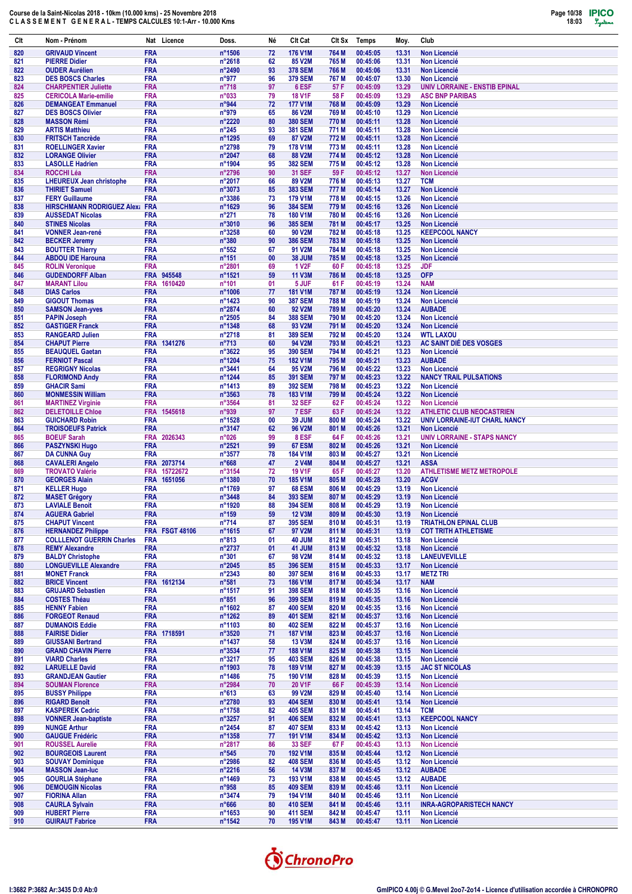

| Clt        | Nom - Prénom                                            |                          | Nat Licence           | Doss.                             | Né       | Clt Cat                          | CIt Sx         | <b>Temps</b>         | Moy.           | Club                                                              |
|------------|---------------------------------------------------------|--------------------------|-----------------------|-----------------------------------|----------|----------------------------------|----------------|----------------------|----------------|-------------------------------------------------------------------|
| 820        | <b>GRIVAUD Vincent</b>                                  | <b>FRA</b>               |                       | n°1506                            | 72       | <b>176 V1M</b>                   | 764 M          | 00:45:05             | 13.31          | <b>Non Licencié</b>                                               |
| 821        | <b>PIERRE Didier</b>                                    | <b>FRA</b>               |                       | $n^{\circ}2618$                   | 62       | 85 V2M                           | 765 M          | 00:45:06             | 13.31          | Non Licencié                                                      |
| 822<br>823 | <b>OUDER Aurélien</b>                                   | <b>FRA</b><br><b>FRA</b> |                       | n°2490<br>n°977                   | 93<br>96 | <b>378 SEM</b><br><b>379 SEM</b> | 766 M<br>767 M | 00:45:06<br>00:45:07 | 13.31<br>13.30 | <b>Non Licencié</b><br><b>Non Licencié</b>                        |
| 824        | <b>DES BOSCS Charles</b><br><b>CHARPENTIER Juliette</b> | <b>FRA</b>               |                       | $n^{\circ}718$                    | 97       | 6 ESF                            | 57 F           | 00:45:09             | 13.29          | UNIV LORRAINE - ENSTIB EPINAL                                     |
| 825        | <b>CERICOLA Marie-emilie</b>                            | <b>FRA</b>               |                       | n°033                             | 79       | <b>18 V1F</b>                    | 58 F           | 00:45:09             | 13.29          | <b>ASC BNP PARIBAS</b>                                            |
| 826        | <b>DEMANGEAT Emmanuel</b>                               | <b>FRA</b>               |                       | n°944                             | 72       | <b>177 V1M</b>                   | 768 M          | 00:45:09             | 13.29          | <b>Non Licencié</b>                                               |
| 827        | <b>DES BOSCS Olivier</b>                                | <b>FRA</b>               |                       | n°979                             | 65       | <b>86 V2M</b>                    | 769 M          | 00:45:10             | 13.29          | <b>Non Licencié</b>                                               |
| 828<br>829 | <b>MASSON Rémi</b><br><b>ARTIS Matthieu</b>             | <b>FRA</b><br><b>FRA</b> |                       | n°2220<br>$n^{\circ}245$          | 80<br>93 | <b>380 SEM</b><br><b>381 SEM</b> | 770 M<br>771 M | 00:45:11<br>00:45:11 | 13.28<br>13.28 | <b>Non Licencié</b><br><b>Non Licencié</b>                        |
| 830        | <b>FRITSCH Tancrède</b>                                 | <b>FRA</b>               |                       | n°1295                            | 69       | 87 V2M                           | 772 M          | 00:45:11             | 13.28          | <b>Non Licencié</b>                                               |
| 831        | <b>ROELLINGER Xavier</b>                                | <b>FRA</b>               |                       | n°2798                            | 79       | <b>178 V1M</b>                   | 773 M          | 00:45:11             | 13.28          | <b>Non Licencié</b>                                               |
| 832        | <b>LORANGE Olivier</b>                                  | <b>FRA</b>               |                       | n°2047                            | 68       | <b>88 V2M</b>                    | 774 M          | 00:45:12             | 13.28          | <b>Non Licencié</b>                                               |
| 833        | <b>LASOLLE Hadrien</b>                                  | <b>FRA</b>               |                       | n°1904                            | 95       | <b>382 SEM</b>                   | 775 M          | 00:45:12             | 13.28          | <b>Non Licencié</b>                                               |
| 834<br>835 | ROCCHI Léa<br><b>LHEUREUX Jean christophe</b>           | <b>FRA</b><br><b>FRA</b> |                       | n°2796<br>n°2017                  | 90<br>66 | <b>31 SEF</b><br>89 V2M          | 59 F<br>776 M  | 00:45:12<br>00:45:13 | 13.27<br>13.27 | <b>Non Licencié</b><br><b>TCM</b>                                 |
| 836        | <b>THIRIET Samuel</b>                                   | <b>FRA</b>               |                       | n°3073                            | 85       | <b>383 SEM</b>                   | 777 M          | 00:45:14             | 13.27          | <b>Non Licencié</b>                                               |
| 837        | <b>FERY Guillaume</b>                                   | <b>FRA</b>               |                       | $n^{\circ}3386$                   | 73       | <b>179 V1M</b>                   | 778 M          | 00:45:15             | 13.26          | <b>Non Licencié</b>                                               |
| 838        | <b>HIRSCHMANN RODRIGUEZ Alex: FRA</b>                   |                          |                       | n°1629                            | 96       | <b>384 SEM</b>                   | 779 M          | 00:45:16             | 13.26          | <b>Non Licencié</b>                                               |
| 839<br>840 | <b>AUSSEDAT Nicolas</b><br><b>STINES Nicolas</b>        | <b>FRA</b><br><b>FRA</b> |                       | $n^{\circ}271$<br>$n^{\circ}3010$ | 78<br>96 | <b>180 V1M</b><br><b>385 SEM</b> | 780 M<br>781 M | 00:45:16<br>00:45:17 | 13.26<br>13.25 | <b>Non Licencié</b><br><b>Non Licencié</b>                        |
| 841        | <b>VONNER Jean-rené</b>                                 | <b>FRA</b>               |                       | $n^{\circ}3258$                   | 60       | 90 V2M                           | 782 M          | 00:45:18             | 13.25          | <b>KEEPCOOL NANCY</b>                                             |
| 842        | <b>BECKER Jeremy</b>                                    | <b>FRA</b>               |                       | $n^{\circ}380$                    | 90       | <b>386 SEM</b>                   | 783 M          | 00:45:18             | 13.25          | <b>Non Licencié</b>                                               |
| 843        | <b>BOUTTER Thierry</b>                                  | <b>FRA</b>               |                       | $n^{\circ}552$                    | 67       | 91 V2M                           | 784 M          | 00:45:18             | 13.25          | <b>Non Licencié</b>                                               |
| 844        | <b>ABDOU IDE Harouna</b>                                | <b>FRA</b>               |                       | $n^{\circ}151$                    | 00       | 38 JUM                           | 785 M          | 00:45:18             | 13.25          | <b>Non Licencié</b>                                               |
| 845<br>846 | <b>ROLIN Veronique</b><br><b>GUDENDORFF Alban</b>       | <b>FRA</b><br><b>FRA</b> | 945548                | n°2801<br>n°1521                  | 69<br>59 | <b>1 V2F</b><br><b>11 V3M</b>    | 60 F<br>786 M  | 00:45:18<br>00:45:18 | 13.25<br>13.25 | <b>JDF</b><br><b>OFP</b>                                          |
| 847        | <b>MARANT Lilou</b>                                     | <b>FRA</b>               | 1610420               | $n^{\circ}101$                    | 01       | 5 JUF                            | 61 F           | 00:45:19             | 13.24          | <b>NAM</b>                                                        |
| 848        | <b>DIAS Carlos</b>                                      | <b>FRA</b>               |                       | n°1006                            | 77       | <b>181 V1M</b>                   | 787 M          | 00:45:19             | 13.24          | <b>Non Licencié</b>                                               |
| 849        | <b>GIGOUT Thomas</b>                                    | <b>FRA</b>               |                       | $n^{\circ}$ 1423                  | 90       | <b>387 SEM</b>                   | 788 M          | 00:45:19             | 13.24          | <b>Non Licencié</b>                                               |
| 850        | <b>SAMSON Jean-yves</b>                                 | <b>FRA</b>               |                       | n°2874                            | 60       | 92 V2M                           | 789 M          | 00:45:20             | 13.24          | <b>AUBADE</b>                                                     |
| 851<br>852 | <b>PAPIN Joseph</b><br><b>GASTIGER Franck</b>           | <b>FRA</b><br><b>FRA</b> |                       | $n^{\circ}2505$<br>n°1348         | 84<br>68 | <b>388 SEM</b><br>93 V2M         | 790 M<br>791 M | 00:45:20<br>00:45:20 | 13.24<br>13.24 | <b>Non Licencié</b><br><b>Non Licencié</b>                        |
| 853        | <b>RANGEARD Julien</b>                                  | <b>FRA</b>               |                       | n°2718                            | 81       | <b>389 SEM</b>                   | 792 M          | 00:45:20             | 13.24          | <b>WTL LAXOU</b>                                                  |
| 854        | <b>CHAPUT Pierre</b>                                    | <b>FRA</b>               | 1341276               | $n^{\circ}713$                    | 60       | 94 V2M                           | 793 M          | 00:45:21             | 13.23          | AC SAINT DIÉ DES VOSGES                                           |
| 855        | <b>BEAUQUEL Gaetan</b>                                  | <b>FRA</b>               |                       | n°3622                            | 95       | <b>390 SEM</b>                   | 794 M          | 00:45:21             | 13.23          | <b>Non Licencié</b>                                               |
| 856<br>857 | <b>FERNIOT Pascal</b><br><b>REGRIGNY Nicolas</b>        | <b>FRA</b><br><b>FRA</b> |                       | n°1204<br>n°3441                  | 75<br>64 | <b>182 V1M</b><br>95 V2M         | 795 M<br>796 M | 00:45:21<br>00:45:22 | 13.23<br>13.23 | <b>AUBADE</b><br><b>Non Licencié</b>                              |
| 858        | <b>FLORIMOND Andy</b>                                   | <b>FRA</b>               |                       | $n^{\circ}$ 1244                  | 85       | <b>391 SEM</b>                   | 797 M          | 00:45:23             | 13.22          | <b>NANCY TRAIL PULSATIONS</b>                                     |
| 859        | <b>GHACIR Sami</b>                                      | <b>FRA</b>               |                       | $n^{\circ}$ 1413                  | 89       | <b>392 SEM</b>                   | 798 M          | 00:45:23             | 13.22          | Non Licencié                                                      |
| 860        | <b>MONMESSIN William</b>                                | <b>FRA</b>               |                       | $n^{\circ}3563$                   | 78       | <b>183 V1M</b>                   | 799 M          | 00:45:24             | 13.22          | <b>Non Licencié</b>                                               |
| 861        | <b>MARTINEZ Virginie</b>                                | <b>FRA</b>               |                       | n°3564                            | 81<br>97 | <b>32 SEF</b><br>7 ESF           | 62 F           | 00:45:24<br>00:45:24 | 13.22<br>13.22 | <b>Non Licencié</b>                                               |
| 862<br>863 | <b>DELETOILLE Chloe</b><br><b>GUICHARD Robin</b>        | <b>FRA</b>               | FRA 1545618           | n°939<br>$n^{\circ}$ 1528         | 00       | <b>39 JUM</b>                    | 63 F<br>800 M  | 00:45:24             | 13.22          | <b>ATHLETIC CLUB NEOCASTRIEN</b><br>UNIV LORRAINE-IUT CHARL NANCY |
| 864        | <b>TROISOEUFS Patrick</b>                               | <b>FRA</b>               |                       | n°3147                            | 62       | <b>96 V2M</b>                    | 801 M          | 00:45:26             | 13.21          | <b>Non Licencié</b>                                               |
| 865        | <b>BOEUF Sarah</b>                                      | <b>FRA</b>               | 2026343               | n°026                             | 99       | 8 ESF                            | 64 F           | 00:45:26             | 13.21          | <b>UNIV LORRAINE - STAPS NANCY</b>                                |
| 866        | <b>PASZYNSKI Hugo</b>                                   | <b>FRA</b>               |                       | n°2521                            | 99       | 67 ESM                           | 802 M          | 00:45:26             | 13.21          | <b>Non Licencié</b>                                               |
| 867<br>868 | <b>DA CUNNA Guy</b><br><b>CAVALERI Angelo</b>           | <b>FRA</b><br><b>FRA</b> | 2073714               | n°3577<br>$n^{\circ}668$          | 78<br>47 | <b>184 V1M</b><br><b>2 V4M</b>   | 803 M<br>804 M | 00:45:27<br>00:45:27 | 13.21<br>13.21 | <b>Non Licencié</b><br><b>ASSA</b>                                |
| 869        | <b>TROVATO Valérie</b>                                  | FRA                      | 15722672              | n°3154                            | 72       | <b>19 V1F</b>                    | 65 F           | 00:45:27             | 13.20          | <b>ATHLETISME METZ METROPOLE</b>                                  |
| 870        | <b>GEORGES Alain</b>                                    |                          | FRA 1651056           | n°1380                            | 70       | <b>185 V1M</b>                   | 805 M          | 00:45:28             | 13.20          | <b>ACGV</b>                                                       |
| 871        | <b>KELLER Hugo</b>                                      | FRA                      |                       | n°1769                            | 97       | <b>68 ESM</b>                    | 806 M          | 00:45:29             | 13.19          | <b>Non Licencié</b>                                               |
| 872<br>873 | <b>MASET Grégory</b>                                    | <b>FRA</b><br><b>FRA</b> |                       | $n^{\circ}3448$<br>n°1920         | 84<br>88 | <b>393 SEM</b><br><b>394 SEM</b> | 807 M<br>808 M | 00:45:29<br>00:45:29 | 13.19<br>13.19 | <b>Non Licencié</b>                                               |
| 874        | <b>LAVIALE Benoit</b><br><b>AGUERA Gabriel</b>          | <b>FRA</b>               |                       | $n^{\circ}159$                    | 59       | <b>12 V3M</b>                    | 809 M          | 00:45:30             | 13.19          | <b>Non Licencié</b><br>Non Licencié                               |
| 875        | <b>CHAPUT Vincent</b>                                   | <b>FRA</b>               |                       | $n^{\circ}714$                    | 87       | <b>395 SEM</b>                   | 810 M          | 00:45:31             | 13.19          | <b>TRIATHLON EPINAL CLUB</b>                                      |
| 876        | <b>HERNANDEZ Philippe</b>                               |                          | <b>FRA FSGT 48106</b> | $n^{\circ}1615$                   | 67       | 97 V2M                           | 811 M          | 00:45:31             | 13.19          | <b>COT TRITH ATHLETISME</b>                                       |
| 877        | <b>COLLLENOT GUERRIN Charles</b>                        | <b>FRA</b>               |                       | $n^{\circ}813$                    | 01       | 40 JUM                           | 812 M          | 00:45:31             | 13.18          | <b>Non Licencié</b>                                               |
| 878<br>879 | <b>REMY Alexandre</b><br><b>BALDY Christophe</b>        | <b>FRA</b><br><b>FRA</b> |                       | $n^{\circ}2737$<br>$n^{\circ}301$ | 01<br>67 | 41 JUM<br><b>98 V2M</b>          | 813 M<br>814 M | 00:45:32<br>00:45:32 | 13.18<br>13.18 | Non Licencié<br><b>LANEUVEVILLE</b>                               |
| 880        | <b>LONGUEVILLE Alexandre</b>                            | <b>FRA</b>               |                       | $n^{\circ}2045$                   | 85       | <b>396 SEM</b>                   | 815 M          | 00:45:33             | 13.17          | <b>Non Licencié</b>                                               |
| 881        | <b>MONET Franck</b>                                     | <b>FRA</b>               |                       | $n^{\circ}2343$                   | 80       | <b>397 SEM</b>                   | 816 M          | 00:45:33             | 13.17          | <b>METZ TRI</b>                                                   |
| 882        | <b>BRICE Vincent</b>                                    |                          | FRA 1612134           | $n^{\circ}581$                    | 73       | <b>186 V1M</b>                   | 817 M          | 00:45:34             | 13.17          | <b>NAM</b>                                                        |
| 883<br>884 | <b>GRUJARD Sebastien</b><br><b>COSTES Théau</b>         | <b>FRA</b><br><b>FRA</b> |                       | $n^{\circ}1517$<br>$n^{\circ}851$ | 91<br>96 | <b>398 SEM</b><br><b>399 SEM</b> | 818 M<br>819 M | 00:45:35<br>00:45:35 | 13.16<br>13.16 | Non Licencié<br><b>Non Licencié</b>                               |
| 885        | <b>HENNY Fabien</b>                                     | <b>FRA</b>               |                       | $n^{\circ}1602$                   | 87       | <b>400 SEM</b>                   | 820 M          | 00:45:35             | 13.16          | <b>Non Licencié</b>                                               |
| 886        | <b>FORGEOT Renaud</b>                                   | <b>FRA</b>               |                       | n°1262                            | 89       | <b>401 SEM</b>                   | 821 M          | 00:45:37             | 13.16          | <b>Non Licencié</b>                                               |
| 887        | <b>DUMANOIS Eddie</b>                                   | <b>FRA</b>               |                       | $n^{\circ}1103$                   | 80       | <b>402 SEM</b>                   | 822 M          | 00:45:37             | 13.16          | Non Licencié                                                      |
| 888        | <b>FAIRISE Didier</b>                                   |                          | FRA 1718591           | $n^{\circ}3520$                   | 71       | <b>187 V1M</b>                   | 823 M          | 00:45:37             | 13.16          | <b>Non Licencié</b>                                               |
| 889<br>890 | <b>GIUSSANI Bertrand</b><br><b>GRAND CHAVIN Pierre</b>  | <b>FRA</b><br><b>FRA</b> |                       | n°1437<br>n°3534                  | 58<br>77 | <b>13 V3M</b><br><b>188 V1M</b>  | 824 M<br>825 M | 00:45:37<br>00:45:38 | 13.16<br>13.15 | <b>Non Licencié</b><br>Non Licencié                               |
| 891        | <b>VIARD Charles</b>                                    | <b>FRA</b>               |                       | $n^{\circ}3217$                   | 95       | <b>403 SEM</b>                   | 826 M          | 00:45:38             | 13.15          | <b>Non Licencié</b>                                               |
| 892        | <b>LARUELLE David</b>                                   | <b>FRA</b>               |                       | n°1903                            | 78       | <b>189 V1M</b>                   | 827 M          | 00:45:39             | 13.15          | <b>JAC ST NICOLAS</b>                                             |
| 893        | <b>GRANDJEAN Gautier</b>                                | <b>FRA</b>               |                       | n°1486                            | 75       | <b>190 V1M</b>                   | 828 M          | 00:45:39             | 13.15          | <b>Non Licencié</b>                                               |
| 894        | <b>SOUMAN Florence</b>                                  | <b>FRA</b><br><b>FRA</b> |                       | $n^{\circ}2984$                   | 70       | <b>20 V1F</b>                    | 66 F           | 00:45:39             | 13.14          | Non Licencié                                                      |
| 895<br>896 | <b>BUSSY Philippe</b><br><b>RIGARD Benoît</b>           | <b>FRA</b>               |                       | $n^{\circ}613$<br>$n^{\circ}2780$ | 63<br>93 | 99 V2M<br><b>404 SEM</b>         | 829 M<br>830 M | 00:45:40<br>00:45:41 | 13.14<br>13.14 | <b>Non Licencié</b><br>Non Licencié                               |
| 897        | <b>KASPEREK Cedric</b>                                  | <b>FRA</b>               |                       | n°1758                            | 82       | <b>405 SEM</b>                   | 831 M          | 00:45:41             | 13.14          | <b>TCM</b>                                                        |
| 898        | <b>VONNER Jean-baptiste</b>                             | <b>FRA</b>               |                       | $n^{\circ}3257$                   | 91       | <b>406 SEM</b>                   | 832 M          | 00:45:41             | 13.13          | <b>KEEPCOOL NANCY</b>                                             |
| 899        | <b>NUNGE Arthur</b>                                     | <b>FRA</b>               |                       | $n^{\circ}$ 2454                  | 87       | <b>407 SEM</b>                   | 833 M          | 00:45:42             | 13.13          | Non Licencié                                                      |
| 900<br>901 | <b>GAUGUE Frédéric</b><br><b>ROUSSEL Aurelie</b>        | <b>FRA</b><br><b>FRA</b> |                       | n°1358<br>n°2817                  | 77<br>86 | <b>191 V1M</b><br><b>33 SEF</b>  | 834 M<br>67 F  | 00:45:42<br>00:45:43 | 13.13<br>13.13 | <b>Non Licencié</b><br>Non Licencié                               |
| 902        | <b>BOURGEOIS Laurent</b>                                | <b>FRA</b>               |                       | $n^{\circ}545$                    | 70       | <b>192 V1M</b>                   | 835 M          | 00:45:44             | 13.12          | <b>Non Licencié</b>                                               |
| 903        | <b>SOUVAY Dominique</b>                                 | <b>FRA</b>               |                       | $n^{\circ}2986$                   | 82       | <b>408 SEM</b>                   | 836 M          | 00:45:45             | 13.12          | Non Licencié                                                      |
| 904        | <b>MASSON Jean-luc</b>                                  | <b>FRA</b>               |                       | $n^{\circ}2216$                   | 56       | <b>14 V3M</b>                    | 837 M          | 00:45:45             | 13.12          | <b>AUBADE</b>                                                     |
| 905        | <b>GOURLIA Stéphane</b>                                 | <b>FRA</b>               |                       | $n^{\circ}$ 1469                  | 73       | 193 V1M                          | 838 M          | 00:45:45             | 13.12          | <b>AUBADE</b>                                                     |
| 906<br>907 | <b>DEMOUGIN Nicolas</b><br><b>FIORINA Allan</b>         | <b>FRA</b><br><b>FRA</b> |                       | n°958<br>n°3474                   | 85<br>79 | <b>409 SEM</b><br>194 V1M        | 839 M<br>840 M | 00:45:46<br>00:45:46 | 13.11<br>13.11 | <b>Non Licencié</b><br><b>Non Licencié</b>                        |
| 908        | <b>CAURLA Sylvain</b>                                   | <b>FRA</b>               |                       | $n^{\circ}666$                    | 80       | <b>410 SEM</b>                   | 841 M          | 00:45:46             | 13.11          | <b>INRA-AGROPARISTECH NANCY</b>                                   |
| 909        | <b>HUBERT Pierre</b>                                    | <b>FRA</b>               |                       | n°1653                            | 90       | <b>411 SEM</b>                   | 842 M          | 00:45:47             | 13.11          | <b>Non Licencié</b>                                               |
| 910        | <b>GUIRAUT Fabrice</b>                                  | <b>FRA</b>               |                       | $n^{\circ}$ 1542                  | 70       | <b>195 V1M</b>                   | 843 M          | 00:45:47             | 13.11          | Non Licencié                                                      |

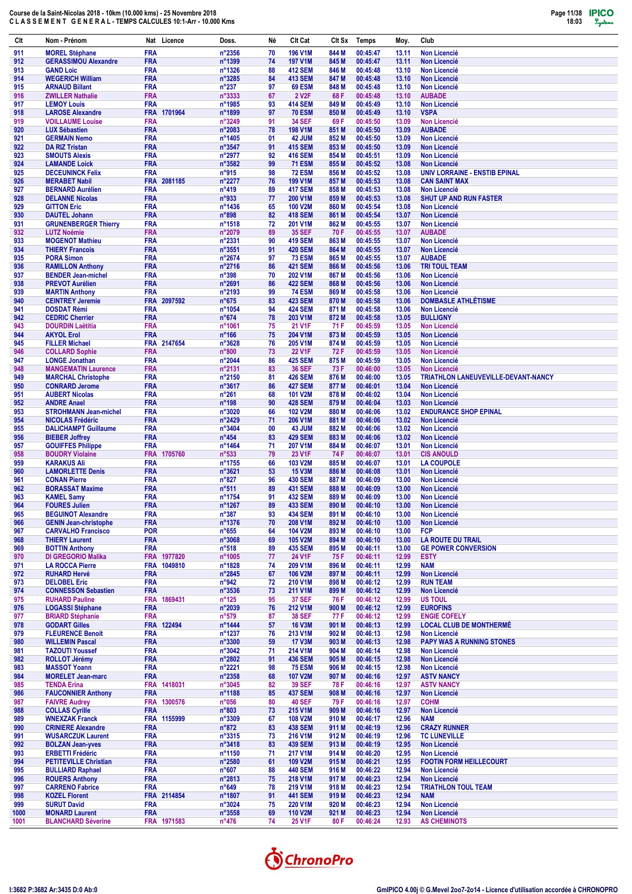

| Clt          | Nom - Prénom                                         | Nat Licence               | Doss.                             | Né       | Clt Cat                          | Clt Sx         | Temps                | Moy.           | Club                                                    |
|--------------|------------------------------------------------------|---------------------------|-----------------------------------|----------|----------------------------------|----------------|----------------------|----------------|---------------------------------------------------------|
| 911          | <b>MOREL Stéphane</b>                                | <b>FRA</b>                | n°2356                            | 70       | 196 V1M                          | 844 M          | 00:45:47             | 13.11          | <b>Non Licencié</b>                                     |
| 912          | <b>GERASSIMOU Alexandre</b>                          | <b>FRA</b><br><b>FRA</b>  | n°1399<br>n°1326                  | 74<br>88 | <b>197 V1M</b><br><b>412 SEM</b> | 845 M<br>846 M | 00:45:47<br>00:45:48 | 13.11<br>13.10 | <b>Non Licencié</b><br><b>Non Licencié</b>              |
| 913<br>914   | <b>GAND Loic</b><br><b>WEGERICH William</b>          | <b>FRA</b>                | n°3285                            | 84       | <b>413 SEM</b>                   | 847 M          | 00:45:48             | 13.10          | <b>Non Licencié</b>                                     |
| 915          | <b>ARNAUD Billant</b>                                | <b>FRA</b>                | $n^{\circ}237$                    | 97       | <b>69 ESM</b>                    | 848 M          | 00:45:48             | 13.10          | <b>Non Licencié</b>                                     |
| 916          | <b>ZWILLER Nathalie</b>                              | <b>FRA</b>                | n°3333                            | 67       | 2 V <sub>2</sub> F               | 68 F           | 00:45:48             | 13.10          | <b>AUBADE</b>                                           |
| 917<br>918   | <b>LEMOY Louis</b><br><b>LAROSE Alexandre</b>        | <b>FRA</b><br>FRA 1701964 | n°1985<br>n°1899                  | 93<br>97 | <b>414 SEM</b><br><b>70 ESM</b>  | 849 M<br>850 M | 00:45:49<br>00:45:49 | 13.10<br>13.10 | <b>Non Licencié</b><br><b>VSPA</b>                      |
| 919          | <b>VOILLAUME Louise</b>                              | <b>FRA</b>                | n°3249                            | 91       | <b>34 SEF</b>                    | 69 F           | 00:45:50             | 13.09          | <b>Non Licencié</b>                                     |
| 920          | <b>LUX Sébastien</b>                                 | <b>FRA</b>                | n°2083                            | 78       | 198 V1M                          | 851 M          | 00:45:50             | 13.09          | <b>AUBADE</b>                                           |
| 921<br>922   | <b>GERMAIN Nemo</b><br><b>DA RIZ Tristan</b>         | <b>FRA</b><br><b>FRA</b>  | n°1405<br>n°3547                  | 01<br>91 | 42 JUM<br><b>415 SEM</b>         | 852 M<br>853 M | 00:45:50<br>00:45:50 | 13.09<br>13.09 | <b>Non Licencié</b><br><b>Non Licencié</b>              |
| 923          | <b>SMOUTS Alexis</b>                                 | <b>FRA</b>                | n°2977                            | 92       | <b>416 SEM</b>                   | 854 M          | 00:45:51             | 13.09          | <b>Non Licencié</b>                                     |
| 924          | <b>LAMANDE Loick</b>                                 | <b>FRA</b>                | n°3582                            | 99       | <b>71 ESM</b>                    | 855 M          | 00:45:52             | 13.08          | <b>Non Licencié</b>                                     |
| 925<br>926   | <b>DECEUNINCK Felix</b><br><b>MERABET Nabil</b>      | <b>FRA</b><br>FRA 2081185 | n°915<br>$n^{\circ}2277$          | 98<br>76 | <b>72 ESM</b><br><b>199 V1M</b>  | 856 M<br>857 M | 00:45:52<br>00:45:53 | 13.08<br>13.08 | UNIV LORRAINE - ENSTIB EPINAL<br><b>CAN SAINT MAX</b>   |
| 927          | <b>BERNARD Aurélien</b>                              | <b>FRA</b>                | $n^{\circ}419$                    | 89       | <b>417 SEM</b>                   | 858 M          | 00:45:53             | 13.08          | <b>Non Licencié</b>                                     |
| 928          | <b>DELANNE Nicolas</b>                               | <b>FRA</b>                | n°933                             | 77       | 200 V1M                          | 859 M          | 00:45:53             | 13.08          | <b>SHUT UP AND RUN FASTER</b>                           |
| 929<br>930   | <b>GITTON Eric</b>                                   | <b>FRA</b><br><b>FRA</b>  | n°1436<br>n°898                   | 65<br>82 | 100 V2M<br><b>418 SEM</b>        | 860 M          | 00:45:54<br>00:45:54 | 13.08<br>13.07 | <b>Non Licencié</b><br><b>Non Licencié</b>              |
| 931          | <b>DAUTEL Johann</b><br><b>GRUNENBERGER Thierry</b>  | <b>FRA</b>                | n°1518                            | 72       | 201 V1M                          | 861 M<br>862 M | 00:45:55             | 13.07          | <b>Non Licencié</b>                                     |
| 932          | <b>LUTZ Noémie</b>                                   | <b>FRA</b>                | n°2079                            | 89       | <b>35 SEF</b>                    | 70 F           | 00:45:55             | 13.07          | <b>AUBADE</b>                                           |
| 933          | <b>MOGENOT Mathieu</b>                               | <b>FRA</b>                | n°2331                            | 90       | <b>419 SEM</b>                   | 863 M          | 00:45:55             | 13.07          | <b>Non Licencié</b>                                     |
| 934<br>935   | <b>THIERY Francois</b><br><b>PORA Simon</b>          | <b>FRA</b><br><b>FRA</b>  | n°3551<br>n°2674                  | 91<br>97 | <b>420 SEM</b><br><b>73 ESM</b>  | 864 M<br>865 M | 00:45:55<br>00:45:55 | 13.07<br>13.07 | <b>Non Licencié</b><br><b>AUBADE</b>                    |
| 936          | <b>RAMILLON Anthony</b>                              | <b>FRA</b>                | n°2716                            | 86       | <b>421 SEM</b>                   | 866 M          | 00:45:56             | 13.06          | <b>TRI TOUL TEAM</b>                                    |
| 937          | <b>BENDER Jean-michel</b>                            | <b>FRA</b>                | $n^{\circ}398$                    | 70       | 202 V1M                          | 867 M          | 00:45:56             | 13.06          | <b>Non Licencié</b>                                     |
| 938<br>939   | <b>PREVOT Aurélien</b><br><b>MARTIN Anthony</b>      | <b>FRA</b><br><b>FRA</b>  | n°2691<br>n°2193                  | 86<br>99 | <b>422 SEM</b><br><b>74 ESM</b>  | 868 M<br>869 M | 00:45:56<br>00:45:58 | 13.06<br>13.06 | <b>Non Licencié</b><br><b>Non Licencié</b>              |
| 940          | <b>CEINTREY Jeremie</b>                              | FRA 2097592               | $n^{\circ}675$                    | 83       | <b>423 SEM</b>                   | 870 M          | 00:45:58             | 13.06          | <b>DOMBASLE ATHLÉTISME</b>                              |
| 941          | <b>DOSDAT Rémi</b>                                   | <b>FRA</b>                | n°1054                            | 94       | <b>424 SEM</b>                   | 871 M          | 00:45:58             | 13.06          | <b>Non Licencié</b>                                     |
| 942<br>943   | <b>CEDRIC Cherrier</b><br><b>DOURDIN Laëtitia</b>    | <b>FRA</b><br><b>FRA</b>  | $n^{\circ}674$<br>n°1061          | 78<br>75 | 203 V1M<br>21 V1F                | 872 M<br>71 F  | 00:45:58<br>00:45:59 | 13.05<br>13.05 | <b>BULLIGNY</b><br><b>Non Licencié</b>                  |
| 944          | <b>AKYOL Erol</b>                                    | <b>FRA</b>                | $n^{\circ}$ 166                   | 75       | 204 V1M                          | 873 M          | 00:45:59             | 13.05          | <b>Non Licencié</b>                                     |
| 945          | <b>FILLER Michael</b>                                | FRA 2147654               | n°3628                            | 76       | 205 V1M                          | 874 M          | 00:45:59             | 13.05          | <b>Non Licencié</b>                                     |
| 946          | <b>COLLARD Sophie</b>                                | <b>FRA</b><br><b>FRA</b>  | $n^{\circ}800$                    | 73<br>86 | <b>22 V1F</b><br><b>425 SEM</b>  | 72 F<br>875 M  | 00:45:59<br>00:45:59 | 13.05<br>13.05 | <b>Non Licencié</b><br><b>Non Licencié</b>              |
| 947<br>948   | <b>LONGE Jonathan</b><br><b>MANGEMATIN Laurence</b>  | <b>FRA</b>                | n°2044<br>n°2131                  | 83       | <b>36 SEF</b>                    | 73 F           | 00:46:00             | 13.05          | <b>Non Licencié</b>                                     |
| 949          | <b>MARCHAL Christophe</b>                            | <b>FRA</b>                | n°2150                            | 81       | <b>426 SEM</b>                   | 876 M          | 00:46:00             | 13.05          | TRIATHLON LANEUVEVILLE-DEVANT-NANCY                     |
| 950          | <b>CONRARD Jerome</b>                                | <b>FRA</b>                | n°3617                            | 86       | <b>427 SEM</b>                   | 877 M          | 00:46:01             | 13.04          | <b>Non Licencié</b>                                     |
| 951<br>952   | <b>AUBERT Nicolas</b><br><b>ANDRE Anael</b>          | <b>FRA</b><br><b>FRA</b>  | $n^{\circ}261$<br>$n^{\circ}$ 198 | 68<br>90 | <b>101 V2M</b><br><b>428 SEM</b> | 878 M<br>879 M | 00:46:02<br>00:46:04 | 13.04<br>13.03 | <b>Non Licencié</b><br><b>Non Licencié</b>              |
| 953          | <b>STROHMANN Jean-michel</b>                         | <b>FRA</b>                | n°3020                            | 66       | <b>102 V2M</b>                   | 880 M          | 00:46:06             | 13.02          | <b>ENDURANCE SHOP EPINAL</b>                            |
| 954          | <b>NICOLAS Frédéric</b>                              | <b>FRA</b>                | n°2429                            | 71       | 206 V1M                          | 881 M          | 00:46:06             | 13.02          | <b>Non Licencié</b>                                     |
| 955<br>956   | <b>DALICHAMPT Guillaume</b><br><b>BIEBER Joffrey</b> | <b>FRA</b><br><b>FRA</b>  | n°3404<br>$n^{\circ}454$          | 00<br>83 | 43 JUM<br><b>429 SEM</b>         | 882 M<br>883 M | 00:46:06<br>00:46:06 | 13.02<br>13.02 | <b>Non Licencié</b><br><b>Non Licencié</b>              |
| 957          | <b>GOUIFFES Philippe</b>                             | <b>FRA</b>                | n°1464                            | 71       | <b>207 V1M</b>                   | 884 M          | 00:46:07             | 13.01          | <b>Non Licencié</b>                                     |
| 958          | <b>BOUDRY Violaine</b>                               | FRA 1705760               | $n^{\circ}533$                    | 79       | 23 V1F                           | 74 F           | 00:46:07             | 13.01          | <b>CIS ANOULD</b>                                       |
| 959<br>960   | <b>KARAKUS Ali</b><br><b>LAMORLETTE Denis</b>        | <b>FRA</b><br><b>FRA</b>  | n°1755<br>n°3621                  | 66<br>53 | 103 V2M<br><b>15 V3M</b>         | 885 M<br>886 M | 00:46:07<br>00:46:08 | 13.01<br>13.01 | <b>LA COUPOLE</b><br>Non Licencié                       |
| 961          | <b>CONAN Pierre</b>                                  | <b>FRA</b>                | $n^{\circ}827$                    | 96       | <b>430 SEM</b>                   | 887 M          | 00:46:09             | 13.00          | <b>Non Licencié</b>                                     |
| 962          | <b>BORASSAT Maxime</b>                               | <b>FRA</b>                | $n^{\circ}511$                    | 89       | <b>431 SEM</b>                   | 888 M          | 00:46:09             | 13.00          | Non Licencié                                            |
| 963<br>964   | <b>KAMEL Samy</b><br><b>FOURES Julien</b>            | <b>FRA</b><br><b>FRA</b>  | n°1754<br>n°1267                  | 91<br>89 | <b>432 SEM</b><br><b>433 SEM</b> | 889 M<br>890 M | 00:46:09<br>00:46:10 | 13.00<br>13.00 | <b>Non Licencié</b><br><b>Non Licencié</b>              |
| 965          | <b>BEGUINOT Alexandre</b>                            | <b>FRA</b>                | $n^{\circ}387$                    | 93       | <b>434 SEM</b>                   | 891 M          | 00:46:10             | 13.00          | Non Licencié                                            |
| 966          | <b>GENIN Jean-christophe</b>                         | <b>FRA</b>                | n°1376                            | 70       | 208 V1M                          | 892 M          | 00:46:10             | 13.00          | <b>Non Licencié</b>                                     |
| 967<br>968   | <b>CARVALHO Francisco</b><br><b>THIERY Laurent</b>   | <b>POR</b><br><b>FRA</b>  | $n^{\circ}655$<br>n°3068          | 64<br>69 | 104 V2M<br><b>105 V2M</b>        | 893 M<br>894 M | 00:46:10<br>00:46:10 | 13.00<br>13.00 | <b>FCP</b><br><b>LA ROUTE DU TRAIL</b>                  |
| 969          | <b>BOTTIN Anthony</b>                                | <b>FRA</b>                | $n^{\circ}518$                    | 89       | <b>435 SEM</b>                   | 895 M          | 00:46:11             | 13.00          | <b>GE POWER CONVERSION</b>                              |
| 970          | <b>DI GREGORIO Malika</b>                            | FRA 1977820               | $n^{\circ}1005$                   | 77       | 24 V1F                           | 75 F           | 00:46:11             | 12.99          | <b>ESTY</b>                                             |
| 971<br>972   | <b>LA ROCCA Pierre</b><br><b>RUHARD Hervé</b>        | FRA 1049810<br><b>FRA</b> | n°1828<br>$n^{\circ}2845$         | 74<br>67 | 209 V1M<br>106 V2M               | 896 M<br>897 M | 00:46:11<br>00:46:11 | 12.99<br>12.99 | <b>NAM</b><br>Non Licencié                              |
| 973          | <b>DELOBEL Eric</b>                                  | <b>FRA</b>                | $n^{\circ}942$                    | 72       | 210 V1M                          | 898 M          | 00:46:12             | 12.99          | <b>RUN TEAM</b>                                         |
| 974          | <b>CONNESSON Sebastien</b>                           | <b>FRA</b>                | $n^{\circ}3536$                   | 73       | 211 V1M                          | 899 M          | 00:46:12             | 12.99          | Non Licencié                                            |
| 975          | <b>RUHARD Pauline</b><br><b>LOGASSI Stéphane</b>     | FRA 1869431               | $n^{\circ}$ 125                   | 95       | <b>37 SEF</b>                    | 76 F           | 00:46:12             | 12.99          | <b>US TOUL</b>                                          |
| 976<br>977   | <b>BRIARD Stéphanie</b>                              | <b>FRA</b><br><b>FRA</b>  | n°2039<br>$n^{\circ}579$          | 76<br>87 | 212 V1M<br><b>38 SEF</b>         | 900 M<br>77 F  | 00:46:12<br>00:46:12 | 12.99<br>12.99 | <b>EUROFINS</b><br><b>ENGIE COFELY</b>                  |
| 978          | <b>GODART Gilles</b>                                 | FRA 122494                | n°1444                            | 57       | <b>16 V3M</b>                    | 901 M          | 00:46:13             | 12.99          | <b>LOCAL CLUB DE MONTHERMÉ</b>                          |
| 979<br>980   | <b>FLEURENCE Benoit</b>                              | <b>FRA</b><br><b>FRA</b>  | n°1237<br>n°3300                  | 76<br>59 | 213 V1M<br><b>17 V3M</b>         | 902 M          | 00:46:13<br>00:46:13 | 12.98<br>12.98 | <b>Non Licencié</b><br><b>PAPY WAS A RUNNING STONES</b> |
| 981          | <b>WILLEMIN Pascal</b><br><b>TAZOUTI Youssef</b>     | <b>FRA</b>                | n°3042                            | 71       | 214 V1M                          | 903 M<br>904 M | 00:46:14             | 12.98          | Non Licencié                                            |
| 982          | <b>ROLLOT Jérémy</b>                                 | <b>FRA</b>                | $n^{\circ}2802$                   | 91       | <b>436 SEM</b>                   | 905 M          | 00:46:15             | 12.98          | <b>Non Licencié</b>                                     |
| 983          | <b>MASSOT Yoann</b>                                  | <b>FRA</b>                | n°2221                            | 98       | <b>75 ESM</b>                    | 906 M          | 00:46:15             | 12.98          | Non Licencié                                            |
| 984<br>985   | <b>MORELET Jean-marc</b><br><b>TENDA Erina</b>       | <b>FRA</b><br>FRA 1418031 | n°2358<br>$n^{\circ}3045$         | 68<br>82 | <b>107 V2M</b><br><b>39 SEF</b>  | 907 M<br>78 F  | 00:46:16<br>00:46:16 | 12.97<br>12.97 | <b>ASTV NANCY</b><br><b>ASTV NANCY</b>                  |
| 986          | <b>FAUCONNIER Anthony</b>                            | <b>FRA</b>                | n°1188                            | 85       | <b>437 SEM</b>                   | 908 M          | 00:46:16             | 12.97          | <b>Non Licencié</b>                                     |
| 987          | <b>FAIVRE Audrey</b>                                 | FRA 1300576               | $n^{\circ}056$                    | 80       | <b>40 SEF</b>                    | 79 F           | 00:46:16             | 12.97          | <b>COHM</b>                                             |
| 988<br>989   | <b>COLLAS Cyrille</b><br><b>WNEXZAK Franck</b>       | <b>FRA</b><br>FRA 1155999 | n°803<br>n°3309                   | 73<br>67 | 215 V1M<br>108 V2M               | 909 M<br>910 M | 00:46:16<br>00:46:17 | 12.97<br>12.96 | Non Licencié<br><b>NAM</b>                              |
| 990          | <b>CRINIERE Alexandre</b>                            | <b>FRA</b>                | $n^{\circ}872$                    | 83       | <b>438 SEM</b>                   | 911 M          | 00:46:19             | 12.96          | <b>CRAZY RUNNER</b>                                     |
| 991          | <b>WUSARCZUK Laurent</b>                             | <b>FRA</b>                | $n^{\circ}3315$                   | 73       | 216 V1M                          | 912 M          | 00:46:19             | 12.96          | <b>TC LUNEVILLE</b>                                     |
| 992<br>993   | <b>BOLZAN Jean-yves</b><br><b>ERBETTI Frédéric</b>   | <b>FRA</b><br><b>FRA</b>  | $n^{\circ}3418$<br>n°1150         | 83<br>71 | <b>439 SEM</b><br>217 V1M        | 913 M<br>914 M | 00:46:19<br>00:46:20 | 12.95<br>12.95 | Non Licencié<br><b>Non Licencié</b>                     |
| 994          | <b>PETITEVILLE Christian</b>                         | <b>FRA</b>                | $n^{\circ}2580$                   | 61       | 109 V2M                          | 915 M          | 00:46:21             | 12.95          | <b>FOOTIN FORM HEILLECOURT</b>                          |
| 995          | <b>BULLIARD Raphael</b>                              | <b>FRA</b>                | $n^{\circ}607$                    | 88       | <b>440 SEM</b>                   | 916 M          | 00:46:22             | 12.94          | <b>Non Licencié</b>                                     |
| 996          | <b>ROUERS Anthony</b>                                | <b>FRA</b>                | $n^{\circ}2813$                   | 75       | 218 V1M                          | 917 M          | 00:46:23             | 12.94          | <b>Non Licencié</b>                                     |
| 997<br>998   | <b>CARRENO Fabrice</b><br><b>KOZEL Florent</b>       | <b>FRA</b><br>FRA 2114854 | $n^{\circ}649$<br>n°1807          | 78<br>91 | 219 V1M<br><b>441 SEM</b>        | 918 M<br>919 M | 00:46:23<br>00:46:23 | 12.94<br>12.94 | <b>TRIATHLON TOUL TEAM</b><br><b>NAM</b>                |
| 999          | <b>SURUT David</b>                                   | <b>FRA</b>                | $n^{\circ}3024$                   | 75       | 220 V1M                          | 920 M          | 00:46:23             | 12.94          | Non Licencié                                            |
| 1000<br>1001 | <b>MONARD Laurent</b><br><b>BLANCHARD Séverine</b>   | <b>FRA</b><br>FRA 1971583 | $n^{\circ}3558$<br>$n^{\circ}476$ | 69<br>74 | <b>110 V2M</b><br>25 V1F         | 921 M<br>80 F  | 00:46:23<br>00:46:24 | 12.94<br>12.93 | <b>Non Licencié</b><br><b>AS CHEMINOTS</b>              |
|              |                                                      |                           |                                   |          |                                  |                |                      |                |                                                         |

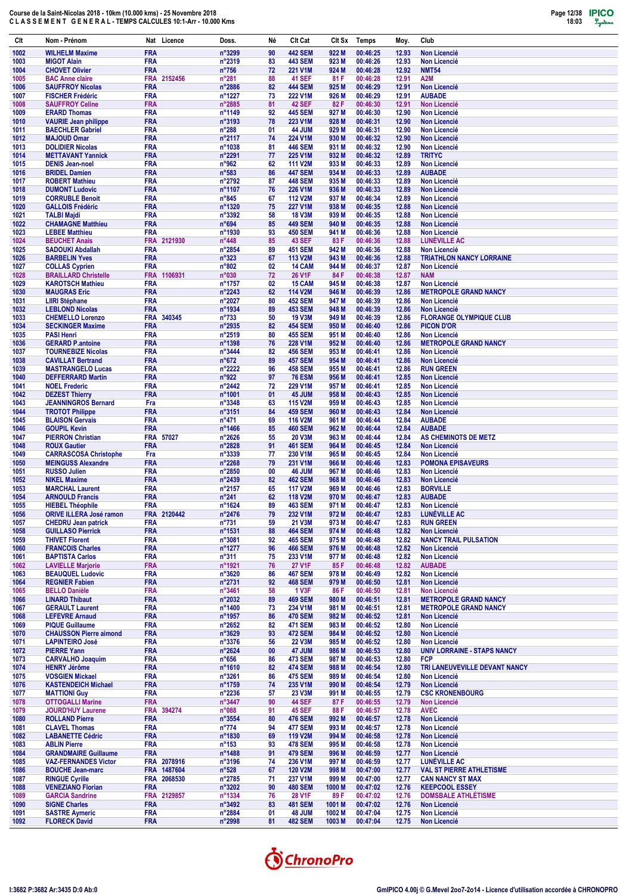| Clt          | Nom - Prénom                                         | Nat Licence                         | Doss.                    | Né                | Clt Cat                          | Clt Sx         | Temps                | Moy.           | Club                                                         |
|--------------|------------------------------------------------------|-------------------------------------|--------------------------|-------------------|----------------------------------|----------------|----------------------|----------------|--------------------------------------------------------------|
| 1002         | <b>WILHELM Maxime</b>                                | <b>FRA</b>                          | n°3299                   | 90                | <b>442 SEM</b>                   | 922 M          | 00:46:25             | 12.93          | <b>Non Licencié</b>                                          |
| 1003         | <b>MIGOT Alain</b>                                   | <b>FRA</b>                          | n°2319                   | 83                | <b>443 SEM</b>                   | 923 M          | 00:46:26             | 12.93          | <b>Non Licencié</b>                                          |
| 1004         | <b>CHOVET Olivier</b>                                | <b>FRA</b>                          | $n^{\circ}756$           | 72                | 221 V1M                          | 924 M          | 00:46:28             | 12.92          | <b>NMT54</b>                                                 |
| 1005<br>1006 | <b>BAC Anne claire</b><br><b>SAUFFROY Nicolas</b>    | <b>FRA</b><br>2152456<br><b>FRA</b> | $n^{\circ}281$<br>n°2886 | 88<br>82          | <b>41 SEF</b><br><b>444 SEM</b>  | 81 F<br>925 M  | 00:46:28<br>00:46:29 | 12.91<br>12.91 | A2M<br><b>Non Licencié</b>                                   |
| 1007         | <b>FISCHER Frédéric</b>                              | <b>FRA</b>                          | n°1227                   | 73                | 222 V1M                          | 926 M          | 00:46:29             | 12.91          | <b>AUBADE</b>                                                |
| 1008         | <b>SAUFFROY Celine</b>                               | <b>FRA</b>                          | n°2885                   | 81                | <b>42 SEF</b>                    | 82 F           | 00:46:30             | 12.91          | <b>Non Licencié</b>                                          |
| 1009         | <b>ERARD Thomas</b>                                  | <b>FRA</b>                          | n°1149                   | 92                | <b>445 SEM</b>                   | 927 M          | 00:46:30             | 12.90          | <b>Non Licencié</b>                                          |
| 1010         | <b>VAURIE Jean philippe</b>                          | <b>FRA</b>                          | n°3193                   | 78                | 223 V1M                          | 928 M          | 00:46:31             | 12.90          | <b>Non Licencié</b>                                          |
| 1011         | <b>BAECHLER Gabriel</b>                              | <b>FRA</b>                          | $n^{\circ}288$           | 01                | <b>44 JUM</b>                    | 929 M          | 00:46:31             | 12.90          | <b>Non Licencié</b>                                          |
| 1012         | <b>MAJOUD Omar</b><br><b>DOLIDIER Nicolas</b>        | <b>FRA</b><br><b>FRA</b>            | n°2117                   | 74<br>81          | 224 V1M<br><b>446 SEM</b>        | 930 M          | 00:46:32<br>00:46:32 | 12.90          | <b>Non Licencié</b><br><b>Non Licencié</b>                   |
| 1013<br>1014 | <b>METTAVANT Yannick</b>                             | <b>FRA</b>                          | n°1038<br>n°2291         | 77                | 225 V1M                          | 931 M<br>932 M | 00:46:32             | 12.90<br>12.89 | <b>TRITYC</b>                                                |
| 1015         | <b>DENIS Jean-noel</b>                               | <b>FRA</b>                          | n°962                    | 62                | <b>111 V2M</b>                   | 933 M          | 00:46:33             | 12.89          | <b>Non Licencié</b>                                          |
| 1016         | <b>BRIDEL Damien</b>                                 | <b>FRA</b>                          | $n^{\circ}583$           | 86                | <b>447 SEM</b>                   | 934 M          | 00:46:33             | 12.89          | <b>AUBADE</b>                                                |
| 1017         | <b>ROBERT Mathieu</b>                                | <b>FRA</b>                          | n°2792                   | 87                | <b>448 SEM</b>                   | 935 M          | 00:46:33             | 12.89          | <b>Non Licencié</b>                                          |
| 1018         | <b>DUMONT Ludovic</b>                                | <b>FRA</b>                          | n°1107                   | 76                | 226 V1M                          | 936 M          | 00:46:33             | 12.89          | <b>Non Licencié</b>                                          |
| 1019<br>1020 | <b>CORRUBLE Benoit</b><br><b>GALLOIS Frédéric</b>    | <b>FRA</b><br><b>FRA</b>            | $n^{\circ}845$<br>n°1320 | 67<br>75          | <b>112 V2M</b><br><b>227 V1M</b> | 937 M<br>938 M | 00:46:34<br>00:46:35 | 12.89<br>12.88 | <b>Non Licencié</b><br><b>Non Licencié</b>                   |
| 1021         | <b>TALBI Majdi</b>                                   | <b>FRA</b>                          | n°3392                   | 58                | <b>18 V3M</b>                    | 939 M          | 00:46:35             | 12.88          | <b>Non Licencié</b>                                          |
| 1022         | <b>CHAMAGNE Matthieu</b>                             | <b>FRA</b>                          | n°694                    | 85                | <b>449 SEM</b>                   | 940 M          | 00:46:35             | 12.88          | <b>Non Licencié</b>                                          |
| 1023         | <b>LEBEE Matthieu</b>                                | <b>FRA</b>                          | n°1930                   | 93                | <b>450 SEM</b>                   | 941 M          | 00:46:36             | 12.88          | <b>Non Licencié</b>                                          |
| 1024         | <b>BEUCHET Anais</b>                                 | FRA 2121930                         | $n^{\circ}448$           | 85                | <b>43 SEF</b>                    | 83 F           | 00:46:36             | 12.88          | <b>LUNÉVILLE AC</b>                                          |
| 1025         | <b>SADOUKI Abdallah</b>                              | <b>FRA</b><br><b>FRA</b>            | n°2854                   | 89                | <b>451 SEM</b>                   | 942 M          | 00:46:36<br>00:46:36 | 12.88          | <b>Non Licencié</b><br><b>TRIATHLON NANCY LORRAINE</b>       |
| 1026<br>1027 | <b>BARBELIN Yves</b><br><b>COLLAS Cyprien</b>        | <b>FRA</b>                          | n°323<br>$n^{\circ}802$  | 67<br>02          | <b>113 V2M</b><br><b>14 CAM</b>  | 943 M<br>944 M | 00:46:37             | 12.88<br>12.87 | <b>Non Licencié</b>                                          |
| 1028         | <b>BRAILLARD Christelle</b>                          | FRA 1106931                         | n°030                    | 72                | <b>26 V1F</b>                    | 84 F           | 00:46:38             | 12.87          | <b>NAM</b>                                                   |
| 1029         | <b>KAROTSCH Mathieu</b>                              | <b>FRA</b>                          | n°1757                   | 02                | 15 CAM                           | 945 M          | 00:46:38             | 12.87          | <b>Non Licencié</b>                                          |
| 1030         | <b>MAUGRAS Eric</b>                                  | <b>FRA</b>                          | n°2243                   | 62                | <b>114 V2M</b>                   | 946 M          | 00:46:39             | 12.86          | <b>METROPOLE GRAND NANCY</b>                                 |
| 1031         | <b>LIIRI Stéphane</b>                                | <b>FRA</b>                          | n°2027                   | 80                | <b>452 SEM</b>                   | 947 M          | 00:46:39             | 12.86          | <b>Non Licencié</b>                                          |
| 1032         | <b>LEBLOND Nicolas</b>                               | <b>FRA</b>                          | n°1934                   | 89                | <b>453 SEM</b>                   | 948 M          | 00:46:39             | 12.86          | <b>Non Licencié</b>                                          |
| 1033<br>1034 | <b>CHEMELLO Lorenzo</b><br><b>SECKINGER Maxime</b>   | FRA 340345<br><b>FRA</b>            | $n^{\circ}733$<br>n°2935 | 50<br>82          | <b>19 V3M</b><br><b>454 SEM</b>  | 949 M<br>950 M | 00:46:39<br>00:46:40 | 12.86<br>12.86 | <b>FLORANGE OLYMPIQUE CLUB</b><br><b>PICON D'OR</b>          |
| 1035         | <b>PASI Henri</b>                                    | <b>FRA</b>                          | n°2519                   | 80                | <b>455 SEM</b>                   | 951 M          | 00:46:40             | 12.86          | <b>Non Licencié</b>                                          |
| 1036         | <b>GERARD P.antoine</b>                              | <b>FRA</b>                          | n°1398                   | 76                | 228 V1M                          | 952 M          | 00:46:40             | 12.86          | <b>METROPOLE GRAND NANCY</b>                                 |
| 1037         | <b>TOURNEBIZE Nicolas</b>                            | <b>FRA</b>                          | n°3444                   | 82                | <b>456 SEM</b>                   | 953 M          | 00:46:41             | 12.86          | <b>Non Licencié</b>                                          |
| 1038         | <b>CAVILLAT Bertrand</b>                             | <b>FRA</b>                          | $n^{\circ}672$           | 89                | <b>457 SEM</b>                   | 954 M          | 00:46:41             | 12.86          | <b>Non Licencié</b>                                          |
| 1039<br>1040 | <b>MASTRANGELO Lucas</b><br><b>DEFFERRARD Martin</b> | <b>FRA</b><br><b>FRA</b>            | n°2222<br>n°922          | 96<br>97          | <b>458 SEM</b><br><b>76 ESM</b>  | 955 M<br>956 M | 00:46:41<br>00:46:41 | 12.86<br>12.85 | <b>RUN GREEN</b><br><b>Non Licencié</b>                      |
| 1041         | <b>NOEL Frederic</b>                                 | <b>FRA</b>                          | n°2442                   | 72                | 229 V1M                          | 957 M          | 00:46:41             | 12.85          | <b>Non Licencié</b>                                          |
| 1042         | <b>DEZEST Thierry</b>                                | <b>FRA</b>                          | n°1001                   | 01                | 45 JUM                           | 958 M          | 00:46:43             | 12.85          | <b>Non Licencié</b>                                          |
| 1043         | <b>JEANNINGROS Bernard</b>                           | Fra                                 | n°3348                   | 63                | <b>115 V2M</b>                   | 959 M          | 00:46:43             | 12.85          | <b>Non Licencié</b>                                          |
| 1044         | <b>TROTOT Philippe</b>                               | <b>FRA</b>                          | n°3151                   | 84                | <b>459 SEM</b>                   | 960 M          | 00:46:43             | 12.84          | <b>Non Licencié</b>                                          |
| 1045         | <b>BLAISON Gervais</b>                               | <b>FRA</b>                          | $n^{\circ}471$           | 69                | 116 V2M                          | 961 M          | 00:46:44             | 12.84          | <b>AUBADE</b>                                                |
| 1046<br>1047 | <b>GOUPIL Kevin</b><br><b>PIERRON Christian</b>      | <b>FRA</b><br>FRA 57027             | n°1466<br>n°2626         | 85<br>55          | <b>460 SEM</b><br><b>20 V3M</b>  | 962 M<br>963 M | 00:46:44<br>00:46:44 | 12.84<br>12.84 | <b>AUBADE</b><br>AS CHEMINOTS DE METZ                        |
| 1048         | <b>ROUX Gautier</b>                                  | <b>FRA</b>                          | n°2828                   | 91                | <b>461 SEM</b>                   | 964 M          | 00:46:45             | 12.84          | <b>Non Licencié</b>                                          |
| 1049         | <b>CARRASCOSA Christophe</b>                         | Fra                                 | n°3339                   | 77                | 230 V1M                          | 965 M          | 00:46:45             | 12.84          | <b>Non Licencié</b>                                          |
| 1050         | <b>MEINGUSS Alexandre</b>                            | <b>FRA</b>                          | n°2268                   | 79                | 231 V1M                          | 966 M          | 00:46:46             | 12.83          | <b>POMONA EPISAVEURS</b>                                     |
| 1051         | <b>RUSSO Julien</b>                                  | <b>FRA</b>                          | n°2850                   | 00                | 46 JUM                           | 967 M          | 00:46:46             | 12.83          | <b>Non Licencié</b>                                          |
| 1052<br>1053 | <b>NIKEL Maxime</b><br><b>MARCHAL Laurent</b>        | <b>FRA</b><br><b>FRA</b>            | n°2439<br>n°2157         | 82                | <b>462 SEM</b><br><b>117 V2M</b> | 968 M<br>969 M | 00:46:46<br>00:46:46 | 12.83<br>12.83 | <b>Non Licencié</b><br><b>BORVILLE</b>                       |
| 1054         | <b>ARNOULD Francis</b>                               | <b>FRA</b>                          | $n^{\circ}241$           | 65<br>62          | <b>118 V2M</b>                   | 970 M          | 00:46:47             | 12.83          | <b>AUBADE</b>                                                |
| 1055         | <b>HIEBEL Théophile</b>                              | <b>FRA</b>                          | n°1624                   | 89                | <b>463 SEM</b>                   | 971 M          | 00:46:47             | 12.83          | <b>Non Licencié</b>                                          |
| 1056         | <b>ORIVE ILLERA José ramon</b>                       | <b>FRA</b><br>2120442               | $n^{9}24/6$              | 79                | 232 V1M                          | 972 M          | 00:46:47             | 12.83          | <b>LUNEVILLE AC</b>                                          |
| 1057         | <b>CHEDRU Jean patrick</b>                           | <b>FRA</b>                          | $n^{\circ}731$           | 59                | 21 V3M                           | 973 M          | 00:46:47             | 12.83          | <b>RUN GREEN</b>                                             |
| 1058         | <b>GUILLASO Pierrick</b>                             | <b>FRA</b>                          | n°1531                   | 88                | <b>464 SEM</b>                   | 974 M          | 00:46:48             | 12.82          | Non Licencié                                                 |
| 1059         | <b>THIVET Florent</b>                                | <b>FRA</b><br><b>FRA</b>            | n°3081<br>n°1277         | 92<br>96          | <b>465 SEM</b><br><b>466 SEM</b> | 975 M          | 00:46:48<br>00:46:48 | 12.82<br>12.82 | <b>NANCY TRAIL PULSATION</b>                                 |
| 1060<br>1061 | <b>FRANCOIS Charles</b><br><b>BAPTISTA Carlos</b>    | <b>FRA</b>                          | $n^{\circ}311$           | 75                | 233 V1M                          | 976 M<br>977 M | 00:46:48             | 12.82          | Non Licencié<br><b>Non Licencié</b>                          |
| 1062         | <b>LAVIELLE Marjorie</b>                             | <b>FRA</b>                          | n°1921                   | 76                | <b>27 V1F</b>                    | 85 F           | 00:46:48             | 12.82          | <b>AUBADE</b>                                                |
| 1063         | <b>BEAUQUEL Ludovic</b>                              | <b>FRA</b>                          | n°3620                   | 86                | <b>467 SEM</b>                   | 978 M          | 00:46:49             | 12.82          | Non Licencié                                                 |
| 1064         | <b>REGNIER Fabien</b>                                | <b>FRA</b>                          | n°2731                   | 92                | <b>468 SEM</b>                   | 979 M          | 00:46:50             | 12.81          | Non Licencié                                                 |
| 1065         | <b>BELLO Danièle</b>                                 | <b>FRA</b>                          | n°3461                   | 58                | <b>1 V3F</b>                     | 86 F           | 00:46:50<br>00:46:51 | 12.81          | Non Licencié                                                 |
| 1066<br>1067 | <b>LINARD Thibaut</b><br><b>GERAULT Laurent</b>      | <b>FRA</b><br><b>FRA</b>            | n°2032<br>n°1400         | 89<br>73          | <b>469 SEM</b><br>234 V1M        | 980 M<br>981 M | 00:46:51             | 12.81<br>12.81 | <b>METROPOLE GRAND NANCY</b><br><b>METROPOLE GRAND NANCY</b> |
| 1068         | <b>LEFEVRE Arnaud</b>                                | <b>FRA</b>                          | n°1957                   | 86                | <b>470 SEM</b>                   | 982 M          | 00:46:52             | 12.81          | <b>Non Licencié</b>                                          |
| 1069         | <b>PIQUE Guillaume</b>                               | <b>FRA</b>                          | $n^{\circ}2652$          | 82                | <b>471 SEM</b>                   | 983 M          | 00:46:52             | 12.80          | Non Licencié                                                 |
| 1070         | <b>CHAUSSON Pierre aimond</b>                        | <b>FRA</b>                          | n°3629                   | 93                | <b>472 SEM</b>                   | 984 M          | 00:46:52             | 12.80          | Non Licencié                                                 |
| 1071         | <b>LAPINTEIRO José</b>                               | <b>FRA</b>                          | $n^{\circ}3376$          | 56                | 22 V3M                           | 985 M          | 00:46:52             | 12.80          | Non Licencié                                                 |
| 1072         | <b>PIERRE Yann</b>                                   | <b>FRA</b>                          | n°2624                   | $\boldsymbol{00}$ | 47 JUM                           | 986 M          | 00:46:53             | 12.80          | <b>UNIV LORRAINE - STAPS NANCY</b>                           |
| 1073<br>1074 | <b>CARVALHO Joaquim</b><br><b>HENRY Jérôme</b>       | <b>FRA</b><br><b>FRA</b>            | $n^{\circ}656$<br>n°1610 | 86<br>82          | <b>473 SEM</b><br><b>474 SEM</b> | 987 M<br>988 M | 00:46:53<br>00:46:54 | 12.80<br>12.80 | <b>FCP</b><br>TRI LANEUVEVILLE DEVANT NANCY                  |
| 1075         | <b>VOSGIEN Mickael</b>                               | <b>FRA</b>                          | n°3261                   | 86                | <b>475 SEM</b>                   | 989 M          | 00:46:54             | 12.80          | Non Licencié                                                 |
| 1076         | <b>KASTENDEICH Michael</b>                           | <b>FRA</b>                          | n°1759                   | 74                | 235 V1M                          | 990 M          | 00:46:54             | 12.79          | <b>Non Licencié</b>                                          |
| 1077         | <b>MATTIONI Guy</b>                                  | <b>FRA</b>                          | $n^{\circ}2236$          | 57                | 23 V3M                           | 991 M          | 00:46:55             | 12.79          | <b>CSC KRONENBOURG</b>                                       |
| 1078         | <b>OTTOGALLI Marine</b>                              | <b>FRA</b>                          | n°3447                   | 90                | <b>44 SEF</b>                    | 87 F           | 00:46:55             | 12.79          | <b>Non Licencié</b>                                          |
| 1079<br>1080 | <b>JOURD'HUY Laurene</b><br><b>ROLLAND Pierre</b>    | FRA 394274<br><b>FRA</b>            | n°088                    | 91<br>80          | <b>45 SEF</b>                    | 88 F<br>992 M  | 00:46:57<br>00:46:57 | 12.78          | <b>AVEC</b><br>Non Licencié                                  |
| 1081         | <b>CLAVEL Thomas</b>                                 | <b>FRA</b>                          | n°3554<br>$n^{\circ}774$ | 94                | <b>476 SEM</b><br><b>477 SEM</b> | 993 M          | 00:46:57             | 12.78<br>12.78 | Non Licencié                                                 |
| 1082         | <b>LABANETTE Cédric</b>                              | <b>FRA</b>                          | n°1830                   | 69                | 119 V2M                          | 994 M          | 00:46:58             | 12.78          | Non Licencié                                                 |
| 1083         | <b>ABLIN Pierre</b>                                  | <b>FRA</b>                          | $n^{\circ}153$           | 93                | <b>478 SEM</b>                   | 995 M          | 00:46:58             | 12.78          | Non Licencié                                                 |
| 1084         | <b>GRANDMAIRE Guillaume</b>                          | <b>FRA</b>                          | n°1488                   | 91                | <b>479 SEM</b>                   | 996 M          | 00:46:59             | 12.77          | Non Licencié                                                 |
| 1085         | <b>VAZ-FERNANDES Victor</b>                          | FRA 2078916                         | n°3196                   | 74                | 236 V1M                          | 997 M          | 00:46:59             | 12.77          | LUNÉVILLE AC                                                 |
| 1086<br>1087 | <b>BOUCHE Jean-marc</b><br><b>RINGUE Cyrille</b>     | FRA 1487604<br>FRA 2068530          | $n^{\circ}528$<br>n°2785 | 67<br>71          | <b>120 V2M</b><br>237 V1M        | 998 M<br>999 M | 00:47:00<br>00:47:00 | 12.77<br>12.77 | <b>VAL ST PIERRE ATHLETISME</b><br><b>CAN NANCY ST MAX</b>   |
| 1088         | <b>VENEZIANO Florian</b>                             | <b>FRA</b>                          | n°3202                   | 90                | <b>480 SEM</b>                   | 1000 M         | 00:47:02             | 12.76          | <b>KEEPCOOL ESSEY</b>                                        |
| 1089         | <b>GARCIA Sandrine</b>                               | FRA 2129857                         | n°1334                   | 76                | 28 V1F                           | 89 F           | 00:47:02             | 12.76          | <b>DOMSBALE ATHLÉTISME</b>                                   |
| 1090         | <b>SIGNE Charles</b>                                 | <b>FRA</b>                          | $n^{\circ}3492$          | 83                | <b>481 SEM</b>                   | 1001 M         | 00:47:02             | 12.76          | Non Licencié                                                 |
| 1091         | <b>SASTRE Aymeric</b>                                | <b>FRA</b>                          | n°2884                   | 01                | 48 JUM                           | 1002 M         | 00:47:04             | 12.75          | Non Licencié                                                 |
| 1092         | <b>FLORECK David</b>                                 | <b>FRA</b>                          | n°2998                   | 81                | <b>482 SEM</b>                   | 1003 M         | 00:47:04             | 12.75          | Non Licencié                                                 |

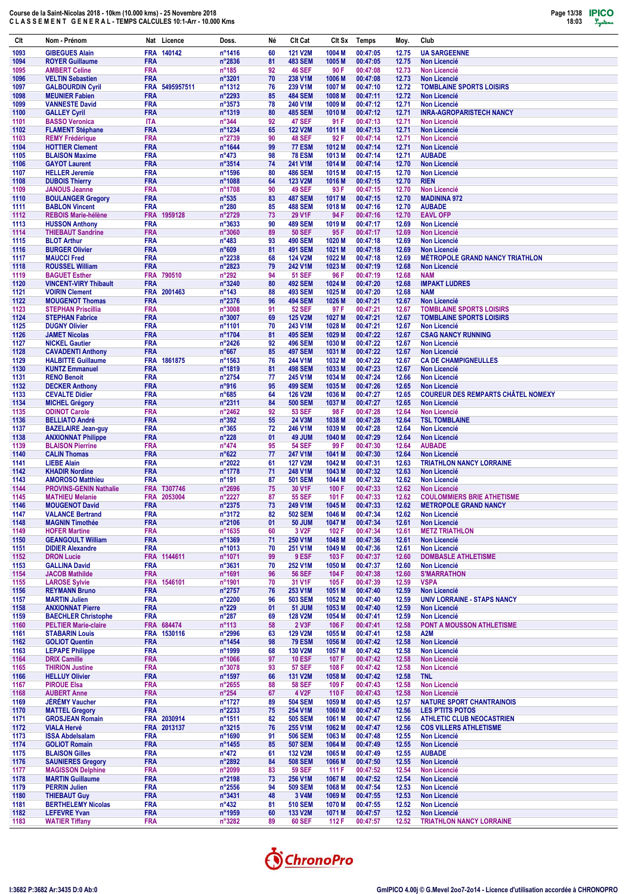| Clt          | Nom - Prénom                                           | Nat Licence               | Doss.                            | Né       | Clt Cat                          | Clt Sx                      | Temps                | Moy.           | Club                                      |
|--------------|--------------------------------------------------------|---------------------------|----------------------------------|----------|----------------------------------|-----------------------------|----------------------|----------------|-------------------------------------------|
| 1093         | <b>GIBEGUES Alain</b>                                  | FRA 140142                | n°1416                           | 60       | <b>121 V2M</b>                   | 1004 M                      | 00:47:05             | 12.75          | <b>UA SARGEENNE</b>                       |
| 1094         | <b>ROYER Guillaume</b>                                 | <b>FRA</b>                | n°2836                           | 81       | <b>483 SEM</b>                   | 1005 <sub>M</sub>           | 00:47:05             | 12.75          | Non Licencié                              |
| 1095         | <b>AMBERT Celine</b>                                   | <b>FRA</b>                | $n^{\circ}185$                   | 92       | <b>46 SEF</b>                    | 90 F                        | 00:47:08             | 12.73          | <b>Non Licencié</b>                       |
| 1096         | <b>VELTIN Sebastien</b>                                | <b>FRA</b>                | n°3201                           | 70       | 238 V1M                          | 1006 <sub>M</sub>           | 00:47:08             | 12.73          | Non Licencié                              |
| 1097         | <b>GALBOURDIN Cyril</b>                                | FRA 5495957511            | n°1312                           | 76       | 239 V1M                          | 1007 <sub>M</sub>           | 00:47:10             | 12.72          | <b>TOMBLAINE SPORTS LOISIRS</b>           |
| 1098         | <b>MEUNIER Fabien</b>                                  | <b>FRA</b>                | n°2293                           | 85       | <b>484 SEM</b>                   | 1008 <sub>M</sub>           | 00:47:11             | 12.72          | <b>Non Licencié</b>                       |
| 1099         | <b>VANNESTE David</b>                                  | <b>FRA</b>                | n°3573                           | 78       | 240 V1M                          | 1009 <sub>M</sub>           | 00:47:12             | 12.71          | Non Licencié                              |
| 1100         | <b>GALLEY Cyril</b>                                    | <b>FRA</b>                | n°1319                           | 80       | <b>485 SEM</b>                   | 1010 <sub>M</sub>           | 00:47:12             | 12.71          | <b>INRA-AGROPARISTECH NANCY</b>           |
| 1101         | <b>BASSO Veronica</b>                                  | <b>ITA</b>                | $n^{\circ}344$                   | 92       | <b>47 SEF</b>                    | 91 F                        | 00:47:13             | 12.71          | <b>Non Licencié</b>                       |
| 1102         | <b>FLAMENT Stéphane</b>                                | <b>FRA</b>                | n°1234                           | 65       | <b>122 V2M</b>                   | 1011 M                      | 00:47:13             | 12.71          | Non Licencié                              |
| 1103         | <b>REMY Frédérique</b>                                 | <b>FRA</b>                | n°2739                           | 90       | <b>48 SEF</b>                    | 92 F                        | 00:47:14             | 12.71          | Non Licencié                              |
| 1104         | <b>HOTTIER Clement</b>                                 | <b>FRA</b>                | n°1644                           | 99       | <b>77 ESM</b>                    | 1012 M                      | 00:47:14             | 12.71          | <b>Non Licencié</b>                       |
| 1105         | <b>BLAISON Maxime</b>                                  | <b>FRA</b>                | $n^{\circ}473$                   | 98       | <b>78 ESM</b>                    | 1013 M                      | 00:47:14             | 12.71          | <b>AUBADE</b>                             |
| 1106         | <b>GAYOT Laurent</b>                                   | <b>FRA</b>                | n°3514                           | 74       | 241 V1M                          | 1014 <sub>M</sub>           | 00:47:14             | 12.70          | <b>Non Licencié</b>                       |
| 1107         | <b>HELLER Jeremie</b>                                  | <b>FRA</b>                | n°1596                           | 80       | <b>486 SEM</b>                   | 1015 <sub>M</sub>           | 00:47:15             | 12.70          | <b>Non Licencié</b>                       |
| 1108         | <b>DUBOIS Thierry</b>                                  | <b>FRA</b>                | n°1088                           | 64       | <b>123 V2M</b>                   | 1016 <sub>M</sub>           | 00:47:15             | 12.70          | <b>RIEN</b>                               |
| 1109         | <b>JANOUS Jeanne</b>                                   | <b>FRA</b><br><b>FRA</b>  | n°1708                           | 90       | <b>49 SEF</b>                    | 93 F                        | 00:47:15             | 12.70          | <b>Non Licencié</b>                       |
| 1110<br>1111 | <b>BOULANGER Gregory</b><br><b>BABLON Vincent</b>      | <b>FRA</b>                | $n^{\circ}535$<br>$n^{\circ}280$ | 83<br>85 | <b>487 SEM</b><br><b>488 SEM</b> | 1017 M<br>1018 <sub>M</sub> | 00:47:15<br>00:47:16 | 12.70<br>12.70 | <b>MADININA 972</b><br><b>AUBADE</b>      |
| 1112         | <b>REBOIS Marie-hélène</b>                             | FRA 1959128               | n°2729                           | 73       | 29 V1F                           | 94 F                        | 00:47:16             | 12.70          | <b>EAVL OFP</b>                           |
| 1113         | <b>HUSSON Anthony</b>                                  | <b>FRA</b>                | n°3633                           | 90       | <b>489 SEM</b>                   | 1019 M                      | 00:47:17             | 12.69          | <b>Non Licencié</b>                       |
| 1114         | <b>THIEBAUT Sandrine</b>                               | <b>FRA</b>                | n°3060                           | 89       | <b>50 SEF</b>                    | 95 F                        | 00:47:17             | 12.69          | <b>Non Licencié</b>                       |
| 1115         | <b>BLOT Arthur</b>                                     | <b>FRA</b>                | $n^{\circ}483$                   | 93       | <b>490 SEM</b>                   | 1020 M                      | 00:47:18             | 12.69          | Non Licencié                              |
| 1116         | <b>BURGER Olivier</b>                                  | <b>FRA</b>                | n°609                            | 81       | <b>491 SEM</b>                   | 1021 M                      | 00:47:18             | 12.69          | <b>Non Licencié</b>                       |
| 1117         | <b>MAUCCI Fred</b>                                     | <b>FRA</b>                | n°2238                           | 68       | <b>124 V2M</b>                   | 1022 M                      | 00:47:18             | 12.69          | <b>MÉTROPOLE GRAND NANCY TRIATHLON</b>    |
| 1118         | <b>ROUSSEL William</b>                                 | <b>FRA</b>                | n°2823                           | 79       | 242 V1M                          | 1023 M                      | 00:47:19             | 12.68          | Non Licencié                              |
| 1119         | <b>BAGUET Esther</b>                                   | FRA 790510                | $n^{\circ}292$                   | 94       | <b>51 SEF</b>                    | 96 F                        | 00:47:19             | 12.68          | <b>NAM</b>                                |
| 1120         | <b>VINCENT-VIRY Thibault</b>                           | <b>FRA</b>                | n°3240                           | 80       | <b>492 SEM</b>                   | 1024 M                      | 00:47:20             | 12.68          | <b>IMPAKT LUDRES</b>                      |
| 1121         | <b>VOIRIN Clement</b>                                  | FRA 2001463               | $n^{\circ}$ 143                  | 88       | <b>493 SEM</b>                   | 1025 M                      | 00:47:20             | 12.68          | <b>NAM</b>                                |
| 1122         | <b>MOUGENOT Thomas</b>                                 | <b>FRA</b>                | n°2376                           | 96       | <b>494 SEM</b>                   | 1026 M                      | 00:47:21             | 12.67          | <b>Non Licencié</b>                       |
| 1123         | <b>STEPHAN Priscillia</b>                              | <b>FRA</b>                | n°3008                           | 91       | <b>52 SEF</b>                    | 97 F                        | 00:47:21             | 12.67          | <b>TOMBLAINE SPORTS LOISIRS</b>           |
| 1124         | <b>STEPHAN Fabrice</b>                                 | <b>FRA</b>                | n°3007                           | 69       | <b>125 V2M</b>                   | 1027 M                      | 00:47:21             | 12.67          | <b>TOMBLAINE SPORTS LOISIRS</b>           |
| 1125         | <b>DUGNY Olivier</b>                                   | <b>FRA</b>                | n°1101                           | 70       | 243 V1M                          | 1028 M                      | 00:47:21             | 12.67          | Non Licencié                              |
| 1126         | <b>JAMET Nicolas</b>                                   | <b>FRA</b>                | n°1704                           | 81       | <b>495 SEM</b>                   | 1029 M                      | 00:47:22             | 12.67          | <b>CSAG NANCY RUNNING</b>                 |
| 1127         | <b>NICKEL Gautier</b>                                  | <b>FRA</b>                | n°2426                           | 92       | <b>496 SEM</b>                   | 1030 M                      | 00:47:22             | 12.67          | Non Licencié                              |
| 1128         | <b>CAVADENTI Anthony</b>                               | <b>FRA</b>                | $n^{\circ}667$                   | 85       | <b>497 SEM</b>                   | 1031 M                      | 00:47:22             | 12.67          | <b>Non Licencié</b>                       |
| 1129         | <b>HALBITTE Guillaume</b>                              | FRA 1861875               | n°1563                           | 76       | 244 V1M                          | 1032 M                      | 00:47:22             | 12.67          | <b>CA DE CHAMPIGNEULLES</b>               |
| 1130         | <b>KUNTZ Emmanuel</b>                                  | <b>FRA</b>                | n°1819                           | 81       | <b>498 SEM</b>                   | 1033 M                      | 00:47:23             | 12.67          | <b>Non Licencié</b>                       |
| 1131         | <b>RENO Benoit</b>                                     | <b>FRA</b>                | n°2754                           | 77       | 245 V1M                          | 1034 M                      | 00:47:24             | 12.66          | Non Licencié                              |
| 1132         | <b>DECKER Anthony</b>                                  | <b>FRA</b>                | n°916                            | 95       | <b>499 SEM</b>                   | 1035 <sub>M</sub>           | 00:47:26             | 12.65          | Non Licencié                              |
| 1133         | <b>CEVALTE Didier</b>                                  | <b>FRA</b>                | $n^{\circ}685$                   | 64       | <b>126 V2M</b>                   | 1036 M                      | 00:47:27             | 12.65          | <b>COUREUR DES REMPARTS CHÂTEL NOMEXY</b> |
| 1134         | <b>MICHEL Grégory</b>                                  | <b>FRA</b>                | n°2311                           | 84       | <b>500 SEM</b>                   | 1037 M                      | 00:47:27             | 12.65          | Non Licencié                              |
| 1135         | <b>ODINOT Carole</b>                                   | <b>FRA</b>                | n°2462                           | 92       | <b>53 SEF</b>                    | 98 F                        | 00:47:28             | 12.64          | <b>Non Licencié</b>                       |
| 1136         | <b>BELLIATO André</b>                                  | <b>FRA</b>                | $n^{\circ}392$                   | 55       | 24 V3M                           | 1038 M                      | 00:47:28<br>00:47:28 | 12.64          | <b>TSL TOMBLAINE</b>                      |
| 1137<br>1138 | <b>BAZELAIRE Jean-guy</b><br><b>ANXIONNAT Philippe</b> | <b>FRA</b><br><b>FRA</b>  | $n^{\circ}365$<br>$n^{\circ}228$ | 72<br>01 | 246 V1M<br>49 JUM                | 1039 M<br>1040 M            | 00:47:29             | 12.64<br>12.64 | Non Licencié<br>Non Licencié              |
| 1139         | <b>BLAISON Pierrine</b>                                | <b>FRA</b>                | $n^{\circ}474$                   | 95       | <b>54 SEF</b>                    | 99 F                        | 00:47:30             | 12.64          | <b>AUBADE</b>                             |
| 1140         | <b>CALIN Thomas</b>                                    | <b>FRA</b>                | $n^{\circ}622$                   | 77       | 247 V1M                          | 1041 M                      | 00:47:30             | 12.64          | Non Licencié                              |
| 1141         | <b>LIEBE Alain</b>                                     | <b>FRA</b>                | n°2022                           | 61       | <b>127 V2M</b>                   | 1042 M                      | 00:47:31             | 12.63          | <b>TRIATHLON NANCY LORRAINE</b>           |
| 1142         | <b>KHADIR Nordine</b>                                  | <b>FRA</b>                | n°1778                           | 71       | 248 V1M                          | 1043 M                      | 00:47:32             | 12.63          | <b>Non Licencié</b>                       |
| 1143         | <b>AMOROSO Matthieu</b>                                | <b>FRA</b>                | $n^{\circ}$ 191                  | 87       | <b>501 SEM</b>                   | 1044 M                      | 00:47:32             | 12.62          | Non Licencié                              |
| 1144         | <b>PROVINS-GENIN Nathalie</b>                          | FRA T307746               | n°2696                           | 75       | 30 V1F                           | 100 F                       | 00:47:33             | 12.62          | Non Licencié                              |
| 1145         | <b>MATHIEU Melanie</b>                                 | FRA 2053004               | $n^{\circ}2227$                  | 87       | <b>55 SEF</b>                    | 101 F                       | 00:47:33             | 12.62          | <b>COULOMMIERS BRIE ATHETISME</b>         |
| 1146         | <b>MOUGENOT David</b>                                  | <b>FRA</b>                | n°2375                           | 73       | 249 V1M                          | 1045 M                      | 00:47:33             | 12.62          | <b>METROPOLE GRAND NANCY</b>              |
| 1147         | <b>VALANCE Bertrand</b>                                | <b>FRA</b>                | n°3172                           | 82       | <b>502 SEM</b>                   | 1046 M                      | 00:47:34             | 12.62          | <b>Non Licencié</b>                       |
| 1148         | <b>MAGNIN Timothée</b>                                 | <b>FRA</b>                | n°2106                           | 01       | <b>50 JUM</b>                    | 1047 M                      | 00:47:34             | 12.61          | Non Licencié                              |
| 1149         | <b>HOFER Martine</b>                                   | <b>FRA</b>                | $n^{\circ}1635$                  | 60       | 3 V <sub>2</sub> F               | 102 F                       | 00:47:34             | 12.61          | <b>METZ TRIATHLON</b>                     |
| 1150         | <b>GEANGOULT William</b>                               | <b>FRA</b>                | n°1369                           | 71       | <b>250 V1M</b>                   | 1048 M                      | 00:47:36             | 12.61          | Non Licencié                              |
| 1151         | <b>DIDIER Alexandre</b>                                | <b>FRA</b>                | $n^{\circ}1013$                  | 70       | 251 V1M                          | 1049 M                      | 00:47:36             | 12.61          | <b>Non Licencié</b>                       |
| 1152         | <b>DRON Lucie</b>                                      | FRA 1144611               | n°1071                           | 99       | 9 ESF                            | 103 F                       | 00:47:37             | 12.60          | <b>DOMBASLE ATHLETISME</b>                |
| 1153         | <b>GALLINA David</b>                                   | <b>FRA</b>                | n°3631                           | 70       | 252 V1M                          | 1050 M                      | 00:47:37             | 12.60          | Non Licencié                              |
| 1154         | <b>JACOB Mathilde</b>                                  | <b>FRA</b>                | n°1691                           | 96       | <b>56 SEF</b>                    | 104F                        | 00:47:38             | 12.60          | <b>S'MARRATHON</b>                        |
| 1155         | <b>LAROSE Sylvie</b>                                   | FRA 1546101               | n°1901                           | 70       | 31 V1F                           | 105 F                       | 00:47:39             | 12.59          | <b>VSPA</b>                               |
| 1156         | <b>REYMANN Bruno</b>                                   | <b>FRA</b>                | n°2757                           | 76       | 253 V1M                          | 1051 M                      | 00:47:40             | 12.59          | <b>Non Licencié</b>                       |
| 1157         | <b>MARTIN Julien</b>                                   | <b>FRA</b>                | $n^{\circ}2200$                  | 96       | <b>503 SEM</b>                   | 1052 M                      | 00:47:40             | 12.59          | UNIV LORRAINE - STAPS NANCY               |
| 1158         | <b>ANXIONNAT Pierre</b>                                | <b>FRA</b>                | $n^{\circ}229$                   | 01       | <b>51 JUM</b>                    | 1053 M                      | 00:47:40             | 12.59          | <b>Non Licencié</b>                       |
| 1159         | <b>BAECHLER Christophe</b>                             | <b>FRA</b>                | $n^{\circ}287$                   | 69       | <b>128 V2M</b>                   | 1054 M                      | 00:47:41             | 12.59          | Non Licencié                              |
| 1160<br>1161 | <b>PELTIER Marie-claire</b><br><b>STABARIN Louis</b>   | FRA 684474<br>FRA 1530116 | $n^{\circ}113$<br>n°2996         | 58<br>63 | 2 V3F<br><b>129 V2M</b>          | 106 F<br>1055 M             | 00:47:41<br>00:47:41 | 12.58<br>12.58 | PONT A MOUSSON ATHLETISME<br>A2M          |
|              | <b>GOLIOT Quentin</b>                                  | <b>FRA</b>                | n°1454                           | 98       | <b>79 ESM</b>                    | 1056 M                      | 00:47:42             | 12.58          | Non Licencié                              |
| 1162<br>1163 | <b>LEPAPE Philippe</b>                                 | <b>FRA</b>                | n°1999                           | 68       | <b>130 V2M</b>                   | 1057 M                      | 00:47:42             | 12.58          | Non Licencié                              |
| 1164         | <b>DRIX Camille</b>                                    | <b>FRA</b>                | n°1066                           | 97       | <b>10 ESF</b>                    | 107 F                       | 00:47:42             | 12.58          | <b>Non Licencié</b>                       |
| 1165         | <b>THIRION Justine</b>                                 | <b>FRA</b>                | $n^{\circ}3078$                  | 93       | <b>57 SEF</b>                    | 108 F                       | 00:47:42             | 12.58          | Non Licencié                              |
| 1166         | <b>HELLUY Olivier</b>                                  | <b>FRA</b>                | $n^{\circ}$ 1597                 | 66       | <b>131 V2M</b>                   | 1058 M                      | 00:47:42             | 12.58          | <b>TNL</b>                                |
| 1167         | <b>PIROUE Elsa</b>                                     | <b>FRA</b>                | $n^{\circ}2655$                  | 88       | <b>58 SEF</b>                    | 109 F                       | 00:47:43             | 12.58          | Non Licencié                              |
| 1168         | <b>AUBERT Anne</b>                                     | <b>FRA</b>                | $n^{\circ}254$                   | 67       | 4 V <sub>2</sub> F               | 110 F                       | 00:47:43             | 12.58          | Non Licencié                              |
| 1169         | <b>JEREMY Vaucher</b>                                  | <b>FRA</b>                | n°1727                           | 89       | <b>504 SEM</b>                   | 1059 M                      | 00:47:45             | 12.57          | <b>NATURE SPORT CHANTRAINOIS</b>          |
| 1170         | <b>MATTEL Gregory</b>                                  | <b>FRA</b>                | n°2233                           | 75       | 254 V1M                          | 1060 M                      | 00:47:47             | 12.56          | <b>LES P'TITS POTOS</b>                   |
| 1171         | <b>GROSJEAN Romain</b>                                 | FRA 2030914               | n°1511                           | 82       | <b>505 SEM</b>                   | 1061 M                      | 00:47:47             | 12.56          | <b>ATHLETIC CLUB NEOCASTRIEN</b>          |
| 1172         | <b>VIALA Hervé</b>                                     | FRA 2013137               | $n^{\circ}3215$                  | 76       | 255 V1M                          | 1062 M                      | 00:47:47             | 12.56          | <b>COS VILLERS ATHLETISME</b>             |
| 1173         | <b>ISSA Abdelsalam</b>                                 | <b>FRA</b>                | n°1690                           | 91       | <b>506 SEM</b>                   | 1063 M                      | 00:47:48             | 12.55          | Non Licencié                              |
| 1174         | <b>GOLIOT Romain</b>                                   | <b>FRA</b>                | $n^{\circ}$ 1455                 | 85       | <b>507 SEM</b>                   | 1064 M                      | 00:47:49             | 12.55          | Non Licencié                              |
| 1175         | <b>BLAISON Gilles</b>                                  | <b>FRA</b>                | $n^{\circ}472$                   | 61       | <b>132 V2M</b>                   | 1065 M                      | 00:47:49             | 12.55          | <b>AUBADE</b>                             |
| 1176         | <b>SAUNIERES Gregory</b>                               | <b>FRA</b>                | $n^{\circ}2892$                  | 84       | <b>508 SEM</b>                   | 1066 M                      | 00:47:50             | 12.55          | Non Licencié                              |
| 1177         | <b>MAGISSON Delphine</b>                               | <b>FRA</b>                | n°2099                           | 83       | <b>59 SEF</b>                    | 111 F                       | 00:47:52             | 12.54          | Non Licencié                              |
| 1178         | <b>MARTIN Guillaume</b>                                | <b>FRA</b>                | $n^{\circ}2198$                  | 73       | 256 V1M                          | 1067 M                      | 00:47:52             | 12.54          | Non Licencié                              |
| 1179         | <b>PERRIN Julien</b>                                   | <b>FRA</b>                | $n^{\circ}2556$                  | 94       | <b>509 SEM</b>                   | 1068 <sub>M</sub>           | 00:47:54             | 12.53          | Non Licencié                              |
| 1180         | <b>THIEBAUT Guy</b>                                    | <b>FRA</b>                | $n^{\circ}3431$                  | 48       | 3 V4M                            | 1069 M                      | 00:47:55             | 12.53          | <b>Non Licencié</b>                       |
| 1181         | <b>BERTHELEMY Nicolas</b>                              | <b>FRA</b>                | $n^{\circ}432$                   | 81       | <b>510 SEM</b>                   | 1070 M                      | 00:47:55             | 12.52          | Non Licencié                              |
| 1182         | <b>LEFEVRE Yvan</b>                                    | <b>FRA</b>                | n°1959                           | 60       | 133 V2M                          | 1071 M                      | 00:47:57             | 12.52          | Non Licencié                              |
| 1183         | <b>WATIER Tiffany</b>                                  | <b>FRA</b>                | $n^{\circ}3282$                  | 89       | <b>60 SEF</b>                    | 112 F                       | 00:47:57             | 12.52          | <b>TRIATHLON NANCY LORRAINE</b>           |

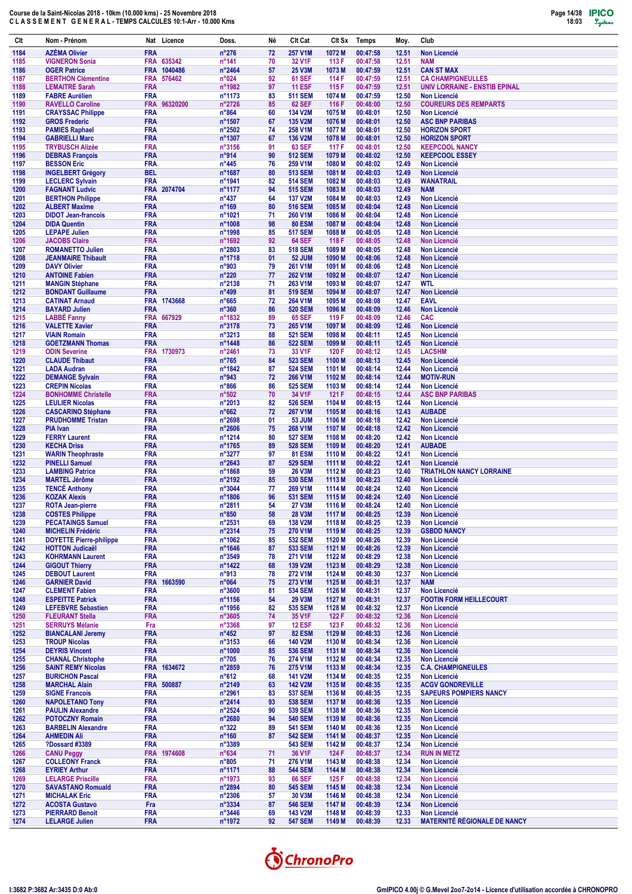

| Clt          | Nom - Prénom                                               | Nat Licence                        | Doss.                             | Né       | Clt Cat                          | Clt Sx            | Temps                | Moy.           | Club                                                      |
|--------------|------------------------------------------------------------|------------------------------------|-----------------------------------|----------|----------------------------------|-------------------|----------------------|----------------|-----------------------------------------------------------|
| 1184         | <b>AZÉMA Olivier</b>                                       | <b>FRA</b>                         | $n^{\circ}276$                    | 72       | <b>257 V1M</b>                   | 1072 M            | 00:47:58             | 12.51          | <b>Non Licencié</b>                                       |
| 1185         | <b>VIGNERON Sonia</b>                                      | FRA 635342                         | $n^{\circ}$ 141                   | 70       | 32 V1F                           | 113 F             | 00:47:58             | 12.51          | <b>NAM</b>                                                |
| 1186         | <b>OGER Patrice</b>                                        | FRA 1040486                        | n°2464                            | 57       | 25 V3M                           | 1073 M            | 00:47:59             | 12.51          | <b>CAN ST MAX</b>                                         |
| 1187<br>1188 | <b>BERTHON Clémentine</b><br><b>LEMAITRE Sarah</b>         | <b>FRA</b><br>576462<br><b>FRA</b> | n°024<br>n°1982                   | 92<br>97 | <b>61 SEF</b><br><b>11 ESF</b>   | 114 F<br>115F     | 00:47:59<br>00:47:59 | 12.51<br>12.51 | <b>CA CHAMPIGNEULLES</b><br>UNIV LORRAINE - ENSTIB EPINAL |
| 1189         | <b>FABRE Aurélien</b>                                      | <b>FRA</b>                         | n°1173                            | 83       | <b>511 SEM</b>                   | 1074 M            | 00:47:59             | 12.50          | <b>Non Licencié</b>                                       |
| 1190         | <b>RAVELLO Caroline</b>                                    | FRA 96320200                       | n°2726                            | 85       | <b>62 SEF</b>                    | 116 F             | 00:48:00             | 12.50          | <b>COUREURS DES REMPARTS</b>                              |
| 1191         | <b>CRAYSSAC Philippe</b>                                   | <b>FRA</b>                         | $n^{\circ}864$                    | 60       | <b>134 V2M</b>                   | 1075 M            | 00:48:01             | 12.50          | <b>Non Licencié</b>                                       |
| 1192         | <b>GROS Frederic</b>                                       | <b>FRA</b>                         | n°1507                            | 67       | <b>135 V2M</b>                   | 1076 M            | 00:48:01             | 12.50          | <b>ASC BNP PARIBAS</b>                                    |
| 1193<br>1194 | <b>PAMIES Raphael</b><br><b>GABRIELLI Marc</b>             | <b>FRA</b><br><b>FRA</b>           | n°2502<br>n°1307                  | 74<br>67 | 258 V1M<br><b>136 V2M</b>        | 1077 M<br>1078 M  | 00:48:01<br>00:48:01 | 12.50<br>12.50 | <b>HORIZON SPORT</b><br><b>HORIZON SPORT</b>              |
| 1195         | <b>TRYBUSCH Alizée</b>                                     | <b>FRA</b>                         | n°3156                            | 91       | <b>63 SEF</b>                    | 117 F             | 00:48:01             | 12.50          | <b>KEEPCOOL NANCY</b>                                     |
| 1196         | <b>DEBRAS François</b>                                     | <b>FRA</b>                         | n°914                             | 90       | <b>512 SEM</b>                   | 1079 M            | 00:48:02             | 12.50          | <b>KEEPCOOL ESSEY</b>                                     |
| 1197         | <b>BESSON Eric</b>                                         | <b>FRA</b>                         | $n^{\circ}445$                    | 76       | 259 V1M                          | 1080 M            | 00:48:02             | 12.49          | <b>Non Licencié</b>                                       |
| 1198         | <b>INGELBERT Grégory</b>                                   | <b>BEL</b>                         | n°1687                            | 80       | <b>513 SEM</b>                   | 1081 M            | 00:48:03             | 12.49          | <b>Non Licencié</b>                                       |
| 1199<br>1200 | <b>LECLERC Sylvain</b><br><b>FAGNANT Ludvic</b>            | <b>FRA</b><br>FRA 2074704          | n°1941<br>n°1177                  | 82<br>94 | <b>514 SEM</b><br><b>515 SEM</b> | 1082 M<br>1083 M  | 00:48:03<br>00:48:03 | 12.49<br>12.49 | <b>WANATRAIL</b><br><b>NAM</b>                            |
| 1201         | <b>BERTHON Philippe</b>                                    | <b>FRA</b>                         | $n^{\circ}437$                    | 64       | <b>137 V2M</b>                   | 1084 M            | 00:48:03             | 12.49          | <b>Non Licencié</b>                                       |
| 1202         | <b>ALBERT Maxime</b>                                       | <b>FRA</b>                         | $n^{\circ}169$                    | 80       | <b>516 SEM</b>                   | 1085 M            | 00:48:04             | 12.48          | <b>Non Licencié</b>                                       |
| 1203         | <b>DIDOT Jean-francois</b>                                 | <b>FRA</b>                         | n°1021                            | 71       | 260 V1M                          | 1086 M            | 00:48:04             | 12.48          | Non Licencié                                              |
| 1204         | <b>DIDA Quentin</b>                                        | <b>FRA</b>                         | n°1008                            | 98       | <b>80 ESM</b>                    | 1087 M            | 00:48:04             | 12.48          | <b>Non Licencié</b>                                       |
| 1205<br>1206 | <b>LEPAPE Julien</b><br><b>JACOBS Claire</b>               | <b>FRA</b><br><b>FRA</b>           | n°1998<br>n°1692                  | 85<br>92 | <b>517 SEM</b><br><b>64 SEF</b>  | 1088 M<br>118 F   | 00:48:05<br>00:48:05 | 12.48<br>12.48 | <b>Non Licencié</b><br><b>Non Licencié</b>                |
| 1207         | <b>ROMANETTO Julien</b>                                    | <b>FRA</b>                         | n°2803                            | 83       | <b>518 SEM</b>                   | 1089 M            | 00:48:05             | 12.48          | <b>Non Licencié</b>                                       |
| 1208         | <b>JEANMAIRE Thibault</b>                                  | <b>FRA</b>                         | n°1718                            | 01       | <b>52 JUM</b>                    | 1090 M            | 00:48:06             | 12.48          | <b>Non Licencié</b>                                       |
| 1209         | <b>DAVY Olivier</b>                                        | <b>FRA</b>                         | n°903                             | 79       | 261 V1M                          | 1091 M            | 00:48:06             | 12.48          | <b>Non Licencié</b>                                       |
| 1210<br>1211 | <b>ANTOINE Fabien</b>                                      | <b>FRA</b><br><b>FRA</b>           | $n^{\circ}220$<br>n°2138          | 77<br>71 | 262 V1M<br>263 V1M               | 1092 M<br>1093 M  | 00:48:07<br>00:48:07 | 12.47<br>12.47 | Non Licencié<br><b>WTL</b>                                |
| 1212         | <b>MANGIN Stéphane</b><br><b>BONDANT Guillaume</b>         | <b>FRA</b>                         | $n^{\circ}499$                    | 81       | <b>519 SEM</b>                   | 1094 M            | 00:48:07             | 12.47          | <b>Non Licencié</b>                                       |
| 1213         | <b>CATINAT Arnaud</b>                                      | FRA 1743668                        | $n^{\circ}665$                    | 72       | 264 V1M                          | 1095 <sub>M</sub> | 00:48:08             | 12.47          | <b>EAVL</b>                                               |
| 1214         | <b>BAYARD Julien</b>                                       | <b>FRA</b>                         | n°360                             | 86       | <b>520 SEM</b>                   | 1096 M            | 00:48:09             | 12.46          | <b>Non Licencié</b>                                       |
| 1215         | <b>LABBÉ Fanny</b>                                         | FRA 667929                         | n°1832                            | 89       | <b>65 SEF</b>                    | 119 F             | 00:48:09             | 12.46          | <b>CAC</b>                                                |
| 1216<br>1217 | <b>VALETTE Xavier</b><br><b>VIAIN Romain</b>               | <b>FRA</b><br><b>FRA</b>           | n°3178<br>n°3213                  | 73<br>88 | 265 V1M<br><b>521 SEM</b>        | 1097 M<br>1098 M  | 00:48:09<br>00:48:11 | 12.46<br>12.45 | Non Licencié<br><b>Non Licencié</b>                       |
| 1218         | <b>GOETZMANN Thomas</b>                                    | <b>FRA</b>                         | n°1448                            | 86       | <b>522 SEM</b>                   | 1099 M            | 00:48:11             | 12.45          | Non Licencié                                              |
| 1219         | <b>ODIN Severine</b>                                       | <b>FRA</b><br>1730973              | n°2461                            | 73       | 33 V1F                           | 120 F             | 00:48:12             | 12.45          | <b>LACSHM</b>                                             |
| 1220         | <b>CLAUDE Thibaut</b>                                      | <b>FRA</b>                         | $n^{\circ}765$                    | 84       | <b>523 SEM</b>                   | 1100 M            | 00:48:13             | 12.45          | <b>Non Licencié</b>                                       |
| 1221         | <b>LADA Audran</b>                                         | <b>FRA</b>                         | n°1842                            | 87       | <b>524 SEM</b>                   | 1101 M            | 00:48:14             | 12.44          | <b>Non Licencié</b>                                       |
| 1222         | <b>DEMANGE Sylvain</b>                                     | <b>FRA</b><br><b>FRA</b>           | n°943                             | 72<br>86 | 266 V1M<br><b>525 SEM</b>        | 1102 M<br>1103 M  | 00:48:14<br>00:48:14 | 12.44<br>12.44 | <b>MOTIV-RUN</b><br><b>Non Licencié</b>                   |
| 1223<br>1224 | <b>CREPIN Nicolas</b><br><b>BONHOMME Christelle</b>        | <b>FRA</b>                         | $n^{\circ}866$<br>$n^{\circ}502$  | 70       | 34 V1F                           | 121 F             | 00:48:15             | 12.44          | <b>ASC BNP PARIBAS</b>                                    |
| 1225         | <b>LEULIER Nicolas</b>                                     | <b>FRA</b>                         | n°2013                            | 82       | <b>526 SEM</b>                   | 1104 M            | 00:48:15             | 12.44          | Non Licencié                                              |
| 1226         | <b>CASCARINO Stéphane</b>                                  | <b>FRA</b>                         | $n^{\circ}662$                    | 72       | 267 V1M                          | 1105 M            | 00:48:16             | 12.43          | <b>AUBADE</b>                                             |
| 1227         | <b>PRUDHOMME Tristan</b>                                   | <b>FRA</b>                         | n°2698                            | 01       | <b>53 JUM</b>                    | 1106 M            | 00:48:18             | 12.42          | <b>Non Licencié</b>                                       |
| 1228<br>1229 | <b>PIA Ivan</b><br><b>FERRY Laurent</b>                    | <b>FRA</b><br><b>FRA</b>           | n°2606<br>n°1214                  | 75<br>80 | 268 V1M<br><b>527 SEM</b>        | 1107 M<br>1108 M  | 00:48:18<br>00:48:20 | 12.42<br>12.42 | <b>Non Licencié</b><br><b>Non Licencié</b>                |
| 1230         | <b>KECHA Driss</b>                                         | <b>FRA</b>                         | n°1765                            | 89       | <b>528 SEM</b>                   | 1109 M            | 00:48:20             | 12.41          | <b>AUBADE</b>                                             |
| 1231         | <b>WARIN Theophraste</b>                                   | <b>FRA</b>                         | n°3277                            | 97       | 81 ESM                           | 1110 M            | 00:48:22             | 12.41          | Non Licencié                                              |
| 1232         | <b>PINELLI Samuel</b>                                      | <b>FRA</b>                         | $n^{\circ}2643$                   | 87       | <b>529 SEM</b>                   | 1111 M            | 00:48:22             | 12.41          | Non Licencié                                              |
| 1233         | <b>LAMBING Patrice</b>                                     | <b>FRA</b>                         | n°1868                            | 59       | <b>26 V3M</b>                    | 1112 M            | 00:48:23             | 12.40          | <b>TRIATHLON NANCY LORRAINE</b>                           |
| 1234<br>1235 | <b>MARTEL Jérôme</b><br><b>TENCE Anthony</b>               | <b>FRA</b><br><b>FRA</b>           | n°2192<br>n°3044                  | 85<br>77 | <b>530 SEM</b><br>269 V1M        | 1113 M<br>1114 M  | 00:48:23<br>00:48:24 | 12.40<br>12.40 | Non Licencié<br><b>Non Licencié</b>                       |
| 1236         | <b>KOZAK Alexis</b>                                        | <b>FRA</b>                         | n°1806                            | 96       | <b>531 SEM</b>                   | 1115 M            | 00:48:24             | 12.40          | <b>Non Licencié</b>                                       |
| 1237         | <b>ROTA Jean-pierre</b>                                    | <b>FRA</b>                         | n°2811                            | 54       | <b>27 V3M</b>                    | 1116 M            | 00:48:24             | 12.40          | Non Licencié                                              |
| 1238         | <b>COSTES Philippe</b>                                     | <b>FRA</b>                         | $n^{\circ}850$                    | 58       | 28 V3M                           | 1117 M            | 00:48:25             | 12.39          | Non Licencié                                              |
| 1239         | <b>PECATAINGS Samuel</b>                                   | <b>FRA</b>                         | n°2531                            | 69       | 138 V2M                          | 1118 M            | 00:48:25             | 12.39          | <b>Non Licencié</b>                                       |
| 1240<br>1241 | <b>MICHELIN Frédéric</b><br><b>DOYETTE Pierre-philippe</b> | <b>FRA</b><br><b>FRA</b>           | n°2314<br>n°1062                  | 75<br>85 | 270 V1M<br><b>532 SEM</b>        | 1119 M<br>1120 M  | 00:48:25<br>00:48:26 | 12.39<br>12.39 | <b>GSBDD NANCY</b><br>Non Licencié                        |
| 1242         | <b>HOTTON Judicaël</b>                                     | <b>FRA</b>                         | $n^{\circ}$ 1646                  | 87       | <b>533 SEM</b>                   | 1121 M            | 00:48:26             | 12.39          | <b>Non Licencié</b>                                       |
| 1243         | <b>KOHRMANN Laurent</b>                                    | <b>FRA</b>                         | n°3549                            | 78       | 271 V1M                          | 1122 M            | 00:48:29             | 12.38          | <b>Non Licencié</b>                                       |
| 1244         | <b>GIGOUT Thierry</b>                                      | <b>FRA</b>                         | n°1422                            | 68       | 139 V2M                          | 1123 M            | 00:48:29             | 12.38          | Non Licencié                                              |
| 1245<br>1246 | <b>DEBOUT Laurent</b><br><b>GARNIER David</b>              | <b>FRA</b><br>FRA 1663590          | $n^{\circ}913$<br>n°064           | 78<br>75 | 272 V1M<br>273 V1M               | 1124 M<br>1125 M  | 00:48:30<br>00:48:31 | 12.37<br>12.37 | <b>Non Licencié</b><br><b>NAM</b>                         |
| 1247         | <b>CLEMENT Fabien</b>                                      | <b>FRA</b>                         | n°3600                            | 81       | <b>534 SEM</b>                   | 1126 M            | 00:48:31             | 12.37          | Non Licencié                                              |
| 1248         | <b>ESPEITTE Patrick</b>                                    | <b>FRA</b>                         | n°1156                            | 54       | 29 V3M                           | 1127 M            | 00:48:31             | 12.37          | <b>FOOTIN FORM HEILLECOURT</b>                            |
| 1249         | <b>LEFEBVRE Sebastien</b>                                  | <b>FRA</b>                         | n°1956                            | 82       | <b>535 SEM</b>                   | 1128 M            | 00:48:32             | 12.37          | <b>Non Licencié</b>                                       |
| 1250         | <b>FLEURANT Stella</b>                                     | <b>FRA</b>                         | n°3605                            | 74       | 35 V1F                           | 122 F             | 00:48:32             | 12.36          | Non Licencié                                              |
| 1251<br>1252 | <b>SERRUYS Mélanie</b><br><b>BIANCALANI Jeremv</b>         | Fra<br><b>FRA</b>                  | n°3368<br>$n^{\circ}452$          | 97<br>97 | <b>12 ESF</b><br><b>82 ESM</b>   | 123 F<br>1129 M   | 00:48:32<br>00:48:33 | 12.36<br>12.36 | Non Licencié<br>Non Licencié                              |
| 1253         | <b>TROUP Nicolas</b>                                       | <b>FRA</b>                         | n°3153                            | 66       | 140 V2M                          | 1130 M            | 00:48:34             | 12.36          | <b>Non Licencié</b>                                       |
| 1254         | <b>DEYRIS Vincent</b>                                      | <b>FRA</b>                         | n°1000                            | 85       | <b>536 SEM</b>                   | 1131 M            | 00:48:34             | 12.36          | Non Licencié                                              |
| 1255         | <b>CHANAL Christophe</b>                                   | <b>FRA</b>                         | $n^{\circ}705$                    | 76       | 274 V1M                          | 1132 M            | 00:48:34             | 12.35          | <b>Non Licencié</b>                                       |
| 1256         | <b>SAINT REMY Nicolas</b>                                  | FRA 1634672                        | n°2859                            | 76       | 275 V1M                          | 1133 M            | 00:48:34             | 12.35          | <b>C.A. CHAMPIGNEULES</b>                                 |
| 1257<br>1258 | <b>BURICHON Pascal</b><br><b>MARCHAL Alain</b>             | <b>FRA</b><br>FRA 500887           | $n^{\circ}612$<br>$n^{\circ}2149$ | 68<br>63 | <b>141 V2M</b><br><b>142 V2M</b> | 1134 M<br>1135 M  | 00:48:35<br>00:48:35 | 12.35<br>12.35 | <b>Non Licencié</b><br><b>ACGV GONDREVILLE</b>            |
| 1259         | <b>SIGNE Francois</b>                                      | <b>FRA</b>                         | n°2961                            | 83       | <b>537 SEM</b>                   | 1136 M            | 00:48:35             | 12.35          | <b>SAPEURS POMPIERS NANCY</b>                             |
| 1260         | <b>NAPOLETANO Tony</b>                                     | <b>FRA</b>                         | n°2414                            | 93       | <b>538 SEM</b>                   | 1137 M            | 00:48:36             | 12.35          | Non Licencié                                              |
| 1261         | <b>PAULIN Alexandre</b>                                    | <b>FRA</b>                         | n°2524                            | 90       | <b>539 SEM</b>                   | 1138 M            | 00:48:36             | 12.35          | <b>Non Licencié</b>                                       |
| 1262         | <b>POTOCZNY Romain</b>                                     | <b>FRA</b>                         | n°2680                            | 94       | <b>540 SEM</b>                   | 1139 M            | 00:48:36             | 12.35          | Non Licencié                                              |
| 1263<br>1264 | <b>BARBELIN Alexandre</b><br><b>AHMEDIN Ali</b>            | <b>FRA</b><br><b>FRA</b>           | $n^{\circ}322$<br>$n^{\circ}160$  | 89<br>87 | <b>541 SEM</b><br><b>542 SEM</b> | 1140 M<br>1141 M  | 00:48:36<br>00:48:37 | 12.35<br>12.35 | <b>Non Licencié</b><br>Non Licencié                       |
| 1265         | <b>?Dossard #3389</b>                                      | <b>FRA</b>                         | n°3389                            |          | <b>543 SEM</b>                   | 1142 M            | 00:48:37             | 12.34          | Non Licencié                                              |
| 1266         | <b>CANU Peggy</b>                                          | FRA 1974608                        | $n^{\circ}634$                    | 71       | 36 V1F                           | 124 F             | 00:48:37             | 12.34          | <b>RUN IN METZ</b>                                        |
| 1267         | <b>COLLEONY Franck</b>                                     | <b>FRA</b>                         | $n^{\circ}805$                    | 71       | 276 V1M                          | 1143 M            | 00:48:38             | 12.34          | Non Licencié                                              |
| 1268         | <b>EYRIEY Arthur</b>                                       | <b>FRA</b>                         | n°1171                            | 88       | <b>544 SEM</b>                   | 1144 M            | 00:48:38             | 12.34          | Non Licencié                                              |
| 1269<br>1270 | <b>LELARGE Priscille</b><br><b>SAVASTANO Romuald</b>       | <b>FRA</b><br><b>FRA</b>           | n°1973<br>n°2894                  | 93<br>80 | <b>66 SEF</b><br><b>545 SEM</b>  | 125 F<br>1145 M   | 00:48:38<br>00:48:38 | 12.34<br>12.34 | Non Licencié<br><b>Non Licencié</b>                       |
| 1271         | <b>MICHALAK Eric</b>                                       | <b>FRA</b>                         | $n^{\circ}2306$                   | 57       | 30 V3M                           | 1146 M            | 00:48:38             | 12.34          | Non Licencié                                              |
| 1272         | <b>ACOSTA Gustavo</b>                                      | Fra                                | n°3334                            | 87       | <b>546 SEM</b>                   | 1147 M            | 00:48:39             | 12.34          | Non Licencié                                              |
| 1273         | <b>PIERRARD Benoit</b>                                     | <b>FRA</b>                         | $n^{\circ}3446$                   | 69       | 143 V2M                          | 1148 M            | 00:48:39             | 12.33          | Non Licencié                                              |
| 1274         | <b>LELARGE Julien</b>                                      | <b>FRA</b>                         | n°1972                            | 92       | <b>547 SEM</b>                   | 1149 M            | 00:48:39             | 12.33          | <b>MATERNITÉ RÉGIONALE DE NANCY</b>                       |

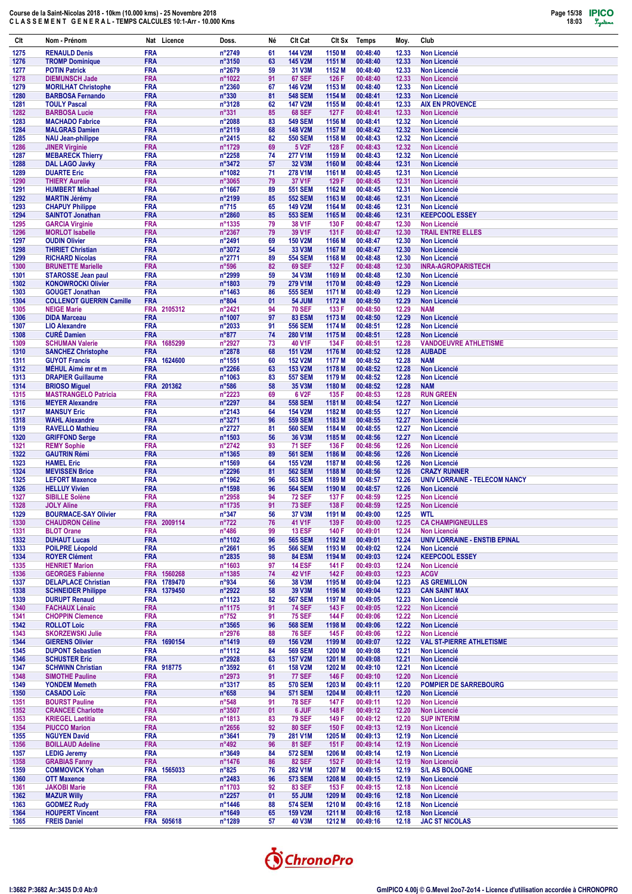

| Clt          | Nom - Prénom                                           | Nat Licence               | Doss.                               | Né       | Clt Cat                              | CIt Sx           | <b>Temps</b>         | Moy.           | Club                                            |
|--------------|--------------------------------------------------------|---------------------------|-------------------------------------|----------|--------------------------------------|------------------|----------------------|----------------|-------------------------------------------------|
| 1275         | <b>RENAULD Denis</b>                                   | <b>FRA</b>                | n°2749                              | 61       | 144 V2M                              | 1150 M           | 00:48:40             | 12.33          | <b>Non Licencié</b>                             |
| 1276         | <b>TROMP Dominique</b>                                 | <b>FRA</b>                | n°3150                              | 63       | 145 V2M                              | 1151 M           | 00:48:40             | 12.33          | <b>Non Licencié</b>                             |
| 1277<br>1278 | <b>POTIN Patrick</b><br><b>DIEMUNSCH Jade</b>          | <b>FRA</b><br><b>FRA</b>  | n°2679<br>n°1022                    | 59<br>91 | 31 V3M<br><b>67 SEF</b>              | 1152 M<br>126 F  | 00:48:40<br>00:48:40 | 12.33<br>12.33 | <b>Non Licencié</b><br><b>Non Licencié</b>      |
| 1279         | <b>MORILHAT Christophe</b>                             | <b>FRA</b>                | n°2360                              | 67       | <b>146 V2M</b>                       | 1153 M           | 00:48:40             | 12.33          | <b>Non Licencié</b>                             |
| 1280         | <b>BARBOSA Fernando</b>                                | <b>FRA</b>                | n°330                               | 81       | <b>548 SEM</b>                       | 1154 M           | 00:48:41             | 12.33          | <b>Non Licencié</b>                             |
| 1281<br>1282 | <b>TOULY Pascal</b><br><b>BARBOSA Lucie</b>            | <b>FRA</b><br><b>FRA</b>  | n°3128<br>$n^{\circ}331$            | 62<br>85 | <b>147 V2M</b><br><b>68 SEF</b>      | 1155 M<br>127 F  | 00:48:41<br>00:48:41 | 12.33<br>12.33 | <b>AIX EN PROVENCE</b><br><b>Non Licencié</b>   |
| 1283         | <b>MACHADO Fabrice</b>                                 | <b>FRA</b>                | n°2088                              | 83       | <b>549 SEM</b>                       | 1156 M           | 00:48:41             | 12.32          | <b>Non Licencié</b>                             |
| 1284         | <b>MALGRAS Damien</b>                                  | <b>FRA</b>                | n°2119                              | 68       | 148 V2M                              | 1157 M           | 00:48:42             | 12.32          | <b>Non Licencié</b>                             |
| 1285<br>1286 | <b>NAU Jean-philippe</b><br><b>JINER Virginie</b>      | <b>FRA</b><br><b>FRA</b>  | n°2415<br>n°1729                    | 82<br>69 | <b>550 SEM</b><br>5 V <sub>2</sub> F | 1158 M<br>128 F  | 00:48:43<br>00:48:43 | 12.32<br>12.32 | <b>Non Licencié</b><br><b>Non Licencié</b>      |
| 1287         | <b>MEBARECK Thierry</b>                                | <b>FRA</b>                | n°2258                              | 74       | 277 V1M                              | 1159 M           | 00:48:43             | 12.32          | <b>Non Licencié</b>                             |
| 1288         | <b>DAL LAGO Javky</b>                                  | <b>FRA</b>                | n°3472                              | 57       | 32 V3M                               | 1160 M           | 00:48:44             | 12.31          | <b>Non Licencié</b>                             |
| 1289<br>1290 | <b>DUARTE Eric</b><br><b>THIERY Aurelie</b>            | <b>FRA</b><br><b>FRA</b>  | n°1082<br>n°3065                    | 71<br>79 | 278 V1M<br>37 V1F                    | 1161 M<br>129 F  | 00:48:45<br>00:48:45 | 12.31<br>12.31 | <b>Non Licencié</b><br><b>Non Licencié</b>      |
| 1291         | <b>HUMBERT Michael</b>                                 | <b>FRA</b>                | n°1667                              | 89       | <b>551 SEM</b>                       | 1162 M           | 00:48:45             | 12.31          | <b>Non Licencié</b>                             |
| 1292         | <b>MARTIN Jérémy</b>                                   | <b>FRA</b>                | n°2199                              | 85       | <b>552 SEM</b>                       | 1163 M           | 00:48:46             | 12.31          | <b>Non Licencié</b>                             |
| 1293<br>1294 | <b>CHAPUY Philippe</b><br><b>SAINTOT Jonathan</b>      | <b>FRA</b><br><b>FRA</b>  | $n^{\circ}715$<br>n°2860            | 65<br>85 | 149 V2M<br><b>553 SEM</b>            | 1164 M<br>1165 M | 00:48:46<br>00:48:46 | 12.31<br>12.31 | <b>Non Licencié</b><br><b>KEEPCOOL ESSEY</b>    |
| 1295         | <b>GARCIA Virginie</b>                                 | <b>FRA</b>                | n°1335                              | 79       | 38 V1F                               | 130 F            | 00:48:47             | 12.30          | <b>Non Licencié</b>                             |
| 1296         | <b>MORLOT Isabelle</b>                                 | <b>FRA</b>                | n°2367                              | 79       | 39 V1F                               | 131 F            | 00:48:47             | 12.30          | <b>TRAIL ENTRE ELLES</b>                        |
| 1297<br>1298 | <b>OUDIN Olivier</b><br><b>THIRIET Christian</b>       | <b>FRA</b><br><b>FRA</b>  | n°2491<br>n°3072                    | 69<br>54 | <b>150 V2M</b><br>33 V3M             | 1166 M<br>1167 M | 00:48:47<br>00:48:47 | 12.30<br>12.30 | <b>Non Licencié</b><br><b>Non Licencié</b>      |
| 1299         | <b>RICHARD Nicolas</b>                                 | <b>FRA</b>                | $n^{\circ}2771$                     | 89       | <b>554 SEM</b>                       | 1168 M           | 00:48:48             | 12.30          | <b>Non Licencié</b>                             |
| 1300         | <b>BRUNETTE Marielle</b>                               | <b>FRA</b>                | $n^{\circ}596$                      | 82       | <b>69 SEF</b>                        | 132 F            | 00:48:48             | 12.30          | <b>INRA-AGROPARISTECH</b>                       |
| 1301<br>1302 | <b>STAROSSE Jean paul</b><br><b>KONOWROCKI Olivier</b> | <b>FRA</b><br><b>FRA</b>  | n°2999<br>n°1803                    | 59<br>79 | 34 V3M<br>279 V1M                    | 1169 M<br>1170 M | 00:48:48<br>00:48:49 | 12.30<br>12.29 | <b>Non Licencié</b><br><b>Non Licencié</b>      |
| 1303         | <b>GOUGET Jonathan</b>                                 | <b>FRA</b>                | n°1463                              | 86       | <b>555 SEM</b>                       | 1171 M           | 00:48:49             | 12.29          | <b>Non Licencié</b>                             |
| 1304         | <b>COLLENOT GUERRIN Camille</b>                        | <b>FRA</b>                | n°804                               | 01       | <b>54 JUM</b>                        | 1172 M           | 00:48:50             | 12.29          | Non Licencié                                    |
| 1305         | <b>NEIGE Marie</b><br><b>DIDA Marceau</b>              | FRA 2105312               | n°2421                              | 94       | <b>70 SEF</b>                        | 133 F            | 00:48:50             | 12.29          | <b>NAM</b>                                      |
| 1306<br>1307 | <b>LIO Alexandre</b>                                   | <b>FRA</b><br><b>FRA</b>  | n°1007<br>n°2033                    | 97<br>91 | <b>83 ESM</b><br><b>556 SEM</b>      | 1173 M<br>1174 M | 00:48:50<br>00:48:51 | 12.29<br>12.28 | <b>Non Licencié</b><br><b>Non Licencié</b>      |
| 1308         | <b>CURÉ Damien</b>                                     | <b>FRA</b>                | $n^{\circ}877$                      | 74       | 280 V1M                              | 1175 M           | 00:48:51             | 12.28          | <b>Non Licencié</b>                             |
| 1309         | <b>SCHUMAN Valerie</b>                                 | <b>FRA</b><br>1685299     | n°2927                              | 73       | 40 V1F                               | 134 F            | 00:48:51             | 12.28          | <b>VANDOEUVRE ATHLETISME</b>                    |
| 1310<br>1311 | <b>SANCHEZ Christophe</b><br><b>GUYOT Francis</b>      | <b>FRA</b><br>FRA 1624600 | n°2878<br>n°1551                    | 68<br>60 | <b>151 V2M</b><br><b>152 V2M</b>     | 1176 M<br>1177 M | 00:48:52<br>00:48:52 | 12.28<br>12.28 | <b>AUBADE</b><br><b>NAM</b>                     |
| 1312         | MÊHUL Aimé mr et m                                     | <b>FRA</b>                | n°2266                              | 63       | 153 V2M                              | 1178 M           | 00:48:52             | 12.28          | <b>Non Licencié</b>                             |
| 1313         | <b>DRAPIER Guillaume</b>                               | <b>FRA</b>                | n°1063                              | 83       | <b>557 SEM</b>                       | 1179 M           | 00:48:52             | 12.28          | <b>Non Licencié</b>                             |
| 1314<br>1315 | <b>BRIOSO Miguel</b><br><b>MASTRANGELO Patricia</b>    | FRA 201362<br><b>FRA</b>  | $n^{\circ}586$<br>n°2223            | 58<br>69 | 35 V3M<br>6 V <sub>2</sub> F         | 1180 M<br>135 F  | 00:48:52<br>00:48:53 | 12.28<br>12.28 | <b>NAM</b><br><b>RUN GREEN</b>                  |
| 1316         | <b>MEYER Alexandre</b>                                 | <b>FRA</b>                | n°2297                              | 84       | <b>558 SEM</b>                       | 1181 M           | 00:48:54             | 12.27          | <b>Non Licencié</b>                             |
| 1317         | <b>MANSUY Eric</b>                                     | <b>FRA</b>                | n°2143                              | 64       | <b>154 V2M</b>                       | 1182 M           | 00:48:55             | 12.27          | <b>Non Licencié</b>                             |
| 1318<br>1319 | <b>WAHL Alexandre</b><br><b>RAVELLO Mathieu</b>        | <b>FRA</b><br><b>FRA</b>  | n°3271<br>n°2727                    | 96<br>81 | <b>559 SEM</b><br><b>560 SEM</b>     | 1183 M<br>1184 M | 00:48:55<br>00:48:55 | 12.27<br>12.27 | <b>Non Licencié</b><br><b>Non Licencié</b>      |
| 1320         | <b>GRIFFOND Serge</b>                                  | <b>FRA</b>                | n°1503                              | 56       | 36 V3M                               | 1185 M           | 00:48:56             | 12.27          | <b>Non Licencié</b>                             |
| 1321         | <b>REMY Sophie</b>                                     | <b>FRA</b>                | n°2742                              | 93       | <b>71 SEF</b>                        | 136 F            | 00:48:56             | 12.26          | <b>Non Licencié</b>                             |
| 1322<br>1323 | <b>GAUTRIN Rémi</b><br><b>HAMEL Eric</b>               | <b>FRA</b><br><b>FRA</b>  | n°1365<br>n°1569                    | 89<br>64 | <b>561 SEM</b><br><b>155 V2M</b>     | 1186 M<br>1187 M | 00:48:56<br>00:48:56 | 12.26<br>12.26 | <b>Non Licencié</b><br><b>Non Licencié</b>      |
| 1324         | <b>MEVISSEN Brice</b>                                  | <b>FRA</b>                | n°2296                              | 81       | <b>562 SEM</b>                       | 1188 M           | 00:48:56             | 12.26          | <b>CRAZY RUNNER</b>                             |
| 1325         | <b>LEFORT Maxence</b>                                  | <b>FRA</b>                | n°1962                              | 96       | <b>563 SEM</b>                       | 1189 M           | 00:48:57             | 12.26          | <b>UNIV LORRAINE - TELECOM NANCY</b>            |
| 1326<br>1327 | <b>HELLUY Vivien</b><br><b>SIBILLE Solène</b>          | <b>FRA</b><br><b>FRA</b>  | n°1598<br>n°2958                    | 96<br>94 | <b>564 SEM</b><br><b>72 SEF</b>      | 1190 M<br>137 F  | 00:48:57<br>00:48:59 | 12.26<br>12.25 | <b>Non Licencié</b><br><b>Non Licencié</b>      |
| 1328         | <b>JOLY Aline</b>                                      | <b>FRA</b>                | n°1735                              | 91       | <b>73 SEF</b>                        | 138 F            | 00:48:59             | 12.25          | <b>Non Licencié</b>                             |
| 1329         | <b>BOURMACE-SAY Olivier</b>                            | <b>FRA</b>                | $n^{\circ}347$                      | 56       | 37 V3M                               | 1191 M           | 00:49:00             | 12.25          | <b>WTL</b>                                      |
| 1330<br>1331 | <b>CHAUDRON Céline</b><br><b>BLOT Orane</b>            | FRA 2009114<br><b>FRA</b> | $n^{\circ}722$<br>$n^{\circ}486$    | 76<br>99 | 41 V1F<br><b>13 ESF</b>              | 139 F<br>140 F   | 00:49:00<br>00:49:01 | 12.25<br>12.24 | <b>CA CHAMPIGNEULLES</b><br><b>Non Licencié</b> |
| 1332         | <b>DUHAUT Lucas</b>                                    | <b>FRA</b>                | n°1102                              | 96       | <b>565 SEM</b>                       | 1192 M           | 00:49:01             | 12.24          | UNIV LORRAINE - ENSTIB EPINAL                   |
| 1333         | <b>POILPRE Léopold</b>                                 | <b>FRA</b>                | $n^{\circ}2661$                     | 95       | <b>566 SEM</b>                       | 1193 M           | 00:49:02             | 12.24          | Non Licencié                                    |
| 1334<br>1335 | <b>ROYER Clément</b><br><b>HENRIET Marion</b>          | <b>FRA</b><br><b>FRA</b>  | $n^{\circ}2835$<br>$n^{\circ}1603$  | 98<br>97 | <b>84 ESM</b><br><b>14 ESF</b>       | 1194 M<br>141 F  | 00:49:03<br>00:49:03 | 12.24<br>12.24 | <b>KEEPCOOL ESSEY</b><br><b>Non Licencié</b>    |
| 1336         | <b>GEORGES Fabienne</b>                                | FRA 1560268               | $n^{\circ}$ 1385                    | 74       | 42 V1F                               | 142 F            | 00:49:03             | 12.23          | <b>ACGV</b>                                     |
| 1337         | <b>DELAPLACE Christian</b>                             | FRA 1789470               | $n^{\circ}934$                      | 56       | 38 V3M                               | 1195 M           | 00:49:04             | 12.23          | <b>AS GREMILLON</b>                             |
| 1338<br>1339 | <b>SCHNEIDER Philippe</b><br><b>DURUPT Renaud</b>      | FRA 1379450<br><b>FRA</b> | $n^{\circ}2922$<br>$n^{\circ}$ 1123 | 58<br>82 | 39 V3M<br><b>567 SEM</b>             | 1196 M<br>1197 M | 00:49:04<br>00:49:05 | 12.23<br>12.23 | <b>CAN SAINT MAX</b><br>Non Licencié            |
| 1340         | <b>FACHAUX Lénaïc</b>                                  | <b>FRA</b>                | $n^{\circ}$ 1175                    | 91       | <b>74 SEF</b>                        | 143 F            | 00:49:05             | 12.22          | Non Licencié                                    |
| 1341         | <b>CHOPPIN Clemence</b>                                | <b>FRA</b>                | $n^{\circ}752$                      | 91       | <b>75 SEF</b>                        | 144 F            | 00:49:06             | 12.22          | <b>Non Licencié</b>                             |
| 1342<br>1343 | <b>ROLLOT Loic</b><br><b>SKORZEWSKI Julie</b>          | <b>FRA</b><br><b>FRA</b>  | $n^{\circ}3565$<br>$n^{\circ}2976$  | 96<br>88 | <b>568 SEM</b><br><b>76 SEF</b>      | 1198 M<br>145 F  | 00:49:06<br>00:49:06 | 12.22<br>12.22 | Non Licencié<br><b>Non Licencié</b>             |
| 1344         | <b>GIERENS Olivier</b>                                 | FRA 1690154               | n°1419                              | 69       | <b>156 V2M</b>                       | 1199 M           | 00:49:07             | 12.22          | <b>VAL ST-PIERRE ATHLETISME</b>                 |
| 1345         | <b>DUPONT Sebastien</b>                                | <b>FRA</b>                | n°1112                              | 84       | <b>569 SEM</b>                       | 1200 M           | 00:49:08             | 12.21          | Non Licencié                                    |
| 1346<br>1347 | <b>SCHUSTER Eric</b><br><b>SCHWINN Christian</b>       | <b>FRA</b><br>FRA 918775  | $n^{\circ}2928$<br>$n^{\circ}3592$  | 63<br>61 | <b>157 V2M</b><br><b>158 V2M</b>     | 1201 M<br>1202 M | 00:49:08<br>00:49:10 | 12.21<br>12.21 | <b>Non Licencié</b><br><b>Non Licencié</b>      |
| 1348         | <b>SIMOTHE Pauline</b>                                 | <b>FRA</b>                | $n^{\circ}2973$                     | 91       | <b>77 SEF</b>                        | 146 F            | 00:49:10             | 12.20          | <b>Non Licencié</b>                             |
| 1349         | <b>YONDEM Memeth</b>                                   | <b>FRA</b>                | $n^{\circ}3317$                     | 85       | <b>570 SEM</b>                       | 1203 M           | 00:49:11             | 12.20          | <b>POMPIER DE SARREBOURG</b>                    |
| 1350<br>1351 | <b>CASADO Loïc</b><br><b>BOURST Pauline</b>            | <b>FRA</b><br><b>FRA</b>  | $n^{\circ}658$<br>$n^{\circ}548$    | 94<br>91 | <b>571 SEM</b><br><b>78 SEF</b>      | 1204 M<br>147 F  | 00:49:11<br>00:49:11 | 12.20<br>12.20 | Non Licencié<br>Non Licencié                    |
| 1352         | <b>CRANCEE Charlotte</b>                               | <b>FRA</b>                | n°3507                              | 01       | 6 JUF                                | 148 F            | 00:49:12             | 12.20          | <b>Non Licencié</b>                             |
| 1353         | <b>KRIEGEL Laetitia</b>                                | <b>FRA</b>                | n°1813                              | 83       | <b>79 SEF</b>                        | 149 F            | 00:49:12             | 12.20          | <b>SUP INTERIM</b>                              |
| 1354<br>1355 | <b>PIUCCO Marion</b><br><b>NGUYEN David</b>            | <b>FRA</b><br><b>FRA</b>  | $n^{\circ}2656$<br>$n^{\circ}3641$  | 92<br>79 | <b>80 SEF</b><br>281 V1M             | 150 F<br>1205 M  | 00:49:13<br>00:49:13 | 12.19<br>12.19 | Non Licencié<br><b>Non Licencié</b>             |
| 1356         | <b>BOILLAUD Adeline</b>                                | <b>FRA</b>                | $n^{\circ}492$                      | 96       | <b>81 SEF</b>                        | 151 F            | 00:49:14             | 12.19          | Non Licencié                                    |
| 1357         | <b>LEDIG Jeremy</b>                                    | <b>FRA</b>                | $n^{\circ}3649$                     | 84       | <b>572 SEM</b>                       | 1206 M           | 00:49:14             | 12.19          | <b>Non Licencié</b>                             |
| 1358<br>1359 | <b>GRABIAS Fanny</b><br><b>COMMOVICK Yohan</b>         | <b>FRA</b><br>FRA 1565033 | $n^{\circ}$ 1476<br>$n^{\circ}825$  | 86<br>76 | <b>82 SEF</b><br>282 V1M             | 152 F<br>1207 M  | 00:49:14<br>00:49:15 | 12.19<br>12.19 | Non Licencié<br><b>S/L AS BOLOGNE</b>           |
| 1360         | <b>OTT Maxence</b>                                     | <b>FRA</b>                | $n^{\circ}$ 2483                    | 96       | <b>573 SEM</b>                       | 1208 M           | 00:49:15             | 12.19          | <b>Non Licencié</b>                             |
| 1361         | <b>JAKOBI Marie</b>                                    | <b>FRA</b>                | n°1703                              | 92       | <b>83 SEF</b>                        | 153 F            | 00:49:15             | 12.18          | Non Licencié                                    |
| 1362<br>1363 | <b>MAZUR Willy</b><br><b>GODMEZ Rudy</b>               | <b>FRA</b><br><b>FRA</b>  | $n^{\circ}2257$<br>$n^{\circ}$ 1446 | 01<br>88 | <b>55 JUM</b><br><b>574 SEM</b>      | 1209 M<br>1210 M | 00:49:16<br>00:49:16 | 12.18<br>12.18 | Non Licencié<br>Non Licencié                    |
| 1364         | <b>HOUPERT Vincent</b>                                 | <b>FRA</b>                | $n^{\circ}1649$                     | 65       | 159 V2M                              | 1211 M           | 00:49:16             | 12.18          | Non Licencié                                    |
| 1365         | <b>FREIS Daniel</b>                                    | FRA 505618                | n°1289                              | 57       | 40 V3M                               | 1212 M           | 00:49:16             | 12.18          | <b>JAC ST NICOLAS</b>                           |

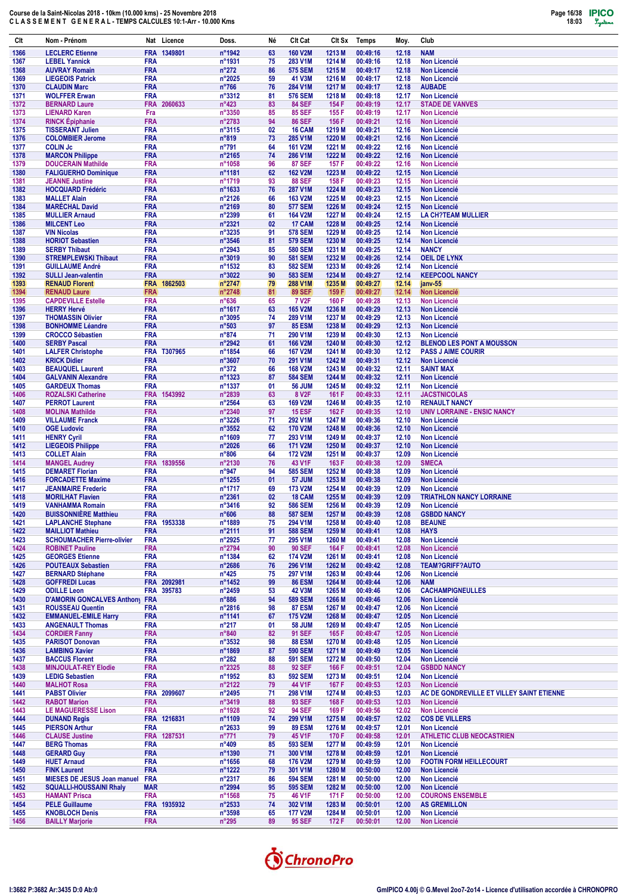

| Clt          | Nom - Prénom                                                 |                          | Nat Licence        | Doss.                               | Né       | Clt Cat                          | CIt Sx           | Temps                | Moy.           | Club                                                             |
|--------------|--------------------------------------------------------------|--------------------------|--------------------|-------------------------------------|----------|----------------------------------|------------------|----------------------|----------------|------------------------------------------------------------------|
| 1366         | <b>LECLERC Etienne</b>                                       |                          | FRA 1349801        | n°1942                              | 63       | <b>160 V2M</b>                   | 1213 M           | 00:49:16             | 12.18          | <b>NAM</b>                                                       |
| 1367         | <b>LEBEL Yannick</b>                                         | <b>FRA</b>               |                    | n°1931                              | 75       | 283 V1M                          | 1214 M           | 00:49:16             | 12.18          | <b>Non Licencié</b>                                              |
| 1368<br>1369 | <b>AUVRAY Romain</b>                                         | <b>FRA</b><br><b>FRA</b> |                    | $n^{\circ}272$<br>n°2025            | 86<br>59 | <b>575 SEM</b><br>41 V3M         | 1215 M<br>1216 M | 00:49:17<br>00:49:17 | 12.18<br>12.18 | <b>Non Licencié</b><br><b>Non Licencié</b>                       |
| 1370         | <b>LIEGEOIS Patrick</b><br><b>CLAUDIN Marc</b>               | FRA                      |                    | $n^{\circ}766$                      | 76       | 284 V1M                          | 1217 M           | 00:49:17             | 12.18          | <b>AUBADE</b>                                                    |
| 1371         | <b>WOLFFER Erwan</b>                                         | FRA                      |                    | n°3312                              | 81       | <b>576 SEM</b>                   | 1218 M           | 00:49:18             | 12.17          | <b>Non Licencié</b>                                              |
| 1372         | <b>BERNARD Laure</b>                                         |                          | FRA 2060633        | $n^{\circ}423$                      | 83       | <b>84 SEF</b>                    | 154 F            | 00:49:19             | 12.17          | <b>STADE DE VANVES</b>                                           |
| 1373<br>1374 | <b>LIENARD Karen</b><br><b>RINCK Épiphanie</b>               | Fra<br><b>FRA</b>        |                    | n°3350<br>n°2783                    | 85<br>94 | <b>85 SEF</b><br><b>86 SEF</b>   | 155 F<br>156 F   | 00:49:19<br>00:49:21 | 12.17<br>12.16 | <b>Non Licencié</b><br><b>Non Licencié</b>                       |
| 1375         | <b>TISSERANT Julien</b>                                      | <b>FRA</b>               |                    | n°3115                              | 02       | 16 CAM                           | 1219 M           | 00:49:21             | 12.16          | <b>Non Licencié</b>                                              |
| 1376         | <b>COLOMBIER Jerome</b>                                      | FRA                      |                    | n°819                               | 73       | 285 V1M                          | 1220 M           | 00:49:21             | 12.16          | <b>Non Licencié</b>                                              |
| 1377         | <b>COLIN Jc</b>                                              | FRA                      |                    | $n^{\circ}791$                      | 64       | <b>161 V2M</b>                   | 1221 M           | 00:49:22             | 12.16          | <b>Non Licencié</b>                                              |
| 1378<br>1379 | <b>MARCON Philippe</b><br><b>DOUCERAIN Mathilde</b>          | <b>FRA</b><br>FRA        |                    | n°2165<br>n°1058                    | 74<br>96 | 286 V1M<br><b>87 SEF</b>         | 1222 M<br>157 F  | 00:49:22<br>00:49:22 | 12.16<br>12.16 | <b>Non Licencié</b><br><b>Non Licencié</b>                       |
| 1380         | <b>FALIGUERHO Dominique</b>                                  | <b>FRA</b>               |                    | n°1181                              | 62       | <b>162 V2M</b>                   | 1223 M           | 00:49:22             | 12.15          | <b>Non Licencié</b>                                              |
| 1381         | <b>JEANNE Justine</b>                                        | FRA                      |                    | n°1719                              | 93       | <b>88 SEF</b>                    | 158 F            | 00:49:23             | 12.15          | <b>Non Licencié</b>                                              |
| 1382         | <b>HOCQUARD Frédéric</b>                                     | <b>FRA</b>               |                    | n°1633                              | 76       | 287 V1M                          | 1224 M           | 00:49:23             | 12.15          | <b>Non Licencié</b>                                              |
| 1383<br>1384 | <b>MALLET Alain</b><br><b>MARÉCHAL David</b>                 | FRA<br><b>FRA</b>        |                    | n°2126<br>n°2169                    | 66<br>80 | 163 V2M<br><b>577 SEM</b>        | 1225 M<br>1226 M | 00:49:23<br>00:49:24 | 12.15<br>12.15 | <b>Non Licencié</b><br><b>Non Licencié</b>                       |
| 1385         | <b>MULLIER Arnaud</b>                                        | <b>FRA</b>               |                    | n°2399                              | 61       | <b>164 V2M</b>                   | 1227 M           | 00:49:24             | 12.15          | <b>LA CH?TEAM MULLIER</b>                                        |
| 1386         | <b>MILCENT Leo</b>                                           | <b>FRA</b>               |                    | n°2321                              | 02       | 17 CAM                           | 1228 M           | 00:49:25             | 12.14          | <b>Non Licencié</b>                                              |
| 1387         | <b>VIN Nicolas</b>                                           | <b>FRA</b>               |                    | n°3235                              | 91       | <b>578 SEM</b>                   | 1229 M           | 00:49:25             | 12.14          | <b>Non Licencié</b>                                              |
| 1388<br>1389 | <b>HORIOT Sebastien</b><br><b>SERBY Thibaut</b>              | <b>FRA</b><br><b>FRA</b> |                    | n°3546<br>$n^{\circ}2943$           | 81<br>85 | <b>579 SEM</b><br><b>580 SEM</b> | 1230 M<br>1231 M | 00:49:25<br>00:49:25 | 12.14<br>12.14 | <b>Non Licencié</b><br><b>NANCY</b>                              |
| 1390         | <b>STREMPLEWSKI Thibaut</b>                                  | <b>FRA</b>               |                    | n°3019                              | 90       | <b>581 SEM</b>                   | 1232 M           | 00:49:26             | 12.14          | <b>OEIL DE LYNX</b>                                              |
| 1391         | <b>GUILLAUME André</b>                                       | FRA                      |                    | n°1532                              | 83       | <b>582 SEM</b>                   | 1233 M           | 00:49:26             | 12.14          | <b>Non Licencié</b>                                              |
| 1392         | <b>SULLI Jean-valentin</b>                                   | <b>FRA</b>               |                    | n°3022                              | 90       | <b>583 SEM</b><br>288 V1M        | 1234 M           | 00:49:27             | 12.14          | <b>KEEPCOOL NANCY</b>                                            |
| 1393<br>1394 | <b>RENAUD Florent</b><br><b>RENAUD Laure</b>                 | <b>FRA</b>               | FRA 1862503        | n°2747<br>n°2748                    | 79<br>81 | <b>89 SEF</b>                    | 1235 M<br>159 F  | 00:49:27<br>00:49:27 | 12.14<br>12.14 | janv-55<br>Non Licencié                                          |
| 1395         | <b>CAPDEVILLE Estelle</b>                                    | <b>FRA</b>               |                    | $n^{\circ}636$                      | 65       | <b>7 V2F</b>                     | 160 F            | 00:49:28             | 12.13          | <b>Non Licencié</b>                                              |
| 1396         | <b>HERRY Hervé</b>                                           | <b>FRA</b>               |                    | n°1617                              | 63       | <b>165 V2M</b>                   | 1236 M           | 00:49:29             | 12.13          | <b>Non Licencié</b>                                              |
| 1397         | <b>THOMASSIN Olivier</b><br><b>BONHOMME Léandre</b>          | <b>FRA</b>               |                    | n°3095                              | 74       | 289 V1M                          | 1237 M           | 00:49:29             | 12.13          | <b>Non Licencié</b>                                              |
| 1398<br>1399 | <b>CROCCO Sébastien</b>                                      | <b>FRA</b><br><b>FRA</b> |                    | $n^{\circ}503$<br>n°874             | 97<br>71 | <b>85 ESM</b><br>290 V1M         | 1238 M<br>1239 M | 00:49:29<br>00:49:30 | 12.13<br>12.13 | <b>Non Licencié</b><br>Non Licencié                              |
| 1400         | <b>SERBY Pascal</b>                                          | <b>FRA</b>               |                    | n°2942                              | 61       | <b>166 V2M</b>                   | 1240 M           | 00:49:30             | 12.12          | <b>BLENOD LES PONT A MOUSSON</b>                                 |
| 1401         | <b>LALFER Christophe</b>                                     |                          | <b>FRA T307965</b> | n°1854                              | 66       | <b>167 V2M</b>                   | 1241 M           | 00:49:30             | 12.12          | <b>PASS J AIME COURIR</b>                                        |
| 1402         | <b>KRICK Didier</b>                                          | <b>FRA</b>               |                    | n°3607                              | 70       | 291 V1M                          | 1242 M           | 00:49:31             | 12.12          | <b>Non Licencié</b>                                              |
| 1403<br>1404 | <b>BEAUQUEL Laurent</b><br><b>GALVANIN Alexandre</b>         | <b>FRA</b><br><b>FRA</b> |                    | $n^{\circ}372$<br>n°1323            | 66<br>87 | <b>168 V2M</b><br><b>584 SEM</b> | 1243 M<br>1244 M | 00:49:32<br>00:49:32 | 12.11<br>12.11 | <b>SAINT MAX</b><br><b>Non Licencié</b>                          |
| 1405         | <b>GARDEUX Thomas</b>                                        | FRA                      |                    | n°1337                              | 01       | <b>56 JUM</b>                    | 1245 M           | 00:49:32             | 12.11          | <b>Non Licencié</b>                                              |
| 1406         | <b>ROZALSKI Catherine</b>                                    |                          | FRA 1543992        | n°2839                              | 63       | 8 V <sub>2</sub> F               | 161 F            | 00:49:33             | 12.11          | <b>JACSTNICOLAS</b>                                              |
| 1407<br>1408 | <b>PERROT Laurent</b><br><b>MOLINA Mathilde</b>              | <b>FRA</b><br><b>FRA</b> |                    | n°2564<br>n°2340                    | 63<br>97 | 169 V2M<br><b>15 ESF</b>         | 1246 M<br>162 F  | 00:49:35<br>00:49:35 | 12.10<br>12.10 | <b>RENAULT NANCY</b><br><b>UNIV LORRAINE - ENSIC NANCY</b>       |
| 1409         | <b>VILLAUME Franck</b>                                       | <b>FRA</b>               |                    | $n^{\circ}3226$                     | 71       | 292 V1M                          | 1247 M           | 00:49:36             | 12.10          | <b>Non Licencié</b>                                              |
| 1410         | <b>OGE Ludovic</b>                                           | <b>FRA</b>               |                    | n°3552                              | 62       | <b>170 V2M</b>                   | 1248 M           | 00:49:36             | 12.10          | <b>Non Licencié</b>                                              |
| 1411         | <b>HENRY Cyril</b>                                           | <b>FRA</b>               |                    | n°1609                              | 77       | 293 V1M                          | 1249 M           | 00:49:37             | 12.10          | Non Licencié                                                     |
| 1412<br>1413 | <b>LIEGEOIS Philippe</b><br><b>COLLET Alain</b>              | <b>FRA</b><br><b>FRA</b> |                    | n°2026<br>$n^{\circ}806$            | 66<br>64 | <b>171 V2M</b><br><b>172 V2M</b> | 1250 M<br>1251 M | 00:49:37<br>00:49:37 | 12.10<br>12.09 | <b>Non Licencié</b><br><b>Non Licencié</b>                       |
| 1414         | <b>MANGEL Audrey</b>                                         |                          | FRA 1839556        | n°2130                              | 76       | 43 V1F                           | 163 F            | 00:49:38             | 12.09          | <b>SMECA</b>                                                     |
| 1415         | <b>DEMARET Florian</b>                                       | <b>FRA</b>               |                    | n°947                               | 94       | <b>585 SEM</b>                   | 1252 M           | 00:49:38             | 12.09          | <b>Non Licencié</b>                                              |
| 1416<br>1417 | <b>FORCADETTE Maxime</b><br><b>JEANMAIRE Frederic</b>        | <b>FRA</b><br><b>FRA</b> |                    | n°1255<br>n°1717                    | 01<br>69 | <b>57 JUM</b><br>173 V2M         | 1253 M<br>1254 M | 00:49:38<br>00:49:39 | 12.09<br>12.09 | <b>Non Licencié</b><br><b>Non Licencié</b>                       |
| 1418         | <b>MORILHAT Flavien</b>                                      | <b>FRA</b>               |                    | n°2361                              | 02       | 18 CAM                           | 1255 M           | 00:49:39             | 12.09          | <b>TRIATHLON NANCY LORRAINE</b>                                  |
| 1419         | <b>VANHAMMA Romain</b>                                       | <b>FRA</b>               |                    | n°3416                              | 92       | <b>586 SEM</b>                   | 1256 M           | 00:49:39             | 12.09          | <b>Non Licencié</b>                                              |
| 1420         | <b>BUISSONNIERE Matthieu</b>                                 | <b>FRA</b>               |                    | $n^{\circ}606$                      | 88       | <b>587 SEM</b>                   | 1257 M           | 00:49:39             | 12.08          | <b>GSBDD NANCY</b>                                               |
| 1421<br>1422 | <b>LAPLANCHE Stephane</b><br><b>MAILLIOT Mathieu</b>         | <b>FRA</b>               | FRA 1953338        | n°1889<br>$n^{\circ}2111$           | 75<br>91 | 294 V1M<br><b>588 SEM</b>        | 1258 M<br>1259 M | 00:49:40<br>00:49:41 | 12.08<br>12.08 | <b>BEAUNE</b><br><b>HAYS</b>                                     |
| 1423         | <b>SCHOUMACHER Pierre-olivier</b>                            | <b>FRA</b>               |                    | n°2925                              | 77       | 295 V1M                          | 1260 M           | 00:49:41             | 12.08          | <b>Non Licencié</b>                                              |
| 1424         | <b>ROBINET Pauline</b>                                       | <b>FRA</b>               |                    | n°2794                              | 90       | <b>90 SEF</b>                    | 164 F            | 00:49:41             | 12.08          | Non Licencié                                                     |
| 1425         | <b>GEORGES Etienne</b>                                       | <b>FRA</b>               |                    | n°1384                              | 62       | 174 V2M                          | 1261 M           | 00:49:41             | 12.08          | <b>Non Licencié</b>                                              |
| 1426<br>1427 | <b>POUTEAUX Sebastien</b><br><b>BERNARD Stéphane</b>         | <b>FRA</b><br><b>FRA</b> |                    | $n^{\circ}2686$<br>$n^{\circ}425$   | 76<br>75 | 296 V1M<br>297 V1M               | 1262 M<br>1263 M | 00:49:42<br>00:49:44 | 12.08<br>12.06 | <b>TEAM?GRIFF?AUTO</b><br><b>Non Licencié</b>                    |
| 1428         | <b>GOFFREDI Lucas</b>                                        |                          | FRA 2092981        | $n^{\circ}$ 1452                    | 99       | <b>86 ESM</b>                    | 1264 M           | 00:49:44             | 12.06          | <b>NAM</b>                                                       |
| 1429         | <b>ODILLE Leon</b>                                           |                          | FRA 395783         | $n^{\circ}$ 2459                    | 53       | 42 V3M                           | 1265 M           | 00:49:46             | 12.06          | <b>CACHAMPIGNEULLES</b>                                          |
| 1430<br>1431 | <b>D'AMORIN GONCALVES Anthony</b><br><b>ROUSSEAU Quentin</b> | <b>FRA</b><br><b>FRA</b> |                    | $n^{\circ}886$<br>$n^{\circ}2816$   | 94<br>98 | <b>589 SEM</b><br><b>87 ESM</b>  | 1266 M<br>1267 M | 00:49:46<br>00:49:47 | 12.06<br>12.06 | <b>Non Licencié</b><br>Non Licencié                              |
| 1432         | <b>EMMANUEL-EMILE Harry</b>                                  | <b>FRA</b>               |                    | n°1141                              | 67       | 175 V2M                          | 1268 M           | 00:49:47             | 12.05          | <b>Non Licencié</b>                                              |
| 1433         | <b>ANGENAULT Thomas</b>                                      | <b>FRA</b>               |                    | $n^{\circ}217$                      | 01       | <b>58 JUM</b>                    | 1269 M           | 00:49:47             | 12.05          | Non Licencié                                                     |
| 1434         | <b>CORDIER Fanny</b>                                         | <b>FRA</b>               |                    | n°840                               | 82       | <b>91 SEF</b>                    | 165 F            | 00:49:47             | 12.05          | Non Licencié                                                     |
| 1435<br>1436 | <b>PARISOT Donovan</b><br><b>LAMBING Xavier</b>              | FRA<br><b>FRA</b>        |                    | n°3532<br>n°1869                    | 98<br>87 | <b>88 ESM</b><br><b>590 SEM</b>  | 1270 M<br>1271 M | 00:49:48<br>00:49:49 | 12.05<br>12.05 | <b>Non Licencié</b><br>Non Licencié                              |
| 1437         | <b>BACCUS Florent</b>                                        | <b>FRA</b>               |                    | $n^{\circ}282$                      | 88       | <b>591 SEM</b>                   | 1272 M           | 00:49:50             | 12.04          | Non Licencié                                                     |
| 1438         | <b>MINJOULAT-REY Elodie</b>                                  | FRA                      |                    | $n^{\circ}2325$                     | 88       | <b>92 SEF</b>                    | 166 F            | 00:49:51             | 12.04          | <b>GSBDD NANCY</b>                                               |
| 1439         | <b>LEDIG Sebastien</b>                                       | <b>FRA</b>               |                    | n°1952                              | 83       | <b>592 SEM</b>                   | 1273 M           | 00:49:51             | 12.04          | <b>Non Licencié</b>                                              |
| 1440<br>1441 | <b>MALHOT Rosa</b><br><b>PABST Olivier</b>                   | <b>FRA</b>               | FRA 2099607        | $n^{\circ}2122$<br>$n^{\circ}$ 2495 | 79<br>71 | 44 V1F<br>298 V1M                | 167 F<br>1274 M  | 00:49:53<br>00:49:53 | 12.03<br>12.03 | <b>Non Licencié</b><br>AC DE GONDREVILLE ET VILLEY SAINT ETIENNE |
| 1442         | <b>RABOT Marion</b>                                          | <b>FRA</b>               |                    | $n^{\circ}3419$                     | 88       | 93 SEF                           | 168 F            | 00:49:53             | 12.03          | <b>Non Licencié</b>                                              |
| 1443         | <b>LE MAGUERESSE Lison</b>                                   | <b>FRA</b>               |                    | n°1928                              | 92       | <b>94 SEF</b>                    | 169 F            | 00:49:56             | 12.02          | <b>Non Licencié</b>                                              |
| 1444<br>1445 | <b>DUNAND Regis</b>                                          | <b>FRA</b>               | FRA 1216831        | n°1109<br>$n^{\circ}2633$           | 74       | 299 V1M<br><b>89 ESM</b>         | 1275 M<br>1276 M | 00:49:57<br>00:49:57 | 12.02<br>12.01 | <b>COS DE VILLERS</b>                                            |
| 1446         | <b>PIERSON Arthur</b><br><b>CLAUSE Justine</b>               |                          | FRA 1287531        | $n^{\circ}771$                      | 99<br>79 | 45 V1F                           | 170 F            | 00:49:58             | 12.01          | <b>Non Licencié</b><br><b>ATHLETIC CLUB NEOCASTRIEN</b>          |
| 1447         | <b>BERG Thomas</b>                                           | <b>FRA</b>               |                    | $n^{\circ}409$                      | 85       | <b>593 SEM</b>                   | 1277 M           | 00:49:59             | 12.01          | <b>Non Licencié</b>                                              |
| 1448         | <b>GERARD Guy</b>                                            | <b>FRA</b>               |                    | n°1390                              | 71       | 300 V1M                          | 1278 M           | 00:49:59             | 12.01          | Non Licencié                                                     |
| 1449<br>1450 | <b>HUET Arnaud</b><br><b>FINK Laurent</b>                    | <b>FRA</b><br><b>FRA</b> |                    | n°1656<br>n°1222                    | 68<br>79 | 176 V2M<br>301 V1M               | 1279 M<br>1280 M | 00:49:59<br>00:50:00 | 12.00<br>12.00 | <b>FOOTIN FORM HEILLECOURT</b><br>Non Licencié                   |
| 1451         | <b>MIESES DE JESUS Joan manuel</b>                           | <b>FRA</b>               |                    | n°2317                              | 86       | <b>594 SEM</b>                   | 1281 M           | 00:50:00             | 12.00          | Non Licencié                                                     |
| 1452         | <b>SQUALLI-HOUSSAINI Rhaly</b>                               | <b>MAR</b>               |                    | n°2994                              | 95       | <b>595 SEM</b>                   | 1282 M           | 00:50:00             | 12.00          | <b>Non Licencié</b>                                              |
| 1453         | <b>HAMANT Prisca</b>                                         | <b>FRA</b>               |                    | n°1568                              | 75       | 46 V1F                           | 171 F            | 00:50:00             | 12.00          | <b>COURONS ENSEMBLE</b>                                          |
| 1454<br>1455 | <b>PELE Guillaume</b><br><b>KNOBLOCH Denis</b>               | <b>FRA</b>               | FRA 1935932        | $n^{\circ}2533$<br>$n^{\circ}3598$  | 74<br>65 | 302 V1M<br>177 V2M               | 1283 M<br>1284 M | 00:50:01<br>00:50:01 | 12.00<br>12.00 | <b>AS GREMILLON</b><br><b>Non Licencié</b>                       |
| 1456         | <b>BAILLY Marjorie</b>                                       | <b>FRA</b>               |                    | $n^{\circ}295$                      | 89       | 95 SEF                           | 172 F            | 00:50:01             | 12.00          | Non Licencié                                                     |

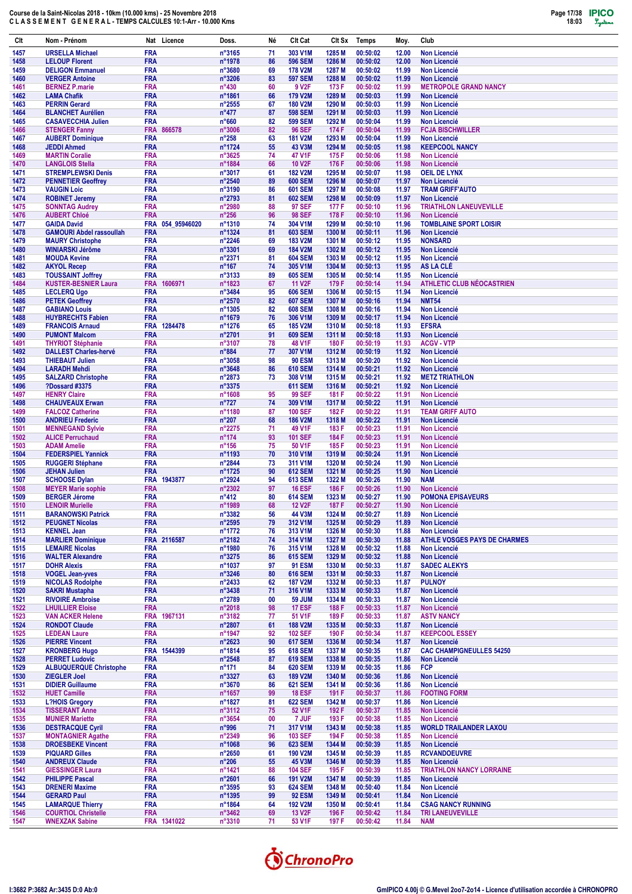

| Clt          | Nom - Prénom                                           |                          | Nat Licence      | Doss.                               | Né       | Clt Cat                          | CIt Sx           | Temps                | Moy.           | Club                                                 |
|--------------|--------------------------------------------------------|--------------------------|------------------|-------------------------------------|----------|----------------------------------|------------------|----------------------|----------------|------------------------------------------------------|
| 1457         | <b>URSELLA Michael</b>                                 | <b>FRA</b>               |                  | $n^{\circ}3165$                     | 71       | 303 V1M                          | 1285 M           | 00:50:02             | 12.00          | <b>Non Licencié</b>                                  |
| 1458         | <b>LELOUP Florent</b>                                  | <b>FRA</b>               |                  | n°1978                              | 86       | <b>596 SEM</b>                   | 1286 M           | 00:50:02             | 12.00          | <b>Non Licencié</b>                                  |
| 1459<br>1460 | <b>DELIGON Emmanuel</b><br><b>VERGER Antoine</b>       | <b>FRA</b><br><b>FRA</b> |                  | n°3680<br>$n^{\circ}3206$           | 69<br>83 | <b>178 V2M</b><br><b>597 SEM</b> | 1287 M<br>1288 M | 00:50:02<br>00:50:02 | 11.99<br>11.99 | Non Licencié<br><b>Non Licencié</b>                  |
| 1461         | <b>BERNEZ P.marie</b>                                  | <b>FRA</b>               |                  | $n^{\circ}430$                      | 60       | 9 V <sub>2</sub> F               | 173 F            | 00:50:02             | 11.99          | <b>METROPOLE GRAND NANCY</b>                         |
| 1462         | <b>LAMA Chafik</b>                                     | <b>FRA</b>               |                  | n°1861                              | 66       | 179 V2M                          | 1289 M           | 00:50:03             | 11.99          | <b>Non Licencié</b>                                  |
| 1463         | <b>PERRIN Gerard</b>                                   | <b>FRA</b>               |                  | $n^{\circ}2555$                     | 67       | <b>180 V2M</b>                   | 1290 M           | 00:50:03             | 11.99          | <b>Non Licencié</b>                                  |
| 1464         | <b>BLANCHET Aurélien</b>                               | <b>FRA</b>               |                  | $n^{\circ}477$                      | 87       | <b>598 SEM</b>                   | 1291 M           | 00:50:03             | 11.99          | <b>Non Licencié</b>                                  |
| 1465<br>1466 | <b>CASAVECCHIA Julien</b><br><b>STENGER Fanny</b>      | <b>FRA</b>               | FRA 866578       | $n^{\circ}660$<br>n°3006            | 82<br>82 | <b>599 SEM</b><br><b>96 SEF</b>  | 1292 M<br>174 F  | 00:50:04<br>00:50:04 | 11.99<br>11.99 | <b>Non Licencié</b><br><b>FCJA BISCHWILLER</b>       |
| 1467         | <b>AUBERT Dominique</b>                                | <b>FRA</b>               |                  | $n^{\circ}258$                      | 63       | <b>181 V2M</b>                   | 1293 M           | 00:50:04             | 11.99          | <b>Non Licencié</b>                                  |
| 1468         | <b>JEDDI Ahmed</b>                                     | <b>FRA</b>               |                  | n°1724                              | 55       | 43 V3M                           | 1294 M           | 00:50:05             | 11.98          | <b>KEEPCOOL NANCY</b>                                |
| 1469         | <b>MARTIN Coralie</b>                                  | <b>FRA</b>               |                  | n°3625                              | 74       | 47 V1F                           | 175 F            | 00:50:06             | 11.98          | <b>Non Licencié</b>                                  |
| 1470<br>1471 | <b>LANGLOIS Stella</b><br><b>STREMPLEWSKI Denis</b>    | <b>FRA</b><br><b>FRA</b> |                  | n°1884<br>n°3017                    | 66<br>61 | <b>10 V2F</b><br><b>182 V2M</b>  | 176 F<br>1295 M  | 00:50:06<br>00:50:07 | 11.98<br>11.98 | <b>Non Licencié</b><br><b>OEIL DE LYNX</b>           |
| 1472         | <b>PENNETIER Geoffrey</b>                              | <b>FRA</b>               |                  | n°2540                              | 89       | <b>600 SEM</b>                   | 1296 M           | 00:50:07             | 11.97          | <b>Non Licencié</b>                                  |
| 1473         | <b>VAUGIN Loic</b>                                     | <b>FRA</b>               |                  | n°3190                              | 86       | <b>601 SEM</b>                   | 1297 M           | 00:50:08             | 11.97          | <b>TRAM GRIFF'AUTO</b>                               |
| 1474         | <b>ROBINET Jeremy</b>                                  | <b>FRA</b>               |                  | n°2793                              | 81       | <b>602 SEM</b>                   | 1298 M           | 00:50:09             | 11.97          | Non Licencié                                         |
| 1475         | <b>SONNTAG Audrey</b>                                  | <b>FRA</b>               |                  | n°2980                              | 88       | <b>97 SEF</b>                    | 177 F            | 00:50:10             | 11.96          | <b>TRIATHLON LANEUVEVILLE</b>                        |
| 1476<br>1477 | <b>AUBERT Chloé</b><br><b>GAIDA David</b>              | <b>FRA</b>               | FRA 054_95946020 | $n^{\circ}256$<br>n°1310            | 96<br>74 | <b>98 SEF</b><br>304 V1M         | 178 F<br>1299 M  | 00:50:10<br>00:50:10 | 11.96<br>11.96 | <b>Non Licencié</b><br><b>TOMBLAINE SPORT LOISIR</b> |
| 1478         | <b>GAMOURI Abdel rassoullah</b>                        | <b>FRA</b>               |                  | n°1324                              | 81       | <b>603 SEM</b>                   | 1300 M           | 00:50:11             | 11.96          | <b>Non Licencié</b>                                  |
| 1479         | <b>MAURY Christophe</b>                                | <b>FRA</b>               |                  | $n^{\circ}2246$                     | 69       | <b>183 V2M</b>                   | 1301 M           | 00:50:12             | 11.95          | <b>NONSARD</b>                                       |
| 1480         | WINIARSKI Jérôme                                       | <b>FRA</b>               |                  | n°3301                              | 69       | <b>184 V2M</b>                   | 1302 M           | 00:50:12             | 11.95          | <b>Non Licencié</b>                                  |
| 1481<br>1482 | <b>MOUDA Kevine</b><br><b>AKYOL Recep</b>              | <b>FRA</b><br><b>FRA</b> |                  | n°2371<br>$n^{\circ}167$            | 81<br>74 | <b>604 SEM</b><br>305 V1M        | 1303 M<br>1304 M | 00:50:12<br>00:50:13 | 11.95<br>11.95 | Non Licencié<br>AS LA CLÉ                            |
| 1483         | <b>TOUSSAINT Joffrey</b>                               | <b>FRA</b>               |                  | n°3133                              | 89       | <b>605 SEM</b>                   | 1305 M           | 00:50:14             | 11.95          | <b>Non Licencié</b>                                  |
| 1484         | <b>KUSTER-BESNIER Laura</b>                            |                          | FRA 1606971      | n°1823                              | 67       | <b>11 V2F</b>                    | 179 F            | 00:50:14             | 11.94          | <b>ATHLETIC CLUB NÉOCASTRIEN</b>                     |
| 1485         | <b>LECLERQ Ugo</b>                                     | <b>FRA</b>               |                  | n°3484                              | 95       | <b>606 SEM</b>                   | 1306 M           | 00:50:15             | 11.94          | <b>Non Licencié</b>                                  |
| 1486         | <b>PETEK Geoffrey</b>                                  | <b>FRA</b>               |                  | n°2570                              | 82<br>82 | <b>607 SEM</b><br><b>608 SEM</b> | 1307 M<br>1308 M | 00:50:16<br>00:50:16 | 11.94          | <b>NMT54</b><br><b>Non Licencié</b>                  |
| 1487<br>1488 | <b>GABIANO Louis</b><br><b>HUYBRECHTS Fabien</b>       | <b>FRA</b><br><b>FRA</b> |                  | n°1305<br>n°1679                    | 76       | 306 V1M                          | 1309 M           | 00:50:17             | 11.94<br>11.94 | <b>Non Licencié</b>                                  |
| 1489         | <b>FRANCOIS Arnaud</b>                                 |                          | FRA 1284478      | n°1276                              | 65       | <b>185 V2M</b>                   | 1310 M           | 00:50:18             | 11.93          | <b>EFSRA</b>                                         |
| 1490         | <b>PUMONT Malcom</b>                                   | <b>FRA</b>               |                  | n°2701                              | 91       | <b>609 SEM</b>                   | 1311 M           | 00:50:18             | 11.93          | <b>Non Licencié</b>                                  |
| 1491         | <b>THYRIOT Stéphanie</b>                               | <b>FRA</b>               |                  | n°3107                              | 78       | 48 V1F                           | 180 F            | 00:50:19             | 11.93          | <b>ACGV - VTP</b>                                    |
| 1492<br>1493 | <b>DALLEST Charles-hervé</b><br><b>THIEBAUT Julien</b> | <b>FRA</b><br><b>FRA</b> |                  | n°884<br>n°3058                     | 77<br>98 | 307 V1M<br><b>90 ESM</b>         | 1312 M<br>1313 M | 00:50:19<br>00:50:20 | 11.92<br>11.92 | <b>Non Licencié</b><br><b>Non Licencié</b>           |
| 1494         | <b>LARADH Mehdi</b>                                    | <b>FRA</b>               |                  | n°3648                              | 86       | <b>610 SEM</b>                   | 1314 M           | 00:50:21             | 11.92          | <b>Non Licencié</b>                                  |
| 1495         | <b>SALZARD Christophe</b>                              | <b>FRA</b>               |                  | n°2873                              | 73       | 308 V1M                          | 1315 M           | 00:50:21             | 11.92          | <b>METZ TRIATHLON</b>                                |
| 1496         | <b>?Dossard #3375</b>                                  | <b>FRA</b>               |                  | n°3375                              |          | <b>611 SEM</b>                   | 1316 M           | 00:50:21             | 11.92          | <b>Non Licencié</b>                                  |
| 1497         | <b>HENRY Claire</b>                                    | <b>FRA</b>               |                  | n°1608                              | 95       | <b>99 SEF</b>                    | 181 F            | 00:50:22             | 11.91          | <b>Non Licencié</b>                                  |
| 1498<br>1499 | <b>CHAUVEAUX Erwan</b><br><b>FALCOZ Catherine</b>      | <b>FRA</b><br><b>FRA</b> |                  | $n^{\circ}727$<br>n°1180            | 74<br>87 | 309 V1M<br><b>100 SEF</b>        | 1317 M<br>182 F  | 00:50:22<br>00:50:22 | 11.91<br>11.91 | <b>Non Licencié</b><br><b>TEAM GRIFF AUTO</b>        |
| 1500         | <b>ANDRIEU Frederic</b>                                | <b>FRA</b>               |                  | $n^{\circ}207$                      | 68       | <b>186 V2M</b>                   | 1318 M           | 00:50:22             | 11.91          | Non Licencié                                         |
| 1501         | <b>MENNEGAND Sylvie</b>                                | <b>FRA</b>               |                  | n°2275                              | 71       | 49 V1F                           | 183 F            | 00:50:23             | 11.91          | <b>Non Licencié</b>                                  |
| 1502         | <b>ALICE Perruchaud</b>                                | <b>FRA</b>               |                  | $n^{\circ}174$                      | 93       | <b>101 SEF</b>                   | 184 F            | 00:50:23             | 11.91          | <b>Non Licencié</b>                                  |
| 1503<br>1504 | <b>ADAM Amelie</b><br><b>FEDERSPIEL Yannick</b>        | <b>FRA</b><br><b>FRA</b> |                  | $n^{\circ}$ 156<br>n°1193           | 75<br>70 | 50 V1F<br>310 V1M                | 185 F<br>1319 M  | 00:50:23<br>00:50:24 | 11.91<br>11.91 | Non Licencié<br><b>Non Licencié</b>                  |
| 1505         | <b>RUGGERI Stéphane</b>                                | <b>FRA</b>               |                  | n°2844                              | 73       | 311 V1M                          | 1320 M           | 00:50:24             | 11.90          | <b>Non Licencié</b>                                  |
| 1506         | <b>JEHAN Julien</b>                                    | <b>FRA</b>               |                  | n°1725                              | 90       | <b>612 SEM</b>                   | 1321 M           | 00:50:25             | 11.90          | <b>Non Licencié</b>                                  |
| 1507         | <b>SCHOOSE Dylan</b>                                   |                          | FRA 1943877      | n°2924                              | 94       | <b>613 SEM</b>                   | 1322 M           | 00:50:26             | 11.90          | <b>NAM</b>                                           |
| 1508<br>1509 | <b>MEYER Marie sophie</b><br><b>BERGER Jérome</b>      | <b>FRA</b><br><b>FRA</b> |                  | n°2302<br>$n^{\circ}412$            | 97<br>80 | <b>16 ESF</b><br><b>614 SEM</b>  | 186 F<br>1323 M  | 00:50:26<br>00:50:27 | 11.90<br>11.90 | <b>Non Licencié</b><br><b>POMONA EPISAVEURS</b>      |
| 1510         | <b>LENOIR Murielle</b>                                 | <b>FRA</b>               |                  | n°1989                              | 68       | <b>12 V2F</b>                    | 187 F            | 00:50:27             | 11.90          | <b>Non Licencié</b>                                  |
| 1511         | <b>BARANOWSKI Patrick</b>                              | <b>FRA</b>               |                  | n°3382                              | 56       | 44 V3M                           | 1324 M           | 00:50:27             | 11.89          | Non Licencié                                         |
| 1512         | <b>PEUGNET Nicolas</b>                                 | <b>FRA</b>               |                  | $n^{\circ}2595$                     | 79       | 312 V1M                          | 1325 M           | 00:50:29             | 11.89          | <b>Non Licencié</b>                                  |
| 1513<br>1514 | <b>KENNEL Jean</b><br><b>MARLIER Dominique</b>         | <b>FRA</b>               | FRA 2116587      | $n^{\circ}$ 1772<br>n°2182          | 76<br>74 | 313 V1M<br>314 V1M               | 1326 M<br>1327 M | 00:50:30<br>00:50:30 | 11.88<br>11.88 | Non Licencié<br>ATHLE VOSGES PAYS DE CHARMES         |
| 1515         | <b>LEMAIRE Nicolas</b>                                 | <b>FRA</b>               |                  | n°1980                              | 76       | 315 V1M                          | 1328 M           | 00:50:32             | 11.88          | <b>Non Licencié</b>                                  |
| 1516         | <b>WALTER Alexandre</b>                                | <b>FRA</b>               |                  | $n^{\circ}3275$                     | 86       | <b>615 SEM</b>                   | 1329 M           | 00:50:32             | 11.88          | <b>Non Licencié</b>                                  |
| 1517         | <b>DOHR Alexis</b>                                     | <b>FRA</b>               |                  | n°1037                              | 97       | <b>91 ESM</b>                    | 1330 M           | 00:50:33             | 11.87          | <b>SADEC ALEKYS</b>                                  |
| 1518         | <b>VOGEL Jean-yves</b>                                 | <b>FRA</b>               |                  | $n^{\circ}3246$                     | 80       | <b>616 SEM</b>                   | 1331 M           | 00:50:33<br>00:50:33 | 11.87          | <b>Non Licencié</b>                                  |
| 1519<br>1520 | <b>NICOLAS Rodolphe</b><br><b>SAKRI Mustapha</b>       | <b>FRA</b><br><b>FRA</b> |                  | $n^{\circ}$ 2433<br>$n^{\circ}3438$ | 62<br>71 | <b>187 V2M</b><br>316 V1M        | 1332 M<br>1333 M | 00:50:33             | 11.87<br>11.87 | <b>PULNOY</b><br><b>Non Licencié</b>                 |
| 1521         | <b>RIVOIRE Ambroise</b>                                | <b>FRA</b>               |                  | $n^{\circ}2789$                     | 00       | <b>59 JUM</b>                    | 1334 M           | 00:50:33             | 11.87          | <b>Non Licencié</b>                                  |
| 1522         | <b>LHUILLIER Eloise</b>                                | <b>FRA</b>               |                  | $n^{\circ}2018$                     | 98       | <b>17 ESF</b>                    | 188 F            | 00:50:33             | 11.87          | Non Licencié                                         |
| 1523         | <b>VAN ACKER Helene</b>                                |                          | FRA 1967131      | $n^{\circ}3182$                     | 77       | 51 V1F                           | 189 F            | 00:50:33             | 11.87          | <b>ASTV NANCY</b>                                    |
| 1524<br>1525 | <b>RONDOT Claude</b><br><b>LEDEAN Laure</b>            | <b>FRA</b><br><b>FRA</b> |                  | $n^{\circ}2807$<br>n°1947           | 61<br>92 | <b>188 V2M</b><br><b>102 SEF</b> | 1335 M<br>190 F  | 00:50:33<br>00:50:34 | 11.87<br>11.87 | Non Licencié<br><b>KEEPCOOL ESSEY</b>                |
| 1526         | <b>PIERRE Vincent</b>                                  | <b>FRA</b>               |                  | $n^{\circ}2623$                     | 90       | <b>617 SEM</b>                   | 1336 M           | 00:50:34             | 11.87          | <b>Non Licencié</b>                                  |
| 1527         | <b>KRONBERG Hugo</b>                                   |                          | FRA 1544399      | n°1814                              | 95       | <b>618 SEM</b>                   | 1337 M           | 00:50:35             | 11.87          | <b>CAC CHAMPIGNEULLES 54250</b>                      |
| 1528         | <b>PERRET Ludovic</b>                                  | <b>FRA</b>               |                  | n°2548                              | 87       | <b>619 SEM</b>                   | 1338 M           | 00:50:35             | 11.86          | <b>Non Licencié</b>                                  |
| 1529<br>1530 | <b>ALBUQUERQUE Christophe</b><br><b>ZIEGLER Joel</b>   | <b>FRA</b><br><b>FRA</b> |                  | $n^{\circ}$ 171<br>n°3327           | 84<br>63 | <b>620 SEM</b><br><b>189 V2M</b> | 1339 M<br>1340 M | 00:50:35<br>00:50:36 | 11.86<br>11.86 | <b>FCP</b><br><b>Non Licencié</b>                    |
| 1531         | <b>DIDIER Guillaume</b>                                | <b>FRA</b>               |                  | n°3670                              | 86       | <b>621 SEM</b>                   | 1341 M           | 00:50:36             | 11.86          | <b>Non Licencié</b>                                  |
| 1532         | <b>HUET Camille</b>                                    | <b>FRA</b>               |                  | n°1657                              | 99       | <b>18 ESF</b>                    | 191 F            | 00:50:37             | 11.86          | <b>FOOTING FORM</b>                                  |
| 1533         | <b>L?HOIS Gregory</b>                                  | <b>FRA</b>               |                  | n°1827                              | 81       | <b>622 SEM</b>                   | 1342 M           | 00:50:37             | 11.86          | <b>Non Licencié</b>                                  |
| 1534         | <b>TISSERANT Anne</b>                                  | <b>FRA</b><br><b>FRA</b> |                  | $n^{\circ}3112$                     | 75<br>00 | 52 V1F<br>7 JUF                  | 192 F<br>193 F   | 00:50:37             | 11.85          | <b>Non Licencié</b><br>Non Licencié                  |
| 1535<br>1536 | <b>MUNIER Mariette</b><br><b>DESTRACQUE Cyril</b>      | <b>FRA</b>               |                  | $n^{\circ}3654$<br>n°996            | 71       | 317 V1M                          | 1343 M           | 00:50:38<br>00:50:38 | 11.85<br>11.85 | <b>WORLD TRAILANDER LAXOU</b>                        |
| 1537         | <b>MONTAGNIER Agathe</b>                               | <b>FRA</b>               |                  | n°2349                              | 96       | <b>103 SEF</b>                   | 194 F            | 00:50:38             | 11.85          | <b>Non Licencié</b>                                  |
| 1538         | <b>DROESBEKE Vincent</b>                               | <b>FRA</b>               |                  | n°1068                              | 96       | <b>623 SEM</b>                   | 1344 M           | 00:50:39             | 11.85          | Non Licencié                                         |
| 1539         | <b>PIQUARD Gilles</b>                                  | <b>FRA</b>               |                  | $n^{\circ}2650$                     | 61       | <b>190 V2M</b>                   | 1345 M           | 00:50:39             | 11.85          | <b>RCVANDOEUVRE</b>                                  |
| 1540<br>1541 | <b>ANDREUX Claude</b><br><b>GIESSINGER Laura</b>       | <b>FRA</b><br><b>FRA</b> |                  | $n^{\circ}206$<br>n°1421            | 55<br>88 | 45 V3M<br><b>104 SEF</b>         | 1346 M<br>195 F  | 00:50:39<br>00:50:39 | 11.85<br>11.85 | Non Licencié<br><b>TRIATHLON NANCY LORRAINE</b>      |
| 1542         | <b>PHILIPPE Pascal</b>                                 | <b>FRA</b>               |                  | n°2601                              | 66       | 191 V2M                          | 1347 M           | 00:50:39             | 11.85          | <b>Non Licencié</b>                                  |
| 1543         | <b>DRENERI Maxime</b>                                  | <b>FRA</b>               |                  | $n^{\circ}3595$                     | 93       | <b>624 SEM</b>                   | 1348 M           | 00:50:40             | 11.84          | <b>Non Licencié</b>                                  |
| 1544         | <b>GERARD Paul</b>                                     | <b>FRA</b>               |                  | $n^{\circ}1395$                     | 99       | <b>92 ESM</b>                    | 1349 M           | 00:50:41             | 11.84          | <b>Non Licencié</b>                                  |
| 1545<br>1546 | <b>LAMARQUE Thierry</b><br><b>COURTIOL Christelle</b>  | <b>FRA</b><br><b>FRA</b> |                  | $n^{\circ}$ 1864<br>$n^{\circ}3462$ | 64<br>69 | 192 V2M<br><b>13 V2F</b>         | 1350 M<br>196 F  | 00:50:41<br>00:50:42 | 11.84<br>11.84 | <b>CSAG NANCY RUNNING</b><br><b>TRI LANEUVEVILLE</b> |
| 1547         | <b>WNEXZAK Sabine</b>                                  |                          | FRA 1341022      | $n^{\circ}3310$                     | 71       | 53 V1F                           | 197 F            | 00:50:42             | 11.84          | <b>NAM</b>                                           |
|              |                                                        |                          |                  |                                     |          |                                  |                  |                      |                |                                                      |

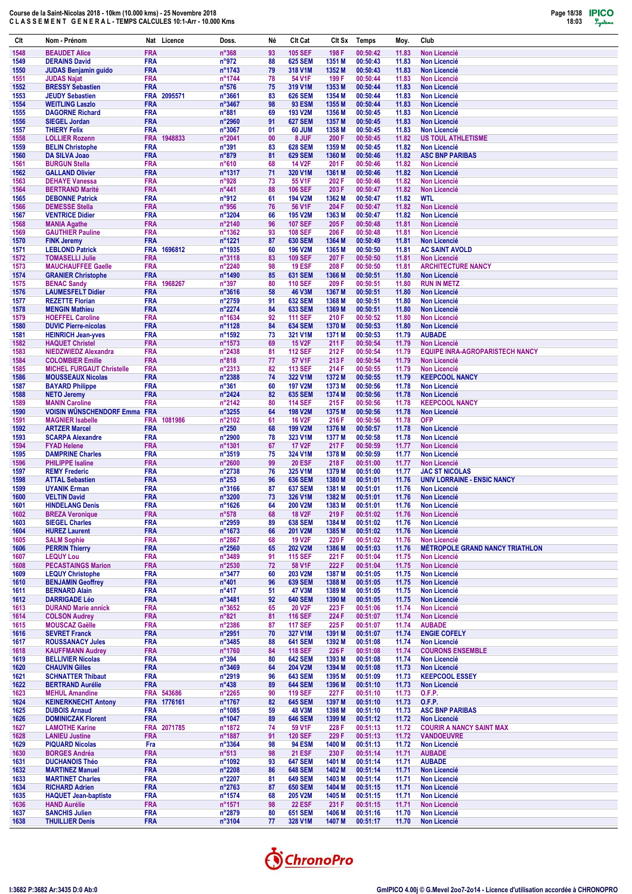

| Clt          | Nom - Prénom                                                 |                          | Nat Licence | Doss.                             | Né       | Clt Cat                          | Clt Sx           | Temps                | Moy.           | Club                                           |
|--------------|--------------------------------------------------------------|--------------------------|-------------|-----------------------------------|----------|----------------------------------|------------------|----------------------|----------------|------------------------------------------------|
| 1548         | <b>BEAUDET Alice</b>                                         | <b>FRA</b>               |             | $n^{\circ}368$                    | 93       | <b>105 SEF</b>                   | 198 F            | 00:50:42             | 11.83          | <b>Non Licencié</b>                            |
| 1549         | <b>DERAINS David</b>                                         | <b>FRA</b>               |             | $n^{\circ}972$                    | 88       | <b>625 SEM</b>                   | 1351 M           | 00:50:43             | 11.83          | Non Licencié                                   |
| 1550<br>1551 | <b>JUDAS Benjamin guido</b><br><b>JUDAS Najat</b>            | <b>FRA</b><br><b>FRA</b> |             | n°1743<br>n°1744                  | 79<br>78 | 318 V1M<br>54 V1F                | 1352 M<br>199 F  | 00:50:43<br>00:50:44 | 11.83<br>11.83 | Non Licencié<br>Non Licencié                   |
| 1552         | <b>BRESSY Sebastien</b>                                      | <b>FRA</b>               |             | $n^{\circ}576$                    | 75       | 319 V1M                          | 1353 M           | 00:50:44             | 11.83          | <b>Non Licencié</b>                            |
| 1553         | <b>JEUDY Sebastien</b>                                       | <b>FRA</b>               | 2095571     | n°3661                            | 83       | <b>626 SEM</b>                   | 1354 M           | 00:50:44             | 11.83          | <b>Non Licencié</b>                            |
| 1554         | <b>WEITLING Laszlo</b>                                       | <b>FRA</b>               |             | n°3467                            | 98       | <b>93 ESM</b>                    | 1355 M           | 00:50:44             | 11.83          | <b>Non Licencié</b>                            |
| 1555         | <b>DAGORNE Richard</b>                                       | <b>FRA</b>               |             | n°881                             | 69       | 193 V2M                          | 1356 M           | 00:50:45             | 11.83          | <b>Non Licencié</b>                            |
| 1556<br>1557 | <b>SIEGEL Jordan</b><br><b>THIERY Felix</b>                  | <b>FRA</b><br><b>FRA</b> |             | n°2960<br>n°3067                  | 91<br>01 | <b>627 SEM</b><br>60 JUM         | 1357 M<br>1358 M | 00:50:45<br>00:50:45 | 11.83<br>11.83 | Non Licencié<br><b>Non Licencié</b>            |
| 1558         | <b>LOLLIER Rozenn</b>                                        | <b>FRA</b>               | 1948833     | n°2041                            | 00       | 8 JUF                            | 200 F            | 00:50:45             | 11.82          | <b>US TOUL ATHLETISME</b>                      |
| 1559         | <b>BELIN Christophe</b>                                      | <b>FRA</b>               |             | $n^{\circ}391$                    | 83       | <b>628 SEM</b>                   | 1359 M           | 00:50:45             | 11.82          | Non Licencié                                   |
| 1560         | DA SILVA Joao                                                | <b>FRA</b>               |             | n°879                             | 81       | <b>629 SEM</b>                   | 1360 M           | 00:50:46             | 11.82          | <b>ASC BNP PARIBAS</b>                         |
| 1561         | <b>BURGUN Stella</b>                                         | <b>FRA</b>               |             | $n^{\circ}610$                    | 68       | <b>14 V2F</b>                    | 201 F            | 00:50:46             | 11.82          | <b>Non Licencié</b>                            |
| 1562<br>1563 | <b>GALLAND Olivier</b><br><b>DEHAYE Vanessa</b>              | <b>FRA</b><br><b>FRA</b> |             | n°1317<br>n°928                   | 71<br>73 | 320 V1M<br>55 V <sub>1</sub> F   | 1361 M<br>202 F  | 00:50:46<br>00:50:46 | 11.82<br>11.82 | Non Licencié<br><b>Non Licencié</b>            |
| 1564         | <b>BERTRAND Marité</b>                                       | <b>FRA</b>               |             | $n^{\circ}441$                    | 88       | <b>106 SEF</b>                   | 203 F            | 00:50:47             | 11.82          | <b>Non Licencié</b>                            |
| 1565         | <b>DEBONNE Patrick</b>                                       | <b>FRA</b>               |             | n°912                             | 61       | <b>194 V2M</b>                   | 1362 M           | 00:50:47             | 11.82          | <b>WTL</b>                                     |
| 1566         | <b>DEMESSE Stella</b>                                        | <b>FRA</b>               |             | n°956                             | 76       | 56 V1F                           | 204 F            | 00:50:47             | 11.82          | <b>Non Licencié</b>                            |
| 1567         | <b>VENTRICE Didier</b>                                       | <b>FRA</b><br><b>FRA</b> |             | n°3204                            | 66       | <b>195 V2M</b><br><b>107 SEF</b> | 1363 M<br>205 F  | 00:50:47<br>00:50:48 | 11.82          | <b>Non Licencié</b>                            |
| 1568<br>1569 | <b>MANIA Agathe</b><br><b>GAUTHIER Pauline</b>               | <b>FRA</b>               |             | n°2140<br>n°1362                  | 96<br>93 | <b>108 SEF</b>                   | 206 F            | 00:50:48             | 11.81<br>11.81 | <b>Non Licencié</b><br><b>Non Licencié</b>     |
| 1570         | <b>FINK Jeremy</b>                                           | <b>FRA</b>               |             | n°1221                            | 87       | <b>630 SEM</b>                   | 1364 M           | 00:50:49             | 11.81          | <b>Non Licencié</b>                            |
| 1571         | <b>LEBLOND Patrick</b>                                       | <b>FRA</b>               | 1696812     | n°1935                            | 60       | <b>196 V2M</b>                   | 1365 M           | 00:50:50             | 11.81          | <b>AC SAINT AVOLD</b>                          |
| 1572         | <b>TOMASELLI Julie</b>                                       | <b>FRA</b>               |             | n°3118                            | 83       | <b>109 SEF</b>                   | 207 F            | 00:50:50             | 11.81          | <b>Non Licencié</b>                            |
| 1573<br>1574 | <b>MAUCHAUFFEE Gaelle</b><br><b>GRANIER Christophe</b>       | <b>FRA</b><br><b>FRA</b> |             | n°2240<br>n°1490                  | 98<br>85 | <b>19 ESF</b><br><b>631 SEM</b>  | 208 F<br>1366 M  | 00:50:50<br>00:50:51 | 11.81<br>11.80 | <b>ARCHITECTURE NANCY</b><br>Non Licencié      |
| 1575         | <b>BENAC Sandy</b>                                           | <b>FRA</b>               | 1968267     | $n^{\circ}397$                    | 80       | <b>110 SEF</b>                   | 209 F            | 00:50:51             | 11.80          | <b>RUN IN METZ</b>                             |
| 1576         | <b>LAUMESFELT Didier</b>                                     | <b>FRA</b>               |             | $n^{\circ}3616$                   | 58       | <b>46 V3M</b>                    | 1367 M           | 00:50:51             | 11.80          | <b>Non Licencié</b>                            |
| 1577         | <b>REZETTE Florian</b>                                       | <b>FRA</b>               |             | n°2759                            | 91       | <b>632 SEM</b>                   | 1368 M           | 00:50:51             | 11.80          | Non Licencié                                   |
| 1578         | <b>MENGIN Mathieu</b>                                        | <b>FRA</b>               |             | n°2274                            | 84       | <b>633 SEM</b>                   | 1369 M           | 00:50:51             | 11.80          | <b>Non Licencié</b>                            |
| 1579<br>1580 | <b>HOEFFEL Caroline</b><br><b>DUVIC Pierre-nicolas</b>       | <b>FRA</b><br><b>FRA</b> |             | n°1634<br>n°1128                  | 92<br>84 | <b>111 SEF</b><br><b>634 SEM</b> | 210 F<br>1370 M  | 00:50:52<br>00:50:53 | 11.80<br>11.80 | Non Licencié<br>Non Licencié                   |
| 1581         | <b>HEINRICH Jean-yves</b>                                    | <b>FRA</b>               |             | n°1592                            | 73       | 321 V1M                          | 1371 M           | 00:50:53             | 11.79          | <b>AUBADE</b>                                  |
| 1582         | <b>HAQUET Christel</b>                                       | <b>FRA</b>               |             | n°1573                            | 69       | <b>15 V2F</b>                    | 211 F            | 00:50:54             | 11.79          | <b>Non Licencié</b>                            |
| 1583         | <b>NIEDZWIEDZ Alexandra</b>                                  | <b>FRA</b>               |             | n°2438                            | 81       | <b>112 SEF</b>                   | 212 F            | 00:50:54             | 11.79          | <b>EQUIPE INRA-AGROPARISTECH NANCY</b>         |
| 1584         | <b>COLOMBIER Emilie</b>                                      | <b>FRA</b>               |             | $n^{\circ}818$                    | 77       | 57 V1F                           | 213 F            | 00:50:54             | 11.79          | Non Licencié                                   |
| 1585<br>1586 | <b>MICHEL FURGAUT Christelle</b><br><b>MOUSSEAUX Nicolas</b> | <b>FRA</b><br><b>FRA</b> |             | n°2313<br>n°2388                  | 82<br>74 | <b>113 SEF</b><br>322 V1M        | 214 F<br>1372 M  | 00:50:55<br>00:50:55 | 11.79<br>11.79 | <b>Non Licencié</b><br><b>KEEPCOOL NANCY</b>   |
| 1587         | <b>BAYARD Philippe</b>                                       | <b>FRA</b>               |             | $n^{\circ}361$                    | 60       | <b>197 V2M</b>                   | 1373 M           | 00:50:56             | 11.78          | <b>Non Licencié</b>                            |
| 1588         | <b>NETO Jeremy</b>                                           | <b>FRA</b>               |             | n°2424                            | 82       | <b>635 SEM</b>                   | 1374 M           | 00:50:56             | 11.78          | Non Licencié                                   |
| 1589         | <b>MANIN Caroline</b>                                        | <b>FRA</b>               |             | n°2142                            | 80       | <b>114 SEF</b>                   | 215 F            | 00:50:56             | 11.78          | <b>KEEPCOOL NANCY</b>                          |
| 1590         | <b>VOISIN WÛNSCHENDORF Emma</b>                              | <b>FRA</b>               | 1081986     | n°3255<br>n°2102                  | 64<br>61 | <b>198 V2M</b><br><b>16 V2F</b>  | 1375 M<br>216 F  | 00:50:56<br>00:50:56 | 11.78<br>11.78 | Non Licencié<br><b>OFP</b>                     |
| 1591<br>1592 | <b>MAGNIER Isabelle</b><br><b>ARTZER Marcel</b>              | <b>FRA</b><br><b>FRA</b> |             | n°250                             | 68       | 199 V2M                          | 1376 M           | 00:50:57             | 11.78          | <b>Non Licencié</b>                            |
| 1593         | <b>SCARPA Alexandre</b>                                      | <b>FRA</b>               |             | n°2900                            | 78       | 323 V1M                          | 1377 M           | 00:50:58             | 11.78          | <b>Non Licencié</b>                            |
| 1594         | <b>FYAD Helene</b>                                           | <b>FRA</b>               |             | n°1301                            | 67       | <b>17 V2F</b>                    | 217 F            | 00:50:59             | 11.77          | Non Licencié                                   |
| 1595         | <b>DAMPRINE Charles</b>                                      | <b>FRA</b>               |             | n°3519                            | 75       | 324 V1M                          | 1378 M           | 00:50:59             | 11.77          | <b>Non Licencié</b>                            |
| 1596<br>1597 | <b>PHILIPPE Isaline</b><br><b>REMY Frederic</b>              | <b>FRA</b><br><b>FRA</b> |             | n°2600<br>n°2738                  | 99<br>76 | <b>20 ESF</b><br>325 V1M         | 218 F<br>1379 M  | 00:51:00<br>00:51:00 | 11.77<br>11.77 | <b>Non Licencié</b><br><b>JAC ST NICOLAS</b>   |
| 1598         | <b>ATTAL Sebastien</b>                                       | <b>FRA</b>               |             | $n^{\circ}253$                    | 96       | <b>636 SEM</b>                   | 1380 M           | 00:51:01             | 11.76          | <b>UNIV LORRAINE - ENSIC NANCY</b>             |
| 1599         | <b>UYANIK Erman</b>                                          | <b>FRA</b>               |             | n°3166                            | 87       | <b>637 SEM</b>                   | 1381 M           | 00:51:01             | 11.76          | <b>Non Licencié</b>                            |
| 1600         | <b>VELTIN David</b>                                          | <b>FRA</b>               |             | n°3200                            | 73       | 326 V1M                          | 1382 M           | 00:51:01             | 11.76          | Non Licencié                                   |
| 1601         | <b>HINDELANG Denis</b><br><b>BREZA Veronique</b>             | <b>FRA</b>               |             | $n^{\circ}$ 1626                  | 64       | <b>200 V2M</b>                   | 1383 M           | 00:51:01             | 11.76          | <b>Non Licencié</b>                            |
| 1602<br>1603 | <b>SIEGEL Charles</b>                                        | <b>FRA</b><br><b>FRA</b> |             | $n^{\circ}578$<br>n°2959          | 68<br>89 | <b>18 V2F</b><br><b>638 SEM</b>  | 219 F<br>1384 M  | 00:51:02<br>00:51:02 | 11.76<br>11.76 | Non Licencié<br><b>Non Licencié</b>            |
| 1604         | <b>HUREZ Laurent</b>                                         | <b>FRA</b>               |             | n°1673                            | 66       | 201 V2M                          | 1385 M           | 00:51:02             | 11.76          | Non Licencié                                   |
| 1605         | <b>SALM Sophie</b>                                           | <b>FRA</b>               |             | n°2867                            | 68       | <b>19 V2F</b>                    | 220 F            | 00:51:02             | 11.76          | Non Licencié                                   |
| 1606         | <b>PERRIN Thierry</b>                                        | <b>FRA</b>               |             | $n^{\circ}2560$                   | 65       | 202 V2M                          | 1386 M           | 00:51:03             | 11.76          | <b>MÉTROPOLE GRAND NANCY TRIATHLON</b>         |
| 1607<br>1608 | <b>LEQUY Lou</b><br><b>PECASTAINGS Marion</b>                | <b>FRA</b><br><b>FRA</b> |             | n°3489<br>$n^{\circ}2530$         | 91<br>72 | <b>115 SEF</b><br>58 V1F         | 221 F<br>222 F   | 00:51:04<br>00:51:04 | 11.75<br>11.75 | <b>Non Licencié</b><br>Non Licencié            |
| 1609         | <b>LEQUY Christophe</b>                                      | <b>FRA</b>               |             | $n^{\circ}3477$                   | 60       | 203 V2M                          | 1387 M           | 00:51:05             | 11.75          | Non Licencié                                   |
| 1610         | <b>BENJAMIN Geoffrey</b>                                     | <b>FRA</b>               |             | $n^{\circ}401$                    | 96       | <b>639 SEM</b>                   | 1388 M           | 00:51:05             | 11.75          | Non Licencié                                   |
| 1611         | <b>BERNARD Alain</b>                                         | <b>FRA</b>               |             | $n^{\circ}417$                    | 51       | 47 V3M                           | 1389 M           | 00:51:05             | 11.75          | Non Licencié                                   |
| 1612         | <b>DARRIGADE Léo</b>                                         | <b>FRA</b>               |             | n°3481                            | 92       | <b>640 SEM</b>                   | 1390 M           | 00:51:05             | 11.75          | Non Licencié                                   |
| 1613<br>1614 | <b>DURAND Marie annick</b><br><b>COLSON Audrey</b>           | <b>FRA</b><br><b>FRA</b> |             | $n^{\circ}3652$<br>$n^{\circ}821$ | 65<br>81 | <b>20 V2F</b><br><b>116 SEF</b>  | 223 F<br>224 F   | 00:51:06<br>00:51:07 | 11.74<br>11.74 | <b>Non Licencié</b><br>Non Licencié            |
| 1615         | <b>MOUSCAZ Gaëlle</b>                                        | <b>FRA</b>               |             | n°2386                            | 87       | <b>117 SEF</b>                   | 225 F            | 00:51:07             | 11.74          | <b>AUBADE</b>                                  |
| 1616         | <b>SEVRET Franck</b>                                         | <b>FRA</b>               |             | $n^{\circ}2951$                   | 70       | 327 V1M                          | 1391 M           | 00:51:07             | 11.74          | <b>ENGIE COFELY</b>                            |
| 1617         | <b>ROUSSANACY Jules</b>                                      | <b>FRA</b>               |             | $n^{\circ}3485$                   | 88       | <b>641 SEM</b>                   | 1392 M           | 00:51:08             | 11.74          | <b>Non Licencié</b>                            |
| 1618<br>1619 | <b>KAUFFMANN Audrey</b><br><b>BELLIVIER Nicolas</b>          | <b>FRA</b><br><b>FRA</b> |             | n°1760<br>$n^{\circ}394$          | 84<br>80 | <b>118 SEF</b><br><b>642 SEM</b> | 226 F<br>1393 M  | 00:51:08<br>00:51:08 | 11.74<br>11.74 | <b>COURONS ENSEMBLE</b><br><b>Non Licencié</b> |
| 1620         | <b>CHAUVIN Gilles</b>                                        | <b>FRA</b>               |             | $n^{\circ}3469$                   | 64       | <b>204 V2M</b>                   | 1394 M           | 00:51:08             | 11.73          | Non Licencié                                   |
| 1621         | <b>SCHNATTER Thibaut</b>                                     | <b>FRA</b>               |             | n°2919                            | 96       | <b>643 SEM</b>                   | 1395 M           | 00:51:09             | 11.73          | <b>KEEPCOOL ESSEY</b>                          |
| 1622         | <b>BERTRAND Aurélie</b>                                      | <b>FRA</b>               |             | $n^{\circ}438$                    | 89       | <b>644 SEM</b>                   | 1396 M           | 00:51:10             | 11.73          | Non Licencié                                   |
| 1623         | <b>MEHUL Amandine</b>                                        |                          | FRA 543686  | n°2265                            | 90       | <b>119 SEF</b>                   | 227 F            | 00:51:10             | 11.73          | <b>O.F.P.</b>                                  |
| 1624<br>1625 | <b>KEINERKNECHT Antony</b><br><b>DUBOIS Arnaud</b>           | <b>FRA</b>               | FRA 1776161 | n°1767<br>n°1085                  | 82<br>59 | <b>645 SEM</b><br><b>48 V3M</b>  | 1397 M<br>1398 M | 00:51:10<br>00:51:10 | 11.73<br>11.73 | 0.F.P.<br><b>ASC BNP PARIBAS</b>               |
| 1626         | <b>DOMINICZAK Florent</b>                                    | <b>FRA</b>               |             | n°1047                            | 89       | <b>646 SEM</b>                   | 1399 M           | 00:51:12             | 11.72          | Non Licencié                                   |
| 1627         | <b>LAMOTHE Karine</b>                                        |                          | FRA 2071785 | n°1872                            | 74       | 59 V1F                           | 228 F            | 00:51:13             | 11.72          | <b>COURIR A NANCY SAINT MAX</b>                |
| 1628         | <b>LANIEU Justine</b>                                        | <b>FRA</b>               |             | n°1887                            | 91       | <b>120 SEF</b>                   | 229 F            | 00:51:13             | 11.72          | <b>VANDOEUVRE</b>                              |
| 1629<br>1630 | <b>PIQUARD Nicolas</b><br><b>BORGES Andréa</b>               | Fra<br><b>FRA</b>        |             | $n^{\circ}3364$<br>$n^{\circ}513$ | 98<br>98 | <b>94 ESM</b><br><b>21 ESF</b>   | 1400 M<br>230 F  | 00:51:13<br>00:51:14 | 11.72<br>11.71 | Non Licencié<br><b>AUBADE</b>                  |
| 1631         | <b>DUCHANOIS Théo</b>                                        | <b>FRA</b>               |             | n°1092                            | 93       | <b>647 SEM</b>                   | 1401 M           | 00:51:14             | 11.71          | <b>AUBADE</b>                                  |
| 1632         | <b>MARTINEZ Manuel</b>                                       | <b>FRA</b>               |             | n°2208                            | 86       | <b>648 SEM</b>                   | 1402 M           | 00:51:14             | 11.71          | Non Licencié                                   |
| 1633         | <b>MARTINET Charles</b>                                      | <b>FRA</b>               |             | n°2207                            | 81       | <b>649 SEM</b>                   | 1403 M           | 00:51:14             | 11.71          | Non Licencié                                   |
| 1634         | <b>RICHARD Adrien</b>                                        | <b>FRA</b>               |             | n°2763                            | 87       | <b>650 SEM</b>                   | 1404 M           | 00:51:15             | 11.71          | Non Licencié                                   |
| 1635<br>1636 | <b>HAQUET Jean-baptiste</b><br><b>HAND Aurélie</b>           | <b>FRA</b><br><b>FRA</b> |             | n°1574<br>n°1571                  | 68<br>98 | 205 V2M<br><b>22 ESF</b>         | 1405 M<br>231 F  | 00:51:15<br>00:51:15 | 11.71<br>11.71 | <b>Non Licencié</b><br>Non Licencié            |
| 1637         | <b>SANCHIS Julien</b>                                        | <b>FRA</b>               |             | n°2879                            | 80       | <b>651 SEM</b>                   | 1406 M           | 00:51:16             | 11.70          | Non Licencié                                   |
| 1638         | <b>THUILLIER Denis</b>                                       | <b>FRA</b>               |             | $n^{\circ}3104$                   | 77       | 328 V1M                          | 1407 M           | 00:51:17             | 11.70          | Non Licencié                                   |

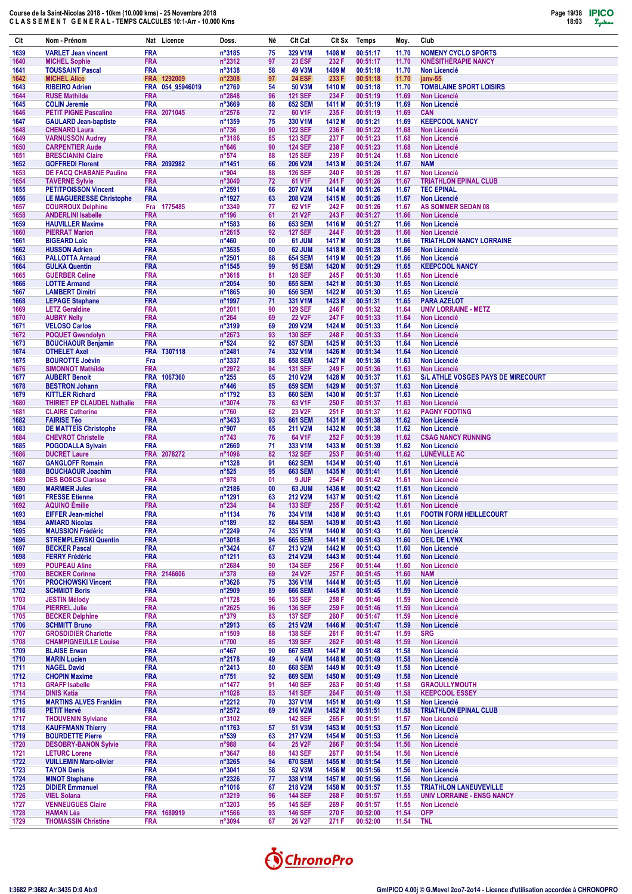| Clt          | Nom - Prénom                                        |                          | Nat Licence      | Doss.                             | Né       | Clt Cat                          | Clt Sx           | Temps                | Moy.           | Club                                              |
|--------------|-----------------------------------------------------|--------------------------|------------------|-----------------------------------|----------|----------------------------------|------------------|----------------------|----------------|---------------------------------------------------|
| 1639         | <b>VARLET Jean vincent</b>                          | <b>FRA</b>               |                  | n°3185                            | 75       | 329 V1M                          | 1408 M           | 00:51:17             | 11.70          | <b>NOMENY CYCLO SPORTS</b>                        |
| 1640         | <b>MICHEL Sophie</b>                                | <b>FRA</b>               |                  | n°2312                            | 97       | <b>23 ESF</b>                    | 232 F            | 00:51:17             | 11.70          | <b>KINESITHERAPIE NANCY</b>                       |
| 1641         | <b>TOUSSAINT Pascal</b>                             | <b>FRA</b>               |                  | n°3138                            | 58       | 49 V3M                           | 1409 M           | 00:51:18             | 11.70          | <b>Non Licencié</b>                               |
| 1642         | <b>MICHEL Alice</b>                                 |                          | FRA 1292009      | n°2308                            | 97       | <b>24 ESF</b>                    | 233 F            | 00:51:18             | 11.70          | janv-55                                           |
| 1643         | <b>RIBEIRO Adrien</b>                               |                          | FRA 054_95946019 | n°2760                            | 54       | 50 V3M                           | 1410 M           | 00:51:18             | 11.70          | <b>TOMBLAINE SPORT LOISIRS</b>                    |
| 1644         | <b>RUSE Mathilde</b>                                | <b>FRA</b>               |                  | n°2848                            | 96       | <b>121 SEF</b>                   | 234 F            | 00:51:19             | 11.69          | <b>Non Licencié</b>                               |
| 1645         | <b>COLIN Jeremie</b>                                | <b>FRA</b>               |                  | n°3669                            | 88       | <b>652 SEM</b>                   | 1411 M           | 00:51:19             | 11.69          | <b>Non Licencié</b>                               |
| 1646         | <b>PETIT PIGNE Pascaline</b>                        |                          | FRA 2071045      | n°2576                            | 72       | 60 V1F                           | 235 F            | 00:51:19             | 11.69          | <b>CAN</b>                                        |
| 1647         | <b>GAULARD Jean-baptiste</b>                        | <b>FRA</b>               |                  | n°1359                            | 75       | 330 V1M                          | 1412 M           | 00:51:21             | 11.69          | <b>KEEPCOOL NANCY</b>                             |
| 1648         | <b>CHENARD Laura</b>                                | <b>FRA</b>               |                  | $n^{\circ}736$                    | 90       | <b>122 SEF</b>                   | 236 F            | 00:51:22             | 11.68          | <b>Non Licencié</b>                               |
| 1649         | <b>VARNUSSON Audrey</b>                             | <b>FRA</b>               |                  | n°3186                            | 85<br>90 | <b>123 SEF</b>                   | 237 F            | 00:51:23             | 11.68          | <b>Non Licencié</b><br><b>Non Licencié</b>        |
| 1650         | <b>CARPENTIER Aude</b><br><b>BRESCIANINI Claire</b> | <b>FRA</b><br><b>FRA</b> |                  | $n^{\circ}646$<br>$n^{\circ}574$  | 88       | <b>124 SEF</b><br><b>125 SEF</b> | 238 F<br>239 F   | 00:51:23<br>00:51:24 | 11.68<br>11.68 | <b>Non Licencié</b>                               |
| 1651<br>1652 | <b>GOFFREDI Florent</b>                             |                          | FRA 2092982      | n°1451                            | 66       | <b>206 V2M</b>                   | 1413 M           | 00:51:24             | 11.67          | <b>NAM</b>                                        |
| 1653         | <b>DE FACQ CHABANE Pauline</b>                      | <b>FRA</b>               |                  | n°904                             | 88       | <b>126 SEF</b>                   | 240 F            | 00:51:26             | 11.67          | Non Licencié                                      |
| 1654         | <b>TAVERNE Sylvie</b>                               | <b>FRA</b>               |                  | n°3040                            | 72       | 61 V1F                           | 241 F            | 00:51:26             | 11.67          | <b>TRIATHLON EPINAL CLUB</b>                      |
| 1655         | <b>PETITPOISSON Vincent</b>                         | <b>FRA</b>               |                  | n°2591                            | 66       | <b>207 V2M</b>                   | 1414 M           | 00:51:26             | 11.67          | <b>TEC EPINAL</b>                                 |
| 1656         | <b>LE MAGUERESSE Christophe</b>                     | <b>FRA</b>               |                  | n°1927                            | 63       | <b>208 V2M</b>                   | 1415 M           | 00:51:26             | 11.67          | <b>Non Licencié</b>                               |
| 1657         | <b>COURROUX Delphine</b>                            | Fra                      | 1775485          | n°3340                            | 77       | 62 V1F                           | 242 F            | 00:51:26             | 11.67          | AS SOMMER SEDAN 08                                |
| 1658         | <b>ANDERLINI Isabelle</b>                           | <b>FRA</b>               |                  | $n^{\circ}$ 196                   | 61       | 21 V2F                           | 243 F            | 00:51:27             | 11.66          | Non Licencié                                      |
| 1659         | <b>HAUVILLER Maxime</b>                             | <b>FRA</b>               |                  | n°1583                            | 86       | <b>653 SEM</b>                   | 1416 M           | 00:51:27             | 11.66          | <b>Non Licencié</b>                               |
| 1660         | <b>PIERRAT Marion</b>                               | <b>FRA</b>               |                  | n°2615                            | 92       | <b>127 SEF</b>                   | 244 F            | 00:51:28             | 11.66          | <b>Non Licencié</b>                               |
| 1661         | <b>BIGEARD Loïc</b>                                 | <b>FRA</b>               |                  | $n^{\circ}460$                    | 00       | 61 JUM                           | 1417 M           | 00:51:28             | 11.66          | <b>TRIATHLON NANCY LORRAINE</b>                   |
| 1662         | <b>HUSSON Adrien</b>                                | <b>FRA</b>               |                  | n°3535                            | 00       | 62 JUM                           | 1418 M           | 00:51:28             | 11.66          | <b>Non Licencié</b>                               |
| 1663         | <b>PALLOTTA Arnaud</b>                              | <b>FRA</b>               |                  | n°2501                            | 88       | <b>654 SEM</b>                   | 1419 M           | 00:51:29             | 11.66          | <b>Non Licencié</b>                               |
| 1664         | <b>GULKA Quentin</b>                                | <b>FRA</b>               |                  | n°1545                            | 99       | <b>95 ESM</b>                    | 1420 M           | 00:51:29             | 11.65          | <b>KEEPCOOL NANCY</b>                             |
| 1665         | <b>GUERBER Celine</b>                               | <b>FRA</b>               |                  | n°3618                            | 81       | <b>128 SEF</b>                   | 245 F            | 00:51:30             | 11.65          | <b>Non Licencié</b>                               |
| 1666         | <b>LOTTE Armand</b>                                 | <b>FRA</b>               |                  | n°2054                            | 90       | <b>655 SEM</b>                   | 1421 M           | 00:51:30             | 11.65          | <b>Non Licencié</b>                               |
| 1667         | <b>LAMBERT Dimitri</b>                              | <b>FRA</b><br><b>FRA</b> |                  | n°1865<br>n°1997                  | 90<br>71 | <b>656 SEM</b>                   | 1422 M<br>1423 M | 00:51:30<br>00:51:31 | 11.65<br>11.65 | <b>Non Licencié</b>                               |
| 1668<br>1669 | <b>LEPAGE Stephane</b><br><b>LETZ Geraldine</b>     | <b>FRA</b>               |                  | n°2011                            | 90       | 331 V1M<br><b>129 SEF</b>        | 246 F            | 00:51:32             | 11.64          | <b>PARA AZELOT</b><br><b>UNIV LORRAINE - METZ</b> |
| 1670         | <b>AUBRY Nelly</b>                                  | <b>FRA</b>               |                  | $n^{\circ}264$                    | 69       | <b>22 V2F</b>                    | 247 F            | 00:51:33             | 11.64          | <b>Non Licencié</b>                               |
| 1671         | <b>VELOSO Carlos</b>                                | <b>FRA</b>               |                  | n°3199                            | 69       | 209 V2M                          | 1424 M           | 00:51:33             | 11.64          | <b>Non Licencié</b>                               |
| 1672         | <b>POQUET Gwendolyn</b>                             | <b>FRA</b>               |                  | n°2673                            | 93       | <b>130 SEF</b>                   | 248 F            | 00:51:33             | 11.64          | <b>Non Licencié</b>                               |
| 1673         | <b>BOUCHAOUR Benjamin</b>                           | <b>FRA</b>               |                  | $n^{\circ}524$                    | 92       | <b>657 SEM</b>                   | 1425 M           | 00:51:33             | 11.64          | <b>Non Licencié</b>                               |
| 1674         | <b>OTHELET Axel</b>                                 |                          | FRA T307118      | n°2481                            | 74       | 332 V1M                          | 1426 M           | 00:51:34             | 11.64          | <b>Non Licencié</b>                               |
| 1675         | <b>BOUROTTE Joévin</b>                              | Fra                      |                  | n°3337                            | 88       | <b>658 SEM</b>                   | 1427 M           | 00:51:36             | 11.63          | <b>Non Licencié</b>                               |
| 1676         | <b>SIMONNOT Mathilde</b>                            | <b>FRA</b>               |                  | n°2972                            | 94       | <b>131 SEF</b>                   | 249 F            | 00:51:36             | 11.63          | Non Licencié                                      |
| 1677         | <b>AUBERT Benoit</b>                                | <b>FRA</b>               | 1067360          | $n^{\circ}255$                    | 65       | <b>210 V2M</b>                   | 1428 M           | 00:51:37             | 11.63          | S/L ATHLE VOSGES PAYS DE MIRECOURT                |
| 1678         | <b>BESTRON Johann</b>                               | <b>FRA</b>               |                  | $n^{\circ}446$                    | 85       | <b>659 SEM</b>                   | 1429 M           | 00:51:37             | 11.63          | <b>Non Licencié</b>                               |
| 1679         | <b>KITTLER Richard</b>                              | <b>FRA</b>               |                  | n°1792                            | 83       | <b>660 SEM</b>                   | 1430 M           | 00:51:37             | 11.63          | <b>Non Licencié</b>                               |
| 1680         | <b>THIRIET EP CLAUDEL Nathalie</b>                  | <b>FRA</b>               |                  | n°3074                            | 78       | 63 V1F                           | 250 F            | 00:51:37             | 11.63          | <b>Non Licencié</b>                               |
| 1681         | <b>CLAIRE Catherine</b>                             | <b>FRA</b>               |                  | n°760                             | 62       | 23 V2F                           | 251 F            | 00:51:37             | 11.62          | <b>PAGNY FOOTING</b>                              |
| 1682         | <b>FAIRISE Téo</b>                                  | <b>FRA</b>               |                  | n°3433                            | 93       | <b>661 SEM</b>                   | 1431 M           | 00:51:38             | 11.62          | <b>Non Licencié</b>                               |
| 1683         | <b>DE MATTEÏS Christophe</b>                        | <b>FRA</b>               |                  | n°907                             | 65       | 211 V2M                          | 1432 M           | 00:51:38             | 11.62          | <b>Non Licencié</b>                               |
| 1684         | <b>CHEVROT Christelle</b>                           | <b>FRA</b>               |                  | $n^{\circ}743$                    | 76       | 64 V1F                           | 252 F            | 00:51:39             | 11.62          | <b>CSAG NANCY RUNNING</b>                         |
| 1685<br>1686 | <b>POGODALLA Sylvain</b><br><b>DUCRET Laure</b>     | <b>FRA</b>               | FRA 2078272      | n°2660<br>n°1096                  | 71<br>82 | 333 V1M<br><b>132 SEF</b>        | 1433 M<br>253 F  | 00:51:39<br>00:51:40 | 11.62<br>11.62 | <b>Non Licencié</b><br><b>LUNÉVILLE AC</b>        |
| 1687         | <b>GANGLOFF Romain</b>                              | <b>FRA</b>               |                  | n°1328                            | 91       | <b>662 SEM</b>                   | 1434 M           | 00:51:40             | 11.61          | <b>Non Licencié</b>                               |
| 1688         | <b>BOUCHAOUR Joachim</b>                            | <b>FRA</b>               |                  | $n^{\circ}525$                    | 95       | <b>663 SEM</b>                   | 1435 M           | 00:51:41             | 11.61          | <b>Non Licencié</b>                               |
| 1689         | <b>DES BOSCS Clarisse</b>                           | <b>FRA</b>               |                  | n°978                             | 01       | 9 JUF                            | 254 F            | 00:51:42             | 11.61          | <b>Non Licencié</b>                               |
| 1690         | <b>MARMIER Jules</b>                                | <b>FRA</b>               |                  | n°2186                            | 00       | 63 JUM                           | 1436 M           | 00:51:42             | 11.61          | <b>Non Licencié</b>                               |
| 1691         | <b>FRESSE Etienne</b>                               | <b>FRA</b>               |                  | n°1291                            | 63       | <b>212 V2M</b>                   | 1437 M           | 00:51:42             | 11.61          | <b>Non Licencié</b>                               |
| 1692         | <b>AQUINO Émilie</b>                                | <b>FRA</b>               |                  | $n^{\circ}234$                    | 84       | <b>133 SEF</b>                   | 255 F            | 00:51:42             | 11.61          | <b>Non Licencié</b>                               |
| 1693         | <b>EIFFER Jean-michel</b>                           | <b>FRA</b>               |                  | $n^{\circ}$ 1134                  | 76       | 334 V1M                          | 1438 M           | 00:51:43             | 11.61          | <b>FOOTIN FORM HEILLECOURT</b>                    |
| 1694         | <b>AMIARD Nicolas</b>                               | <b>FRA</b>               |                  | $n^{\circ}189$                    | 82       | <b>664 SEM</b>                   | 1439 M           | 00:51:43             | 11.60          | Non Licencié                                      |
| 1695         | <b>MAUSSION Frédéric</b>                            | <b>FRA</b>               |                  | n°2249                            | 74       | 335 V1M                          | 1440 M           | 00:51:43             | 11.60          | Non Licencié                                      |
| 1696         | <b>STREMPLEWSKI Quentin</b>                         | <b>FRA</b>               |                  | $n^{\circ}3018$                   | 94       | <b>665 SEM</b>                   | 1441 M           | 00:51:43             | 11.60          | <b>OEIL DE LYNX</b>                               |
| 1697         | <b>BECKER Pascal</b>                                | <b>FRA</b>               |                  | $n^{\circ}3424$                   | 67       | 213 V2M                          | 1442 M           | 00:51:43             | 11.60          | Non Licencié                                      |
| 1698         | <b>FERRY Frédéric</b>                               | <b>FRA</b>               |                  | n°1211                            | 63       | 214 V2M                          | 1443 M           | 00:51:44             | 11.60          | <b>Non Licencié</b>                               |
| 1699<br>1700 | <b>POUPEAU Aline</b><br><b>BECKER Corinne</b>       | <b>FRA</b>               | FRA 2146606      | $n^{\circ}2684$<br>$n^{\circ}378$ | 90<br>69 | <b>134 SEF</b><br>24 V2F         | 256 F<br>257 F   | 00:51:44<br>00:51:45 | 11.60<br>11.60 | Non Licencié<br><b>NAM</b>                        |
| 1701         | <b>PROCHOWSKI Vincent</b>                           | <b>FRA</b>               |                  | $n^{\circ}3626$                   | 75       | 336 V1M                          | 1444 M           | 00:51:45             | 11.60          | Non Licencié                                      |
| 1702         | <b>SCHMIDT Boris</b>                                | <b>FRA</b>               |                  | $n^{\circ}2909$                   | 89       | <b>666 SEM</b>                   | 1445 M           | 00:51:45             | 11.59          | Non Licencié                                      |
| 1703         | <b>JESTIN Mélodv</b>                                | <b>FRA</b>               |                  | n°1728                            | 96       | <b>135 SEF</b>                   | 258 F            | 00:51:46             | 11.59          | Non Licencié                                      |
| 1704         | <b>PIERREL Julie</b>                                | <b>FRA</b>               |                  | $n^{\circ}2625$                   | 96       | <b>136 SEF</b>                   | 259 F            | 00:51:46             | 11.59          | Non Licencié                                      |
| 1705         | <b>BECKER Delphine</b>                              | <b>FRA</b>               |                  | $n^{\circ}379$                    | 83       | <b>137 SEF</b>                   | 260 F            | 00:51:47             | 11.59          | Non Licencié                                      |
| 1706         | <b>SCHMITT Bruno</b>                                | <b>FRA</b>               |                  | $n^{\circ}2913$                   | 65       | 215 V2M                          | 1446 M           | 00:51:47             | 11.59          | Non Licencié                                      |
| 1707         | <b>GROSDIDIER Charlotte</b>                         | <b>FRA</b>               |                  | n°1509                            | 88       | <b>138 SEF</b>                   | 261 F            | 00:51:47             | 11.59          | <b>SRG</b>                                        |
| 1708         | <b>CHAMPIGNEULLE Louise</b>                         | <b>FRA</b>               |                  | $n^{\circ}700$                    | 85       | <b>139 SEF</b>                   | 262 F            | 00:51:48             | 11.59          | <b>Non Licencié</b>                               |
| 1709         | <b>BLAISE Erwan</b>                                 | <b>FRA</b>               |                  | $n^{\circ}467$                    | 90       | <b>667 SEM</b>                   | 1447 M           | 00:51:48             | 11.58          | Non Licencié                                      |
| 1710         | <b>MARIN Lucien</b>                                 | <b>FRA</b>               |                  | n°2178                            | 49       | 4 V4M                            | 1448 M           | 00:51:49             | 11.58          | <b>Non Licencié</b>                               |
| 1711         | <b>NAGEL David</b>                                  | <b>FRA</b>               |                  | $n^{\circ}2413$                   | 80       | <b>668 SEM</b>                   | 1449 M           | 00:51:49             | 11.58          | Non Licencié                                      |
| 1712<br>1713 | <b>CHOPIN Maxime</b><br><b>GRAFF Isabelle</b>       | <b>FRA</b><br><b>FRA</b> |                  | $n^{\circ}751$<br>n°1477          | 92<br>91 | <b>669 SEM</b><br><b>140 SEF</b> | 1450 M<br>263 F  | 00:51:49<br>00:51:49 | 11.58<br>11.58 | <b>Non Licencié</b><br><b>GRAOULLYMOUTH</b>       |
| 1714         | <b>DINIS Katia</b>                                  | <b>FRA</b>               |                  | n°1028                            | 83       | <b>141 SEF</b>                   | 264 F            | 00:51:49             | 11.58          | <b>KEEPCOOL ESSEY</b>                             |
| 1715         | <b>MARTINS ALVES Franklim</b>                       | <b>FRA</b>               |                  | $n^{\circ}2212$                   | 70       | 337 V1M                          | 1451 M           | 00:51:49             | 11.58          | Non Licencié                                      |
| 1716         | <b>PETIT Hervé</b>                                  | <b>FRA</b>               |                  | $n^{\circ}2572$                   | 69       | 216 V2M                          | 1452 M           | 00:51:51             | 11.58          | <b>TRIATHLON EPINAL CLUB</b>                      |
| 1717         | <b>THOUVENIN Sylviane</b>                           | <b>FRA</b>               |                  | n°3102                            |          | <b>142 SEF</b>                   | 265 F            | 00:51:51             | 11.57          | <b>Non Licencié</b>                               |
| 1718         | <b>KAUFFMANN Thierry</b>                            | <b>FRA</b>               |                  | n°1763                            | 57       | 51 V3M                           | 1453 M           | 00:51:53             | 11.57          | Non Licencié                                      |
| 1719         | <b>BOURDETTE Pierre</b>                             | <b>FRA</b>               |                  | $n^{\circ}539$                    | 63       | 217 V2M                          | 1454 M           | 00:51:53             | 11.56          | <b>Non Licencié</b>                               |
| 1720         | <b>DESOBRY-BANON Sylvie</b>                         | <b>FRA</b>               |                  | n°988                             | 64       | <b>25 V2F</b>                    | 266 F            | 00:51:54             | 11.56          | Non Licencié                                      |
| 1721         | <b>LETURC Lorene</b>                                | <b>FRA</b>               |                  | $n^{\circ}3647$                   | 88       | <b>143 SEF</b>                   | 267 F            | 00:51:54             | 11.56          | <b>Non Licencié</b>                               |
| 1722         | <b>VUILLEMIN Marc-olivier</b>                       | <b>FRA</b>               |                  | n°3265                            | 94       | <b>670 SEM</b>                   | 1455 M           | 00:51:54             | 11.56          | Non Licencié                                      |
| 1723         | <b>TAYON Denis</b>                                  | <b>FRA</b>               |                  | $n^{\circ}3041$                   | 58       | 52 V3M                           | 1456 M           | 00:51:56             | 11.56          | <b>Non Licencié</b>                               |
| 1724         | <b>MINOT Stephane</b>                               | <b>FRA</b>               |                  | $n^{\circ}2326$                   | 77       | 338 V1M                          | 1457 M           | 00:51:56             | 11.56          | Non Licencié                                      |
| 1725         | <b>DIDIER Emmanuel</b>                              | <b>FRA</b>               |                  | n°1016                            | 67       | 218 V2M                          | 1458 M           | 00:51:57             | 11.55          | <b>TRIATHLON LANEUVEVILLE</b>                     |
| 1726         | <b>VIEL Solana</b>                                  | <b>FRA</b>               |                  | n°3219                            | 96       | <b>144 SEF</b>                   | 268 F            | 00:51:57             | 11.55          | UNIV LORRAINE - ENSG NANCY                        |
| 1727         | <b>VENNEUGUES Claire</b>                            | <b>FRA</b>               |                  | $n^{\circ}3203$                   | 95       | <b>145 SEF</b>                   | 269 F            | 00:51:57             | 11.55          | <b>Non Licencié</b>                               |
| 1728         | <b>HAMAN Léa</b>                                    |                          | FRA 1689919      | $n^{\circ}$ 1566                  | 93       | <b>146 SEF</b>                   | 270 F            | 00:52:00             | 11.54          | <b>OFP</b>                                        |
| 1729         | <b>THOMASSIN Christine</b>                          | <b>FRA</b>               |                  | n°3094                            | 67       | <b>26 V2F</b>                    | 271 F            | 00:52:00             | 11.54          | <b>TNL</b>                                        |

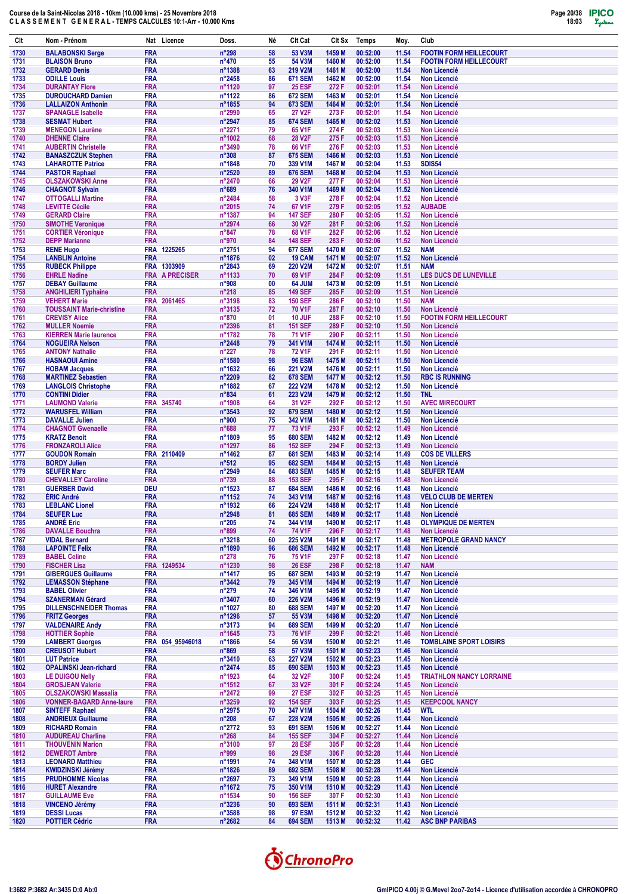

| Clt          | Nom - Prénom                                              | Nat Licence                         | Doss.                              | Né       | Clt Cat                               | CIt Sx           | <b>Temps</b>         | Moy.           | Club                                          |
|--------------|-----------------------------------------------------------|-------------------------------------|------------------------------------|----------|---------------------------------------|------------------|----------------------|----------------|-----------------------------------------------|
| 1730         | <b>BALABONSKI Serge</b>                                   | <b>FRA</b>                          | n°298                              | 58       | 53 V3M                                | 1459 M           | 00:52:00             | 11.54          | <b>FOOTIN FORM HEILLECOURT</b>                |
| 1731         | <b>BLAISON Bruno</b>                                      | <b>FRA</b>                          | $n^{\circ}470$                     | 55       | 54 V3M                                | 1460 M           | 00:52:00             | 11.54          | <b>FOOTIN FORM HEILLECOURT</b>                |
| 1732<br>1733 | <b>GERARD Denis</b><br><b>ODILLE Louis</b>                | <b>FRA</b><br><b>FRA</b>            | n°1388<br>$n^{\circ}$ 2458         | 63<br>86 | 219 V2M<br><b>671 SEM</b>             | 1461 M<br>1462 M | 00:52:00<br>00:52:00 | 11.54<br>11.54 | <b>Non Licencié</b><br><b>Non Licencié</b>    |
| 1734         | <b>DURANTAY Flore</b>                                     | <b>FRA</b>                          | n°1120                             | 97       | <b>25 ESF</b>                         | 272 F            | 00:52:01             | 11.54          | <b>Non Licencié</b>                           |
| 1735         | <b>DUROUCHARD Damien</b>                                  | <b>FRA</b>                          | n°1122                             | 86       | <b>672 SEM</b>                        | 1463 M           | 00:52:01             | 11.54          | <b>Non Licencié</b>                           |
| 1736         | <b>LALLAIZON Anthonin</b><br><b>SPANAGLE Isabelle</b>     | <b>FRA</b><br><b>FRA</b>            | n°1855<br>n°2990                   | 94<br>65 | <b>673 SEM</b><br>27 V2F              | 1464 M<br>273 F  | 00:52:01<br>00:52:01 | 11.54<br>11.54 | <b>Non Licencié</b>                           |
| 1737<br>1738 | <b>SESMAT Hubert</b>                                      | <b>FRA</b>                          | n°2947                             | 85       | <b>674 SEM</b>                        | 1465 M           | 00:52:02             | 11.53          | <b>Non Licencié</b><br><b>Non Licencié</b>    |
| 1739         | <b>MENEGON Laurène</b>                                    | <b>FRA</b>                          | n°2271                             | 79       | 65 V1F                                | 274 F            | 00:52:03             | 11.53          | <b>Non Licencié</b>                           |
| 1740         | <b>DHENNE Claire</b>                                      | <b>FRA</b>                          | n°1002                             | 68       | <b>28 V2F</b>                         | 275F             | 00:52:03             | 11.53          | <b>Non Licencié</b>                           |
| 1741<br>1742 | <b>AUBERTIN Christelle</b><br><b>BANASZCZUK Stephen</b>   | <b>FRA</b><br><b>FRA</b>            | n°3490<br>n°308                    | 78<br>87 | 66 V1F<br><b>675 SEM</b>              | 276 F<br>1466 M  | 00:52:03<br>00:52:03 | 11.53<br>11.53 | <b>Non Licencié</b><br><b>Non Licencié</b>    |
| 1743         | <b>LAHAROTTE Patrice</b>                                  | <b>FRA</b>                          | n°1848                             | 70       | 339 V1M                               | 1467 M           | 00:52:04             | 11.53          | <b>SDIS54</b>                                 |
| 1744         | <b>PASTOR Raphael</b>                                     | <b>FRA</b>                          | n°2520                             | 89       | <b>676 SEM</b>                        | 1468 M           | 00:52:04             | 11.53          | <b>Non Licencié</b>                           |
| 1745<br>1746 | <b>OLSZAKOWSKI Anne</b><br><b>CHAGNOT Sylvain</b>         | <b>FRA</b><br><b>FRA</b>            | n°2470<br>n°689                    | 66<br>76 | 29 V2F<br>340 V1M                     | 277 F<br>1469 M  | 00:52:04<br>00:52:04 | 11.53<br>11.52 | <b>Non Licencié</b><br><b>Non Licencié</b>    |
| 1747         | <b>OTTOGALLI Martine</b>                                  | <b>FRA</b>                          | n°2484                             | 58       | 3 V3F                                 | 278 F            | 00:52:04             | 11.52          | Non Licencié                                  |
| 1748         | <b>LEVITTE Cécile</b>                                     | <b>FRA</b>                          | n°2015                             | 74       | 67 V1F                                | 279 F            | 00:52:05             | 11.52          | <b>AUBADE</b>                                 |
| 1749<br>1750 | <b>GERARD Claire</b><br><b>SIMOTHE Veronique</b>          | <b>FRA</b><br><b>FRA</b>            | n°1387<br>n°2974                   | 94<br>66 | <b>147 SEF</b><br>30 V2F              | 280 F<br>281 F   | 00:52:05<br>00:52:06 | 11.52<br>11.52 | <b>Non Licencié</b><br><b>Non Licencié</b>    |
| 1751         | <b>CORTIER Véronique</b>                                  | <b>FRA</b>                          | $n^{\circ}847$                     | 78       | 68 V1F                                | 282 F            | 00:52:06             | 11.52          | <b>Non Licencié</b>                           |
| 1752         | <b>DEPP Marianne</b>                                      | <b>FRA</b>                          | n°970                              | 84       | <b>148 SEF</b>                        | 283 F            | 00:52:06             | 11.52          | <b>Non Licencié</b>                           |
| 1753         | <b>RENE Hugo</b>                                          | 1225265<br><b>FRA</b>               | n°2751                             | 94       | <b>677 SEM</b>                        | 1470 M           | 00:52:07             | 11.52          | <b>NAM</b>                                    |
| 1754<br>1755 | <b>LANBLIN Antoine</b><br><b>RUBECK Philippe</b>          | <b>FRA</b><br>FRA 1303909           | n°1876<br>n°2843                   | 02<br>69 | 19 CAM<br><b>220 V2M</b>              | 1471 M<br>1472 M | 00:52:07<br>00:52:07 | 11.52<br>11.51 | <b>Non Licencié</b><br><b>NAM</b>             |
| 1756         | <b>EHRLE Nadine</b>                                       | <b>FRA</b><br><b>A PRECISER</b>     | n°1133                             | 70       | 69 V1F                                | 284 F            | 00:52:09             | 11.51          | <b>LES DUCS DE LUNEVILLE</b>                  |
| 1757         | <b>DEBAY Guillaume</b>                                    | <b>FRA</b>                          | n°908                              | 00       | 64 JUM                                | 1473 M           | 00:52:09             | 11.51          | <b>Non Licencié</b>                           |
| 1758<br>1759 | <b>ANGHILIERI Typhaine</b><br><b>VEHERT Marie</b>         | <b>FRA</b><br><b>FRA</b><br>2061465 | $n^{\circ}218$<br>n°3198           | 85<br>83 | <b>149 SEF</b><br><b>150 SEF</b>      | 285 F<br>286 F   | 00:52:09<br>00:52:10 | 11.51<br>11.50 | <b>Non Licencié</b><br><b>NAM</b>             |
| 1760         | <b>TOUSSAINT Marie-christine</b>                          | <b>FRA</b>                          | n°3135                             | 72       | <b>70 V1F</b>                         | 287 F            | 00:52:10             | 11.50          | <b>Non Licencié</b>                           |
| 1761         | <b>CREVISY Alice</b>                                      | <b>FRA</b>                          | n°870                              | 01       | 10 JUF                                | 288 F            | 00:52:10             | 11.50          | <b>FOOTIN FORM HEILLECOURT</b>                |
| 1762         | <b>MULLER Noemie</b>                                      | <b>FRA</b>                          | n°2396                             | 81       | <b>151 SEF</b>                        | 289 F            | 00:52:10             | 11.50          | <b>Non Licencié</b>                           |
| 1763<br>1764 | <b>KIERREN Marie laurence</b><br><b>NOGUEIRA Nelson</b>   | <b>FRA</b><br><b>FRA</b>            | n°1782<br>$n^{\circ}$ 2448         | 78<br>79 | 71 V1F<br>341 V1M                     | 290 F<br>1474 M  | 00:52:11<br>00:52:11 | 11.50<br>11.50 | <b>Non Licencié</b><br><b>Non Licencié</b>    |
| 1765         | <b>ANTONY Nathalie</b>                                    | <b>FRA</b>                          | $n^{\circ}227$                     | 78       | <b>72 V1F</b>                         | 291 F            | 00:52:11             | 11.50          | <b>Non Licencié</b>                           |
| 1766         | <b>HASNAOUI Amine</b>                                     | <b>FRA</b>                          | n°1580                             | 98       | <b>96 ESM</b>                         | 1475 M           | 00:52:11             | 11.50          | <b>Non Licencié</b>                           |
| 1767<br>1768 | <b>HOBAM Jacques</b><br><b>MARTINEZ Sebastien</b>         | <b>FRA</b><br><b>FRA</b>            | n°1632<br>n°2209                   | 66<br>82 | <b>221 V2M</b><br><b>678 SEM</b>      | 1476 M<br>1477 M | 00:52:11<br>00:52:12 | 11.50<br>11.50 | <b>Non Licencié</b><br><b>RBC IS RUNNING</b>  |
| 1769         | <b>LANGLOIS Christophe</b>                                | <b>FRA</b>                          | n°1882                             | 67       | <b>222 V2M</b>                        | 1478 M           | 00:52:12             | 11.50          | <b>Non Licencié</b>                           |
| 1770         | <b>CONTINI Didier</b>                                     | <b>FRA</b>                          | $n^{\circ}834$                     | 61       | <b>223 V2M</b>                        | 1479 M           | 00:52:12             | 11.50          | <b>TNL</b>                                    |
| 1771<br>1772 | <b>LAUMOND Valerie</b><br><b>WARUSFEL William</b>         | <b>FRA</b><br>345740<br><b>FRA</b>  | n°1908<br>$n^{\circ}3543$          | 64<br>92 | 31 V <sub>2</sub> F<br><b>679 SEM</b> | 292 F<br>1480 M  | 00:52:12<br>00:52:12 | 11.50<br>11.50 | <b>AVEC MIRECOURT</b><br><b>Non Licencié</b>  |
| 1773         | <b>DAVALLE Julien</b>                                     | <b>FRA</b>                          | n°900                              | 75       | 342 V1M                               | 1481 M           | 00:52:12             | 11.50          | <b>Non Licencié</b>                           |
| 1774         | <b>CHAGNOT Gwenaelle</b>                                  | <b>FRA</b>                          | n°688                              | 77       | <b>73 V1F</b>                         | 293 F            | 00:52:12             | 11.49          | <b>Non Licencié</b>                           |
| 1775         | <b>KRATZ Benoit</b>                                       | <b>FRA</b>                          | n°1809                             | 95       | <b>680 SEM</b>                        | 1482 M           | 00:52:12             | 11.49          | <b>Non Licencié</b>                           |
| 1776<br>1777 | <b>FRONZAROLI Alice</b><br><b>GOUDON Romain</b>           | <b>FRA</b><br>FRA 2110409           | n°1297<br>n°1462                   | 86<br>87 | <b>152 SEF</b><br><b>681 SEM</b>      | 294 F<br>1483 M  | 00:52:13<br>00:52:14 | 11.49<br>11.49 | <b>Non Licencié</b><br><b>COS DE VILLERS</b>  |
| 1778         | <b>BORDY Julien</b>                                       | <b>FRA</b>                          | $n^{\circ}512$                     | 95       | <b>682 SEM</b>                        | 1484 M           | 00:52:15             | 11.48          | <b>Non Licencié</b>                           |
| 1779         | <b>SEUFER Marc</b>                                        | <b>FRA</b>                          | n°2949                             | 84       | <b>683 SEM</b>                        | 1485 M           | 00:52:15             | 11.48          | <b>SEUFER TEAM</b>                            |
| 1780<br>1781 | <b>CHEVALLEY Caroline</b><br><b>GUERBER David</b>         | <b>FRA</b><br><b>DEU</b>            | n°739<br>n°1523                    | 88<br>87 | <b>153 SEF</b><br><b>684 SEM</b>      | 295F<br>1486 M   | 00:52:16<br>00:52:16 | 11.48<br>11.48 | <b>Non Licencié</b><br><b>Non Licencié</b>    |
| 1782         | ÉRIC André                                                | <b>FRA</b>                          | n°1152                             | 74       | 343 V1M                               | 1487 M           | 00:52:16             | 11.48          | <b>VÉLO CLUB DE MERTEN</b>                    |
| 1783         | <b>LEBLANC Lionel</b>                                     | <b>FRA</b>                          | n°1932                             | 66       | <b>224 V2M</b>                        | 1488 M           | 00:52:17             | 11.48          | <b>Non Licencié</b>                           |
| 1784<br>1785 | <b>SEUFER Luc</b><br><b>ANDRÉ Eric</b>                    | <b>FRA</b><br><b>FRA</b>            | n°2948<br>$n^{\circ}205$           | 81<br>74 | <b>685 SEM</b><br>344 V1M             | 1489 M<br>1490 M | 00:52:17<br>00:52:17 | 11.48<br>11.48 | Non Licencié<br><b>OLYMPIQUE DE MERTEN</b>    |
| 1786         | <b>DAVALLE Bouchra</b>                                    | <b>FRA</b>                          | n°899                              | 74       | 74 V1F                                | 296 F            | 00:52:17             | 11.48          | <b>Non Licencié</b>                           |
| 1787         | <b>VIDAL Bernard</b>                                      | <b>FRA</b>                          | $n^{\circ}3218$                    | 60       | <b>225 V2M</b>                        | 1491 M           | 00:52:17             | 11.48          | <b>METROPOLE GRAND NANCY</b>                  |
| 1788<br>1789 | <b>LAPOINTE Felix</b><br><b>BABEL Celine</b>              | <b>FRA</b><br><b>FRA</b>            | n°1890                             | 96<br>76 | <b>686 SEM</b><br><b>75 V1F</b>       | 1492 M<br>297 F  | 00:52:17<br>00:52:18 | 11.48          | Non Licencié<br><b>Non Licencié</b>           |
| 1790         | <b>FISCHER Lisa</b>                                       | FRA 1249534                         | $n^{\circ}278$<br>n°1230           | 98       | <b>26 ESF</b>                         | 298 F            | 00:52:18             | 11.47<br>11.47 | <b>NAM</b>                                    |
| 1791         | <b>GIBERGUES Guillaume</b>                                | <b>FRA</b>                          | n°1417                             | 95       | <b>687 SEM</b>                        | 1493 M           | 00:52:19             | 11.47          | Non Licencié                                  |
| 1792         | <b>LEMASSON Stéphane</b>                                  | <b>FRA</b>                          | $n^{\circ}3442$                    | 79       | 345 V1M                               | 1494 M           | 00:52:19             | 11.47          | Non Licencié                                  |
| 1793<br>1794 | <b>BABEL Olivier</b><br><b>SZANERMAN Gérard</b>           | <b>FRA</b><br><b>FRA</b>            | $n^{\circ}279$<br>n°3407           | 74<br>60 | 346 V1M<br><b>226 V2M</b>             | 1495 M<br>1496 M | 00:52:19<br>00:52:19 | 11.47<br>11.47 | <b>Non Licencié</b><br><b>Non Licencié</b>    |
| 1795         | <b>DILLENSCHNEIDER Thomas</b>                             | <b>FRA</b>                          | n°1027                             | 80       | <b>688 SEM</b>                        | 1497 M           | 00:52:20             | 11.47          | <b>Non Licencié</b>                           |
| 1796         | <b>FRITZ Georges</b>                                      | <b>FRA</b>                          | n°1296                             | 57       | 55 V3M                                | 1498 M           | 00:52:20             | 11.47          | <b>Non Licencié</b>                           |
| 1797<br>1798 | <b>VALDENAIRE Andy</b><br><b>HOTTIER Sophie</b>           | <b>FRA</b><br><b>FRA</b>            | $n^{\circ}3173$<br>$n^{\circ}1645$ | 94<br>73 | <b>689 SEM</b><br><b>76 V1F</b>       | 1499 M<br>299 F  | 00:52:20<br>00:52:21 | 11.47<br>11.46 | Non Licencié<br><b>Non Licencié</b>           |
| 1799         | <b>LAMBERT Georges</b>                                    | FRA 054_95946018                    | n°1866                             | 54       | 56 V3M                                | 1500 M           | 00:52:21             | 11.46          | <b>TOMBLAINE SPORT LOISIRS</b>                |
| 1800         | <b>CREUSOT Hubert</b>                                     | <b>FRA</b>                          | $n^{\circ}869$                     | 58       | 57 V3M                                | 1501 M           | 00:52:23             | 11.46          | Non Licencié                                  |
| 1801<br>1802 | <b>LUT Patrice</b><br><b>OPALINSKI Jean-richard</b>       | <b>FRA</b><br><b>FRA</b>            | $n^{\circ}3410$<br>n°2474          | 63<br>85 | 227 V2M<br><b>690 SEM</b>             | 1502 M<br>1503 M | 00:52:23<br>00:52:23 | 11.45<br>11.45 | Non Licencié<br>Non Licencié                  |
| 1803         | <b>LE DUIGOU Nelly</b>                                    | <b>FRA</b>                          | n°1923                             | 64       | 32 V <sub>2</sub> F                   | 300 F            | 00:52:24             | 11.45          | <b>TRIATHLON NANCY LORRAINE</b>               |
| 1804         | <b>GROSJEAN Valerie</b>                                   | <b>FRA</b>                          | $n^{\circ}1512$                    | 67       | 33 V <sub>2</sub> F                   | 301 F            | 00:52:24             | 11.45          | Non Licencié                                  |
| 1805         | <b>OLSZAKOWSKI Massalia</b>                               | <b>FRA</b>                          | n°2472                             | 99       | <b>27 ESF</b>                         | 302 F            | 00:52:25             | 11.45          | <b>Non Licencié</b>                           |
| 1806<br>1807 | <b>VONNER-BAGARD Anne-laure</b><br><b>SINTEFF Raphael</b> | <b>FRA</b><br><b>FRA</b>            | n°3259<br>n°2975                   | 92<br>70 | <b>154 SEF</b><br>347 V1M             | 303 F<br>1504 M  | 00:52:25<br>00:52:26 | 11.45<br>11.45 | <b>KEEPCOOL NANCY</b><br><b>WTL</b>           |
| 1808         | <b>ANDRIEUX Guillaume</b>                                 | <b>FRA</b>                          | $n^{\circ}208$                     | 67       | <b>228 V2M</b>                        | 1505 M           | 00:52:26             | 11.44          | <b>Non Licencié</b>                           |
| 1809         | <b>RICHARD Romain</b>                                     | <b>FRA</b>                          | n°2772                             | 93       | <b>691 SEM</b>                        | 1506 M           | 00:52:27             | 11.44          | Non Licencié                                  |
| 1810<br>1811 | <b>AUDUREAU Charline</b><br><b>THOUVENIN Marion</b>       | <b>FRA</b><br><b>FRA</b>            | $n^{\circ}268$<br>n°3100           | 84<br>97 | <b>155 SEF</b><br><b>28 ESF</b>       | 304 F<br>305 F   | 00:52:27<br>00:52:28 | 11.44<br>11.44 | <b>Non Licencié</b><br>Non Licencié           |
| 1812         | <b>DEWERDT Ambre</b>                                      | <b>FRA</b>                          | n°999                              | 98       | <b>29 ESF</b>                         | 306 F            | 00:52:28             | 11.44          | <b>Non Licencié</b>                           |
| 1813         | <b>LEONARD Matthieu</b>                                   | <b>FRA</b>                          | n°1991                             | 74       | 348 V1M                               | 1507 M           | 00:52:28             | 11.44          | <b>GEC</b>                                    |
| 1814<br>1815 | <b>KWIDZINSKI Jérémy</b><br><b>PRUDHOMME Nicolas</b>      | <b>FRA</b><br><b>FRA</b>            | n°1826<br>n°2697                   | 89<br>73 | <b>692 SEM</b><br>349 V1M             | 1508 M<br>1509 M | 00:52:28<br>00:52:28 | 11.44<br>11.44 | <b>Non Licencié</b><br><b>Non Licencié</b>    |
| 1816         | <b>HURET Alexandre</b>                                    | <b>FRA</b>                          | n°1672                             | 75       | 350 V1M                               | 1510 M           | 00:52:29             | 11.43          | <b>Non Licencié</b>                           |
| 1817         | <b>GUILLAUME Eve</b>                                      | <b>FRA</b>                          | n°1534                             | 90       | <b>156 SEF</b>                        | 307 F            | 00:52:30             | 11.43          | Non Licencié                                  |
| 1818         | <b>VINCENO Jérémy</b>                                     | <b>FRA</b>                          | $n^{\circ}3236$                    | 90       | <b>693 SEM</b>                        | 1511 M           | 00:52:31             | 11.43          | Non Licencié                                  |
| 1819<br>1820 | <b>DESSI Lucas</b><br><b>POTTIER Cédric</b>               | <b>FRA</b><br><b>FRA</b>            | $n^{\circ}3588$<br>$n^{\circ}2682$ | 98<br>84 | <b>97 ESM</b><br><b>694 SEM</b>       | 1512 M<br>1513 M | 00:52:32<br>00:52:32 | 11.42<br>11.42 | <b>Non Licencié</b><br><b>ASC BNP PARIBAS</b> |

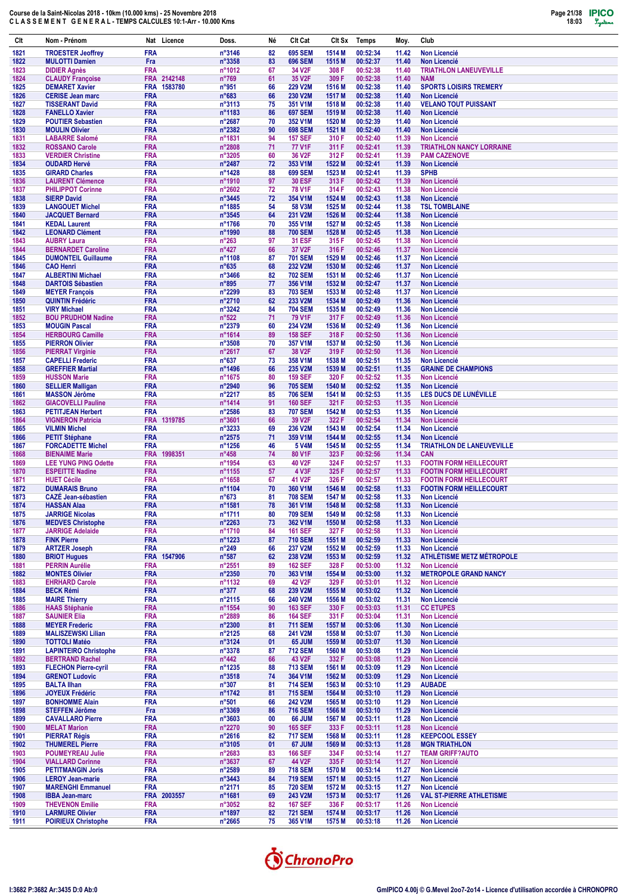

| Clt          | Nom - Prénom                                         | Nat Licence                          | Doss.                              | Né       | Clt Cat                          | CIt Sx           | <b>Temps</b>         | Moy.           | Club                                                   |
|--------------|------------------------------------------------------|--------------------------------------|------------------------------------|----------|----------------------------------|------------------|----------------------|----------------|--------------------------------------------------------|
| 1821         | <b>TROESTER Jeoffrey</b>                             | <b>FRA</b>                           | n°3146                             | 82       | <b>695 SEM</b>                   | 1514 M           | 00:52:34             | 11.42          | <b>Non Licencié</b>                                    |
| 1822         | <b>MULOTTI Damien</b>                                | Fra                                  | n°3358                             | 83       | <b>696 SEM</b>                   | 1515 M           | 00:52:37             | 11.40          | Non Licencié                                           |
| 1823         | <b>DIDIER Agnès</b>                                  | <b>FRA</b>                           | n°1012                             | 67       | 34 V2F                           | 308 F            | 00:52:38             | 11.40          | <b>TRIATHLON LANEUVEVILLE</b>                          |
| 1824<br>1825 | <b>CLAUDY Françoise</b><br><b>DEMARET Xavier</b>     | FRA 2142148<br><b>FRA</b><br>1583780 | $n^{\circ}769$<br>n°951            | 61<br>66 | 35 V2F<br><b>229 V2M</b>         | 309 F<br>1516 M  | 00:52:38<br>00:52:38 | 11.40<br>11.40 | <b>NAM</b><br><b>SPORTS LOISIRS TREMERY</b>            |
| 1826         | <b>CERISE Jean marc</b>                              | <b>FRA</b>                           | $n^{\circ}683$                     | 66       | 230 V2M                          | 1517 M           | 00:52:38             | 11.40          | <b>Non Licencié</b>                                    |
| 1827         | <b>TISSERANT David</b>                               | <b>FRA</b>                           | n°3113                             | 75       | 351 V1M                          | 1518 M           | 00:52:38             | 11.40          | <b>VELANO TOUT PUISSANT</b>                            |
| 1828<br>1829 | <b>FANELLO Xavier</b><br><b>POUTIER Sebastien</b>    | <b>FRA</b><br><b>FRA</b>             | n°1183<br>n°2687                   | 86<br>70 | <b>697 SEM</b><br>352 V1M        | 1519 M<br>1520 M | 00:52:38<br>00:52:39 | 11.40<br>11.40 | <b>Non Licencié</b><br><b>Non Licencié</b>             |
| 1830         | <b>MOULIN Olivier</b>                                | <b>FRA</b>                           | n°2382                             | 90       | <b>698 SEM</b>                   | 1521 M           | 00:52:40             | 11.40          | <b>Non Licencié</b>                                    |
| 1831         | <b>LABARRE Salomé</b>                                | <b>FRA</b>                           | n°1831                             | 94       | <b>157 SEF</b>                   | 310 F            | 00:52:40             | 11.39          | <b>Non Licencié</b>                                    |
| 1832<br>1833 | <b>ROSSANO Carole</b><br><b>VERDIER Christine</b>    | <b>FRA</b><br><b>FRA</b>             | n°2808<br>n°3205                   | 71<br>60 | <b>77 V1F</b><br>36 V2F          | 311 F<br>312 F   | 00:52:41<br>00:52:41 | 11.39<br>11.39 | <b>TRIATHLON NANCY LORRAINE</b><br><b>PAM CAZENOVE</b> |
| 1834         | <b>OUDARD Hervé</b>                                  | <b>FRA</b>                           | n°2487                             | 72       | 353 V1M                          | 1522 M           | 00:52:41             | 11.39          | <b>Non Licencié</b>                                    |
| 1835         | <b>GIRARD Charles</b>                                | <b>FRA</b>                           | n°1428                             | 88       | <b>699 SEM</b>                   | 1523 M           | 00:52:41             | 11.39          | <b>SPHB</b>                                            |
| 1836         | <b>LAURENT Clémence</b>                              | <b>FRA</b>                           | n°1910                             | 97       | <b>30 ESF</b>                    | 313 F            | 00:52:42             | 11.39          | <b>Non Licencié</b>                                    |
| 1837<br>1838 | <b>PHILIPPOT Corinne</b><br><b>SIERP David</b>       | <b>FRA</b><br><b>FRA</b>             | n°2602<br>$n^{\circ}3445$          | 72<br>72 | <b>78 V1F</b><br>354 V1M         | 314 F<br>1524 M  | 00:52:43<br>00:52:43 | 11.38<br>11.38 | <b>Non Licencié</b><br><b>Non Licencié</b>             |
| 1839         | <b>LANGOUET Michel</b>                               | <b>FRA</b>                           | n°1885                             | 54       | 58 V3M                           | 1525 M           | 00:52:44             | 11.38          | <b>TSL TOMBLAINE</b>                                   |
| 1840         | <b>JACQUET Bernard</b>                               | <b>FRA</b>                           | n°3545                             | 64       | 231 V2M                          | 1526 M           | 00:52:44             | 11.38          | <b>Non Licencié</b>                                    |
| 1841<br>1842 | <b>KEDAL Laurent</b><br><b>LEONARD Clément</b>       | <b>FRA</b><br><b>FRA</b>             | n°1766<br>n°1990                   | 70<br>88 | 355 V1M<br><b>700 SEM</b>        | 1527 M<br>1528 M | 00:52:45<br>00:52:45 | 11.38<br>11.38 | <b>Non Licencié</b><br><b>Non Licencié</b>             |
| 1843         | <b>AUBRY Laura</b>                                   | <b>FRA</b>                           | $n^{\circ}263$                     | 97       | <b>31 ESF</b>                    | 315 F            | 00:52:45             | 11.38          | <b>Non Licencié</b>                                    |
| 1844         | <b>BERNARDET Caroline</b>                            | <b>FRA</b>                           | $n^{\circ}427$                     | 66       | 37 V <sub>2</sub> F              | 316 F            | 00:52:46             | 11.37          | <b>Non Licencié</b>                                    |
| 1845<br>1846 | <b>DUMONTEIL Guillaume</b><br><b>CAO Henri</b>       | <b>FRA</b><br><b>FRA</b>             | n°1108<br>$n^{\circ}635$           | 87<br>68 | <b>701 SEM</b><br>232 V2M        | 1529 M<br>1530 M | 00:52:46<br>00:52:46 | 11.37<br>11.37 | <b>Non Licencié</b><br><b>Non Licencié</b>             |
| 1847         | <b>ALBERTINI Michael</b>                             | <b>FRA</b>                           | $n^{\circ}3466$                    | 82       | <b>702 SEM</b>                   | 1531 M           | 00:52:46             | 11.37          | <b>Non Licencié</b>                                    |
| 1848         | <b>DARTOIS Sébastien</b>                             | <b>FRA</b>                           | $n^{\circ}895$                     | 77       | 356 V1M                          | 1532 M           | 00:52:47             | 11.37          | <b>Non Licencié</b>                                    |
| 1849         | <b>MEYER François</b>                                | <b>FRA</b>                           | n°2299                             | 83       | <b>703 SEM</b>                   | 1533 M           | 00:52:48             | 11.37          | <b>Non Licencié</b>                                    |
| 1850<br>1851 | <b>QUINTIN Frédéric</b><br><b>VIRY Michael</b>       | <b>FRA</b><br><b>FRA</b>             | n°2710<br>$n^{\circ}3242$          | 62<br>84 | 233 V2M<br><b>704 SEM</b>        | 1534 M<br>1535 M | 00:52:49<br>00:52:49 | 11.36<br>11.36 | <b>Non Licencié</b><br><b>Non Licencié</b>             |
| 1852         | <b>BOU PRUDHOM Nadine</b>                            | <b>FRA</b>                           | $n^{\circ}522$                     | 71       | 79 V1F                           | 317 F            | 00:52:49             | 11.36          | <b>Non Licencié</b>                                    |
| 1853         | <b>MOUGIN Pascal</b>                                 | <b>FRA</b>                           | n°2379                             | 60       | 234 V2M                          | 1536 M           | 00:52:49             | 11.36          | <b>Non Licencié</b>                                    |
| 1854         | <b>HERBOURG Camille</b>                              | <b>FRA</b>                           | n°1614                             | 89<br>70 | <b>158 SEF</b>                   | 318 F<br>1537 M  | 00:52:50<br>00:52:50 | 11.36          | <b>Non Licencié</b>                                    |
| 1855<br>1856 | <b>PIERRON Olivier</b><br><b>PIERRAT Virginie</b>    | <b>FRA</b><br><b>FRA</b>             | n°3508<br>n°2617                   | 67       | 357 V1M<br>38 V2F                | 319 F            | 00:52:50             | 11.36<br>11.36 | <b>Non Licencié</b><br><b>Non Licencié</b>             |
| 1857         | <b>CAPELLI Frederic</b>                              | <b>FRA</b>                           | $n^{\circ}637$                     | 73       | 358 V1M                          | 1538 M           | 00:52:51             | 11.35          | <b>Non Licencié</b>                                    |
| 1858         | <b>GREFFIER Martial</b>                              | <b>FRA</b>                           | n°1496                             | 66       | 235 V2M                          | 1539 M           | 00:52:51             | 11.35          | <b>GRAINE DE CHAMPIONS</b>                             |
| 1859<br>1860 | <b>HUSSON Marie</b><br><b>SELLIER Malligan</b>       | <b>FRA</b><br><b>FRA</b>             | n°1675<br>n°2940                   | 80<br>96 | <b>159 SEF</b><br><b>705 SEM</b> | 320 F<br>1540 M  | 00:52:52<br>00:52:52 | 11.35<br>11.35 | <b>Non Licencié</b><br><b>Non Licencié</b>             |
| 1861         | <b>MASSON Jérôme</b>                                 | <b>FRA</b>                           | n°2217                             | 85       | <b>706 SEM</b>                   | 1541 M           | 00:52:53             | 11.35          | LES DUCS DE LUNÉVILLE                                  |
| 1862         | <b>GIACOVELLI Pauline</b>                            | <b>FRA</b>                           | n°1414                             | 91       | <b>160 SEF</b>                   | 321 F            | 00:52:53             | 11.35          | <b>Non Licencié</b>                                    |
| 1863<br>1864 | <b>PETITJEAN Herbert</b><br><b>VIGNERON Patricia</b> | <b>FRA</b><br>FRA 1319785            | n°2586<br>n°3601                   | 83<br>66 | <b>707 SEM</b><br>39 V2F         | 1542 M<br>322 F  | 00:52:53<br>00:52:54 | 11.35<br>11.34 | <b>Non Licencié</b><br><b>Non Licencié</b>             |
| 1865         | <b>VILMIN Michel</b>                                 | <b>FRA</b>                           | n°3233                             | 69       | 236 V2M                          | 1543 M           | 00:52:54             | 11.34          | <b>Non Licencié</b>                                    |
| 1866         | <b>PETIT Stéphane</b>                                | <b>FRA</b>                           | n°2575                             | 71       | 359 V1M                          | 1544 M           | 00:52:55             | 11.34          | <b>Non Licencié</b>                                    |
| 1867         | <b>FORCADETTE Michel</b><br><b>BIENAIME Marie</b>    | <b>FRA</b><br><b>FRA</b><br>1998351  | n°1256                             | 46<br>74 | 5 V4M<br>80 V1F                  | 1545 M<br>323 F  | 00:52:55<br>00:52:56 | 11.34<br>11.34 | <b>TRIATHLON DE LANEUVEVILLE</b>                       |
| 1868<br>1869 | <b>LEE YUNG PING Odette</b>                          | <b>FRA</b>                           | $n^{\circ}458$<br>n°1954           | 63       | 40 V2F                           | 324 F            | 00:52:57             | 11.33          | <b>CAN</b><br><b>FOOTIN FORM HEILLECOURT</b>           |
| 1870         | <b>ESPEITTE Nadine</b>                               | <b>FRA</b>                           | n°1155                             | 57       | 4 V3F                            | 325 F            | 00:52:57             | 11.33          | <b>FOOTIN FORM HEILLECOURT</b>                         |
| 1871         | <b>HUET Cécile</b>                                   | <b>FRA</b>                           | n°1658                             | 67       | 41 V2F                           | 326 F            | 00:52:57             | 11.33          | <b>FOOTIN FORM HEILLECOURT</b>                         |
| 1872<br>1873 | <b>DUMARAIS Bruno</b><br><b>CAZÉ Jean-sébastien</b>  | <b>FRA</b><br><b>FRA</b>             | n°1104<br>$n^{\circ}673$           | 70<br>81 | 360 V1M<br><b>708 SEM</b>        | 1546 M<br>1547 M | 00:52:58<br>00:52:58 | 11.33<br>11.33 | <b>FOOTIN FORM HEILLECOURT</b><br><b>Non Licencié</b>  |
| 1874         | <b>HASSAN Alaa</b>                                   | <b>FRA</b>                           | n°1581                             | 78       | 361 V1M                          | 1548 M           | 00:52:58             | 11.33          | <b>Non Licencié</b>                                    |
| 1875         | <b>JARRIGE Nicolas</b>                               | <b>FRA</b>                           | n°1711                             | 80       | <b>709 SEM</b>                   | 1549 M           | 00:52:58             | 11.33          | Non Licencié                                           |
| 1876<br>1877 | <b>MEDVES Christophe</b><br><b>JARRIGE Adelaide</b>  | <b>FRA</b><br><b>FRA</b>             | n°2263<br>n°1710                   | 73<br>84 | 362 V1M<br><b>161 SEF</b>        | 1550 M<br>327 F  | 00:52:58<br>00:52:58 | 11.33<br>11.33 | Non Licencié<br>Non Licencié                           |
| 1878         | <b>FINK Pierre</b>                                   | <b>FRA</b>                           | n°1223                             | 87       | <b>710 SEM</b>                   | 1551 M           | 00:52:59             | 11.33          | <b>Non Licencié</b>                                    |
| 1879         | <b>ARTZER Joseph</b>                                 | <b>FRA</b>                           | $n^{\circ}249$                     | 66       | 237 V2M                          | 1552 M           | 00:52:59             | 11.33          | Non Licencié                                           |
| 1880<br>1881 | <b>BRIOT Hugues</b><br><b>PERRIN Aurélie</b>         | FRA 1547906<br><b>FRA</b>            | $n^{\circ}587$<br>n°2551           | 62<br>89 | 238 V2M<br><b>162 SEF</b>        | 1553 M<br>328 F  | 00:52:59<br>00:53:00 | 11.32<br>11.32 | <b>ATHLÉTISME METZ MÉTROPOLE</b><br>Non Licencié       |
| 1882         | <b>MONTES Olivier</b>                                | <b>FRA</b>                           | n°2350                             | 70       | 363 V1M                          | 1554 M           | 00:53:00             | 11.32          | <b>METROPOLE GRAND NANCY</b>                           |
| 1883         | <b>EHRHARD Carole</b>                                | <b>FRA</b>                           | n°1132                             | 69       | 42 V2F                           | 329 F            | 00:53:01             | 11.32          | Non Licencié                                           |
| 1884         | <b>BECK Rémi</b>                                     | <b>FRA</b><br><b>FRA</b>             | $n^{\circ}377$                     | 68       | 239 V2M                          | 1555 M           | 00:53:02             | 11.32          | Non Licencié<br>Non Licencié                           |
| 1885<br>1886 | <b>MAIRE Thierry</b><br><b>HAAS Stéphanie</b>        | <b>FRA</b>                           | $n^{\circ}2115$<br>n°1554          | 66<br>90 | 240 V2M<br><b>163 SEF</b>        | 1556 M<br>330 F  | 00:53:02<br>00:53:03 | 11.31<br>11.31 | <b>CC ETUPES</b>                                       |
| 1887         | <b>SAUNIER Elia</b>                                  | <b>FRA</b>                           | n°2889                             | 86       | <b>164 SEF</b>                   | 331 F            | 00:53:04             | 11.31          | Non Licencié                                           |
| 1888         | <b>MEYER Frederic</b>                                | <b>FRA</b>                           | $n^{\circ}2300$                    | 81       | <b>711 SEM</b>                   | 1557 M           | 00:53:06             | 11.30          | Non Licencié                                           |
| 1889<br>1890 | <b>MALISZEWSKI Lilian</b><br><b>TOTTOLI Matéo</b>    | <b>FRA</b><br><b>FRA</b>             | $n^{\circ}2125$<br>n°3124          | 68<br>01 | 241 V2M<br>65 JUM                | 1558 M<br>1559 M | 00:53:07<br>00:53:07 | 11.30<br>11.30 | <b>Non Licencié</b><br>Non Licencié                    |
| 1891         | <b>LAPINTEIRO Christophe</b>                         | <b>FRA</b>                           | $n^{\circ}3378$                    | 87       | <b>712 SEM</b>                   | 1560 M           | 00:53:08             | 11.29          | <b>Non Licencié</b>                                    |
| 1892         | <b>BERTRAND Rachel</b>                               | <b>FRA</b>                           | $n^{\circ}442$                     | 66       | 43 V2F                           | 332 F            | 00:53:08             | 11.29          | <b>Non Licencié</b>                                    |
| 1893<br>1894 | <b>FLECHON Pierre-cyril</b><br><b>GRENOT Ludovic</b> | <b>FRA</b><br><b>FRA</b>             | n°1235<br>$n^{\circ}3518$          | 88<br>74 | <b>713 SEM</b><br>364 V1M        | 1561 M<br>1562 M | 00:53:09<br>00:53:09 | 11.29<br>11.29 | Non Licencié<br>Non Licencié                           |
| 1895         | <b>BALTA Ilhan</b>                                   | <b>FRA</b>                           | $n^{\circ}307$                     | 81       | <b>714 SEM</b>                   | 1563 M           | 00:53:10             | 11.29          | <b>AUBADE</b>                                          |
| 1896         | <b>JOYEUX Frédéric</b>                               | <b>FRA</b>                           | n°1742                             | 81       | <b>715 SEM</b>                   | 1564 M           | 00:53:10             | 11.29          | Non Licencié                                           |
| 1897<br>1898 | <b>BONHOMME Alain</b><br><b>STEFFEN Jérôme</b>       | <b>FRA</b><br>Fra                    | $n^{\circ}501$<br>n°3369           | 66<br>86 | 242 V2M<br><b>716 SEM</b>        | 1565 M<br>1566 M | 00:53:10<br>00:53:10 | 11.29<br>11.29 | Non Licencié<br>Non Licencié                           |
| 1899         | <b>CAVALLARO Pierre</b>                              | <b>FRA</b>                           | $n^{\circ}3603$                    | 00       | 66 JUM                           | 1567 M           | 00:53:11             | 11.28          | Non Licencié                                           |
| 1900         | <b>MELAT Marion</b>                                  | <b>FRA</b>                           | $n^{\circ}2270$                    | 90       | <b>165 SEF</b>                   | 333 F            | 00:53:11             | 11.28          | Non Licencié                                           |
| 1901         | <b>PIERRAT Régis</b>                                 | <b>FRA</b>                           | $n^{\circ}2616$                    | 82       | <b>717 SEM</b>                   | 1568 M           | 00:53:11             | 11.28          | <b>KEEPCOOL ESSEY</b>                                  |
| 1902<br>1903 | <b>THUMEREL Pierre</b><br><b>POUMEYREAU Julie</b>    | <b>FRA</b><br><b>FRA</b>             | $n^{\circ}3105$<br>$n^{\circ}2683$ | 01<br>83 | 67 JUM<br><b>166 SEF</b>         | 1569 M<br>334 F  | 00:53:13<br>00:53:14 | 11.28<br>11.27 | <b>MGN TRIATHLON</b><br><b>TEAM GRIFF?AUTO</b>         |
| 1904         | <b>VIALLARD Corinne</b>                              | <b>FRA</b>                           | n°3637                             | 67       | 44 V2F                           | 335 F            | 00:53:14             | 11.27          | Non Licencié                                           |
| 1905         | <b>PETITMANGIN Joris</b>                             | <b>FRA</b>                           | n°2589                             | 89       | <b>718 SEM</b>                   | 1570 M           | 00:53:14             | 11.27          | Non Licencié                                           |
| 1906<br>1907 | <b>LEROY Jean-marie</b><br><b>MARENGHI Emmanuel</b>  | <b>FRA</b><br><b>FRA</b>             | $n^{\circ}3443$<br>n°2171          | 84<br>85 | <b>719 SEM</b><br><b>720 SEM</b> | 1571 M<br>1572 M | 00:53:15<br>00:53:15 | 11.27<br>11.27 | Non Licencié<br>Non Licencié                           |
| 1908         | <b>IBBA Jean-marc</b>                                | FRA 2003557                          | n°1681                             | 69       | 243 V2M                          | 1573 M           | 00:53:17             | 11.26          | <b>VAL ST-PIERRE ATHLETISME</b>                        |
| 1909         | <b>THEVENON Emilie</b>                               | <b>FRA</b>                           | $n^{\circ}3052$                    | 82       | <b>167 SEF</b>                   | 336 F            | 00:53:17             | 11.26          | Non Licencié                                           |
| 1910         | <b>LARMURE Olivier</b>                               | <b>FRA</b>                           | n°1897                             | 82       | <b>721 SEM</b>                   | 1574 M           | 00:53:17             | 11.26          | Non Licencié                                           |



**1911 POIRIEUX Christophe FRA n°2665 75 365 V1M 1575 M 00:53:18 11.26 Non Licencié**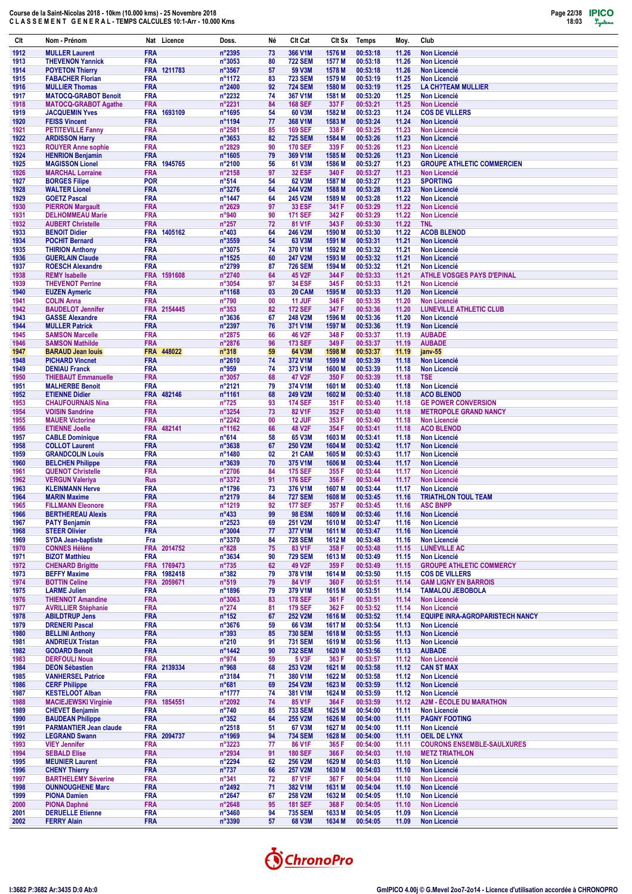

| Clt          | Nom - Prénom                                          | Nat Licence               | Doss.                              | Né       | Clt Cat                          | Clt Sx            | Temps                | Moy.           | Club                                                          |
|--------------|-------------------------------------------------------|---------------------------|------------------------------------|----------|----------------------------------|-------------------|----------------------|----------------|---------------------------------------------------------------|
| 1912         | <b>MULLER Laurent</b>                                 | <b>FRA</b>                | n°2395                             | 73       | 366 V1M                          | 1576 <sub>M</sub> | 00:53:18             | 11.26          | <b>Non Licencié</b>                                           |
| 1913         | <b>THEVENON Yannick</b>                               | <b>FRA</b>                | n°3053                             | 80       | <b>722 SEM</b>                   | 1577 M            | 00:53:18             | 11.26          | <b>Non Licencié</b>                                           |
| 1914         | <b>POYETON Thierry</b>                                | FRA 1211783               | n°3567                             | 57       | 59 V3M                           | 1578 M<br>1579 M  | 00:53:18<br>00:53:19 | 11.26          | <b>Non Licencié</b>                                           |
| 1915<br>1916 | <b>FABACHER Florian</b><br><b>MULLIER Thomas</b>      | <b>FRA</b><br><b>FRA</b>  | n°1172<br>n°2400                   | 83<br>92 | <b>723 SEM</b><br><b>724 SEM</b> | 1580 M            | 00:53:19             | 11.25<br>11.25 | <b>Non Licencié</b><br><b>LA CH?TEAM MULLIER</b>              |
| 1917         | <b>MATOCQ-GRABOT Benoit</b>                           | <b>FRA</b>                | n°2232                             | 74       | 367 V1M                          | 1581 M            | 00:53:20             | 11.25          | <b>Non Licencié</b>                                           |
| 1918         | <b>MATOCQ-GRABOT Agathe</b>                           | <b>FRA</b>                | n°2231                             | 84       | <b>168 SEF</b>                   | 337 F             | 00:53:21             | 11.25          | <b>Non Licencié</b>                                           |
| 1919         | <b>JACQUEMIN Yves</b>                                 | FRA 1693109               | n°1695                             | 54       | 60 V3M                           | 1582 M            | 00:53:23             | 11.24          | <b>COS DE VILLERS</b>                                         |
| 1920         | <b>FEISS Vincent</b>                                  | <b>FRA</b>                | n°1194                             | 77       | 368 V1M                          | 1583 M            | 00:53:24             | 11.24          | <b>Non Licencié</b>                                           |
| 1921         | <b>PETITEVILLE Fanny</b>                              | <b>FRA</b>                | n°2581                             | 85       | <b>169 SEF</b>                   | 338 F             | 00:53:25             | 11.23          | <b>Non Licencié</b>                                           |
| 1922<br>1923 | <b>ARDISSON Harry</b><br><b>ROUYER Anne sophie</b>    | <b>FRA</b><br><b>FRA</b>  | n°3653<br>n°2829                   | 82<br>90 | <b>725 SEM</b><br><b>170 SEF</b> | 1584 M<br>339 F   | 00:53:26<br>00:53:26 | 11.23<br>11.23 | <b>Non Licencié</b><br><b>Non Licencié</b>                    |
| 1924         | <b>HENRION Benjamin</b>                               | <b>FRA</b>                | n°1605                             | 79       | 369 V1M                          | 1585 M            | 00:53:26             | 11.23          | <b>Non Licencié</b>                                           |
| 1925         | <b>MAGISSON Lionel</b>                                | FRA 1945765               | n°2100                             | 56       | 61 V3M                           | 1586 M            | 00:53:27             | 11.23          | <b>GROUPE ATHLETIC COMMERCIEN</b>                             |
| 1926         | <b>MARCHAL Lorraine</b>                               | <b>FRA</b>                | n°2158                             | 97       | <b>32 ESF</b>                    | 340 F             | 00:53:27             | 11.23          | <b>Non Licencié</b>                                           |
| 1927         | <b>BORGES Filipe</b>                                  | <b>POR</b>                | $n^{\circ}514$                     | 54       | 62 V3M                           | 1587 M            | 00:53:27             | 11.23          | <b>SPORTING</b>                                               |
| 1928         | <b>WALTER Lionel</b>                                  | <b>FRA</b>                | n°3276                             | 64       | 244 V2M                          | 1588 M            | 00:53:28             | 11.23          | <b>Non Licencié</b>                                           |
| 1929<br>1930 | <b>GOETZ Pascal</b><br><b>PIERRON Margault</b>        | <b>FRA</b><br><b>FRA</b>  | n°1447<br>n°2629                   | 64<br>97 | 245 V2M<br><b>33 ESF</b>         | 1589 M<br>341 F   | 00:53:28<br>00:53:29 | 11.22<br>11.22 | <b>Non Licencié</b><br><b>Non Licencié</b>                    |
| 1931         | <b>DELHOMMEAU Marie</b>                               | <b>FRA</b>                | n°940                              | 90       | <b>171 SEF</b>                   | 342 F             | 00:53:29             | 11.22          | Non Licencié                                                  |
| 1932         | <b>AUBERT Christelle</b>                              | <b>FRA</b>                | $n^{\circ}257$                     | 72       | 81 V1F                           | 343 F             | 00:53:30             | 11.22          | <b>TNL</b>                                                    |
| 1933         | <b>BENOIT Didier</b>                                  | FRA 1405162               | $n^{\circ}403$                     | 64       | 246 V2M                          | 1590 M            | 00:53:30             | 11.22          | <b>ACOB BLENOD</b>                                            |
| 1934         | <b>POCHIT Bernard</b>                                 | <b>FRA</b>                | n°3559                             | 54       | 63 V3M                           | 1591 M            | 00:53:31             | 11.21          | <b>Non Licencié</b>                                           |
| 1935<br>1936 | <b>THIRION Anthony</b><br><b>GUERLAIN Claude</b>      | <b>FRA</b><br><b>FRA</b>  | n°3075<br>n°1525                   | 74<br>60 | 370 V1M<br>247 V2M               | 1592 M<br>1593 M  | 00:53:32<br>00:53:32 | 11.21<br>11.21 | <b>Non Licencié</b><br><b>Non Licencié</b>                    |
| 1937         | <b>ROESCH Alexandre</b>                               | <b>FRA</b>                | n°2799                             | 87       | <b>726 SEM</b>                   | 1594 M            | 00:53:32             | 11.21          | <b>Non Licencié</b>                                           |
| 1938         | <b>REMY Isabelle</b>                                  | FRA 1591608               | n°2740                             | 64       | 45 V2F                           | 344 F             | 00:53:33             | 11.21          | <b>ATHLE VOSGES PAYS D'EPINAL</b>                             |
| 1939         | <b>THEVENOT Perrine</b>                               | <b>FRA</b>                | n°3054                             | 97       | <b>34 ESF</b>                    | 345 F             | 00:53:33             | 11.21          | <b>Non Licencié</b>                                           |
| 1940         | <b>EUZEN Aymeric</b>                                  | <b>FRA</b>                | n°1168                             | 03       | 20 CAM                           | 1595 M            | 00:53:33             | 11.20          | <b>Non Licencié</b>                                           |
| 1941         | <b>COLIN Anna</b>                                     | <b>FRA</b>                | $n^{\circ}790$                     | 00       | <b>11 JUF</b>                    | 346 F             | 00:53:35             | 11.20          | <b>Non Licencié</b>                                           |
| 1942         | <b>BAUDELOT Jennifer</b>                              | FRA 2154445               | $n^{\circ}353$                     | 82       | <b>172 SEF</b>                   | 347 F             | 00:53:36             | 11.20          | <b>LUNEVILLE ATHLETIC CLUB</b>                                |
| 1943<br>1944 | <b>GASSE Alexandre</b><br><b>MULLER Patrick</b>       | <b>FRA</b><br><b>FRA</b>  | n°3636<br>n°2397                   | 67<br>76 | 248 V2M<br>371 V1M               | 1596 M<br>1597 M  | 00:53:36<br>00:53:36 | 11.20<br>11.19 | <b>Non Licencié</b><br>Non Licencié                           |
| 1945         | <b>SAMSON Marcelle</b>                                | <b>FRA</b>                | n°2875                             | 66       | <b>46 V2F</b>                    | 348 F             | 00:53:37             | 11.19          | <b>AUBADE</b>                                                 |
| 1946         | <b>SAMSON Mathilde</b>                                | <b>FRA</b>                | n°2876                             | 96       | <b>173 SEF</b>                   | 349 F             | 00:53:37             | 11.19          | <b>AUBADE</b>                                                 |
| 1947         | <b>BARAUD Jean louis</b>                              | FRA 448022                | $n^{\circ}318$                     | 59       | 64 V3M                           | 1598 M            | 00:53:37             | 11.19          | jany-55                                                       |
| 1948         | <b>PICHARD Vincnet</b>                                | <b>FRA</b>                | n°2610                             | 74       | 372 V1M                          | 1599 M            | 00:53:39             | 11.18          | <b>Non Licencié</b>                                           |
| 1949         | <b>DENIAU Franck</b>                                  | <b>FRA</b>                | n°959                              | 74       | 373 V1M                          | 1600 M            | 00:53:39             | 11.18          | <b>Non Licencié</b>                                           |
| 1950         | <b>THIEBAUT Emmanuelle</b><br><b>MALHERBE Benoit</b>  | <b>FRA</b><br><b>FRA</b>  | n°3057<br>n°2121                   | 68<br>79 | 47 V2F<br>374 V1M                | 350 F<br>1601 M   | 00:53:39<br>00:53:40 | 11.18<br>11.18 | <b>TSE</b><br>Non Licencié                                    |
| 1951<br>1952 | <b>ETIENNE Didier</b>                                 | FRA 482146                | n°1161                             | 68       | 249 V2M                          | 1602 M            | 00:53:40             | 11.18          | <b>ACO BLENOD</b>                                             |
| 1953         | <b>CHAUFOURNAIS Nina</b>                              | <b>FRA</b>                | $n^{\circ}725$                     | 93       | <b>174 SEF</b>                   | 351 F             | 00:53:40             | 11.18          | <b>GE POWER CONVERSION</b>                                    |
| 1954         | <b>VOISIN Sandrine</b>                                | <b>FRA</b>                | n°3254                             | 73       | 82 V1F                           | 352 F             | 00:53:40             | 11.18          | <b>METROPOLE GRAND NANCY</b>                                  |
| 1955         | <b>MAUER Victorine</b>                                | <b>FRA</b>                | n°2242                             | 00       | 12 JUF                           | 353 F             | 00:53:40             | 11.18          | <b>Non Licencié</b>                                           |
| 1956         | <b>ETIENNE Joelle</b>                                 | 482141<br><b>FRA</b>      | n°1162                             | 66       | <b>48 V2F</b>                    | 354 F             | 00:53:41             | 11.18          | <b>ACO BLENOD</b>                                             |
| 1957         | <b>CABLE Dominique</b>                                | <b>FRA</b>                | $n^{\circ}614$                     | 58       | 65 V3M                           | 1603 M            | 00:53:41             | 11.18          | <b>Non Licencié</b>                                           |
| 1958<br>1959 | <b>COLLOT Laurent</b><br><b>GRANDCOLIN Louis</b>      | <b>FRA</b><br><b>FRA</b>  | n°3638<br>n°1480                   | 67<br>02 | <b>250 V2M</b><br>21 CAM         | 1604 M<br>1605 M  | 00:53:42<br>00:53:43 | 11.17<br>11.17 | <b>Non Licencié</b><br><b>Non Licencié</b>                    |
| 1960         | <b>BELCHEN Philippe</b>                               | <b>FRA</b>                | n°3639                             | 70       | 375 V1M                          | 1606 M            | 00:53:44             | 11.17          | <b>Non Licencié</b>                                           |
| 1961         | <b>QUENOT Christelle</b>                              | <b>FRA</b>                | n°2706                             | 84       | <b>175 SEF</b>                   | 355 F             | 00:53:44             | 11.17          | <b>Non Licencié</b>                                           |
| 1962         | <b>VERGUN Valeriya</b>                                | <b>Rus</b>                | n°3372                             | 91       | <b>176 SEF</b>                   | 356 F             | 00:53:44             | 11.17          | <b>Non Licencié</b>                                           |
| 1963         | <b>KLEINMANN Herve</b>                                | <b>FRA</b>                | n°1796                             | 73       | 376 V1M                          | 1607 M            | 00:53:44             | 11.17          | <b>Non Licencié</b>                                           |
| 1964<br>1965 | <b>MARIN Maxime</b><br><b>FILLMANN Eleonore</b>       | <b>FRA</b><br><b>FRA</b>  | n°2179<br>n°1219                   | 84<br>92 | <b>727 SEM</b><br><b>177 SEF</b> | 1608 M<br>357 F   | 00:53:45<br>00:53:45 | 11.16<br>11.16 | <b>TRIATHLON TOUL TEAM</b><br><b>ASC BNPP</b>                 |
| 1966         | <b>BERTHEREAU Alexis</b>                              | <b>FRA</b>                | $n^{\circ}433$                     | 99       | <b>98 ESM</b>                    | 1609 M            | 00:53:46             | 11.16          | Non Licencié                                                  |
| 1967         | <b>PATY Benjamin</b>                                  | <b>FRA</b>                | n°2523                             | 69       | 251 V2M                          | 1610 M            | 00:53:47             | 11.16          | Non Licencié                                                  |
| 1968         | <b>STEER Olivier</b>                                  | <b>FRA</b>                | n°3004                             | 77       | 377 V1M                          | 1611 M            | 00:53:47             | 11.16          | Non Licencié                                                  |
| 1969         | <b>SYDA Jean-baptiste</b>                             | Fra                       | n°3370                             | 84       | <b>728 SEM</b>                   | 1612 M            | 00:53:48             | 11.16          | <b>Non Licencié</b>                                           |
| 1970         | <b>CONNES Hélène</b>                                  | FRA 2014752               | $n^{\circ}828$                     | 75       | 83 V1F                           | 358 F             | 00:53:48             | 11.15          | LUNÉVILLE AC                                                  |
| 1971<br>1972 | <b>BIZOT Matthieu</b><br><b>CHENARD Brigitte</b>      | <b>FRA</b><br>FRA 1769473 | n°3634<br>$n^{\circ}735$           | 90<br>62 | <b>729 SEM</b><br>49 V2F         | 1613 M<br>359 F   | 00:53:49<br>00:53:49 | 11.15<br>11.15 | <b>Non Licencié</b><br><b>GROUPE ATHLETIC COMMERCY</b>        |
| 1973         | <b>BEFFY Maxime</b>                                   | FRA 1982418               | $n^{\circ}382$                     | 79       | 378 V1M                          | 1614 M            | 00:53:50             | 11.15          | <b>COS DE VILLERS</b>                                         |
| 1974         | <b>BOTTIN Celine</b>                                  | FRA 2059671               | $n^{\circ}519$                     | 79       | 84 V1F                           | 360 F             | 00:53:51             | 11.14          | <b>GAM LIGNY EN BARROIS</b>                                   |
| 1975         | <b>LARME Julien</b>                                   | <b>FRA</b>                | n°1896                             | 79       | 379 V1M                          | 1615 M            | 00:53:51             | 11.14          | <b>TAMALOU JEBOBOLA</b>                                       |
| 1976         | <b>THIENNOT Amandine</b>                              | <b>FRA</b>                | n°3063                             | 83       | <b>178 SEF</b>                   | 361 F             | 00:53:51             | 11.14          | <b>Non Licencié</b>                                           |
| 1977         | <b>AVRILLIER Stéphanie</b>                            | <b>FRA</b>                | $n^{\circ}274$                     | 81       | <b>179 SEF</b>                   | 362 F             | 00:53:52             | 11.14          | Non Licencié                                                  |
| 1978<br>1979 | <b>ABILDTRUP Jens</b><br><b>DRENERI Pascal</b>        | <b>FRA</b><br><b>FRA</b>  | $n^{\circ}$ 152<br>$n^{\circ}3676$ | 67<br>59 | 252 V2M<br>66 V3M                | 1616 M<br>1617 M  | 00:53:52<br>00:53:54 | 11.14<br>11.13 | <b>EQUIPE INRA-AGROPARISTECH NANCY</b><br><b>Non Licencié</b> |
| 1980         | <b>BELLINI Anthony</b>                                | <b>FRA</b>                | $n^{\circ}393$                     | 85       | <b>730 SEM</b>                   | 1618 M            | 00:53:55             | 11.13          | <b>Non Licencié</b>                                           |
| 1981         | <b>ANDRIEUX Tristan</b>                               | <b>FRA</b>                | $n^{\circ}210$                     | 91       | <b>731 SEM</b>                   | 1619 M            | 00:53:56             | 11.13          | <b>Non Licencié</b>                                           |
| 1982         | <b>GODARD Benoit</b>                                  | <b>FRA</b>                | n°1442                             | 90       | <b>732 SEM</b>                   | 1620 M            | 00:53:56             | 11.13          | <b>AUBADE</b>                                                 |
| 1983         | <b>DERFOULI Noua</b>                                  | <b>FRA</b>                | n°974                              | 59       | <b>5 V3F</b>                     | 363 F             | 00:53:57             | 11.12          | Non Licencié                                                  |
| 1984         | <b>DEON Sébastien</b>                                 | FRA 2139334               | n°968                              | 68       | 253 V2M                          | 1621 M            | 00:53:58             | 11.12          | <b>CAN ST MAX</b>                                             |
| 1985<br>1986 | <b>VANHERSEL Patrice</b><br><b>CERF Philippe</b>      | <b>FRA</b><br><b>FRA</b>  | n°3184<br>$n^{\circ}681$           | 71<br>69 | 380 V1M<br>254 V2M               | 1622 M<br>1623 M  | 00:53:58<br>00:53:59 | 11.12<br>11.12 | <b>Non Licencié</b><br><b>Non Licencié</b>                    |
| 1987         | <b>KESTELOOT Alban</b>                                | <b>FRA</b>                | n°1777                             | 74       | 381 V1M                          | 1624 M            | 00:53:59             | 11.12          | <b>Non Licencié</b>                                           |
| 1988         | <b>MACIEJEWSKI Virginie</b>                           | FRA 1854551               | $n^{\circ}2092$                    | 74       | 85 V1F                           | 364 F             | 00:53:59             | 11.12          | <b>A2M - ÉCOLE DU MARATHON</b>                                |
| 1989         | <b>CHEVET Benjamin</b>                                | <b>FRA</b>                | $n^{\circ}740$                     | 85       | <b>733 SEM</b>                   | 1625 M            | 00:54:00             | 11.11          | <b>Non Licencié</b>                                           |
| 1990         | <b>BAUDEAN Philippe</b>                               | <b>FRA</b>                | $n^{\circ}352$                     | 64       | 255 V2M                          | 1626 M            | 00:54:00             | 11.11          | <b>PAGNY FOOTING</b>                                          |
| 1991<br>1992 | <b>PARMANTIER Jean claude</b><br><b>LEGRAND Swann</b> | <b>FRA</b><br>FRA 2094737 | n°2518<br>n°1969                   | 51<br>94 | 67 V3M<br><b>734 SEM</b>         | 1627 M<br>1628 M  | 00:54:00<br>00:54:00 | 11.11<br>11.11 | Non Licencié<br><b>OEIL DE LYNX</b>                           |
| 1993         | <b>VIEY Jennifer</b>                                  | <b>FRA</b>                | n°3223                             | 77       | 86 V1F                           | 365 F             | 00:54:00             | 11.11          | <b>COURONS ENSEMBLE-SAULXURES</b>                             |
| 1994         | <b>SEBALD Elise</b>                                   | <b>FRA</b>                | n°2934                             | 91       | <b>180 SEF</b>                   | 366 F             | 00:54:03             | 11.10          | <b>METZ TRIATHLON</b>                                         |
| 1995         | <b>MEUNIER Laurent</b>                                | <b>FRA</b>                | n°2294                             | 62       | 256 V2M                          | 1629 M            | 00:54:03             | 11.10          | <b>Non Licencié</b>                                           |
| 1996         | <b>CHENY Thierry</b>                                  | <b>FRA</b>                | $n^{\circ}737$                     | 66       | 257 V2M                          | 1630 M            | 00:54:03             | 11.10          | <b>Non Licencié</b>                                           |
| 1997         | <b>BARTHELEMY Séverine</b>                            | <b>FRA</b>                | $n^{\circ}341$                     | 72       | 87 V1F                           | 367 F             | 00:54:04             | 11.10          | Non Licencié                                                  |
| 1998<br>1999 | <b>OUNNOUGHENE Marc</b><br><b>PIONA Damien</b>        | <b>FRA</b><br><b>FRA</b>  | n°2492<br>n°2647                   | 71<br>67 | 382 V1M<br>258 V2M               | 1631 M<br>1632 M  | 00:54:04<br>00:54:05 | 11.10<br>11.10 | <b>Non Licencié</b><br>Non Licencié                           |
| 2000         | <b>PIONA Daphné</b>                                   | <b>FRA</b>                | $n^{\circ}2648$                    | 95       | <b>181 SEF</b>                   | 368 F             | 00:54:05             | 11.10          | Non Licencié                                                  |
| 2001         | <b>DERUELLE Etienne</b>                               | <b>FRA</b>                | n°3460                             | 94       | <b>735 SEM</b>                   | 1633 M            | 00:54:05             | 11.09          | <b>Non Licencié</b>                                           |
| 2002         | <b>FERRY Alain</b>                                    | <b>FRA</b>                | n°3390                             | 57       | 68 V3M                           | 1634 M            | 00:54:05             | 11.09          | Non Licencié                                                  |

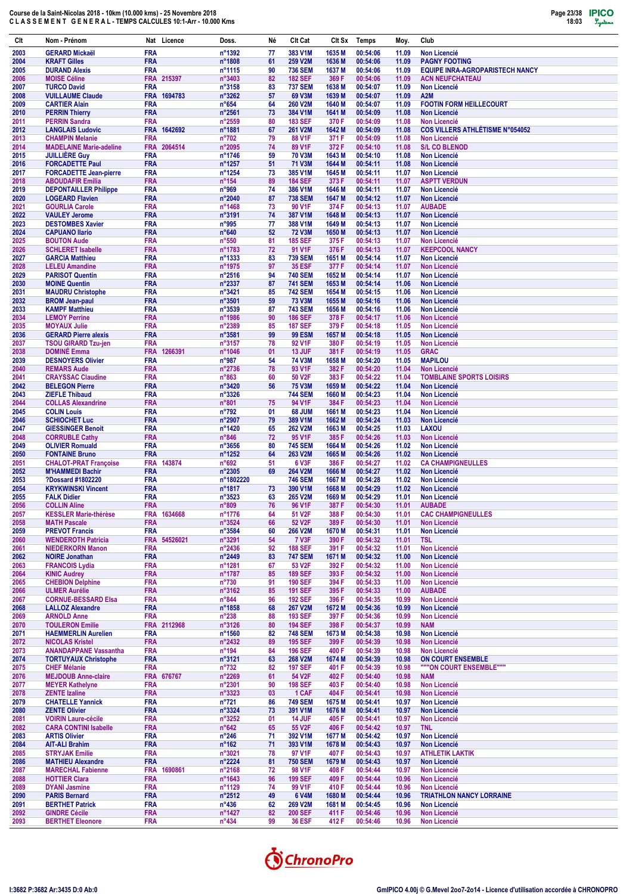| Clt          | Nom - Prénom                                             |                          | Nat Licence  | Doss.                             | Né       | Clt Cat                          | Clt Sx           | <b>Temps</b>         | Moy.           | Club                                                             |
|--------------|----------------------------------------------------------|--------------------------|--------------|-----------------------------------|----------|----------------------------------|------------------|----------------------|----------------|------------------------------------------------------------------|
| 2003         | <b>GERARD Mickaël</b>                                    | <b>FRA</b>               |              | n°1392                            | 77       | 383 V1M                          | 1635 M           | 00:54:06             | 11.09          | <b>Non Licencié</b>                                              |
| 2004         | <b>KRAFT Gilles</b>                                      | <b>FRA</b><br><b>FRA</b> |              | n°1808                            | 61<br>90 | 259 V2M                          | 1636 M<br>1637 M | 00:54:06<br>00:54:06 | 11.09<br>11.09 | <b>PAGNY FOOTING</b>                                             |
| 2005<br>2006 | <b>DURAND Alexis</b><br><b>MOISE Céline</b>              |                          | FRA 215397   | n°1115<br>n°3403                  | 82       | <b>736 SEM</b><br><b>182 SEF</b> | 369 F            | 00:54:06             | 11.09          | <b>EQUIPE INRA-AGROPARISTECH NANCY</b><br><b>ACN NEUFCHATEAU</b> |
| 2007         | <b>TURCO David</b>                                       | <b>FRA</b>               |              | n°3158                            | 83       | <b>737 SEM</b>                   | 1638 M           | 00:54:07             | 11.09          | <b>Non Licencié</b>                                              |
| 2008         | <b>VUILLAUME Claude</b>                                  | <b>FRA</b>               | FRA 1694783  | n°3262                            | 57       | 69 V3M                           | 1639 M           | 00:54:07             | 11.09          | A <sub>2</sub> M                                                 |
| 2009<br>2010 | <b>CARTIER Alain</b><br><b>PERRIN Thierry</b>            | <b>FRA</b>               |              | $n^{\circ}654$<br>n°2561          | 64<br>73 | <b>260 V2M</b><br>384 V1M        | 1640 M<br>1641 M | 00:54:07<br>00:54:09 | 11.09<br>11.08 | <b>FOOTIN FORM HEILLECOURT</b><br><b>Non Licencié</b>            |
| 2011         | <b>PERRIN Sandra</b>                                     | <b>FRA</b>               |              | n°2559                            | 80       | <b>183 SEF</b>                   | 370 F            | 00:54:09             | 11.08          | <b>Non Licencié</b>                                              |
| 2012         | <b>LANGLAIS Ludovic</b>                                  |                          | FRA 1642692  | n°1881                            | 67       | 261 V2M                          | 1642 M           | 00:54:09             | 11.08          | <b>COS VILLERS ATHLÉTISME N°054052</b>                           |
| 2013<br>2014 | <b>CHAMPIN Melanie</b><br><b>MADELAINE Marie-adeline</b> | <b>FRA</b><br><b>FRA</b> | 2064514      | $n^{\circ}702$<br>n°2095          | 79<br>74 | 88 V1F<br>89 V1F                 | 371 F<br>372 F   | 00:54:09<br>00:54:10 | 11.08<br>11.08 | <b>Non Licencié</b><br><b>S/L CO BLENOD</b>                      |
| 2015         | <b>JUILLIERE Guy</b>                                     | <b>FRA</b>               |              | n°1746                            | 59       | <b>70 V3M</b>                    | 1643 M           | 00:54:10             | 11.08          | <b>Non Licencié</b>                                              |
| 2016         | <b>FORCADETTE Paul</b>                                   | <b>FRA</b>               |              | n°1257                            | 51       | 71 V3M                           | 1644 M           | 00:54:11             | 11.08          | <b>Non Licencié</b>                                              |
| 2017<br>2018 | <b>FORCADETTE Jean-pierre</b><br><b>ABOUDAFIR Emilia</b> | <b>FRA</b><br><b>FRA</b> |              | n°1254<br>$n^{\circ}$ 154         | 73<br>89 | 385 V1M<br><b>184 SEF</b>        | 1645 M<br>373 F  | 00:54:11<br>00:54:11 | 11.07<br>11.07 | <b>Non Licencié</b><br><b>ASPTT VERDUN</b>                       |
| 2019         | <b>DEPONTAILLER Philippe</b>                             | <b>FRA</b>               |              | n°969                             | 74       | 386 V1M                          | 1646 M           | 00:54:11             | 11.07          | <b>Non Licencié</b>                                              |
| 2020         | <b>LOGEARD Flavien</b>                                   | <b>FRA</b>               |              | n°2040                            | 87       | <b>738 SEM</b>                   | 1647 M           | 00:54:12             | 11.07          | <b>Non Licencié</b>                                              |
| 2021<br>2022 | <b>GOURLIA Carole</b><br><b>VAULEY Jerome</b>            | <b>FRA</b><br><b>FRA</b> |              | n°1468<br>n°3191                  | 73<br>74 | 90 V1F<br>387 V1M                | 374 F<br>1648 M  | 00:54:13<br>00:54:13 | 11.07<br>11.07 | <b>AUBADE</b><br><b>Non Licencié</b>                             |
| 2023         | <b>DESTOMBES Xavier</b>                                  | <b>FRA</b>               |              | n°995                             | 77       | 388 V1M                          | 1649 M           | 00:54:13             | 11.07          | <b>Non Licencié</b>                                              |
| 2024         | <b>CAPUANO Ilario</b>                                    | <b>FRA</b>               |              | $n^{\circ}640$                    | 52       | <b>72 V3M</b>                    | 1650 M           | 00:54:13             | 11.07          | <b>Non Licencié</b>                                              |
| 2025<br>2026 | <b>BOUTON Aude</b><br><b>SCHLERET Isabelle</b>           | <b>FRA</b><br><b>FRA</b> |              | $n^{\circ}550$<br>n°1783          | 81<br>72 | <b>185 SEF</b><br>91 V1F         | 375F<br>376 F    | 00:54:13<br>00:54:13 | 11.07<br>11.07 | Non Licencié<br><b>KEEPCOOL NANCY</b>                            |
| 2027         | <b>GARCIA Matthieu</b>                                   | <b>FRA</b>               |              | n°1333                            | 83       | <b>739 SEM</b>                   | 1651 M           | 00:54:14             | 11.07          | <b>Non Licencié</b>                                              |
| 2028         | <b>LELEU Amandine</b>                                    | <b>FRA</b>               |              | n°1975                            | 97       | <b>35 ESF</b>                    | 377 F            | 00:54:14             | 11.07          | <b>Non Licencié</b>                                              |
| 2029<br>2030 | <b>PARISOT Quentin</b><br><b>MOINE Quentin</b>           | <b>FRA</b><br><b>FRA</b> |              | $n^{\circ}2516$<br>n°2337         | 94<br>87 | <b>740 SEM</b><br><b>741 SEM</b> | 1652 M<br>1653 M | 00:54:14<br>00:54:14 | 11.07<br>11.06 | Non Licencié<br><b>Non Licencié</b>                              |
| 2031         | <b>MAUDRU Christophe</b>                                 | FRA                      |              | n°3421                            | 85       | <b>742 SEM</b>                   | 1654 M           | 00:54:15             | 11.06          | <b>Non Licencié</b>                                              |
| 2032         | <b>BROM Jean-paul</b>                                    | <b>FRA</b>               |              | n°3501                            | 59       | <b>73 V3M</b>                    | 1655 M           | 00:54:16             | 11.06          | <b>Non Licencié</b>                                              |
| 2033<br>2034 | <b>KAMPF Matthieu</b><br><b>LEMOY Perrine</b>            | <b>FRA</b><br><b>FRA</b> |              | n°3539<br>n°1986                  | 87<br>90 | <b>743 SEM</b><br><b>186 SEF</b> | 1656 M<br>378 F  | 00:54:16<br>00:54:17 | 11.06<br>11.06 | <b>Non Licencié</b><br><b>Non Licencié</b>                       |
| 2035         | <b>MOYAUX Julie</b>                                      | <b>FRA</b>               |              | n°2389                            | 85       | <b>187 SEF</b>                   | 379 F            | 00:54:18             | 11.05          | <b>Non Licencié</b>                                              |
| 2036         | <b>GERARD Pierre alexis</b>                              | <b>FRA</b>               |              | n°3581                            | 99       | <b>99 ESM</b>                    | 1657 M           | 00:54:18             | 11.05          | <b>Non Licencié</b>                                              |
| 2037         | <b>TSOU GIRARD Tzu-jen</b><br><b>DOMINÉ Emma</b>         | FRA                      |              | n°3157                            | 78<br>01 | 92 V1F                           | 380 F            | 00:54:19<br>00:54:19 | 11.05          | <b>Non Licencié</b>                                              |
| 2038<br>2039 | <b>DESNOYERS Olivier</b>                                 | <b>FRA</b><br><b>FRA</b> | 1266391      | n°1046<br>n°987                   | 54       | 13 JUF<br><b>74 V3M</b>          | 381 F<br>1658 M  | 00:54:20             | 11.05<br>11.05 | <b>GRAC</b><br><b>MAPILOU</b>                                    |
| 2040         | <b>REMARS Aude</b>                                       | FRA                      |              | n°2736                            | 78       | 93 V1F                           | 382 F            | 00:54:20             | 11.04          | Non Licencié                                                     |
| 2041         | <b>CRAYSSAC Claudine</b>                                 | <b>FRA</b>               |              | $n^{\circ}863$                    | 60       | 50 V2F                           | 383 F            | 00:54:22             | 11.04          | <b>TOMBLAINE SPORTS LOISIRS</b>                                  |
| 2042<br>2043 | <b>BELEGON Pierre</b><br><b>ZIEFLE Thibaud</b>           | <b>FRA</b><br><b>FRA</b> |              | n°3420<br>n°3326                  | 56       | <b>75 V3M</b><br><b>744 SEM</b>  | 1659 M<br>1660 M | 00:54:22<br>00:54:23 | 11.04<br>11.04 | <b>Non Licencié</b><br><b>Non Licencié</b>                       |
| 2044         | <b>COLLAS Alexandrine</b>                                | <b>FRA</b>               |              | n°801                             | 75       | 94 V1F                           | 384 F            | 00:54:23             | 11.04          | <b>Non Licencié</b>                                              |
| 2045         | <b>COLIN Louis</b>                                       | <b>FRA</b>               |              | n°792                             | 01       | 68 JUM                           | 1661 M           | 00:54:23             | 11.04          | <b>Non Licencié</b>                                              |
| 2046<br>2047 | <b>SCHIOCHET Luc</b><br><b>GIESSINGER Benoit</b>         | <b>FRA</b><br><b>FRA</b> |              | n°2907<br>n°1420                  | 79<br>65 | 389 V1M<br>262 V2M               | 1662 M<br>1663 M | 00:54:24<br>00:54:25 | 11.03<br>11.03 | <b>Non Licencié</b><br><b>LAXOU</b>                              |
| 2048         | <b>CORRUBLE Cathy</b>                                    | <b>FRA</b>               |              | $n^{\circ}846$                    | 72       | 95 V1F                           | 385F             | 00:54:26             | 11.03          | <b>Non Licencié</b>                                              |
| 2049         | <b>OLIVIER Romuald</b>                                   | <b>FRA</b>               |              | $n^{\circ}3656$                   | 80       | <b>745 SEM</b>                   | 1664 M           | 00:54:26             | 11.02          | <b>Non Licencié</b>                                              |
| 2050<br>2051 | <b>FONTAINE Bruno</b><br><b>CHALOT-PRAT Françoise</b>    | <b>FRA</b>               | FRA 143874   | n°1252<br>n°692                   | 64<br>51 | 263 V2M<br>6 V3F                 | 1665 M<br>386 F  | 00:54:26<br>00:54:27 | 11.02<br>11.02 | <b>Non Licencié</b><br><b>CA CHAMPIGNEULLES</b>                  |
| 2052         | <b>M'HAMMEDI Bachir</b>                                  | <b>FRA</b>               |              | $n^{\circ}2305$                   | 69       | 264 V2M                          | 1666 M           | 00:54:27             | 11.02          | <b>Non Licencié</b>                                              |
| 2053         | ?Dossard #1802220                                        | <b>FRA</b>               |              | n°1802220                         |          | <b>746 SEM</b>                   | 1667 M           | 00:54:28             | 11.02          | <b>Non Licencié</b>                                              |
| 2054<br>2055 | <b>KRYKWINSKI Vincent</b><br><b>FALK Didier</b>          | <b>FRA</b><br>FRA        |              | n°1817<br>$n^{\circ}3523$         | 73<br>63 | 390 V1M<br>265 V2M               | 1668 M<br>1669 M | 00:54:29<br>00:54:29 | 11.02<br>11.01 | <b>Non Licencié</b><br><b>Non Licencié</b>                       |
| 2056         | <b>COLLIN Aline</b>                                      | <b>FRA</b>               |              | $n^{\circ}809$                    | 76       | 96 V1F                           | 387 F            | 00:54:30             | 11.01          | <b>AUBADE</b>                                                    |
| 2057         | <b>KESSLER Marie-thérèse</b>                             |                          | FRA 1634668  | n°1776                            | 64       | 51 V2F                           | 388 F            | 00:54:30             | 11.01          | <b>CAC CHAMPIGNEULLES</b>                                        |
| 2058<br>2059 | <b>MATH Pascale</b><br><b>PREVOT Francis</b>             | <b>FRA</b><br><b>FRA</b> |              | $n^{\circ}3524$<br>n°3584         | 66<br>60 | 52 V2F<br>266 V2M                | 389 F<br>1670 M  | 00:54:30<br>00:54:31 | 11.01<br>11.01 | Non Licencié<br>Non Licencié                                     |
| 2060         | <b>WENDEROTH Patricia</b>                                |                          | FRA 54526021 | $n^{\circ}3291$                   | 54       | <b>7 V3F</b>                     | 390 F            | 00:54:32             | 11.01          | <b>TSL</b>                                                       |
| 2061         | <b>NIEDERKORN Manon</b>                                  | <b>FRA</b>               |              | $n^{\circ}$ 2436                  | 92       | <b>188 SEF</b>                   | 391 F            | 00:54:32             | 11.01          | Non Licencié                                                     |
| 2062<br>2063 | <b>NOIRE Jonathan</b><br><b>FRANCOIS Lydia</b>           | <b>FRA</b><br><b>FRA</b> |              | n°2449<br>n°1281                  | 83<br>67 | <b>747 SEM</b><br>53 V2F         | 1671 M<br>392 F  | 00:54:32<br>00:54:32 | 11.00<br>11.00 | Non Licencié<br>Non Licencié                                     |
| 2064         | <b>KINIC Audrey</b>                                      | <b>FRA</b>               |              | n°1787                            | 85       | <b>189 SEF</b>                   | 393 F            | 00:54:32             | 11.00          | Non Licencié                                                     |
| 2065         | <b>CHEBION Delphine</b>                                  | <b>FRA</b>               |              | $n^{\circ}730$                    | 91       | <b>190 SEF</b>                   | 394 F            | 00:54:33             | 11.00          | Non Licencié                                                     |
| 2066<br>2067 | <b>ULMER Aurélie</b><br><b>CORNUE-BESSARD Elsa</b>       | <b>FRA</b><br><b>FRA</b> |              | $n^{\circ}3162$<br>$n^{\circ}844$ | 85<br>96 | <b>191 SEF</b><br><b>192 SEF</b> | 395 F<br>396 F   | 00:54:33<br>00:54:35 | 11.00<br>10.99 | <b>AUBADE</b><br><b>Non Licencié</b>                             |
| 2068         | <b>LALLOZ Alexandre</b>                                  | <b>FRA</b>               |              | n°1858                            | 68       | 267 V2M                          | 1672 M           | 00:54:36             | 10.99          | Non Licencié                                                     |
| 2069         | <b>ARNOLD Anne</b>                                       | <b>FRA</b>               |              | $n^{\circ}238$                    | 88       | <b>193 SEF</b>                   | 397 F            | 00:54:36             | 10.99          | Non Licencié                                                     |
| 2070<br>2071 | <b>TOULERON Emilie</b><br><b>HAEMMERLIN Aurelien</b>     | <b>FRA</b>               | FRA 2112968  | $n^{\circ}3126$<br>n°1560         | 80<br>82 | <b>194 SEF</b><br><b>748 SEM</b> | 398 F<br>1673 M  | 00:54:37<br>00:54:38 | 10.99<br>10.98 | <b>NAM</b><br>Non Licencié                                       |
| 2072         | <b>NICOLAS Kristel</b>                                   | <b>FRA</b>               |              | $n^{\circ}$ 2432                  | 89       | <b>195 SEF</b>                   | 399 F            | 00:54:39             | 10.98          | <b>Non Licencié</b>                                              |
| 2073         | <b>ANANDAPPANE Vassantha</b>                             | <b>FRA</b>               |              | $n^{\circ}$ 194                   | 84       | <b>196 SEF</b>                   | 400 F            | 00:54:39             | 10.98          | Non Licencié                                                     |
| 2074<br>2075 | <b>TORTUYAUX Christophe</b><br><b>CHEF Mélanie</b>       | <b>FRA</b><br><b>FRA</b> |              | $n^{\circ}3121$<br>$n^{\circ}732$ | 63<br>82 | 268 V2M<br><b>197 SEF</b>        | 1674 M<br>401 F  | 00:54:39<br>00:54:39 | 10.98<br>10.98 | <b>ON COURT ENSEMBLE</b><br>""ON COURT ENSEMBLE"""               |
| 2076         | <b>MEJDOUB Anne-claire</b>                               |                          | FRA 676767   | n°2269                            | 61       | 54 V2F                           | 402 F            | 00:54:40             | 10.98          | <b>NAM</b>                                                       |
| 2077         | <b>MEYER Kathelyne</b>                                   | <b>FRA</b>               |              | n°2301                            | 90       | <b>198 SEF</b>                   | 403 F            | 00:54:40             | 10.98          | Non Licencié                                                     |
| 2078<br>2079 | <b>ZENTE Izaline</b><br><b>CHATELLE Yannick</b>          | <b>FRA</b><br><b>FRA</b> |              | $n^{\circ}3323$<br>$n^{\circ}721$ | 03<br>86 | 1 CAF<br><b>749 SEM</b>          | 404 F<br>1675 M  | 00:54:41<br>00:54:41 | 10.98<br>10.97 | <b>Non Licencié</b><br>Non Licencié                              |
| 2080         | <b>ZENTE Olivier</b>                                     | <b>FRA</b>               |              | $n^{\circ}3324$                   | 73       | 391 V1M                          | 1676 M           | 00:54:41             | 10.97          | Non Licencié                                                     |
| 2081         | <b>VOIRIN Laure-cécile</b>                               | <b>FRA</b>               |              | $n^{\circ}3252$                   | 01       | <b>14 JUF</b>                    | 405 F            | 00:54:41             | 10.97          | Non Licencié                                                     |
| 2082<br>2083 | <b>CARA CONTINI Isabelle</b><br><b>ARTIS Olivier</b>     | <b>FRA</b><br><b>FRA</b> |              | $n^{\circ}642$<br>$n^{\circ}246$  | 65<br>71 | 55 V2F<br>392 V1M                | 406 F<br>1677 M  | 00:54:42<br>00:54:42 | 10.97<br>10.97 | <b>TNL</b><br>Non Licencié                                       |
| 2084         | <b>AIT-ALI Brahim</b>                                    | <b>FRA</b>               |              | $n^{\circ}162$                    | 71       | 393 V1M                          | 1678 M           | 00:54:43             | 10.97          | Non Licencié                                                     |
| 2085         | <b>STRYJAK Emilie</b>                                    | <b>FRA</b>               |              | n°3021                            | 78       | 97 V1F                           | 407 F            | 00:54:43             | 10.97          | <b>ATHLETIK LAKTIK</b>                                           |
| 2086<br>2087 | <b>MATHIEU Alexandre</b><br><b>MARECHAL Fabienne</b>     | <b>FRA</b>               | FRA 1690861  | $n^{\circ}2224$<br>n°2168         | 81<br>72 | <b>750 SEM</b><br>98 V1F         | 1679 M<br>408 F  | 00:54:43<br>00:54:44 | 10.97<br>10.97 | Non Licencié<br>Non Licencié                                     |
| 2088         | <b>HOTTIER Clara</b>                                     | <b>FRA</b>               |              | $n^{\circ}1643$                   | 96       | <b>199 SEF</b>                   | 409 F            | 00:54:44             | 10.96          | Non Licencié                                                     |
| 2089         | <b>DYANI Jasmine</b>                                     | <b>FRA</b>               |              | n°1129                            | 74       | 99 V1F                           | 410 F            | 00:54:44             | 10.96          | Non Licencié                                                     |
| 2090<br>2091 | <b>PARIS Bernard</b><br><b>BERTHET Patrick</b>           | <b>FRA</b><br><b>FRA</b> |              | $n^{\circ}2512$<br>$n^{\circ}436$ | 49<br>62 | 6 V4M<br>269 V2M                 | 1680 M<br>1681 M | 00:54:44<br>00:54:45 | 10.96<br>10.96 | <b>TRIATHLON NANCY LORRAINE</b><br>Non Licencié                  |
| 2092         | <b>GINDRE Cécile</b>                                     | <b>FRA</b>               |              | $n^{\circ}$ 1427                  | 82       | <b>200 SEF</b>                   | 411 F            | 00:54:46             | 10.96          | Non Licencié                                                     |
| 2093         | <b>BERTHET Eleonore</b>                                  | <b>FRA</b>               |              | $n^{\circ}434$                    | 99       | <b>36 ESF</b>                    | 412 F            | 00:54:46             | 10.96          | Non Licencié                                                     |

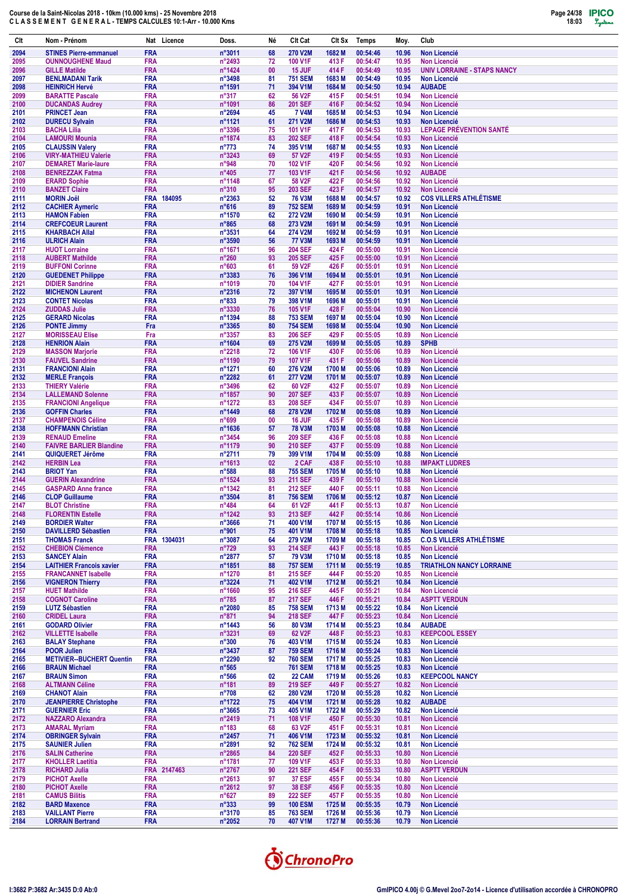

| Clt          | Nom - Prénom                                            | Nat                      | Licence     | Doss.                              | Né       | Clt Cat                          | Clt Sx           | Temps                | Moy.           | Club                                                      |
|--------------|---------------------------------------------------------|--------------------------|-------------|------------------------------------|----------|----------------------------------|------------------|----------------------|----------------|-----------------------------------------------------------|
| 2094         | <b>STINES Pierre-emmanuel</b>                           | <b>FRA</b>               |             | n°3011                             | 68       | <b>270 V2M</b>                   | 1682 M           | 00:54:46             | 10.96          | <b>Non Licencié</b>                                       |
| 2095         | <b>OUNNOUGHENE Maud</b>                                 | <b>FRA</b>               |             | n°2493                             | 72       | 100 V1F                          | 413 F            | 00:54:47             | 10.95          | <b>Non Licencié</b>                                       |
| 2096<br>2097 | <b>GILLE Matilde</b><br><b>BENLMADANI Tarik</b>         | <b>FRA</b><br><b>FRA</b> |             | n°1424<br>n°3498                   | 00<br>81 | 15 JUF<br><b>751 SEM</b>         | 414 F<br>1683 M  | 00:54:49<br>00:54:49 | 10.95<br>10.95 | <b>UNIV LORRAINE - STAPS NANCY</b><br><b>Non Licencié</b> |
| 2098         | <b>HEINRICH Hervé</b>                                   | <b>FRA</b>               |             | n°1591                             | 71       | 394 V1M                          | 1684 M           | 00:54:50             | 10.94          | <b>AUBADE</b>                                             |
| 2099         | <b>BARATTE Pascale</b>                                  | <b>FRA</b>               |             | $n^{\circ}317$                     | 62       | 56 V2F                           | 415 F            | 00:54:51             | 10.94          | <b>Non Licencié</b>                                       |
| 2100<br>2101 | <b>DUCANDAS Audrey</b><br><b>PRINCET Jean</b>           | <b>FRA</b><br><b>FRA</b> |             | n°1091<br>n°2694                   | 86<br>45 | <b>201 SEF</b><br><b>7 V4M</b>   | 416 F<br>1685 M  | 00:54:52<br>00:54:53 | 10.94<br>10.94 | <b>Non Licencié</b><br><b>Non Licencié</b>                |
| 2102         | <b>DURECU Sylvain</b>                                   | <b>FRA</b>               |             | n°1121                             | 61       | 271 V2M                          | 1686 M           | 00:54:53             | 10.93          | <b>Non Licencié</b>                                       |
| 2103         | <b>BACHA Lilia</b>                                      | <b>FRA</b>               |             | n°3396                             | 75       | 101 V1F                          | 417 F            | 00:54:53             | 10.93          | <b>LEPAGE PRÉVENTION SANTÉ</b>                            |
| 2104         | <b>LAMOURI Mounia</b>                                   | <b>FRA</b>               |             | n°1874                             | 83       | <b>202 SEF</b>                   | 418 F            | 00:54:54             | 10.93          | <b>Non Licencié</b>                                       |
| 2105<br>2106 | <b>CLAUSSIN Valery</b><br><b>VIRY-MATHIEU Valerie</b>   | <b>FRA</b><br><b>FRA</b> |             | $n^{\circ}773$<br>n°3243           | 74<br>69 | 395 V1M<br>57 V2F                | 1687 M<br>419 F  | 00:54:55<br>00:54:55 | 10.93<br>10.93 | <b>Non Licencié</b><br><b>Non Licencié</b>                |
| 2107         | <b>DEMARET Marie-laure</b>                              | <b>FRA</b>               |             | n°948                              | 70       | 102 V1F                          | 420 F            | 00:54:56             | 10.92          | <b>Non Licencié</b>                                       |
| 2108         | <b>BENREZZAK Fatma</b>                                  | <b>FRA</b>               |             | $n^{\circ}405$                     | 77       | 103 V1F                          | 421 F            | 00:54:56             | 10.92          | <b>AUBADE</b>                                             |
| 2109<br>2110 | <b>ERARD Sophie</b><br><b>BANZET Claire</b>             | <b>FRA</b><br><b>FRA</b> |             | n°1148<br>$n^{\circ}310$           | 67<br>95 | 58 V2F<br><b>203 SEF</b>         | 422 F<br>423 F   | 00:54:56<br>00:54:57 | 10.92<br>10.92 | <b>Non Licencié</b><br><b>Non Licencié</b>                |
| 2111         | <b>MORIN Joël</b>                                       | <b>FRA</b>               | 184095      | n°2363                             | 52       | <b>76 V3M</b>                    | 1688 M           | 00:54:57             | 10.92          | <b>COS VILLERS ATHLÉTISME</b>                             |
| 2112         | <b>CACHIER Aymeric</b>                                  | <b>FRA</b>               |             | $n^{\circ}616$                     | 89       | <b>752 SEM</b>                   | 1689 M           | 00:54:59             | 10.91          | <b>Non Licencié</b>                                       |
| 2113<br>2114 | <b>HAMON Fabien</b><br><b>CREFCOEUR Laurent</b>         | <b>FRA</b><br><b>FRA</b> |             | n°1570<br>$n^{\circ}865$           | 62<br>68 | 272 V2M<br>273 V2M               | 1690 M<br>1691 M | 00:54:59<br>00:54:59 | 10.91<br>10.91 | <b>Non Licencié</b><br><b>Non Licencié</b>                |
| 2115         | <b>KHARBACH Allal</b>                                   | <b>FRA</b>               |             | n°3531                             | 64       | 274 V2M                          | 1692 M           | 00:54:59             | 10.91          | <b>Non Licencié</b>                                       |
| 2116         | <b>ULRICH Alain</b>                                     | <b>FRA</b>               |             | $n^{\circ}3590$                    | 56       | <b>77 V3M</b>                    | 1693 M           | 00:54:59             | 10.91          | <b>Non Licencié</b>                                       |
| 2117<br>2118 | <b>HUOT Lorraine</b><br><b>AUBERT Mathilde</b>          | <b>FRA</b><br><b>FRA</b> |             | n°1671<br>$n^{\circ}260$           | 96<br>93 | <b>204 SEF</b><br><b>205 SEF</b> | 424 F<br>425F    | 00:55:00<br>00:55:00 | 10.91<br>10.91 | <b>Non Licencié</b><br><b>Non Licencié</b>                |
| 2119         | <b>BUFFONI Corinne</b>                                  | <b>FRA</b>               |             | n°603                              | 61       | 59 V2F                           | 426 F            | 00:55:01             | 10.91          | <b>Non Licencié</b>                                       |
| 2120         | <b>GUEDENET Philippe</b>                                | <b>FRA</b>               |             | n°3383                             | 76       | 396 V1M                          | 1694 M           | 00:55:01             | 10.91          | <b>Non Licencié</b>                                       |
| 2121         | <b>DIDIER Sandrine</b>                                  | <b>FRA</b>               |             | n°1019                             | 70       | 104 V1F                          | 427 F            | 00:55:01             | 10.91          | <b>Non Licencié</b>                                       |
| 2122<br>2123 | <b>MICHENON Laurent</b><br><b>CONTET Nicolas</b>        | <b>FRA</b><br><b>FRA</b> |             | $n^{\circ}2316$<br>$n^{\circ}833$  | 72<br>79 | 397 V1M<br>398 V1M               | 1695 M<br>1696 M | 00:55:01<br>00:55:01 | 10.91<br>10.91 | <b>Non Licencié</b><br><b>Non Licencié</b>                |
| 2124         | <b>ZUDDAS Julie</b>                                     | <b>FRA</b>               |             | n°3330                             | 76       | 105 V1F                          | 428 F            | 00:55:04             | 10.90          | <b>Non Licencié</b>                                       |
| 2125         | <b>GERARD Nicolas</b>                                   | <b>FRA</b>               |             | n°1394                             | 88       | <b>753 SEM</b>                   | 1697 M           | 00:55:04             | 10.90          | <b>Non Licencié</b>                                       |
| 2126<br>2127 | <b>PONTE Jimmy</b><br><b>MORISSEAU Elise</b>            | Fra<br>Fra               |             | n°3365<br>n°3357                   | 80<br>83 | <b>754 SEM</b><br><b>206 SEF</b> | 1698 M<br>429 F  | 00:55:04<br>00:55:05 | 10.90<br>10.89 | <b>Non Licencié</b><br><b>Non Licencié</b>                |
| 2128         | <b>HENRION Alain</b>                                    | <b>FRA</b>               |             | $n^{\circ}1604$                    | 69       | 275 V2M                          | 1699 M           | 00:55:05             | 10.89          | <b>SPHB</b>                                               |
| 2129         | <b>MASSON Marjorie</b>                                  | <b>FRA</b>               |             | n°2218                             | 72       | 106 V1F                          | 430 F            | 00:55:06             | 10.89          | <b>Non Licencié</b>                                       |
| 2130<br>2131 | <b>FAUVEL Sandrine</b><br><b>FRANCIONI Alain</b>        | <b>FRA</b><br><b>FRA</b> |             | n°1190<br>n°1271                   | 79<br>60 | 107 V1F<br><b>276 V2M</b>        | 431 F<br>1700 M  | 00:55:06<br>00:55:06 | 10.89<br>10.89 | <b>Non Licencié</b><br><b>Non Licencié</b>                |
| 2132         | <b>MERLE François</b>                                   | <b>FRA</b>               |             | n°2282                             | 61       | <b>277 V2M</b>                   | 1701 M           | 00:55:07             | 10.89          | <b>Non Licencié</b>                                       |
| 2133         | <b>THIERY Valérie</b>                                   | <b>FRA</b>               |             | n°3496                             | 62       | 60 V2F                           | 432 F            | 00:55:07             | 10.89          | Non Licencié                                              |
| 2134         | <b>LALLEMAND Solenne</b>                                | <b>FRA</b>               |             | n°1857                             | 90       | <b>207 SEF</b>                   | 433 F            | 00:55:07             | 10.89          | <b>Non Licencié</b>                                       |
| 2135<br>2136 | <b>FRANCIONI Angelique</b><br><b>GOFFIN Charles</b>     | <b>FRA</b><br><b>FRA</b> |             | n°1272<br>n°1449                   | 83<br>68 | <b>208 SEF</b><br>278 V2M        | 434 F<br>1702 M  | 00:55:07<br>00:55:08 | 10.89<br>10.89 | <b>Non Licencié</b><br><b>Non Licencié</b>                |
| 2137         | <b>CHAMPENOIS Céline</b>                                | <b>FRA</b>               |             | n°699                              | 00       | 16 JUF                           | 435 F            | 00:55:08             | 10.89          | <b>Non Licencié</b>                                       |
| 2138         | <b>HOFFMANN Christian</b>                               | <b>FRA</b>               |             | n°1636                             | 57       | <b>78 V3M</b>                    | 1703 M           | 00:55:08             | 10.88          | <b>Non Licencié</b>                                       |
| 2139<br>2140 | <b>RENAUD Emeline</b><br><b>FAIVRE BARLIER Blandine</b> | <b>FRA</b><br><b>FRA</b> |             | n°3454<br>n°1179                   | 96<br>90 | <b>209 SEF</b><br><b>210 SEF</b> | 436 F<br>437 F   | 00:55:08<br>00:55:09 | 10.88<br>10.88 | <b>Non Licencié</b><br><b>Non Licencié</b>                |
| 2141         | QUIQUERET Jérôme                                        | <b>FRA</b>               |             | n°2711                             | 79       | 399 V1M                          | 1704 M           | 00:55:09             | 10.88          | <b>Non Licencié</b>                                       |
| 2142         | <b>HERBIN Lea</b>                                       | <b>FRA</b>               |             | n°1613                             | 02       | 2 CAF                            | 438 F            | 00:55:10             | 10.88          | <b>IMPAKT LUDRES</b>                                      |
| 2143<br>2144 | <b>BRIOT Yan</b><br><b>GUERIN Alexandrine</b>           | <b>FRA</b><br><b>FRA</b> |             | $n^{\circ}588$<br>n°1524           | 88<br>93 | <b>755 SEM</b><br><b>211 SEF</b> | 1705 M<br>439 F  | 00:55:10<br>00:55:10 | 10.88<br>10.88 | <b>Non Licencié</b><br><b>Non Licencié</b>                |
| 2145         | <b>GASPARD Anne france</b>                              | <b>FRA</b>               |             | n°1342                             | 81       | <b>212 SEF</b>                   | 440 F            | 00:55:11             | 10.88          | <b>Non Licencié</b>                                       |
| 2146         | <b>CLOP Guillaume</b>                                   | <b>FRA</b>               |             | n°3504                             | 81       | <b>756 SEM</b>                   | 1706 M           | 00:55:12             | 10.87          | <b>Non Licencié</b>                                       |
| 2147<br>2148 | <b>BLOT Christine</b><br><b>FLORENTIN Estelle</b>       | <b>FRA</b><br><b>FRA</b> |             | $n^{\circ}484$<br>n°1242           | 64<br>93 | 61 V2F<br>213 SEF                | 441 F<br>442 F   | 00:55:13<br>00:55:14 | 10.87<br>10.86 | <b>Non Licencié</b><br><b>Non Licencié</b>                |
| 2149         | <b>BORDIER Walter</b>                                   | <b>FRA</b>               |             | n°3666                             | 71       | 400 V1M                          | 1707 M           | 00:55:15             | 10.86          | <b>Non Licencié</b>                                       |
| 2150         | <b>DAVILLERD Sébastien</b>                              | <b>FRA</b>               |             | n°901                              | 75       | 401 V1M                          | 1708 M           | 00:55:18             | 10.85          | Non Licencié                                              |
| 2151         | <b>THOMAS Franck</b>                                    |                          | FRA 1304031 | n°3087                             | 64       | 279 V2M                          | 1709 M           | 00:55:18             | 10.85          | <b>C.O.S VILLERS ATHLÉTISME</b>                           |
| 2152<br>2153 | <b>CHEBION Clémence</b><br><b>SANCEY Alain</b>          | <b>FRA</b><br><b>FRA</b> |             | $n^{\circ}729$<br>n°2877           | 93<br>57 | <b>214 SEF</b><br><b>79 V3M</b>  | 443 F<br>1710 M  | 00:55:18<br>00:55:18 | 10.85<br>10.85 | Non Licencié<br><b>Non Licencié</b>                       |
| 2154         | <b>LAITHIER Francois xavier</b>                         | <b>FRA</b>               |             | n°1851                             | 88       | <b>757 SEM</b>                   | 1711 M           | 00:55:19             | 10.85          | <b>TRIATHLON NANCY LORRAINE</b>                           |
| 2155         | <b>FRANCANNET Isabelle</b>                              | <b>FRA</b>               |             | n°1270                             | 81       | 215 SEF                          | 444 F            | 00:55:20             | 10.85          | <b>Non Licencié</b>                                       |
| 2156<br>2157 | <b>VIGNERON Thierry</b><br><b>HUET Mathilde</b>         | <b>FRA</b><br><b>FRA</b> |             | $n^{\circ}3224$<br>n°1660          | 71<br>95 | 402 V1M<br>216 SEF               | 1712 M<br>445 F  | 00:55:21<br>00:55:21 | 10.84<br>10.84 | Non Licencié<br>Non Licencié                              |
| 2158         | <b>COGNOT Caroline</b>                                  | <b>FRA</b>               |             | $n^{\circ}785$                     | 87       | <b>217 SEF</b>                   | 446 F            | 00:55:21             | 10.84          | <b>ASPTT VERDUN</b>                                       |
| 2159         | <b>LUTZ Sébastien</b>                                   | <b>FRA</b>               |             | n°2080                             | 85       | <b>758 SEM</b>                   | 1713 M           | 00:55:22             | 10.84          | <b>Non Licencié</b>                                       |
| 2160<br>2161 | <b>CRIDEL Laura</b><br><b>GODARD Olivier</b>            | <b>FRA</b><br><b>FRA</b> |             | $n^{\circ}871$<br>$n^{\circ}$ 1443 | 94<br>56 | <b>218 SEF</b><br>80 V3M         | 447 F<br>1714 M  | 00:55:23<br>00:55:23 | 10.84<br>10.84 | <b>Non Licencié</b><br><b>AUBADE</b>                      |
| 2162         | <b>VILLETTE Isabelle</b>                                | <b>FRA</b>               |             | n°3231                             | 69       | 62 V <sub>2</sub> F              | 448 F            | 00:55:23             | 10.83          | <b>KEEPCOOL ESSEY</b>                                     |
| 2163         | <b>BALAY Stephane</b>                                   | <b>FRA</b>               |             | $n^{\circ}300$                     | 76       | 403 V1M                          | 1715 M           | 00:55:24             | 10.83          | <b>Non Licencié</b>                                       |
| 2164<br>2165 | <b>POOR Julien</b><br><b>METIVIER--BUCHERT Quentin</b>  | <b>FRA</b><br><b>FRA</b> |             | n°3437<br>n°2290                   | 87<br>92 | <b>759 SEM</b><br><b>760 SEM</b> | 1716 M<br>1717 M | 00:55:24<br>00:55:25 | 10.83<br>10.83 | Non Licencié<br>Non Licencié                              |
| 2166         | <b>BRAUN Michael</b>                                    | <b>FRA</b>               |             | $n^{\circ}565$                     |          | <b>761 SEM</b>                   | 1718 M           | 00:55:25             | 10.83          | Non Licencié                                              |
| 2167         | <b>BRAUN Simon</b>                                      | <b>FRA</b>               |             | $n^{\circ}566$                     | 02       | <b>22 CAM</b>                    | 1719 M           | 00:55:26             | 10.83          | <b>KEEPCOOL NANCY</b>                                     |
| 2168<br>2169 | <b>ALTMANN Céline</b><br><b>CHANOT Alain</b>            | <b>FRA</b><br><b>FRA</b> |             | $n^{\circ}181$<br>$n^{\circ}708$   | 89<br>62 | 219 SEF<br>280 V2M               | 449 F<br>1720 M  | 00:55:27<br>00:55:28 | 10.82<br>10.82 | <b>Non Licencié</b><br>Non Licencié                       |
| 2170         | <b>JEANPIERRE Christophe</b>                            | <b>FRA</b>               |             | n°1722                             | 75       | 404 V1M                          | 1721 M           | 00:55:28             | 10.82          | <b>AUBADE</b>                                             |
| 2171         | <b>GUERNIER Eric</b>                                    | <b>FRA</b>               |             | $n^{\circ}3665$                    | 73       | 405 V1M                          | 1722 M           | 00:55:29             | 10.82          | Non Licencié                                              |
| 2172         | <b>NAZZARO Alexandra</b>                                | <b>FRA</b>               |             | $n^{\circ}$ 2419                   | 71       | 108 V1F                          | 450 F            | 00:55:30             | 10.81          | Non Licencié                                              |
| 2173<br>2174 | <b>AMARAL Myriam</b><br><b>OBRINGER Sylvain</b>         | <b>FRA</b><br><b>FRA</b> |             | $n^{\circ}183$<br>n°2457           | 68<br>71 | 63 V2F<br>406 V1M                | 451 F<br>1723 M  | 00:55:31<br>00:55:32 | 10.81<br>10.81 | Non Licencié<br>Non Licencié                              |
| 2175         | <b>SAUNIER Julien</b>                                   | <b>FRA</b>               |             | n°2891                             | 92       | <b>762 SEM</b>                   | 1724 M           | 00:55:32             | 10.81          | <b>Non Licencié</b>                                       |
| 2176         | <b>SALIN Catherine</b>                                  | <b>FRA</b>               |             | $n^{\circ}2865$                    | 84       | <b>220 SEF</b>                   | 452 F            | 00:55:33             | 10.80          | <b>Non Licencié</b>                                       |
| 2177<br>2178 | <b>KHOLLER Laetitia</b><br><b>RICHARD Julia</b>         | <b>FRA</b>               | FRA 2147463 | n°1781<br>$n^{\circ}2767$          | 77<br>90 | 109 V1F<br><b>221 SEF</b>        | 453 F<br>454 F   | 00:55:33<br>00:55:33 | 10.80<br>10.80 | <b>Non Licencié</b><br><b>ASPTT VERDUN</b>                |
| 2179         | <b>PICHOT Axelle</b>                                    | <b>FRA</b>               |             | $n^{\circ}2613$                    | 97       | <b>37 ESF</b>                    | 455 F            | 00:55:34             | 10.80          | Non Licencié                                              |
| 2180         | <b>PICHOT Axelle</b>                                    | <b>FRA</b>               |             | $n^{\circ}2612$                    | 97       | <b>38 ESF</b>                    | 456 F            | 00:55:35             | 10.80          | <b>Non Licencié</b>                                       |
| 2181<br>2182 | <b>CAMUS Bilitis</b><br><b>BARD Maxence</b>             | <b>FRA</b><br><b>FRA</b> |             | $n^{\circ}627$<br>$n^{\circ}333$   | 89<br>99 | <b>222 SEF</b><br><b>100 ESM</b> | 457 F<br>1725 M  | 00:55:35<br>00:55:35 | 10.80<br>10.79 | Non Licencié<br>Non Licencié                              |
| 2183         | <b>VAILLANT Pierre</b>                                  | <b>FRA</b>               |             | n°3170                             | 85       | <b>763 SEM</b>                   | 1726 M           | 00:55:36             | 10.79          | Non Licencié                                              |
| 2184         | <b>LORRAIN Bertrand</b>                                 | <b>FRA</b>               |             | $n^{\circ}2052$                    | 70       | 407 V1M                          | 1727 M           | 00:55:36             | 10.79          | Non Licencié                                              |

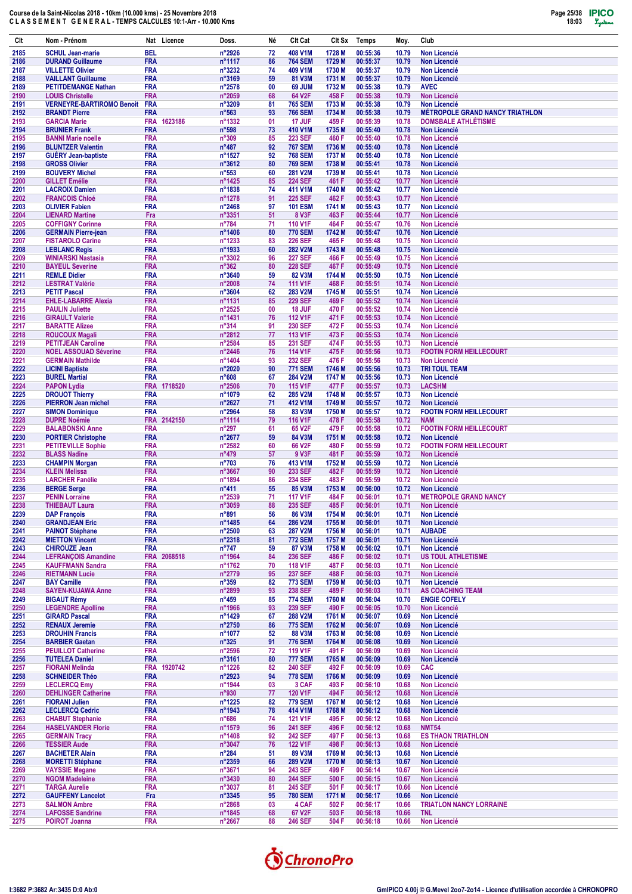| Clt          | Nom - Prénom                                          |                          | Nat Licence | Doss.                              | Né       | Clt Cat                          | Clt Sx           | Temps                | Moy.           | Club                                                  |
|--------------|-------------------------------------------------------|--------------------------|-------------|------------------------------------|----------|----------------------------------|------------------|----------------------|----------------|-------------------------------------------------------|
| 2185         | <b>SCHUL Jean-marie</b>                               | <b>BEL</b>               |             | n°2926                             | 72       | 408 V1M                          | 1728 M           | 00:55:36             | 10.79          | <b>Non Licencié</b>                                   |
| 2186         | <b>DURAND Guillaume</b>                               | <b>FRA</b>               |             | n°1117                             | 86       | <b>764 SEM</b>                   | 1729 M           | 00:55:37             | 10.79          | <b>Non Licencié</b>                                   |
| 2187         | <b>VILLETTE Olivier</b>                               | <b>FRA</b>               |             | n°3232                             | 74       | 409 V1M                          | 1730 M           | 00:55:37             | 10.79          | <b>Non Licencié</b>                                   |
| 2188         | <b>VAILLANT Guillaume</b>                             | <b>FRA</b>               |             | n°3169                             | 59       | 81 V3M                           | 1731 M           | 00:55:37             | 10.79          | <b>Non Licencié</b>                                   |
| 2189<br>2190 | <b>PETITDEMANGE Nathan</b><br><b>LOUIS Christelle</b> | <b>FRA</b><br><b>FRA</b> |             | n°2578<br>n°2059                   | 00<br>68 | 69 JUM<br>64 V2F                 | 1732 M<br>458 F  | 00:55:38<br>00:55:38 | 10.79<br>10.79 | <b>AVEC</b><br><b>Non Licencié</b>                    |
| 2191         | <b>VERNEYRE-BARTIROMO Benoit</b>                      | <b>FRA</b>               |             | n°3209                             | 81       | <b>765 SEM</b>                   | 1733 M           | 00:55:38             | 10.79          | Non Licencié                                          |
| 2192         | <b>BRANDT Pierre</b>                                  | <b>FRA</b>               |             | $n^{\circ}563$                     | 93       | <b>766 SEM</b>                   | 1734 M           | 00:55:38             | 10.79          | <b>MÉTROPOLE GRAND NANCY TRIATHLON</b>                |
| 2193         | <b>GARCIA Marie</b>                                   | <b>FRA</b>               | 1623186     | n°1332                             | 01       | 17 JUF                           | 459 F            | 00:55:39             | 10.78          | <b>DOMSBALE ATHLÉTISME</b>                            |
| 2194         | <b>BRUNIER Frank</b>                                  | <b>FRA</b>               |             | n°598                              | 73       | 410 V1M                          | 1735 M           | 00:55:40             | 10.78          | <b>Non Licencié</b>                                   |
| 2195         | <b>BANNI Marie noelle</b>                             | <b>FRA</b>               |             | n°309                              | 85       | <b>223 SEF</b>                   | 460 F            | 00:55:40             | 10.78          | <b>Non Licencié</b>                                   |
| 2196         | <b>BLUNTZER Valentin</b>                              | <b>FRA</b>               |             | $n^{\circ}487$                     | 92       | <b>767 SEM</b>                   | 1736 M           | 00:55:40             | 10.78          | <b>Non Licencié</b>                                   |
| 2197         | <b>GUERY Jean-baptiste</b>                            | <b>FRA</b>               |             | n°1527                             | 92       | <b>768 SEM</b>                   | 1737 M           | 00:55:40             | 10.78          | <b>Non Licencié</b>                                   |
| 2198<br>2199 | <b>GROSS Olivier</b><br><b>BOUVERY Michel</b>         | <b>FRA</b><br><b>FRA</b> |             | n°3612<br>$n^{\circ}553$           | 80<br>60 | <b>769 SEM</b><br><b>281 V2M</b> | 1738 M<br>1739 M | 00:55:41<br>00:55:41 | 10.78<br>10.78 | <b>Non Licencié</b><br><b>Non Licencié</b>            |
| 2200         | <b>GILLET Emélie</b>                                  | <b>FRA</b>               |             | n°1425                             | 85       | <b>224 SEF</b>                   | 461 F            | 00:55:42             | 10.77          | <b>Non Licencié</b>                                   |
| 2201         | <b>LACROIX Damien</b>                                 | <b>FRA</b>               |             | n°1838                             | 74       | 411 V1M                          | 1740 M           | 00:55:42             | 10.77          | <b>Non Licencié</b>                                   |
| 2202         | <b>FRANCOIS Chloé</b>                                 | <b>FRA</b>               |             | n°1278                             | 91       | <b>225 SEF</b>                   | 462 F            | 00:55:43             | 10.77          | <b>Non Licencié</b>                                   |
| 2203         | <b>OLIVIER Fabien</b>                                 | <b>FRA</b>               |             | n°2468                             | 97       | <b>101 ESM</b>                   | 1741 M           | 00:55:43             | 10.77          | <b>Non Licencié</b>                                   |
| 2204         | <b>LIENARD Martine</b>                                | Fra                      |             | n°3351                             | 51       | <b>8 V3F</b>                     | 463 F            | 00:55:44             | 10.77          | <b>Non Licencié</b>                                   |
| 2205         | <b>COFFIGNY Corinne</b>                               | <b>FRA</b>               |             | $n^{\circ}784$                     | 71       | 110 V1F                          | 464 F            | 00:55:47             | 10.76          | <b>Non Licencié</b>                                   |
| 2206<br>2207 | <b>GERMAIN Pierre-jean</b><br><b>FISTAROLO Carine</b> | <b>FRA</b><br><b>FRA</b> |             | n°1406<br>n°1233                   | 80<br>83 | <b>770 SEM</b><br><b>226 SEF</b> | 1742 M<br>465F   | 00:55:47<br>00:55:48 | 10.76<br>10.75 | <b>Non Licencié</b><br><b>Non Licencié</b>            |
| 2208         | <b>LEBLANC Regis</b>                                  | <b>FRA</b>               |             | n°1933                             | 60       | 282 V2M                          | 1743 M           | 00:55:48             | 10.75          | <b>Non Licencié</b>                                   |
| 2209         | <b>WINIARSKI Nastasia</b>                             | <b>FRA</b>               |             | n°3302                             | 96       | <b>227 SEF</b>                   | 466 F            | 00:55:49             | 10.75          | <b>Non Licencié</b>                                   |
| 2210         | <b>BAYEUL Severine</b>                                | <b>FRA</b>               |             | $n^{\circ}362$                     | 80       | <b>228 SEF</b>                   | 467 F            | 00:55:49             | 10.75          | <b>Non Licencié</b>                                   |
| 2211         | <b>REMLE Didier</b>                                   | <b>FRA</b>               |             | n°3640                             | 59       | 82 V3M                           | 1744 M           | 00:55:50             | 10.75          | <b>Non Licencié</b>                                   |
| 2212         | <b>LESTRAT Valérie</b>                                | <b>FRA</b>               |             | n°2008                             | 74       | <b>111 V1F</b>                   | 468 F            | 00:55:51             | 10.74          | <b>Non Licencié</b>                                   |
| 2213         | <b>PETIT Pascal</b>                                   | <b>FRA</b>               |             | $n^{\circ}3604$                    | 62       | 283 V2M                          | 1745 M           | 00:55:51             | 10.74          | <b>Non Licencié</b>                                   |
| 2214<br>2215 | <b>EHLE-LABARRE Alexia</b><br><b>PAULIN Juliette</b>  | <b>FRA</b><br><b>FRA</b> |             | n°1131<br>n°2525                   | 85<br>00 | <b>229 SEF</b><br>18 JUF         | 469 F<br>470 F   | 00:55:52<br>00:55:52 | 10.74          | <b>Non Licencié</b><br><b>Non Licencié</b>            |
| 2216         | <b>GIRAULT Valerie</b>                                | <b>FRA</b>               |             | n°1431                             | 76       | <b>112 V1F</b>                   | 471 F            | 00:55:53             | 10.74<br>10.74 | <b>Non Licencié</b>                                   |
| 2217         | <b>BARATTE Alizee</b>                                 | <b>FRA</b>               |             | $n^{\circ}314$                     | 91       | 230 SEF                          | 472 F            | 00:55:53             | 10.74          | <b>Non Licencié</b>                                   |
| 2218         | <b>ROUCOUX Magali</b>                                 | <b>FRA</b>               |             | n°2812                             | 77       | 113 V1F                          | 473 F            | 00:55:53             | 10.74          | <b>Non Licencié</b>                                   |
| 2219         | <b>PETITJEAN Caroline</b>                             | <b>FRA</b>               |             | n°2584                             | 85       | <b>231 SEF</b>                   | 474 F            | 00:55:55             | 10.73          | <b>Non Licencié</b>                                   |
| 2220         | <b>NOEL ASSOUAD Séverine</b>                          | <b>FRA</b>               |             | n°2446                             | 76       | <b>114 V1F</b>                   | 475F             | 00:55:56             | 10.73          | <b>FOOTIN FORM HEILLECOURT</b>                        |
| 2221         | <b>GERMAIN Mathilde</b>                               | <b>FRA</b>               |             | n°1404                             | 93       | <b>232 SEF</b>                   | 476 F            | 00:55:56             | 10.73          | <b>Non Licencié</b>                                   |
| 2222         | <b>LICINI Baptiste</b>                                | <b>FRA</b>               |             | n°2020                             | 90       | <b>771 SEM</b>                   | 1746 M           | 00:55:56             | 10.73          | <b>TRI TOUL TEAM</b>                                  |
| 2223<br>2224 | <b>BUREL Martial</b><br><b>PAPON Lydia</b>            | <b>FRA</b>               | FRA 1718520 | n°608<br>$n^{\circ}2506$           | 67<br>70 | 284 V2M<br><b>115 V1F</b>        | 1747 M<br>477 F  | 00:55:56<br>00:55:57 | 10.73<br>10.73 | <b>Non Licencié</b><br><b>LACSHM</b>                  |
| 2225         | <b>DROUOT Thierry</b>                                 | <b>FRA</b>               |             | n°1079                             | 62       | 285 V2M                          | 1748 M           | 00:55:57             | 10.73          | <b>Non Licencié</b>                                   |
| 2226         | <b>PIERRON Jean michel</b>                            | <b>FRA</b>               |             | n°2627                             | 71       | 412 V1M                          | 1749 M           | 00:55:57             | 10.72          | <b>Non Licencié</b>                                   |
| 2227         | <b>SIMON Dominique</b>                                | <b>FRA</b>               |             | n°2964                             | 58       | 83 V3M                           | 1750 M           | 00:55:57             | 10.72          | <b>FOOTIN FORM HEILLECOURT</b>                        |
| 2228         | <b>DUPRE Noémie</b>                                   | <b>FRA</b>               | 2142150     | n°1114                             | 79       | 116 V1F                          | 478 F            | 00:55:58             | 10.72          | <b>NAM</b>                                            |
| 2229         | <b>BALABONSKI Anne</b>                                | <b>FRA</b>               |             | $n^{\circ}297$                     | 61       | 65 V2F                           | 479 F            | 00:55:58             | 10.72          | <b>FOOTIN FORM HEILLECOURT</b>                        |
| 2230         | <b>PORTIER Christophe</b>                             | <b>FRA</b>               |             | n°2677                             | 59       | 84 V3M                           | 1751 M           | 00:55:58             | 10.72          | <b>Non Licencié</b>                                   |
| 2231<br>2232 | <b>PETITEVILLE Sophie</b><br><b>BLASS Nadine</b>      | <b>FRA</b><br><b>FRA</b> |             | $n^{\circ}2582$<br>n°479           | 60<br>57 | 66 V2F<br>9 V3F                  | 480 F<br>481 F   | 00:55:59<br>00:55:59 | 10.72<br>10.72 | <b>FOOTIN FORM HEILLECOURT</b><br><b>Non Licencié</b> |
| 2233         | <b>CHAMPIN Morgan</b>                                 | <b>FRA</b>               |             | $n^{\circ}703$                     | 76       | 413 V1M                          | 1752 M           | 00:55:59             | 10.72          | <b>Non Licencié</b>                                   |
| 2234         | <b>KLEIN Melissa</b>                                  | <b>FRA</b>               |             | n°3667                             | 90       | 233 SEF                          | 482F             | 00:55:59             | 10.72          | <b>Non Licencié</b>                                   |
| 2235         | <b>LARCHER Fanélie</b>                                | <b>FRA</b>               |             | n°1894                             | 86       | <b>234 SEF</b>                   | 483 F            | 00:55:59             | 10.72          | <b>Non Licencié</b>                                   |
| 2236         | <b>BERGE Serge</b>                                    | <b>FRA</b>               |             | $n^{\circ}411$                     | 55       | 85 V3M                           | 1753 M           | 00:56:00             | 10.72          | <b>Non Licencié</b>                                   |
| 2237         | <b>PENIN Lorraine</b>                                 | <b>FRA</b>               |             | n°2539                             | 71       | <b>117 V1F</b>                   | 484 F            | 00:56:01             | 10.71          | <b>METROPOLE GRAND NANCY</b>                          |
| 2238         | <b>THIEBAUT Laura</b>                                 | <b>FRA</b>               |             | n°3059                             | 88       | 235 SEF<br>86 V3M                | 485F             | 00:56:01             | 10.71          | <b>Non Licencié</b>                                   |
| 2239<br>2240 | <b>DAP François</b><br><b>GRANDJEAN Eric</b>          | FRA<br><b>FRA</b>        |             | $n^{\circ}891$<br>n°1485           | 56<br>64 | 286 V2M                          | 1754 M<br>1755 M | 00:56:01<br>00:56:01 | 10.71<br>10.71 | <b>Non Licencié</b><br>Non Licencié                   |
| 2241         | <b>PAINOT Stéphane</b>                                | <b>FRA</b>               |             | n°2500                             | 63       | 287 V2M                          | 1756 M           | 00:56:01             | 10.71          | <b>AUBADE</b>                                         |
| 2242         | <b>MIETTON Vincent</b>                                | <b>FRA</b>               |             | $n^{\circ}2318$                    | 81       | <b>772 SEM</b>                   | 1757 M           | 00:56:01             | 10.71          | <b>Non Licencié</b>                                   |
| 2243         | <b>CHIROUZE Jean</b>                                  | <b>FRA</b>               |             | $n^{\circ}747$                     | 59       | 87 V3M                           | 1758 M           | 00:56:02             | 10.71          | <b>Non Licencié</b>                                   |
| 2244         | <b>LEFRANÇOIS Amandine</b>                            |                          | FRA 2068518 | n°1964                             | 84       | <b>236 SEF</b>                   | 486 F            | 00:56:02             | 10.71          | <b>US TOUL ATHLETISME</b>                             |
| 2245         | <b>KAUFFMANN Sandra</b>                               | <b>FRA</b>               |             | n°1762                             | 70       | <b>118 V1F</b>                   | 487 F            | 00:56:03             | 10.71          | <b>Non Licencié</b>                                   |
| 2246         | <b>RIETMANN Lucie</b>                                 | <b>FRA</b>               |             | n°2779                             | 95       | <b>237 SEF</b>                   | 488 F            | 00:56:03             | 10.71          | Non Licencié                                          |
| 2247<br>2248 | <b>BAY Camille</b><br><b>SAYEN-KUJAWA Anne</b>        | <b>FRA</b><br><b>FRA</b> |             | $n^{\circ}359$<br>n°2899           | 82<br>93 | <b>773 SEM</b><br>238 SEF        | 1759 M<br>489 F  | 00:56:03<br>00:56:03 | 10.71<br>10.71 | <b>Non Licencié</b><br><b>AS COACHING TEAM</b>        |
| 2249         | <b>BIGAUT Rémy</b>                                    | <b>FRA</b>               |             | $n^{\circ}459$                     | 85       | <b>774 SEM</b>                   | 1760 M           | 00:56:04             | 10.70          | <b>ENGIE COFELY</b>                                   |
| 2250         | <b>LEGENDRE Apolline</b>                              | <b>FRA</b>               |             | n°1966                             | 93       | 239 SEF                          | 490 F            | 00:56:05             | 10.70          | Non Licencié                                          |
| 2251         | <b>GIRARD Pascal</b>                                  | <b>FRA</b>               |             | n°1429                             | 67       | <b>288 V2M</b>                   | 1761 M           | 00:56:07             | 10.69          | <b>Non Licencié</b>                                   |
| 2252         | <b>RENAUX Jeremie</b>                                 | <b>FRA</b>               |             | $n^{\circ}2750$                    | 86       | <b>775 SEM</b>                   | 1762 M           | 00:56:07             | 10.69          | <b>Non Licencié</b>                                   |
| 2253         | <b>DROUHIN Francis</b>                                | <b>FRA</b>               |             | n°1077                             | 52       | 88 V3M                           | 1763 M           | 00:56:08             | 10.69          | <b>Non Licencié</b>                                   |
| 2254         | <b>BARBIER Gaetan</b>                                 | <b>FRA</b><br><b>FRA</b> |             | $n^{\circ}325$                     | 91<br>72 | <b>776 SEM</b>                   | 1764 M           | 00:56:08<br>00:56:09 | 10.69<br>10.69 | <b>Non Licencié</b><br>Non Licencié                   |
| 2255<br>2256 | <b>PEUILLOT Catherine</b><br><b>TUTELEA Daniel</b>    | <b>FRA</b>               |             | $n^{\circ}2596$<br>$n^{\circ}3161$ | 80       | <b>119 V1F</b><br><b>777 SEM</b> | 491 F<br>1765 M  | 00:56:09             | 10.69          | <b>Non Licencié</b>                                   |
| 2257         | <b>FIORANI Melinda</b>                                |                          | FRA 1920742 | n°1226                             | 82       | <b>240 SEF</b>                   | 492 F            | 00:56:09             | 10.69          | <b>CAC</b>                                            |
| 2258         | <b>SCHNEIDER Théo</b>                                 | <b>FRA</b>               |             | n°2923                             | 94       | <b>778 SEM</b>                   | 1766 M           | 00:56:09             | 10.69          | <b>Non Licencié</b>                                   |
| 2259         | <b>LECLERCQ Emy</b>                                   | <b>FRA</b>               |             | n°1944                             | 03       | 3 CAF                            | 493 F            | 00:56:10             | 10.68          | Non Licencié                                          |
| 2260         | <b>DEHLINGER Catherine</b>                            | <b>FRA</b>               |             | n°930                              | 77       | <b>120 V1F</b>                   | 494 F            | 00:56:12             | 10.68          | <b>Non Licencié</b>                                   |
| 2261         | <b>FIORANI Julien</b>                                 | <b>FRA</b>               |             | n°1225                             | 82       | <b>779 SEM</b>                   | 1767 M           | 00:56:12             | 10.68          | Non Licencié                                          |
| 2262         | <b>LECLERCQ Cedric</b>                                | <b>FRA</b>               |             | n°1943                             | 78<br>74 | 414 V1M                          | 1768 M<br>495F   | 00:56:12             | 10.68          | <b>Non Licencié</b><br><b>Non Licencié</b>            |
| 2263<br>2264 | <b>CHABUT Stephanie</b><br><b>HASELVANDER Florie</b>  | <b>FRA</b><br><b>FRA</b> |             | $n^{\circ}686$<br>n°1579           | 96       | <b>121 V1F</b><br><b>241 SEF</b> | 496 F            | 00:56:12<br>00:56:12 | 10.68<br>10.68 | <b>NMT54</b>                                          |
| 2265         | <b>GERMAIN Tracy</b>                                  | <b>FRA</b>               |             | n°1408                             | 92       | <b>242 SEF</b>                   | 497 F            | 00:56:13             | 10.68          | <b>ES THAON TRIATHLON</b>                             |
| 2266         | <b>TESSIER Aude</b>                                   | <b>FRA</b>               |             | n°3047                             | 76       | <b>122 V1F</b>                   | 498 F            | 00:56:13             | 10.68          | Non Licencié                                          |
| 2267         | <b>BACHETER Alain</b>                                 | <b>FRA</b>               |             | $n^{\circ}284$                     | 51       | 89 V3M                           | 1769 M           | 00:56:13             | 10.68          | <b>Non Licencié</b>                                   |
| 2268         | <b>MORETTI Stéphane</b>                               | <b>FRA</b>               |             | $n^{\circ}2359$                    | 66       | 289 V2M                          | 1770 M           | 00:56:13             | 10.67          | Non Licencié                                          |
| 2269         | <b>VAYSSIE Megane</b>                                 | <b>FRA</b>               |             | n°3671                             | 94       | 243 SEF                          | 499 F            | 00:56:14             | 10.67          | <b>Non Licencié</b>                                   |
| 2270         | <b>NGOM Madeleine</b><br><b>TARGA Aurelie</b>         | <b>FRA</b><br><b>FRA</b> |             | $n^{\circ}3430$<br>$n^{\circ}3037$ | 80<br>81 | <b>244 SEF</b><br><b>245 SEF</b> | 500 F<br>501 F   | 00:56:15<br>00:56:17 | 10.67<br>10.66 | Non Licencié<br>Non Licencié                          |
| 2271<br>2272 | <b>GAUFFENY Lancelot</b>                              | Fra                      |             | $n^{\circ}3345$                    | 95       | <b>780 SEM</b>                   | 1771 M           | 00:56:17             | 10.66          | <b>Non Licencié</b>                                   |
| 2273         | <b>SALMON Ambre</b>                                   | <b>FRA</b>               |             | n°2868                             | 03       | 4 CAF                            | 502F             | 00:56:17             | 10.66          | <b>TRIATLON NANCY LORRAINE</b>                        |
| 2274         | <b>LAFOSSE Sandrine</b>                               | <b>FRA</b>               |             | n°1845                             | 68       | 67 V2F                           | 503 F            | 00:56:18             | 10.66          | <b>TNL</b>                                            |
| 2275         | <b>POIROT Joanna</b>                                  | <b>FRA</b>               |             | n°2667                             | 88       | <b>246 SEF</b>                   | 504 F            | 00:56:18             | 10.66          | Non Licencié                                          |

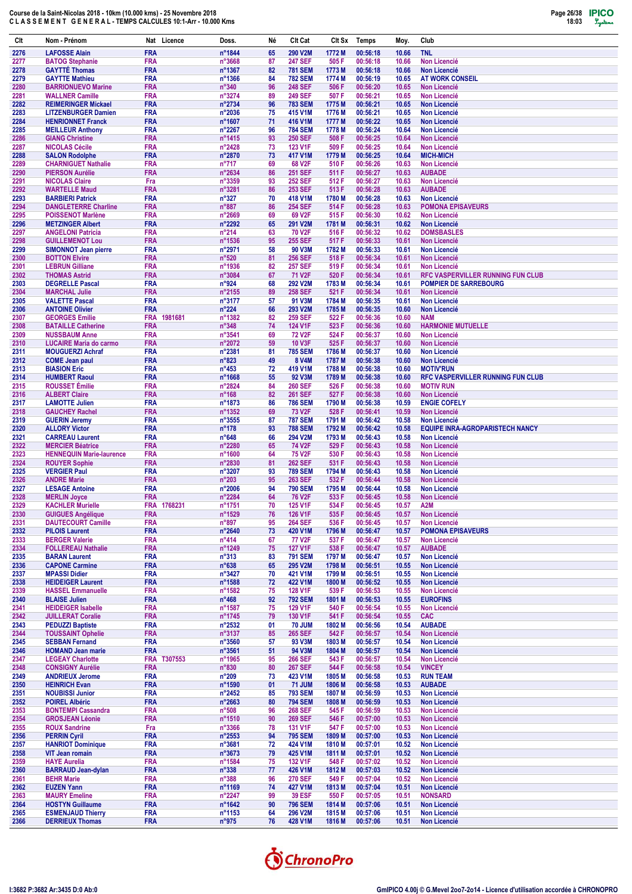

| Clt          | Nom - Prénom                                           | Nat Licence               | Doss.                              | Né       | Clt Cat                               | CIt Sx           | Temps                | Moy.           | Club                                                          |
|--------------|--------------------------------------------------------|---------------------------|------------------------------------|----------|---------------------------------------|------------------|----------------------|----------------|---------------------------------------------------------------|
| 2276         | <b>LAFOSSE Alain</b>                                   | <b>FRA</b>                | n°1844                             | 65       | 290 V2M                               | 1772 M           | 00:56:18             | 10.66          | <b>TNL</b>                                                    |
| 2277<br>2278 | <b>BATOG Stephanie</b><br><b>GAYTTE Thomas</b>         | <b>FRA</b><br><b>FRA</b>  | n°3668<br>n°1367                   | 87<br>82 | <b>247 SEF</b><br><b>781 SEM</b>      | 505 F<br>1773 M  | 00:56:18<br>00:56:18 | 10.66<br>10.66 | <b>Non Licencié</b><br>Non Licencié                           |
| 2279         | <b>GAYTTE Mathieu</b>                                  | <b>FRA</b>                | n°1366                             | 84       | <b>782 SEM</b>                        | 1774 M           | 00:56:19             | 10.65          | <b>AT WORK CONSEIL</b>                                        |
| 2280         | <b>BARRIONUEVO Marine</b>                              | <b>FRA</b>                | $n^{\circ}340$                     | 96       | <b>248 SEF</b>                        | 506 F            | 00:56:20             | 10.65          | <b>Non Licencié</b>                                           |
| 2281<br>2282 | <b>WALLNER Camille</b><br><b>REIMERINGER Mickael</b>   | <b>FRA</b><br><b>FRA</b>  | n°3274<br>n°2734                   | 89<br>96 | <b>249 SEF</b><br><b>783 SEM</b>      | 507 F<br>1775 M  | 00:56:21<br>00:56:21 | 10.65<br>10.65 | <b>Non Licencié</b><br><b>Non Licencié</b>                    |
| 2283         | <b>LITZENBURGER Damien</b>                             | <b>FRA</b>                | n°2036                             | 75       | 415 V1M                               | 1776 M           | 00:56:21             | 10.65          | <b>Non Licencié</b>                                           |
| 2284         | <b>HENRIONNET Franck</b>                               | <b>FRA</b>                | n°1607                             | 71       | 416 V1M                               | 1777 M           | 00:56:22             | 10.65          | <b>Non Licencié</b>                                           |
| 2285<br>2286 | <b>MEILLEUR Anthony</b><br><b>GIANG Christine</b>      | <b>FRA</b><br><b>FRA</b>  | n°2267<br>n°1415                   | 96<br>93 | <b>784 SEM</b><br><b>250 SEF</b>      | 1778 M<br>508 F  | 00:56:24<br>00:56:25 | 10.64<br>10.64 | <b>Non Licencié</b><br><b>Non Licencié</b>                    |
| 2287         | <b>NICOLAS Cécile</b>                                  | <b>FRA</b>                | n°2428                             | 73       | 123 V1F                               | 509 F            | 00:56:25             | 10.64          | Non Licencié                                                  |
| 2288         | <b>SALON Rodolphe</b>                                  | <b>FRA</b>                | n°2870                             | 73       | 417 V1M                               | 1779 M           | 00:56:25             | 10.64          | <b>MICH-MICH</b>                                              |
| 2289<br>2290 | <b>CHARNIGUET Nathalie</b><br><b>PIERSON Aurélie</b>   | <b>FRA</b><br><b>FRA</b>  | $n^{\circ}717$<br>n°2634           | 69<br>86 | 68 V2F<br><b>251 SEF</b>              | 510 F<br>511 F   | 00:56:26<br>00:56:27 | 10.63<br>10.63 | <b>Non Licencié</b><br><b>AUBADE</b>                          |
| 2291         | <b>NICOLAS Claire</b>                                  | Fra                       | n°3359                             | 93       | <b>252 SEF</b>                        | 512 F            | 00:56:27             | 10.63          | Non Licencié                                                  |
| 2292         | <b>WARTELLE Maud</b>                                   | <b>FRA</b>                | n°3281                             | 86       | <b>253 SEF</b>                        | 513 F            | 00:56:28             | 10.63          | <b>AUBADE</b>                                                 |
| 2293<br>2294 | <b>BARBIERI Patrick</b><br><b>DANGLETERRE Charline</b> | <b>FRA</b><br><b>FRA</b>  | $n^{\circ}327$<br>$n^{\circ}887$   | 70<br>86 | 418 V1M<br><b>254 SEF</b>             | 1780 M<br>514 F  | 00:56:28<br>00:56:28 | 10.63<br>10.63 | <b>Non Licencié</b><br><b>POMONA EPISAVEURS</b>               |
| 2295         | <b>POISSENOT Marlène</b>                               | <b>FRA</b>                | $n^{\circ}2669$                    | 69       | 69 V2F                                | 515 F            | 00:56:30             | 10.62          | <b>Non Licencié</b>                                           |
| 2296         | <b>METZINGER Albert</b>                                | <b>FRA</b>                | n°2292                             | 65       | 291 V2M                               | 1781 M           | 00:56:31             | 10.62          | Non Licencié                                                  |
| 2297<br>2298 | <b>ANGELONI Patricia</b><br><b>GUILLEMENOT Lou</b>     | <b>FRA</b><br><b>FRA</b>  | n°214<br>n°1536                    | 63<br>95 | <b>70 V2F</b><br><b>255 SEF</b>       | 516 F<br>517 F   | 00:56:32<br>00:56:33 | 10.62<br>10.61 | <b>DOMSBASLES</b><br>Non Licencié                             |
| 2299         | <b>SIMONNOT Jean pierre</b>                            | <b>FRA</b>                | n°2971                             | 58       | 90 V3M                                | 1782 M           | 00:56:33             | 10.61          | <b>Non Licencié</b>                                           |
| 2300         | <b>BOTTON Elvire</b>                                   | <b>FRA</b>                | $n^{\circ}520$                     | 81       | <b>256 SEF</b>                        | 518 F            | 00:56:34             | 10.61          | Non Licencié                                                  |
| 2301<br>2302 | <b>LEBRUN Gilliane</b><br><b>THOMAS Astrid</b>         | <b>FRA</b><br><b>FRA</b>  | n°1936<br>n°3084                   | 82<br>67 | <b>257 SEF</b><br>71 V <sub>2</sub> F | 519 F<br>520 F   | 00:56:34<br>00:56:34 | 10.61<br>10.61 | Non Licencié<br><b>RFC VASPERVILLER RUNNING FUN CLUB</b>      |
| 2303         | <b>DEGRELLE Pascal</b>                                 | <b>FRA</b>                | n°924                              | 68       | 292 V2M                               | 1783 M           | 00:56:34             | 10.61          | <b>POMPIER DE SARREBOURG</b>                                  |
| 2304         | <b>MARCHAL Julie</b>                                   | <b>FRA</b>                | n°2155                             | 89       | <b>258 SEF</b>                        | 521 F            | 00:56:34             | 10.61          | Non Licencié                                                  |
| 2305<br>2306 | <b>VALETTE Pascal</b><br><b>ANTOINE Olivier</b>        | <b>FRA</b><br><b>FRA</b>  | n°3177<br>$n^{\circ}224$           | 57<br>66 | 91 V3M<br>293 V2M                     | 1784 M<br>1785 M | 00:56:35<br>00:56:35 | 10.61<br>10.60 | <b>Non Licencié</b><br><b>Non Licencié</b>                    |
| 2307         | <b>GEORGES Emilie</b>                                  | <b>FRA</b>                | 1981681<br>n°1382                  | 82       | <b>259 SEF</b>                        | 522 F            | 00:56:36             | 10.60          | <b>NAM</b>                                                    |
| 2308         | <b>BATAILLE Catherine</b>                              | <b>FRA</b>                | $n^{\circ}348$                     | 74       | 124 V1F                               | 523 F            | 00:56:36             | 10.60          | <b>HARMONIE MUTUELLE</b>                                      |
| 2309<br>2310 | <b>NUSSBAUM Anne</b><br><b>LUCAIRE Maria do carmo</b>  | <b>FRA</b><br><b>FRA</b>  | n°3541<br>n°2072                   | 69<br>59 | <b>72 V2F</b><br><b>10 V3F</b>        | 524 F<br>525 F   | 00:56:37<br>00:56:37 | 10.60<br>10.60 | <b>Non Licencié</b><br>Non Licencié                           |
| 2311         | <b>MOUGUERZI Achraf</b>                                | <b>FRA</b>                | n°2381                             | 81       | <b>785 SEM</b>                        | 1786 M           | 00:56:37             | 10.60          | <b>Non Licencié</b>                                           |
| 2312         | <b>COME Jean paul</b>                                  | <b>FRA</b>                | $n^{\circ}823$                     | 49       | <b>8 V4M</b>                          | 1787 M           | 00:56:38             | 10.60          | Non Licencié                                                  |
| 2313<br>2314 | <b>BIASION Eric</b><br><b>HUMBERT Raoul</b>            | <b>FRA</b><br><b>FRA</b>  | $n^{\circ}453$<br>n°1668           | 72<br>55 | 419 V1M<br>92 V3M                     | 1788 M<br>1789 M | 00:56:38<br>00:56:38 | 10.60<br>10.60 | <b>MOTIV'RUN</b><br>RFC VASPERVILLER RUNNING FUN CLUB         |
| 2315         | <b>ROUSSET Émilie</b>                                  | <b>FRA</b>                | n°2824                             | 84       | <b>260 SEF</b>                        | 526 F            | 00:56:38             | 10.60          | <b>MOTIV RUN</b>                                              |
| 2316         | <b>ALBERT Claire</b>                                   | <b>FRA</b><br><b>FRA</b>  | $n^{\circ}168$                     | 82<br>86 | <b>261 SEF</b><br><b>786 SEM</b>      | 527 F<br>1790 M  | 00:56:38<br>00:56:38 | 10.60<br>10.59 | <b>Non Licencié</b><br><b>ENGIE COFELY</b>                    |
| 2317<br>2318 | <b>LAMOTTE Julien</b><br><b>GAUCHEY Rachel</b>         | <b>FRA</b>                | n°1873<br>n°1352                   | 69       | <b>73 V2F</b>                         | 528 F            | 00:56:41             | 10.59          | <b>Non Licencié</b>                                           |
| 2319         | <b>GUERIN Jeremy</b>                                   | <b>FRA</b>                | n°3555                             | 87       | <b>787 SEM</b>                        | 1791 M           | 00:56:42             | 10.58          | <b>Non Licencié</b>                                           |
| 2320<br>2321 | <b>ALLORY Victor</b><br><b>CARREAU Laurent</b>         | <b>FRA</b><br><b>FRA</b>  | $n^{\circ}$ 178<br>$n^{\circ}648$  | 93<br>66 | <b>788 SEM</b><br>294 V2M             | 1792 M<br>1793 M | 00:56:42<br>00:56:43 | 10.58<br>10.58 | <b>EQUIPE INRA-AGROPARISTECH NANCY</b><br><b>Non Licencié</b> |
| 2322         | <b>MERCIER Béatrice</b>                                | <b>FRA</b>                | n°2280                             | 65       | <b>74 V2F</b>                         | 529 F            | 00:56:43             | 10.58          | <b>Non Licencié</b>                                           |
| 2323         | <b>HENNEQUIN Marie-laurence</b>                        | <b>FRA</b>                | n°1600                             | 64       | <b>75 V2F</b>                         | 530 F            | 00:56:43             | 10.58          | <b>Non Licencié</b>                                           |
| 2324<br>2325 | <b>ROUYER Sophie</b><br><b>VERGIER Paul</b>            | <b>FRA</b><br><b>FRA</b>  | n°2830<br>n°3207                   | 81<br>93 | <b>262 SEF</b><br><b>789 SEM</b>      | 531 F<br>1794 M  | 00:56:43<br>00:56:43 | 10.58<br>10.58 | <b>Non Licencié</b><br><b>Non Licencié</b>                    |
| 2326         | <b>ANDRE Marie</b>                                     | <b>FRA</b>                | $n^{\circ}203$                     | 95       | <b>263 SEF</b>                        | 532 F            | 00:56:44             | 10.58          | Non Licencié                                                  |
| 2327         | <b>LESAGE Antoine</b>                                  | <b>FRA</b>                | n°2006                             | 94       | <b>790 SEM</b>                        | 1795 M           | 00:56:44             | 10.58          | <b>Non Licencié</b>                                           |
| 2328<br>2329 | <b>MERLIN Joyce</b><br><b>KACHLER Murielle</b>         | <b>FRA</b><br>FRA 1768231 | n°2284<br>n°1751                   | 64<br>70 | <b>76 V2F</b><br><b>125 V1F</b>       | 533 F<br>534 F   | 00:56:45<br>00:56:45 | 10.58<br>10.57 | <b>Non Licencié</b><br>A <sub>2</sub> M                       |
| 2330         | <b>GUIGUES Angélique</b>                               | <b>FRA</b>                | n°1529                             | 76       | <b>126 V1F</b>                        | 535 F            | 00:56:45             | 10.57          | Non Licencié                                                  |
| 2331         | <b>DAUTECOURT Camille</b>                              | <b>FRA</b>                | n°897                              | 95       | <b>264 SEF</b>                        | 536 F            | 00:56:45             | 10.57          | Non Licencié                                                  |
| 2332<br>2333 | <b>PILOIS Laurent</b><br><b>BERGER Valerie</b>         | <b>FRA</b><br><b>FRA</b>  | $n^{\circ}2640$<br>$n^{\circ}414$  | 73<br>67 | 420 V1M<br><b>77 V2F</b>              | 1796 M<br>537 F  | 00:56:47<br>00:56:47 | 10.57<br>10.57 | <b>POMONA EPISAVEURS</b><br>Non Licencié                      |
| 2334         | <b>FOLLEREAU Nathalie</b>                              | <b>FRA</b>                | n°1249                             | 75       | <b>127 V1F</b>                        | 538 F            | 00:56:47             | 10.57          | <b>AUBADE</b>                                                 |
| 2335         | <b>BARAN Laurent</b>                                   | <b>FRA</b>                | $n^{\circ}313$                     | 83       | <b>791 SEM</b>                        | 1797 M           | 00:56:47             | 10.57          | Non Licencié                                                  |
| 2336<br>2337 | <b>CAPONE Carmine</b><br><b>MPASSI Didier</b>          | <b>FRA</b><br><b>FRA</b>  | $n^{\circ}638$<br>n°3427           | 65<br>70 | 295 V2M<br>421 V1M                    | 1798 M<br>1799 M | 00:56:51<br>00:56:51 | 10.55<br>10.55 | Non Licencié<br>Non Licencié                                  |
| 2338         | <b>HEIDEIGER Laurent</b>                               | <b>FRA</b>                | n°1588                             | 72       | 422 V1M                               | 1800 M           | 00:56:52             | 10.55          | Non Licencié                                                  |
| 2339         | <b>HASSEL Emmanuelle</b><br><b>BLAISE Julien</b>       | <b>FRA</b><br><b>FRA</b>  | n°1582                             | 75       | 128 V1F                               | 539 F            | 00:56:53             | 10.55<br>10.55 | Non Licencié<br><b>EUROFINS</b>                               |
| 2340<br>2341 | <b>HEIDEIGER Isabelle</b>                              | <b>FRA</b>                | $n^{\circ}468$<br>n°1587           | 92<br>75 | <b>792 SEM</b><br>129 V1F             | 1801 M<br>540 F  | 00:56:53<br>00:56:54 | 10.55          | Non Licencié                                                  |
| 2342         | <b>JUILLERAT Coralie</b>                               | <b>FRA</b>                | n°1745                             | 79       | 130 V1F                               | 541 F            | 00:56:54             | 10.55          | <b>CAC</b>                                                    |
| 2343<br>2344 | <b>PEDUZZI Baptiste</b><br><b>TOUSSAINT Ophelie</b>    | <b>FRA</b><br><b>FRA</b>  | $n^{\circ}2532$<br>n°3137          | 01<br>85 | <b>70 JUM</b><br><b>265 SEF</b>       | 1802 M<br>542 F  | 00:56:56<br>00:56:57 | 10.54<br>10.54 | <b>AUBADE</b><br><b>Non Licencié</b>                          |
| 2345         | <b>SEBBAN Fernand</b>                                  | <b>FRA</b>                | $n^{\circ}3560$                    | 57       | 93 V3M                                | 1803 M           | 00:56:57             | 10.54          | Non Licencié                                                  |
| 2346         | <b>HOMAND Jean marie</b>                               | <b>FRA</b>                | $n^{\circ}3561$                    | 51       | 94 V3M                                | 1804 M           | 00:56:57             | 10.54          | Non Licencié                                                  |
| 2347<br>2348 | <b>LEGEAY Charlotte</b><br><b>CONSIGNY Aurélie</b>     | FRA T307553<br><b>FRA</b> | n°1965<br>$n^{\circ}830$           | 95<br>80 | <b>266 SEF</b><br><b>267 SEF</b>      | 543 F<br>544 F   | 00:56:57<br>00:56:58 | 10.54<br>10.54 | Non Licencié<br><b>VINCEY</b>                                 |
| 2349         | <b>ANDRIEUX Jerome</b>                                 | <b>FRA</b>                | $n^{\circ}209$                     | 73       | 423 V1M                               | 1805 M           | 00:56:58             | 10.53          | <b>RUN TEAM</b>                                               |
| 2350         | <b>HEINRICH Evan</b>                                   | <b>FRA</b>                | n°1590                             | 01       | <b>71 JUM</b>                         | 1806 M           | 00:56:58             | 10.53          | <b>AUBADE</b>                                                 |
| 2351<br>2352 | <b>NOUBISSI Junior</b><br><b>POIREL Albéric</b>        | <b>FRA</b><br><b>FRA</b>  | $n^{\circ}$ 2452<br>n°2663         | 85<br>80 | <b>793 SEM</b><br><b>794 SEM</b>      | 1807 M<br>1808 M | 00:56:59<br>00:56:59 | 10.53<br>10.53 | <b>Non Licencié</b><br>Non Licencié                           |
| 2353         | <b>BONTEMPI Cassandra</b>                              | <b>FRA</b>                | $n^{\circ}508$                     | 96       | <b>268 SEF</b>                        | 545 F            | 00:56:59             | 10.53          | Non Licencié                                                  |
| 2354         | <b>GROSJEAN Léonie</b>                                 | <b>FRA</b>                | n°1510                             | 90       | <b>269 SEF</b>                        | 546 F            | 00:57:00             | 10.53          | Non Licencié                                                  |
| 2355<br>2356 | <b>ROUX Sandrine</b><br><b>PERRIN Cyril</b>            | Fra<br><b>FRA</b>         | $n^{\circ}3366$<br>$n^{\circ}2553$ | 78<br>94 | <b>131 V1F</b><br><b>795 SEM</b>      | 547 F<br>1809 M  | 00:57:00<br>00:57:00 | 10.53<br>10.53 | Non Licencié<br>Non Licencié                                  |
| 2357         | <b>HANRIOT Dominique</b>                               | <b>FRA</b>                | n°3681                             | 72       | 424 V1M                               | 1810 M           | 00:57:01             | 10.52          | Non Licencié                                                  |
| 2358         | <b>VIT Jean romain</b>                                 | <b>FRA</b>                | n°3673                             | 79       | 425 V1M                               | 1811 M           | 00:57:01             | 10.52          | Non Licencié                                                  |
| 2359<br>2360 | <b>HAYE Aurelia</b><br><b>BARRAUD Jean-dylan</b>       | <b>FRA</b><br><b>FRA</b>  | n°1584<br>$n^{\circ}338$           | 75<br>77 | 132 V1F<br>426 V1M                    | 548 F<br>1812 M  | 00:57:02<br>00:57:03 | 10.52<br>10.52 | Non Licencié<br>Non Licencié                                  |
| 2361         | <b>BEHR Marie</b>                                      | <b>FRA</b>                | $n^{\circ}388$                     | 96       | <b>270 SEF</b>                        | 549 F            | 00:57:04             | 10.52          | Non Licencié                                                  |
| 2362         | <b>EUZEN Yann</b>                                      | <b>FRA</b>                | n°1169                             | 74       | 427 V1M                               | 1813 M           | 00:57:04             | 10.51          | Non Licencié                                                  |
| 2363<br>2364 | <b>MAURY Emeline</b><br><b>HOSTYN Guillaume</b>        | <b>FRA</b><br><b>FRA</b>  | n°2247<br>$n^{\circ}1642$          | 99<br>90 | <b>39 ESF</b><br><b>796 SEM</b>       | 550 F<br>1814 M  | 00:57:05<br>00:57:06 | 10.51<br>10.51 | <b>NONSARD</b><br>Non Licencié                                |
| 2365         | <b>ESMENJAUD Thierry</b>                               | <b>FRA</b>                | n°1153                             | 64       | 296 V2M                               | 1815 M           | 00:57:06             | 10.51          | Non Licencié                                                  |
| 2366         | <b>DERRIEUX Thomas</b>                                 | <b>FRA</b>                | $n^{\circ}975$                     | 76       | 428 V1M                               | 1816 M           | 00:57:06             | 10.51          | Non Licencié                                                  |

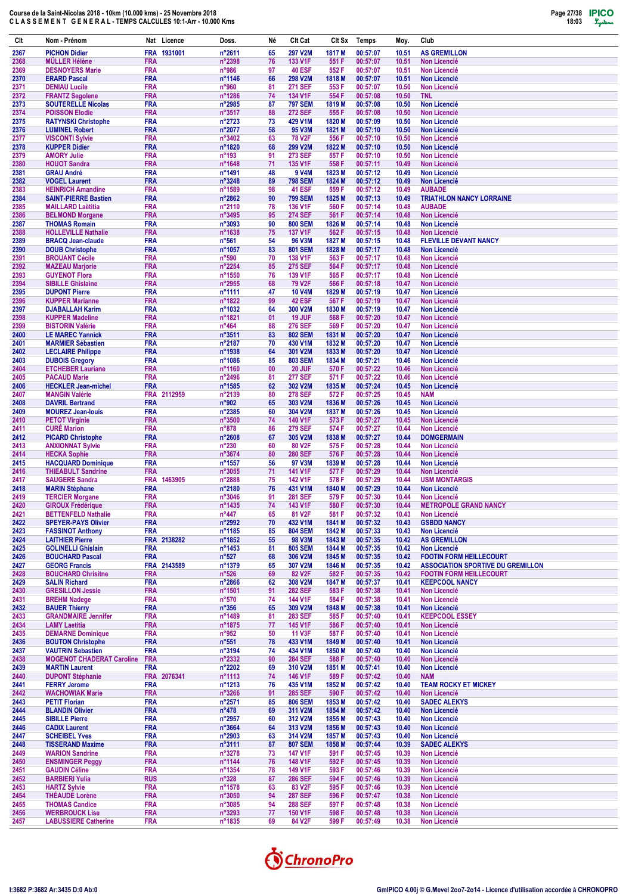

| Clt          | Nom - Prénom                                              |                          | Nat Licence | Doss.                     | Né       | Clt Cat                          | Clt Sx           | <b>Temps</b>         | Moy.           | Club                                                                       |
|--------------|-----------------------------------------------------------|--------------------------|-------------|---------------------------|----------|----------------------------------|------------------|----------------------|----------------|----------------------------------------------------------------------------|
| 2367         | <b>PICHON Didier</b>                                      | <b>FRA</b>               | 1931001     | n°2611                    | 65       | <b>297 V2M</b>                   | 1817 M           | 00:57:07             | 10.51          | <b>AS GREMILLON</b>                                                        |
| 2368         | <b>MÜLLER Hélène</b>                                      | <b>FRA</b>               |             | n°2398                    | 76       | 133 V1F                          | 551 F            | 00:57:07             | 10.51          | <b>Non Licencié</b>                                                        |
| 2369<br>2370 | <b>DESNOYERS Marie</b><br><b>ERARD Pascal</b>             | <b>FRA</b><br><b>FRA</b> |             | n°986<br>n°1146           | 97<br>66 | <b>40 ESF</b><br>298 V2M         | 552F<br>1818 M   | 00:57:07<br>00:57:07 | 10.51<br>10.51 | <b>Non Licencié</b><br><b>Non Licencié</b>                                 |
| 2371         | <b>DENIAU Lucile</b>                                      | <b>FRA</b>               |             | n°960                     | 81       | <b>271 SEF</b>                   | 553 F            | 00:57:07             | 10.50          | <b>Non Licencié</b>                                                        |
| 2372         | <b>FRANTZ Segolene</b>                                    | <b>FRA</b>               |             | n°1286                    | 74       | 134 V1F                          | 554 F            | 00:57:08             | 10.50          | <b>TNL</b>                                                                 |
| 2373<br>2374 | <b>SOUTERELLE Nicolas</b><br><b>POISSON Elodie</b>        | <b>FRA</b><br><b>FRA</b> |             | n°2985<br>n°3517          | 87<br>88 | <b>797 SEM</b><br><b>272 SEF</b> | 1819 M<br>555 F  | 00:57:08<br>00:57:08 | 10.50<br>10.50 | <b>Non Licencié</b><br><b>Non Licencié</b>                                 |
| 2375         | <b>RATYNSKI Christophe</b>                                | <b>FRA</b>               |             | n°2723                    | 73       | 429 V1M                          | 1820 M           | 00:57:09             | 10.50          | <b>Non Licencié</b>                                                        |
| 2376         | <b>LUMINEL Robert</b>                                     | <b>FRA</b>               |             | n°2077                    | 58       | 95 V3M                           | 1821 M           | 00:57:10             | 10.50          | <b>Non Licencié</b>                                                        |
| 2377<br>2378 | <b>VISCONTI Sylvie</b><br><b>KUPPER Didier</b>            | <b>FRA</b><br><b>FRA</b> |             | n°3402<br>n°1820          | 63<br>68 | <b>78 V2F</b><br>299 V2M         | 556 F<br>1822 M  | 00:57:10<br>00:57:10 | 10.50<br>10.50 | <b>Non Licencié</b><br><b>Non Licencié</b>                                 |
| 2379         | <b>AMORY Julie</b>                                        | <b>FRA</b>               |             | $n^{\circ}$ 193           | 91       | 273 SEF                          | 557 F            | 00:57:10             | 10.50          | <b>Non Licencié</b>                                                        |
| 2380         | <b>HOUOT Sandra</b>                                       | <b>FRA</b>               |             | n°1648                    | 71       | 135 V1F                          | 558 F            | 00:57:11             | 10.49          | <b>Non Licencié</b>                                                        |
| 2381<br>2382 | <b>GRAU André</b><br><b>VOGEL Laurent</b>                 | <b>FRA</b><br><b>FRA</b> |             | n°1491<br>n°3248          | 48<br>89 | 9 V4M<br><b>798 SEM</b>          | 1823 M<br>1824 M | 00:57:12<br>00:57:12 | 10.49<br>10.49 | <b>Non Licencié</b><br><b>Non Licencié</b>                                 |
| 2383         | <b>HEINRICH Amandine</b>                                  | <b>FRA</b>               |             | n°1589                    | 98       | 41 ESF                           | 559 F            | 00:57:12             | 10.49          | <b>AUBADE</b>                                                              |
| 2384         | <b>SAINT-PIERRE Bastien</b>                               | <b>FRA</b>               |             | n°2862                    | 90       | <b>799 SEM</b>                   | 1825 M           | 00:57:13             | 10.49          | <b>TRIATHLON NANCY LORRAINE</b>                                            |
| 2385<br>2386 | <b>MAILLARD Laëtitia</b><br><b>BELMOND Morgane</b>        | <b>FRA</b><br><b>FRA</b> |             | n°2110<br>n°3495          | 78<br>95 | 136 V1F<br><b>274 SEF</b>        | 560 F<br>561 F   | 00:57:14<br>00:57:14 | 10.48<br>10.48 | <b>AUBADE</b><br><b>Non Licencié</b>                                       |
| 2387         | <b>THOMAS Romain</b>                                      | <b>FRA</b>               |             | n°3093                    | 90       | <b>800 SEM</b>                   | 1826 M           | 00:57:14             | 10.48          | <b>Non Licencié</b>                                                        |
| 2388         | <b>HOLLEVILLE Nathalie</b>                                | <b>FRA</b>               |             | n°1638                    | 75       | <b>137 V1F</b>                   | 562F             | 00:57:15             | 10.48          | <b>Non Licencié</b>                                                        |
| 2389<br>2390 | <b>BRACQ Jean-claude</b><br><b>DOUB Christophe</b>        | <b>FRA</b><br><b>FRA</b> |             | $n^{\circ}561$<br>n°1057  | 54<br>83 | <b>96 V3M</b><br><b>801 SEM</b>  | 1827 M<br>1828 M | 00:57:15<br>00:57:17 | 10.48<br>10.48 | <b>FLEVILLE DEVANT NANCY</b><br><b>Non Licencié</b>                        |
| 2391         | <b>BROUANT Cécile</b>                                     | <b>FRA</b>               |             | n°590                     | 70       | 138 V1F                          | 563 F            | 00:57:17             | 10.48          | <b>Non Licencié</b>                                                        |
| 2392         | <b>MAZEAU Marjorie</b>                                    | <b>FRA</b>               |             | n°2254                    | 85       | <b>275 SEF</b>                   | 564 F            | 00:57:17             | 10.48          | <b>Non Licencié</b>                                                        |
| 2393<br>2394 | <b>GUYENOT Flora</b><br><b>SIBILLE Ghislaine</b>          | <b>FRA</b><br><b>FRA</b> |             | n°1550<br>n°2955          | 76<br>68 | 139 V1F<br><b>79 V2F</b>         | 565F<br>566 F    | 00:57:17<br>00:57:18 | 10.48<br>10.47 | <b>Non Licencié</b><br><b>Non Licencié</b>                                 |
| 2395         | <b>DUPONT Pierre</b>                                      | <b>FRA</b>               |             | n°1111                    | 47       | <b>10 V4M</b>                    | 1829 M           | 00:57:19             | 10.47          | <b>Non Licencié</b>                                                        |
| 2396         | <b>KUPPER Marianne</b>                                    | <b>FRA</b>               |             | n°1822                    | 99       | <b>42 ESF</b>                    | 567 F            | 00:57:19             | 10.47          | <b>Non Licencié</b>                                                        |
| 2397         | <b>DJABALLAH Karim</b>                                    | <b>FRA</b>               |             | n°1032                    | 64       | 300 V2M                          | 1830 M           | 00:57:19             | 10.47          | Non Licencié                                                               |
| 2398<br>2399 | <b>KUPPER Madeline</b><br><b>BISTORIN Valérie</b>         | <b>FRA</b><br><b>FRA</b> |             | n°1821<br>$n^{\circ}464$  | 01<br>88 | 19 JUF<br><b>276 SEF</b>         | 568 F<br>569 F   | 00:57:20<br>00:57:20 | 10.47<br>10.47 | <b>Non Licencié</b><br><b>Non Licencié</b>                                 |
| 2400         | <b>LE MAREC Yannick</b>                                   | <b>FRA</b>               |             | n°3511                    | 83       | <b>802 SEM</b>                   | 1831 M           | 00:57:20             | 10.47          | <b>Non Licencié</b>                                                        |
| 2401         | <b>MARMIER Sébastien</b>                                  | <b>FRA</b>               |             | n°2187                    | 70       | 430 V1M                          | 1832 M           | 00:57:20             | 10.47          | <b>Non Licencié</b>                                                        |
| 2402<br>2403 | <b>LECLAIRE Philippe</b><br><b>DUBOIS Gregory</b>         | <b>FRA</b><br><b>FRA</b> |             | n°1938<br>n°1086          | 64<br>85 | 301 V2M<br><b>803 SEM</b>        | 1833 M<br>1834 M | 00:57:20<br>00:57:21 | 10.47<br>10.46 | <b>Non Licencié</b><br><b>Non Licencié</b>                                 |
| 2404         | <b>ETCHEBER Lauriane</b>                                  | <b>FRA</b>               |             | n°1160                    | 00       | 20 JUF                           | 570 F            | 00:57:22             | 10.46          | <b>Non Licencié</b>                                                        |
| 2405         | <b>PACAUD Marie</b>                                       | <b>FRA</b>               |             | n°2496                    | 81       | <b>277 SEF</b>                   | 571 F            | 00:57:22             | 10.46          | <b>Non Licencié</b>                                                        |
| 2406<br>2407 | <b>HECKLER Jean-michel</b><br><b>MANGIN Valérie</b>       | <b>FRA</b><br><b>FRA</b> | 2112959     | n°1585<br>n°2139          | 62<br>80 | 302 V2M<br><b>278 SEF</b>        | 1835 M<br>572 F  | 00:57:24<br>00:57:25 | 10.45<br>10.45 | <b>Non Licencié</b><br><b>NAM</b>                                          |
| 2408         | <b>DAVRIL Bertrand</b>                                    | <b>FRA</b>               |             | n°902                     | 65       | 303 V2M                          | 1836 M           | 00:57:26             | 10.45          | <b>Non Licencié</b>                                                        |
| 2409         | <b>MOUREZ Jean-louis</b>                                  | <b>FRA</b>               |             | n°2385                    | 60       | 304 V2M                          | 1837 M           | 00:57:26             | 10.45          | <b>Non Licencié</b>                                                        |
| 2410<br>2411 | <b>PETOT Virginie</b><br><b>CURÉ Marion</b>               | <b>FRA</b><br><b>FRA</b> |             | n°3500<br>n°878           | 74<br>86 | 140 V1F<br><b>279 SEF</b>        | 573 F<br>574 F   | 00:57:27<br>00:57:27 | 10.45<br>10.44 | <b>Non Licencié</b><br><b>Non Licencié</b>                                 |
| 2412         | <b>PICARD Christophe</b>                                  | <b>FRA</b>               |             | $n^{\circ}2608$           | 67       | 305 V2M                          | 1838 M           | 00:57:27             | 10.44          | <b>DOMGERMAIN</b>                                                          |
| 2413         | <b>ANXIONNAT Sylvie</b>                                   | <b>FRA</b>               |             | $n^{\circ}230$            | 60       | 80 V2F                           | 575F             | 00:57:28             | 10.44          | <b>Non Licencié</b>                                                        |
| 2414<br>2415 | <b>HECKA Sophie</b><br><b>HACQUARD Dominique</b>          | <b>FRA</b><br><b>FRA</b> |             | n°3674<br>n°1557          | 80<br>56 | <b>280 SEF</b><br>97 V3M         | 576 F<br>1839 M  | 00:57:28<br>00:57:28 | 10.44<br>10.44 | <b>Non Licencié</b><br><b>Non Licencié</b>                                 |
| 2416         | <b>THIEABULT Sandrine</b>                                 | <b>FRA</b>               |             | n°3055                    | 71       | <b>141 V1F</b>                   | 577F             | 00:57:29             | 10.44          | Non Licencié                                                               |
| 2417         | <b>SAUGERE Sandra</b>                                     | <b>FRA</b>               | 1463905     | n°2888                    | 75       | <b>142 V1F</b>                   | 578 F            | 00:57:29             | 10.44          | <b>USM MONTARGIS</b>                                                       |
| 2418<br>2419 | <b>MARIN Stéphane</b><br><b>TERCIER Morgane</b>           | <b>FRA</b><br><b>FRA</b> |             | n°2180<br>n°3046          | 76<br>91 | 431 V1M<br><b>281 SEF</b>        | 1840 M<br>579F   | 00:57:29<br>00:57:30 | 10.44<br>10.44 | <b>Non Licencié</b><br><b>Non Licencié</b>                                 |
| 2420         | <b>GIROUX Frédérique</b>                                  | <b>FRA</b>               |             | n°1435                    | 74       | 143 V1F                          | 580F             | 00:57:30             | 10.44          | <b>METROPOLE GRAND NANCY</b>                                               |
| 2421         | <b>BETTENFELD Nathalie</b>                                | <b>FRA</b>               |             | $n^{\circ}447$            | 65       | 81 V2F                           | 581 F            | 00:57:32             | 10.43          | Non Licencié                                                               |
| 2422<br>2423 | <b>SPEYER-PAYS Olivier</b><br><b>FASSINOT Anthony</b>     | <b>FRA</b><br><b>FRA</b> |             | n°2992<br>n°1185          | 70<br>85 | 432 V1M<br><b>804 SEM</b>        | 1841 M<br>1842 M | 00:57:32<br>00:57:33 | 10.43<br>10.43 | <b>GSBDD NANCY</b><br>Non Licencié                                         |
| 2424         | <b>LAITHIER Pierre</b>                                    |                          | FRA 2138282 | n°1852                    | 55       | 98 V3M                           | 1843 M           | 00:57:35             | 10.42          | <b>AS GREMILLON</b>                                                        |
| 2425         | <b>GOLINELLI Ghislain</b>                                 | <b>FRA</b>               |             | $n^{\circ}$ 1453          | 81       | <b>805 SEM</b>                   | 1844 M           | 00:57:35             | 10.42          | Non Licencié                                                               |
| 2426<br>2427 | <b>BOUCHARD Pascal</b><br><b>GEORG Francis</b>            | <b>FRA</b>               | FRA 2143589 | $n^{\circ}527$<br>n°1379  | 68<br>65 | 306 V2M<br>307 V2M               | 1845 M<br>1846 M | 00:57:35<br>00:57:35 | 10.42<br>10.42 | <b>FOOTIN FORM HEILLECOURT</b><br><b>ASSOCIATION SPORTIVE DU GREMILLON</b> |
| 2428         | <b>BOUCHARD Chrisitne</b>                                 | <b>FRA</b>               |             | $n^{\circ}526$            | 69       | 82 V2F                           | 582 F            | 00:57:35             | 10.42          | <b>FOOTIN FORM HEILLECOURT</b>                                             |
| 2429         | <b>SALIN Richard</b>                                      | <b>FRA</b>               |             | $n^{\circ}2866$           | 62       | 308 V2M                          | 1847 M           | 00:57:37             | 10.41          | <b>KEEPCOOL NANCY</b>                                                      |
| 2430<br>2431 | <b>GRESILLON Jessie</b><br><b>BREHM Nadege</b>            | <b>FRA</b><br><b>FRA</b> |             | n°1501<br>$n^{\circ}570$  | 91<br>74 | <b>282 SEF</b><br>144 V1F        | 583 F<br>584 F   | 00:57:38<br>00:57:38 | 10.41<br>10.41 | Non Licencié<br>Non Licencié                                               |
| 2432         | <b>BAUER Thierry</b>                                      | <b>FRA</b>               |             | $n^{\circ}356$            | 65       | 309 V2M                          | 1848 M           | 00:57:38             | 10.41          | Non Licencié                                                               |
| 2433         | <b>GRANDMAIRE Jennifer</b>                                | <b>FRA</b>               |             | n°1489                    | 81       | 283 SEF                          | 585 F            | 00:57:40             | 10.41          | <b>KEEPCOOL ESSEY</b>                                                      |
| 2434<br>2435 | <b>LAMY Laetitia</b><br><b>DEMARNE Dominique</b>          | <b>FRA</b><br><b>FRA</b> |             | n°1875<br>$n^{\circ}952$  | 77<br>50 | 145 V1F<br><b>11 V3F</b>         | 586 F<br>587 F   | 00:57:40<br>00:57:40 | 10.41<br>10.41 | Non Licencié<br>Non Licencié                                               |
| 2436         | <b>BOUTON Christophe</b>                                  | <b>FRA</b>               |             | $n^{\circ}551$            | 78       | 433 V1M                          | 1849 M           | 00:57:40             | 10.41          | <b>Non Licencié</b>                                                        |
| 2437         | <b>VAUTRIN Sebastien</b>                                  | <b>FRA</b>               |             | n°3194                    | 74       | 434 V1M                          | 1850 M           | 00:57:40             | 10.40          | Non Licencié                                                               |
| 2438<br>2439 | <b>MOGENOT CHADERAT Caroline</b><br><b>MARTIN Laurent</b> | <b>FRA</b><br><b>FRA</b> |             | n°2332<br>$n^{\circ}2202$ | 90<br>69 | <b>284 SEF</b><br>310 V2M        | 588 F<br>1851 M  | 00:57:40<br>00:57:41 | 10.40<br>10.40 | <b>Non Licencié</b><br><b>Non Licencié</b>                                 |
| 2440         | <b>DUPONT Stéphanie</b>                                   |                          | FRA 2076341 | $n^{\circ}1113$           | 74       | 146 V1F                          | 589 F            | 00:57:42             | 10.40          | <b>NAM</b>                                                                 |
| 2441         | <b>FERRY Jerome</b>                                       | <b>FRA</b>               |             | $n^{\circ}$ 1213          | 76       | 435 V1M                          | 1852 M           | 00:57:42             | 10.40          | <b>TEAM ROCKY ET MICKEY</b>                                                |
| 2442<br>2443 | <b>WACHOWIAK Marie</b><br><b>PETIT Florian</b>            | <b>FRA</b><br><b>FRA</b> |             | n°3266<br>$n^{\circ}2571$ | 91<br>85 | <b>285 SEF</b><br><b>806 SEM</b> | 590 F<br>1853 M  | 00:57:42<br>00:57:42 | 10.40<br>10.40 | <b>Non Licencié</b><br><b>SADEC ALEKYS</b>                                 |
| 2444         | <b>BLANDIN Olivier</b>                                    | <b>FRA</b>               |             | $n^{\circ}478$            | 69       | 311 V2M                          | 1854 M           | 00:57:42             | 10.40          | Non Licencié                                                               |
| 2445         | <b>SIBILLE Pierre</b>                                     | <b>FRA</b>               |             | n°2957                    | 60       | 312 V2M                          | 1855 M           | 00:57:43             | 10.40          | Non Licencié                                                               |
| 2446<br>2447 | <b>CADIX Laurent</b><br><b>SCHEIBEL Yves</b>              | <b>FRA</b><br><b>FRA</b> |             | $n^{\circ}3664$<br>n°2903 | 64<br>63 | 313 V2M<br>314 V2M               | 1856 M<br>1857 M | 00:57:43<br>00:57:43 | 10.40<br>10.40 | Non Licencié<br><b>Non Licencié</b>                                        |
| 2448         | <b>TISSERAND Maxime</b>                                   | <b>FRA</b>               |             | $n^{\circ}3111$           | 87       | <b>807 SEM</b>                   | 1858 M           | 00:57:44             | 10.39          | <b>SADEC ALEKYS</b>                                                        |
| 2449         | <b>WARION Sandrine</b>                                    | <b>FRA</b>               |             | n°3278                    | 73       | <b>147 V1F</b>                   | 591 F            | 00:57:45             | 10.39          | <b>Non Licencié</b>                                                        |
| 2450<br>2451 | <b>ENSMINGER Peggy</b><br><b>GAUDIN Céline</b>            | <b>FRA</b><br><b>FRA</b> |             | n°1144<br>n°1354          | 76<br>78 | 148 V1F<br>149 V1F               | 592 F<br>593 F   | 00:57:45<br>00:57:46 | 10.39<br>10.39 | Non Licencié<br>Non Licencié                                               |
| 2452         | <b>BARBIERI Yulia</b>                                     | <b>RUS</b>               |             | $n^{\circ}328$            | 87       | <b>286 SEF</b>                   | 594 F            | 00:57:46             | 10.39          | Non Licencié                                                               |
| 2453         | <b>HARTZ Sylvie</b>                                       | <b>FRA</b>               |             | n°1578                    | 63       | 83 V2F                           | 595 F            | 00:57:46             | 10.39          | Non Licencié                                                               |
| 2454<br>2455 | <b>THEAUDE Lorène</b><br><b>THOMAS Candice</b>            | <b>FRA</b><br><b>FRA</b> |             | n°3050<br>$n^{\circ}3085$ | 94<br>94 | <b>287 SEF</b><br><b>288 SEF</b> | 596 F<br>597 F   | 00:57:47<br>00:57:48 | 10.38<br>10.38 | Non Licencié<br>Non Licencié                                               |
| 2456         | <b>WERBROUCK Lise</b>                                     | <b>FRA</b>               |             | n°3293                    | 77       | 150 V1F                          | 598 F            | 00:57:48             | 10.38          | <b>Non Licencié</b>                                                        |
| 2457         | <b>LABUSSIERE Catherine</b>                               | <b>FRA</b>               |             | n°1835                    | 69       | 84 V2F                           | 599 F            | 00:57:49             | 10.38          | Non Licencié                                                               |

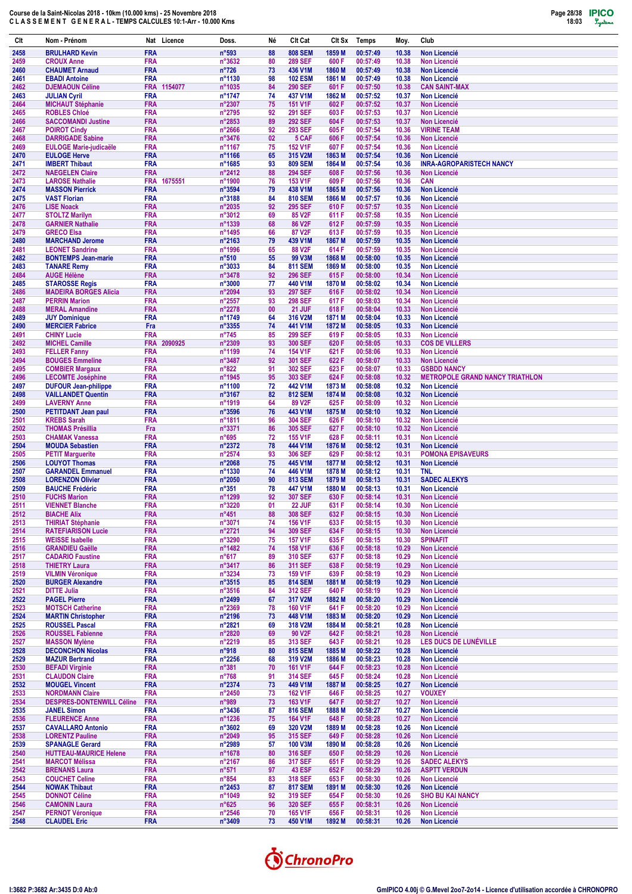

| Clt          | Nom - Prénom                                             | Nat Licence                         | Doss.                              | Né       | Clt Cat                          | Clt Sx           | <b>Temps</b>         | Moy.           | Club                                                         |
|--------------|----------------------------------------------------------|-------------------------------------|------------------------------------|----------|----------------------------------|------------------|----------------------|----------------|--------------------------------------------------------------|
| 2458         | <b>BRULHARD Kevin</b>                                    | <b>FRA</b>                          | n°593                              | 88       | <b>808 SEM</b>                   | 1859 M           | 00:57:49             | 10.38          | <b>Non Licencié</b>                                          |
| 2459<br>2460 | <b>CROUX Anne</b><br><b>CHAUMET Arnaud</b>               | <b>FRA</b><br><b>FRA</b>            | n°3632<br>$n^{\circ}726$           | 80<br>73 | <b>289 SEF</b><br>436 V1M        | 600 F<br>1860 M  | 00:57:49<br>00:57:49 | 10.38<br>10.38 | <b>Non Licencié</b><br><b>Non Licencié</b>                   |
| 2461         | <b>EBADI Antoine</b>                                     | <b>FRA</b>                          | n°1130                             | 98       | <b>102 ESM</b>                   | 1861 M           | 00:57:49             | 10.38          | <b>Non Licencié</b>                                          |
| 2462         | <b>DJEMAOUN Céline</b>                                   | FRA 1154077                         | n°1035                             | 84       | <b>290 SEF</b>                   | 601 F            | 00:57:50             | 10.38          | <b>CAN SAINT-MAX</b>                                         |
| 2463<br>2464 | <b>JULIAN Cyril</b><br><b>MICHAUT Stéphanie</b>          | <b>FRA</b><br><b>FRA</b>            | n°1747<br>n°2307                   | 74<br>75 | 437 V1M<br><b>151 V1F</b>        | 1862 M<br>602F   | 00:57:52<br>00:57:52 | 10.37<br>10.37 | <b>Non Licencié</b><br><b>Non Licencié</b>                   |
| 2465         | <b>ROBLES Chloé</b>                                      | <b>FRA</b>                          | n°2795                             | 92       | <b>291 SEF</b>                   | 603F             | 00:57:53             | 10.37          | <b>Non Licencié</b>                                          |
| 2466         | <b>SACCOMANDI Justine</b>                                | <b>FRA</b>                          | n°2853                             | 89       | <b>292 SEF</b>                   | 604F             | 00:57:53             | 10.37          | <b>Non Licencié</b>                                          |
| 2467         | <b>POIROT Cindy</b>                                      | <b>FRA</b><br><b>FRA</b>            | $n^{\circ}2666$                    | 92<br>02 | 293 SEF<br>5 CAF                 | 605F<br>606F     | 00:57:54<br>00:57:54 | 10.36          | <b>VIRINE TEAM</b><br><b>Non Licencié</b>                    |
| 2468<br>2469 | <b>DARRIGADE Sabine</b><br><b>EULOGE Marie-judicaële</b> | <b>FRA</b>                          | n°3476<br>n°1167                   | 75       | <b>152 V1F</b>                   | 607F             | 00:57:54             | 10.36<br>10.36 | <b>Non Licencié</b>                                          |
| 2470         | <b>EULOGE Herve</b>                                      | <b>FRA</b>                          | n°1166                             | 65       | 315 V2M                          | 1863 M           | 00:57:54             | 10.36          | <b>Non Licencié</b>                                          |
| 2471<br>2472 | <b>IMBERT Thibaut</b><br><b>NAEGELEN Claire</b>          | <b>FRA</b><br><b>FRA</b>            | n°1685<br>n°2412                   | 93<br>88 | <b>809 SEM</b><br><b>294 SEF</b> | 1864 M<br>608F   | 00:57:54<br>00:57:56 | 10.36<br>10.36 | <b>INRA-AGROPARISTECH NANCY</b><br><b>Non Licencié</b>       |
| 2473         | <b>LAROSE Nathalie</b>                                   | <b>FRA</b><br>1675551               | n°1900                             | 76       | 153 V1F                          | 609F             | 00:57:56             | 10.36          | <b>CAN</b>                                                   |
| 2474         | <b>MASSON Pierrick</b>                                   | <b>FRA</b>                          | n°3594                             | 79       | 438 V1M                          | 1865 M           | 00:57:56             | 10.36          | <b>Non Licencié</b>                                          |
| 2475<br>2476 | <b>VAST Florian</b><br><b>LISE Noack</b>                 | <b>FRA</b><br><b>FRA</b>            | n°3188<br>n°2035                   | 84<br>92 | <b>810 SEM</b><br><b>295 SEF</b> | 1866 M<br>610 F  | 00:57:57<br>00:57:57 | 10.36<br>10.35 | <b>Non Licencié</b><br><b>Non Licencié</b>                   |
| 2477         | <b>STOLTZ Marilyn</b>                                    | <b>FRA</b>                          | n°3012                             | 69       | 85 V2F                           | 611 F            | 00:57:58             | 10.35          | <b>Non Licencié</b>                                          |
| 2478         | <b>GARNIER Nathalie</b>                                  | <b>FRA</b>                          | n°1339                             | 68       | 86 V2F                           | 612F             | 00:57:59             | 10.35          | <b>Non Licencié</b>                                          |
| 2479<br>2480 | <b>GRECO Elsa</b><br><b>MARCHAND Jerome</b>              | <b>FRA</b><br><b>FRA</b>            | n°1495<br>n°2163                   | 66<br>79 | 87 V2F<br>439 V1M                | 613 F<br>1867 M  | 00:57:59<br>00:57:59 | 10.35<br>10.35 | <b>Non Licencié</b><br><b>Non Licencié</b>                   |
| 2481         | <b>LEONET Sandrine</b>                                   | <b>FRA</b>                          | n°1996                             | 65       | 88 V2F                           | 614 F            | 00:57:59             | 10.35          | <b>Non Licencié</b>                                          |
| 2482         | <b>BONTEMPS Jean-marie</b>                               | <b>FRA</b>                          | $n^{\circ}510$                     | 55       | 99 V3M                           | 1868 M           | 00:58:00             | 10.35          | <b>Non Licencié</b>                                          |
| 2483<br>2484 | <b>TANARE Remy</b><br><b>AUGE Hélène</b>                 | <b>FRA</b><br><b>FRA</b>            | n°3033<br>n°3478                   | 84<br>92 | <b>811 SEM</b><br><b>296 SEF</b> | 1869 M<br>615F   | 00:58:00<br>00:58:00 | 10.35<br>10.34 | <b>Non Licencié</b><br><b>Non Licencié</b>                   |
| 2485         | <b>STAROSSE Regis</b>                                    | <b>FRA</b>                          | n°3000                             | 77       | 440 V1M                          | 1870 M           | 00:58:02             | 10.34          | <b>Non Licencié</b>                                          |
| 2486         | <b>MADEIRA BORGES Alicia</b>                             | <b>FRA</b>                          | n°2094                             | 93       | <b>297 SEF</b>                   | 616F             | 00:58:02             | 10.34          | <b>Non Licencié</b>                                          |
| 2487<br>2488 | <b>PERRIN Marion</b><br><b>MERAL Amandine</b>            | <b>FRA</b><br><b>FRA</b>            | n°2557<br>n°2278                   | 93<br>00 | <b>298 SEF</b><br>21 JUF         | 617 F<br>618F    | 00:58:03<br>00:58:04 | 10.34<br>10.33 | <b>Non Licencié</b><br><b>Non Licencié</b>                   |
| 2489         | <b>JUY Dominique</b>                                     | <b>FRA</b>                          | n°1749                             | 64       | 316 V2M                          | 1871 M           | 00:58:04             | 10.33          | <b>Non Licencié</b>                                          |
| 2490         | <b>MERCIER Fabrice</b>                                   | Fra                                 | n°3355                             | 74       | 441 V1M                          | 1872 M           | 00:58:05             | 10.33          | <b>Non Licencié</b>                                          |
| 2491<br>2492 | <b>CHINY Lucie</b><br><b>MICHEL Camille</b>              | <b>FRA</b><br><b>FRA</b><br>2090925 | $n^{\circ}745$<br>n°2309           | 85<br>93 | <b>299 SEF</b><br>300 SEF        | 619 F<br>620 F   | 00:58:05<br>00:58:05 | 10.33<br>10.33 | <b>Non Licencié</b><br><b>COS DE VILLERS</b>                 |
| 2493         | <b>FELLER Fanny</b>                                      | <b>FRA</b>                          | n°1199                             | 74       | <b>154 V1F</b>                   | 621 F            | 00:58:06             | 10.33          | <b>Non Licencié</b>                                          |
| 2494         | <b>BOUGES Emmeline</b>                                   | <b>FRA</b>                          | n°3487                             | 92       | 301 SEF                          | 622F             | 00:58:07             | 10.33          | <b>Non Licencié</b>                                          |
| 2495<br>2496 | <b>COMBIER Margaux</b><br><b>LECOMTE Joséphine</b>       | <b>FRA</b><br><b>FRA</b>            | $n^{\circ}822$<br>n°1945           | 91<br>95 | 302 SEF<br>303 SEF               | 623 F<br>624 F   | 00:58:07<br>00:58:08 | 10.33<br>10.32 | <b>GSBDD NANCY</b><br><b>METROPOLE GRAND NANCY TRIATHLON</b> |
| 2497         | <b>DUFOUR Jean-philippe</b>                              | <b>FRA</b>                          | n°1100                             | 72       | 442 V1M                          | 1873 M           | 00:58:08             | 10.32          | <b>Non Licencié</b>                                          |
| 2498         | <b>VAILLANDET Quentin</b>                                | <b>FRA</b>                          | n°3167                             | 82       | <b>812 SEM</b>                   | 1874 M           | 00:58:08             | 10.32          | Non Licencié                                                 |
| 2499<br>2500 | <b>LAVERNY Anne</b><br><b>PETITDANT Jean paul</b>        | <b>FRA</b><br><b>FRA</b>            | n°1919<br>n°3596                   | 64<br>76 | 89 V2F<br>443 V1M                | 625F<br>1875 M   | 00:58:09<br>00:58:10 | 10.32<br>10.32 | <b>Non Licencié</b><br><b>Non Licencié</b>                   |
| 2501         | <b>KREBS Sarah</b>                                       | <b>FRA</b>                          | n°1811                             | 96       | <b>304 SEF</b>                   | 626 F            | 00:58:10             | 10.32          | Non Licencié                                                 |
| 2502         | <b>THOMAS Présillia</b>                                  | Fra                                 | n°3371                             | 86       | 305 SEF                          | 627 F            | 00:58:10             | 10.32          | <b>Non Licencié</b>                                          |
| 2503<br>2504 | <b>CHAMAK Vanessa</b><br><b>MOUDA Sebastien</b>          | <b>FRA</b><br><b>FRA</b>            | $n^{\circ}695$<br>n°2372           | 72<br>78 | <b>155 V1F</b><br>444 V1M        | 628 F<br>1876 M  | 00:58:11<br>00:58:12 | 10.31<br>10.31 | <b>Non Licencié</b><br><b>Non Licencié</b>                   |
| 2505         | <b>PETIT Marguerite</b>                                  | <b>FRA</b>                          | n°2574                             | 93       | 306 SEF                          | 629 F            | 00:58:12             | 10.31          | <b>POMONA EPISAVEURS</b>                                     |
| 2506         | <b>LOUYOT Thomas</b>                                     | <b>FRA</b>                          | n°2068                             | 75       | 445 V1M                          | 1877 M           | 00:58:12             | 10.31          | <b>Non Licencié</b>                                          |
| 2507<br>2508 | <b>GARANDEL Emmanuel</b><br><b>LORENZON Olivier</b>      | <b>FRA</b><br><b>FRA</b>            | n°1330<br>n°2050                   | 74<br>90 | 446 V1M<br><b>813 SEM</b>        | 1878 M<br>1879 M | 00:58:12<br>00:58:13 | 10.31<br>10.31 | <b>TNL</b><br><b>SADEC ALEKYS</b>                            |
| 2509         | <b>BAUCHE Frédéric</b>                                   | <b>FRA</b>                          | $n^{\circ}351$                     | 78       | 447 V1M                          | 1880 M           | 00:58:13             | 10.31          | <b>Non Licencié</b>                                          |
| 2510         | <b>FUCHS Marion</b>                                      | <b>FRA</b>                          | n°1299                             | 92       | 307 SEF                          | 630 F            | 00:58:14             | 10.31          | Non Licencié                                                 |
| 2511<br>2512 | <b>VIENNET Blanche</b><br><b>BIACHE Alix</b>             | <b>FRA</b><br><b>FRA</b>            | n°3220<br>$n^{\circ}451$           | 01<br>88 | 22 JUF<br><b>308 SEF</b>         | 631 F<br>632F    | 00:58:14<br>00:58:15 | 10.30<br>10.30 | <b>Non Licencié</b><br>Non Licencié                          |
| 2513         | <b>THIRIAT Stéphanie</b>                                 | <b>FRA</b>                          | $n^{\circ}3071$                    | 74       | <b>156 V1F</b>                   | 633 F            | 00:58:15             | 10.30          | Non Licencié                                                 |
| 2514         | <b>RATEFIARISON Lucie</b>                                | <b>FRA</b>                          | n°2721                             | 94       | 309 SEF                          | 634 F            | 00:58:15             | 10.30          | Non Licencié                                                 |
| 2515<br>2516 | <b>WEISSE Isabelle</b><br><b>GRANDIEU Gaëlle</b>         | <b>FRA</b><br><b>FRA</b>            | n°3290<br>n°1482                   | 75<br>74 | <b>157 V1F</b><br>158 V1F        | 635F<br>636 F    | 00:58:15<br>00:58:18 | 10.30<br>10.29 | <b>SPINAFIT</b><br>Non Licencié                              |
| 2517         | <b>CADARIO Faustine</b>                                  | <b>FRA</b>                          | $n^{\circ}617$                     | 89       | <b>310 SEF</b>                   | 637 F            | 00:58:18             | 10.29          | Non Licencié                                                 |
| 2518         | <b>THIETRY Laura</b>                                     | <b>FRA</b>                          | $n^{\circ}3417$                    | 86       | <b>311 SEF</b>                   | 638 F            | 00:58:19             | 10.29          | Non Licencié                                                 |
| 2519<br>2520 | <b>VILMIN Véronique</b><br><b>BURGER Alexandre</b>       | <b>FRA</b><br><b>FRA</b>            | $n^{\circ}3234$<br>$n^{\circ}3515$ | 73<br>85 | 159 V1F<br><b>814 SEM</b>        | 639 F<br>1881 M  | 00:58:19<br>00:58:19 | 10.29<br>10.29 | Non Licencié<br><b>Non Licencié</b>                          |
| 2521         | <b>DITTE Julia</b>                                       | <b>FRA</b>                          | $n^{\circ}3516$                    | 84       | <b>312 SEF</b>                   | 640 F            | 00:58:19             | 10.29          | Non Licencié                                                 |
| 2522         | <b>PAGEL Pierre</b>                                      | <b>FRA</b>                          | $n^{\circ}$ 2499                   | 67       | 317 V2M                          | 1882 M           | 00:58:20             | 10.29          | <b>Non Licencié</b><br><b>Non Licencié</b>                   |
| 2523<br>2524 | <b>MOTSCH Catherine</b><br><b>MARTIN Christopher</b>     | <b>FRA</b><br><b>FRA</b>            | n°2369<br>n°2196                   | 78<br>73 | <b>160 V1F</b><br>448 V1M        | 641 F<br>1883 M  | 00:58:20<br>00:58:20 | 10.29<br>10.29 | <b>Non Licencié</b>                                          |
| 2525         | <b>ROUSSEL Pascal</b>                                    | <b>FRA</b>                          | n°2821                             | 69       | 318 V2M                          | 1884 M           | 00:58:21             | 10.28          | Non Licencié                                                 |
| 2526         | <b>ROUSSEL Fabienne</b>                                  | <b>FRA</b><br><b>FRA</b>            | n°2820                             | 69<br>85 | 90 V2F                           | 642 F<br>643 F   | 00:58:21             | 10.28          | <b>Non Licencié</b><br>LES DUCS DE LUNÉVILLE                 |
| 2527<br>2528 | <b>MASSON Mylène</b><br><b>DECONCHON Nicolas</b>         | <b>FRA</b>                          | n°2219<br>$n^{\circ}918$           | 80       | 313 SEF<br><b>815 SEM</b>        | 1885 M           | 00:58:21<br>00:58:22 | 10.28<br>10.28 | Non Licencié                                                 |
| 2529         | <b>MAZUR Bertrand</b>                                    | <b>FRA</b>                          | $n^{\circ}2256$                    | 68       | 319 V2M                          | 1886 M           | 00:58:23             | 10.28          | <b>Non Licencié</b>                                          |
| 2530         | <b>BEFADI Virginie</b><br><b>CLAUDON Claire</b>          | <b>FRA</b><br><b>FRA</b>            | $n^{\circ}381$<br>$n^{\circ}768$   | 70<br>91 | <b>161 V1F</b>                   | 644 F<br>645F    | 00:58:23<br>00:58:24 | 10.28<br>10.28 | Non Licencié<br><b>Non Licencié</b>                          |
| 2531<br>2532 | <b>MOUGEL Vincent</b>                                    | <b>FRA</b>                          | $n^{\circ}2374$                    | 73       | 314 SEF<br>449 V1M               | 1887 M           | 00:58:25             | 10.27          | Non Licencié                                                 |
| 2533         | <b>NORDMANN Claire</b>                                   | <b>FRA</b>                          | $n^{\circ}2450$                    | 73       | <b>162 V1F</b>                   | 646 F            | 00:58:25             | 10.27          | <b>VOUXEY</b>                                                |
| 2534         | <b>DESPRES-DONTENWILL Céline</b>                         | <b>FRA</b>                          | n°989                              | 73       | 163 V1F                          | 647 F            | 00:58:27             | 10.27          | Non Licencié                                                 |
| 2535<br>2536 | <b>JANEL Simon</b><br><b>FLEURENCE Anne</b>              | <b>FRA</b><br><b>FRA</b>            | $n^{\circ}3436$<br>n°1236          | 87<br>75 | <b>816 SEM</b><br>164 V1F        | 1888 M<br>648 F  | 00:58:27<br>00:58:28 | 10.27<br>10.27 | <b>Non Licencié</b><br><b>Non Licencié</b>                   |
| 2537         | <b>CAVALLARO Antonio</b>                                 | <b>FRA</b>                          | $n^{\circ}3602$                    | 69       | 320 V2M                          | 1889 M           | 00:58:28             | 10.26          | <b>Non Licencié</b>                                          |
| 2538<br>2539 | <b>LORENTZ Pauline</b><br><b>SPANAGLE Gerard</b>         | <b>FRA</b><br><b>FRA</b>            | $n^{\circ}2049$<br>n°2989          | 95<br>57 | 315 SEF<br>100 V3M               | 649 F<br>1890 M  | 00:58:28<br>00:58:28 | 10.26<br>10.26 | <b>Non Licencié</b><br>Non Licencié                          |
| 2540         | <b>HUTTEAU-MAURICE Helene</b>                            | <b>FRA</b>                          | n°1678                             | 80       | 316 SEF                          | 650 F            | 00:58:29             | 10.26          | Non Licencié                                                 |
| 2541         | <b>MARCOT Mélissa</b>                                    | <b>FRA</b>                          | $n^{\circ}2167$                    | 86       | 317 SEF                          | 651 F            | 00:58:29             | 10.26          | <b>SADEC ALEKYS</b>                                          |
| 2542<br>2543 | <b>BRENANS Laura</b><br><b>COUCHET Celine</b>            | <b>FRA</b><br><b>FRA</b>            | $n^{\circ}571$<br>$n^{\circ}854$   | 97<br>83 | <b>43 ESF</b><br>318 SEF         | 652F<br>653 F    | 00:58:29<br>00:58:30 | 10.26<br>10.26 | <b>ASPTT VERDUN</b><br>Non Licencié                          |
| 2544         | <b>NOWAK Thibaut</b>                                     | <b>FRA</b>                          | $n^{\circ}$ 2453                   | 87       | <b>817 SEM</b>                   | 1891 M           | 00:58:30             | 10.26          | <b>Non Licencié</b>                                          |
| 2545         | <b>DONNOT Céline</b>                                     | <b>FRA</b>                          | n°1049                             | 92       | 319 SEF                          | 654 F            | 00:58:30             | 10.26          | <b>SHO BU KAI NANCY</b>                                      |
| 2546<br>2547 | <b>CAMONIN Laura</b><br><b>PERNOT Véronique</b>          | <b>FRA</b><br><b>FRA</b>            | $n^{\circ}625$<br>$n^{\circ}2546$  | 96<br>70 | <b>320 SEF</b><br>165 V1F        | 655F<br>656 F    | 00:58:31<br>00:58:31 | 10.26<br>10.26 | Non Licencié<br>Non Licencié                                 |
| 2548         | <b>CLAUDEL Eric</b>                                      | <b>FRA</b>                          | $n^{\circ}3409$                    | 73       | 450 V1M                          | 1892 M           | 00:58:31             | 10.26          | <b>Non Licencié</b>                                          |
|              |                                                          |                                     |                                    |          |                                  |                  |                      |                |                                                              |

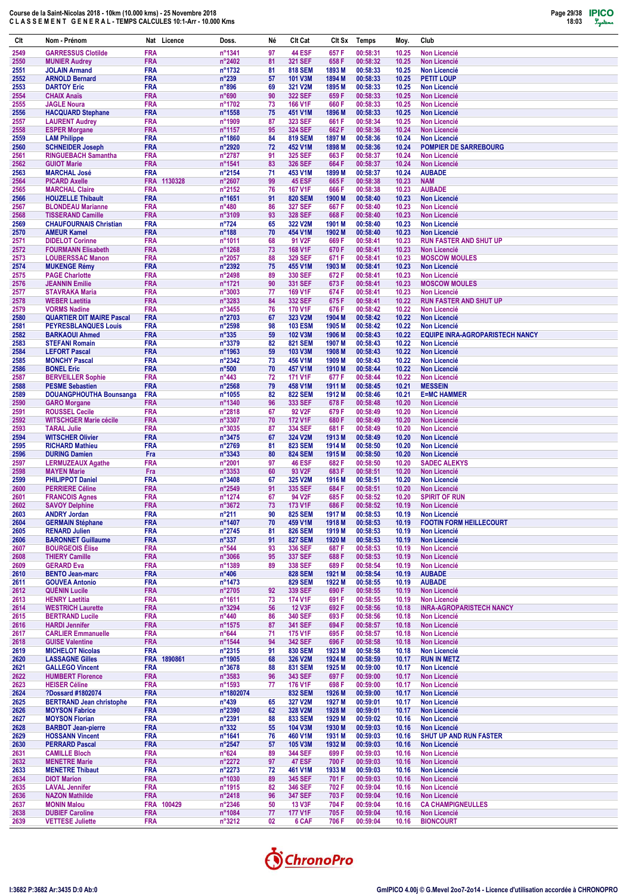

| Clt          | Nom - Prénom                                           | Nat Licence               | Doss.                               | Né       | Clt Cat                          | Clt Sx                      | Temps                | Moy.           | Club                                                          |
|--------------|--------------------------------------------------------|---------------------------|-------------------------------------|----------|----------------------------------|-----------------------------|----------------------|----------------|---------------------------------------------------------------|
| 2549         | <b>GARRESSUS Clotilde</b>                              | <b>FRA</b>                | n°1341                              | 97       | <b>44 ESF</b>                    | 657 F                       | 00:58:31             | 10.25          | <b>Non Licencié</b>                                           |
| 2550         | <b>MUNIER Audrey</b>                                   | FRA                       | n°2402                              | 81       | 321 SEF                          | 658 F                       | 00:58:32             | 10.25          | <b>Non Licencié</b>                                           |
| 2551<br>2552 | <b>JOLAIN Armand</b><br><b>ARNOLD Bernard</b>          | <b>FRA</b><br><b>FRA</b>  | n°1732<br>$n^{\circ}239$            | 81<br>57 | <b>818 SEM</b><br><b>101 V3M</b> | 1893 M<br>1894 M            | 00:58:33<br>00:58:33 | 10.25<br>10.25 | <b>Non Licencié</b><br><b>PETIT LOUP</b>                      |
| 2553         | <b>DARTOY Eric</b>                                     | <b>FRA</b>                | n°896                               | 69       | 321 V2M                          | 1895 M                      | 00:58:33             | 10.25          | <b>Non Licencié</b>                                           |
| 2554         | <b>CHAIX Anaïs</b>                                     | <b>FRA</b>                | n°690                               | 90       | 322 SEF                          | 659 F                       | 00:58:33             | 10.25          | <b>Non Licencié</b>                                           |
| 2555         | <b>JAGLE Noura</b>                                     | <b>FRA</b>                | n°1702                              | 73       | 166 V1F                          | 660 F                       | 00:58:33             | 10.25          | <b>Non Licencié</b>                                           |
| 2556<br>2557 | <b>HACQUARD Stephane</b><br><b>LAURENT Audrey</b>      | <b>FRA</b><br><b>FRA</b>  | n°1558<br>n°1909                    | 75<br>87 | 451 V1M<br>323 SEF               | 1896 M<br>661 F             | 00:58:33<br>00:58:34 | 10.25<br>10.25 | <b>Non Licencié</b><br><b>Non Licencié</b>                    |
| 2558         | <b>ESPER Morgane</b>                                   | <b>FRA</b>                | n°1157                              | 95       | <b>324 SEF</b>                   | 662F                        | 00:58:36             | 10.24          | <b>Non Licencié</b>                                           |
| 2559         | <b>LAM Philippe</b>                                    | <b>FRA</b>                | n°1860                              | 84       | <b>819 SEM</b>                   | 1897 M                      | 00:58:36             | 10.24          | <b>Non Licencié</b>                                           |
| 2560         | <b>SCHNEIDER Joseph</b>                                | <b>FRA</b>                | n°2920                              | 72       | 452 V1M                          | 1898 M                      | 00:58:36             | 10.24          | <b>POMPIER DE SARREBOURG</b>                                  |
| 2561<br>2562 | <b>RINGUEBACH Samantha</b><br><b>GUIOT Marie</b>       | <b>FRA</b><br><b>FRA</b>  | n°2787<br>n°1541                    | 91<br>83 | 325 SEF<br>326 SEF               | 663 F<br>664 F              | 00:58:37<br>00:58:37 | 10.24<br>10.24 | <b>Non Licencié</b><br><b>Non Licencié</b>                    |
| 2563         | <b>MARCHAL José</b>                                    | <b>FRA</b>                | n°2154                              | 71       | 453 V1M                          | 1899 M                      | 00:58:37             | 10.24          | <b>AUBADE</b>                                                 |
| 2564         | <b>PICARD Axelle</b>                                   | FRA 1130328               | n°2607                              | 99       | 45 ESF                           | 665F                        | 00:58:38             | 10.23          | <b>NAM</b>                                                    |
| 2565         | <b>MARCHAL Claire</b>                                  | <b>FRA</b>                | n°2152                              | 76       | <b>167 V1F</b>                   | 666 F                       | 00:58:38             | 10.23          | <b>AUBADE</b>                                                 |
| 2566<br>2567 | <b>HOUZELLE Thibault</b><br><b>BLONDEAU Marianne</b>   | <b>FRA</b><br><b>FRA</b>  | n°1651<br>n°480                     | 91<br>86 | <b>820 SEM</b><br>327 SEF        | 1900 M<br>667F              | 00:58:40<br>00:58:40 | 10.23<br>10.23 | <b>Non Licencié</b><br><b>Non Licencié</b>                    |
| 2568         | <b>TISSERAND Camille</b>                               | <b>FRA</b>                | n°3109                              | 93       | 328 SEF                          | 668F                        | 00:58:40             | 10.23          | <b>Non Licencié</b>                                           |
| 2569         | <b>CHAUFOURNAIS Christian</b>                          | <b>FRA</b>                | $n^{\circ}724$                      | 65       | 322 V2M                          | 1901 M                      | 00:58:40             | 10.23          | <b>Non Licencié</b>                                           |
| 2570         | <b>AMEUR Kamel</b>                                     | <b>FRA</b>                | $n^{\circ}188$                      | 70       | 454 V1M                          | 1902 M                      | 00:58:40             | 10.23          | <b>Non Licencié</b>                                           |
| 2571<br>2572 | <b>DIDELOT Corinne</b><br><b>FOURMANN Elisabeth</b>    | <b>FRA</b><br><b>FRA</b>  | n°1011<br>n°1268                    | 68<br>73 | 91 V2F<br>168 V1F                | 669F<br>670 F               | 00:58:41<br>00:58:41 | 10.23<br>10.23 | <b>RUN FASTER AND SHUT UP</b><br><b>Non Licencié</b>          |
| 2573         | <b>LOUBERSSAC Manon</b>                                | <b>FRA</b>                | n°2057                              | 88       | <b>329 SEF</b>                   | 671 F                       | 00:58:41             | 10.23          | <b>MOSCOW MOULES</b>                                          |
| 2574         | <b>MUKENGE Rémy</b>                                    | <b>FRA</b>                | n°2392                              | 75       | 455 V1M                          | 1903 M                      | 00:58:41             | 10.23          | <b>Non Licencié</b>                                           |
| 2575         | <b>PAGE Charlotte</b>                                  | <b>FRA</b>                | n°2498                              | 89       | 330 SEF                          | 672 F                       | 00:58:41             | 10.23          | Non Licencié                                                  |
| 2576<br>2577 | <b>JEANNIN Emilie</b><br><b>STAVRAKA Maria</b>         | <b>FRA</b><br><b>FRA</b>  | n°1721<br>n°3003                    | 90<br>77 | 331 SEF<br>169 V1F               | 673F<br>674 F               | 00:58:41<br>00:58:41 | 10.23<br>10.23 | <b>MOSCOW MOULES</b><br><b>Non Licencié</b>                   |
| 2578         | <b>WEBER Laetitia</b>                                  | <b>FRA</b>                | n°3283                              | 84       | 332 SEF                          | 675F                        | 00:58:41             | 10.22          | <b>RUN FASTER AND SHUT UP</b>                                 |
| 2579         | <b>VORMS Nadine</b>                                    | <b>FRA</b>                | n°3455                              | 76       | <b>170 V1F</b>                   | 676 F                       | 00:58:42             | 10.22          | <b>Non Licencié</b>                                           |
| 2580         | <b>QUARTIER DIT MAIRE Pascal</b>                       | <b>FRA</b>                | n°2703                              | 67       | 323 V2M                          | 1904 M                      | 00:58:42             | 10.22          | <b>Non Licencié</b>                                           |
| 2581<br>2582 | <b>PEYRESBLANQUES Louis</b><br><b>BARKAOUI Ahmed</b>   | <b>FRA</b><br><b>FRA</b>  | n°2598<br>$n^{\circ}335$            | 98<br>59 | <b>103 ESM</b><br>102 V3M        | 1905 <sub>M</sub><br>1906 M | 00:58:42<br>00:58:43 | 10.22<br>10.22 | <b>Non Licencié</b><br><b>EQUIPE INRA-AGROPARISTECH NANCY</b> |
| 2583         | <b>STEFANI Romain</b>                                  | <b>FRA</b>                | n°3379                              | 82       | <b>821 SEM</b>                   | 1907 M                      | 00:58:43             | 10.22          | <b>Non Licencié</b>                                           |
| 2584         | <b>LEFORT Pascal</b>                                   | <b>FRA</b>                | n°1963                              | 59       | 103 V3M                          | 1908 M                      | 00:58:43             | 10.22          | <b>Non Licencié</b>                                           |
| 2585         | <b>MONCHY Pascal</b>                                   | <b>FRA</b>                | $n^{\circ}2342$                     | 73       | 456 V1M                          | 1909 M                      | 00:58:43             | 10.22          | <b>Non Licencié</b>                                           |
| 2586<br>2587 | <b>BONEL Eric</b><br><b>BERVEILLER Sophie</b>          | <b>FRA</b><br><b>FRA</b>  | $n^{\circ}500$<br>$n^{\circ}443$    | 70<br>72 | 457 V1M<br><b>171 V1F</b>        | 1910 <sub>M</sub><br>677 F  | 00:58:44<br>00:58:44 | 10.22<br>10.22 | <b>Non Licencié</b><br><b>Non Licencié</b>                    |
| 2588         | <b>PESME Sebastien</b>                                 | <b>FRA</b>                | n°2568                              | 79       | 458 V1M                          | 1911 M                      | 00:58:45             | 10.21          | <b>MESSEIN</b>                                                |
| 2589         | <b>DOUANGPHOUTHA Bounsanga</b>                         | <b>FRA</b>                | n°1055                              | 82       | <b>822 SEM</b>                   | 1912 M                      | 00:58:46             | 10.21          | <b>E=MC HAMMER</b>                                            |
| 2590         | <b>GARO Morgane</b>                                    | <b>FRA</b>                | n°1340                              | 96       | 333 SEF                          | 678 F                       | 00:58:48             | 10.20          | <b>Non Licencié</b>                                           |
| 2591<br>2592 | <b>ROUSSEL Cecile</b><br><b>WITSCHGER Marie cécile</b> | <b>FRA</b><br>FRA         | n°2818<br>n°3307                    | 67<br>70 | 92 V2F<br><b>172 V1F</b>         | 679 F<br>680 F              | 00:58:49<br>00:58:49 | 10.20<br>10.20 | <b>Non Licencié</b><br><b>Non Licencié</b>                    |
| 2593         | <b>TARAL Julie</b>                                     | <b>FRA</b>                | n°3035                              | 87       | 334 SEF                          | 681 F                       | 00:58:49             | 10.20          | <b>Non Licencié</b>                                           |
| 2594         | <b>WITSCHER Olivier</b>                                | <b>FRA</b>                | $n^{\circ}3475$                     | 67       | 324 V2M                          | 1913 M                      | 00:58:49             | 10.20          | <b>Non Licencié</b>                                           |
| 2595         | <b>RICHARD Mathieu</b>                                 | <b>FRA</b>                | n°2769                              | 81       | <b>823 SEM</b>                   | 1914 M                      | 00:58:50             | 10.20          | <b>Non Licencié</b>                                           |
| 2596<br>2597 | <b>DURING Damien</b><br><b>LERMUZEAUX Agathe</b>       | Fra<br><b>FRA</b>         | n°3343<br>n°2001                    | 80<br>97 | <b>824 SEM</b><br><b>46 ESF</b>  | 1915 <sub>M</sub><br>682F   | 00:58:50<br>00:58:50 | 10.20<br>10.20 | <b>Non Licencié</b><br><b>SADEC ALEKYS</b>                    |
| 2598         | <b>MAYEN Marie</b>                                     | Fra                       | n°3353                              | 60       | 93 V2F                           | 683 F                       | 00:58:51             | 10.20          | <b>Non Licencié</b>                                           |
| 2599         | <b>PHILIPPOT Daniel</b>                                | <b>FRA</b>                | n°3408                              | 67       | 325 V2M                          | 1916 <sub>M</sub>           | 00:58:51             | 10.20          | <b>Non Licencié</b>                                           |
| 2600         | <b>PERRIERE Céline</b>                                 | FRA<br><b>FRA</b>         | n°2549                              | 91<br>67 | 335 SEF<br>94 V2F                | 684 F<br>685 F              | 00:58:51<br>00:58:52 | 10.20<br>10.20 | <b>Non Licencié</b>                                           |
| 2601<br>2602 | <b>FRANCOIS Agnes</b><br><b>SAVOY Delphine</b>         | <b>FRA</b>                | n°1274<br>n°3672                    | 73       | 173 V1F                          | 686 F                       | 00:58:52             | 10.19          | <b>SPIRIT OF RUN</b><br><b>Non Licencié</b>                   |
| 2603         | <b>ANDRY Jordan</b>                                    | <b>FRA</b>                | $n^{\circ}211$                      | 90       | <b>825 SEM</b>                   | 1917 <sub>M</sub>           | 00:58:53             | 10.19          | Non Licencié                                                  |
| 2604         | <b>GERMAIN Stéphane</b>                                | <b>FRA</b>                | n°1407                              | 70       | 459 V1M                          | 1918 M                      | 00:58:53             | 10.19          | <b>FOOTIN FORM HEILLECOURT</b>                                |
| 2605<br>2606 | <b>RENARD Julien</b><br><b>BARONNET Guillaume</b>      | <b>FRA</b><br><b>FRA</b>  | n°2745<br>$n^{\circ}337$            | 81<br>91 | <b>826 SEM</b><br><b>827 SEM</b> | 1919 M<br>1920 M            | 00:58:53<br>00:58:53 | 10.19<br>10.19 | Non Licencié<br><b>Non Licencié</b>                           |
| 2607         | <b>BOURGEOIS Élise</b>                                 | <b>FRA</b>                | $n^{\circ}$ 544                     | 93       | 336 SEF                          | 687 F                       | 00:58:53             | 10.19          | Non Licencié                                                  |
| 2608         | <b>THIERY Camille</b>                                  | <b>FRA</b>                | n°3066                              | 95       | 337 SEF                          | 688 F                       | 00:58:53             | 10.19          | Non Licencié                                                  |
| 2609         | <b>GERARD Eva</b>                                      | <b>FRA</b>                | n°1389                              | 89       | 338 SEF                          | 689 F                       | 00:58:54             | 10.19          | <b>Non Licencié</b>                                           |
| 2610<br>2611 | <b>BENTO Jean-marc</b><br><b>GOUVEA Antonio</b>        | <b>FRA</b><br><b>FRA</b>  | $n^{\circ}406$<br>n°1473            |          | <b>828 SEM</b><br><b>829 SEM</b> | 1921 M<br>1922 M            | 00:58:54<br>00:58:55 | 10.19<br>10.19 | <b>AUBADE</b><br><b>AUBADE</b>                                |
| 2612         | <b>QUÉNIN Lucile</b>                                   | <b>FRA</b>                | $n^{\circ}2705$                     | 92       | 339 SEF                          | 690 F                       | 00:58:55             | 10.19          | Non Licencié                                                  |
| 2613         | <b>HENRY Laetitia</b>                                  | <b>FRA</b>                | $n^{\circ}1611$                     | 73       | <b>174 V1F</b>                   | 691 F                       | 00:58:55             | 10.19          | Non Licencié                                                  |
| 2614         | <b>WESTRICH Laurette</b>                               | <b>FRA</b>                | n°3294                              | 56       | <b>12 V3F</b>                    | 692 F                       | 00:58:56             | 10.18          | <b>INRA-AGROPARISTECH NANCY</b>                               |
| 2615<br>2616 | <b>BERTRAND Lucile</b><br><b>HARDI Jennifer</b>        | <b>FRA</b><br><b>FRA</b>  | $n^{\circ}440$<br>$n^{\circ}$ 1575  | 86<br>87 | 340 SEF<br>341 SEF               | 693 F<br>694 F              | 00:58:56<br>00:58:57 | 10.18<br>10.18 | <b>Non Licencié</b><br>Non Licencié                           |
| 2617         | <b>CARLIER Emmanuelle</b>                              | <b>FRA</b>                | $n^{\circ}644$                      | 71       | <b>175 V1F</b>                   | 695F                        | 00:58:57             | 10.18          | <b>Non Licencié</b>                                           |
| 2618         | <b>GUISE Valentine</b>                                 | <b>FRA</b>                | n°1544                              | 94       | 342 SEF                          | 696 F                       | 00:58:58             | 10.18          | Non Licencié                                                  |
| 2619<br>2620 | <b>MICHELOT Nicolas</b><br><b>LASSAGNE Gilles</b>      | <b>FRA</b><br>FRA 1890861 | $n^{\circ}2315$<br>$n^{\circ}$ 1905 | 91<br>68 | <b>830 SEM</b><br>326 V2M        | 1923 M<br>1924 M            | 00:58:58<br>00:58:59 | 10.18          | Non Licencié                                                  |
| 2621         | <b>GALLEGO Vincent</b>                                 | <b>FRA</b>                | $n^{\circ}3678$                     | 88       | <b>831 SEM</b>                   | 1925 M                      | 00:59:00             | 10.17<br>10.17 | <b>RUN IN METZ</b><br><b>Non Licencié</b>                     |
| 2622         | <b>HUMBERT Florence</b>                                | <b>FRA</b>                | $n^{\circ}3583$                     | 96       | 343 SEF                          | 697 F                       | 00:59:00             | 10.17          | Non Licencié                                                  |
| 2623         | <b>HEISER Céline</b>                                   | <b>FRA</b>                | $n^{\circ}1593$                     | 77       | 176 V1F                          | 698 F                       | 00:59:00             | 10.17          | <b>Non Licencié</b>                                           |
| 2624<br>2625 | ?Dossard #1802074<br><b>BERTRAND Jean christophe</b>   | <b>FRA</b><br><b>FRA</b>  | n°1802074<br>$n^{\circ}439$         | 65       | <b>832 SEM</b><br>327 V2M        | 1926 M<br>1927 M            | 00:59:00<br>00:59:01 | 10.17<br>10.17 | Non Licencié<br><b>Non Licencié</b>                           |
| 2626         | <b>MOYSON Fabrice</b>                                  | <b>FRA</b>                | n°2390                              | 62       | 328 V2M                          | 1928 M                      | 00:59:01             | 10.17          | <b>Non Licencié</b>                                           |
| 2627         | <b>MOYSON Florian</b>                                  | <b>FRA</b>                | n°2391                              | 88       | <b>833 SEM</b>                   | 1929 M                      | 00:59:02             | 10.16          | Non Licencié                                                  |
| 2628         | <b>BARBOT Jean-pierre</b>                              | <b>FRA</b>                | $n^{\circ}332$                      | 55       | 104 V3M                          | 1930 M                      | 00:59:03             | 10.16          | <b>Non Licencié</b>                                           |
| 2629<br>2630 | <b>HOSSANN Vincent</b><br><b>PERRARD Pascal</b>        | <b>FRA</b><br><b>FRA</b>  | $n^{\circ}1641$<br>$n^{\circ}2547$  | 76<br>57 | 460 V1M<br>105 V3M               | 1931 M<br>1932 M            | 00:59:03<br>00:59:03 | 10.16<br>10.16 | <b>SHUT UP AND RUN FASTER</b><br><b>Non Licencié</b>          |
| 2631         | <b>CAMILLE Bloch</b>                                   | <b>FRA</b>                | $n^{\circ}624$                      | 89       | 344 SEF                          | 699 F                       | 00:59:03             | 10.16          | <b>Non Licencié</b>                                           |
| 2632         | <b>MENETRE Marie</b>                                   | <b>FRA</b>                | $n^{\circ}2272$                     | 97       | <b>47 ESF</b>                    | 700 F                       | 00:59:03             | 10.16          | Non Licencié                                                  |
| 2633         | <b>MENETRE Thibaut</b>                                 | <b>FRA</b>                | $n^{\circ}2273$                     | 72       | 461 V1M                          | 1933 M                      | 00:59:03             | 10.16          | Non Licencié                                                  |
| 2634<br>2635 | <b>DIOT Marion</b><br><b>LAVAL Jennifer</b>            | <b>FRA</b><br><b>FRA</b>  | n°1030<br>$n^{\circ}$ 1915          | 89<br>82 | 345 SEF<br>346 SEF               | 701 F<br>702 F              | 00:59:03<br>00:59:04 | 10.16<br>10.16 | <b>Non Licencié</b><br>Non Licencié                           |
| 2636         | <b>NAZON Mathilde</b>                                  | <b>FRA</b>                | $n^{\circ}2418$                     | 96       | <b>347 SEF</b>                   | 703 F                       | 00:59:04             | 10.16          | Non Licencié                                                  |
| 2637         | <b>MONIN Malou</b>                                     | FRA 100429                | $n^{\circ}2346$                     | 50       | 13 V3F                           | 704 F                       | 00:59:04             | 10.16          | <b>CA CHAMPIGNEULLES</b>                                      |
| 2638<br>2639 | <b>DUBIEF Caroline</b><br><b>VETTESE Juliette</b>      | <b>FRA</b><br><b>FRA</b>  | n°1084<br>$n^{\circ}3212$           | 77<br>02 | <b>177 V1F</b><br>6 CAF          | 705 F<br>706 F              | 00:59:04<br>00:59:04 | 10.16<br>10.16 | Non Licencié<br><b>BIONCOURT</b>                              |
|              |                                                        |                           |                                     |          |                                  |                             |                      |                |                                                               |

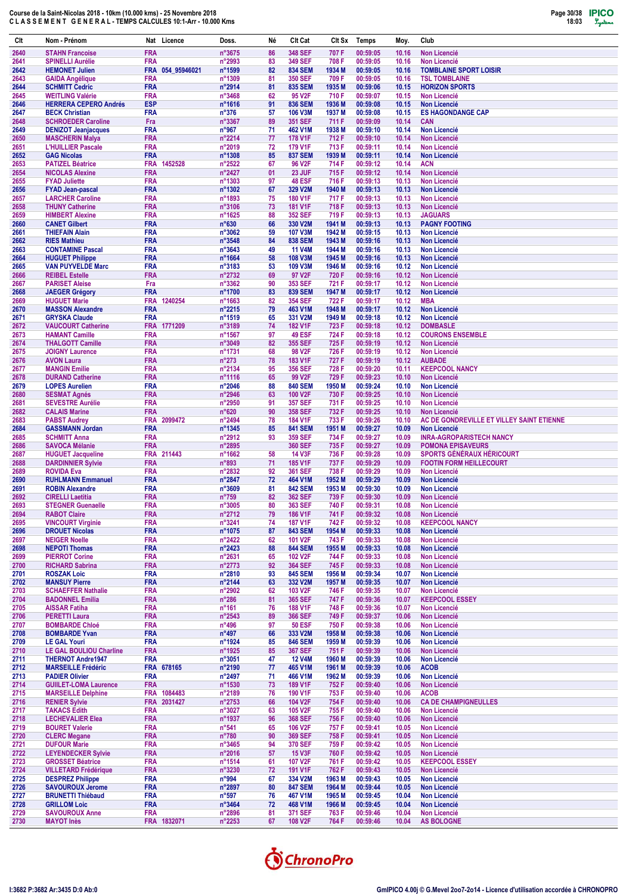

| <b>FRA</b><br>n°3675<br><b>348 SEF</b><br>2640<br><b>STAHN Francoise</b><br>86<br>707 F<br>00:59:05<br>10.16<br><b>Non Licencié</b><br><b>FRA</b><br><b>349 SEF</b><br>00:59:05<br><b>SPINELLI Aurélie</b><br>n°2993<br>83<br>708 F<br>10.16<br><b>Non Licencié</b><br>2641<br>FRA 054_95946021<br>n°1599<br>82<br><b>834 SEM</b><br>1934 M<br>00:59:05<br>10.16<br><b>TOMBLAINE SPORT LOISIR</b><br>2642<br><b>HEMONET Julien</b><br>2643<br><b>FRA</b><br>n°1309<br>81<br>350 SEF<br>709 F<br>00:59:05<br>10.16<br><b>TSL TOMBLAINE</b><br><b>GAIDA Angélique</b><br>2644<br><b>FRA</b><br>n°2914<br>81<br><b>835 SEM</b><br>1935 M<br>00:59:06<br><b>SCHMITT Cedric</b><br>10.15<br><b>HORIZON SPORTS</b><br><b>FRA</b><br>n°3468<br>62<br>95 V <sub>2</sub> F<br>710 F<br>00:59:07<br>2645<br><b>WEITLING Valérie</b><br>10.15<br>Non Licencié<br><b>ESP</b><br>n°1616<br>91<br><b>836 SEM</b><br>1936 M<br>00:59:08<br>2646<br><b>HERRERA CEPERO Andrés</b><br><b>Non Licencié</b><br>10.15<br>1937 M<br>00:59:08<br><b>FRA</b><br>$n^{\circ}376$<br><b>106 V3M</b><br><b>ES HAGONDANGE CAP</b><br>2647<br><b>BECK Christian</b><br>57<br>10.15<br>2648<br><b>SCHROEDER Caroline</b><br>Fra<br>n°3367<br>89<br>351 SEF<br>711 F<br>00:59:09<br>10.14<br><b>CAN</b><br><b>FRA</b><br>71<br>2649<br>n°967<br>462 V1M<br>1938 M<br>00:59:10<br>10.14<br><b>Non Licencié</b><br><b>DENIZOT Jeanjacques</b><br>2650<br><b>MASCHERIN Malya</b><br><b>FRA</b><br>n°2214<br>77<br>178 V1F<br>712 F<br>00:59:10<br><b>Non Licencié</b><br>10.14<br><b>L'HUILLIER Pascale</b><br><b>FRA</b><br>n°2019<br>72<br>179 V1F<br>713 F<br>00:59:11<br>10.14<br>2651<br>Non Licencié<br><b>FRA</b><br>n°1308<br>85<br>2652<br><b>837 SEM</b><br>1939 M<br>00:59:11<br><b>Non Licencié</b><br><b>GAG Nicolas</b><br>10.14<br><b>FRA</b><br>1452528<br>n°2522<br>67<br>96 V <sub>2F</sub><br>714 F<br>00:59:12<br><b>ACN</b><br>2653<br><b>PATIZEL Béatrice</b><br>10.14<br>2654<br><b>FRA</b><br>n°2427<br>23 JUF<br>715F<br>00:59:12<br>10.14<br><b>NICOLAS Alexine</b><br>01<br>Non Licencié<br><b>FRA</b><br>n°1303<br>97<br><b>48 ESF</b><br>716 F<br>00:59:13<br><b>Non Licencié</b><br>2655<br><b>FYAD Juliette</b><br>10.13<br>2656<br><b>FRA</b><br>n°1302<br>67<br>329 V2M<br>1940 M<br>00:59:13<br>10.13<br><b>Non Licencié</b><br><b>FYAD Jean-pascal</b><br>n°1893<br>00:59:13<br><b>FRA</b><br>75<br><b>180 V1F</b><br>717 F<br>10.13<br>Non Licencié<br>2657<br><b>LARCHER Caroline</b><br><b>FRA</b><br>n°3106<br>73<br><b>181 V1F</b><br>718 F<br>00:59:13<br>2658<br><b>THUNY Catherine</b><br>10.13<br><b>Non Licencié</b><br>00:59:13<br><b>JAGUARS</b><br>2659<br><b>FRA</b><br>n°1625<br>88<br>352 SEF<br>719 F<br>10.13<br><b>HIMBERT Alexine</b><br>330 V2M<br>1941 M<br>00:59:13<br>2660<br><b>FRA</b><br>$n^{\circ}630$<br>66<br>10.13<br><b>PAGNY FOOTING</b><br><b>CANET Gilbert</b><br><b>FRA</b><br>59<br>00:59:15<br>2661<br><b>THIEFAIN Alain</b><br>n°3062<br><b>107 V3M</b><br>1942 M<br>10.13<br><b>Non Licencié</b><br>2662<br><b>FRA</b><br>n°3548<br>84<br><b>838 SEM</b><br>1943 M<br>00:59:16<br><b>Non Licencié</b><br><b>RIES Mathieu</b><br>10.13<br>n°3643<br>00:59:16<br>2663<br><b>FRA</b><br>49<br><b>11 V4M</b><br>1944 M<br>10.13<br><b>CONTAMINE Pascal</b><br>Non Licencié<br><b>FRA</b><br>58<br>2664<br>n°1664<br><b>108 V3M</b><br>1945 M<br>00:59:16<br><b>Non Licencié</b><br><b>HUGUET Philippe</b><br>10.13<br><b>FRA</b><br>n°3183<br>53<br>109 V3M<br>1946 M<br>00:59:16<br><b>Non Licencié</b><br>2665<br><b>VAN PUYVELDE Marc</b><br>10.12<br>n°2732<br><b>FRA</b><br>69<br>97 V2F<br>720 F<br>00:59:16<br>10.12<br>2666<br><b>REIBEL Estelle</b><br><b>Non Licencié</b><br>2667<br>n°3362<br>90<br>353 SEF<br>721 F<br>00:59:17<br><b>PARISET Aleise</b><br>Fra<br>10.12<br><b>Non Licencié</b><br><b>FRA</b><br>n°1700<br>83<br><b>839 SEM</b><br>1947 M<br>00:59:17<br>10.12<br><b>Non Licencié</b><br>2668<br><b>JAEGER Grégory</b><br>00:59:17<br><b>FRA</b><br>1240254<br>n°1663<br>82<br><b>354 SEF</b><br>722 F<br>10.12<br><b>MBA</b><br>2669<br><b>HUGUET Marie</b><br><b>FRA</b><br>79<br>00:59:17<br>2670<br><b>MASSON Alexandre</b><br>n°2215<br>463 V1M<br>1948 M<br>10.12<br><b>Non Licencié</b><br><b>FRA</b><br>n°1519<br>65<br>331 V2M<br>1949 M<br>00:59:18<br><b>Non Licencié</b><br>2671<br><b>GRYSKA Claude</b><br>10.12<br>FRA 1771209<br>n°3189<br><b>182 V1F</b><br>723 F<br>00:59:18<br><b>DOMBASLE</b><br>2672<br><b>VAUCOURT Catherine</b><br>74<br>10.12<br>00:59:18<br>2673<br><b>FRA</b><br>n°1567<br>97<br><b>49 ESF</b><br>724 F<br>10.12<br><b>COURONS ENSEMBLE</b><br><b>HAMANT Camille</b><br><b>FRA</b><br>n°3049<br>82<br>355 SEF<br>725F<br>00:59:19<br>2674<br><b>THALGOTT Camille</b><br>10.12<br><b>Non Licencié</b><br>2675<br><b>JOIGNY Laurence</b><br><b>FRA</b><br>n°1731<br>68<br>98 V2F<br>726 F<br>00:59:19<br>10.12<br><b>Non Licencié</b><br><b>AVON Laura</b><br><b>FRA</b><br>$n^{\circ}273$<br>78<br>183 V1F<br>727 F<br>00:59:19<br><b>AUBADE</b><br>2676<br>10.12<br><b>KEEPCOOL NANCY</b><br><b>FRA</b><br>n°2134<br>95<br>356 SEF<br>728 F<br>00:59:20<br>2677<br><b>MANGIN Emilie</b><br>10.11<br>00:59:23<br>2678<br><b>FRA</b><br>n°1116<br>65<br>99 V2F<br>729 F<br><b>DURAND Catherine</b><br>10.10<br><b>Non Licencié</b><br>88<br>00:59:24<br>2679<br><b>FRA</b><br>n°2046<br><b>840 SEM</b><br>1950 M<br>Non Licencié<br><b>LOPES Aurelien</b><br>10.10<br><b>FRA</b><br>n°2946<br>100 V2F<br>00:59:25<br>2680<br><b>SESMAT Agnés</b><br>63<br>730 F<br>10.10<br><b>Non Licencié</b><br><b>FRA</b><br>00:59:25<br>2681<br><b>SEVESTRE Aurélie</b><br>n°2950<br>91<br>357 SEF<br>731 F<br><b>Non Licencié</b><br>10.10<br>732F<br>00:59:25<br>2682<br><b>FRA</b><br>$n^{\circ}620$<br>90<br>358 SEF<br><b>CALAIS Marine</b><br>10.10<br><b>Non Licencié</b><br><b>FRA</b><br>2099472<br>n°2494<br>184 V1F<br>733 F<br>00:59:26<br>AC DE GONDREVILLE ET VILLEY SAINT ETIENNE<br>2683<br><b>PABST Audrey</b><br>78<br>10.10<br><b>FRA</b><br>n°1345<br>00:59:27<br>2684<br><b>GASSMANN Jordan</b><br>85<br><b>841 SEM</b><br>1951 M<br>10.09<br><b>Non Licencié</b><br>00:59:27<br>2685<br><b>FRA</b><br>n°2912<br>93<br>359 SEF<br>734 F<br><b>INRA-AGROPARISTECH NANCY</b><br><b>SCHMITT Anna</b><br>10.09<br><b>SAVOCA Mélanie</b><br><b>FRA</b><br>n°2895<br><b>360 SEF</b><br>735 F<br>00:59:27<br><b>POMONA EPISAVEURS</b><br>2686<br>10.09<br>FRA 211443<br>n°1662<br>58<br><b>14 V3F</b><br>736 F<br>00:59:28<br><b>SPORTS GÉNÉRAUX HÉRICOURT</b><br>2687<br><b>HUGUET Jacqueline</b><br>10.09<br><b>DARDINNIER Sylvie</b><br><b>FRA</b><br>$n^{\circ}893$<br>71<br>185 V1F<br>737 F<br>00:59:29<br><b>FOOTIN FORM HEILLECOURT</b><br>2688<br>10.09<br><b>FRA</b><br>n°2832<br><b>361 SEF</b><br>738 F<br>00:59:29<br>2689<br><b>ROVIDA Eva</b><br>92<br>10.09<br>Non Licencié<br><b>FRA</b><br>n°2847<br>1952 M<br>2690<br><b>RUHLMANN Emmanuel</b><br>72<br>464 V1M<br>00:59:29<br>10.09<br><b>Non Licencié</b><br><b>FRA</b><br>n°3609<br><b>842 SEM</b><br>1953 M<br>00:59:30<br>2691<br><b>ROBIN Alexandre</b><br>81<br>10.09<br><b>Non Licencié</b><br><b>FRA</b><br>$n^{\circ}759$<br>82<br><b>362 SEF</b><br>739 F<br>00:59:30<br>2692<br><b>CIRELLI Laetitia</b><br>10.09<br><b>Non Licencié</b><br>2693<br><b>FRA</b><br>n°3005<br>80<br>363 SEF<br>740 F<br>00:59:31<br>10.08<br><b>STEGNER Guenaelle</b><br><b>Non Licencié</b><br>2694<br><b>FRA</b><br>n°2712<br>186 V1F<br><b>RABOT Claire</b><br>79<br>741 F<br>00:59:32<br>10.08<br>Non Licencié<br><b>FRA</b><br>n°3241<br>2695<br><b>VINCOURT Virginie</b><br>74<br><b>187 V1F</b><br>742 F<br>00:59:32<br>10.08<br><b>KEEPCOOL NANCY</b><br><b>FRA</b><br>n°1075<br>2696<br>87<br><b>843 SEM</b><br>1954 M<br>00:59:33<br>10.08<br>Non Licencié<br><b>DROUET Nicolas</b><br>n°2422<br>2697<br><b>NEIGER Noelle</b><br><b>FRA</b><br>62<br>101 V2F<br>743 F<br>00:59:33<br><b>Non Licencié</b><br>10.08<br>2698<br><b>NEPOTI Thomas</b><br><b>FRA</b><br>$n^{\circ}2423$<br>88<br><b>844 SEM</b><br>1955 M<br>00:59:33<br>Non Licencié<br>10.08<br><b>FRA</b><br>n°2631<br>2699<br><b>PIERROT Corine</b><br>65<br>102 V2F<br>744 F<br>00:59:33<br>Non Licencié<br>10.08<br>2700<br><b>RICHARD Sabrina</b><br><b>FRA</b><br>$n^{\circ}2773$<br>92<br><b>364 SEF</b><br>745 F<br>00:59:33<br>Non Licencié<br>10.08<br><b>ROSZAK Loic</b><br><b>FRA</b><br>n°2810<br><b>845 SEM</b><br>1956 M<br>00:59:34<br>Non Licencié<br>2701<br>93<br>10.07<br><b>FRA</b><br>n°2144<br>63<br>332 V2M<br>00:59:35<br>Non Licencié<br>2702<br><b>MANSUY Pierre</b><br>1957 M<br>10.07<br>2703<br><b>FRA</b><br>$n^{\circ}2902$<br>62<br>103 V2F<br>746 F<br>00:59:35<br>Non Licencié<br><b>SCHAEFFER Nathalie</b><br>10.07<br><b>FRA</b><br>$n^{\circ}286$<br><b>KEEPCOOL ESSEY</b><br>2704<br><b>BADONNEL Emilia</b><br>81<br>365 SEF<br>747 F<br>00:59:36<br>10.07<br>2705<br><b>FRA</b><br>$n^{\circ}161$<br>76<br>188 V1F<br>748 F<br>00:59:36<br><b>AISSAR Fatiha</b><br>10.07<br>Non Licencié<br>2706<br><b>PERETTI Laura</b><br><b>FRA</b><br>$n^{\circ}2543$<br>89<br><b>366 SEF</b><br>749 F<br>00:59:37<br>10.06<br>Non Licencié<br><b>50 ESF</b><br>2707<br><b>BOMBARDE Chloé</b><br><b>FRA</b><br>$n^{\circ}496$<br>97<br>750 F<br>00:59:38<br>Non Licencié<br>10.06<br><b>FRA</b><br>2708<br><b>BOMBARDE Yvan</b><br>$n^{\circ}497$<br>66<br>333 V2M<br>1958 M<br>00:59:38<br>Non Licencié<br>10.06<br>2709<br><b>FRA</b><br>n°1924<br>85<br><b>846 SEM</b><br>1959 M<br>00:59:39<br>Non Licencié<br><b>LE GAL Youri</b><br>10.06<br>n°1925<br>2710<br><b>LE GAL BOULIOU Charline</b><br><b>FRA</b><br>85<br>367 SEF<br>751 F<br>00:59:39<br>10.06<br>Non Licencié<br>2711<br><b>THERNOT Andre1947</b><br><b>FRA</b><br>$n^{\circ}3051$<br>47<br><b>12 V4M</b><br>1960 M<br>00:59:39<br><b>Non Licencié</b><br>10.06<br>2712<br><b>MARSEILLE Frédéric</b><br>FRA 678165<br>$n^{\circ}2190$<br>77<br>465 V1M<br>1961 M<br>00:59:39<br><b>ACOB</b><br>10.06<br>466 V1M<br>2713<br><b>PADIER Olivier</b><br><b>FRA</b><br>$n^{\circ}$ 2497<br>71<br>1962 M<br>00:59:39<br><b>Non Licencié</b><br>10.06<br>2714<br><b>GUIILET-LOMA Laurence</b><br><b>FRA</b><br>$n^{\circ}$ 1530<br>73<br>189 V1F<br>752 F<br>00:59:40<br>Non Licencié<br>10.06<br>FRA 1084483<br><b>ACOB</b><br>2715<br><b>MARSEILLE Delphine</b><br>n°2189<br>76<br>190 V1F<br>753 F<br>00:59:40<br>10.06<br>2716<br><b>RENIER Sylvie</b><br>FRA 2031427<br>$n^{\circ}2753$<br>104 V2F<br>754 F<br>00:59:40<br><b>CA DE CHAMPIGNEULLES</b><br>66<br>10.06<br>2717<br><b>TAKACS Edith</b><br><b>FRA</b><br>$n^{\circ}3027$<br>63<br>105 V2F<br>755 F<br>00:59:40<br>Non Licencié<br>10.06<br><b>LECHEVALIER Elea</b><br><b>FRA</b><br>n°1937<br>96<br><b>368 SEF</b><br>756 F<br>00:59:40<br><b>Non Licencié</b><br>2718<br>10.06<br>2719<br><b>BOURET Valerie</b><br><b>FRA</b><br>$n^{\circ}541$<br>106 V2F<br>757 F<br>00:59:41<br>Non Licencié<br>65<br>10.05<br><b>FRA</b><br>2720<br><b>CLERC Megane</b><br>$n^{\circ}780$<br>90<br><b>369 SEF</b><br>758 F<br>00:59:41<br>Non Licencié<br>10.05<br><b>DUFOUR Marie</b><br><b>FRA</b><br>n°3465<br>94<br>370 SEF<br>759 F<br>00:59:42<br>Non Licencié<br>2721<br>10.05<br>2722<br><b>LEYENDECKER Sylvie</b><br><b>FRA</b><br>$n^{\circ}2016$<br>57<br><b>15 V3F</b><br>760 F<br>00:59:42<br>10.05<br>Non Licencié<br>2723<br><b>GROSSET Béatrice</b><br><b>FRA</b><br>n°1514<br>61<br>107 V2F<br>761 F<br>00:59:42<br><b>KEEPCOOL ESSEY</b><br>10.05<br><b>VILLETARD Frédérique</b><br><b>FRA</b><br>n°3230<br>72<br>191 V1F<br>762 F<br>00:59:43<br>Non Licencié<br>2724<br>10.05<br>2725<br><b>DESPREZ Philippe</b><br><b>FRA</b><br>n°994<br>67<br>334 V2M<br>1963 M<br>00:59:43<br>10.05<br>Non Licencié<br><b>FRA</b><br>n°2897<br>2726<br><b>SAVOUROUX Jerome</b><br>80<br><b>847 SEM</b><br>1964 M<br>00:59:44<br>Non Licencié<br>10.05<br><b>FRA</b><br>$n^{\circ}597$<br>00:59:45<br>Non Licencié<br>2727<br><b>BRUNETTI Thiébaud</b><br>76<br>467 V1M<br>1965 M<br>10.04<br>2728<br><b>GRILLOM Loic</b><br><b>FRA</b><br>$n^{\circ}3464$<br>72<br>468 V1M<br>1966 M<br>00:59:45<br>Non Licencié<br>10.04<br>2729<br><b>SAVOUROUX Anne</b><br><b>FRA</b><br>n°2896<br>81<br>371 SEF<br>763 F<br>00:59:46<br>Non Licencié<br>10.04<br>FRA 1832071<br>67<br>2730<br><b>MAYOT Inès</b><br>$n^{\circ}2253$<br>108 V2F<br>764 F<br>00:59:46<br>10.04<br>AS BOLOGNE | Clt | Nom - Prénom | Nat Licence | Doss. | Né | Clt Cat | CIt Sx | <b>Temps</b> | Moy. | Club |
|-----------------------------------------------------------------------------------------------------------------------------------------------------------------------------------------------------------------------------------------------------------------------------------------------------------------------------------------------------------------------------------------------------------------------------------------------------------------------------------------------------------------------------------------------------------------------------------------------------------------------------------------------------------------------------------------------------------------------------------------------------------------------------------------------------------------------------------------------------------------------------------------------------------------------------------------------------------------------------------------------------------------------------------------------------------------------------------------------------------------------------------------------------------------------------------------------------------------------------------------------------------------------------------------------------------------------------------------------------------------------------------------------------------------------------------------------------------------------------------------------------------------------------------------------------------------------------------------------------------------------------------------------------------------------------------------------------------------------------------------------------------------------------------------------------------------------------------------------------------------------------------------------------------------------------------------------------------------------------------------------------------------------------------------------------------------------------------------------------------------------------------------------------------------------------------------------------------------------------------------------------------------------------------------------------------------------------------------------------------------------------------------------------------------------------------------------------------------------------------------------------------------------------------------------------------------------------------------------------------------------------------------------------------------------------------------------------------------------------------------------------------------------------------------------------------------------------------------------------------------------------------------------------------------------------------------------------------------------------------------------------------------------------------------------------------------------------------------------------------------------------------------------------------------------------------------------------------------------------------------------------------------------------------------------------------------------------------------------------------------------------------------------------------------------------------------------------------------------------------------------------------------------------------------------------------------------------------------------------------------------------------------------------------------------------------------------------------------------------------------------------------------------------------------------------------------------------------------------------------------------------------------------------------------------------------------------------------------------------------------------------------------------------------------------------------------------------------------------------------------------------------------------------------------------------------------------------------------------------------------------------------------------------------------------------------------------------------------------------------------------------------------------------------------------------------------------------------------------------------------------------------------------------------------------------------------------------------------------------------------------------------------------------------------------------------------------------------------------------------------------------------------------------------------------------------------------------------------------------------------------------------------------------------------------------------------------------------------------------------------------------------------------------------------------------------------------------------------------------------------------------------------------------------------------------------------------------------------------------------------------------------------------------------------------------------------------------------------------------------------------------------------------------------------------------------------------------------------------------------------------------------------------------------------------------------------------------------------------------------------------------------------------------------------------------------------------------------------------------------------------------------------------------------------------------------------------------------------------------------------------------------------------------------------------------------------------------------------------------------------------------------------------------------------------------------------------------------------------------------------------------------------------------------------------------------------------------------------------------------------------------------------------------------------------------------------------------------------------------------------------------------------------------------------------------------------------------------------------------------------------------------------------------------------------------------------------------------------------------------------------------------------------------------------------------------------------------------------------------------------------------------------------------------------------------------------------------------------------------------------------------------------------------------------------------------------------------------------------------------------------------------------------------------------------------------------------------------------------------------------------------------------------------------------------------------------------------------------------------------------------------------------------------------------------------------------------------------------------------------------------------------------------------------------------------------------------------------------------------------------------------------------------------------------------------------------------------------------------------------------------------------------------------------------------------------------------------------------------------------------------------------------------------------------------------------------------------------------------------------------------------------------------------------------------------------------------------------------------------------------------------------------------------------------------------------------------------------------------------------------------------------------------------------------------------------------------------------------------------------------------------------------------------------------------------------------------------------------------------------------------------------------------------------------------------------------------------------------------------------------------------------------------------------------------------------------------------------------------------------------------------------------------------------------------------------------------------------------------------------------------------------------------------------------------------------------------------------------------------------------------------------------------------------------------------------------------------------------------------------------------------------------------------------------------------------------------------------------------------------------------------------------------------------------------------------------------------------------------------------------------------------------------------------------------------------------------------------------------------------------------------------------------------------------------------------------------------------------------------------------------------------------------------------------------------------------------------------------------------------------------------------------------------------------------------------------------------------------------------------------------------------------------------------------------------------------------------------------------------------------------------------------------------------------------------------------------------------------------------------------------------------------------------------------------------------------------------------------------------------------------------------------------------------------------------------------------------------------------------------------------------------------------------------------------------------------------------------------------------------------------------------------------------------------------------------------------------------------------------------------------------------------------------------------------------------------------------------------------------------------------------------------------------------------------------------------------------------------------------------------------------------------------------------------------------------------------------------------------------------------------------------------------------------------------------------------------------------------------------------------------------------------------------------------------------------------------------------------------------------------------------------------------------------------------------------------------------------------------------------------------------------------------------------------------------------------------------------------------------------------------------------------------------------------------------------------------------------------------------------------------------------------------------------------------------------------------------------------------------------------------------------------------------------------------------------------------------------------------------------------------------------------------------------------------------------------------------------------------------------------------------------------------------------------------------------------------------------------------------------------------------------------------------------------------------------------------------------------------------------------------------------------------------------------------------------------------------------------------------------------------------------------------------------------------------------------------------------------------------------------------------------------------------------------------------------------------------------------------------------|-----|--------------|-------------|-------|----|---------|--------|--------------|------|------|
|                                                                                                                                                                                                                                                                                                                                                                                                                                                                                                                                                                                                                                                                                                                                                                                                                                                                                                                                                                                                                                                                                                                                                                                                                                                                                                                                                                                                                                                                                                                                                                                                                                                                                                                                                                                                                                                                                                                                                                                                                                                                                                                                                                                                                                                                                                                                                                                                                                                                                                                                                                                                                                                                                                                                                                                                                                                                                                                                                                                                                                                                                                                                                                                                                                                                                                                                                                                                                                                                                                                                                                                                                                                                                                                                                                                                                                                                                                                                                                                                                                                                                                                                                                                                                                                                                                                                                                                                                                                                                                                                                                                                                                                                                                                                                                                                                                                                                                                                                                                                                                                                                                                                                                                                                                                                                                                                                                                                                                                                                                                                                                                                                                                                                                                                                                                                                                                                                                                                                                                                                                                                                                                                                                                                                                                                                                                                                                                                                                                                                                                                                                                                                                                                                                                                                                                                                                                                                                                                                                                                                                                                                                                                                                                                                                                                                                                                                                                                                                                                                                                                                                                                                                                                                                                                                                                                                                                                                                                                                                                                                                                                                                                                                                                                                                                                                                                                                                                                                                                                                                                                                                                                                                                                                                                                                                                                                                                                                                                                                                                                                                                                                                                                                                                                                                                                                                                                                                                                                                                                                                                                                                                                                                                                                                                                                                                                                                                                                                                                                                                                                                                                                                                                                                                                                                                                                                                                                                                                                                                                                                                                                                                                                                                                                                                                                                                                                                                                                                                                                                                                                                                                                                                                                                                                                                                                                                                                                                                                                                                                                                                                                                                                                                                                                                                                                                                                                                                                                                                                                                                                                                                                                                                                                                                                                                                                                                                                                                                                                                                                                   |     |              |             |       |    |         |        |              |      |      |
|                                                                                                                                                                                                                                                                                                                                                                                                                                                                                                                                                                                                                                                                                                                                                                                                                                                                                                                                                                                                                                                                                                                                                                                                                                                                                                                                                                                                                                                                                                                                                                                                                                                                                                                                                                                                                                                                                                                                                                                                                                                                                                                                                                                                                                                                                                                                                                                                                                                                                                                                                                                                                                                                                                                                                                                                                                                                                                                                                                                                                                                                                                                                                                                                                                                                                                                                                                                                                                                                                                                                                                                                                                                                                                                                                                                                                                                                                                                                                                                                                                                                                                                                                                                                                                                                                                                                                                                                                                                                                                                                                                                                                                                                                                                                                                                                                                                                                                                                                                                                                                                                                                                                                                                                                                                                                                                                                                                                                                                                                                                                                                                                                                                                                                                                                                                                                                                                                                                                                                                                                                                                                                                                                                                                                                                                                                                                                                                                                                                                                                                                                                                                                                                                                                                                                                                                                                                                                                                                                                                                                                                                                                                                                                                                                                                                                                                                                                                                                                                                                                                                                                                                                                                                                                                                                                                                                                                                                                                                                                                                                                                                                                                                                                                                                                                                                                                                                                                                                                                                                                                                                                                                                                                                                                                                                                                                                                                                                                                                                                                                                                                                                                                                                                                                                                                                                                                                                                                                                                                                                                                                                                                                                                                                                                                                                                                                                                                                                                                                                                                                                                                                                                                                                                                                                                                                                                                                                                                                                                                                                                                                                                                                                                                                                                                                                                                                                                                                                                                                                                                                                                                                                                                                                                                                                                                                                                                                                                                                                                                                                                                                                                                                                                                                                                                                                                                                                                                                                                                                                                                                                                                                                                                                                                                                                                                                                                                                                                                                                                                                                   |     |              |             |       |    |         |        |              |      |      |
|                                                                                                                                                                                                                                                                                                                                                                                                                                                                                                                                                                                                                                                                                                                                                                                                                                                                                                                                                                                                                                                                                                                                                                                                                                                                                                                                                                                                                                                                                                                                                                                                                                                                                                                                                                                                                                                                                                                                                                                                                                                                                                                                                                                                                                                                                                                                                                                                                                                                                                                                                                                                                                                                                                                                                                                                                                                                                                                                                                                                                                                                                                                                                                                                                                                                                                                                                                                                                                                                                                                                                                                                                                                                                                                                                                                                                                                                                                                                                                                                                                                                                                                                                                                                                                                                                                                                                                                                                                                                                                                                                                                                                                                                                                                                                                                                                                                                                                                                                                                                                                                                                                                                                                                                                                                                                                                                                                                                                                                                                                                                                                                                                                                                                                                                                                                                                                                                                                                                                                                                                                                                                                                                                                                                                                                                                                                                                                                                                                                                                                                                                                                                                                                                                                                                                                                                                                                                                                                                                                                                                                                                                                                                                                                                                                                                                                                                                                                                                                                                                                                                                                                                                                                                                                                                                                                                                                                                                                                                                                                                                                                                                                                                                                                                                                                                                                                                                                                                                                                                                                                                                                                                                                                                                                                                                                                                                                                                                                                                                                                                                                                                                                                                                                                                                                                                                                                                                                                                                                                                                                                                                                                                                                                                                                                                                                                                                                                                                                                                                                                                                                                                                                                                                                                                                                                                                                                                                                                                                                                                                                                                                                                                                                                                                                                                                                                                                                                                                                                                                                                                                                                                                                                                                                                                                                                                                                                                                                                                                                                                                                                                                                                                                                                                                                                                                                                                                                                                                                                                                                                                                                                                                                                                                                                                                                                                                                                                                                                                                                                                                   |     |              |             |       |    |         |        |              |      |      |
|                                                                                                                                                                                                                                                                                                                                                                                                                                                                                                                                                                                                                                                                                                                                                                                                                                                                                                                                                                                                                                                                                                                                                                                                                                                                                                                                                                                                                                                                                                                                                                                                                                                                                                                                                                                                                                                                                                                                                                                                                                                                                                                                                                                                                                                                                                                                                                                                                                                                                                                                                                                                                                                                                                                                                                                                                                                                                                                                                                                                                                                                                                                                                                                                                                                                                                                                                                                                                                                                                                                                                                                                                                                                                                                                                                                                                                                                                                                                                                                                                                                                                                                                                                                                                                                                                                                                                                                                                                                                                                                                                                                                                                                                                                                                                                                                                                                                                                                                                                                                                                                                                                                                                                                                                                                                                                                                                                                                                                                                                                                                                                                                                                                                                                                                                                                                                                                                                                                                                                                                                                                                                                                                                                                                                                                                                                                                                                                                                                                                                                                                                                                                                                                                                                                                                                                                                                                                                                                                                                                                                                                                                                                                                                                                                                                                                                                                                                                                                                                                                                                                                                                                                                                                                                                                                                                                                                                                                                                                                                                                                                                                                                                                                                                                                                                                                                                                                                                                                                                                                                                                                                                                                                                                                                                                                                                                                                                                                                                                                                                                                                                                                                                                                                                                                                                                                                                                                                                                                                                                                                                                                                                                                                                                                                                                                                                                                                                                                                                                                                                                                                                                                                                                                                                                                                                                                                                                                                                                                                                                                                                                                                                                                                                                                                                                                                                                                                                                                                                                                                                                                                                                                                                                                                                                                                                                                                                                                                                                                                                                                                                                                                                                                                                                                                                                                                                                                                                                                                                                                                                                                                                                                                                                                                                                                                                                                                                                                                                                                                                                                   |     |              |             |       |    |         |        |              |      |      |
|                                                                                                                                                                                                                                                                                                                                                                                                                                                                                                                                                                                                                                                                                                                                                                                                                                                                                                                                                                                                                                                                                                                                                                                                                                                                                                                                                                                                                                                                                                                                                                                                                                                                                                                                                                                                                                                                                                                                                                                                                                                                                                                                                                                                                                                                                                                                                                                                                                                                                                                                                                                                                                                                                                                                                                                                                                                                                                                                                                                                                                                                                                                                                                                                                                                                                                                                                                                                                                                                                                                                                                                                                                                                                                                                                                                                                                                                                                                                                                                                                                                                                                                                                                                                                                                                                                                                                                                                                                                                                                                                                                                                                                                                                                                                                                                                                                                                                                                                                                                                                                                                                                                                                                                                                                                                                                                                                                                                                                                                                                                                                                                                                                                                                                                                                                                                                                                                                                                                                                                                                                                                                                                                                                                                                                                                                                                                                                                                                                                                                                                                                                                                                                                                                                                                                                                                                                                                                                                                                                                                                                                                                                                                                                                                                                                                                                                                                                                                                                                                                                                                                                                                                                                                                                                                                                                                                                                                                                                                                                                                                                                                                                                                                                                                                                                                                                                                                                                                                                                                                                                                                                                                                                                                                                                                                                                                                                                                                                                                                                                                                                                                                                                                                                                                                                                                                                                                                                                                                                                                                                                                                                                                                                                                                                                                                                                                                                                                                                                                                                                                                                                                                                                                                                                                                                                                                                                                                                                                                                                                                                                                                                                                                                                                                                                                                                                                                                                                                                                                                                                                                                                                                                                                                                                                                                                                                                                                                                                                                                                                                                                                                                                                                                                                                                                                                                                                                                                                                                                                                                                                                                                                                                                                                                                                                                                                                                                                                                                                                                                                                   |     |              |             |       |    |         |        |              |      |      |
|                                                                                                                                                                                                                                                                                                                                                                                                                                                                                                                                                                                                                                                                                                                                                                                                                                                                                                                                                                                                                                                                                                                                                                                                                                                                                                                                                                                                                                                                                                                                                                                                                                                                                                                                                                                                                                                                                                                                                                                                                                                                                                                                                                                                                                                                                                                                                                                                                                                                                                                                                                                                                                                                                                                                                                                                                                                                                                                                                                                                                                                                                                                                                                                                                                                                                                                                                                                                                                                                                                                                                                                                                                                                                                                                                                                                                                                                                                                                                                                                                                                                                                                                                                                                                                                                                                                                                                                                                                                                                                                                                                                                                                                                                                                                                                                                                                                                                                                                                                                                                                                                                                                                                                                                                                                                                                                                                                                                                                                                                                                                                                                                                                                                                                                                                                                                                                                                                                                                                                                                                                                                                                                                                                                                                                                                                                                                                                                                                                                                                                                                                                                                                                                                                                                                                                                                                                                                                                                                                                                                                                                                                                                                                                                                                                                                                                                                                                                                                                                                                                                                                                                                                                                                                                                                                                                                                                                                                                                                                                                                                                                                                                                                                                                                                                                                                                                                                                                                                                                                                                                                                                                                                                                                                                                                                                                                                                                                                                                                                                                                                                                                                                                                                                                                                                                                                                                                                                                                                                                                                                                                                                                                                                                                                                                                                                                                                                                                                                                                                                                                                                                                                                                                                                                                                                                                                                                                                                                                                                                                                                                                                                                                                                                                                                                                                                                                                                                                                                                                                                                                                                                                                                                                                                                                                                                                                                                                                                                                                                                                                                                                                                                                                                                                                                                                                                                                                                                                                                                                                                                                                                                                                                                                                                                                                                                                                                                                                                                                                                                                                   |     |              |             |       |    |         |        |              |      |      |
|                                                                                                                                                                                                                                                                                                                                                                                                                                                                                                                                                                                                                                                                                                                                                                                                                                                                                                                                                                                                                                                                                                                                                                                                                                                                                                                                                                                                                                                                                                                                                                                                                                                                                                                                                                                                                                                                                                                                                                                                                                                                                                                                                                                                                                                                                                                                                                                                                                                                                                                                                                                                                                                                                                                                                                                                                                                                                                                                                                                                                                                                                                                                                                                                                                                                                                                                                                                                                                                                                                                                                                                                                                                                                                                                                                                                                                                                                                                                                                                                                                                                                                                                                                                                                                                                                                                                                                                                                                                                                                                                                                                                                                                                                                                                                                                                                                                                                                                                                                                                                                                                                                                                                                                                                                                                                                                                                                                                                                                                                                                                                                                                                                                                                                                                                                                                                                                                                                                                                                                                                                                                                                                                                                                                                                                                                                                                                                                                                                                                                                                                                                                                                                                                                                                                                                                                                                                                                                                                                                                                                                                                                                                                                                                                                                                                                                                                                                                                                                                                                                                                                                                                                                                                                                                                                                                                                                                                                                                                                                                                                                                                                                                                                                                                                                                                                                                                                                                                                                                                                                                                                                                                                                                                                                                                                                                                                                                                                                                                                                                                                                                                                                                                                                                                                                                                                                                                                                                                                                                                                                                                                                                                                                                                                                                                                                                                                                                                                                                                                                                                                                                                                                                                                                                                                                                                                                                                                                                                                                                                                                                                                                                                                                                                                                                                                                                                                                                                                                                                                                                                                                                                                                                                                                                                                                                                                                                                                                                                                                                                                                                                                                                                                                                                                                                                                                                                                                                                                                                                                                                                                                                                                                                                                                                                                                                                                                                                                                                                                                                                                   |     |              |             |       |    |         |        |              |      |      |
|                                                                                                                                                                                                                                                                                                                                                                                                                                                                                                                                                                                                                                                                                                                                                                                                                                                                                                                                                                                                                                                                                                                                                                                                                                                                                                                                                                                                                                                                                                                                                                                                                                                                                                                                                                                                                                                                                                                                                                                                                                                                                                                                                                                                                                                                                                                                                                                                                                                                                                                                                                                                                                                                                                                                                                                                                                                                                                                                                                                                                                                                                                                                                                                                                                                                                                                                                                                                                                                                                                                                                                                                                                                                                                                                                                                                                                                                                                                                                                                                                                                                                                                                                                                                                                                                                                                                                                                                                                                                                                                                                                                                                                                                                                                                                                                                                                                                                                                                                                                                                                                                                                                                                                                                                                                                                                                                                                                                                                                                                                                                                                                                                                                                                                                                                                                                                                                                                                                                                                                                                                                                                                                                                                                                                                                                                                                                                                                                                                                                                                                                                                                                                                                                                                                                                                                                                                                                                                                                                                                                                                                                                                                                                                                                                                                                                                                                                                                                                                                                                                                                                                                                                                                                                                                                                                                                                                                                                                                                                                                                                                                                                                                                                                                                                                                                                                                                                                                                                                                                                                                                                                                                                                                                                                                                                                                                                                                                                                                                                                                                                                                                                                                                                                                                                                                                                                                                                                                                                                                                                                                                                                                                                                                                                                                                                                                                                                                                                                                                                                                                                                                                                                                                                                                                                                                                                                                                                                                                                                                                                                                                                                                                                                                                                                                                                                                                                                                                                                                                                                                                                                                                                                                                                                                                                                                                                                                                                                                                                                                                                                                                                                                                                                                                                                                                                                                                                                                                                                                                                                                                                                                                                                                                                                                                                                                                                                                                                                                                                                                                                   |     |              |             |       |    |         |        |              |      |      |
|                                                                                                                                                                                                                                                                                                                                                                                                                                                                                                                                                                                                                                                                                                                                                                                                                                                                                                                                                                                                                                                                                                                                                                                                                                                                                                                                                                                                                                                                                                                                                                                                                                                                                                                                                                                                                                                                                                                                                                                                                                                                                                                                                                                                                                                                                                                                                                                                                                                                                                                                                                                                                                                                                                                                                                                                                                                                                                                                                                                                                                                                                                                                                                                                                                                                                                                                                                                                                                                                                                                                                                                                                                                                                                                                                                                                                                                                                                                                                                                                                                                                                                                                                                                                                                                                                                                                                                                                                                                                                                                                                                                                                                                                                                                                                                                                                                                                                                                                                                                                                                                                                                                                                                                                                                                                                                                                                                                                                                                                                                                                                                                                                                                                                                                                                                                                                                                                                                                                                                                                                                                                                                                                                                                                                                                                                                                                                                                                                                                                                                                                                                                                                                                                                                                                                                                                                                                                                                                                                                                                                                                                                                                                                                                                                                                                                                                                                                                                                                                                                                                                                                                                                                                                                                                                                                                                                                                                                                                                                                                                                                                                                                                                                                                                                                                                                                                                                                                                                                                                                                                                                                                                                                                                                                                                                                                                                                                                                                                                                                                                                                                                                                                                                                                                                                                                                                                                                                                                                                                                                                                                                                                                                                                                                                                                                                                                                                                                                                                                                                                                                                                                                                                                                                                                                                                                                                                                                                                                                                                                                                                                                                                                                                                                                                                                                                                                                                                                                                                                                                                                                                                                                                                                                                                                                                                                                                                                                                                                                                                                                                                                                                                                                                                                                                                                                                                                                                                                                                                                                                                                                                                                                                                                                                                                                                                                                                                                                                                                                                                                                   |     |              |             |       |    |         |        |              |      |      |
|                                                                                                                                                                                                                                                                                                                                                                                                                                                                                                                                                                                                                                                                                                                                                                                                                                                                                                                                                                                                                                                                                                                                                                                                                                                                                                                                                                                                                                                                                                                                                                                                                                                                                                                                                                                                                                                                                                                                                                                                                                                                                                                                                                                                                                                                                                                                                                                                                                                                                                                                                                                                                                                                                                                                                                                                                                                                                                                                                                                                                                                                                                                                                                                                                                                                                                                                                                                                                                                                                                                                                                                                                                                                                                                                                                                                                                                                                                                                                                                                                                                                                                                                                                                                                                                                                                                                                                                                                                                                                                                                                                                                                                                                                                                                                                                                                                                                                                                                                                                                                                                                                                                                                                                                                                                                                                                                                                                                                                                                                                                                                                                                                                                                                                                                                                                                                                                                                                                                                                                                                                                                                                                                                                                                                                                                                                                                                                                                                                                                                                                                                                                                                                                                                                                                                                                                                                                                                                                                                                                                                                                                                                                                                                                                                                                                                                                                                                                                                                                                                                                                                                                                                                                                                                                                                                                                                                                                                                                                                                                                                                                                                                                                                                                                                                                                                                                                                                                                                                                                                                                                                                                                                                                                                                                                                                                                                                                                                                                                                                                                                                                                                                                                                                                                                                                                                                                                                                                                                                                                                                                                                                                                                                                                                                                                                                                                                                                                                                                                                                                                                                                                                                                                                                                                                                                                                                                                                                                                                                                                                                                                                                                                                                                                                                                                                                                                                                                                                                                                                                                                                                                                                                                                                                                                                                                                                                                                                                                                                                                                                                                                                                                                                                                                                                                                                                                                                                                                                                                                                                                                                                                                                                                                                                                                                                                                                                                                                                                                                                                                                   |     |              |             |       |    |         |        |              |      |      |
|                                                                                                                                                                                                                                                                                                                                                                                                                                                                                                                                                                                                                                                                                                                                                                                                                                                                                                                                                                                                                                                                                                                                                                                                                                                                                                                                                                                                                                                                                                                                                                                                                                                                                                                                                                                                                                                                                                                                                                                                                                                                                                                                                                                                                                                                                                                                                                                                                                                                                                                                                                                                                                                                                                                                                                                                                                                                                                                                                                                                                                                                                                                                                                                                                                                                                                                                                                                                                                                                                                                                                                                                                                                                                                                                                                                                                                                                                                                                                                                                                                                                                                                                                                                                                                                                                                                                                                                                                                                                                                                                                                                                                                                                                                                                                                                                                                                                                                                                                                                                                                                                                                                                                                                                                                                                                                                                                                                                                                                                                                                                                                                                                                                                                                                                                                                                                                                                                                                                                                                                                                                                                                                                                                                                                                                                                                                                                                                                                                                                                                                                                                                                                                                                                                                                                                                                                                                                                                                                                                                                                                                                                                                                                                                                                                                                                                                                                                                                                                                                                                                                                                                                                                                                                                                                                                                                                                                                                                                                                                                                                                                                                                                                                                                                                                                                                                                                                                                                                                                                                                                                                                                                                                                                                                                                                                                                                                                                                                                                                                                                                                                                                                                                                                                                                                                                                                                                                                                                                                                                                                                                                                                                                                                                                                                                                                                                                                                                                                                                                                                                                                                                                                                                                                                                                                                                                                                                                                                                                                                                                                                                                                                                                                                                                                                                                                                                                                                                                                                                                                                                                                                                                                                                                                                                                                                                                                                                                                                                                                                                                                                                                                                                                                                                                                                                                                                                                                                                                                                                                                                                                                                                                                                                                                                                                                                                                                                                                                                                                                                                                   |     |              |             |       |    |         |        |              |      |      |
|                                                                                                                                                                                                                                                                                                                                                                                                                                                                                                                                                                                                                                                                                                                                                                                                                                                                                                                                                                                                                                                                                                                                                                                                                                                                                                                                                                                                                                                                                                                                                                                                                                                                                                                                                                                                                                                                                                                                                                                                                                                                                                                                                                                                                                                                                                                                                                                                                                                                                                                                                                                                                                                                                                                                                                                                                                                                                                                                                                                                                                                                                                                                                                                                                                                                                                                                                                                                                                                                                                                                                                                                                                                                                                                                                                                                                                                                                                                                                                                                                                                                                                                                                                                                                                                                                                                                                                                                                                                                                                                                                                                                                                                                                                                                                                                                                                                                                                                                                                                                                                                                                                                                                                                                                                                                                                                                                                                                                                                                                                                                                                                                                                                                                                                                                                                                                                                                                                                                                                                                                                                                                                                                                                                                                                                                                                                                                                                                                                                                                                                                                                                                                                                                                                                                                                                                                                                                                                                                                                                                                                                                                                                                                                                                                                                                                                                                                                                                                                                                                                                                                                                                                                                                                                                                                                                                                                                                                                                                                                                                                                                                                                                                                                                                                                                                                                                                                                                                                                                                                                                                                                                                                                                                                                                                                                                                                                                                                                                                                                                                                                                                                                                                                                                                                                                                                                                                                                                                                                                                                                                                                                                                                                                                                                                                                                                                                                                                                                                                                                                                                                                                                                                                                                                                                                                                                                                                                                                                                                                                                                                                                                                                                                                                                                                                                                                                                                                                                                                                                                                                                                                                                                                                                                                                                                                                                                                                                                                                                                                                                                                                                                                                                                                                                                                                                                                                                                                                                                                                                                                                                                                                                                                                                                                                                                                                                                                                                                                                                                                                                   |     |              |             |       |    |         |        |              |      |      |
|                                                                                                                                                                                                                                                                                                                                                                                                                                                                                                                                                                                                                                                                                                                                                                                                                                                                                                                                                                                                                                                                                                                                                                                                                                                                                                                                                                                                                                                                                                                                                                                                                                                                                                                                                                                                                                                                                                                                                                                                                                                                                                                                                                                                                                                                                                                                                                                                                                                                                                                                                                                                                                                                                                                                                                                                                                                                                                                                                                                                                                                                                                                                                                                                                                                                                                                                                                                                                                                                                                                                                                                                                                                                                                                                                                                                                                                                                                                                                                                                                                                                                                                                                                                                                                                                                                                                                                                                                                                                                                                                                                                                                                                                                                                                                                                                                                                                                                                                                                                                                                                                                                                                                                                                                                                                                                                                                                                                                                                                                                                                                                                                                                                                                                                                                                                                                                                                                                                                                                                                                                                                                                                                                                                                                                                                                                                                                                                                                                                                                                                                                                                                                                                                                                                                                                                                                                                                                                                                                                                                                                                                                                                                                                                                                                                                                                                                                                                                                                                                                                                                                                                                                                                                                                                                                                                                                                                                                                                                                                                                                                                                                                                                                                                                                                                                                                                                                                                                                                                                                                                                                                                                                                                                                                                                                                                                                                                                                                                                                                                                                                                                                                                                                                                                                                                                                                                                                                                                                                                                                                                                                                                                                                                                                                                                                                                                                                                                                                                                                                                                                                                                                                                                                                                                                                                                                                                                                                                                                                                                                                                                                                                                                                                                                                                                                                                                                                                                                                                                                                                                                                                                                                                                                                                                                                                                                                                                                                                                                                                                                                                                                                                                                                                                                                                                                                                                                                                                                                                                                                                                                                                                                                                                                                                                                                                                                                                                                                                                                                                                                   |     |              |             |       |    |         |        |              |      |      |
|                                                                                                                                                                                                                                                                                                                                                                                                                                                                                                                                                                                                                                                                                                                                                                                                                                                                                                                                                                                                                                                                                                                                                                                                                                                                                                                                                                                                                                                                                                                                                                                                                                                                                                                                                                                                                                                                                                                                                                                                                                                                                                                                                                                                                                                                                                                                                                                                                                                                                                                                                                                                                                                                                                                                                                                                                                                                                                                                                                                                                                                                                                                                                                                                                                                                                                                                                                                                                                                                                                                                                                                                                                                                                                                                                                                                                                                                                                                                                                                                                                                                                                                                                                                                                                                                                                                                                                                                                                                                                                                                                                                                                                                                                                                                                                                                                                                                                                                                                                                                                                                                                                                                                                                                                                                                                                                                                                                                                                                                                                                                                                                                                                                                                                                                                                                                                                                                                                                                                                                                                                                                                                                                                                                                                                                                                                                                                                                                                                                                                                                                                                                                                                                                                                                                                                                                                                                                                                                                                                                                                                                                                                                                                                                                                                                                                                                                                                                                                                                                                                                                                                                                                                                                                                                                                                                                                                                                                                                                                                                                                                                                                                                                                                                                                                                                                                                                                                                                                                                                                                                                                                                                                                                                                                                                                                                                                                                                                                                                                                                                                                                                                                                                                                                                                                                                                                                                                                                                                                                                                                                                                                                                                                                                                                                                                                                                                                                                                                                                                                                                                                                                                                                                                                                                                                                                                                                                                                                                                                                                                                                                                                                                                                                                                                                                                                                                                                                                                                                                                                                                                                                                                                                                                                                                                                                                                                                                                                                                                                                                                                                                                                                                                                                                                                                                                                                                                                                                                                                                                                                                                                                                                                                                                                                                                                                                                                                                                                                                                                                                                   |     |              |             |       |    |         |        |              |      |      |
|                                                                                                                                                                                                                                                                                                                                                                                                                                                                                                                                                                                                                                                                                                                                                                                                                                                                                                                                                                                                                                                                                                                                                                                                                                                                                                                                                                                                                                                                                                                                                                                                                                                                                                                                                                                                                                                                                                                                                                                                                                                                                                                                                                                                                                                                                                                                                                                                                                                                                                                                                                                                                                                                                                                                                                                                                                                                                                                                                                                                                                                                                                                                                                                                                                                                                                                                                                                                                                                                                                                                                                                                                                                                                                                                                                                                                                                                                                                                                                                                                                                                                                                                                                                                                                                                                                                                                                                                                                                                                                                                                                                                                                                                                                                                                                                                                                                                                                                                                                                                                                                                                                                                                                                                                                                                                                                                                                                                                                                                                                                                                                                                                                                                                                                                                                                                                                                                                                                                                                                                                                                                                                                                                                                                                                                                                                                                                                                                                                                                                                                                                                                                                                                                                                                                                                                                                                                                                                                                                                                                                                                                                                                                                                                                                                                                                                                                                                                                                                                                                                                                                                                                                                                                                                                                                                                                                                                                                                                                                                                                                                                                                                                                                                                                                                                                                                                                                                                                                                                                                                                                                                                                                                                                                                                                                                                                                                                                                                                                                                                                                                                                                                                                                                                                                                                                                                                                                                                                                                                                                                                                                                                                                                                                                                                                                                                                                                                                                                                                                                                                                                                                                                                                                                                                                                                                                                                                                                                                                                                                                                                                                                                                                                                                                                                                                                                                                                                                                                                                                                                                                                                                                                                                                                                                                                                                                                                                                                                                                                                                                                                                                                                                                                                                                                                                                                                                                                                                                                                                                                                                                                                                                                                                                                                                                                                                                                                                                                                                                                                                                   |     |              |             |       |    |         |        |              |      |      |
|                                                                                                                                                                                                                                                                                                                                                                                                                                                                                                                                                                                                                                                                                                                                                                                                                                                                                                                                                                                                                                                                                                                                                                                                                                                                                                                                                                                                                                                                                                                                                                                                                                                                                                                                                                                                                                                                                                                                                                                                                                                                                                                                                                                                                                                                                                                                                                                                                                                                                                                                                                                                                                                                                                                                                                                                                                                                                                                                                                                                                                                                                                                                                                                                                                                                                                                                                                                                                                                                                                                                                                                                                                                                                                                                                                                                                                                                                                                                                                                                                                                                                                                                                                                                                                                                                                                                                                                                                                                                                                                                                                                                                                                                                                                                                                                                                                                                                                                                                                                                                                                                                                                                                                                                                                                                                                                                                                                                                                                                                                                                                                                                                                                                                                                                                                                                                                                                                                                                                                                                                                                                                                                                                                                                                                                                                                                                                                                                                                                                                                                                                                                                                                                                                                                                                                                                                                                                                                                                                                                                                                                                                                                                                                                                                                                                                                                                                                                                                                                                                                                                                                                                                                                                                                                                                                                                                                                                                                                                                                                                                                                                                                                                                                                                                                                                                                                                                                                                                                                                                                                                                                                                                                                                                                                                                                                                                                                                                                                                                                                                                                                                                                                                                                                                                                                                                                                                                                                                                                                                                                                                                                                                                                                                                                                                                                                                                                                                                                                                                                                                                                                                                                                                                                                                                                                                                                                                                                                                                                                                                                                                                                                                                                                                                                                                                                                                                                                                                                                                                                                                                                                                                                                                                                                                                                                                                                                                                                                                                                                                                                                                                                                                                                                                                                                                                                                                                                                                                                                                                                                                                                                                                                                                                                                                                                                                                                                                                                                                                                                                                   |     |              |             |       |    |         |        |              |      |      |
|                                                                                                                                                                                                                                                                                                                                                                                                                                                                                                                                                                                                                                                                                                                                                                                                                                                                                                                                                                                                                                                                                                                                                                                                                                                                                                                                                                                                                                                                                                                                                                                                                                                                                                                                                                                                                                                                                                                                                                                                                                                                                                                                                                                                                                                                                                                                                                                                                                                                                                                                                                                                                                                                                                                                                                                                                                                                                                                                                                                                                                                                                                                                                                                                                                                                                                                                                                                                                                                                                                                                                                                                                                                                                                                                                                                                                                                                                                                                                                                                                                                                                                                                                                                                                                                                                                                                                                                                                                                                                                                                                                                                                                                                                                                                                                                                                                                                                                                                                                                                                                                                                                                                                                                                                                                                                                                                                                                                                                                                                                                                                                                                                                                                                                                                                                                                                                                                                                                                                                                                                                                                                                                                                                                                                                                                                                                                                                                                                                                                                                                                                                                                                                                                                                                                                                                                                                                                                                                                                                                                                                                                                                                                                                                                                                                                                                                                                                                                                                                                                                                                                                                                                                                                                                                                                                                                                                                                                                                                                                                                                                                                                                                                                                                                                                                                                                                                                                                                                                                                                                                                                                                                                                                                                                                                                                                                                                                                                                                                                                                                                                                                                                                                                                                                                                                                                                                                                                                                                                                                                                                                                                                                                                                                                                                                                                                                                                                                                                                                                                                                                                                                                                                                                                                                                                                                                                                                                                                                                                                                                                                                                                                                                                                                                                                                                                                                                                                                                                                                                                                                                                                                                                                                                                                                                                                                                                                                                                                                                                                                                                                                                                                                                                                                                                                                                                                                                                                                                                                                                                                                                                                                                                                                                                                                                                                                                                                                                                                                                                                                                   |     |              |             |       |    |         |        |              |      |      |
|                                                                                                                                                                                                                                                                                                                                                                                                                                                                                                                                                                                                                                                                                                                                                                                                                                                                                                                                                                                                                                                                                                                                                                                                                                                                                                                                                                                                                                                                                                                                                                                                                                                                                                                                                                                                                                                                                                                                                                                                                                                                                                                                                                                                                                                                                                                                                                                                                                                                                                                                                                                                                                                                                                                                                                                                                                                                                                                                                                                                                                                                                                                                                                                                                                                                                                                                                                                                                                                                                                                                                                                                                                                                                                                                                                                                                                                                                                                                                                                                                                                                                                                                                                                                                                                                                                                                                                                                                                                                                                                                                                                                                                                                                                                                                                                                                                                                                                                                                                                                                                                                                                                                                                                                                                                                                                                                                                                                                                                                                                                                                                                                                                                                                                                                                                                                                                                                                                                                                                                                                                                                                                                                                                                                                                                                                                                                                                                                                                                                                                                                                                                                                                                                                                                                                                                                                                                                                                                                                                                                                                                                                                                                                                                                                                                                                                                                                                                                                                                                                                                                                                                                                                                                                                                                                                                                                                                                                                                                                                                                                                                                                                                                                                                                                                                                                                                                                                                                                                                                                                                                                                                                                                                                                                                                                                                                                                                                                                                                                                                                                                                                                                                                                                                                                                                                                                                                                                                                                                                                                                                                                                                                                                                                                                                                                                                                                                                                                                                                                                                                                                                                                                                                                                                                                                                                                                                                                                                                                                                                                                                                                                                                                                                                                                                                                                                                                                                                                                                                                                                                                                                                                                                                                                                                                                                                                                                                                                                                                                                                                                                                                                                                                                                                                                                                                                                                                                                                                                                                                                                                                                                                                                                                                                                                                                                                                                                                                                                                                                                                                   |     |              |             |       |    |         |        |              |      |      |
|                                                                                                                                                                                                                                                                                                                                                                                                                                                                                                                                                                                                                                                                                                                                                                                                                                                                                                                                                                                                                                                                                                                                                                                                                                                                                                                                                                                                                                                                                                                                                                                                                                                                                                                                                                                                                                                                                                                                                                                                                                                                                                                                                                                                                                                                                                                                                                                                                                                                                                                                                                                                                                                                                                                                                                                                                                                                                                                                                                                                                                                                                                                                                                                                                                                                                                                                                                                                                                                                                                                                                                                                                                                                                                                                                                                                                                                                                                                                                                                                                                                                                                                                                                                                                                                                                                                                                                                                                                                                                                                                                                                                                                                                                                                                                                                                                                                                                                                                                                                                                                                                                                                                                                                                                                                                                                                                                                                                                                                                                                                                                                                                                                                                                                                                                                                                                                                                                                                                                                                                                                                                                                                                                                                                                                                                                                                                                                                                                                                                                                                                                                                                                                                                                                                                                                                                                                                                                                                                                                                                                                                                                                                                                                                                                                                                                                                                                                                                                                                                                                                                                                                                                                                                                                                                                                                                                                                                                                                                                                                                                                                                                                                                                                                                                                                                                                                                                                                                                                                                                                                                                                                                                                                                                                                                                                                                                                                                                                                                                                                                                                                                                                                                                                                                                                                                                                                                                                                                                                                                                                                                                                                                                                                                                                                                                                                                                                                                                                                                                                                                                                                                                                                                                                                                                                                                                                                                                                                                                                                                                                                                                                                                                                                                                                                                                                                                                                                                                                                                                                                                                                                                                                                                                                                                                                                                                                                                                                                                                                                                                                                                                                                                                                                                                                                                                                                                                                                                                                                                                                                                                                                                                                                                                                                                                                                                                                                                                                                                                                                                                   |     |              |             |       |    |         |        |              |      |      |
|                                                                                                                                                                                                                                                                                                                                                                                                                                                                                                                                                                                                                                                                                                                                                                                                                                                                                                                                                                                                                                                                                                                                                                                                                                                                                                                                                                                                                                                                                                                                                                                                                                                                                                                                                                                                                                                                                                                                                                                                                                                                                                                                                                                                                                                                                                                                                                                                                                                                                                                                                                                                                                                                                                                                                                                                                                                                                                                                                                                                                                                                                                                                                                                                                                                                                                                                                                                                                                                                                                                                                                                                                                                                                                                                                                                                                                                                                                                                                                                                                                                                                                                                                                                                                                                                                                                                                                                                                                                                                                                                                                                                                                                                                                                                                                                                                                                                                                                                                                                                                                                                                                                                                                                                                                                                                                                                                                                                                                                                                                                                                                                                                                                                                                                                                                                                                                                                                                                                                                                                                                                                                                                                                                                                                                                                                                                                                                                                                                                                                                                                                                                                                                                                                                                                                                                                                                                                                                                                                                                                                                                                                                                                                                                                                                                                                                                                                                                                                                                                                                                                                                                                                                                                                                                                                                                                                                                                                                                                                                                                                                                                                                                                                                                                                                                                                                                                                                                                                                                                                                                                                                                                                                                                                                                                                                                                                                                                                                                                                                                                                                                                                                                                                                                                                                                                                                                                                                                                                                                                                                                                                                                                                                                                                                                                                                                                                                                                                                                                                                                                                                                                                                                                                                                                                                                                                                                                                                                                                                                                                                                                                                                                                                                                                                                                                                                                                                                                                                                                                                                                                                                                                                                                                                                                                                                                                                                                                                                                                                                                                                                                                                                                                                                                                                                                                                                                                                                                                                                                                                                                                                                                                                                                                                                                                                                                                                                                                                                                                                                                                   |     |              |             |       |    |         |        |              |      |      |
|                                                                                                                                                                                                                                                                                                                                                                                                                                                                                                                                                                                                                                                                                                                                                                                                                                                                                                                                                                                                                                                                                                                                                                                                                                                                                                                                                                                                                                                                                                                                                                                                                                                                                                                                                                                                                                                                                                                                                                                                                                                                                                                                                                                                                                                                                                                                                                                                                                                                                                                                                                                                                                                                                                                                                                                                                                                                                                                                                                                                                                                                                                                                                                                                                                                                                                                                                                                                                                                                                                                                                                                                                                                                                                                                                                                                                                                                                                                                                                                                                                                                                                                                                                                                                                                                                                                                                                                                                                                                                                                                                                                                                                                                                                                                                                                                                                                                                                                                                                                                                                                                                                                                                                                                                                                                                                                                                                                                                                                                                                                                                                                                                                                                                                                                                                                                                                                                                                                                                                                                                                                                                                                                                                                                                                                                                                                                                                                                                                                                                                                                                                                                                                                                                                                                                                                                                                                                                                                                                                                                                                                                                                                                                                                                                                                                                                                                                                                                                                                                                                                                                                                                                                                                                                                                                                                                                                                                                                                                                                                                                                                                                                                                                                                                                                                                                                                                                                                                                                                                                                                                                                                                                                                                                                                                                                                                                                                                                                                                                                                                                                                                                                                                                                                                                                                                                                                                                                                                                                                                                                                                                                                                                                                                                                                                                                                                                                                                                                                                                                                                                                                                                                                                                                                                                                                                                                                                                                                                                                                                                                                                                                                                                                                                                                                                                                                                                                                                                                                                                                                                                                                                                                                                                                                                                                                                                                                                                                                                                                                                                                                                                                                                                                                                                                                                                                                                                                                                                                                                                                                                                                                                                                                                                                                                                                                                                                                                                                                                                                                                                   |     |              |             |       |    |         |        |              |      |      |
|                                                                                                                                                                                                                                                                                                                                                                                                                                                                                                                                                                                                                                                                                                                                                                                                                                                                                                                                                                                                                                                                                                                                                                                                                                                                                                                                                                                                                                                                                                                                                                                                                                                                                                                                                                                                                                                                                                                                                                                                                                                                                                                                                                                                                                                                                                                                                                                                                                                                                                                                                                                                                                                                                                                                                                                                                                                                                                                                                                                                                                                                                                                                                                                                                                                                                                                                                                                                                                                                                                                                                                                                                                                                                                                                                                                                                                                                                                                                                                                                                                                                                                                                                                                                                                                                                                                                                                                                                                                                                                                                                                                                                                                                                                                                                                                                                                                                                                                                                                                                                                                                                                                                                                                                                                                                                                                                                                                                                                                                                                                                                                                                                                                                                                                                                                                                                                                                                                                                                                                                                                                                                                                                                                                                                                                                                                                                                                                                                                                                                                                                                                                                                                                                                                                                                                                                                                                                                                                                                                                                                                                                                                                                                                                                                                                                                                                                                                                                                                                                                                                                                                                                                                                                                                                                                                                                                                                                                                                                                                                                                                                                                                                                                                                                                                                                                                                                                                                                                                                                                                                                                                                                                                                                                                                                                                                                                                                                                                                                                                                                                                                                                                                                                                                                                                                                                                                                                                                                                                                                                                                                                                                                                                                                                                                                                                                                                                                                                                                                                                                                                                                                                                                                                                                                                                                                                                                                                                                                                                                                                                                                                                                                                                                                                                                                                                                                                                                                                                                                                                                                                                                                                                                                                                                                                                                                                                                                                                                                                                                                                                                                                                                                                                                                                                                                                                                                                                                                                                                                                                                                                                                                                                                                                                                                                                                                                                                                                                                                                                                                                   |     |              |             |       |    |         |        |              |      |      |
|                                                                                                                                                                                                                                                                                                                                                                                                                                                                                                                                                                                                                                                                                                                                                                                                                                                                                                                                                                                                                                                                                                                                                                                                                                                                                                                                                                                                                                                                                                                                                                                                                                                                                                                                                                                                                                                                                                                                                                                                                                                                                                                                                                                                                                                                                                                                                                                                                                                                                                                                                                                                                                                                                                                                                                                                                                                                                                                                                                                                                                                                                                                                                                                                                                                                                                                                                                                                                                                                                                                                                                                                                                                                                                                                                                                                                                                                                                                                                                                                                                                                                                                                                                                                                                                                                                                                                                                                                                                                                                                                                                                                                                                                                                                                                                                                                                                                                                                                                                                                                                                                                                                                                                                                                                                                                                                                                                                                                                                                                                                                                                                                                                                                                                                                                                                                                                                                                                                                                                                                                                                                                                                                                                                                                                                                                                                                                                                                                                                                                                                                                                                                                                                                                                                                                                                                                                                                                                                                                                                                                                                                                                                                                                                                                                                                                                                                                                                                                                                                                                                                                                                                                                                                                                                                                                                                                                                                                                                                                                                                                                                                                                                                                                                                                                                                                                                                                                                                                                                                                                                                                                                                                                                                                                                                                                                                                                                                                                                                                                                                                                                                                                                                                                                                                                                                                                                                                                                                                                                                                                                                                                                                                                                                                                                                                                                                                                                                                                                                                                                                                                                                                                                                                                                                                                                                                                                                                                                                                                                                                                                                                                                                                                                                                                                                                                                                                                                                                                                                                                                                                                                                                                                                                                                                                                                                                                                                                                                                                                                                                                                                                                                                                                                                                                                                                                                                                                                                                                                                                                                                                                                                                                                                                                                                                                                                                                                                                                                                                                                                                   |     |              |             |       |    |         |        |              |      |      |
|                                                                                                                                                                                                                                                                                                                                                                                                                                                                                                                                                                                                                                                                                                                                                                                                                                                                                                                                                                                                                                                                                                                                                                                                                                                                                                                                                                                                                                                                                                                                                                                                                                                                                                                                                                                                                                                                                                                                                                                                                                                                                                                                                                                                                                                                                                                                                                                                                                                                                                                                                                                                                                                                                                                                                                                                                                                                                                                                                                                                                                                                                                                                                                                                                                                                                                                                                                                                                                                                                                                                                                                                                                                                                                                                                                                                                                                                                                                                                                                                                                                                                                                                                                                                                                                                                                                                                                                                                                                                                                                                                                                                                                                                                                                                                                                                                                                                                                                                                                                                                                                                                                                                                                                                                                                                                                                                                                                                                                                                                                                                                                                                                                                                                                                                                                                                                                                                                                                                                                                                                                                                                                                                                                                                                                                                                                                                                                                                                                                                                                                                                                                                                                                                                                                                                                                                                                                                                                                                                                                                                                                                                                                                                                                                                                                                                                                                                                                                                                                                                                                                                                                                                                                                                                                                                                                                                                                                                                                                                                                                                                                                                                                                                                                                                                                                                                                                                                                                                                                                                                                                                                                                                                                                                                                                                                                                                                                                                                                                                                                                                                                                                                                                                                                                                                                                                                                                                                                                                                                                                                                                                                                                                                                                                                                                                                                                                                                                                                                                                                                                                                                                                                                                                                                                                                                                                                                                                                                                                                                                                                                                                                                                                                                                                                                                                                                                                                                                                                                                                                                                                                                                                                                                                                                                                                                                                                                                                                                                                                                                                                                                                                                                                                                                                                                                                                                                                                                                                                                                                                                                                                                                                                                                                                                                                                                                                                                                                                                                                                                                                   |     |              |             |       |    |         |        |              |      |      |
|                                                                                                                                                                                                                                                                                                                                                                                                                                                                                                                                                                                                                                                                                                                                                                                                                                                                                                                                                                                                                                                                                                                                                                                                                                                                                                                                                                                                                                                                                                                                                                                                                                                                                                                                                                                                                                                                                                                                                                                                                                                                                                                                                                                                                                                                                                                                                                                                                                                                                                                                                                                                                                                                                                                                                                                                                                                                                                                                                                                                                                                                                                                                                                                                                                                                                                                                                                                                                                                                                                                                                                                                                                                                                                                                                                                                                                                                                                                                                                                                                                                                                                                                                                                                                                                                                                                                                                                                                                                                                                                                                                                                                                                                                                                                                                                                                                                                                                                                                                                                                                                                                                                                                                                                                                                                                                                                                                                                                                                                                                                                                                                                                                                                                                                                                                                                                                                                                                                                                                                                                                                                                                                                                                                                                                                                                                                                                                                                                                                                                                                                                                                                                                                                                                                                                                                                                                                                                                                                                                                                                                                                                                                                                                                                                                                                                                                                                                                                                                                                                                                                                                                                                                                                                                                                                                                                                                                                                                                                                                                                                                                                                                                                                                                                                                                                                                                                                                                                                                                                                                                                                                                                                                                                                                                                                                                                                                                                                                                                                                                                                                                                                                                                                                                                                                                                                                                                                                                                                                                                                                                                                                                                                                                                                                                                                                                                                                                                                                                                                                                                                                                                                                                                                                                                                                                                                                                                                                                                                                                                                                                                                                                                                                                                                                                                                                                                                                                                                                                                                                                                                                                                                                                                                                                                                                                                                                                                                                                                                                                                                                                                                                                                                                                                                                                                                                                                                                                                                                                                                                                                                                                                                                                                                                                                                                                                                                                                                                                                                                                                                   |     |              |             |       |    |         |        |              |      |      |
|                                                                                                                                                                                                                                                                                                                                                                                                                                                                                                                                                                                                                                                                                                                                                                                                                                                                                                                                                                                                                                                                                                                                                                                                                                                                                                                                                                                                                                                                                                                                                                                                                                                                                                                                                                                                                                                                                                                                                                                                                                                                                                                                                                                                                                                                                                                                                                                                                                                                                                                                                                                                                                                                                                                                                                                                                                                                                                                                                                                                                                                                                                                                                                                                                                                                                                                                                                                                                                                                                                                                                                                                                                                                                                                                                                                                                                                                                                                                                                                                                                                                                                                                                                                                                                                                                                                                                                                                                                                                                                                                                                                                                                                                                                                                                                                                                                                                                                                                                                                                                                                                                                                                                                                                                                                                                                                                                                                                                                                                                                                                                                                                                                                                                                                                                                                                                                                                                                                                                                                                                                                                                                                                                                                                                                                                                                                                                                                                                                                                                                                                                                                                                                                                                                                                                                                                                                                                                                                                                                                                                                                                                                                                                                                                                                                                                                                                                                                                                                                                                                                                                                                                                                                                                                                                                                                                                                                                                                                                                                                                                                                                                                                                                                                                                                                                                                                                                                                                                                                                                                                                                                                                                                                                                                                                                                                                                                                                                                                                                                                                                                                                                                                                                                                                                                                                                                                                                                                                                                                                                                                                                                                                                                                                                                                                                                                                                                                                                                                                                                                                                                                                                                                                                                                                                                                                                                                                                                                                                                                                                                                                                                                                                                                                                                                                                                                                                                                                                                                                                                                                                                                                                                                                                                                                                                                                                                                                                                                                                                                                                                                                                                                                                                                                                                                                                                                                                                                                                                                                                                                                                                                                                                                                                                                                                                                                                                                                                                                                                                                                                   |     |              |             |       |    |         |        |              |      |      |
|                                                                                                                                                                                                                                                                                                                                                                                                                                                                                                                                                                                                                                                                                                                                                                                                                                                                                                                                                                                                                                                                                                                                                                                                                                                                                                                                                                                                                                                                                                                                                                                                                                                                                                                                                                                                                                                                                                                                                                                                                                                                                                                                                                                                                                                                                                                                                                                                                                                                                                                                                                                                                                                                                                                                                                                                                                                                                                                                                                                                                                                                                                                                                                                                                                                                                                                                                                                                                                                                                                                                                                                                                                                                                                                                                                                                                                                                                                                                                                                                                                                                                                                                                                                                                                                                                                                                                                                                                                                                                                                                                                                                                                                                                                                                                                                                                                                                                                                                                                                                                                                                                                                                                                                                                                                                                                                                                                                                                                                                                                                                                                                                                                                                                                                                                                                                                                                                                                                                                                                                                                                                                                                                                                                                                                                                                                                                                                                                                                                                                                                                                                                                                                                                                                                                                                                                                                                                                                                                                                                                                                                                                                                                                                                                                                                                                                                                                                                                                                                                                                                                                                                                                                                                                                                                                                                                                                                                                                                                                                                                                                                                                                                                                                                                                                                                                                                                                                                                                                                                                                                                                                                                                                                                                                                                                                                                                                                                                                                                                                                                                                                                                                                                                                                                                                                                                                                                                                                                                                                                                                                                                                                                                                                                                                                                                                                                                                                                                                                                                                                                                                                                                                                                                                                                                                                                                                                                                                                                                                                                                                                                                                                                                                                                                                                                                                                                                                                                                                                                                                                                                                                                                                                                                                                                                                                                                                                                                                                                                                                                                                                                                                                                                                                                                                                                                                                                                                                                                                                                                                                                                                                                                                                                                                                                                                                                                                                                                                                                                                                                                   |     |              |             |       |    |         |        |              |      |      |
|                                                                                                                                                                                                                                                                                                                                                                                                                                                                                                                                                                                                                                                                                                                                                                                                                                                                                                                                                                                                                                                                                                                                                                                                                                                                                                                                                                                                                                                                                                                                                                                                                                                                                                                                                                                                                                                                                                                                                                                                                                                                                                                                                                                                                                                                                                                                                                                                                                                                                                                                                                                                                                                                                                                                                                                                                                                                                                                                                                                                                                                                                                                                                                                                                                                                                                                                                                                                                                                                                                                                                                                                                                                                                                                                                                                                                                                                                                                                                                                                                                                                                                                                                                                                                                                                                                                                                                                                                                                                                                                                                                                                                                                                                                                                                                                                                                                                                                                                                                                                                                                                                                                                                                                                                                                                                                                                                                                                                                                                                                                                                                                                                                                                                                                                                                                                                                                                                                                                                                                                                                                                                                                                                                                                                                                                                                                                                                                                                                                                                                                                                                                                                                                                                                                                                                                                                                                                                                                                                                                                                                                                                                                                                                                                                                                                                                                                                                                                                                                                                                                                                                                                                                                                                                                                                                                                                                                                                                                                                                                                                                                                                                                                                                                                                                                                                                                                                                                                                                                                                                                                                                                                                                                                                                                                                                                                                                                                                                                                                                                                                                                                                                                                                                                                                                                                                                                                                                                                                                                                                                                                                                                                                                                                                                                                                                                                                                                                                                                                                                                                                                                                                                                                                                                                                                                                                                                                                                                                                                                                                                                                                                                                                                                                                                                                                                                                                                                                                                                                                                                                                                                                                                                                                                                                                                                                                                                                                                                                                                                                                                                                                                                                                                                                                                                                                                                                                                                                                                                                                                                                                                                                                                                                                                                                                                                                                                                                                                                                                                                                                   |     |              |             |       |    |         |        |              |      |      |
|                                                                                                                                                                                                                                                                                                                                                                                                                                                                                                                                                                                                                                                                                                                                                                                                                                                                                                                                                                                                                                                                                                                                                                                                                                                                                                                                                                                                                                                                                                                                                                                                                                                                                                                                                                                                                                                                                                                                                                                                                                                                                                                                                                                                                                                                                                                                                                                                                                                                                                                                                                                                                                                                                                                                                                                                                                                                                                                                                                                                                                                                                                                                                                                                                                                                                                                                                                                                                                                                                                                                                                                                                                                                                                                                                                                                                                                                                                                                                                                                                                                                                                                                                                                                                                                                                                                                                                                                                                                                                                                                                                                                                                                                                                                                                                                                                                                                                                                                                                                                                                                                                                                                                                                                                                                                                                                                                                                                                                                                                                                                                                                                                                                                                                                                                                                                                                                                                                                                                                                                                                                                                                                                                                                                                                                                                                                                                                                                                                                                                                                                                                                                                                                                                                                                                                                                                                                                                                                                                                                                                                                                                                                                                                                                                                                                                                                                                                                                                                                                                                                                                                                                                                                                                                                                                                                                                                                                                                                                                                                                                                                                                                                                                                                                                                                                                                                                                                                                                                                                                                                                                                                                                                                                                                                                                                                                                                                                                                                                                                                                                                                                                                                                                                                                                                                                                                                                                                                                                                                                                                                                                                                                                                                                                                                                                                                                                                                                                                                                                                                                                                                                                                                                                                                                                                                                                                                                                                                                                                                                                                                                                                                                                                                                                                                                                                                                                                                                                                                                                                                                                                                                                                                                                                                                                                                                                                                                                                                                                                                                                                                                                                                                                                                                                                                                                                                                                                                                                                                                                                                                                                                                                                                                                                                                                                                                                                                                                                                                                                                                                   |     |              |             |       |    |         |        |              |      |      |
|                                                                                                                                                                                                                                                                                                                                                                                                                                                                                                                                                                                                                                                                                                                                                                                                                                                                                                                                                                                                                                                                                                                                                                                                                                                                                                                                                                                                                                                                                                                                                                                                                                                                                                                                                                                                                                                                                                                                                                                                                                                                                                                                                                                                                                                                                                                                                                                                                                                                                                                                                                                                                                                                                                                                                                                                                                                                                                                                                                                                                                                                                                                                                                                                                                                                                                                                                                                                                                                                                                                                                                                                                                                                                                                                                                                                                                                                                                                                                                                                                                                                                                                                                                                                                                                                                                                                                                                                                                                                                                                                                                                                                                                                                                                                                                                                                                                                                                                                                                                                                                                                                                                                                                                                                                                                                                                                                                                                                                                                                                                                                                                                                                                                                                                                                                                                                                                                                                                                                                                                                                                                                                                                                                                                                                                                                                                                                                                                                                                                                                                                                                                                                                                                                                                                                                                                                                                                                                                                                                                                                                                                                                                                                                                                                                                                                                                                                                                                                                                                                                                                                                                                                                                                                                                                                                                                                                                                                                                                                                                                                                                                                                                                                                                                                                                                                                                                                                                                                                                                                                                                                                                                                                                                                                                                                                                                                                                                                                                                                                                                                                                                                                                                                                                                                                                                                                                                                                                                                                                                                                                                                                                                                                                                                                                                                                                                                                                                                                                                                                                                                                                                                                                                                                                                                                                                                                                                                                                                                                                                                                                                                                                                                                                                                                                                                                                                                                                                                                                                                                                                                                                                                                                                                                                                                                                                                                                                                                                                                                                                                                                                                                                                                                                                                                                                                                                                                                                                                                                                                                                                                                                                                                                                                                                                                                                                                                                                                                                                                                                                                   |     |              |             |       |    |         |        |              |      |      |
|                                                                                                                                                                                                                                                                                                                                                                                                                                                                                                                                                                                                                                                                                                                                                                                                                                                                                                                                                                                                                                                                                                                                                                                                                                                                                                                                                                                                                                                                                                                                                                                                                                                                                                                                                                                                                                                                                                                                                                                                                                                                                                                                                                                                                                                                                                                                                                                                                                                                                                                                                                                                                                                                                                                                                                                                                                                                                                                                                                                                                                                                                                                                                                                                                                                                                                                                                                                                                                                                                                                                                                                                                                                                                                                                                                                                                                                                                                                                                                                                                                                                                                                                                                                                                                                                                                                                                                                                                                                                                                                                                                                                                                                                                                                                                                                                                                                                                                                                                                                                                                                                                                                                                                                                                                                                                                                                                                                                                                                                                                                                                                                                                                                                                                                                                                                                                                                                                                                                                                                                                                                                                                                                                                                                                                                                                                                                                                                                                                                                                                                                                                                                                                                                                                                                                                                                                                                                                                                                                                                                                                                                                                                                                                                                                                                                                                                                                                                                                                                                                                                                                                                                                                                                                                                                                                                                                                                                                                                                                                                                                                                                                                                                                                                                                                                                                                                                                                                                                                                                                                                                                                                                                                                                                                                                                                                                                                                                                                                                                                                                                                                                                                                                                                                                                                                                                                                                                                                                                                                                                                                                                                                                                                                                                                                                                                                                                                                                                                                                                                                                                                                                                                                                                                                                                                                                                                                                                                                                                                                                                                                                                                                                                                                                                                                                                                                                                                                                                                                                                                                                                                                                                                                                                                                                                                                                                                                                                                                                                                                                                                                                                                                                                                                                                                                                                                                                                                                                                                                                                                                                                                                                                                                                                                                                                                                                                                                                                                                                                                                                                   |     |              |             |       |    |         |        |              |      |      |
|                                                                                                                                                                                                                                                                                                                                                                                                                                                                                                                                                                                                                                                                                                                                                                                                                                                                                                                                                                                                                                                                                                                                                                                                                                                                                                                                                                                                                                                                                                                                                                                                                                                                                                                                                                                                                                                                                                                                                                                                                                                                                                                                                                                                                                                                                                                                                                                                                                                                                                                                                                                                                                                                                                                                                                                                                                                                                                                                                                                                                                                                                                                                                                                                                                                                                                                                                                                                                                                                                                                                                                                                                                                                                                                                                                                                                                                                                                                                                                                                                                                                                                                                                                                                                                                                                                                                                                                                                                                                                                                                                                                                                                                                                                                                                                                                                                                                                                                                                                                                                                                                                                                                                                                                                                                                                                                                                                                                                                                                                                                                                                                                                                                                                                                                                                                                                                                                                                                                                                                                                                                                                                                                                                                                                                                                                                                                                                                                                                                                                                                                                                                                                                                                                                                                                                                                                                                                                                                                                                                                                                                                                                                                                                                                                                                                                                                                                                                                                                                                                                                                                                                                                                                                                                                                                                                                                                                                                                                                                                                                                                                                                                                                                                                                                                                                                                                                                                                                                                                                                                                                                                                                                                                                                                                                                                                                                                                                                                                                                                                                                                                                                                                                                                                                                                                                                                                                                                                                                                                                                                                                                                                                                                                                                                                                                                                                                                                                                                                                                                                                                                                                                                                                                                                                                                                                                                                                                                                                                                                                                                                                                                                                                                                                                                                                                                                                                                                                                                                                                                                                                                                                                                                                                                                                                                                                                                                                                                                                                                                                                                                                                                                                                                                                                                                                                                                                                                                                                                                                                                                                                                                                                                                                                                                                                                                                                                                                                                                                                                                                                   |     |              |             |       |    |         |        |              |      |      |
|                                                                                                                                                                                                                                                                                                                                                                                                                                                                                                                                                                                                                                                                                                                                                                                                                                                                                                                                                                                                                                                                                                                                                                                                                                                                                                                                                                                                                                                                                                                                                                                                                                                                                                                                                                                                                                                                                                                                                                                                                                                                                                                                                                                                                                                                                                                                                                                                                                                                                                                                                                                                                                                                                                                                                                                                                                                                                                                                                                                                                                                                                                                                                                                                                                                                                                                                                                                                                                                                                                                                                                                                                                                                                                                                                                                                                                                                                                                                                                                                                                                                                                                                                                                                                                                                                                                                                                                                                                                                                                                                                                                                                                                                                                                                                                                                                                                                                                                                                                                                                                                                                                                                                                                                                                                                                                                                                                                                                                                                                                                                                                                                                                                                                                                                                                                                                                                                                                                                                                                                                                                                                                                                                                                                                                                                                                                                                                                                                                                                                                                                                                                                                                                                                                                                                                                                                                                                                                                                                                                                                                                                                                                                                                                                                                                                                                                                                                                                                                                                                                                                                                                                                                                                                                                                                                                                                                                                                                                                                                                                                                                                                                                                                                                                                                                                                                                                                                                                                                                                                                                                                                                                                                                                                                                                                                                                                                                                                                                                                                                                                                                                                                                                                                                                                                                                                                                                                                                                                                                                                                                                                                                                                                                                                                                                                                                                                                                                                                                                                                                                                                                                                                                                                                                                                                                                                                                                                                                                                                                                                                                                                                                                                                                                                                                                                                                                                                                                                                                                                                                                                                                                                                                                                                                                                                                                                                                                                                                                                                                                                                                                                                                                                                                                                                                                                                                                                                                                                                                                                                                                                                                                                                                                                                                                                                                                                                                                                                                                                                                                                   |     |              |             |       |    |         |        |              |      |      |
|                                                                                                                                                                                                                                                                                                                                                                                                                                                                                                                                                                                                                                                                                                                                                                                                                                                                                                                                                                                                                                                                                                                                                                                                                                                                                                                                                                                                                                                                                                                                                                                                                                                                                                                                                                                                                                                                                                                                                                                                                                                                                                                                                                                                                                                                                                                                                                                                                                                                                                                                                                                                                                                                                                                                                                                                                                                                                                                                                                                                                                                                                                                                                                                                                                                                                                                                                                                                                                                                                                                                                                                                                                                                                                                                                                                                                                                                                                                                                                                                                                                                                                                                                                                                                                                                                                                                                                                                                                                                                                                                                                                                                                                                                                                                                                                                                                                                                                                                                                                                                                                                                                                                                                                                                                                                                                                                                                                                                                                                                                                                                                                                                                                                                                                                                                                                                                                                                                                                                                                                                                                                                                                                                                                                                                                                                                                                                                                                                                                                                                                                                                                                                                                                                                                                                                                                                                                                                                                                                                                                                                                                                                                                                                                                                                                                                                                                                                                                                                                                                                                                                                                                                                                                                                                                                                                                                                                                                                                                                                                                                                                                                                                                                                                                                                                                                                                                                                                                                                                                                                                                                                                                                                                                                                                                                                                                                                                                                                                                                                                                                                                                                                                                                                                                                                                                                                                                                                                                                                                                                                                                                                                                                                                                                                                                                                                                                                                                                                                                                                                                                                                                                                                                                                                                                                                                                                                                                                                                                                                                                                                                                                                                                                                                                                                                                                                                                                                                                                                                                                                                                                                                                                                                                                                                                                                                                                                                                                                                                                                                                                                                                                                                                                                                                                                                                                                                                                                                                                                                                                                                                                                                                                                                                                                                                                                                                                                                                                                                                                                                                   |     |              |             |       |    |         |        |              |      |      |
|                                                                                                                                                                                                                                                                                                                                                                                                                                                                                                                                                                                                                                                                                                                                                                                                                                                                                                                                                                                                                                                                                                                                                                                                                                                                                                                                                                                                                                                                                                                                                                                                                                                                                                                                                                                                                                                                                                                                                                                                                                                                                                                                                                                                                                                                                                                                                                                                                                                                                                                                                                                                                                                                                                                                                                                                                                                                                                                                                                                                                                                                                                                                                                                                                                                                                                                                                                                                                                                                                                                                                                                                                                                                                                                                                                                                                                                                                                                                                                                                                                                                                                                                                                                                                                                                                                                                                                                                                                                                                                                                                                                                                                                                                                                                                                                                                                                                                                                                                                                                                                                                                                                                                                                                                                                                                                                                                                                                                                                                                                                                                                                                                                                                                                                                                                                                                                                                                                                                                                                                                                                                                                                                                                                                                                                                                                                                                                                                                                                                                                                                                                                                                                                                                                                                                                                                                                                                                                                                                                                                                                                                                                                                                                                                                                                                                                                                                                                                                                                                                                                                                                                                                                                                                                                                                                                                                                                                                                                                                                                                                                                                                                                                                                                                                                                                                                                                                                                                                                                                                                                                                                                                                                                                                                                                                                                                                                                                                                                                                                                                                                                                                                                                                                                                                                                                                                                                                                                                                                                                                                                                                                                                                                                                                                                                                                                                                                                                                                                                                                                                                                                                                                                                                                                                                                                                                                                                                                                                                                                                                                                                                                                                                                                                                                                                                                                                                                                                                                                                                                                                                                                                                                                                                                                                                                                                                                                                                                                                                                                                                                                                                                                                                                                                                                                                                                                                                                                                                                                                                                                                                                                                                                                                                                                                                                                                                                                                                                                                                                                                                   |     |              |             |       |    |         |        |              |      |      |
|                                                                                                                                                                                                                                                                                                                                                                                                                                                                                                                                                                                                                                                                                                                                                                                                                                                                                                                                                                                                                                                                                                                                                                                                                                                                                                                                                                                                                                                                                                                                                                                                                                                                                                                                                                                                                                                                                                                                                                                                                                                                                                                                                                                                                                                                                                                                                                                                                                                                                                                                                                                                                                                                                                                                                                                                                                                                                                                                                                                                                                                                                                                                                                                                                                                                                                                                                                                                                                                                                                                                                                                                                                                                                                                                                                                                                                                                                                                                                                                                                                                                                                                                                                                                                                                                                                                                                                                                                                                                                                                                                                                                                                                                                                                                                                                                                                                                                                                                                                                                                                                                                                                                                                                                                                                                                                                                                                                                                                                                                                                                                                                                                                                                                                                                                                                                                                                                                                                                                                                                                                                                                                                                                                                                                                                                                                                                                                                                                                                                                                                                                                                                                                                                                                                                                                                                                                                                                                                                                                                                                                                                                                                                                                                                                                                                                                                                                                                                                                                                                                                                                                                                                                                                                                                                                                                                                                                                                                                                                                                                                                                                                                                                                                                                                                                                                                                                                                                                                                                                                                                                                                                                                                                                                                                                                                                                                                                                                                                                                                                                                                                                                                                                                                                                                                                                                                                                                                                                                                                                                                                                                                                                                                                                                                                                                                                                                                                                                                                                                                                                                                                                                                                                                                                                                                                                                                                                                                                                                                                                                                                                                                                                                                                                                                                                                                                                                                                                                                                                                                                                                                                                                                                                                                                                                                                                                                                                                                                                                                                                                                                                                                                                                                                                                                                                                                                                                                                                                                                                                                                                                                                                                                                                                                                                                                                                                                                                                                                                                                                                                   |     |              |             |       |    |         |        |              |      |      |
|                                                                                                                                                                                                                                                                                                                                                                                                                                                                                                                                                                                                                                                                                                                                                                                                                                                                                                                                                                                                                                                                                                                                                                                                                                                                                                                                                                                                                                                                                                                                                                                                                                                                                                                                                                                                                                                                                                                                                                                                                                                                                                                                                                                                                                                                                                                                                                                                                                                                                                                                                                                                                                                                                                                                                                                                                                                                                                                                                                                                                                                                                                                                                                                                                                                                                                                                                                                                                                                                                                                                                                                                                                                                                                                                                                                                                                                                                                                                                                                                                                                                                                                                                                                                                                                                                                                                                                                                                                                                                                                                                                                                                                                                                                                                                                                                                                                                                                                                                                                                                                                                                                                                                                                                                                                                                                                                                                                                                                                                                                                                                                                                                                                                                                                                                                                                                                                                                                                                                                                                                                                                                                                                                                                                                                                                                                                                                                                                                                                                                                                                                                                                                                                                                                                                                                                                                                                                                                                                                                                                                                                                                                                                                                                                                                                                                                                                                                                                                                                                                                                                                                                                                                                                                                                                                                                                                                                                                                                                                                                                                                                                                                                                                                                                                                                                                                                                                                                                                                                                                                                                                                                                                                                                                                                                                                                                                                                                                                                                                                                                                                                                                                                                                                                                                                                                                                                                                                                                                                                                                                                                                                                                                                                                                                                                                                                                                                                                                                                                                                                                                                                                                                                                                                                                                                                                                                                                                                                                                                                                                                                                                                                                                                                                                                                                                                                                                                                                                                                                                                                                                                                                                                                                                                                                                                                                                                                                                                                                                                                                                                                                                                                                                                                                                                                                                                                                                                                                                                                                                                                                                                                                                                                                                                                                                                                                                                                                                                                                                                                                                   |     |              |             |       |    |         |        |              |      |      |
|                                                                                                                                                                                                                                                                                                                                                                                                                                                                                                                                                                                                                                                                                                                                                                                                                                                                                                                                                                                                                                                                                                                                                                                                                                                                                                                                                                                                                                                                                                                                                                                                                                                                                                                                                                                                                                                                                                                                                                                                                                                                                                                                                                                                                                                                                                                                                                                                                                                                                                                                                                                                                                                                                                                                                                                                                                                                                                                                                                                                                                                                                                                                                                                                                                                                                                                                                                                                                                                                                                                                                                                                                                                                                                                                                                                                                                                                                                                                                                                                                                                                                                                                                                                                                                                                                                                                                                                                                                                                                                                                                                                                                                                                                                                                                                                                                                                                                                                                                                                                                                                                                                                                                                                                                                                                                                                                                                                                                                                                                                                                                                                                                                                                                                                                                                                                                                                                                                                                                                                                                                                                                                                                                                                                                                                                                                                                                                                                                                                                                                                                                                                                                                                                                                                                                                                                                                                                                                                                                                                                                                                                                                                                                                                                                                                                                                                                                                                                                                                                                                                                                                                                                                                                                                                                                                                                                                                                                                                                                                                                                                                                                                                                                                                                                                                                                                                                                                                                                                                                                                                                                                                                                                                                                                                                                                                                                                                                                                                                                                                                                                                                                                                                                                                                                                                                                                                                                                                                                                                                                                                                                                                                                                                                                                                                                                                                                                                                                                                                                                                                                                                                                                                                                                                                                                                                                                                                                                                                                                                                                                                                                                                                                                                                                                                                                                                                                                                                                                                                                                                                                                                                                                                                                                                                                                                                                                                                                                                                                                                                                                                                                                                                                                                                                                                                                                                                                                                                                                                                                                                                                                                                                                                                                                                                                                                                                                                                                                                                                                                                                   |     |              |             |       |    |         |        |              |      |      |
|                                                                                                                                                                                                                                                                                                                                                                                                                                                                                                                                                                                                                                                                                                                                                                                                                                                                                                                                                                                                                                                                                                                                                                                                                                                                                                                                                                                                                                                                                                                                                                                                                                                                                                                                                                                                                                                                                                                                                                                                                                                                                                                                                                                                                                                                                                                                                                                                                                                                                                                                                                                                                                                                                                                                                                                                                                                                                                                                                                                                                                                                                                                                                                                                                                                                                                                                                                                                                                                                                                                                                                                                                                                                                                                                                                                                                                                                                                                                                                                                                                                                                                                                                                                                                                                                                                                                                                                                                                                                                                                                                                                                                                                                                                                                                                                                                                                                                                                                                                                                                                                                                                                                                                                                                                                                                                                                                                                                                                                                                                                                                                                                                                                                                                                                                                                                                                                                                                                                                                                                                                                                                                                                                                                                                                                                                                                                                                                                                                                                                                                                                                                                                                                                                                                                                                                                                                                                                                                                                                                                                                                                                                                                                                                                                                                                                                                                                                                                                                                                                                                                                                                                                                                                                                                                                                                                                                                                                                                                                                                                                                                                                                                                                                                                                                                                                                                                                                                                                                                                                                                                                                                                                                                                                                                                                                                                                                                                                                                                                                                                                                                                                                                                                                                                                                                                                                                                                                                                                                                                                                                                                                                                                                                                                                                                                                                                                                                                                                                                                                                                                                                                                                                                                                                                                                                                                                                                                                                                                                                                                                                                                                                                                                                                                                                                                                                                                                                                                                                                                                                                                                                                                                                                                                                                                                                                                                                                                                                                                                                                                                                                                                                                                                                                                                                                                                                                                                                                                                                                                                                                                                                                                                                                                                                                                                                                                                                                                                                                                                                                                   |     |              |             |       |    |         |        |              |      |      |
|                                                                                                                                                                                                                                                                                                                                                                                                                                                                                                                                                                                                                                                                                                                                                                                                                                                                                                                                                                                                                                                                                                                                                                                                                                                                                                                                                                                                                                                                                                                                                                                                                                                                                                                                                                                                                                                                                                                                                                                                                                                                                                                                                                                                                                                                                                                                                                                                                                                                                                                                                                                                                                                                                                                                                                                                                                                                                                                                                                                                                                                                                                                                                                                                                                                                                                                                                                                                                                                                                                                                                                                                                                                                                                                                                                                                                                                                                                                                                                                                                                                                                                                                                                                                                                                                                                                                                                                                                                                                                                                                                                                                                                                                                                                                                                                                                                                                                                                                                                                                                                                                                                                                                                                                                                                                                                                                                                                                                                                                                                                                                                                                                                                                                                                                                                                                                                                                                                                                                                                                                                                                                                                                                                                                                                                                                                                                                                                                                                                                                                                                                                                                                                                                                                                                                                                                                                                                                                                                                                                                                                                                                                                                                                                                                                                                                                                                                                                                                                                                                                                                                                                                                                                                                                                                                                                                                                                                                                                                                                                                                                                                                                                                                                                                                                                                                                                                                                                                                                                                                                                                                                                                                                                                                                                                                                                                                                                                                                                                                                                                                                                                                                                                                                                                                                                                                                                                                                                                                                                                                                                                                                                                                                                                                                                                                                                                                                                                                                                                                                                                                                                                                                                                                                                                                                                                                                                                                                                                                                                                                                                                                                                                                                                                                                                                                                                                                                                                                                                                                                                                                                                                                                                                                                                                                                                                                                                                                                                                                                                                                                                                                                                                                                                                                                                                                                                                                                                                                                                                                                                                                                                                                                                                                                                                                                                                                                                                                                                                                                                                                   |     |              |             |       |    |         |        |              |      |      |
|                                                                                                                                                                                                                                                                                                                                                                                                                                                                                                                                                                                                                                                                                                                                                                                                                                                                                                                                                                                                                                                                                                                                                                                                                                                                                                                                                                                                                                                                                                                                                                                                                                                                                                                                                                                                                                                                                                                                                                                                                                                                                                                                                                                                                                                                                                                                                                                                                                                                                                                                                                                                                                                                                                                                                                                                                                                                                                                                                                                                                                                                                                                                                                                                                                                                                                                                                                                                                                                                                                                                                                                                                                                                                                                                                                                                                                                                                                                                                                                                                                                                                                                                                                                                                                                                                                                                                                                                                                                                                                                                                                                                                                                                                                                                                                                                                                                                                                                                                                                                                                                                                                                                                                                                                                                                                                                                                                                                                                                                                                                                                                                                                                                                                                                                                                                                                                                                                                                                                                                                                                                                                                                                                                                                                                                                                                                                                                                                                                                                                                                                                                                                                                                                                                                                                                                                                                                                                                                                                                                                                                                                                                                                                                                                                                                                                                                                                                                                                                                                                                                                                                                                                                                                                                                                                                                                                                                                                                                                                                                                                                                                                                                                                                                                                                                                                                                                                                                                                                                                                                                                                                                                                                                                                                                                                                                                                                                                                                                                                                                                                                                                                                                                                                                                                                                                                                                                                                                                                                                                                                                                                                                                                                                                                                                                                                                                                                                                                                                                                                                                                                                                                                                                                                                                                                                                                                                                                                                                                                                                                                                                                                                                                                                                                                                                                                                                                                                                                                                                                                                                                                                                                                                                                                                                                                                                                                                                                                                                                                                                                                                                                                                                                                                                                                                                                                                                                                                                                                                                                                                                                                                                                                                                                                                                                                                                                                                                                                                                                                                                                   |     |              |             |       |    |         |        |              |      |      |
|                                                                                                                                                                                                                                                                                                                                                                                                                                                                                                                                                                                                                                                                                                                                                                                                                                                                                                                                                                                                                                                                                                                                                                                                                                                                                                                                                                                                                                                                                                                                                                                                                                                                                                                                                                                                                                                                                                                                                                                                                                                                                                                                                                                                                                                                                                                                                                                                                                                                                                                                                                                                                                                                                                                                                                                                                                                                                                                                                                                                                                                                                                                                                                                                                                                                                                                                                                                                                                                                                                                                                                                                                                                                                                                                                                                                                                                                                                                                                                                                                                                                                                                                                                                                                                                                                                                                                                                                                                                                                                                                                                                                                                                                                                                                                                                                                                                                                                                                                                                                                                                                                                                                                                                                                                                                                                                                                                                                                                                                                                                                                                                                                                                                                                                                                                                                                                                                                                                                                                                                                                                                                                                                                                                                                                                                                                                                                                                                                                                                                                                                                                                                                                                                                                                                                                                                                                                                                                                                                                                                                                                                                                                                                                                                                                                                                                                                                                                                                                                                                                                                                                                                                                                                                                                                                                                                                                                                                                                                                                                                                                                                                                                                                                                                                                                                                                                                                                                                                                                                                                                                                                                                                                                                                                                                                                                                                                                                                                                                                                                                                                                                                                                                                                                                                                                                                                                                                                                                                                                                                                                                                                                                                                                                                                                                                                                                                                                                                                                                                                                                                                                                                                                                                                                                                                                                                                                                                                                                                                                                                                                                                                                                                                                                                                                                                                                                                                                                                                                                                                                                                                                                                                                                                                                                                                                                                                                                                                                                                                                                                                                                                                                                                                                                                                                                                                                                                                                                                                                                                                                                                                                                                                                                                                                                                                                                                                                                                                                                                                                                                   |     |              |             |       |    |         |        |              |      |      |
|                                                                                                                                                                                                                                                                                                                                                                                                                                                                                                                                                                                                                                                                                                                                                                                                                                                                                                                                                                                                                                                                                                                                                                                                                                                                                                                                                                                                                                                                                                                                                                                                                                                                                                                                                                                                                                                                                                                                                                                                                                                                                                                                                                                                                                                                                                                                                                                                                                                                                                                                                                                                                                                                                                                                                                                                                                                                                                                                                                                                                                                                                                                                                                                                                                                                                                                                                                                                                                                                                                                                                                                                                                                                                                                                                                                                                                                                                                                                                                                                                                                                                                                                                                                                                                                                                                                                                                                                                                                                                                                                                                                                                                                                                                                                                                                                                                                                                                                                                                                                                                                                                                                                                                                                                                                                                                                                                                                                                                                                                                                                                                                                                                                                                                                                                                                                                                                                                                                                                                                                                                                                                                                                                                                                                                                                                                                                                                                                                                                                                                                                                                                                                                                                                                                                                                                                                                                                                                                                                                                                                                                                                                                                                                                                                                                                                                                                                                                                                                                                                                                                                                                                                                                                                                                                                                                                                                                                                                                                                                                                                                                                                                                                                                                                                                                                                                                                                                                                                                                                                                                                                                                                                                                                                                                                                                                                                                                                                                                                                                                                                                                                                                                                                                                                                                                                                                                                                                                                                                                                                                                                                                                                                                                                                                                                                                                                                                                                                                                                                                                                                                                                                                                                                                                                                                                                                                                                                                                                                                                                                                                                                                                                                                                                                                                                                                                                                                                                                                                                                                                                                                                                                                                                                                                                                                                                                                                                                                                                                                                                                                                                                                                                                                                                                                                                                                                                                                                                                                                                                                                                                                                                                                                                                                                                                                                                                                                                                                                                                                                                                   |     |              |             |       |    |         |        |              |      |      |
|                                                                                                                                                                                                                                                                                                                                                                                                                                                                                                                                                                                                                                                                                                                                                                                                                                                                                                                                                                                                                                                                                                                                                                                                                                                                                                                                                                                                                                                                                                                                                                                                                                                                                                                                                                                                                                                                                                                                                                                                                                                                                                                                                                                                                                                                                                                                                                                                                                                                                                                                                                                                                                                                                                                                                                                                                                                                                                                                                                                                                                                                                                                                                                                                                                                                                                                                                                                                                                                                                                                                                                                                                                                                                                                                                                                                                                                                                                                                                                                                                                                                                                                                                                                                                                                                                                                                                                                                                                                                                                                                                                                                                                                                                                                                                                                                                                                                                                                                                                                                                                                                                                                                                                                                                                                                                                                                                                                                                                                                                                                                                                                                                                                                                                                                                                                                                                                                                                                                                                                                                                                                                                                                                                                                                                                                                                                                                                                                                                                                                                                                                                                                                                                                                                                                                                                                                                                                                                                                                                                                                                                                                                                                                                                                                                                                                                                                                                                                                                                                                                                                                                                                                                                                                                                                                                                                                                                                                                                                                                                                                                                                                                                                                                                                                                                                                                                                                                                                                                                                                                                                                                                                                                                                                                                                                                                                                                                                                                                                                                                                                                                                                                                                                                                                                                                                                                                                                                                                                                                                                                                                                                                                                                                                                                                                                                                                                                                                                                                                                                                                                                                                                                                                                                                                                                                                                                                                                                                                                                                                                                                                                                                                                                                                                                                                                                                                                                                                                                                                                                                                                                                                                                                                                                                                                                                                                                                                                                                                                                                                                                                                                                                                                                                                                                                                                                                                                                                                                                                                                                                                                                                                                                                                                                                                                                                                                                                                                                                                                                                                                   |     |              |             |       |    |         |        |              |      |      |
|                                                                                                                                                                                                                                                                                                                                                                                                                                                                                                                                                                                                                                                                                                                                                                                                                                                                                                                                                                                                                                                                                                                                                                                                                                                                                                                                                                                                                                                                                                                                                                                                                                                                                                                                                                                                                                                                                                                                                                                                                                                                                                                                                                                                                                                                                                                                                                                                                                                                                                                                                                                                                                                                                                                                                                                                                                                                                                                                                                                                                                                                                                                                                                                                                                                                                                                                                                                                                                                                                                                                                                                                                                                                                                                                                                                                                                                                                                                                                                                                                                                                                                                                                                                                                                                                                                                                                                                                                                                                                                                                                                                                                                                                                                                                                                                                                                                                                                                                                                                                                                                                                                                                                                                                                                                                                                                                                                                                                                                                                                                                                                                                                                                                                                                                                                                                                                                                                                                                                                                                                                                                                                                                                                                                                                                                                                                                                                                                                                                                                                                                                                                                                                                                                                                                                                                                                                                                                                                                                                                                                                                                                                                                                                                                                                                                                                                                                                                                                                                                                                                                                                                                                                                                                                                                                                                                                                                                                                                                                                                                                                                                                                                                                                                                                                                                                                                                                                                                                                                                                                                                                                                                                                                                                                                                                                                                                                                                                                                                                                                                                                                                                                                                                                                                                                                                                                                                                                                                                                                                                                                                                                                                                                                                                                                                                                                                                                                                                                                                                                                                                                                                                                                                                                                                                                                                                                                                                                                                                                                                                                                                                                                                                                                                                                                                                                                                                                                                                                                                                                                                                                                                                                                                                                                                                                                                                                                                                                                                                                                                                                                                                                                                                                                                                                                                                                                                                                                                                                                                                                                                                                                                                                                                                                                                                                                                                                                                                                                                                                                                                   |     |              |             |       |    |         |        |              |      |      |
|                                                                                                                                                                                                                                                                                                                                                                                                                                                                                                                                                                                                                                                                                                                                                                                                                                                                                                                                                                                                                                                                                                                                                                                                                                                                                                                                                                                                                                                                                                                                                                                                                                                                                                                                                                                                                                                                                                                                                                                                                                                                                                                                                                                                                                                                                                                                                                                                                                                                                                                                                                                                                                                                                                                                                                                                                                                                                                                                                                                                                                                                                                                                                                                                                                                                                                                                                                                                                                                                                                                                                                                                                                                                                                                                                                                                                                                                                                                                                                                                                                                                                                                                                                                                                                                                                                                                                                                                                                                                                                                                                                                                                                                                                                                                                                                                                                                                                                                                                                                                                                                                                                                                                                                                                                                                                                                                                                                                                                                                                                                                                                                                                                                                                                                                                                                                                                                                                                                                                                                                                                                                                                                                                                                                                                                                                                                                                                                                                                                                                                                                                                                                                                                                                                                                                                                                                                                                                                                                                                                                                                                                                                                                                                                                                                                                                                                                                                                                                                                                                                                                                                                                                                                                                                                                                                                                                                                                                                                                                                                                                                                                                                                                                                                                                                                                                                                                                                                                                                                                                                                                                                                                                                                                                                                                                                                                                                                                                                                                                                                                                                                                                                                                                                                                                                                                                                                                                                                                                                                                                                                                                                                                                                                                                                                                                                                                                                                                                                                                                                                                                                                                                                                                                                                                                                                                                                                                                                                                                                                                                                                                                                                                                                                                                                                                                                                                                                                                                                                                                                                                                                                                                                                                                                                                                                                                                                                                                                                                                                                                                                                                                                                                                                                                                                                                                                                                                                                                                                                                                                                                                                                                                                                                                                                                                                                                                                                                                                                                                                                                                   |     |              |             |       |    |         |        |              |      |      |
|                                                                                                                                                                                                                                                                                                                                                                                                                                                                                                                                                                                                                                                                                                                                                                                                                                                                                                                                                                                                                                                                                                                                                                                                                                                                                                                                                                                                                                                                                                                                                                                                                                                                                                                                                                                                                                                                                                                                                                                                                                                                                                                                                                                                                                                                                                                                                                                                                                                                                                                                                                                                                                                                                                                                                                                                                                                                                                                                                                                                                                                                                                                                                                                                                                                                                                                                                                                                                                                                                                                                                                                                                                                                                                                                                                                                                                                                                                                                                                                                                                                                                                                                                                                                                                                                                                                                                                                                                                                                                                                                                                                                                                                                                                                                                                                                                                                                                                                                                                                                                                                                                                                                                                                                                                                                                                                                                                                                                                                                                                                                                                                                                                                                                                                                                                                                                                                                                                                                                                                                                                                                                                                                                                                                                                                                                                                                                                                                                                                                                                                                                                                                                                                                                                                                                                                                                                                                                                                                                                                                                                                                                                                                                                                                                                                                                                                                                                                                                                                                                                                                                                                                                                                                                                                                                                                                                                                                                                                                                                                                                                                                                                                                                                                                                                                                                                                                                                                                                                                                                                                                                                                                                                                                                                                                                                                                                                                                                                                                                                                                                                                                                                                                                                                                                                                                                                                                                                                                                                                                                                                                                                                                                                                                                                                                                                                                                                                                                                                                                                                                                                                                                                                                                                                                                                                                                                                                                                                                                                                                                                                                                                                                                                                                                                                                                                                                                                                                                                                                                                                                                                                                                                                                                                                                                                                                                                                                                                                                                                                                                                                                                                                                                                                                                                                                                                                                                                                                                                                                                                                                                                                                                                                                                                                                                                                                                                                                                                                                                                                                                   |     |              |             |       |    |         |        |              |      |      |
|                                                                                                                                                                                                                                                                                                                                                                                                                                                                                                                                                                                                                                                                                                                                                                                                                                                                                                                                                                                                                                                                                                                                                                                                                                                                                                                                                                                                                                                                                                                                                                                                                                                                                                                                                                                                                                                                                                                                                                                                                                                                                                                                                                                                                                                                                                                                                                                                                                                                                                                                                                                                                                                                                                                                                                                                                                                                                                                                                                                                                                                                                                                                                                                                                                                                                                                                                                                                                                                                                                                                                                                                                                                                                                                                                                                                                                                                                                                                                                                                                                                                                                                                                                                                                                                                                                                                                                                                                                                                                                                                                                                                                                                                                                                                                                                                                                                                                                                                                                                                                                                                                                                                                                                                                                                                                                                                                                                                                                                                                                                                                                                                                                                                                                                                                                                                                                                                                                                                                                                                                                                                                                                                                                                                                                                                                                                                                                                                                                                                                                                                                                                                                                                                                                                                                                                                                                                                                                                                                                                                                                                                                                                                                                                                                                                                                                                                                                                                                                                                                                                                                                                                                                                                                                                                                                                                                                                                                                                                                                                                                                                                                                                                                                                                                                                                                                                                                                                                                                                                                                                                                                                                                                                                                                                                                                                                                                                                                                                                                                                                                                                                                                                                                                                                                                                                                                                                                                                                                                                                                                                                                                                                                                                                                                                                                                                                                                                                                                                                                                                                                                                                                                                                                                                                                                                                                                                                                                                                                                                                                                                                                                                                                                                                                                                                                                                                                                                                                                                                                                                                                                                                                                                                                                                                                                                                                                                                                                                                                                                                                                                                                                                                                                                                                                                                                                                                                                                                                                                                                                                                                                                                                                                                                                                                                                                                                                                                                                                                                                                                                   |     |              |             |       |    |         |        |              |      |      |
|                                                                                                                                                                                                                                                                                                                                                                                                                                                                                                                                                                                                                                                                                                                                                                                                                                                                                                                                                                                                                                                                                                                                                                                                                                                                                                                                                                                                                                                                                                                                                                                                                                                                                                                                                                                                                                                                                                                                                                                                                                                                                                                                                                                                                                                                                                                                                                                                                                                                                                                                                                                                                                                                                                                                                                                                                                                                                                                                                                                                                                                                                                                                                                                                                                                                                                                                                                                                                                                                                                                                                                                                                                                                                                                                                                                                                                                                                                                                                                                                                                                                                                                                                                                                                                                                                                                                                                                                                                                                                                                                                                                                                                                                                                                                                                                                                                                                                                                                                                                                                                                                                                                                                                                                                                                                                                                                                                                                                                                                                                                                                                                                                                                                                                                                                                                                                                                                                                                                                                                                                                                                                                                                                                                                                                                                                                                                                                                                                                                                                                                                                                                                                                                                                                                                                                                                                                                                                                                                                                                                                                                                                                                                                                                                                                                                                                                                                                                                                                                                                                                                                                                                                                                                                                                                                                                                                                                                                                                                                                                                                                                                                                                                                                                                                                                                                                                                                                                                                                                                                                                                                                                                                                                                                                                                                                                                                                                                                                                                                                                                                                                                                                                                                                                                                                                                                                                                                                                                                                                                                                                                                                                                                                                                                                                                                                                                                                                                                                                                                                                                                                                                                                                                                                                                                                                                                                                                                                                                                                                                                                                                                                                                                                                                                                                                                                                                                                                                                                                                                                                                                                                                                                                                                                                                                                                                                                                                                                                                                                                                                                                                                                                                                                                                                                                                                                                                                                                                                                                                                                                                                                                                                                                                                                                                                                                                                                                                                                                                                                                                                   |     |              |             |       |    |         |        |              |      |      |
|                                                                                                                                                                                                                                                                                                                                                                                                                                                                                                                                                                                                                                                                                                                                                                                                                                                                                                                                                                                                                                                                                                                                                                                                                                                                                                                                                                                                                                                                                                                                                                                                                                                                                                                                                                                                                                                                                                                                                                                                                                                                                                                                                                                                                                                                                                                                                                                                                                                                                                                                                                                                                                                                                                                                                                                                                                                                                                                                                                                                                                                                                                                                                                                                                                                                                                                                                                                                                                                                                                                                                                                                                                                                                                                                                                                                                                                                                                                                                                                                                                                                                                                                                                                                                                                                                                                                                                                                                                                                                                                                                                                                                                                                                                                                                                                                                                                                                                                                                                                                                                                                                                                                                                                                                                                                                                                                                                                                                                                                                                                                                                                                                                                                                                                                                                                                                                                                                                                                                                                                                                                                                                                                                                                                                                                                                                                                                                                                                                                                                                                                                                                                                                                                                                                                                                                                                                                                                                                                                                                                                                                                                                                                                                                                                                                                                                                                                                                                                                                                                                                                                                                                                                                                                                                                                                                                                                                                                                                                                                                                                                                                                                                                                                                                                                                                                                                                                                                                                                                                                                                                                                                                                                                                                                                                                                                                                                                                                                                                                                                                                                                                                                                                                                                                                                                                                                                                                                                                                                                                                                                                                                                                                                                                                                                                                                                                                                                                                                                                                                                                                                                                                                                                                                                                                                                                                                                                                                                                                                                                                                                                                                                                                                                                                                                                                                                                                                                                                                                                                                                                                                                                                                                                                                                                                                                                                                                                                                                                                                                                                                                                                                                                                                                                                                                                                                                                                                                                                                                                                                                                                                                                                                                                                                                                                                                                                                                                                                                                                                                                                   |     |              |             |       |    |         |        |              |      |      |
|                                                                                                                                                                                                                                                                                                                                                                                                                                                                                                                                                                                                                                                                                                                                                                                                                                                                                                                                                                                                                                                                                                                                                                                                                                                                                                                                                                                                                                                                                                                                                                                                                                                                                                                                                                                                                                                                                                                                                                                                                                                                                                                                                                                                                                                                                                                                                                                                                                                                                                                                                                                                                                                                                                                                                                                                                                                                                                                                                                                                                                                                                                                                                                                                                                                                                                                                                                                                                                                                                                                                                                                                                                                                                                                                                                                                                                                                                                                                                                                                                                                                                                                                                                                                                                                                                                                                                                                                                                                                                                                                                                                                                                                                                                                                                                                                                                                                                                                                                                                                                                                                                                                                                                                                                                                                                                                                                                                                                                                                                                                                                                                                                                                                                                                                                                                                                                                                                                                                                                                                                                                                                                                                                                                                                                                                                                                                                                                                                                                                                                                                                                                                                                                                                                                                                                                                                                                                                                                                                                                                                                                                                                                                                                                                                                                                                                                                                                                                                                                                                                                                                                                                                                                                                                                                                                                                                                                                                                                                                                                                                                                                                                                                                                                                                                                                                                                                                                                                                                                                                                                                                                                                                                                                                                                                                                                                                                                                                                                                                                                                                                                                                                                                                                                                                                                                                                                                                                                                                                                                                                                                                                                                                                                                                                                                                                                                                                                                                                                                                                                                                                                                                                                                                                                                                                                                                                                                                                                                                                                                                                                                                                                                                                                                                                                                                                                                                                                                                                                                                                                                                                                                                                                                                                                                                                                                                                                                                                                                                                                                                                                                                                                                                                                                                                                                                                                                                                                                                                                                                                                                                                                                                                                                                                                                                                                                                                                                                                                                                                                                                   |     |              |             |       |    |         |        |              |      |      |
|                                                                                                                                                                                                                                                                                                                                                                                                                                                                                                                                                                                                                                                                                                                                                                                                                                                                                                                                                                                                                                                                                                                                                                                                                                                                                                                                                                                                                                                                                                                                                                                                                                                                                                                                                                                                                                                                                                                                                                                                                                                                                                                                                                                                                                                                                                                                                                                                                                                                                                                                                                                                                                                                                                                                                                                                                                                                                                                                                                                                                                                                                                                                                                                                                                                                                                                                                                                                                                                                                                                                                                                                                                                                                                                                                                                                                                                                                                                                                                                                                                                                                                                                                                                                                                                                                                                                                                                                                                                                                                                                                                                                                                                                                                                                                                                                                                                                                                                                                                                                                                                                                                                                                                                                                                                                                                                                                                                                                                                                                                                                                                                                                                                                                                                                                                                                                                                                                                                                                                                                                                                                                                                                                                                                                                                                                                                                                                                                                                                                                                                                                                                                                                                                                                                                                                                                                                                                                                                                                                                                                                                                                                                                                                                                                                                                                                                                                                                                                                                                                                                                                                                                                                                                                                                                                                                                                                                                                                                                                                                                                                                                                                                                                                                                                                                                                                                                                                                                                                                                                                                                                                                                                                                                                                                                                                                                                                                                                                                                                                                                                                                                                                                                                                                                                                                                                                                                                                                                                                                                                                                                                                                                                                                                                                                                                                                                                                                                                                                                                                                                                                                                                                                                                                                                                                                                                                                                                                                                                                                                                                                                                                                                                                                                                                                                                                                                                                                                                                                                                                                                                                                                                                                                                                                                                                                                                                                                                                                                                                                                                                                                                                                                                                                                                                                                                                                                                                                                                                                                                                                                                                                                                                                                                                                                                                                                                                                                                                                                                                                                                   |     |              |             |       |    |         |        |              |      |      |
|                                                                                                                                                                                                                                                                                                                                                                                                                                                                                                                                                                                                                                                                                                                                                                                                                                                                                                                                                                                                                                                                                                                                                                                                                                                                                                                                                                                                                                                                                                                                                                                                                                                                                                                                                                                                                                                                                                                                                                                                                                                                                                                                                                                                                                                                                                                                                                                                                                                                                                                                                                                                                                                                                                                                                                                                                                                                                                                                                                                                                                                                                                                                                                                                                                                                                                                                                                                                                                                                                                                                                                                                                                                                                                                                                                                                                                                                                                                                                                                                                                                                                                                                                                                                                                                                                                                                                                                                                                                                                                                                                                                                                                                                                                                                                                                                                                                                                                                                                                                                                                                                                                                                                                                                                                                                                                                                                                                                                                                                                                                                                                                                                                                                                                                                                                                                                                                                                                                                                                                                                                                                                                                                                                                                                                                                                                                                                                                                                                                                                                                                                                                                                                                                                                                                                                                                                                                                                                                                                                                                                                                                                                                                                                                                                                                                                                                                                                                                                                                                                                                                                                                                                                                                                                                                                                                                                                                                                                                                                                                                                                                                                                                                                                                                                                                                                                                                                                                                                                                                                                                                                                                                                                                                                                                                                                                                                                                                                                                                                                                                                                                                                                                                                                                                                                                                                                                                                                                                                                                                                                                                                                                                                                                                                                                                                                                                                                                                                                                                                                                                                                                                                                                                                                                                                                                                                                                                                                                                                                                                                                                                                                                                                                                                                                                                                                                                                                                                                                                                                                                                                                                                                                                                                                                                                                                                                                                                                                                                                                                                                                                                                                                                                                                                                                                                                                                                                                                                                                                                                                                                                                                                                                                                                                                                                                                                                                                                                                                                                                                                                   |     |              |             |       |    |         |        |              |      |      |
|                                                                                                                                                                                                                                                                                                                                                                                                                                                                                                                                                                                                                                                                                                                                                                                                                                                                                                                                                                                                                                                                                                                                                                                                                                                                                                                                                                                                                                                                                                                                                                                                                                                                                                                                                                                                                                                                                                                                                                                                                                                                                                                                                                                                                                                                                                                                                                                                                                                                                                                                                                                                                                                                                                                                                                                                                                                                                                                                                                                                                                                                                                                                                                                                                                                                                                                                                                                                                                                                                                                                                                                                                                                                                                                                                                                                                                                                                                                                                                                                                                                                                                                                                                                                                                                                                                                                                                                                                                                                                                                                                                                                                                                                                                                                                                                                                                                                                                                                                                                                                                                                                                                                                                                                                                                                                                                                                                                                                                                                                                                                                                                                                                                                                                                                                                                                                                                                                                                                                                                                                                                                                                                                                                                                                                                                                                                                                                                                                                                                                                                                                                                                                                                                                                                                                                                                                                                                                                                                                                                                                                                                                                                                                                                                                                                                                                                                                                                                                                                                                                                                                                                                                                                                                                                                                                                                                                                                                                                                                                                                                                                                                                                                                                                                                                                                                                                                                                                                                                                                                                                                                                                                                                                                                                                                                                                                                                                                                                                                                                                                                                                                                                                                                                                                                                                                                                                                                                                                                                                                                                                                                                                                                                                                                                                                                                                                                                                                                                                                                                                                                                                                                                                                                                                                                                                                                                                                                                                                                                                                                                                                                                                                                                                                                                                                                                                                                                                                                                                                                                                                                                                                                                                                                                                                                                                                                                                                                                                                                                                                                                                                                                                                                                                                                                                                                                                                                                                                                                                                                                                                                                                                                                                                                                                                                                                                                                                                                                                                                                                                                   |     |              |             |       |    |         |        |              |      |      |
|                                                                                                                                                                                                                                                                                                                                                                                                                                                                                                                                                                                                                                                                                                                                                                                                                                                                                                                                                                                                                                                                                                                                                                                                                                                                                                                                                                                                                                                                                                                                                                                                                                                                                                                                                                                                                                                                                                                                                                                                                                                                                                                                                                                                                                                                                                                                                                                                                                                                                                                                                                                                                                                                                                                                                                                                                                                                                                                                                                                                                                                                                                                                                                                                                                                                                                                                                                                                                                                                                                                                                                                                                                                                                                                                                                                                                                                                                                                                                                                                                                                                                                                                                                                                                                                                                                                                                                                                                                                                                                                                                                                                                                                                                                                                                                                                                                                                                                                                                                                                                                                                                                                                                                                                                                                                                                                                                                                                                                                                                                                                                                                                                                                                                                                                                                                                                                                                                                                                                                                                                                                                                                                                                                                                                                                                                                                                                                                                                                                                                                                                                                                                                                                                                                                                                                                                                                                                                                                                                                                                                                                                                                                                                                                                                                                                                                                                                                                                                                                                                                                                                                                                                                                                                                                                                                                                                                                                                                                                                                                                                                                                                                                                                                                                                                                                                                                                                                                                                                                                                                                                                                                                                                                                                                                                                                                                                                                                                                                                                                                                                                                                                                                                                                                                                                                                                                                                                                                                                                                                                                                                                                                                                                                                                                                                                                                                                                                                                                                                                                                                                                                                                                                                                                                                                                                                                                                                                                                                                                                                                                                                                                                                                                                                                                                                                                                                                                                                                                                                                                                                                                                                                                                                                                                                                                                                                                                                                                                                                                                                                                                                                                                                                                                                                                                                                                                                                                                                                                                                                                                                                                                                                                                                                                                                                                                                                                                                                                                                                                                                                   |     |              |             |       |    |         |        |              |      |      |
|                                                                                                                                                                                                                                                                                                                                                                                                                                                                                                                                                                                                                                                                                                                                                                                                                                                                                                                                                                                                                                                                                                                                                                                                                                                                                                                                                                                                                                                                                                                                                                                                                                                                                                                                                                                                                                                                                                                                                                                                                                                                                                                                                                                                                                                                                                                                                                                                                                                                                                                                                                                                                                                                                                                                                                                                                                                                                                                                                                                                                                                                                                                                                                                                                                                                                                                                                                                                                                                                                                                                                                                                                                                                                                                                                                                                                                                                                                                                                                                                                                                                                                                                                                                                                                                                                                                                                                                                                                                                                                                                                                                                                                                                                                                                                                                                                                                                                                                                                                                                                                                                                                                                                                                                                                                                                                                                                                                                                                                                                                                                                                                                                                                                                                                                                                                                                                                                                                                                                                                                                                                                                                                                                                                                                                                                                                                                                                                                                                                                                                                                                                                                                                                                                                                                                                                                                                                                                                                                                                                                                                                                                                                                                                                                                                                                                                                                                                                                                                                                                                                                                                                                                                                                                                                                                                                                                                                                                                                                                                                                                                                                                                                                                                                                                                                                                                                                                                                                                                                                                                                                                                                                                                                                                                                                                                                                                                                                                                                                                                                                                                                                                                                                                                                                                                                                                                                                                                                                                                                                                                                                                                                                                                                                                                                                                                                                                                                                                                                                                                                                                                                                                                                                                                                                                                                                                                                                                                                                                                                                                                                                                                                                                                                                                                                                                                                                                                                                                                                                                                                                                                                                                                                                                                                                                                                                                                                                                                                                                                                                                                                                                                                                                                                                                                                                                                                                                                                                                                                                                                                                                                                                                                                                                                                                                                                                                                                                                                                                                                                                                   |     |              |             |       |    |         |        |              |      |      |
|                                                                                                                                                                                                                                                                                                                                                                                                                                                                                                                                                                                                                                                                                                                                                                                                                                                                                                                                                                                                                                                                                                                                                                                                                                                                                                                                                                                                                                                                                                                                                                                                                                                                                                                                                                                                                                                                                                                                                                                                                                                                                                                                                                                                                                                                                                                                                                                                                                                                                                                                                                                                                                                                                                                                                                                                                                                                                                                                                                                                                                                                                                                                                                                                                                                                                                                                                                                                                                                                                                                                                                                                                                                                                                                                                                                                                                                                                                                                                                                                                                                                                                                                                                                                                                                                                                                                                                                                                                                                                                                                                                                                                                                                                                                                                                                                                                                                                                                                                                                                                                                                                                                                                                                                                                                                                                                                                                                                                                                                                                                                                                                                                                                                                                                                                                                                                                                                                                                                                                                                                                                                                                                                                                                                                                                                                                                                                                                                                                                                                                                                                                                                                                                                                                                                                                                                                                                                                                                                                                                                                                                                                                                                                                                                                                                                                                                                                                                                                                                                                                                                                                                                                                                                                                                                                                                                                                                                                                                                                                                                                                                                                                                                                                                                                                                                                                                                                                                                                                                                                                                                                                                                                                                                                                                                                                                                                                                                                                                                                                                                                                                                                                                                                                                                                                                                                                                                                                                                                                                                                                                                                                                                                                                                                                                                                                                                                                                                                                                                                                                                                                                                                                                                                                                                                                                                                                                                                                                                                                                                                                                                                                                                                                                                                                                                                                                                                                                                                                                                                                                                                                                                                                                                                                                                                                                                                                                                                                                                                                                                                                                                                                                                                                                                                                                                                                                                                                                                                                                                                                                                                                                                                                                                                                                                                                                                                                                                                                                                                                                                                   |     |              |             |       |    |         |        |              |      |      |
|                                                                                                                                                                                                                                                                                                                                                                                                                                                                                                                                                                                                                                                                                                                                                                                                                                                                                                                                                                                                                                                                                                                                                                                                                                                                                                                                                                                                                                                                                                                                                                                                                                                                                                                                                                                                                                                                                                                                                                                                                                                                                                                                                                                                                                                                                                                                                                                                                                                                                                                                                                                                                                                                                                                                                                                                                                                                                                                                                                                                                                                                                                                                                                                                                                                                                                                                                                                                                                                                                                                                                                                                                                                                                                                                                                                                                                                                                                                                                                                                                                                                                                                                                                                                                                                                                                                                                                                                                                                                                                                                                                                                                                                                                                                                                                                                                                                                                                                                                                                                                                                                                                                                                                                                                                                                                                                                                                                                                                                                                                                                                                                                                                                                                                                                                                                                                                                                                                                                                                                                                                                                                                                                                                                                                                                                                                                                                                                                                                                                                                                                                                                                                                                                                                                                                                                                                                                                                                                                                                                                                                                                                                                                                                                                                                                                                                                                                                                                                                                                                                                                                                                                                                                                                                                                                                                                                                                                                                                                                                                                                                                                                                                                                                                                                                                                                                                                                                                                                                                                                                                                                                                                                                                                                                                                                                                                                                                                                                                                                                                                                                                                                                                                                                                                                                                                                                                                                                                                                                                                                                                                                                                                                                                                                                                                                                                                                                                                                                                                                                                                                                                                                                                                                                                                                                                                                                                                                                                                                                                                                                                                                                                                                                                                                                                                                                                                                                                                                                                                                                                                                                                                                                                                                                                                                                                                                                                                                                                                                                                                                                                                                                                                                                                                                                                                                                                                                                                                                                                                                                                                                                                                                                                                                                                                                                                                                                                                                                                                                                                                                   |     |              |             |       |    |         |        |              |      |      |
|                                                                                                                                                                                                                                                                                                                                                                                                                                                                                                                                                                                                                                                                                                                                                                                                                                                                                                                                                                                                                                                                                                                                                                                                                                                                                                                                                                                                                                                                                                                                                                                                                                                                                                                                                                                                                                                                                                                                                                                                                                                                                                                                                                                                                                                                                                                                                                                                                                                                                                                                                                                                                                                                                                                                                                                                                                                                                                                                                                                                                                                                                                                                                                                                                                                                                                                                                                                                                                                                                                                                                                                                                                                                                                                                                                                                                                                                                                                                                                                                                                                                                                                                                                                                                                                                                                                                                                                                                                                                                                                                                                                                                                                                                                                                                                                                                                                                                                                                                                                                                                                                                                                                                                                                                                                                                                                                                                                                                                                                                                                                                                                                                                                                                                                                                                                                                                                                                                                                                                                                                                                                                                                                                                                                                                                                                                                                                                                                                                                                                                                                                                                                                                                                                                                                                                                                                                                                                                                                                                                                                                                                                                                                                                                                                                                                                                                                                                                                                                                                                                                                                                                                                                                                                                                                                                                                                                                                                                                                                                                                                                                                                                                                                                                                                                                                                                                                                                                                                                                                                                                                                                                                                                                                                                                                                                                                                                                                                                                                                                                                                                                                                                                                                                                                                                                                                                                                                                                                                                                                                                                                                                                                                                                                                                                                                                                                                                                                                                                                                                                                                                                                                                                                                                                                                                                                                                                                                                                                                                                                                                                                                                                                                                                                                                                                                                                                                                                                                                                                                                                                                                                                                                                                                                                                                                                                                                                                                                                                                                                                                                                                                                                                                                                                                                                                                                                                                                                                                                                                                                                                                                                                                                                                                                                                                                                                                                                                                                                                                                                                                   |     |              |             |       |    |         |        |              |      |      |
|                                                                                                                                                                                                                                                                                                                                                                                                                                                                                                                                                                                                                                                                                                                                                                                                                                                                                                                                                                                                                                                                                                                                                                                                                                                                                                                                                                                                                                                                                                                                                                                                                                                                                                                                                                                                                                                                                                                                                                                                                                                                                                                                                                                                                                                                                                                                                                                                                                                                                                                                                                                                                                                                                                                                                                                                                                                                                                                                                                                                                                                                                                                                                                                                                                                                                                                                                                                                                                                                                                                                                                                                                                                                                                                                                                                                                                                                                                                                                                                                                                                                                                                                                                                                                                                                                                                                                                                                                                                                                                                                                                                                                                                                                                                                                                                                                                                                                                                                                                                                                                                                                                                                                                                                                                                                                                                                                                                                                                                                                                                                                                                                                                                                                                                                                                                                                                                                                                                                                                                                                                                                                                                                                                                                                                                                                                                                                                                                                                                                                                                                                                                                                                                                                                                                                                                                                                                                                                                                                                                                                                                                                                                                                                                                                                                                                                                                                                                                                                                                                                                                                                                                                                                                                                                                                                                                                                                                                                                                                                                                                                                                                                                                                                                                                                                                                                                                                                                                                                                                                                                                                                                                                                                                                                                                                                                                                                                                                                                                                                                                                                                                                                                                                                                                                                                                                                                                                                                                                                                                                                                                                                                                                                                                                                                                                                                                                                                                                                                                                                                                                                                                                                                                                                                                                                                                                                                                                                                                                                                                                                                                                                                                                                                                                                                                                                                                                                                                                                                                                                                                                                                                                                                                                                                                                                                                                                                                                                                                                                                                                                                                                                                                                                                                                                                                                                                                                                                                                                                                                                                                                                                                                                                                                                                                                                                                                                                                                                                                                                                                                   |     |              |             |       |    |         |        |              |      |      |
|                                                                                                                                                                                                                                                                                                                                                                                                                                                                                                                                                                                                                                                                                                                                                                                                                                                                                                                                                                                                                                                                                                                                                                                                                                                                                                                                                                                                                                                                                                                                                                                                                                                                                                                                                                                                                                                                                                                                                                                                                                                                                                                                                                                                                                                                                                                                                                                                                                                                                                                                                                                                                                                                                                                                                                                                                                                                                                                                                                                                                                                                                                                                                                                                                                                                                                                                                                                                                                                                                                                                                                                                                                                                                                                                                                                                                                                                                                                                                                                                                                                                                                                                                                                                                                                                                                                                                                                                                                                                                                                                                                                                                                                                                                                                                                                                                                                                                                                                                                                                                                                                                                                                                                                                                                                                                                                                                                                                                                                                                                                                                                                                                                                                                                                                                                                                                                                                                                                                                                                                                                                                                                                                                                                                                                                                                                                                                                                                                                                                                                                                                                                                                                                                                                                                                                                                                                                                                                                                                                                                                                                                                                                                                                                                                                                                                                                                                                                                                                                                                                                                                                                                                                                                                                                                                                                                                                                                                                                                                                                                                                                                                                                                                                                                                                                                                                                                                                                                                                                                                                                                                                                                                                                                                                                                                                                                                                                                                                                                                                                                                                                                                                                                                                                                                                                                                                                                                                                                                                                                                                                                                                                                                                                                                                                                                                                                                                                                                                                                                                                                                                                                                                                                                                                                                                                                                                                                                                                                                                                                                                                                                                                                                                                                                                                                                                                                                                                                                                                                                                                                                                                                                                                                                                                                                                                                                                                                                                                                                                                                                                                                                                                                                                                                                                                                                                                                                                                                                                                                                                                                                                                                                                                                                                                                                                                                                                                                                                                                                                                                                   |     |              |             |       |    |         |        |              |      |      |
|                                                                                                                                                                                                                                                                                                                                                                                                                                                                                                                                                                                                                                                                                                                                                                                                                                                                                                                                                                                                                                                                                                                                                                                                                                                                                                                                                                                                                                                                                                                                                                                                                                                                                                                                                                                                                                                                                                                                                                                                                                                                                                                                                                                                                                                                                                                                                                                                                                                                                                                                                                                                                                                                                                                                                                                                                                                                                                                                                                                                                                                                                                                                                                                                                                                                                                                                                                                                                                                                                                                                                                                                                                                                                                                                                                                                                                                                                                                                                                                                                                                                                                                                                                                                                                                                                                                                                                                                                                                                                                                                                                                                                                                                                                                                                                                                                                                                                                                                                                                                                                                                                                                                                                                                                                                                                                                                                                                                                                                                                                                                                                                                                                                                                                                                                                                                                                                                                                                                                                                                                                                                                                                                                                                                                                                                                                                                                                                                                                                                                                                                                                                                                                                                                                                                                                                                                                                                                                                                                                                                                                                                                                                                                                                                                                                                                                                                                                                                                                                                                                                                                                                                                                                                                                                                                                                                                                                                                                                                                                                                                                                                                                                                                                                                                                                                                                                                                                                                                                                                                                                                                                                                                                                                                                                                                                                                                                                                                                                                                                                                                                                                                                                                                                                                                                                                                                                                                                                                                                                                                                                                                                                                                                                                                                                                                                                                                                                                                                                                                                                                                                                                                                                                                                                                                                                                                                                                                                                                                                                                                                                                                                                                                                                                                                                                                                                                                                                                                                                                                                                                                                                                                                                                                                                                                                                                                                                                                                                                                                                                                                                                                                                                                                                                                                                                                                                                                                                                                                                                                                                                                                                                                                                                                                                                                                                                                                                                                                                                                                                                                   |     |              |             |       |    |         |        |              |      |      |
|                                                                                                                                                                                                                                                                                                                                                                                                                                                                                                                                                                                                                                                                                                                                                                                                                                                                                                                                                                                                                                                                                                                                                                                                                                                                                                                                                                                                                                                                                                                                                                                                                                                                                                                                                                                                                                                                                                                                                                                                                                                                                                                                                                                                                                                                                                                                                                                                                                                                                                                                                                                                                                                                                                                                                                                                                                                                                                                                                                                                                                                                                                                                                                                                                                                                                                                                                                                                                                                                                                                                                                                                                                                                                                                                                                                                                                                                                                                                                                                                                                                                                                                                                                                                                                                                                                                                                                                                                                                                                                                                                                                                                                                                                                                                                                                                                                                                                                                                                                                                                                                                                                                                                                                                                                                                                                                                                                                                                                                                                                                                                                                                                                                                                                                                                                                                                                                                                                                                                                                                                                                                                                                                                                                                                                                                                                                                                                                                                                                                                                                                                                                                                                                                                                                                                                                                                                                                                                                                                                                                                                                                                                                                                                                                                                                                                                                                                                                                                                                                                                                                                                                                                                                                                                                                                                                                                                                                                                                                                                                                                                                                                                                                                                                                                                                                                                                                                                                                                                                                                                                                                                                                                                                                                                                                                                                                                                                                                                                                                                                                                                                                                                                                                                                                                                                                                                                                                                                                                                                                                                                                                                                                                                                                                                                                                                                                                                                                                                                                                                                                                                                                                                                                                                                                                                                                                                                                                                                                                                                                                                                                                                                                                                                                                                                                                                                                                                                                                                                                                                                                                                                                                                                                                                                                                                                                                                                                                                                                                                                                                                                                                                                                                                                                                                                                                                                                                                                                                                                                                                                                                                                                                                                                                                                                                                                                                                                                                                                                                                                                                   |     |              |             |       |    |         |        |              |      |      |
|                                                                                                                                                                                                                                                                                                                                                                                                                                                                                                                                                                                                                                                                                                                                                                                                                                                                                                                                                                                                                                                                                                                                                                                                                                                                                                                                                                                                                                                                                                                                                                                                                                                                                                                                                                                                                                                                                                                                                                                                                                                                                                                                                                                                                                                                                                                                                                                                                                                                                                                                                                                                                                                                                                                                                                                                                                                                                                                                                                                                                                                                                                                                                                                                                                                                                                                                                                                                                                                                                                                                                                                                                                                                                                                                                                                                                                                                                                                                                                                                                                                                                                                                                                                                                                                                                                                                                                                                                                                                                                                                                                                                                                                                                                                                                                                                                                                                                                                                                                                                                                                                                                                                                                                                                                                                                                                                                                                                                                                                                                                                                                                                                                                                                                                                                                                                                                                                                                                                                                                                                                                                                                                                                                                                                                                                                                                                                                                                                                                                                                                                                                                                                                                                                                                                                                                                                                                                                                                                                                                                                                                                                                                                                                                                                                                                                                                                                                                                                                                                                                                                                                                                                                                                                                                                                                                                                                                                                                                                                                                                                                                                                                                                                                                                                                                                                                                                                                                                                                                                                                                                                                                                                                                                                                                                                                                                                                                                                                                                                                                                                                                                                                                                                                                                                                                                                                                                                                                                                                                                                                                                                                                                                                                                                                                                                                                                                                                                                                                                                                                                                                                                                                                                                                                                                                                                                                                                                                                                                                                                                                                                                                                                                                                                                                                                                                                                                                                                                                                                                                                                                                                                                                                                                                                                                                                                                                                                                                                                                                                                                                                                                                                                                                                                                                                                                                                                                                                                                                                                                                                                                                                                                                                                                                                                                                                                                                                                                                                                                                                                                   |     |              |             |       |    |         |        |              |      |      |
|                                                                                                                                                                                                                                                                                                                                                                                                                                                                                                                                                                                                                                                                                                                                                                                                                                                                                                                                                                                                                                                                                                                                                                                                                                                                                                                                                                                                                                                                                                                                                                                                                                                                                                                                                                                                                                                                                                                                                                                                                                                                                                                                                                                                                                                                                                                                                                                                                                                                                                                                                                                                                                                                                                                                                                                                                                                                                                                                                                                                                                                                                                                                                                                                                                                                                                                                                                                                                                                                                                                                                                                                                                                                                                                                                                                                                                                                                                                                                                                                                                                                                                                                                                                                                                                                                                                                                                                                                                                                                                                                                                                                                                                                                                                                                                                                                                                                                                                                                                                                                                                                                                                                                                                                                                                                                                                                                                                                                                                                                                                                                                                                                                                                                                                                                                                                                                                                                                                                                                                                                                                                                                                                                                                                                                                                                                                                                                                                                                                                                                                                                                                                                                                                                                                                                                                                                                                                                                                                                                                                                                                                                                                                                                                                                                                                                                                                                                                                                                                                                                                                                                                                                                                                                                                                                                                                                                                                                                                                                                                                                                                                                                                                                                                                                                                                                                                                                                                                                                                                                                                                                                                                                                                                                                                                                                                                                                                                                                                                                                                                                                                                                                                                                                                                                                                                                                                                                                                                                                                                                                                                                                                                                                                                                                                                                                                                                                                                                                                                                                                                                                                                                                                                                                                                                                                                                                                                                                                                                                                                                                                                                                                                                                                                                                                                                                                                                                                                                                                                                                                                                                                                                                                                                                                                                                                                                                                                                                                                                                                                                                                                                                                                                                                                                                                                                                                                                                                                                                                                                                                                                                                                                                                                                                                                                                                                                                                                                                                                                                                                                   |     |              |             |       |    |         |        |              |      |      |
|                                                                                                                                                                                                                                                                                                                                                                                                                                                                                                                                                                                                                                                                                                                                                                                                                                                                                                                                                                                                                                                                                                                                                                                                                                                                                                                                                                                                                                                                                                                                                                                                                                                                                                                                                                                                                                                                                                                                                                                                                                                                                                                                                                                                                                                                                                                                                                                                                                                                                                                                                                                                                                                                                                                                                                                                                                                                                                                                                                                                                                                                                                                                                                                                                                                                                                                                                                                                                                                                                                                                                                                                                                                                                                                                                                                                                                                                                                                                                                                                                                                                                                                                                                                                                                                                                                                                                                                                                                                                                                                                                                                                                                                                                                                                                                                                                                                                                                                                                                                                                                                                                                                                                                                                                                                                                                                                                                                                                                                                                                                                                                                                                                                                                                                                                                                                                                                                                                                                                                                                                                                                                                                                                                                                                                                                                                                                                                                                                                                                                                                                                                                                                                                                                                                                                                                                                                                                                                                                                                                                                                                                                                                                                                                                                                                                                                                                                                                                                                                                                                                                                                                                                                                                                                                                                                                                                                                                                                                                                                                                                                                                                                                                                                                                                                                                                                                                                                                                                                                                                                                                                                                                                                                                                                                                                                                                                                                                                                                                                                                                                                                                                                                                                                                                                                                                                                                                                                                                                                                                                                                                                                                                                                                                                                                                                                                                                                                                                                                                                                                                                                                                                                                                                                                                                                                                                                                                                                                                                                                                                                                                                                                                                                                                                                                                                                                                                                                                                                                                                                                                                                                                                                                                                                                                                                                                                                                                                                                                                                                                                                                                                                                                                                                                                                                                                                                                                                                                                                                                                                                                                                                                                                                                                                                                                                                                                                                                                                                                                                                                                   |     |              |             |       |    |         |        |              |      |      |
|                                                                                                                                                                                                                                                                                                                                                                                                                                                                                                                                                                                                                                                                                                                                                                                                                                                                                                                                                                                                                                                                                                                                                                                                                                                                                                                                                                                                                                                                                                                                                                                                                                                                                                                                                                                                                                                                                                                                                                                                                                                                                                                                                                                                                                                                                                                                                                                                                                                                                                                                                                                                                                                                                                                                                                                                                                                                                                                                                                                                                                                                                                                                                                                                                                                                                                                                                                                                                                                                                                                                                                                                                                                                                                                                                                                                                                                                                                                                                                                                                                                                                                                                                                                                                                                                                                                                                                                                                                                                                                                                                                                                                                                                                                                                                                                                                                                                                                                                                                                                                                                                                                                                                                                                                                                                                                                                                                                                                                                                                                                                                                                                                                                                                                                                                                                                                                                                                                                                                                                                                                                                                                                                                                                                                                                                                                                                                                                                                                                                                                                                                                                                                                                                                                                                                                                                                                                                                                                                                                                                                                                                                                                                                                                                                                                                                                                                                                                                                                                                                                                                                                                                                                                                                                                                                                                                                                                                                                                                                                                                                                                                                                                                                                                                                                                                                                                                                                                                                                                                                                                                                                                                                                                                                                                                                                                                                                                                                                                                                                                                                                                                                                                                                                                                                                                                                                                                                                                                                                                                                                                                                                                                                                                                                                                                                                                                                                                                                                                                                                                                                                                                                                                                                                                                                                                                                                                                                                                                                                                                                                                                                                                                                                                                                                                                                                                                                                                                                                                                                                                                                                                                                                                                                                                                                                                                                                                                                                                                                                                                                                                                                                                                                                                                                                                                                                                                                                                                                                                                                                                                                                                                                                                                                                                                                                                                                                                                                                                                                                                                                   |     |              |             |       |    |         |        |              |      |      |
|                                                                                                                                                                                                                                                                                                                                                                                                                                                                                                                                                                                                                                                                                                                                                                                                                                                                                                                                                                                                                                                                                                                                                                                                                                                                                                                                                                                                                                                                                                                                                                                                                                                                                                                                                                                                                                                                                                                                                                                                                                                                                                                                                                                                                                                                                                                                                                                                                                                                                                                                                                                                                                                                                                                                                                                                                                                                                                                                                                                                                                                                                                                                                                                                                                                                                                                                                                                                                                                                                                                                                                                                                                                                                                                                                                                                                                                                                                                                                                                                                                                                                                                                                                                                                                                                                                                                                                                                                                                                                                                                                                                                                                                                                                                                                                                                                                                                                                                                                                                                                                                                                                                                                                                                                                                                                                                                                                                                                                                                                                                                                                                                                                                                                                                                                                                                                                                                                                                                                                                                                                                                                                                                                                                                                                                                                                                                                                                                                                                                                                                                                                                                                                                                                                                                                                                                                                                                                                                                                                                                                                                                                                                                                                                                                                                                                                                                                                                                                                                                                                                                                                                                                                                                                                                                                                                                                                                                                                                                                                                                                                                                                                                                                                                                                                                                                                                                                                                                                                                                                                                                                                                                                                                                                                                                                                                                                                                                                                                                                                                                                                                                                                                                                                                                                                                                                                                                                                                                                                                                                                                                                                                                                                                                                                                                                                                                                                                                                                                                                                                                                                                                                                                                                                                                                                                                                                                                                                                                                                                                                                                                                                                                                                                                                                                                                                                                                                                                                                                                                                                                                                                                                                                                                                                                                                                                                                                                                                                                                                                                                                                                                                                                                                                                                                                                                                                                                                                                                                                                                                                                                                                                                                                                                                                                                                                                                                                                                                                                                                                                                   |     |              |             |       |    |         |        |              |      |      |
|                                                                                                                                                                                                                                                                                                                                                                                                                                                                                                                                                                                                                                                                                                                                                                                                                                                                                                                                                                                                                                                                                                                                                                                                                                                                                                                                                                                                                                                                                                                                                                                                                                                                                                                                                                                                                                                                                                                                                                                                                                                                                                                                                                                                                                                                                                                                                                                                                                                                                                                                                                                                                                                                                                                                                                                                                                                                                                                                                                                                                                                                                                                                                                                                                                                                                                                                                                                                                                                                                                                                                                                                                                                                                                                                                                                                                                                                                                                                                                                                                                                                                                                                                                                                                                                                                                                                                                                                                                                                                                                                                                                                                                                                                                                                                                                                                                                                                                                                                                                                                                                                                                                                                                                                                                                                                                                                                                                                                                                                                                                                                                                                                                                                                                                                                                                                                                                                                                                                                                                                                                                                                                                                                                                                                                                                                                                                                                                                                                                                                                                                                                                                                                                                                                                                                                                                                                                                                                                                                                                                                                                                                                                                                                                                                                                                                                                                                                                                                                                                                                                                                                                                                                                                                                                                                                                                                                                                                                                                                                                                                                                                                                                                                                                                                                                                                                                                                                                                                                                                                                                                                                                                                                                                                                                                                                                                                                                                                                                                                                                                                                                                                                                                                                                                                                                                                                                                                                                                                                                                                                                                                                                                                                                                                                                                                                                                                                                                                                                                                                                                                                                                                                                                                                                                                                                                                                                                                                                                                                                                                                                                                                                                                                                                                                                                                                                                                                                                                                                                                                                                                                                                                                                                                                                                                                                                                                                                                                                                                                                                                                                                                                                                                                                                                                                                                                                                                                                                                                                                                                                                                                                                                                                                                                                                                                                                                                                                                                                                                                                                                   |     |              |             |       |    |         |        |              |      |      |
|                                                                                                                                                                                                                                                                                                                                                                                                                                                                                                                                                                                                                                                                                                                                                                                                                                                                                                                                                                                                                                                                                                                                                                                                                                                                                                                                                                                                                                                                                                                                                                                                                                                                                                                                                                                                                                                                                                                                                                                                                                                                                                                                                                                                                                                                                                                                                                                                                                                                                                                                                                                                                                                                                                                                                                                                                                                                                                                                                                                                                                                                                                                                                                                                                                                                                                                                                                                                                                                                                                                                                                                                                                                                                                                                                                                                                                                                                                                                                                                                                                                                                                                                                                                                                                                                                                                                                                                                                                                                                                                                                                                                                                                                                                                                                                                                                                                                                                                                                                                                                                                                                                                                                                                                                                                                                                                                                                                                                                                                                                                                                                                                                                                                                                                                                                                                                                                                                                                                                                                                                                                                                                                                                                                                                                                                                                                                                                                                                                                                                                                                                                                                                                                                                                                                                                                                                                                                                                                                                                                                                                                                                                                                                                                                                                                                                                                                                                                                                                                                                                                                                                                                                                                                                                                                                                                                                                                                                                                                                                                                                                                                                                                                                                                                                                                                                                                                                                                                                                                                                                                                                                                                                                                                                                                                                                                                                                                                                                                                                                                                                                                                                                                                                                                                                                                                                                                                                                                                                                                                                                                                                                                                                                                                                                                                                                                                                                                                                                                                                                                                                                                                                                                                                                                                                                                                                                                                                                                                                                                                                                                                                                                                                                                                                                                                                                                                                                                                                                                                                                                                                                                                                                                                                                                                                                                                                                                                                                                                                                                                                                                                                                                                                                                                                                                                                                                                                                                                                                                                                                                                                                                                                                                                                                                                                                                                                                                                                                                                                                                                                   |     |              |             |       |    |         |        |              |      |      |
|                                                                                                                                                                                                                                                                                                                                                                                                                                                                                                                                                                                                                                                                                                                                                                                                                                                                                                                                                                                                                                                                                                                                                                                                                                                                                                                                                                                                                                                                                                                                                                                                                                                                                                                                                                                                                                                                                                                                                                                                                                                                                                                                                                                                                                                                                                                                                                                                                                                                                                                                                                                                                                                                                                                                                                                                                                                                                                                                                                                                                                                                                                                                                                                                                                                                                                                                                                                                                                                                                                                                                                                                                                                                                                                                                                                                                                                                                                                                                                                                                                                                                                                                                                                                                                                                                                                                                                                                                                                                                                                                                                                                                                                                                                                                                                                                                                                                                                                                                                                                                                                                                                                                                                                                                                                                                                                                                                                                                                                                                                                                                                                                                                                                                                                                                                                                                                                                                                                                                                                                                                                                                                                                                                                                                                                                                                                                                                                                                                                                                                                                                                                                                                                                                                                                                                                                                                                                                                                                                                                                                                                                                                                                                                                                                                                                                                                                                                                                                                                                                                                                                                                                                                                                                                                                                                                                                                                                                                                                                                                                                                                                                                                                                                                                                                                                                                                                                                                                                                                                                                                                                                                                                                                                                                                                                                                                                                                                                                                                                                                                                                                                                                                                                                                                                                                                                                                                                                                                                                                                                                                                                                                                                                                                                                                                                                                                                                                                                                                                                                                                                                                                                                                                                                                                                                                                                                                                                                                                                                                                                                                                                                                                                                                                                                                                                                                                                                                                                                                                                                                                                                                                                                                                                                                                                                                                                                                                                                                                                                                                                                                                                                                                                                                                                                                                                                                                                                                                                                                                                                                                                                                                                                                                                                                                                                                                                                                                                                                                                                                                                   |     |              |             |       |    |         |        |              |      |      |
|                                                                                                                                                                                                                                                                                                                                                                                                                                                                                                                                                                                                                                                                                                                                                                                                                                                                                                                                                                                                                                                                                                                                                                                                                                                                                                                                                                                                                                                                                                                                                                                                                                                                                                                                                                                                                                                                                                                                                                                                                                                                                                                                                                                                                                                                                                                                                                                                                                                                                                                                                                                                                                                                                                                                                                                                                                                                                                                                                                                                                                                                                                                                                                                                                                                                                                                                                                                                                                                                                                                                                                                                                                                                                                                                                                                                                                                                                                                                                                                                                                                                                                                                                                                                                                                                                                                                                                                                                                                                                                                                                                                                                                                                                                                                                                                                                                                                                                                                                                                                                                                                                                                                                                                                                                                                                                                                                                                                                                                                                                                                                                                                                                                                                                                                                                                                                                                                                                                                                                                                                                                                                                                                                                                                                                                                                                                                                                                                                                                                                                                                                                                                                                                                                                                                                                                                                                                                                                                                                                                                                                                                                                                                                                                                                                                                                                                                                                                                                                                                                                                                                                                                                                                                                                                                                                                                                                                                                                                                                                                                                                                                                                                                                                                                                                                                                                                                                                                                                                                                                                                                                                                                                                                                                                                                                                                                                                                                                                                                                                                                                                                                                                                                                                                                                                                                                                                                                                                                                                                                                                                                                                                                                                                                                                                                                                                                                                                                                                                                                                                                                                                                                                                                                                                                                                                                                                                                                                                                                                                                                                                                                                                                                                                                                                                                                                                                                                                                                                                                                                                                                                                                                                                                                                                                                                                                                                                                                                                                                                                                                                                                                                                                                                                                                                                                                                                                                                                                                                                                                                                                                                                                                                                                                                                                                                                                                                                                                                                                                                                                                   |     |              |             |       |    |         |        |              |      |      |
|                                                                                                                                                                                                                                                                                                                                                                                                                                                                                                                                                                                                                                                                                                                                                                                                                                                                                                                                                                                                                                                                                                                                                                                                                                                                                                                                                                                                                                                                                                                                                                                                                                                                                                                                                                                                                                                                                                                                                                                                                                                                                                                                                                                                                                                                                                                                                                                                                                                                                                                                                                                                                                                                                                                                                                                                                                                                                                                                                                                                                                                                                                                                                                                                                                                                                                                                                                                                                                                                                                                                                                                                                                                                                                                                                                                                                                                                                                                                                                                                                                                                                                                                                                                                                                                                                                                                                                                                                                                                                                                                                                                                                                                                                                                                                                                                                                                                                                                                                                                                                                                                                                                                                                                                                                                                                                                                                                                                                                                                                                                                                                                                                                                                                                                                                                                                                                                                                                                                                                                                                                                                                                                                                                                                                                                                                                                                                                                                                                                                                                                                                                                                                                                                                                                                                                                                                                                                                                                                                                                                                                                                                                                                                                                                                                                                                                                                                                                                                                                                                                                                                                                                                                                                                                                                                                                                                                                                                                                                                                                                                                                                                                                                                                                                                                                                                                                                                                                                                                                                                                                                                                                                                                                                                                                                                                                                                                                                                                                                                                                                                                                                                                                                                                                                                                                                                                                                                                                                                                                                                                                                                                                                                                                                                                                                                                                                                                                                                                                                                                                                                                                                                                                                                                                                                                                                                                                                                                                                                                                                                                                                                                                                                                                                                                                                                                                                                                                                                                                                                                                                                                                                                                                                                                                                                                                                                                                                                                                                                                                                                                                                                                                                                                                                                                                                                                                                                                                                                                                                                                                                                                                                                                                                                                                                                                                                                                                                                                                                                                                                                   |     |              |             |       |    |         |        |              |      |      |
|                                                                                                                                                                                                                                                                                                                                                                                                                                                                                                                                                                                                                                                                                                                                                                                                                                                                                                                                                                                                                                                                                                                                                                                                                                                                                                                                                                                                                                                                                                                                                                                                                                                                                                                                                                                                                                                                                                                                                                                                                                                                                                                                                                                                                                                                                                                                                                                                                                                                                                                                                                                                                                                                                                                                                                                                                                                                                                                                                                                                                                                                                                                                                                                                                                                                                                                                                                                                                                                                                                                                                                                                                                                                                                                                                                                                                                                                                                                                                                                                                                                                                                                                                                                                                                                                                                                                                                                                                                                                                                                                                                                                                                                                                                                                                                                                                                                                                                                                                                                                                                                                                                                                                                                                                                                                                                                                                                                                                                                                                                                                                                                                                                                                                                                                                                                                                                                                                                                                                                                                                                                                                                                                                                                                                                                                                                                                                                                                                                                                                                                                                                                                                                                                                                                                                                                                                                                                                                                                                                                                                                                                                                                                                                                                                                                                                                                                                                                                                                                                                                                                                                                                                                                                                                                                                                                                                                                                                                                                                                                                                                                                                                                                                                                                                                                                                                                                                                                                                                                                                                                                                                                                                                                                                                                                                                                                                                                                                                                                                                                                                                                                                                                                                                                                                                                                                                                                                                                                                                                                                                                                                                                                                                                                                                                                                                                                                                                                                                                                                                                                                                                                                                                                                                                                                                                                                                                                                                                                                                                                                                                                                                                                                                                                                                                                                                                                                                                                                                                                                                                                                                                                                                                                                                                                                                                                                                                                                                                                                                                                                                                                                                                                                                                                                                                                                                                                                                                                                                                                                                                                                                                                                                                                                                                                                                                                                                                                                                                                                                                                                   |     |              |             |       |    |         |        |              |      |      |

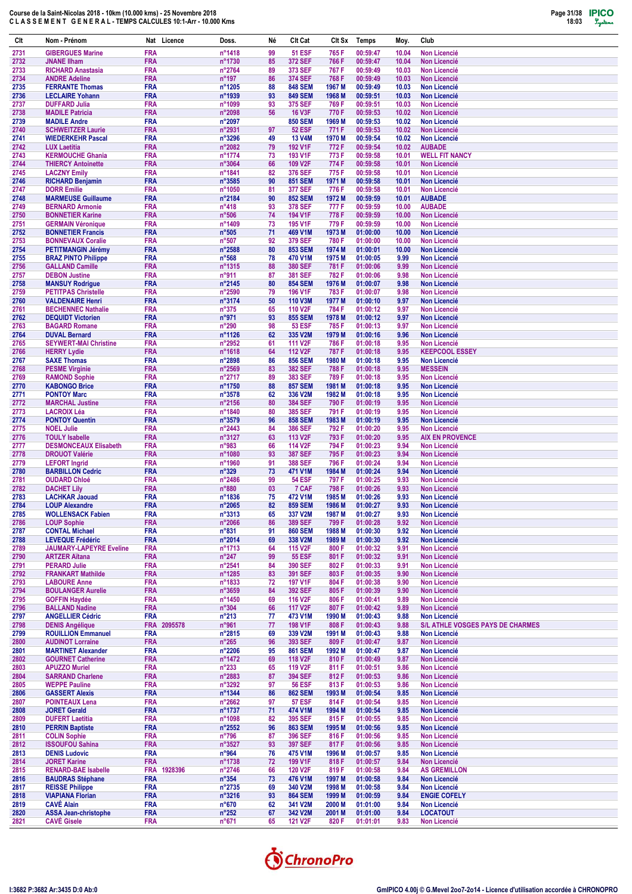

| Clt          | Nom - Prénom                                              | Nat Licence               | Doss.                               | Né       | Clt Cat                         | Clt Sx                      | <b>Temps</b>         | Moy.           | Club                                                    |
|--------------|-----------------------------------------------------------|---------------------------|-------------------------------------|----------|---------------------------------|-----------------------------|----------------------|----------------|---------------------------------------------------------|
| 2731         | <b>GIBERGUES Marine</b>                                   | <b>FRA</b>                | n°1418                              | 99       | <b>51 ESF</b>                   | 765 F                       | 00:59:47             | 10.04          | <b>Non Licencié</b>                                     |
| 2732         | <b>JNANE IIham</b>                                        | FRA                       | n°1730                              | 85       | 372 SEF                         | 766 F                       | 00:59:47             | 10.04          | <b>Non Licencié</b>                                     |
| 2733<br>2734 | <b>RICHARD Anastasia</b>                                  | <b>FRA</b><br><b>FRA</b>  | n°2764<br>n°197                     | 89<br>86 | 373 SEF<br><b>374 SEF</b>       | 767 F<br>768 F              | 00:59:49<br>00:59:49 | 10.03<br>10.03 | Non Licencié<br><b>Non Licencié</b>                     |
| 2735         | <b>ANDRE Adeline</b><br><b>FERRANTE Thomas</b>            | <b>FRA</b>                | n°1205                              | 88       | <b>848 SEM</b>                  | 1967 M                      | 00:59:49             | 10.03          | Non Licencié                                            |
| 2736         | <b>LECLAIRE Yohann</b>                                    | <b>FRA</b>                | n°1939                              | 93       | <b>849 SEM</b>                  | 1968 M                      | 00:59:51             | 10.03          | Non Licencié                                            |
| 2737         | <b>DUFFARD Julia</b>                                      | <b>FRA</b>                | n°1099                              | 93       | 375 SEF                         | 769 F                       | 00:59:51             | 10.03          | <b>Non Licencié</b>                                     |
| 2738         | <b>MADILE Patricia</b>                                    | <b>FRA</b>                | n°2098                              | 56       | <b>16 V3F</b>                   | 770 F                       | 00:59:53             | 10.02          | Non Licencié                                            |
| 2739<br>2740 | <b>MADILE Andre</b><br><b>SCHWEITZER Laurie</b>           | <b>FRA</b><br><b>FRA</b>  | n°2097<br>n°2931                    | 97       | <b>850 SEM</b><br><b>52 ESF</b> | 1969 M<br>771 F             | 00:59:53<br>00:59:53 | 10.02<br>10.02 | <b>Non Licencié</b><br><b>Non Licencié</b>              |
| 2741         | <b>WIEDERKEHR Pascal</b>                                  | <b>FRA</b>                | $n^{\circ}3296$                     | 49       | <b>13 V4M</b>                   | 1970 M                      | 00:59:54             | 10.02          | <b>Non Licencié</b>                                     |
| 2742         | <b>LUX Laetitia</b>                                       | <b>FRA</b>                | n°2082                              | 79       | 192 V1F                         | 772 F                       | 00:59:54             | 10.02          | <b>AUBADE</b>                                           |
| 2743         | <b>KERMOUCHE Ghania</b>                                   | <b>FRA</b>                | n°1774                              | 73       | 193 V1F                         | 773 F                       | 00:59:58             | 10.01          | <b>WELL FIT NANCY</b>                                   |
| 2744<br>2745 | <b>THIERCY Antoinette</b><br><b>LACZNY Emily</b>          | <b>FRA</b><br><b>FRA</b>  | n°3064<br>n°1841                    | 66<br>82 | 109 V2F<br>376 SEF              | 774 F<br>775 F              | 00:59:58<br>00:59:58 | 10.01<br>10.01 | <b>Non Licencié</b><br><b>Non Licencié</b>              |
| 2746         | <b>RICHARD Benjamin</b>                                   | <b>FRA</b>                | n°3585                              | 90       | <b>851 SEM</b>                  | 1971 M                      | 00:59:58             | 10.01          | <b>Non Licencié</b>                                     |
| 2747         | <b>DORR Emilie</b>                                        | <b>FRA</b>                | n°1050                              | 81       | 377 SEF                         | 776 F                       | 00:59:58             | 10.01          | Non Licencié                                            |
| 2748         | <b>MARMEUSE Guillaume</b>                                 | <b>FRA</b>                | n°2184                              | 90       | <b>852 SEM</b>                  | 1972 M                      | 00:59:59             | 10.01          | <b>AUBADE</b>                                           |
| 2749<br>2750 | <b>BERNARD Armonie</b><br><b>BONNETIER Karine</b>         | <b>FRA</b><br><b>FRA</b>  | $n^{\circ}418$<br>n°506             | 93<br>74 | 378 SEF<br>194 V1F              | 777 F<br>778 F              | 00:59:59<br>00:59:59 | 10.00<br>10.00 | <b>AUBADE</b><br><b>Non Licencié</b>                    |
| 2751         | <b>GERMAIN Véronique</b>                                  | <b>FRA</b>                | n°1409                              | 73       | 195 V1F                         | 779 F                       | 00:59:59             | 10.00          | <b>Non Licencié</b>                                     |
| 2752         | <b>BONNETIER Francis</b>                                  | <b>FRA</b>                | $n^{\circ}505$                      | 71       | 469 V1M                         | 1973 M                      | 01:00:00             | 10.00          | <b>Non Licencié</b>                                     |
| 2753         | <b>BONNEVAUX Coralie</b>                                  | <b>FRA</b>                | $n^{\circ}507$                      | 92       | 379 SEF                         | 780 F                       | 01:00:00             | 10.00          | <b>Non Licencié</b>                                     |
| 2754<br>2755 | <b>PETITMANGIN Jérémy</b><br><b>BRAZ PINTO Philippe</b>   | <b>FRA</b><br><b>FRA</b>  | n°2588<br>$n^{\circ}568$            | 80<br>78 | 853 SEM<br>470 V1M              | 1974 M<br>1975 M            | 01:00:01<br>01:00:05 | 10.00<br>9.99  | <b>Non Licencié</b><br><b>Non Licencié</b>              |
| 2756         | <b>GALLAND Camille</b>                                    | <b>FRA</b>                | n°1315                              | 88       | 380 SEF                         | 781 F                       | 01:00:06             | 9.99           | <b>Non Licencié</b>                                     |
| 2757         | <b>DEBON Justine</b>                                      | <b>FRA</b>                | n°911                               | 87       | 381 SEF                         | 782F                        | 01:00:06             | 9.98           | <b>Non Licencié</b>                                     |
| 2758         | <b>MANSUY Rodrigue</b>                                    | <b>FRA</b>                | n°2145                              | 80       | <b>854 SEM</b>                  | 1976 M                      | 01:00:07             | 9.98           | Non Licencié                                            |
| 2759<br>2760 | <b>PETITPAS Christelle</b><br><b>VALDENAIRE Henri</b>     | <b>FRA</b><br><b>FRA</b>  | n°2590<br>n°3174                    | 79<br>50 | 196 V1F<br><b>110 V3M</b>       | 783 F<br>1977 M             | 01:00:07<br>01:00:10 | 9.98<br>9.97   | <b>Non Licencié</b><br><b>Non Licencié</b>              |
| 2761         | <b>BECHENNEC Nathalie</b>                                 | <b>FRA</b>                | $n^{\circ}375$                      | 65       | 110 V2F                         | 784 F                       | 01:00:12             | 9.97           | <b>Non Licencié</b>                                     |
| 2762         | <b>DEQUIDT Victorien</b>                                  | <b>FRA</b>                | n°971                               | 93       | <b>855 SEM</b>                  | 1978 M                      | 01:00:12             | 9.97           | <b>Non Licencié</b>                                     |
| 2763         | <b>BAGARD Romane</b>                                      | <b>FRA</b>                | $n^{\circ}290$                      | 98       | <b>53 ESF</b>                   | 785 F                       | 01:00:13             | 9.97           | <b>Non Licencié</b>                                     |
| 2764<br>2765 | <b>DUVAL Bernard</b><br><b>SEYWERT-MAI Christine</b>      | <b>FRA</b><br><b>FRA</b>  | n°1126<br>n°2952                    | 62<br>61 | 335 V2M<br>111 V <sub>2</sub> F | 1979 M<br>786 F             | 01:00:16<br>01:00:18 | 9.96<br>9.95   | <b>Non Licencié</b><br><b>Non Licencié</b>              |
| 2766         | <b>HERRY Lydie</b>                                        | <b>FRA</b>                | n°1618                              | 64       | 112 V <sub>2</sub> F            | 787 F                       | 01:00:18             | 9.95           | <b>KEEPCOOL ESSEY</b>                                   |
| 2767         | <b>SAXE Thomas</b>                                        | <b>FRA</b>                | n°2898                              | 86       | <b>856 SEM</b>                  | 1980 M                      | 01:00:18             | 9.95           | <b>Non Licencié</b>                                     |
| 2768         | <b>PESME Virginie</b>                                     | <b>FRA</b>                | $n^{\circ}2569$                     | 83       | <b>382 SEF</b>                  | 788 F                       | 01:00:18             | 9.95           | <b>MESSEIN</b>                                          |
| 2769<br>2770 | <b>RAMOND Sophie</b><br><b>KABONGO Brice</b>              | <b>FRA</b><br><b>FRA</b>  | n°2717<br>n°1750                    | 89<br>88 | 383 SEF<br><b>857 SEM</b>       | 789 F<br>1981 M             | 01:00:18<br>01:00:18 | 9.95<br>9.95   | <b>Non Licencié</b><br><b>Non Licencié</b>              |
| 2771         | <b>PONTOY Marc</b>                                        | <b>FRA</b>                | $n^{\circ}3578$                     | 62       | 336 V2M                         | 1982 M                      | 01:00:18             | 9.95           | <b>Non Licencié</b>                                     |
| 2772         | <b>MARCHAL Justine</b>                                    | <b>FRA</b>                | n°2156                              | 80       | <b>384 SEF</b>                  | 790 F                       | 01:00:19             | 9.95           | <b>Non Licencié</b>                                     |
| 2773         | <b>LACROIX Léa</b>                                        | <b>FRA</b>                | n°1840                              | 80       | 385 SEF                         | 791 F                       | 01:00:19             | 9.95           | <b>Non Licencié</b>                                     |
| 2774<br>2775 | <b>PONTOY Quentin</b><br><b>NOEL Julie</b>                | <b>FRA</b><br><b>FRA</b>  | $n^{\circ}3579$<br>$n^{\circ}$ 2443 | 96<br>84 | <b>858 SEM</b><br>386 SEF       | 1983 M<br>792 F             | 01:00:19<br>01:00:20 | 9.95<br>9.95   | <b>Non Licencié</b><br><b>Non Licencié</b>              |
| 2776         | <b>TOULY Isabelle</b>                                     | <b>FRA</b>                | n°3127                              | 63       | 113 V2F                         | 793 F                       | 01:00:20             | 9.95           | <b>AIX EN PROVENCE</b>                                  |
| 2777         | <b>DESMONCEAUX Elisabeth</b>                              | <b>FRA</b>                | n°983                               | 66       | 114 V <sub>2</sub> F            | 794 F                       | 01:00:23             | 9.94           | <b>Non Licencié</b>                                     |
| 2778         | <b>DROUOT Valérie</b>                                     | <b>FRA</b>                | n°1080                              | 93       | <b>387 SEF</b>                  | 795 F                       | 01:00:23             | 9.94           | <b>Non Licencié</b>                                     |
| 2779<br>2780 | <b>LEFORT</b> Ingrid<br><b>BARBILLON Cedric</b>           | <b>FRA</b><br><b>FRA</b>  | n°1960<br>$n^{\circ}329$            | 91<br>73 | 388 SEF<br>471 V1M              | 796 F<br>1984 M             | 01:00:24<br>01:00:24 | 9.94<br>9.94   | <b>Non Licencié</b><br>Non Licencié                     |
| 2781         | <b>OUDARD Chloé</b>                                       | <b>FRA</b>                | n°2486                              | 99       | <b>54 ESF</b>                   | 797 F                       | 01:00:25             | 9.93           | <b>Non Licencié</b>                                     |
| 2782         | <b>DACHET Lily</b>                                        | <b>FRA</b>                | $n^{\circ}880$                      | 03       | 7 CAF                           | 798 F                       | 01:00:26             | 9.93           | <b>Non Licencié</b>                                     |
| 2783         | <b>LACHKAR Jaouad</b><br><b>LOUP Alexandre</b>            | <b>FRA</b><br><b>FRA</b>  | n°1836                              | 75<br>82 | 472 V1M<br><b>859 SEM</b>       | 1985 M<br>1986 <sub>M</sub> | 01:00:26<br>01:00:27 | 9.93<br>9.93   | <b>Non Licencié</b>                                     |
| 2784<br>2785 | <b>WOLLENSACK Fabien</b>                                  | <b>FRA</b>                | n°2065<br>$n^{\circ}3313$           | 65       | 337 V2M                         | 1987 M                      | 01:00:27             | 9.93           | <b>Non Licencié</b><br>Non Licencié                     |
| 2786         | <b>LOUP Sophie</b>                                        | <b>FRA</b>                | n°2066                              | 86       | 389 SEF                         | 799 F                       | 01:00:28             | 9.92           | Non Licencié                                            |
| 2787         | <b>CONTAL Michael</b>                                     | <b>FRA</b>                | $n^{\circ}831$                      | 91       | <b>860 SEM</b>                  | 1988 M                      | 01:00:30             | 9.92           | Non Licencié                                            |
| 2788<br>2789 | <b>LEVEQUE Frédéric</b><br><b>JAUMARY-LAPEYRE Eveline</b> | <b>FRA</b><br><b>FRA</b>  | n°2014<br>n°1713                    | 69<br>64 | 338 V2M<br>115 V2F              | 1989 M<br>800 F             | 01:00:30<br>01:00:32 | 9.92<br>9.91   | <b>Non Licencié</b><br>Non Licencié                     |
| 2790         | <b>ARTZER Aïtana</b>                                      | <b>FRA</b>                | $n^{\circ}247$                      | 99       | <b>55 ESF</b>                   | 801 F                       | 01:00:32             | 9.91           | <b>Non Licencié</b>                                     |
| 2791         | <b>PERARD Julie</b>                                       | <b>FRA</b>                | $n^{\circ}2541$                     | 84       | 390 SEF                         | 802F                        | 01:00:33             | 9.91           | Non Licencié                                            |
| 2792         | <b>FRANKART Mathilde</b>                                  | <b>FRA</b>                | n°1285                              | 83       | 391 SEF                         | 803F                        | 01:00:35             | 9.90           | Non Licencié                                            |
| 2793<br>2794 | <b>LABOURE Anne</b><br><b>BOULANGER Aurelie</b>           | <b>FRA</b><br><b>FRA</b>  | n°1833<br>$n^{\circ}3659$           | 72<br>84 | <b>197 V1F</b><br>392 SEF       | 804 F<br>805F               | 01:00:38<br>01:00:39 | 9.90<br>9.90   | <b>Non Licencié</b><br>Non Licencié                     |
| 2795         | <b>GOFFIN Haydée</b>                                      | <b>FRA</b>                | n°1450                              | 69       | 116 V2F                         | 806 F                       | 01:00:41             | 9.89           | Non Licencié                                            |
| 2796         | <b>BALLAND Nadine</b>                                     | <b>FRA</b>                | $n^{\circ}304$                      | 66       | 117 V2F                         | 807 F                       | 01:00:42             | 9.89           | Non Licencié                                            |
| 2797         | <b>ANGELLIER Cédric</b>                                   | <b>FRA</b>                | $n^{\circ}213$                      | 77       | 473 V1M                         | 1990 M                      | 01:00:43             | 9.88           | <b>Non Licencié</b>                                     |
| 2798<br>2799 | <b>DENIS Angélique</b><br><b>ROUILLION Emmanuel</b>       | FRA 2095578<br><b>FRA</b> | n°961<br>n°2815                     | 77<br>69 | 198 V1F<br>339 V2M              | 808F<br>1991 M              | 01:00:43<br>01:00:43 | 9.88<br>9.88   | S/L ATHLE VOSGES PAYS DE CHARMES<br><b>Non Licencié</b> |
| 2800         | <b>AUDINOT Lorraine</b>                                   | <b>FRA</b>                | $n^{\circ}265$                      | 96       | 393 SEF                         | 809F                        | 01:00:47             | 9.87           | Non Licencié                                            |
| 2801         | <b>MARTINET Alexander</b>                                 | <b>FRA</b>                | n°2206                              | 95       | <b>861 SEM</b>                  | 1992 M                      | 01:00:47             | 9.87           | Non Licencié                                            |
| 2802         | <b>GOURNET Catherine</b>                                  | <b>FRA</b>                | n°1472                              | 69       | 118 V2F                         | 810 F                       | 01:00:49             | 9.87           | <b>Non Licencié</b>                                     |
| 2803<br>2804 | <b>APUZZO Muriel</b><br><b>SARRAND Charlene</b>           | <b>FRA</b><br><b>FRA</b>  | $n^{\circ}233$<br>n°2883            | 65<br>87 | 119 V2F<br><b>394 SEF</b>       | 811 F<br>812 F              | 01:00:51<br>01:00:53 | 9.86<br>9.86   | Non Licencié<br>Non Licencié                            |
| 2805         | <b>WEPPE Pauline</b>                                      | <b>FRA</b>                | n°3292                              | 97       | <b>56 ESF</b>                   | 813 F                       | 01:00:53             | 9.86           | Non Licencié                                            |
| 2806         | <b>GASSERT Alexis</b>                                     | <b>FRA</b>                | n°1344                              | 86       | <b>862 SEM</b>                  | 1993 M                      | 01:00:54             | 9.85           | <b>Non Licencié</b>                                     |
| 2807         | <b>POINTEAUX Lena</b>                                     | <b>FRA</b>                | $n^{\circ}2662$                     | 97       | <b>57 ESF</b>                   | 814 F                       | 01:00:54             | 9.85           | Non Licencié                                            |
| 2808<br>2809 | <b>JORET Gerald</b><br><b>DUFERT Laetitia</b>             | <b>FRA</b><br><b>FRA</b>  | n°1737<br>n°1098                    | 71<br>82 | 474 V1M<br>395 SEF              | 1994 M<br>815 F             | 01:00:54<br>01:00:55 | 9.85<br>9.85   | <b>Non Licencié</b><br><b>Non Licencié</b>              |
| 2810         | <b>PERRIN Baptiste</b>                                    | <b>FRA</b>                | $n^{\circ}2552$                     | 96       | <b>863 SEM</b>                  | 1995 M                      | 01:00:56             | 9.85           | Non Licencié                                            |
| 2811         | <b>COLIN Sophie</b>                                       | <b>FRA</b>                | $n^{\circ}796$                      | 87       | 396 SEF                         | 816 F                       | 01:00:56             | 9.85           | <b>Non Licencié</b>                                     |
| 2812         | <b>ISSOUFOU Sahina</b>                                    | <b>FRA</b><br><b>FRA</b>  | $n^{\circ}3527$                     | 93<br>76 | 397 SEF                         | 817F<br>1996 M              | 01:00:56             | 9.85<br>9.85   | Non Licencié<br><b>Non Licencié</b>                     |
| 2813<br>2814 | <b>DENIS Ludovic</b><br><b>JORET Karine</b>               | <b>FRA</b>                | $n^{\circ}964$<br>n°1738            | 72       | 475 V1M<br>199 V1F              | 818 F                       | 01:00:57<br>01:00:57 | 9.84           | Non Licencié                                            |
| 2815         | <b>RENARD-BAE Isabelle</b>                                | FRA 1928396               | $n^{\circ}2746$                     | 66       | <b>120 V2F</b>                  | 819 F                       | 01:00:58             | 9.84           | <b>AS GREMILLON</b>                                     |
| 2816         | <b>BAUDRAS Stéphane</b>                                   | <b>FRA</b>                | $n^{\circ}354$                      | 73       | 476 V1M                         | 1997 M                      | 01:00:58             | 9.84           | Non Licencié                                            |
| 2817<br>2818 | <b>REISSE Philippe</b><br><b>VIAPIANA Florian</b>         | <b>FRA</b><br><b>FRA</b>  | n°2735<br>$n^{\circ}3216$           | 69<br>93 | 340 V2M<br><b>864 SEM</b>       | 1998 M<br>1999 M            | 01:00:58<br>01:00:59 | 9.84<br>9.84   | Non Licencié<br><b>ENGIE COFELY</b>                     |
| 2819         | <b>CAVE Alain</b>                                         | <b>FRA</b>                | $n^{\circ}670$                      | 62       | 341 V2M                         | 2000 M                      | 01:01:00             | 9.84           | Non Licencié                                            |
| 2820         | <b>ASSA Jean-christophe</b>                               | <b>FRA</b>                | $n^{\circ}252$                      | 67       | 342 V2M                         | 2001 M                      | 01:01:00             | 9.84           | <b>LOCATOUT</b>                                         |
| 2821         | <b>CAVÉ Gisele</b>                                        | <b>FRA</b>                | $n^{\circ}671$                      | 65       | <b>121 V2F</b>                  | 820 F                       | 01:01:01             | 9.83           | Non Licencié                                            |

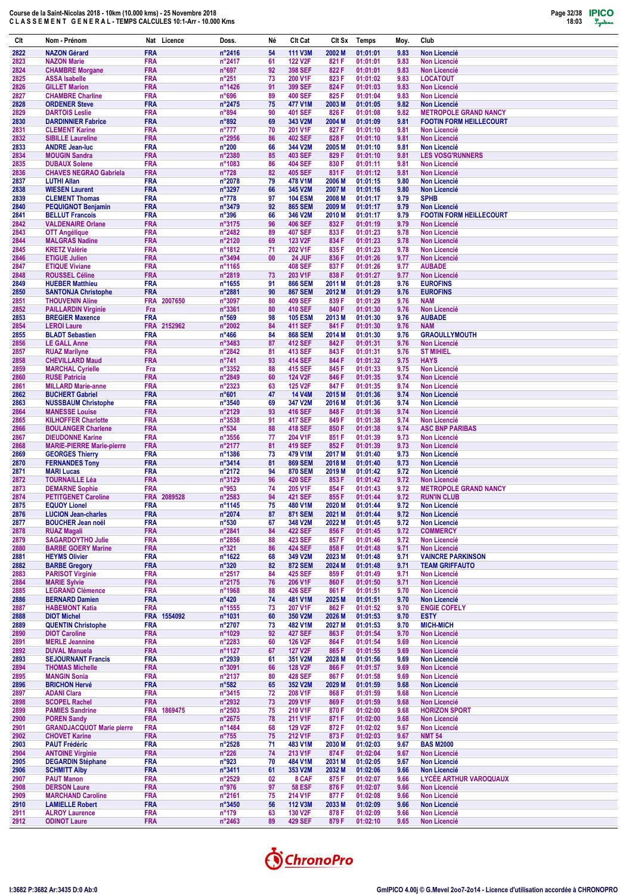

| Clt          | Nom - Prénom                                        | Nat Licence                         | Doss.                              | Né       | Clt Cat                          | Clt Sx                     | Temps                | Moy.         | Club                                                  |
|--------------|-----------------------------------------------------|-------------------------------------|------------------------------------|----------|----------------------------------|----------------------------|----------------------|--------------|-------------------------------------------------------|
| 2822         | <b>NAZON Gérard</b>                                 | <b>FRA</b>                          | n°2416                             | 54       | <b>111 V3M</b>                   | 2002 M                     | 01:01:01             | 9.83         | <b>Non Licencié</b>                                   |
| 2823         | <b>NAZON Marie</b>                                  | <b>FRA</b>                          | n°2417                             | 61       | <b>122 V2F</b>                   | 821 F                      | 01:01:01             | 9.83         | <b>Non Licencié</b>                                   |
| 2824         | <b>CHAMBRE Morgane</b>                              | <b>FRA</b>                          | n°697                              | 92       | 398 SEF                          | 822 F                      | 01:01:01             | 9.83         | <b>Non Licencié</b>                                   |
| 2825<br>2826 | <b>ASSA Isabelle</b><br><b>GILLET Marion</b>        | <b>FRA</b><br><b>FRA</b>            | $n^{\circ}251$<br>$n^{\circ}$ 1426 | 73<br>91 | 200 V1F<br>399 SEF               | 823 F<br>824 F             | 01:01:02<br>01:01:03 | 9.83<br>9.83 | <b>LOCATOUT</b><br><b>Non Licencié</b>                |
| 2827         | <b>CHAMBRE Charline</b>                             | <b>FRA</b>                          | n°696                              | 89       | <b>400 SEF</b>                   | 825F                       | 01:01:04             | 9.83         | <b>Non Licencié</b>                                   |
| 2828         | <b>ORDENER Steve</b>                                | <b>FRA</b>                          | $n^{\circ}$ 2475                   | 75       | 477 V1M                          | 2003 M                     | 01:01:05             | 9.82         | <b>Non Licencié</b>                                   |
| 2829         | <b>DARTOIS Leslie</b>                               | <b>FRA</b>                          | $n^{\circ}894$                     | 90       | <b>401 SEF</b>                   | 826 F                      | 01:01:08             | 9.82         | <b>METROPOLE GRAND NANCY</b>                          |
| 2830         | <b>DARDINNIER Fabrice</b>                           | <b>FRA</b><br><b>FRA</b>            | n°892                              | 69<br>70 | 343 V2M<br>201 V1F               | 2004 M<br>827 F            | 01:01:09<br>01:01:10 | 9.81<br>9.81 | <b>FOOTIN FORM HEILLECOURT</b><br><b>Non Licencié</b> |
| 2831<br>2832 | <b>CLEMENT Karine</b><br><b>SIBILLE Laureline</b>   | <b>FRA</b>                          | $n^{\circ}777$<br>$n^{\circ}2956$  | 86       | <b>402 SEF</b>                   | 828 F                      | 01:01:10             | 9.81         | <b>Non Licencié</b>                                   |
| 2833         | <b>ANDRE Jean-luc</b>                               | <b>FRA</b>                          | $n^{\circ}200$                     | 66       | 344 V2M                          | 2005 M                     | 01:01:10             | 9.81         | <b>Non Licencié</b>                                   |
| 2834         | <b>MOUGIN Sandra</b>                                | <b>FRA</b>                          | n°2380                             | 85       | <b>403 SEF</b>                   | 829 F                      | 01:01:10             | 9.81         | <b>LES VOSG'RUNNERS</b>                               |
| 2835         | <b>DUBAUX Solene</b>                                | <b>FRA</b>                          | n°1083                             | 86       | <b>404 SEF</b>                   | 830 F                      | 01:01:11             | 9.81         | Non Licencié                                          |
| 2836<br>2837 | <b>CHAVES NEGRAO Gabriela</b><br><b>LUTHI Allan</b> | <b>FRA</b><br><b>FRA</b>            | $n^{\circ}728$<br>n°2078           | 82<br>79 | <b>405 SEF</b><br>478 V1M        | 831 F<br>2006 M            | 01:01:12<br>01:01:15 | 9.81<br>9.80 | <b>Non Licencié</b><br><b>Non Licencié</b>            |
| 2838         | <b>WIESEN Laurent</b>                               | <b>FRA</b>                          | n°3297                             | 66       | 345 V2M                          | 2007 M                     | 01:01:16             | 9.80         | <b>Non Licencié</b>                                   |
| 2839         | <b>CLEMENT Thomas</b>                               | <b>FRA</b>                          | $n^{\circ}778$                     | 97       | <b>104 ESM</b>                   | 2008 M                     | 01:01:17             | 9.79         | <b>SPHB</b>                                           |
| 2840         | <b>PEQUIGNOT Benjamin</b>                           | <b>FRA</b>                          | n°3479                             | 92       | <b>865 SEM</b>                   | 2009 M                     | 01:01:17             | 9.79         | <b>Non Licencié</b>                                   |
| 2841<br>2842 | <b>BELLUT Francois</b><br><b>VALDENAIRE Orlane</b>  | <b>FRA</b><br><b>FRA</b>            | $n^{\circ}396$<br>$n^{\circ}3175$  | 66<br>96 | 346 V2M<br><b>406 SEF</b>        | 2010 <sub>M</sub><br>832 F | 01:01:17<br>01:01:19 | 9.79<br>9.79 | <b>FOOTIN FORM HEILLECOURT</b><br>Non Licencié        |
| 2843         | <b>OTT Angélique</b>                                | <b>FRA</b>                          | n°2482                             | 89       | <b>407 SEF</b>                   | 833 F                      | 01:01:23             | 9.78         | <b>Non Licencié</b>                                   |
| 2844         | <b>MALGRAS Nadine</b>                               | <b>FRA</b>                          | n°2120                             | 69       | 123 V2F                          | 834 F                      | 01:01:23             | 9.78         | <b>Non Licencié</b>                                   |
| 2845         | <b>KRETZ Valérie</b>                                | <b>FRA</b>                          | n°1812                             | 71       | 202 V1F                          | 835 F                      | 01:01:23             | 9.78         | <b>Non Licencié</b>                                   |
| 2846         | <b>ETIGUE Julien</b>                                | <b>FRA</b>                          | n°3494                             | 00       | 24 JUF                           | 836 F                      | 01:01:26             | 9.77         | <b>Non Licencié</b>                                   |
| 2847<br>2848 | <b>ETIQUE Viviane</b><br><b>ROUSSEL Céline</b>      | <b>FRA</b><br><b>FRA</b>            | n°1165<br>n°2819                   | 73       | <b>408 SEF</b><br>203 V1F        | 837 F<br>838 F             | 01:01:26<br>01:01:27 | 9.77<br>9.77 | <b>AUBADE</b><br><b>Non Licencié</b>                  |
| 2849         | <b>HUEBER Matthieu</b>                              | <b>FRA</b>                          | n°1655                             | 91       | <b>866 SEM</b>                   | 2011 M                     | 01:01:28             | 9.76         | <b>EUROFINS</b>                                       |
| 2850         | <b>SANTONJA Christophe</b>                          | <b>FRA</b>                          | n°2881                             | 90       | <b>867 SEM</b>                   | 2012 M                     | 01:01:29             | 9.76         | <b>EUROFINS</b>                                       |
| 2851         | <b>THOUVENIN Aline</b>                              | <b>FRA</b><br>2007650               | n°3097                             | 80       | <b>409 SEF</b>                   | 839 F                      | 01:01:29             | 9.76         | <b>NAM</b>                                            |
| 2852         | <b>PAILLARDIN Virginie</b>                          | Fra                                 | n°3361                             | 80<br>98 | <b>410 SEF</b><br><b>105 ESM</b> | 840 F                      | 01:01:30             | 9.76         | <b>Non Licencié</b>                                   |
| 2853<br>2854 | <b>BREGIER Maxence</b><br><b>LEROI Laure</b>        | <b>FRA</b><br><b>FRA</b><br>2152962 | $n^{\circ}569$<br>n°2002           | 84       | <b>411 SEF</b>                   | 2013 M<br>841 F            | 01:01:30<br>01:01:30 | 9.76<br>9.76 | <b>AUBADE</b><br><b>NAM</b>                           |
| 2855         | <b>BLADT Sebastien</b>                              | <b>FRA</b>                          | $n^{\circ}466$                     | 84       | <b>868 SEM</b>                   | 2014 M                     | 01:01:30             | 9.76         | <b>GRAOULLYMOUTH</b>                                  |
| 2856         | <b>LE GALL Anne</b>                                 | <b>FRA</b>                          | n°3483                             | 87       | <b>412 SEF</b>                   | 842 F                      | 01:01:31             | 9.76         | <b>Non Licencié</b>                                   |
| 2857         | <b>RUAZ Marilyne</b>                                | <b>FRA</b>                          | n°2842                             | 81       | 413 SEF                          | 843 F                      | 01:01:31             | 9.76         | <b>ST MIHIEL</b>                                      |
| 2858<br>2859 | <b>CHEVILLARD Maud</b><br><b>MARCHAL Cyrielle</b>   | <b>FRA</b><br>Fra                   | $n^{\circ}741$<br>$n^{\circ}3352$  | 93<br>88 | <b>414 SEF</b><br>415 SEF        | 844 F<br>845F              | 01:01:32<br>01:01:33 | 9.75<br>9.75 | <b>HAYS</b><br><b>Non Licencié</b>                    |
| 2860         | <b>RUSE Patricia</b>                                | <b>FRA</b>                          | n°2849                             | 60       | 124 V2F                          | 846 F                      | 01:01:35             | 9.74         | Non Licencié                                          |
| 2861         | <b>MILLARD Marie-anne</b>                           | <b>FRA</b>                          | n°2323                             | 63       | <b>125 V2F</b>                   | 847 F                      | 01:01:35             | 9.74         | <b>Non Licencié</b>                                   |
| 2862         | <b>BUCHERT Gabriel</b>                              | <b>FRA</b>                          | $n^{\circ}601$                     | 47       | <b>14 V4M</b>                    | 2015 <sub>M</sub>          | 01:01:36             | 9.74         | <b>Non Licencié</b>                                   |
| 2863         | <b>NUSSBAUM Christophe</b>                          | <b>FRA</b>                          | $n^{\circ}3540$                    | 69       | 347 V2M                          | 2016 <sub>M</sub>          | 01:01:36             | 9.74         | Non Licencié                                          |
| 2864<br>2865 | <b>MANESSE Louise</b><br><b>KILHOFFER Charlotte</b> | <b>FRA</b><br><b>FRA</b>            | n°2129<br>n°3538                   | 93<br>91 | 416 SEF<br><b>417 SEF</b>        | 848 F<br>849 F             | 01:01:36<br>01:01:38 | 9.74<br>9.74 | <b>Non Licencié</b><br><b>Non Licencié</b>            |
| 2866         | <b>BOULANGER Charlene</b>                           | <b>FRA</b>                          | $n^{\circ}534$                     | 88       | <b>418 SEF</b>                   | 850 F                      | 01:01:38             | 9.74         | <b>ASC BNP PARIBAS</b>                                |
| 2867         | <b>DIEUDONNE Karine</b>                             | <b>FRA</b>                          | $n^{\circ}3556$                    | 77       | 204 V1F                          | 851 F                      | 01:01:39             | 9.73         | <b>Non Licencié</b>                                   |
| 2868         | <b>MARIE-PIERRE Marie-pierre</b>                    | <b>FRA</b>                          | n°2177                             | 81       | <b>419 SEF</b>                   | 852 F                      | 01:01:39             | 9.73         | <b>Non Licencié</b>                                   |
| 2869<br>2870 | <b>GEORGES Thierry</b><br><b>FERNANDES Tony</b>     | <b>FRA</b><br><b>FRA</b>            | n°1386<br>$n^{\circ}3414$          | 73<br>81 | 479 V1M<br><b>869 SEM</b>        | 2017 M<br>2018 M           | 01:01:40<br>01:01:40 | 9.73<br>9.73 | <b>Non Licencié</b><br><b>Non Licencié</b>            |
| 2871         | <b>MARI Lucas</b>                                   | <b>FRA</b>                          | n°2172                             | 94       | <b>870 SEM</b>                   | 2019 M                     | 01:01:42             | 9.72         | <b>Non Licencié</b>                                   |
| 2872         | <b>TOURNAILLE Léa</b>                               | <b>FRA</b>                          | n°3129                             | 96       | <b>420 SEF</b>                   | 853 F                      | 01:01:42             | 9.72         | <b>Non Licencié</b>                                   |
| 2873         | <b>DEMARNE Sophie</b>                               | <b>FRA</b>                          | n°953                              | 74       | 205 V1F                          | 854 F                      | 01:01:43             | 9.72         | <b>METROPOLE GRAND NANCY</b>                          |
| 2874         | <b>PETITGENET Caroline</b>                          | <b>FRA</b><br>2089528               | n°2583                             | 94       | <b>421 SEF</b>                   | 855F                       | 01:01:44             | 9.72         | <b>RUN'IN CLUB</b>                                    |
| 2875<br>2876 | <b>EQUOY Lionel</b><br><b>LUCION Jean-charles</b>   | <b>FRA</b><br><b>FRA</b>            | n°1145<br>$n^{\circ}2074$          | 75<br>87 | 480 V1M<br><b>871 SEM</b>        | 2020 M<br>2021 M           | 01:01:44<br>01:01:44 | 9.72<br>9.72 | <b>Non Licencié</b><br>Non Licencié                   |
| 2877         | <b>BOUCHER Jean noël</b>                            | <b>FRA</b>                          | n°530                              | 67       | 348 V2M                          | 2022 M                     | 01:01:45             | 9.72         | Non Licencié                                          |
| 2878         | <b>RUAZ Magali</b>                                  | <b>FRA</b>                          | n°2841                             | 84       | <b>422 SEF</b>                   | 856 F                      | 01:01:45             | 9.72         | <b>COMMERCY</b>                                       |
| 2879         | <b>SAGARDOYTHO Julie</b>                            | <b>FRA</b>                          | $n^{\circ}2856$                    | 88       | 423 SEF                          | 857 F                      | 01:01:46             | 9.72         | Non Licencié                                          |
| 2880<br>2881 | <b>BARBE GOERY Marine</b><br><b>HEYMS Olivier</b>   | <b>FRA</b><br><b>FRA</b>            | $n^{\circ}321$<br>n°1622           | 86<br>68 | <b>424 SEF</b><br>349 V2M        | 858 F<br>2023 M            | 01:01:48<br>01:01:48 | 9.71<br>9.71 | Non Licencié<br><b>VAINCRE PARKINSON</b>              |
| 2882         | <b>BARBE Gregory</b>                                | <b>FRA</b>                          | $n^{\circ}320$                     | 82       | <b>872 SEM</b>                   | 2024 M                     | 01:01:48             | 9.71         | <b>TEAM GRIFFAUTO</b>                                 |
| 2883         | <b>PARISOT Virginie</b>                             | <b>FRA</b>                          | $n^{\circ}2517$                    | 84       | <b>425 SEF</b>                   | 859 F                      | 01:01:49             | 9.71         | Non Licencié                                          |
| 2884         | <b>MARIE Sylvie</b>                                 | <b>FRA</b>                          | $n^{\circ}2175$                    | 76       | 206 V1F                          | 860 F                      | 01:01:50             | 9.71         | <b>Non Licencié</b>                                   |
| 2885         | <b>LEGRAND Clémence</b>                             | <b>FRA</b>                          | n°1968                             | 88       | <b>426 SEF</b>                   | 861 F                      | 01:01:51             | 9.70         | Non Licencié                                          |
| 2886<br>2887 | <b>BERNARD Damien</b><br><b>HABEMONT Katia</b>      | <b>FRA</b><br><b>FRA</b>            | $n^{\circ}420$<br>n°1555           | 74<br>73 | 481 V1M<br>207 V1F               | 2025 M<br>862F             | 01:01:51<br>01:01:52 | 9.70<br>9.70 | <b>Non Licencié</b><br><b>ENGIE COFELY</b>            |
| 2888         | <b>DIOT Michel</b>                                  | FRA 1554092                         | n°1031                             | 60       | 350 V2M                          | 2026 M                     | 01:01:53             | 9.70         | <b>ESTY</b>                                           |
| 2889         | <b>QUENTIN Christophe</b>                           | <b>FRA</b>                          | n°2707                             | 73       | 482 V1M                          | 2027 M                     | 01:01:53             | 9.70         | <b>MICH-MICH</b>                                      |
| 2890         | <b>DIOT Caroline</b>                                | <b>FRA</b>                          | n°1029                             | 92       | <b>427 SEF</b>                   | 863F                       | 01:01:54             | 9.70         | <b>Non Licencié</b>                                   |
| 2891<br>2892 | <b>MERLE Jeannine</b><br><b>DUVAL Manuela</b>       | <b>FRA</b><br><b>FRA</b>            | n°2283<br>n°1127                   | 60<br>67 | 126 V2F<br><b>127 V2F</b>        | 864 F<br>865F              | 01:01:54<br>01:01:55 | 9.69<br>9.69 | <b>Non Licencié</b><br>Non Licencié                   |
| 2893         | <b>SEJOURNANT Francis</b>                           | <b>FRA</b>                          | n°2939                             | 61       | 351 V2M                          | 2028 M                     | 01:01:56             | 9.69         | <b>Non Licencié</b>                                   |
| 2894         | <b>THOMAS Michelle</b>                              | <b>FRA</b>                          | n°3091                             | 66       | 128 V2F                          | 866 F                      | 01:01:57             | 9.69         | Non Licencié                                          |
| 2895         | <b>MANGIN Sonia</b>                                 | <b>FRA</b>                          | n°2137                             | 80       | <b>428 SEF</b>                   | 867F                       | 01:01:58             | 9.69         | Non Licencié                                          |
| 2896         | <b>BRICHON Hervé</b><br><b>ADANI Clara</b>          | <b>FRA</b><br><b>FRA</b>            | $n^{\circ}582$                     | 65<br>72 | 352 V2M                          | 2029 M<br>868F             | 01:01:59             | 9.68         | Non Licencié<br>Non Licencié                          |
| 2897<br>2898 | <b>SCOPEL Rachel</b>                                | <b>FRA</b>                          | $n^{\circ}3415$<br>$n^{\circ}2932$ | 73       | 208 V1F<br>209 V1F               | 869F                       | 01:01:59<br>01:01:59 | 9.68<br>9.68 | Non Licencié                                          |
| 2899         | <b>PAMIES Sandrine</b>                              | FRA 1869475                         | n°2503                             | 75       | 210 V1F                          | 870 F                      | 01:02:00             | 9.68         | <b>HORIZON SPORT</b>                                  |
| 2900         | <b>POREN Sandy</b>                                  | <b>FRA</b>                          | $n^{\circ}2675$                    | 78       | 211 V1F                          | 871 F                      | 01:02:00             | 9.68         | <b>Non Licencié</b>                                   |
| 2901         | <b>GRANDJACQUOT Marie pierre</b>                    | <b>FRA</b>                          | n°1484                             | 68       | 129 V2F                          | 872 F                      | 01:02:02             | 9.67         | Non Licencié                                          |
| 2902<br>2903 | <b>CHOVET Karine</b><br><b>PAUT Frédéric</b>        | <b>FRA</b><br><b>FRA</b>            | $n^{\circ}755$<br>n°2528           | 75<br>71 | 212 V1F<br>483 V1M               | 873F<br>2030 M             | 01:02:03<br>01:02:03 | 9.67<br>9.67 | <b>NMT 54</b><br><b>BAS M2000</b>                     |
| 2904         | <b>ANTOINE Virginie</b>                             | <b>FRA</b>                          | $n^{\circ}226$                     | 74       | 213 V1F                          | 874F                       | 01:02:04             | 9.67         | Non Licencié                                          |
| 2905         | <b>DEGARDIN Stéphane</b>                            | <b>FRA</b>                          | n°923                              | 70       | 484 V1M                          | 2031 M                     | 01:02:05             | 9.67         | Non Licencié                                          |
| 2906         | <b>SCHMITT Alby</b>                                 | <b>FRA</b>                          | $n^{\circ}3411$                    | 61       | 353 V2M                          | 2032 M                     | 01:02:06             | 9.66         | <b>Non Licencié</b>                                   |
| 2907         | <b>PAUT Manon</b>                                   | <b>FRA</b>                          | $n^{\circ}2529$                    | 02       | 8 CAF                            | 875F                       | 01:02:07             | 9.66         | LYCÉE ARTHUR VAROQUAUX                                |
| 2908<br>2909 | <b>DERSON Laure</b><br><b>MARCHAND Caroline</b>     | <b>FRA</b><br><b>FRA</b>            | $n^{\circ}976$<br>n°2161           | 97<br>75 | <b>58 ESF</b><br>214 V1F         | 876F<br>877F               | 01:02:07<br>01:02:08 | 9.66<br>9.66 | Non Licencié<br>Non Licencié                          |
| 2910         | <b>LAMIELLE Robert</b>                              | <b>FRA</b>                          | $n^{\circ}3450$                    | 56       | 112 V3M                          | 2033 M                     | 01:02:09             | 9.66         | <b>Non Licencié</b>                                   |
| 2911         | <b>ALROY Laurence</b>                               | <b>FRA</b>                          | $n^{\circ}$ 179                    | 63       | 130 V2F                          | 878 F                      | 01:02:09             | 9.66         | Non Licencié                                          |
| 2912         | <b>ODINOT Laure</b>                                 | <b>FRA</b>                          | $n^{\circ}$ 2463                   | 89       | <b>429 SEF</b>                   | 879 F                      | 01:02:10             | 9.65         | Non Licencié                                          |

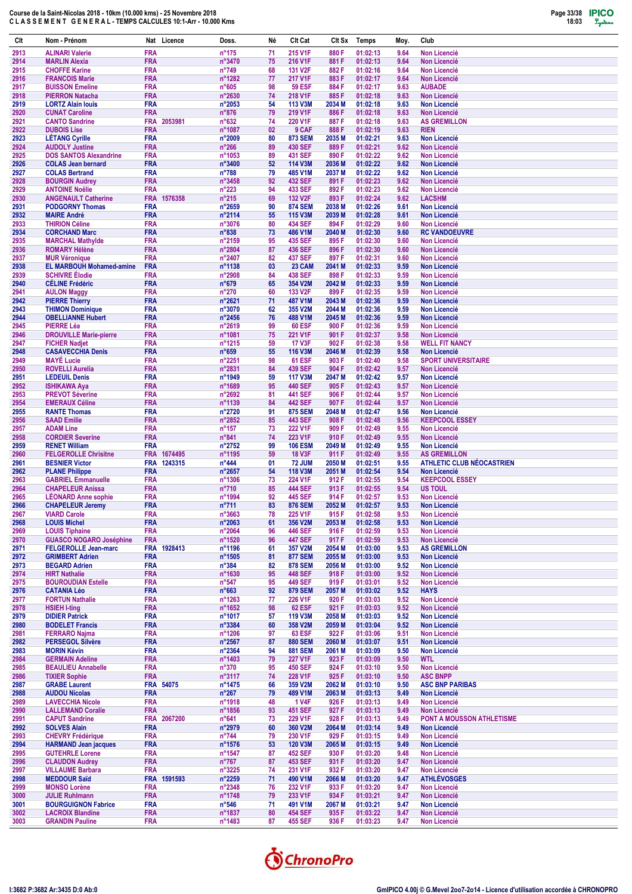

| Clt          | Nom - Prénom                                            |                          | Nat Licence                | Doss.                               | Né       | Clt Cat                          | Clt Sx                    | Temps                | Moy.         | Club                                                    |
|--------------|---------------------------------------------------------|--------------------------|----------------------------|-------------------------------------|----------|----------------------------------|---------------------------|----------------------|--------------|---------------------------------------------------------|
| 2913         | <b>ALINARI Valerie</b>                                  | <b>FRA</b>               |                            | $n^{\circ}175$                      | 71       | 215 V1F                          | 880 F                     | 01:02:13             | 9.64         | <b>Non Licencié</b>                                     |
| 2914<br>2915 | <b>MARLIN Alexia</b><br><b>CHOFFE Karine</b>            | <b>FRA</b><br><b>FRA</b> |                            | n°3470<br>$n^{\circ}749$            | 75<br>68 | 216 V1F<br>131 V2F               | 881 F<br>882F             | 01:02:13<br>01:02:16 | 9.64<br>9.64 | <b>Non Licencié</b><br><b>Non Licencié</b>              |
| 2916         | <b>FRANCOIS Marie</b>                                   | <b>FRA</b>               |                            | n°1282                              | 77       | 217 V1F                          | 883F                      | 01:02:17             | 9.64         | <b>Non Licencié</b>                                     |
| 2917         | <b>BUISSON Emeline</b>                                  | <b>FRA</b>               |                            | $n^{\circ}605$                      | 98       | <b>59 ESF</b>                    | 884F                      | 01:02:17             | 9.63         | <b>AUBADE</b>                                           |
| 2918<br>2919 | <b>PIERRON Natacha</b>                                  | <b>FRA</b><br><b>FRA</b> |                            | n°2630                              | 74<br>54 | 218 V1F<br><b>113 V3M</b>        | 885F<br>2034 M            | 01:02:18<br>01:02:18 | 9.63<br>9.63 | <b>Non Licencié</b><br><b>Non Licencié</b>              |
| 2920         | <b>LORTZ Alain louis</b><br><b>CUNAT Caroline</b>       | <b>FRA</b>               |                            | n°2053<br>$n^{\circ}876$            | 79       | 219 V1F                          | 886F                      | 01:02:18             | 9.63         | <b>Non Licencié</b>                                     |
| 2921         | <b>CANTO Sandrine</b>                                   | <b>FRA</b>               | 2053981                    | $n^{\circ}632$                      | 74       | 220 V1F                          | 887F                      | 01:02:18             | 9.63         | <b>AS GREMILLON</b>                                     |
| 2922         | <b>DUBOIS Lise</b>                                      | <b>FRA</b>               |                            | n°1087                              | 02       | 9 CAF                            | 888F                      | 01:02:19             | 9.63         | <b>RIEN</b>                                             |
| 2923<br>2924 | <b>LÉTANG Cyrille</b><br><b>AUDOLY Justine</b>          | <b>FRA</b><br><b>FRA</b> |                            | n°2009<br>$n^{\circ}266$            | 80<br>89 | <b>873 SEM</b><br><b>430 SEF</b> | 2035 <sub>M</sub><br>889F | 01:02:21<br>01:02:21 | 9.63<br>9.62 | <b>Non Licencié</b><br><b>Non Licencié</b>              |
| 2925         | <b>DOS SANTOS Alexandrine</b>                           | <b>FRA</b>               |                            | n°1053                              | 89       | 431 SEF                          | 890 F                     | 01:02:22             | 9.62         | <b>Non Licencié</b>                                     |
| 2926         | <b>COLAS Jean bernard</b>                               | <b>FRA</b>               |                            | n°3400                              | 52       | 114 V3M                          | 2036 M                    | 01:02:22             | 9.62         | <b>Non Licencié</b>                                     |
| 2927<br>2928 | <b>COLAS Bertrand</b><br><b>BOURGIN Audrey</b>          | <b>FRA</b><br><b>FRA</b> |                            | $n^{\circ}788$<br>n°3458            | 79<br>92 | 485 V1M<br><b>432 SEF</b>        | 2037 M<br>891 F           | 01:02:22<br>01:02:23 | 9.62<br>9.62 | Non Licencié<br><b>Non Licencié</b>                     |
| 2929         | <b>ANTOINE Noëlie</b>                                   | <b>FRA</b>               |                            | $n^{\circ}223$                      | 94       | 433 SEF                          | 892 F                     | 01:02:23             | 9.62         | <b>Non Licencié</b>                                     |
| 2930         | <b>ANGENAULT Catherine</b>                              |                          | FRA 1576358                | $n^{\circ}215$                      | 69       | 132 V2F                          | 893F                      | 01:02:24             | 9.62         | <b>LACSHM</b>                                           |
| 2931<br>2932 | <b>PODGORNY Thomas</b><br><b>MAIRE André</b>            | <b>FRA</b><br><b>FRA</b> |                            | n°2659<br>n°2114                    | 90<br>55 | <b>874 SEM</b><br>115 V3M        | 2038 M<br>2039 M          | 01:02:26<br>01:02:28 | 9.61<br>9.61 | <b>Non Licencié</b><br><b>Non Licencié</b>              |
| 2933         | <b>THIRION Céline</b>                                   | <b>FRA</b>               |                            | n°3076                              | 80       | 434 SEF                          | 894 F                     | 01:02:29             | 9.60         | <b>Non Licencié</b>                                     |
| 2934         | <b>CORCHAND Marc</b>                                    | <b>FRA</b>               |                            | n°838                               | 73       | 486 V1M                          | 2040 M                    | 01:02:30             | 9.60         | <b>RC VANDOEUVRE</b>                                    |
| 2935<br>2936 | <b>MARCHAL Mathylde</b><br><b>ROMARY Hélène</b>         | <b>FRA</b><br><b>FRA</b> |                            | n°2159<br>n°2804                    | 95<br>87 | 435 SEF<br>436 SEF               | 895 F<br>896 F            | 01:02:30<br>01:02:30 | 9.60<br>9.60 | <b>Non Licencié</b><br><b>Non Licencié</b>              |
| 2937         | <b>MUR Véronique</b>                                    | <b>FRA</b>               |                            | n°2407                              | 82       | 437 SEF                          | 897 F                     | 01:02:31             | 9.60         | <b>Non Licencié</b>                                     |
| 2938         | <b>EL MARBOUH Mohamed-amine</b>                         | <b>FRA</b>               |                            | n°1138                              | 03       | 23 CAM                           | 2041 M                    | 01:02:33             | 9.59         | <b>Non Licencié</b>                                     |
| 2939<br>2940 | <b>SCHIVRE Elodie</b><br><b>CÉLINE Frédéric</b>         | <b>FRA</b><br><b>FRA</b> |                            | n°2908<br>$n^{\circ}679$            | 84<br>65 | <b>438 SEF</b><br>354 V2M        | 898 F<br>2042 M           | 01:02:33<br>01:02:33 | 9.59<br>9.59 | <b>Non Licencié</b><br><b>Non Licencié</b>              |
| 2941         | <b>AULON Maggy</b>                                      | <b>FRA</b>               |                            | $n^{\circ}270$                      | 60       | 133 V2F                          | 899 F                     | 01:02:35             | 9.59         | <b>Non Licencié</b>                                     |
| 2942         | <b>PIERRE Thierry</b>                                   | <b>FRA</b>               |                            | n°2621                              | 71       | 487 V1M                          | 2043 M                    | 01:02:36             | 9.59         | <b>Non Licencié</b>                                     |
| 2943<br>2944 | <b>THIMON Dominique</b><br><b>OBELLIANNE Hubert</b>     | <b>FRA</b><br><b>FRA</b> |                            | n°3070                              | 62<br>76 | 355 V2M<br>488 V1M               | 2044 M<br>2045 M          | 01:02:36<br>01:02:36 | 9.59<br>9.59 | <b>Non Licencié</b>                                     |
| 2945         | <b>PIERRE Léa</b>                                       | <b>FRA</b>               |                            | $n^{\circ}$ 2456<br>n°2619          | 99       | <b>60 ESF</b>                    | 900 F                     | 01:02:36             | 9.59         | <b>Non Licencié</b><br><b>Non Licencié</b>              |
| 2946         | <b>DROUVILLE Marie-pierre</b>                           | <b>FRA</b>               |                            | n°1081                              | 75       | 221 V1F                          | 901 F                     | 01:02:37             | 9.58         | <b>Non Licencié</b>                                     |
| 2947         | <b>FICHER Nadjet</b>                                    | <b>FRA</b>               |                            | n°1215                              | 59       | <b>17 V3F</b>                    | 902 F                     | 01:02:38             | 9.58         | <b>WELL FIT NANCY</b>                                   |
| 2948<br>2949 | <b>CASAVECCHIA Denis</b><br><b>MAYÉ Lucie</b>           | <b>FRA</b><br><b>FRA</b> |                            | $n^{\circ}659$<br>n°2251            | 55<br>98 | 116 V3M<br><b>61 ESF</b>         | 2046 M<br>903 F           | 01:02:39<br>01:02:40 | 9.58<br>9.58 | <b>Non Licencié</b><br><b>SPORT UNIVERSITAIRE</b>       |
| 2950         | <b>ROVELLI Aurelia</b>                                  | <b>FRA</b>               |                            | n°2831                              | 84       | 439 SEF                          | 904 F                     | 01:02:42             | 9.57         | <b>Non Licencié</b>                                     |
| 2951         | <b>LEDEUIL Denis</b>                                    | <b>FRA</b>               |                            | n°1949                              | 59       | <b>117 V3M</b>                   | 2047 M                    | 01:02:42             | 9.57         | <b>Non Licencié</b>                                     |
| 2952<br>2953 | <b>ISHIKAWA Aya</b><br><b>PREVOT Séverine</b>           | <b>FRA</b><br><b>FRA</b> |                            | n°1689<br>n°2692                    | 95<br>81 | <b>440 SEF</b><br><b>441 SEF</b> | 905F<br>906 F             | 01:02:43<br>01:02:44 | 9.57<br>9.57 | <b>Non Licencié</b><br><b>Non Licencié</b>              |
| 2954         | <b>EMERAUX Céline</b>                                   | <b>FRA</b>               |                            | n°1139                              | 84       | <b>442 SEF</b>                   | 907 F                     | 01:02:44             | 9.57         | <b>Non Licencié</b>                                     |
| 2955         | <b>RANTE Thomas</b>                                     | <b>FRA</b>               |                            | n°2720                              | 91       | <b>875 SEM</b>                   | 2048 M                    | 01:02:47             | 9.56         | <b>Non Licencié</b>                                     |
| 2956<br>2957 | <b>SAAD Emilie</b><br><b>ADAM Line</b>                  | <b>FRA</b><br><b>FRA</b> |                            | n°2852<br>$n^{\circ}157$            | 85<br>73 | <b>443 SEF</b><br>222 V1F        | 908 F<br>909 F            | 01:02:48<br>01:02:49 | 9.56<br>9.55 | <b>KEEPCOOL ESSEY</b><br><b>Non Licencié</b>            |
| 2958         | <b>CORDIER Severine</b>                                 | <b>FRA</b>               |                            | $n^{\circ}841$                      | 74       | 223 V1F                          | 910 F                     | 01:02:49             | 9.55         | <b>Non Licencié</b>                                     |
| 2959         | <b>RENET William</b>                                    | <b>FRA</b>               |                            | n°2752                              | 99       | <b>106 ESM</b>                   | 2049 M                    | 01:02:49             | 9.55         | <b>Non Licencié</b>                                     |
| 2960<br>2961 | <b>FELGEROLLE Chrisitne</b><br><b>BESNIER Victor</b>    |                          | FRA 1674495<br>FRA 1243315 | n°1195<br>$n^{\circ}444$            | 59<br>01 | <b>18 V3F</b><br><b>72 JUM</b>   | 911 F<br>2050 M           | 01:02:49<br>01:02:51 | 9.55<br>9.55 | <b>AS GREMILLON</b><br><b>ATHLETIC CLUB NÉOCASTRIEN</b> |
| 2962         | <b>PLANE Philippe</b>                                   | <b>FRA</b>               |                            | n°2657                              | 54       | 118 V3M                          | 2051 M                    | 01:02:54             | 9.54         | <b>Non Licencié</b>                                     |
| 2963         | <b>GABRIEL Emmanuelle</b>                               | <b>FRA</b>               |                            | n°1306                              | 73       | 224 V1F                          | 912 F                     | 01:02:55             | 9.54         | <b>KEEPCOOL ESSEY</b>                                   |
| 2964<br>2965 | <b>CHAPELEUR Anissa</b><br><b>LEONARD Anne sophie</b>   | <b>FRA</b><br><b>FRA</b> |                            | $n^{\circ}710$<br>n°1994            | 85<br>92 | <b>444 SEF</b><br><b>445 SEF</b> | 913 F<br>914 F            | 01:02:55<br>01:02:57 | 9.54<br>9.53 | <b>US TOUL</b><br><b>Non Licencié</b>                   |
| 2966         | <b>CHAPELEUR Jeremy</b>                                 | <b>FRA</b>               |                            | $n^{\circ}711$                      | 83       | <b>876 SEM</b>                   | 2052 M                    | 01:02:57             | 9.53         | <b>Non Licencié</b>                                     |
| 2967         | <b>VIARD Carole</b>                                     | <b>FRA</b>               |                            | n°3663                              | 78       | 225 V1F                          | 915 F                     | 01:02:58             | 9.53         | Non Licencié                                            |
| 2968<br>2969 | <b>LOUIS Michel</b><br><b>LOUIS Tiphaine</b>            | <b>FRA</b><br><b>FRA</b> |                            | n°2063<br>$n^{\circ}2064$           | 61<br>96 | 356 V2M<br>446 SEF               | 2053 M<br>916 F           | 01:02:58<br>01:02:59 | 9.53<br>9.53 | Non Licencié<br>Non Licencié                            |
| 2970         | <b>GUASCO NOGARO Joséphine</b>                          | <b>FRA</b>               |                            | n°1520                              | 96       | <b>447 SEF</b>                   | 917 F                     | 01:02:59             | 9.53         | <b>Non Licencié</b>                                     |
| 2971         | <b>FELGEROLLE Jean-marc</b>                             |                          | FRA 1928413                | n°1196                              | 61       | 357 V2M                          | 2054 M                    | 01:03:00             | 9.53         | <b>AS GREMILLON</b>                                     |
| 2972<br>2973 | <b>GRIMBERT Adrien</b><br><b>BEGARD Adrien</b>          | <b>FRA</b><br><b>FRA</b> |                            | $n^{\circ}$ 1505<br>$n^{\circ}384$  | 81<br>82 | <b>877 SEM</b><br><b>878 SEM</b> | 2055 M<br>2056 M          | 01:03:00<br>01:03:00 | 9.53<br>9.52 | <b>Non Licencié</b><br><b>Non Licencié</b>              |
| 2974         | <b>HIRT Nathalie</b>                                    | <b>FRA</b>               |                            | n°1630                              | 95       | 448 SEF                          | 918 F                     | 01:03:00             | 9.52         | Non Licencié                                            |
| 2975         | <b>BOUROUDIAN Estelle</b>                               | <b>FRA</b>               |                            | $n^{\circ}547$                      | 95       | 449 SEF                          | 919 F                     | 01:03:01             | 9.52         | Non Licencié                                            |
| 2976<br>2977 | <b>CATANIA Léo</b><br><b>FORTUN Nathalie</b>            | <b>FRA</b><br><b>FRA</b> |                            | $n^{\circ}663$<br>$n^{\circ}$ 1263  | 92<br>77 | <b>879 SEM</b><br>226 V1F        | 2057 M<br>920 F           | 01:03:02<br>01:03:03 | 9.52<br>9.52 | <b>HAYS</b><br>Non Licencié                             |
| 2978         | <b>HSIEH I-ting</b>                                     | <b>FRA</b>               |                            | $n^{\circ}1652$                     | 98       | <b>62 ESF</b>                    | 921 F                     | 01:03:03             | 9.52         | Non Licencié                                            |
| 2979         | <b>DIDIER Patrick</b>                                   | <b>FRA</b>               |                            | n°1017                              | 57       | 119 V3M                          | 2058 M                    | 01:03:03             | 9.52         | <b>Non Licencié</b>                                     |
| 2980<br>2981 | <b>BODELET Francis</b><br><b>FERRARO Najma</b>          | <b>FRA</b><br><b>FRA</b> |                            | $n^{\circ}3384$<br>$n^{\circ}$ 1206 | 60<br>97 | 358 V2M<br><b>63 ESF</b>         | 2059 M<br>922 F           | 01:03:04<br>01:03:06 | 9.52<br>9.51 | Non Licencié<br>Non Licencié                            |
| 2982         | <b>PERSEGOL Silvère</b>                                 | <b>FRA</b>               |                            | $n^{\circ}2567$                     | 87       | <b>880 SEM</b>                   | 2060 M                    | 01:03:07             | 9.51         | Non Licencié                                            |
| 2983         | <b>MORIN Kévin</b>                                      | <b>FRA</b>               |                            | $n^{\circ}2364$                     | 94       | <b>881 SEM</b>                   | 2061 M                    | 01:03:09             | 9.50         | Non Licencié                                            |
| 2984         | <b>GERMAIN Adeline</b>                                  | <b>FRA</b><br><b>FRA</b> |                            | $n^{\circ}$ 1403                    | 79<br>95 | 227 V1F<br><b>450 SEF</b>        | 923 F<br>924 F            | 01:03:09             | 9.50<br>9.50 | <b>WTL</b>                                              |
| 2985<br>2986 | <b>BEAULIEU Annabelle</b><br><b>TIXIER Sophie</b>       | <b>FRA</b>               |                            | $n^{\circ}370$<br>n°3117            | 74       | 228 V1F                          | 925F                      | 01:03:10<br>01:03:10 | 9.50         | Non Licencié<br><b>ASC BNPP</b>                         |
| 2987         | <b>GRABE Laurent</b>                                    |                          | FRA 54075                  | $n^{\circ}$ 1475                    | 66       | 359 V2M                          | 2062 M                    | 01:03:10             | 9.50         | <b>ASC BNP PARIBAS</b>                                  |
| 2988         | <b>AUDOU Nicolas</b>                                    | <b>FRA</b>               |                            | $n^{\circ}267$                      | 79       | 489 V1M                          | 2063 M                    | 01:03:13             | 9.49         | <b>Non Licencié</b>                                     |
| 2989<br>2990 | <b>LAVECCHIA Nicole</b><br><b>LALLEMAND Coralie</b>     | <b>FRA</b><br><b>FRA</b> |                            | n°1918<br>n°1856                    | 48<br>93 | <b>1 V4F</b><br><b>451 SEF</b>   | 926 F<br>927 F            | 01:03:13<br>01:03:13 | 9.49<br>9.49 | Non Licencié<br>Non Licencié                            |
| 2991         | <b>CAPUT Sandrine</b>                                   |                          | FRA 2067200                | $n^{\circ}641$                      | 73       | 229 V1F                          | 928 F                     | 01:03:13             | 9.49         | PONT A MOUSSON ATHLETISME                               |
| 2992         | <b>SOLVES Alain</b>                                     | <b>FRA</b>               |                            | $n^{\circ}2979$                     | 60       | 360 V2M                          | 2064 M                    | 01:03:14             | 9.49         | <b>Non Licencié</b>                                     |
| 2993<br>2994 | <b>CHEVRY Frédérique</b><br><b>HARMAND Jean jacques</b> | <b>FRA</b><br><b>FRA</b> |                            | $n^{\circ}744$<br>$n^{\circ}$ 1576  | 79<br>53 | 230 V1F<br><b>120 V3M</b>        | 929 F<br>2065 M           | 01:03:15<br>01:03:15 | 9.49<br>9.49 | Non Licencié<br>Non Licencié                            |
| 2995         | <b>GUTEHRLE Lorene</b>                                  | <b>FRA</b>               |                            | n°1547                              | 87       | <b>452 SEF</b>                   | 930 F                     | 01:03:20             | 9.48         | Non Licencié                                            |
| 2996         | <b>CLAUDON Audrey</b>                                   | <b>FRA</b>               |                            | $n^{\circ}767$                      | 87       | 453 SEF                          | 931 F                     | 01:03:20             | 9.47         | Non Licencié                                            |
| 2997<br>2998 | <b>VILLAUME Barbara</b><br><b>MEDDOUR Saïd</b>          | <b>FRA</b>               | FRA 1591593                | n°3225<br>n°2259                    | 74<br>71 | 231 V1F<br>490 V1M               | 932 F<br>2066 M           | 01:03:20<br>01:03:20 | 9.47<br>9.47 | Non Licencié<br><b>ATHLÉVOSGES</b>                      |
| 2999         | <b>MONSO Lorène</b>                                     | <b>FRA</b>               |                            | n°2348                              | 76       | 232 V1F                          | 933 F                     | 01:03:20             | 9.47         | Non Licencié                                            |
| 3000         | <b>JULIE Ruhlmann</b>                                   | <b>FRA</b>               |                            | n°1748                              | 79       | 233 V1F                          | 934 F                     | 01:03:21             | 9.47         | Non Licencié                                            |
| 3001<br>3002 | <b>BOURGUIGNON Fabrice</b><br><b>LACROIX Blandine</b>   | <b>FRA</b><br><b>FRA</b> |                            | $n^{\circ}$ 546<br>n°1837           | 71<br>80 | 491 V1M<br><b>454 SEF</b>        | 2067 M<br>935 F           | 01:03:21<br>01:03:22 | 9.47<br>9.47 | Non Licencié<br>Non Licencié                            |
| 3003         | <b>GRANDIN Pauline</b>                                  | <b>FRA</b>               |                            | n°1483                              | 87       | 455 SEF                          | 936 F                     | 01:03:23             | 9.47         | Non Licencié                                            |
|              |                                                         |                          |                            |                                     |          |                                  |                           |                      |              |                                                         |

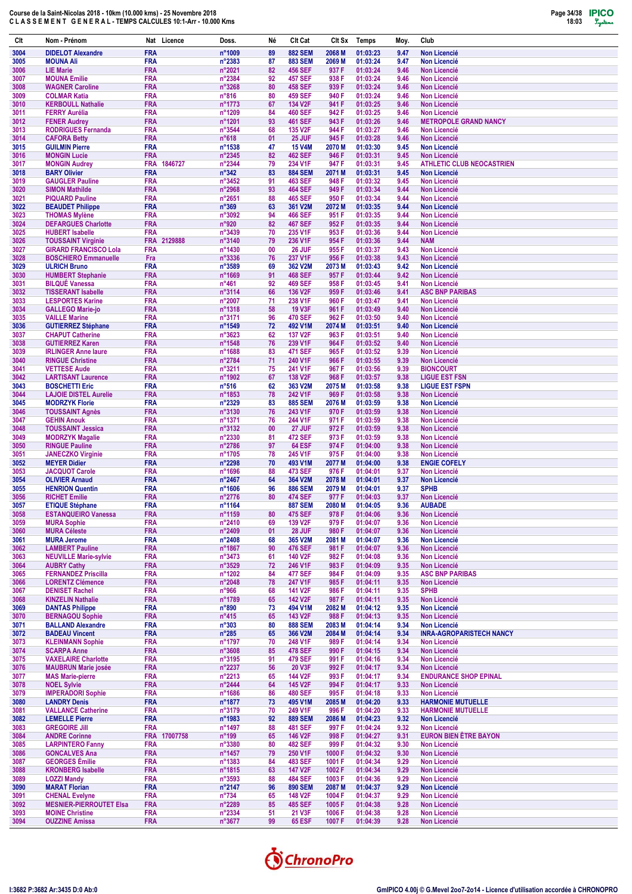

| Clt          | Nom - Prénom                                        | Nat Licence                | Doss.                              | Né       | Clt Cat                          | Clt Sx           | <b>Temps</b>         | Moy.         | Club                                                |
|--------------|-----------------------------------------------------|----------------------------|------------------------------------|----------|----------------------------------|------------------|----------------------|--------------|-----------------------------------------------------|
| 3004         | <b>DIDELOT Alexandre</b>                            | <b>FRA</b>                 | n°1009                             | 89       | <b>882 SEM</b>                   | 2068 M           | 01:03:23             | 9.47         | <b>Non Licencié</b>                                 |
| 3005         | <b>MOUNA Ali</b>                                    | FRA                        | n°2383                             | 87       | <b>883 SEM</b>                   | 2069 M           | 01:03:24             | 9.47         | Non Licencié                                        |
| 3006<br>3007 | <b>LIE Marie</b><br><b>MOUNA Emilie</b>             | <b>FRA</b><br><b>FRA</b>   | n°2021<br>n°2384                   | 82<br>92 | <b>456 SEF</b><br><b>457 SEF</b> | 937 F<br>938 F   | 01:03:24<br>01:03:24 | 9.46<br>9.46 | <b>Non Licencié</b><br><b>Non Licencié</b>          |
| 3008         | <b>WAGNER Caroline</b>                              | <b>FRA</b>                 | n°3268                             | 80       | <b>458 SEF</b>                   | 939 F            | 01:03:24             | 9.46         | <b>Non Licencié</b>                                 |
| 3009         | <b>COLMAR Katia</b>                                 | <b>FRA</b>                 | $n^{\circ}816$                     | 80       | <b>459 SEF</b>                   | 940 F            | 01:03:24             | 9.46         | <b>Non Licencié</b>                                 |
| 3010         | <b>KERBOULL Nathalie</b>                            | <b>FRA</b><br><b>FRA</b>   | n°1773                             | 67<br>84 | 134 V2F                          | 941 F<br>942 F   | 01:03:25<br>01:03:25 | 9.46         | <b>Non Licencié</b><br><b>Non Licencié</b>          |
| 3011<br>3012 | <b>FERRY Aurélia</b><br><b>FENER Audrey</b>         | <b>FRA</b>                 | n°1209<br>n°1201                   | 93       | <b>460 SEF</b><br><b>461 SEF</b> | 943 F            | 01:03:26             | 9.46<br>9.46 | <b>METROPOLE GRAND NANCY</b>                        |
| 3013         | <b>RODRIGUES Fernanda</b>                           | <b>FRA</b>                 | n°3544                             | 68       | 135 V2F                          | 944 F            | 01:03:27             | 9.46         | <b>Non Licencié</b>                                 |
| 3014         | <b>CAFORA Betty</b>                                 | <b>FRA</b>                 | $n^{\circ}618$                     | 01       | 25 JUF                           | 945F             | 01:03:28             | 9.46         | <b>Non Licencié</b>                                 |
| 3015<br>3016 | <b>GUILMIN Pierre</b><br><b>MONGIN Lucie</b>        | <b>FRA</b><br><b>FRA</b>   | n°1538<br>n°2345                   | 47<br>82 | <b>15 V4M</b><br><b>462 SEF</b>  | 2070 M<br>946 F  | 01:03:30<br>01:03:31 | 9.45<br>9.45 | <b>Non Licencié</b><br><b>Non Licencié</b>          |
| 3017         | <b>MONGIN Audrey</b>                                | <b>FRA</b><br>1846727      | n°2344                             | 79       | 234 V1F                          | 947 F            | 01:03:31             | 9.45         | <b>ATHLETIC CLUB NEOCASTRIEN</b>                    |
| 3018         | <b>BARY Olivier</b>                                 | <b>FRA</b>                 | $n^{\circ}342$                     | 83       | <b>884 SEM</b>                   | 2071 M           | 01:03:31             | 9.45         | <b>Non Licencié</b>                                 |
| 3019         | <b>GAUGLER Pauline</b>                              | <b>FRA</b>                 | n°3452                             | 91       | 463 SEF                          | 948 F            | 01:03:32             | 9.45         | <b>Non Licencié</b>                                 |
| 3020<br>3021 | <b>SIMON Mathilde</b><br><b>PIQUARD Pauline</b>     | <b>FRA</b><br>FRA          | n°2968<br>n°2651                   | 93<br>88 | <b>464 SEF</b><br><b>465 SEF</b> | 949 F<br>950 F   | 01:03:34<br>01:03:34 | 9.44<br>9.44 | <b>Non Licencié</b><br><b>Non Licencié</b>          |
| 3022         | <b>BEAUDET Philippe</b>                             | <b>FRA</b>                 | $n^{\circ}369$                     | 63       | 361 V2M                          | 2072 M           | 01:03:35             | 9.44         | <b>Non Licencié</b>                                 |
| 3023         | <b>THOMAS Mylène</b>                                | <b>FRA</b>                 | n°3092                             | 94       | <b>466 SEF</b>                   | 951 F            | 01:03:35             | 9.44         | <b>Non Licencié</b>                                 |
| 3024         | <b>DEFARGUES Charlotte</b>                          | <b>FRA</b>                 | n°920                              | 82       | <b>467 SEF</b>                   | 952F             | 01:03:35             | 9.44         | <b>Non Licencié</b>                                 |
| 3025<br>3026 | <b>HUBERT Isabelle</b><br><b>TOUSSAINT Virginie</b> | <b>FRA</b><br>FRA 2129888  | n°3439<br>n°3140                   | 70<br>79 | 235 V1F<br>236 V1F               | 953 F<br>954 F   | 01:03:36<br>01:03:36 | 9.44<br>9.44 | <b>Non Licencié</b><br><b>NAM</b>                   |
| 3027         | <b>GIRARD FRANCISCO Lola</b>                        | FRA                        | n°1430                             | 00       | 26 JUF                           | 955F             | 01:03:37             | 9.43         | <b>Non Licencié</b>                                 |
| 3028         | <b>BOSCHIERO Emmanuelle</b>                         | Fra                        | n°3336                             | 76       | 237 V1F                          | 956 F            | 01:03:38             | 9.43         | <b>Non Licencié</b>                                 |
| 3029         | <b>ULRICH Bruno</b>                                 | <b>FRA</b>                 | n°3589                             | 69       | 362 V2M                          | 2073 M           | 01:03:43             | 9.42         | <b>Non Licencié</b>                                 |
| 3030<br>3031 | <b>HUMBERT Stephanie</b><br><b>BILQUÉ Vanessa</b>   | <b>FRA</b><br><b>FRA</b>   | n°1669<br>$n^{\circ}461$           | 91<br>92 | <b>468 SEF</b><br><b>469 SEF</b> | 957 F<br>958 F   | 01:03:44<br>01:03:45 | 9.42<br>9.41 | <b>Non Licencié</b><br><b>Non Licencié</b>          |
| 3032         | <b>TISSERANT Isabelle</b>                           | <b>FRA</b>                 | n°3114                             | 66       | 136 V2F                          | 959 F            | 01:03:46             | 9.41         | <b>ASC BNP PARIBAS</b>                              |
| 3033         | <b>LESPORTES Karine</b>                             | <b>FRA</b>                 | $n^{\circ}2007$                    | 71       | 238 V1F                          | 960 F            | 01:03:47             | 9.41         | <b>Non Licencié</b>                                 |
| 3034         | <b>GALLEGO Marie-jo</b>                             | <b>FRA</b>                 | n°1318                             | 58       | <b>19 V3F</b>                    | 961 F            | 01:03:49             | 9.40         | <b>Non Licencié</b>                                 |
| 3035<br>3036 | <b>VAILLE Marine</b><br><b>GUTIERREZ Stéphane</b>   | FRA<br><b>FRA</b>          | n°3171<br>n°1549                   | 96<br>72 | <b>470 SEF</b><br>492 V1M        | 962 F<br>2074 M  | 01:03:50<br>01:03:51 | 9.40<br>9.40 | <b>Non Licencié</b><br><b>Non Licencié</b>          |
| 3037         | <b>CHAPUT Catherine</b>                             | <b>FRA</b>                 | n°3623                             | 62       | 137 V2F                          | 963 F            | 01:03:51             | 9.40         | <b>Non Licencié</b>                                 |
| 3038         | <b>GUTIERREZ Karen</b>                              | <b>FRA</b>                 | n°1548                             | 76       | 239 V1F                          | 964 F            | 01:03:52             | 9.40         | <b>Non Licencié</b>                                 |
| 3039         | <b>IRLINGER Anne laure</b>                          | <b>FRA</b>                 | n°1688                             | 83       | <b>471 SEF</b>                   | 965F             | 01:03:52             | 9.39         | <b>Non Licencié</b>                                 |
| 3040<br>3041 | <b>RINGUE Christine</b><br><b>VETTESE Aude</b>      | <b>FRA</b><br><b>FRA</b>   | n°2784<br>n°3211                   | 71<br>75 | 240 V1F<br>241 V1F               | 966 F<br>967 F   | 01:03:55<br>01:03:56 | 9.39<br>9.39 | Non Licencié<br><b>BIONCOURT</b>                    |
| 3042         | <b>LARTISANT Laurence</b>                           | <b>FRA</b>                 | n°1902                             | 67       | 138 V2F                          | 968 F            | 01:03:57             | 9.38         | <b>LIGUE EST FSN</b>                                |
| 3043         | <b>BOSCHETTI Eric</b>                               | <b>FRA</b>                 | $n^{\circ}516$                     | 62       | 363 V2M                          | 2075 M           | 01:03:58             | 9.38         | <b>LIGUE EST FSPN</b>                               |
| 3044         | <b>LAJOIE DISTEL Aurelie</b>                        | <b>FRA</b>                 | n°1853                             | 78       | 242 V1F                          | 969 F            | 01:03:58             | 9.38         | <b>Non Licencié</b>                                 |
| 3045<br>3046 | <b>MODRZYK Florie</b><br><b>TOUSSAINT Agnès</b>     | <b>FRA</b><br><b>FRA</b>   | n°2329<br>n°3130                   | 83<br>76 | <b>885 SEM</b><br>243 V1F        | 2076 M<br>970 F  | 01:03:59<br>01:03:59 | 9.38<br>9.38 | <b>Non Licencié</b><br><b>Non Licencié</b>          |
| 3047         | <b>GEHIN Anouk</b>                                  | <b>FRA</b>                 | n°1371                             | 76       | 244 V1F                          | 971 F            | 01:03:59             | 9.38         | <b>Non Licencié</b>                                 |
| 3048         | <b>TOUSSAINT Jessica</b>                            | <b>FRA</b>                 | n°3132                             | 00       | 27 JUF                           | 972F             | 01:03:59             | 9.38         | <b>Non Licencié</b>                                 |
| 3049         | <b>MODRZYK Magalie</b>                              | <b>FRA</b>                 | n°2330                             | 81       | 472 SEF                          | 973 F            | 01:03:59             | 9.38         | <b>Non Licencié</b>                                 |
| 3050<br>3051 | <b>RINGUE Pauline</b><br><b>JANECZKO Virginie</b>   | <b>FRA</b><br><b>FRA</b>   | n°2786<br>n°1705                   | 97<br>78 | <b>64 ESF</b><br>245 V1F         | 974 F<br>975F    | 01:04:00<br>01:04:00 | 9.38<br>9.38 | <b>Non Licencié</b><br><b>Non Licencié</b>          |
| 3052         | <b>MEYER Didier</b>                                 | <b>FRA</b>                 | n°2298                             | 70       | 493 V1M                          | 2077 M           | 01:04:00             | 9.38         | <b>ENGIE COFELY</b>                                 |
| 3053         | <b>JACQUOT Carole</b>                               | <b>FRA</b>                 | n°1696                             | 88       | 473 SEF                          | 976 F            | 01:04:01             | 9.37         | Non Licencié                                        |
| 3054         | <b>OLIVIER Arnaud</b><br><b>HENRION Quentin</b>     | <b>FRA</b><br><b>FRA</b>   | n°2467<br>n°1606                   | 64<br>96 | 364 V2M<br><b>886 SEM</b>        | 2078 M<br>2079 M | 01:04:01<br>01:04:01 | 9.37<br>9.37 | <b>Non Licencié</b><br><b>SPHB</b>                  |
| 3055<br>3056 | <b>RICHET Emilie</b>                                | <b>FRA</b>                 | $n^{\circ}2776$                    | 80       | <b>474 SEF</b>                   | 977 F            | 01:04:03             | 9.37         | <b>Non Licencié</b>                                 |
| 3057         | <b>ETIQUE Stéphane</b>                              | <b>FRA</b>                 | n°1164                             |          | <b>887 SEM</b>                   | 2080 M           | 01:04:05             | 9.36         | <b>AUBADE</b>                                       |
| 3058         | <b>ESTANQUEIRO Vanessa</b>                          | <b>FRA</b>                 | n°1159                             | 80       | 475 SEF                          | 978 F            | 01:04:06             | 9.36         | Non Licencié                                        |
| 3059<br>3060 | <b>MURA Sophie</b><br><b>MURA Céleste</b>           | <b>FRA</b><br><b>FRA</b>   | n°2410<br>n°2409                   | 69<br>01 | 139 V2F<br>28 JUF                | 979 F<br>980 F   | 01:04:07<br>01:04:07 | 9.36<br>9.36 | Non Licencié<br>Non Licencié                        |
| 3061         | <b>MURA Jerome</b>                                  | <b>FRA</b>                 | $n^{\circ}2408$                    | 68       | 365 V2M                          | 2081 M           | 01:04:07             | 9.36         | Non Licencié                                        |
| 3062         | <b>LAMBERT Pauline</b>                              | <b>FRA</b>                 | n°1867                             | 90       | 476 SEF                          | 981 F            | 01:04:07             | 9.36         | Non Licencié                                        |
| 3063         | <b>NEUVILLE Marie-sylvie</b>                        | <b>FRA</b>                 | $n^{\circ}3473$                    | 61       | 140 V2F                          | 982F             | 01:04:08             | 9.36         | <b>Non Licencié</b>                                 |
| 3064<br>3065 | <b>AUBRY Cathy</b><br><b>FERNANDEZ Priscilla</b>    | <b>FRA</b><br><b>FRA</b>   | $n^{\circ}3529$<br>n°1202          | 72<br>84 | 246 V1F<br>477 SEF               | 983 F<br>984 F   | 01:04:09<br>01:04:09 | 9.35<br>9.35 | Non Licencié<br><b>ASC BNP PARIBAS</b>              |
| 3066         | <b>LORENTZ Clémence</b>                             | <b>FRA</b>                 | $n^{\circ}2048$                    | 78       | 247 V1F                          | 985F             | 01:04:11             | 9.35         | Non Licencié                                        |
| 3067         | <b>DENISET Rachel</b>                               | <b>FRA</b>                 | n°966                              | 68       | 141 V2F                          | 986 F            | 01:04:11             | 9.35         | <b>SPHB</b>                                         |
| 3068         | <b>KINZELIN Nathalie</b>                            | <b>FRA</b>                 | n°1789                             | 65       | 142 V2F                          | 987 F            | 01:04:11             | 9.35         | <b>Non Licencié</b>                                 |
| 3069<br>3070 | <b>DANTAS Philippe</b><br><b>BERNAGOU Sophie</b>    | <b>FRA</b><br><b>FRA</b>   | $n^{\circ}890$<br>$n^{\circ}415$   | 73<br>65 | 494 V1M<br>143 V2F               | 2082 M<br>988 F  | 01:04:12<br>01:04:13 | 9.35<br>9.35 | Non Licencié<br><b>Non Licencié</b>                 |
| 3071         | <b>BALLAND Alexandre</b>                            | <b>FRA</b>                 | $n^{\circ}303$                     | 80       | <b>888 SEM</b>                   | 2083 M           | 01:04:14             | 9.34         | Non Licencié                                        |
| 3072         | <b>BADEAU Vincent</b>                               | <b>FRA</b>                 | $n^{\circ}285$                     | 65       | 366 V2M                          | 2084 M           | 01:04:14             | 9.34         | <b>INRA-AGROPARISTECH NANCY</b>                     |
| 3073         | <b>KLEINMANN Sophie</b>                             | <b>FRA</b><br><b>FRA</b>   | n°1797<br>$n^{\circ}3608$          | 70<br>85 | 248 V1F<br>478 SEF               | 989 F<br>990 F   | 01:04:14<br>01:04:15 | 9.34<br>9.34 | Non Licencié                                        |
| 3074<br>3075 | <b>SCARPA Anne</b><br><b>VAXELAIRE Charlotte</b>    | <b>FRA</b>                 | $n^{\circ}3195$                    | 91       | 479 SEF                          | 991 F            | 01:04:16             | 9.34         | Non Licencié<br><b>Non Licencié</b>                 |
| 3076         | <b>MAUBRUN Marie josée</b>                          | <b>FRA</b>                 | n°2237                             | 56       | 20 V3F                           | 992 F            | 01:04:17             | 9.34         | Non Licencié                                        |
| 3077         | <b>MAS Marie-pierre</b>                             | <b>FRA</b>                 | $n^{\circ}2213$                    | 65       | 144 V2F                          | 993 F            | 01:04:17             | 9.34         | <b>ENDURANCE SHOP EPINAL</b>                        |
| 3078         | <b>NOEL Sylvie</b>                                  | <b>FRA</b><br><b>FRA</b>   | $n^{\circ}$ 2444<br>n°1686         | 64<br>86 | 145 V2F<br><b>480 SEF</b>        | 994 F<br>995F    | 01:04:17<br>01:04:18 | 9.33<br>9.33 | Non Licencié<br><b>Non Licencié</b>                 |
| 3079<br>3080 | <b>IMPERADORI Sophie</b><br><b>LANDRY Denis</b>     | <b>FRA</b>                 | n°1877                             | 73       | 495 V1M                          | 2085 M           | 01:04:20             | 9.33         | <b>HARMONIE MUTUELLE</b>                            |
| 3081         | <b>VALLANCE Catherine</b>                           | <b>FRA</b>                 | $n^{\circ}3179$                    | 70       | 249 V1F                          | 996 F            | 01:04:20             | 9.33         | <b>HARMONIE MUTUELLE</b>                            |
| 3082         | <b>LEMELLE Pierre</b>                               | <b>FRA</b>                 | n°1983                             | 92       | <b>889 SEM</b>                   | 2086 M           | 01:04:23             | 9.32         | <b>Non Licencié</b>                                 |
| 3083         | <b>GREGOIRE Jill</b>                                | <b>FRA</b>                 | n°1497                             | 88       | <b>481 SEF</b>                   | 997 F            | 01:04:24             | 9.32         | Non Licencié                                        |
| 3084<br>3085 | <b>ANDRE Corinne</b><br><b>LARPINTERO Fanny</b>     | FRA 17007758<br><b>FRA</b> | $n^{\circ}$ 199<br>$n^{\circ}3380$ | 65<br>80 | 146 V2F<br><b>482 SEF</b>        | 998 F<br>999 F   | 01:04:27<br>01:04:32 | 9.31<br>9.30 | <b>EURON BIEN ÊTRE BAYON</b><br><b>Non Licencié</b> |
| 3086         | <b>GONCALVES Ana</b>                                | <b>FRA</b>                 | n°1457                             | 79       | 250 V1F                          | 1000 F           | 01:04:32             | 9.30         | Non Licencié                                        |
| 3087         | <b>GEORGES Émilie</b>                               | <b>FRA</b>                 | $n^{\circ}$ 1383                   | 84       | 483 SEF                          | 1001 F           | 01:04:34             | 9.29         | Non Licencié                                        |
| 3088         | <b>KRONBERG Isabelle</b>                            | <b>FRA</b>                 | n°1815                             | 63       | 147 V2F                          | 1002 F           | 01:04:34             | 9.29         | Non Licencié                                        |
| 3089<br>3090 | <b>LOZZI Mandy</b><br><b>MARAT Florian</b>          | <b>FRA</b><br><b>FRA</b>   | $n^{\circ}3593$<br>$n^{\circ}2147$ | 88<br>96 | <b>484 SEF</b><br><b>890 SEM</b> | 1003 F<br>2087 M | 01:04:36<br>01:04:37 | 9.29<br>9.29 | Non Licencié<br>Non Licencié                        |
| 3091         | <b>CHENAL Evelyne</b>                               | <b>FRA</b>                 | $n^{\circ}734$                     | 65       | 148 V2F                          | 1004 F           | 01:04:37             | 9.29         | Non Licencié                                        |
| 3092         | <b>MESNIER-PIERROUTET EIsa</b>                      | <b>FRA</b>                 | $n^{\circ}2289$                    | 85       | <b>485 SEF</b>                   | 1005F            | 01:04:38             | 9.28         | Non Licencié                                        |
| 3093         | <b>MOINE Christine</b>                              | <b>FRA</b>                 | n°2334                             | 51       | 21 V3F                           | 1006 F           | 01:04:38             | 9.28         | Non Licencié                                        |
| 3094         | <b>OUZZINE Amissa</b>                               | <b>FRA</b>                 | $n^{\circ}3677$                    | 99       | <b>65 ESF</b>                    | 1007 F           | 01:04:39             | 9.28         | Non Licencié                                        |

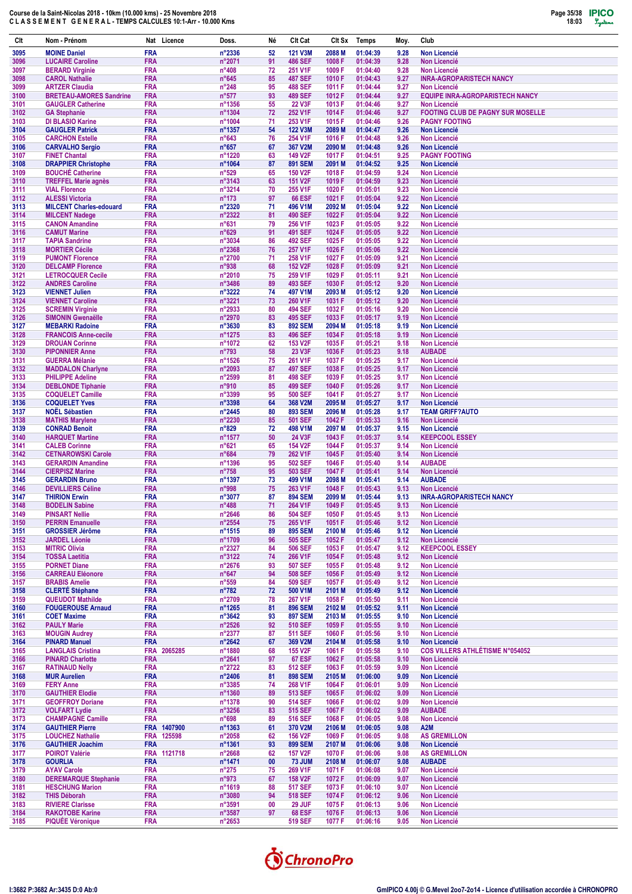

| Clt          | Nom - Prénom                                         | Nat Licence               | Doss.                               | Né       | Clt Cat                          | Clt Sx            | <b>Temps</b>         | Moy.         | Club                                                            |
|--------------|------------------------------------------------------|---------------------------|-------------------------------------|----------|----------------------------------|-------------------|----------------------|--------------|-----------------------------------------------------------------|
| 3095         | <b>MOINE Daniel</b>                                  | <b>FRA</b>                | n°2336                              | 52       | 121 V3M                          | 2088 M            | 01:04:39             | 9.28         | <b>Non Licencié</b>                                             |
| 3096         | <b>LUCAIRE Caroline</b>                              | <b>FRA</b>                | n°2071                              | 91       | <b>486 SEF</b>                   | 1008 F            | 01:04:39             | 9.28         | <b>Non Licencié</b>                                             |
| 3097<br>3098 | <b>BERARD Virginie</b><br><b>CAROL Nathalie</b>      | <b>FRA</b><br><b>FRA</b>  | $n^{\circ}408$<br>$n^{\circ}645$    | 72<br>85 | 251 V1F<br><b>487 SEF</b>        | 1009 F<br>1010 F  | 01:04:40<br>01:04:43 | 9.28<br>9.27 | <b>Non Licencié</b><br><b>INRA-AGROPARISTECH NANCY</b>          |
| 3099         | <b>ARTZER Claudia</b>                                | <b>FRA</b>                | $n^{\circ}248$                      | 95       | <b>488 SEF</b>                   | 1011 F            | 01:04:44             | 9.27         | Non Licencié                                                    |
| 3100         | <b>BRETEAU-AMORES Sandrine</b>                       | <b>FRA</b>                | $n^{\circ}577$                      | 93       | <b>489 SEF</b>                   | 1012 F            | 01:04:44             | 9.27         | <b>EQUIPE INRA-AGROPARISTECH NANCY</b>                          |
| 3101<br>3102 | <b>GAUGLER Catherine</b><br><b>GA Stephanie</b>      | <b>FRA</b><br><b>FRA</b>  | n°1356<br>n°1304                    | 55<br>72 | <b>22 V3F</b><br>252 V1F         | 1013 F<br>1014 F  | 01:04:46<br>01:04:46 | 9.27<br>9.27 | <b>Non Licencié</b><br><b>FOOTING CLUB DE PAGNY SUR MOSELLE</b> |
| 3103         | <b>DI BLASIO Karine</b>                              | <b>FRA</b>                | n°1004                              | 71       | 253 V1F                          | 1015 F            | 01:04:46             | 9.26         | <b>PAGNY FOOTING</b>                                            |
| 3104         | <b>GAUGLER Patrick</b>                               | <b>FRA</b>                | n°1357                              | 54       | 122 V3M                          | 2089 M            | 01:04:47             | 9.26         | <b>Non Licencié</b>                                             |
| 3105         | <b>CARCHON Estelle</b>                               | <b>FRA</b>                | $n^{\circ}643$                      | 76       | 254 V1F                          | 1016 F            | 01:04:48             | 9.26         | <b>Non Licencié</b>                                             |
| 3106<br>3107 | <b>CARVALHO Sergio</b><br><b>FINET Chantal</b>       | <b>FRA</b><br><b>FRA</b>  | $n^{\circ}657$<br>n°1220            | 67<br>63 | 367 V2M<br>149 V2F               | 2090 M<br>1017 F  | 01:04:48<br>01:04:51 | 9.26<br>9.25 | <b>Non Licencié</b><br><b>PAGNY FOOTING</b>                     |
| 3108         | <b>DRAPPIER Christophe</b>                           | <b>FRA</b>                | n°1064                              | 87       | <b>891 SEM</b>                   | 2091 M            | 01:04:52             | 9.25         | <b>Non Licencié</b>                                             |
| 3109         | <b>BOUCHÉ Catherine</b>                              | <b>FRA</b>                | $n^{\circ}529$                      | 65       | <b>150 V2F</b>                   | 1018 F            | 01:04:59             | 9.24         | <b>Non Licencié</b>                                             |
| 3110<br>3111 | <b>TREFFEL Marie agnès</b><br><b>VIAL Florence</b>   | <b>FRA</b><br><b>FRA</b>  | $n^{\circ}3143$<br>n°3214           | 63<br>70 | 151 V2F<br>255 V1F               | 1019 F<br>1020 F  | 01:04:59<br>01:05:01 | 9.23<br>9.23 | <b>Non Licencié</b><br><b>Non Licencié</b>                      |
| 3112         | <b>ALESSI Victoria</b>                               | <b>FRA</b>                | $n^{\circ}$ 173                     | 97       | <b>66 ESF</b>                    | 1021 F            | 01:05:04             | 9.22         | <b>Non Licencié</b>                                             |
| 3113         | <b>MILCENT Charles-edouard</b>                       | <b>FRA</b>                | n°2320                              | 71       | 496 V1M                          | 2092 M            | 01:05:04             | 9.22         | <b>Non Licencié</b>                                             |
| 3114<br>3115 | <b>MILCENT Nadege</b><br><b>CANON Amandine</b>       | <b>FRA</b><br><b>FRA</b>  | n°2322<br>$n^{\circ}631$            | 81<br>79 | <b>490 SEF</b><br>256 V1F        | 1022 F<br>1023 F  | 01:05:04<br>01:05:05 | 9.22<br>9.22 | <b>Non Licencié</b><br><b>Non Licencié</b>                      |
| 3116         | <b>CAMUT Marine</b>                                  | <b>FRA</b>                | n°629                               | 91       | <b>491 SEF</b>                   | 1024 F            | 01:05:05             | 9.22         | <b>Non Licencié</b>                                             |
| 3117         | <b>TAPIA Sandrine</b>                                | <b>FRA</b>                | n°3034                              | 86       | <b>492 SEF</b>                   | 1025 F            | 01:05:05             | 9.22         | <b>Non Licencié</b>                                             |
| 3118         | <b>MORTIER Cécile</b>                                | <b>FRA</b>                | n°2368                              | 76       | 257 V1F                          | 1026 F            | 01:05:06             | 9.22         | <b>Non Licencié</b>                                             |
| 3119<br>3120 | <b>PUMONT Florence</b><br><b>DELCAMP Florence</b>    | <b>FRA</b><br><b>FRA</b>  | n°2700<br>n°938                     | 71<br>68 | 258 V1F<br><b>152 V2F</b>        | 1027 F<br>1028 F  | 01:05:09<br>01:05:09 | 9.21<br>9.21 | <b>Non Licencié</b><br><b>Non Licencié</b>                      |
| 3121         | <b>LETROCQUER Cecile</b>                             | <b>FRA</b>                | n°2010                              | 75       | 259 V1F                          | 1029 F            | 01:05:11             | 9.21         | <b>Non Licencié</b>                                             |
| 3122         | <b>ANDRES Caroline</b>                               | <b>FRA</b>                | n°3486                              | 89       | 493 SEF                          | 1030 F            | 01:05:12             | 9.20         | <b>Non Licencié</b>                                             |
| 3123<br>3124 | <b>VIENNET Julien</b><br><b>VIENNET Caroline</b>     | <b>FRA</b><br><b>FRA</b>  | $n^{\circ}3222$<br>n°3221           | 74<br>73 | 497 V1M<br>260 V1F               | 2093 M<br>1031 F  | 01:05:12<br>01:05:12 | 9.20<br>9.20 | <b>Non Licencié</b><br><b>Non Licencié</b>                      |
| 3125         | <b>SCREMIN Virginie</b>                              | <b>FRA</b>                | n°2933                              | 80       | <b>494 SEF</b>                   | 1032 F            | 01:05:16             | 9.20         | <b>Non Licencié</b>                                             |
| 3126         | <b>SIMONIN Gwenaëlle</b>                             | <b>FRA</b>                | n°2970                              | 83       | 495 SEF                          | 1033 F            | 01:05:17             | 9.19         | <b>Non Licencié</b>                                             |
| 3127         | <b>MEBARKI Radoine</b>                               | <b>FRA</b>                | $n^{\circ}3630$                     | 83       | <b>892 SEM</b><br><b>496 SEF</b> | 2094 M            | 01:05:18             | 9.19         | <b>Non Licencié</b>                                             |
| 3128<br>3129 | <b>FRANCOIS Anne-cecile</b><br><b>DROUAN Corinne</b> | <b>FRA</b><br><b>FRA</b>  | n°1275<br>n°1072                    | 83<br>62 | 153 V2F                          | 1034 F<br>1035 F  | 01:05:18<br>01:05:21 | 9.19<br>9.18 | <b>Non Licencié</b><br><b>Non Licencié</b>                      |
| 3130         | <b>PIPONNIER Anne</b>                                | <b>FRA</b>                | n°793                               | 58       | 23 V3F                           | 1036 F            | 01:05:23             | 9.18         | <b>AUBADE</b>                                                   |
| 3131         | <b>GUERRA Mélanie</b>                                | <b>FRA</b>                | n°1526                              | 75       | 261 V1F                          | 1037 F            | 01:05:25             | 9.17         | <b>Non Licencié</b>                                             |
| 3132<br>3133 | <b>MADDALON Charlyne</b><br><b>PHILIPPE Adeline</b>  | <b>FRA</b><br><b>FRA</b>  | n°2093<br>n°2599                    | 87<br>81 | <b>497 SEF</b><br><b>498 SEF</b> | 1038 F<br>1039 F  | 01:05:25<br>01:05:25 | 9.17<br>9.17 | <b>Non Licencié</b><br><b>Non Licencié</b>                      |
| 3134         | <b>DEBLONDE Tiphanie</b>                             | <b>FRA</b>                | n°910                               | 85       | <b>499 SEF</b>                   | 1040 F            | 01:05:26             | 9.17         | <b>Non Licencié</b>                                             |
| 3135         | <b>COQUELET Camille</b>                              | <b>FRA</b>                | n°3399                              | 95       | <b>500 SEF</b>                   | 1041 F            | 01:05:27             | 9.17         | <b>Non Licencié</b>                                             |
| 3136         | <b>COQUELET Yves</b>                                 | <b>FRA</b>                | n°3398                              | 64       | 368 V2M                          | 2095 <sub>M</sub> | 01:05:27             | 9.17         | <b>Non Licencié</b>                                             |
| 3137<br>3138 | <b>NOEL Sébastien</b><br><b>MATHIS Marylene</b>      | <b>FRA</b><br><b>FRA</b>  | n°2445<br>n°2230                    | 80<br>85 | <b>893 SEM</b><br><b>501 SEF</b> | 2096 M<br>1042 F  | 01:05:28<br>01:05:33 | 9.17<br>9.16 | <b>TEAM GRIFF?AUTO</b><br><b>Non Licencié</b>                   |
| 3139         | <b>CONRAD Benoit</b>                                 | <b>FRA</b>                | $n^{\circ}829$                      | 72       | 498 V1M                          | 2097 M            | 01:05:37             | 9.15         | <b>Non Licencié</b>                                             |
| 3140         | <b>HARQUET Martine</b>                               | <b>FRA</b>                | n°1577                              | 50       | 24 V3F                           | 1043 F            | 01:05:37             | 9.14         | <b>KEEPCOOL ESSEY</b>                                           |
| 3141<br>3142 | <b>CALEB Corinne</b><br><b>CETNAROWSKI Carole</b>    | <b>FRA</b><br><b>FRA</b>  | $n^{\circ}621$<br>$n^{\circ}684$    | 65<br>79 | <b>154 V2F</b><br>262 V1F        | 1044 F<br>1045F   | 01:05:37<br>01:05:40 | 9.14<br>9.14 | <b>Non Licencié</b><br><b>Non Licencié</b>                      |
| 3143         | <b>GERARDIN Amandine</b>                             | <b>FRA</b>                | n°1396                              | 95       | <b>502 SEF</b>                   | 1046 F            | 01:05:40             | 9.14         | <b>AUBADE</b>                                                   |
| 3144         | <b>CIERPISZ Marine</b>                               | <b>FRA</b>                | $n^{\circ}758$                      | 95       | <b>503 SEF</b>                   | 1047 F            | 01:05:41             | 9.14         | <b>Non Licencié</b>                                             |
| 3145         | <b>GERARDIN Bruno</b><br><b>DEVILLIERS Céline</b>    | <b>FRA</b><br><b>FRA</b>  | n°1397<br>n°998                     | 73<br>75 | 499 V1M<br>263 V1F               | 2098 M<br>1048 F  | 01:05:41<br>01:05:43 | 9.14         | <b>AUBADE</b>                                                   |
| 3146<br>3147 | <b>THIRION Erwin</b>                                 | <b>FRA</b>                | n°3077                              | 87       | <b>894 SEM</b>                   | 2099 M            | 01:05:44             | 9.13<br>9.13 | <b>Non Licencié</b><br><b>INRA-AGROPARISTECH NANCY</b>          |
| 3148         | <b>BODELIN Sabine</b>                                | <b>FRA</b>                | $n^{\circ}488$                      | 71       | 264 V1F                          | 1049 F            | 01:05:45             | 9.13         | Non Licencié                                                    |
| 3149         | <b>PINSART Nellie</b>                                | <b>FRA</b>                | $n^{\circ}2646$                     | 86       | <b>504 SEF</b>                   | 1050 F            | 01:05:45             | 9.13         | Non Licencié                                                    |
| 3150<br>3151 | <b>PERRIN Emanuelle</b><br><b>GROSSIER Jérôme</b>    | <b>FRA</b><br><b>FRA</b>  | n°2554<br>n°1515                    | 75<br>89 | 265 V1F<br><b>895 SEM</b>        | 1051 F<br>2100 M  | 01:05:46<br>01:05:46 | 9.12<br>9.12 | <b>Non Licencié</b><br>Non Licencié                             |
| 3152         | <b>JARDEL Léonie</b>                                 | <b>FRA</b>                | n°1709                              | 96       | 505 SEF                          | 1052 F            | 01:05:47             | 9.12         | Non Licencié                                                    |
| 3153         | <b>MITRIC Olivia</b>                                 | <b>FRA</b>                | $n^{\circ}2327$                     | 84       | <b>506 SEF</b>                   | 1053 F            | 01:05:47             | 9.12         | <b>KEEPCOOL ESSEY</b>                                           |
| 3154         | <b>TOSSA Laetitia</b><br><b>PORNET Diane</b>         | <b>FRA</b><br><b>FRA</b>  | $n^{\circ}3122$<br>$n^{\circ}2676$  | 74<br>93 | 266 V1F<br><b>507 SEF</b>        | 1054 F            | 01:05:48<br>01:05:48 | 9.12<br>9.12 | Non Licencié<br>Non Licencié                                    |
| 3155<br>3156 | <b>CARREAU Eléonore</b>                              | <b>FRA</b>                | $n^{\circ}647$                      | 94       | <b>508 SEF</b>                   | 1055 F<br>1056 F  | 01:05:49             | 9.12         | Non Licencié                                                    |
| 3157         | <b>BRABIS Amelie</b>                                 | <b>FRA</b>                | $n^{\circ}559$                      | 84       | 509 SEF                          | 1057 F            | 01:05:49             | 9.12         | Non Licencié                                                    |
| 3158         | <b>CLERTÉ Stéphane</b>                               | <b>FRA</b>                | $n^{\circ}782$                      | 72       | 500 V1M                          | 2101 M            | 01:05:49             | 9.12         | Non Licencié                                                    |
| 3159<br>3160 | <b>QUEUDOT Mathilde</b><br><b>FOUGEROUSE Arnaud</b>  | <b>FRA</b><br><b>FRA</b>  | n°2709<br>n°1265                    | 78<br>81 | 267 V1F<br><b>896 SEM</b>        | 1058 F<br>2102 M  | 01:05:50<br>01:05:52 | 9.11<br>9.11 | <b>Non Licencié</b><br>Non Licencié                             |
| 3161         | <b>COET Maxime</b>                                   | <b>FRA</b>                | $n^{\circ}3642$                     | 93       | <b>897 SEM</b>                   | 2103 M            | 01:05:55             | 9.10         | Non Licencié                                                    |
| 3162         | <b>PAULY Marie</b>                                   | <b>FRA</b>                | $n^{\circ}2526$                     | 92       | <b>510 SEF</b>                   | 1059 F            | 01:05:55             | 9.10         | Non Licencié                                                    |
| 3163<br>3164 | <b>MOUGIN Audrey</b><br><b>PINARD Manuel</b>         | <b>FRA</b><br><b>FRA</b>  | $n^{\circ}2377$<br>$n^{\circ}2642$  | 87<br>67 | <b>511 SEF</b><br>369 V2M        | 1060 F<br>2104 M  | 01:05:56<br>01:05:58 | 9.10<br>9.10 | Non Licencié<br>Non Licencié                                    |
| 3165         | <b>LANGLAIS Cristina</b>                             | FRA 2065285               | n°1880                              | 68       | <b>155 V2F</b>                   | 1061 F            | 01:05:58             | 9.10         | <b>COS VILLERS ATHLÉTISME N°054052</b>                          |
| 3166         | <b>PINARD Charlotte</b>                              | <b>FRA</b>                | $n^{\circ}2641$                     | 97       | <b>67 ESF</b>                    | 1062 F            | 01:05:58             | 9.10         | Non Licencié                                                    |
| 3167         | <b>RATINAUD Nelly</b>                                | <b>FRA</b>                | n°2722                              | 83       | 512 SEF                          | 1063 F            | 01:05:59             | 9.09         | Non Licencié                                                    |
| 3168<br>3169 | <b>MUR Aurelien</b><br><b>FERY Anne</b>              | <b>FRA</b><br><b>FRA</b>  | $n^{\circ}$ 2406<br>$n^{\circ}3385$ | 81<br>74 | <b>898 SEM</b><br>268 V1F        | 2105 M<br>1064 F  | 01:06:00<br>01:06:01 | 9.09<br>9.09 | Non Licencié<br>Non Licencié                                    |
| 3170         | <b>GAUTHIER Elodie</b>                               | <b>FRA</b>                | n°1360                              | 89       | 513 SEF                          | 1065F             | 01:06:02             | 9.09         | Non Licencié                                                    |
| 3171         | <b>GEOFFROY Doriane</b>                              | <b>FRA</b>                | n°1378                              | 90       | <b>514 SEF</b>                   | 1066 F            | 01:06:02             | 9.09         | Non Licencié                                                    |
| 3172         | <b>VOLFART Lydie</b>                                 | <b>FRA</b>                | $n^{\circ}3256$                     | 83       | <b>515 SEF</b>                   | 1067 F            | 01:06:02             | 9.09         | <b>AUBADE</b>                                                   |
| 3173<br>3174 | <b>CHAMPAGNE Camille</b><br><b>GAUTHIER Pierre</b>   | <b>FRA</b><br>FRA 1407900 | $n^{\circ}698$<br>$n^{\circ}$ 1363  | 89<br>61 | 516 SEF<br>370 V2M               | 1068 F<br>2106 M  | 01:06:05<br>01:06:05 | 9.08<br>9.08 | Non Licencié<br>A <sub>2</sub> M                                |
| 3175         | <b>LOUCHEZ Nathalie</b>                              | FRA 125598                | n°2058                              | 62       | <b>156 V2F</b>                   | 1069 F            | 01:06:05             | 9.08         | <b>AS GREMILLON</b>                                             |
| 3176         | <b>GAUTHIER Joachim</b>                              | <b>FRA</b>                | $n^{\circ}$ 1361                    | 93       | <b>899 SEM</b>                   | 2107 M            | 01:06:06             | 9.08         | Non Licencié                                                    |
| 3177<br>3178 | <b>POIROT Valérie</b><br><b>GOURLIA</b>              | FRA 1121718<br><b>FRA</b> | $n^{\circ}2668$<br>n°1471           | 62<br>00 | <b>157 V2F</b><br><b>73 JUM</b>  | 1070 F<br>2108 M  | 01:06:06<br>01:06:07 | 9.08<br>9.08 | <b>AS GREMILLON</b><br><b>AUBADE</b>                            |
| 3179         | <b>AYAV Carole</b>                                   | <b>FRA</b>                | $n^{\circ}275$                      | 75       | 269 V1F                          | 1071 F            | 01:06:08             | 9.07         | Non Licencié                                                    |
| 3180         | <b>DEREMARQUE Stephanie</b>                          | <b>FRA</b>                | n°973                               | 67       | 158 V2F                          | 1072 F            | 01:06:09             | 9.07         | Non Licencié                                                    |
| 3181         | <b>HESCHUNG Marion</b>                               | <b>FRA</b>                | n°1619                              | 88       | <b>517 SEF</b>                   | 1073 F            | 01:06:10             | 9.07         | Non Licencié                                                    |
| 3182<br>3183 | <b>THIS Déborah</b><br><b>RIVIERE Clarisse</b>       | <b>FRA</b><br><b>FRA</b>  | n°3080<br>$n^{\circ}3591$           | 94<br>00 | <b>518 SEF</b><br><b>29 JUF</b>  | 1074 F<br>1075 F  | 01:06:12<br>01:06:13 | 9.06<br>9.06 | Non Licencié<br>Non Licencié                                    |
| 3184         | <b>RAKOTOBE Karine</b>                               | <b>FRA</b>                | $n^{\circ}3587$                     | 97       | <b>68 ESF</b>                    | 1076 F            | 01:06:13             | 9.06         | Non Licencié                                                    |
| 3185         | <b>PIQUÉE Véronique</b>                              | <b>FRA</b>                | $n^{\circ}2653$                     |          | 519 SEF                          | 1077 F            | 01:06:16             | 9.05         | Non Licencié                                                    |

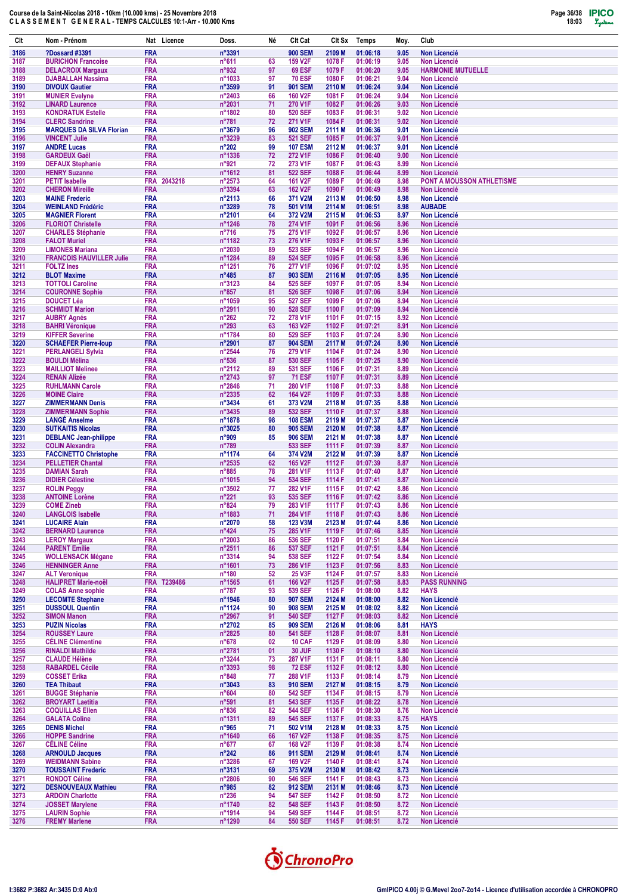

| Clt          | Nom - Prénom                                             | Nat Licence                      | Doss.                              | Né       | Clt Cat                        | Clt Sx           | Temps                | Moy.         | Club                                             |
|--------------|----------------------------------------------------------|----------------------------------|------------------------------------|----------|--------------------------------|------------------|----------------------|--------------|--------------------------------------------------|
| 3186         | <b>?Dossard #3391</b>                                    | <b>FRA</b>                       | n°3391                             |          | <b>900 SEM</b>                 | 2109 M           | 01:06:18             | 9.05         | <b>Non Licencié</b>                              |
| 3187         | <b>BURICHON Francoise</b>                                | <b>FRA</b>                       | n°611                              | 63       | 159 V2F                        | 1078 F           | 01:06:19             | 9.05         | <b>Non Licencié</b>                              |
| 3188<br>3189 | <b>DELACROIX Margaux</b><br><b>DJABALLAH Nassima</b>     | <b>FRA</b><br><b>FRA</b>         | n°932                              | 97<br>97 | <b>69 ESF</b><br><b>70 ESF</b> | 1079 F<br>1080 F | 01:06:20<br>01:06:21 | 9.05<br>9.04 | <b>HARMONIE MUTUELLE</b><br><b>Non Licencié</b>  |
| 3190         | <b>DIVOUX Gautier</b>                                    | <b>FRA</b>                       | n°1033<br>n°3599                   | 91       | <b>901 SEM</b>                 | 2110 M           | 01:06:24             | 9.04         | <b>Non Licencié</b>                              |
| 3191         | <b>MUNIER Evelyne</b>                                    | <b>FRA</b>                       | n°2403                             | 66       | 160 V2F                        | 1081 F           | 01:06:24             | 9.04         | <b>Non Licencié</b>                              |
| 3192         | <b>LINARD Laurence</b>                                   | <b>FRA</b>                       | n°2031                             | 71       | 270 V1F                        | 1082 F           | 01:06:26             | 9.03         | <b>Non Licencié</b>                              |
| 3193         | <b>KONDRATUK Estelle</b>                                 | <b>FRA</b>                       | n°1802                             | 80       | 520 SEF                        | 1083 F           | 01:06:31             | 9.02         | <b>Non Licencié</b>                              |
| 3194<br>3195 | <b>CLERC Sandrine</b><br><b>MARQUES DA SILVA Florian</b> | <b>FRA</b><br><b>FRA</b>         | $n^{\circ}781$<br>n°3679           | 72<br>96 | 271 V1F<br><b>902 SEM</b>      | 1084 F<br>2111 M | 01:06:31<br>01:06:36 | 9.02<br>9.01 | <b>Non Licencié</b><br><b>Non Licencié</b>       |
| 3196         | <b>VINCENT Julie</b>                                     | FRA                              | n°3239                             | 83       | <b>521 SEF</b>                 | 1085 F           | 01:06:37             | 9.01         | <b>Non Licencié</b>                              |
| 3197         | <b>ANDRE Lucas</b>                                       | <b>FRA</b>                       | $n^{\circ}202$                     | 99       | <b>107 ESM</b>                 | 2112 M           | 01:06:37             | 9.01         | <b>Non Licencié</b>                              |
| 3198         | <b>GARDEUX Gaël</b>                                      | <b>FRA</b>                       | n°1336                             | 72       | 272 V1F                        | 1086 F           | 01:06:40             | 9.00         | <b>Non Licencié</b>                              |
| 3199         | <b>DEFAUX Stephanie</b>                                  | FRA<br><b>FRA</b>                | n°921<br>n°1612                    | 72<br>81 | 273 V1F<br><b>522 SEF</b>      | 1087 F<br>1088 F | 01:06:43<br>01:06:44 | 8.99         | <b>Non Licencié</b>                              |
| 3200<br>3201 | <b>HENRY Suzanne</b><br><b>PETIT Isabelle</b>            | FRA 2043218                      | n°2573                             | 64       | 161 V2F                        | 1089 F           | 01:06:49             | 8.99<br>8.98 | <b>Non Licencié</b><br>PONT A MOUSSON ATHLETISME |
| 3202         | <b>CHERON Mireille</b>                                   | <b>FRA</b>                       | n°3394                             | 63       | <b>162 V2F</b>                 | 1090 F           | 01:06:49             | 8.98         | <b>Non Licencié</b>                              |
| 3203         | <b>MAINE Frederic</b>                                    | <b>FRA</b>                       | n°2113                             | 66       | 371 V2M                        | 2113 M           | 01:06:50             | 8.98         | <b>Non Licencié</b>                              |
| 3204         | <b>WEINLAND Frédéric</b>                                 | <b>FRA</b>                       | n°3289                             | 78       | 501 V1M                        | 2114 M           | 01:06:51             | 8.98         | <b>AUBADE</b>                                    |
| 3205<br>3206 | <b>MAGNIER Florent</b><br><b>FLORIOT Christelle</b>      | <b>FRA</b><br><b>FRA</b>         | n°2101<br>n°1246                   | 64<br>78 | 372 V2M<br>274 V1F             | 2115 M<br>1091 F | 01:06:53<br>01:06:56 | 8.97<br>8.96 | <b>Non Licencié</b><br><b>Non Licencié</b>       |
| 3207         | <b>CHARLES Stéphanie</b>                                 | <b>FRA</b>                       | $n^{\circ}716$                     | 75       | 275 V1F                        | 1092 F           | 01:06:57             | 8.96         | <b>Non Licencié</b>                              |
| 3208         | <b>FALOT Muriel</b>                                      | <b>FRA</b>                       | n°1182                             | 73       | 276 V1F                        | 1093 F           | 01:06:57             | 8.96         | <b>Non Licencié</b>                              |
| 3209         | <b>LIMONES Mariana</b>                                   | <b>FRA</b>                       | n°2030                             | 89       | 523 SEF                        | 1094 F           | 01:06:57             | 8.96         | <b>Non Licencié</b>                              |
| 3210<br>3211 | <b>FRANCOIS HAUVILLER Julie</b><br><b>FOLTZ</b> Ines     | <b>FRA</b><br><b>FRA</b>         | n°1284<br>n°1251                   | 89<br>76 | <b>524 SEF</b><br>277 V1F      | 1095 F<br>1096 F | 01:06:58<br>01:07:02 | 8.96<br>8.95 | <b>Non Licencié</b><br><b>Non Licencié</b>       |
| 3212         | <b>BLOT Maxime</b>                                       | <b>FRA</b>                       | $n^{\circ}485$                     | 87       | <b>903 SEM</b>                 | 2116 M           | 01:07:05             | 8.95         | <b>Non Licencié</b>                              |
| 3213         | <b>TOTTOLI Caroline</b>                                  | <b>FRA</b>                       | n°3123                             | 84       | <b>525 SEF</b>                 | 1097 F           | 01:07:05             | 8.94         | <b>Non Licencié</b>                              |
| 3214         | <b>COURONNE Sophie</b>                                   | <b>FRA</b>                       | $n^{\circ}857$                     | 81       | 526 SEF                        | 1098 F           | 01:07:06             | 8.94         | <b>Non Licencié</b>                              |
| 3215         | <b>DOUCET Léa</b>                                        | <b>FRA</b>                       | n°1059                             | 95       | <b>527 SEF</b>                 | 1099 F           | 01:07:06             | 8.94         | <b>Non Licencié</b>                              |
| 3216<br>3217 | <b>SCHMIDT Marion</b><br><b>AUBRY Agnés</b>              | <b>FRA</b><br><b>FRA</b>         | n°2911<br>$n^{\circ}262$           | 90<br>72 | <b>528 SEF</b><br>278 V1F      | 1100 F<br>1101 F | 01:07:09<br>01:07:15 | 8.94<br>8.92 | <b>Non Licencié</b><br><b>Non Licencié</b>       |
| 3218         | <b>BAHRI Véronique</b>                                   | <b>FRA</b>                       | $n^{\circ}293$                     | 63       | 163 V2F                        | 1102 F           | 01:07:21             | 8.91         | <b>Non Licencié</b>                              |
| 3219         | <b>KIFFER Severine</b>                                   | <b>FRA</b>                       | n°1784                             | 80       | 529 SEF                        | 1103 F           | 01:07:24             | 8.90         | <b>Non Licencié</b>                              |
| 3220         | <b>SCHAEFER Pierre-loup</b>                              | <b>FRA</b>                       | n°2901                             | 87       | <b>904 SEM</b>                 | 2117 M           | 01:07:24             | 8.90         | <b>Non Licencié</b>                              |
| 3221<br>3222 | <b>PERLANGELI Sylvia</b><br><b>BOULDI Mélina</b>         | <b>FRA</b><br><b>FRA</b>         | n°2544<br>$n^{\circ}536$           | 76<br>87 | 279 V1F<br>530 SEF             | 1104 F<br>1105 F | 01:07:24<br>01:07:25 | 8.90<br>8.90 | <b>Non Licencié</b><br><b>Non Licencié</b>       |
| 3223         | <b>MAILLIOT Melinee</b>                                  | <b>FRA</b>                       | n°2112                             | 89       | 531 SEF                        | 1106 F           | 01:07:31             | 8.89         | <b>Non Licencié</b>                              |
| 3224         | <b>RENAN Alizée</b>                                      | <b>FRA</b>                       | n°2743                             | 97       | <b>71 ESF</b>                  | 1107 F           | 01:07:31             | 8.89         | <b>Non Licencié</b>                              |
| 3225         | <b>RUHLMANN Carole</b>                                   | <b>FRA</b>                       | n°2846                             | 71       | 280 V1F                        | 1108 F           | 01:07:33             | 8.88         | <b>Non Licencié</b>                              |
| 3226<br>3227 | <b>MOINE Claire</b>                                      | <b>FRA</b><br><b>FRA</b>         | n°2335<br>n°3434                   | 62<br>61 | 164 V2F<br>373 V2M             | 1109 F<br>2118 M | 01:07:33<br>01:07:35 | 8.88<br>8.88 | <b>Non Licencié</b>                              |
| 3228         | <b>ZIMMERMANN Denis</b><br><b>ZIMMERMANN Sophie</b>      | <b>FRA</b>                       | n°3435                             | 89       | 532 SEF                        | 1110 F           | 01:07:37             | 8.88         | <b>Non Licencié</b><br><b>Non Licencié</b>       |
| 3229         | <b>LANGÉ Anselme</b>                                     | <b>FRA</b>                       | n°1878                             | 98       | <b>108 ESM</b>                 | 2119 M           | 01:07:37             | 8.87         | <b>Non Licencié</b>                              |
| 3230         | <b>SUTKAITIS Nicolas</b>                                 | <b>FRA</b>                       | n°3025                             | 80       | <b>905 SEM</b>                 | 2120 M           | 01:07:38             | 8.87         | <b>Non Licencié</b>                              |
| 3231         | <b>DEBLANC Jean-philippe</b>                             | <b>FRA</b>                       | n°909                              | 85       | <b>906 SEM</b>                 | 2121 M           | 01:07:38             | 8.87         | <b>Non Licencié</b>                              |
| 3232<br>3233 | <b>COLIN Alexandra</b><br><b>FACCINETTO Christophe</b>   | <b>FRA</b><br><b>FRA</b>         | $n^{\circ}789$<br>nº1174           | 64       | 533 SEF<br>374 V2M             | 1111 F<br>2122 M | 01:07:39<br>01:07:39 | 8.87<br>8.87 | <b>Non Licencié</b><br><b>Non Licencié</b>       |
| 3234         | <b>PELLETIER Chantal</b>                                 | <b>FRA</b>                       | n°2535                             | 62       | 165 V2F                        | 1112 F           | 01:07:39             | 8.87         | <b>Non Licencié</b>                              |
| 3235         | <b>DAMIAN Sarah</b>                                      | <b>FRA</b>                       | $n^{\circ}885$                     | 78       | 281 V1F                        | 1113 F           | 01:07:40             | 8.87         | <b>Non Licencié</b>                              |
| 3236         | <b>DIDIER Célestine</b>                                  | <b>FRA</b>                       | n°1015                             | 94       | <b>534 SEF</b>                 | 1114 F           | 01:07:41             | 8.87         | <b>Non Licencié</b>                              |
| 3237<br>3238 | <b>ROLIN Peggy</b><br><b>ANTOINE Lorène</b>              | <b>FRA</b><br><b>FRA</b>         | n°3502<br>$n^{\circ}221$           | 77<br>93 | 282 V1F<br>535 SEF             | 1115F<br>1116 F  | 01:07:42<br>01:07:42 | 8.86<br>8.86 | <b>Non Licencié</b><br><b>Non Licencié</b>       |
| 3239         | <b>COME Zineb</b>                                        | <b>FRA</b>                       | $n^{\circ}824$                     | 79       | 283 V1F                        | 1117 F           | 01:07:43             | 8.86         | <b>Non Licencié</b>                              |
| 3240         | <b>LANGLOIS Isabelle</b>                                 | <b>FRA</b>                       | n°1883                             | 71       | 284 V1F                        | 1118 F           | 01:07:43             | 8.86         | <b>Non Licencié</b>                              |
| 3241         | <b>LUCAIRE Alain</b>                                     | <b>FRA</b>                       | n°2070                             | 58       | 123 V3M                        | 2123 M           | 01:07:44             | 8.86         | Non Licencié                                     |
| 3242<br>3243 | <b>BERNARD Laurence</b><br><b>LEROY Margaux</b>          | <b>FRA</b><br><b>FRA</b>         | $n^{\circ}424$<br>n°2003           | 75<br>86 | 285 V1F<br><b>536 SEF</b>      | 1119 F<br>1120 F | 01:07:46<br>01:07:51 | 8.85<br>8.84 | Non Licencié<br>Non Licencié                     |
| 3244         | <b>PARENT Emilie</b>                                     | <b>FRA</b>                       | $n^{\circ}2511$                    | 86       | 537 SEF                        | 1121 F           | 01:07:51             | 8.84         | Non Licencié                                     |
| 3245         | <b>WOLLENSACK Mégane</b>                                 | <b>FRA</b>                       | $n^{\circ}3314$                    | 94       | 538 SEF                        | 1122 F           | 01:07:54             | 8.84         | <b>Non Licencié</b>                              |
| 3246         | <b>HENNINGER Anne</b>                                    | <b>FRA</b>                       | $n^{\circ}1601$                    | 73       | 286 V1F                        | 1123 F           | 01:07:56             | 8.83         | <b>Non Licencié</b>                              |
| 3247<br>3248 | <b>ALT Veronique</b><br><b>HALIPRET Marie-noël</b>       | <b>FRA</b><br><b>FRA T239486</b> | $n^{\circ}180$<br>$n^{\circ}$ 1565 | 52<br>61 | 25 V3F<br>166 V2F              | 1124 F<br>1125 F | 01:07:57<br>01:07:58 | 8.83<br>8.83 | Non Licencié<br><b>PASS RUNNING</b>              |
| 3249         | <b>COLAS Anne sophie</b>                                 | <b>FRA</b>                       | $n^{\circ}787$                     | 93       | 539 SEF                        | 1126 F           | 01:08:00             | 8.82         | <b>HAYS</b>                                      |
| 3250         | <b>LECOMTE Stephane</b>                                  | <b>FRA</b>                       | n°1946                             | 80       | <b>907 SEM</b>                 | 2124 M           | 01:08:00             | 8.82         | <b>Non Licencié</b>                              |
| 3251         | <b>DUSSOUL Quentin</b>                                   | <b>FRA</b>                       | n°1124                             | 90       | <b>908 SEM</b>                 | 2125 M           | 01:08:02             | 8.82         | <b>Non Licencié</b>                              |
| 3252         | <b>SIMON Manon</b>                                       | <b>FRA</b>                       | n°2967                             | 91       | <b>540 SEF</b>                 | 1127 F           | 01:08:03             | 8.82         | <b>Non Licencié</b>                              |
| 3253<br>3254 | <b>PUZIN Nicolas</b><br><b>ROUSSEY Laure</b>             | <b>FRA</b><br><b>FRA</b>         | n°2702<br>n°2825                   | 85<br>80 | <b>909 SEM</b><br>541 SEF      | 2126 M<br>1128 F | 01:08:06<br>01:08:07 | 8.81<br>8.81 | <b>HAYS</b><br>Non Licencié                      |
| 3255         | <b>CÉLINE Clémentine</b>                                 | <b>FRA</b>                       | $n^{\circ}678$                     | 02       | <b>10 CAF</b>                  | 1129 F           | 01:08:09             | 8.80         | <b>Non Licencié</b>                              |
| 3256         | <b>RINALDI Mathilde</b>                                  | <b>FRA</b>                       | n°2781                             | 01       | <b>30 JUF</b>                  | 1130 F           | 01:08:10             | 8.80         | Non Licencié                                     |
| 3257         | <b>CLAUDE Hélène</b>                                     | <b>FRA</b>                       | $n^{\circ}3244$                    | 73       | 287 V1F                        | 1131 F           | 01:08:11             | 8.80         | Non Licencié                                     |
| 3258<br>3259 | <b>RABARDEL Cécile</b><br><b>COSSET Erika</b>            | <b>FRA</b><br><b>FRA</b>         | $n^{\circ}3393$<br>$n^{\circ}848$  | 98<br>77 | <b>72 ESF</b><br>288 V1F       | 1132 F<br>1133 F | 01:08:12<br>01:08:14 | 8.80<br>8.79 | <b>Non Licencié</b><br>Non Licencié              |
| 3260         | <b>TEA Thibaut</b>                                       | <b>FRA</b>                       | $n^{\circ}3043$                    | 83       | <b>910 SEM</b>                 | 2127 M           | 01:08:15             | 8.79         | Non Licencié                                     |
| 3261         | <b>BUGGE Stéphanie</b>                                   | <b>FRA</b>                       | $n^{\circ}604$                     | 80       | <b>542 SEF</b>                 | 1134 F           | 01:08:15             | 8.79         | <b>Non Licencié</b>                              |
| 3262         | <b>BROYART Laetitia</b>                                  | <b>FRA</b>                       | $n^{\circ}591$                     | 81       | 543 SEF                        | 1135 F           | 01:08:22             | 8.78         | Non Licencié                                     |
| 3263<br>3264 | <b>COQUILLAS Ellen</b><br><b>GALATA Coline</b>           | <b>FRA</b><br><b>FRA</b>         | $n^{\circ}836$<br>n°1311           | 82<br>89 | <b>544 SEF</b><br>545 SEF      | 1136 F<br>1137 F | 01:08:30<br>01:08:33 | 8.76<br>8.75 | <b>Non Licencié</b><br><b>HAYS</b>               |
| 3265         | <b>DENIS Michel</b>                                      | <b>FRA</b>                       | $n^{\circ}965$                     | 71       | 502 V1M                        | 2128 M           | 01:08:33             | 8.75         | Non Licencié                                     |
| 3266         | <b>HOPPE Sandrine</b>                                    | <b>FRA</b>                       | n°1640                             | 66       | <b>167 V2F</b>                 | 1138 F           | 01:08:35             | 8.75         | Non Licencié                                     |
| 3267         | <b>CELINE Céline</b>                                     | <b>FRA</b>                       | $n^o$ 677                          | 67       | 168 V2F                        | 1139 F           | 01:08:38             | 8.74         | <b>Non Licencié</b>                              |
| 3268<br>3269 | <b>ARNOULD Jacques</b><br><b>WEIDMANN Sabine</b>         | <b>FRA</b><br><b>FRA</b>         | $n^{\circ}242$<br>n°3286           | 86<br>67 | <b>911 SEM</b><br>169 V2F      | 2129 M<br>1140 F | 01:08:41<br>01:08:41 | 8.74<br>8.74 | Non Licencié                                     |
| 3270         | <b>TOUSSAINT Frederic</b>                                | <b>FRA</b>                       | n°3131                             | 69       | 375 V2M                        | 2130 M           | 01:08:42             | 8.73         | <b>Non Licencié</b><br><b>Non Licencié</b>       |
| 3271         | <b>RONDOT Céline</b>                                     | <b>FRA</b>                       | $n^{\circ}2806$                    | 90       | <b>546 SEF</b>                 | 1141 F           | 01:08:43             | 8.73         | Non Licencié                                     |
| 3272         | <b>DESNOUVEAUX Mathieu</b>                               | <b>FRA</b>                       | $n^{\circ}985$                     | 82       | <b>912 SEM</b>                 | 2131 M           | 01:08:46             | 8.73         | <b>Non Licencié</b>                              |
| 3273         | <b>ARDOIN Charlotte</b>                                  | <b>FRA</b><br><b>FRA</b>         | $n^{\circ}236$                     | 94       | 547 SEF                        | 1142 F           | 01:08:50             | 8.72         | Non Licencié                                     |
| 3274<br>3275 | <b>JOSSET Marylene</b><br><b>LAURIN Sophie</b>           | <b>FRA</b>                       | n°1740<br>$n^{\circ}$ 1914         | 82<br>94 | <b>548 SEF</b><br>549 SEF      | 1143 F<br>1144 F | 01:08:50<br>01:08:51 | 8.72<br>8.72 | Non Licencié<br><b>Non Licencié</b>              |
| 3276         | <b>FREMY Marlene</b>                                     | <b>FRA</b>                       | $n^{\circ}$ 1290                   | 84       | 550 SEF                        | 1145 F           | 01:08:51             | 8.72         | Non Licencié                                     |
|              |                                                          |                                  |                                    |          |                                |                  |                      |              |                                                  |

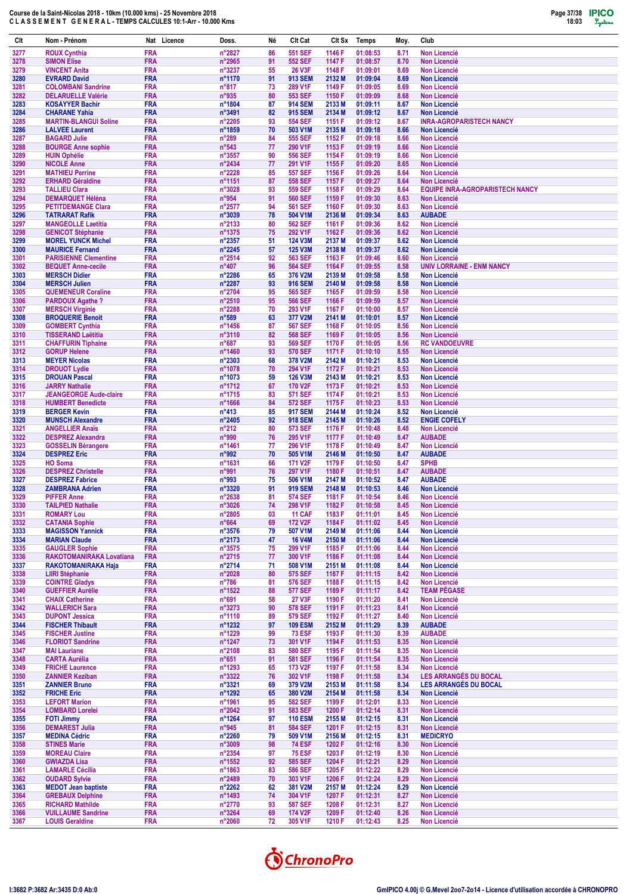

| <b>FRA</b><br>n°2827<br>3277<br><b>ROUX Cynthia</b><br>86<br>551 SEF<br>1146 F<br>01:08:53<br>8.71<br><b>Non Licencié</b><br>n°2965<br>3278<br><b>SIMON Elise</b><br><b>FRA</b><br>91<br><b>552 SEF</b><br>1147 F<br>01:08:57<br>8.70<br><b>Non Licencié</b><br>n°3237<br>3279<br><b>FRA</b><br>55<br><b>26 V3F</b><br>1148 F<br>01:09:01<br>8.69<br><b>VINCENT Anita</b><br><b>Non Licencié</b><br><b>FRA</b><br>3280<br><b>EVRARD David</b><br>nº1170<br>91<br><b>913 SEM</b><br>2132 M<br>01:09:04<br>8.69<br><b>Non Licencié</b><br>3281<br><b>FRA</b><br>$n^{\circ}817$<br>73<br>289 V1F<br>1149 F<br>01:09:05<br><b>Non Licencié</b><br><b>COLOMBANI Sandrine</b><br>8.69<br>3282<br><b>FRA</b><br>n°935<br>553 SEF<br>1150 F<br>01:09:09<br><b>DELARUELLE Valérie</b><br>80<br>8.68<br><b>Non Licencié</b><br>3283<br><b>KOSAYYER Bachir</b><br><b>FRA</b><br>n°1804<br>87<br><b>914 SEM</b><br>2133 M<br>01:09:11<br>8.67<br><b>Non Licencié</b><br>3284<br><b>FRA</b><br>n°3491<br>82<br><b>915 SEM</b><br>2134 M<br>01:09:12<br><b>Non Licencié</b><br><b>CHARANE Yahia</b><br>8.67<br>3285<br><b>MARTIN-BLANGUI Soline</b><br><b>FRA</b><br>n°2205<br><b>554 SEF</b><br>1151 F<br>01:09:12<br><b>INRA-AGROPARISTECH NANCY</b><br>93<br>8.67<br>3286<br><b>FRA</b><br>n°1859<br>70<br>503 V1M<br>2135 M<br>01:09:18<br>8.66<br><b>LALVEE Laurent</b><br><b>Non Licencié</b><br>3287<br><b>FRA</b><br>$n^{\circ}289$<br>84<br><b>555 SEF</b><br>1152 F<br>01:09:18<br><b>BAGARD Julie</b><br>8.66<br><b>Non Licencié</b><br><b>FRA</b><br>$n^{\circ}543$<br>290 V1F<br>1153 F<br>01:09:19<br>3288<br><b>BOURGE Anne sophie</b><br>77<br>8.66<br><b>Non Licencié</b><br>3289<br><b>FRA</b><br>$n^{\circ}3557$<br>90<br><b>556 SEF</b><br>1154 F<br>01:09:19<br><b>Non Licencié</b><br><b>HUIN Ophélie</b><br>8.66<br><b>FRA</b><br>n°2434<br>77<br>291 V1F<br>1155 F<br>01:09:20<br>3290<br><b>NICOLE Anne</b><br>8.65<br><b>Non Licencié</b><br><b>FRA</b><br>n°2228<br><b>557 SEF</b><br>1156 F<br>01:09:26<br>3291<br><b>MATHIEU Perrine</b><br>85<br>8.64<br><b>Non Licencié</b><br><b>FRA</b><br>3292<br><b>ERHARD Géraldine</b><br>n°1151<br>87<br><b>558 SEF</b><br>1157 F<br>01:09:27<br>8.64<br><b>Non Licencié</b><br><b>EQUIPE INRA-AGROPARISTECH NANCY</b><br>3293<br><b>FRA</b><br>n°3028<br>93<br><b>559 SEF</b><br>1158 F<br>01:09:29<br><b>TALLIEU Clara</b><br>8.64<br>n°954<br>3294<br><b>FRA</b><br>91<br><b>560 SEF</b><br>1159 F<br>01:09:30<br>8.63<br><b>DEMARQUET Héléna</b><br><b>Non Licencié</b><br>3295<br><b>FRA</b><br>$n^{\circ}2577$<br>94<br><b>561 SEF</b><br>1160 F<br>01:09:30<br><b>Non Licencié</b><br><b>PETITDEMANGE Clara</b><br>8.63<br><b>FRA</b><br>n°3039<br>78<br>01:09:34<br><b>AUBADE</b><br>3296<br><b>TATRARAT Rafik</b><br>504 V1M<br>2136 M<br>8.63<br>3297<br><b>FRA</b><br>n°2133<br>80<br><b>562 SEF</b><br>1161 F<br>01:09:36<br>8.62<br><b>Non Licencié</b><br><b>MANGEOLLE Laetitia</b><br><b>FRA</b><br>n°1375<br>75<br>292 V1F<br>3298<br>1162 F<br>01:09:36<br>8.62<br><b>Non Licencié</b><br><b>GENICOT Stéphanie</b><br><b>FRA</b><br>$n^{\circ}2357$<br>51<br>01:09:37<br>3299<br><b>MOREL YUNCK Michel</b><br>124 V3M<br>2137 M<br>8.62<br><b>Non Licencié</b><br>3300<br><b>FRA</b><br>n°2245<br>57<br>125 V3M<br>2138 M<br>01:09:37<br>8.62<br><b>MAURICE Fernand</b><br><b>Non Licencié</b><br>3301<br><b>PARISIENNE Clementine</b><br><b>FRA</b><br>$n^{\circ}2514$<br>92<br>563 SEF<br>1163 F<br>01:09:46<br>8.60<br><b>Non Licencié</b><br><b>FRA</b><br>$n^{\circ}407$<br>96<br><b>564 SEF</b><br>1164 F<br><b>UNIV LORRAINE - ENM NANCY</b><br>3302<br><b>BEQUET Anne-cecile</b><br>01:09:55<br>8.58<br><b>FRA</b><br>3303<br><b>MERSCH Didier</b><br>$n^{\circ}2286$<br>65<br>376 V2M<br>2139 M<br>01:09:58<br>8.58<br><b>Non Licencié</b><br>n°2287<br>3304<br><b>MERSCH Julien</b><br><b>FRA</b><br>93<br><b>916 SEM</b><br>2140 M<br>01:09:58<br>8.58<br><b>Non Licencié</b><br>3305<br><b>FRA</b><br>n°2704<br>95<br><b>565 SEF</b><br>1165 F<br>01:09:59<br><b>QUEMENEUR Coraline</b><br>8.58<br><b>Non Licencié</b><br>3306<br><b>FRA</b><br>n°2510<br>95<br><b>566 SEF</b><br>1166 F<br>01:09:59<br>8.57<br><b>Non Licencié</b><br><b>PARDOUX Agathe?</b><br><b>FRA</b><br>n°2288<br>70<br>293 V1F<br>1167 F<br>01:10:00<br><b>Non Licencié</b><br>3307<br><b>MERSCH Virginie</b><br>8.57<br>3308<br><b>FRA</b><br>$n^{\circ}589$<br>63<br>377 V2M<br>2141 M<br>01:10:01<br><b>Non Licencié</b><br><b>BROQUERIE Benoit</b><br>8.57<br>3309<br><b>FRA</b><br>n°1456<br>87<br><b>567 SEF</b><br>1168 F<br>01:10:05<br><b>GOMBERT Cynthia</b><br>8.56<br><b>Non Licencié</b><br>82<br><b>FRA</b><br>n°3110<br><b>568 SEF</b><br>1169 F<br>01:10:05<br><b>Non Licencié</b><br>3310<br><b>TISSERAND Laëtitia</b><br>8.56<br><b>FRA</b><br>$n^{\circ}687$<br>93<br><b>569 SEF</b><br>1170 F<br>01:10:05<br><b>RC VANDOEUVRE</b><br>3311<br><b>CHAFFURIN Tiphaine</b><br>8.56<br><b>FRA</b><br>n°1460<br>3312<br>93<br><b>570 SEF</b><br>1171 F<br>01:10:10<br>8.55<br><b>GORUP Helene</b><br><b>Non Licencié</b><br>3313<br><b>FRA</b><br>n°2303<br>68<br>378 V2M<br>2142 M<br>01:10:21<br><b>Non Licencié</b><br><b>MEYER Nicolas</b><br>8.53<br>n°1078<br>3314<br><b>FRA</b><br>70<br>294 V1F<br>1172 F<br>01:10:21<br>8.53<br><b>Non Licencié</b><br><b>DROUOT Lydie</b><br><b>FRA</b><br>3315<br>n°1073<br>59<br>2143 M<br>01:10:21<br>8.53<br><b>DROUAN Pascal</b><br><b>126 V3M</b><br><b>Non Licencié</b><br>3316<br><b>FRA</b><br>n°1712<br>67<br>170 V2F<br>1173 F<br>01:10:21<br>8.53<br><b>Non Licencié</b><br><b>JARRY Nathalie</b><br>3317<br><b>FRA</b><br>n°1715<br><b>571 SEF</b><br>1174 F<br>01:10:21<br><b>JEANGEORGE Aude-claire</b><br>83<br>8.53<br><b>Non Licencié</b><br><b>FRA</b><br>84<br>n°1666<br><b>572 SEF</b><br>1175 F<br>01:10:23<br>3318<br><b>HUMBERT Benedicte</b><br>8.53<br><b>Non Licencié</b><br>3319<br><b>FRA</b><br>$n^{\circ}413$<br>85<br><b>917 SEM</b><br>2144 M<br>01:10:24<br>8.52<br><b>Non Licencié</b><br><b>BERGER Kevin</b><br>3320<br><b>FRA</b><br>n°2405<br>92<br><b>918 SEM</b><br>2145 M<br>01:10:26<br>8.52<br><b>ENGIE COFELY</b><br><b>MUNSCH Alexandre</b><br>3321<br><b>FRA</b><br>$n^{\circ}212$<br>80<br>01:10:48<br><b>Non Licencié</b><br><b>ANGELLIER Anaïs</b><br><b>573 SEF</b><br>1176 F<br>8.48<br>3322<br><b>FRA</b><br>n°990<br>76<br>295 V1F<br>1177 F<br>01:10:49<br><b>AUBADE</b><br><b>DESPREZ Alexandra</b><br>8.47<br>3323<br><b>GOSSELIN Bérangere</b><br><b>FRA</b><br>n°1461<br>77<br>296 V1F<br>1178 F<br>01:10:49<br>8.47<br><b>Non Licencié</b><br><b>FRA</b><br>n°992<br>70<br><b>AUBADE</b><br>3324<br><b>DESPREZ Eric</b><br>505 V1M<br>2146 M<br>01:10:50<br>8.47<br>3325<br><b>FRA</b><br>n°1631<br>66<br>171 V2F<br>1179 F<br>01:10:50<br>8.47<br><b>SPHB</b><br><b>HO Soma</b><br>3326<br><b>DESPREZ Christelle</b><br><b>FRA</b><br>n°991<br>76<br>297 V1F<br>1180 F<br>01:10:51<br><b>AUBADE</b><br>8.47<br><b>FRA</b><br>3327<br><b>DESPREZ Fabrice</b><br>n°993<br>75<br>2147 M<br>01:10:52<br><b>AUBADE</b><br>506 V1M<br>8.47<br>3328<br><b>FRA</b><br>n°3320<br>91<br><b>919 SEM</b><br>2148 M<br>01:10:53<br><b>ZAMBRANA Adrien</b><br>8.46<br><b>Non Licencié</b><br>3329<br><b>FRA</b><br>$n^{\circ}2638$<br>81<br><b>574 SEF</b><br>1181 F<br>01:10:54<br><b>PIFFER Anne</b><br>8.46<br><b>Non Licencié</b><br>3330<br><b>FRA</b><br>n°3026<br>74<br>298 V1F<br>1182 F<br><b>TAILPIED Nathalie</b><br>01:10:58<br>8.45<br><b>Non Licencié</b><br><b>FRA</b><br>3331<br><b>ROMARY Lou</b><br>$n^{\circ}2805$<br>03<br><b>11 CAF</b><br>1183 F<br>01:11:01<br>8.45<br>Non Licencié<br>3332<br><b>FRA</b><br>$n^{\circ}664$<br>172 V2F<br><b>CATANIA Sophie</b><br>69<br>1184 F<br>01:11:02<br>8.45<br>Non Licencié<br>3333<br><b>MAGISSON Yannick</b><br><b>FRA</b><br>$n^{\circ}3576$<br>79<br>507 V1M<br>2149 M<br>01:11:06<br>Non Licencié<br>8.44<br><b>FRA</b><br>3334<br><b>MARIAN Claude</b><br>n°2173<br>47<br><b>16 V4M</b><br>2150 M<br>8.44<br><b>Non Licencié</b><br>01:11:06<br>3335<br><b>FRA</b><br>$n^{\circ}3575$<br>75<br>299 V1F<br>1185 F<br>01:11:06<br>Non Licencié<br><b>GAUGLER Sophie</b><br>8.44<br><b>FRA</b><br>3336<br>RAKOTOMANIRAKA Lovatiana<br>$n^{\circ}2715$<br>77<br>300 V1F<br>1186 F<br>01:11:08<br>8.44<br><b>Non Licencié</b><br>3337<br>RAKOTOMANIRAKA Haja<br><b>FRA</b><br>$n^{\circ}2714$<br>71<br>508 V1M<br>8.44<br><b>Non Licencié</b><br>2151 M<br>01:11:08<br>n°2028<br>3338<br><b>FRA</b><br>575 SEF<br>1187 F<br>01:11:15<br>Non Licencié<br><b>LIIRI Stéphanie</b><br>80<br>8.42<br>3339<br><b>COINTRE Gladys</b><br><b>FRA</b><br>$n^{\circ}786$<br>81<br>576 SEF<br>1188 F<br>01:11:15<br>8.42<br><b>Non Licencié</b><br><b>TEAM PÉGASE</b><br><b>FRA</b><br>$n^{\circ}1522$<br>88<br><b>577 SEF</b><br>1189 F<br>3340<br><b>GUEFFIER Aurélie</b><br>01:11:17<br>8.42<br>3341<br><b>CHAIX Catherine</b><br><b>FRA</b><br>$n^{\circ}691$<br>58<br>27 V3F<br>1190 F<br>01:11:20<br>8.41<br><b>Non Licencié</b><br>3342<br><b>WALLERICH Sara</b><br><b>FRA</b><br>$n^{\circ}3273$<br>90<br><b>578 SEF</b><br>1191 F<br>01:11:23<br><b>Non Licencié</b><br>8.41<br>3343<br><b>DUPONT Jessica</b><br><b>FRA</b><br>n°1110<br>89<br>579 SEF<br>1192 F<br>01:11:27<br>8.40<br><b>Non Licencié</b><br>3344<br><b>FISCHER Thibault</b><br><b>FRA</b><br>$n^{\circ}$ 1232<br>97<br><b>109 ESM</b><br>2152 M<br>01:11:29<br>8.39<br><b>AUBADE</b><br><b>FRA</b><br>n°1229<br>3345<br><b>FISCHER Justine</b><br>99<br><b>73 ESF</b><br>1193 F<br>01:11:30<br>8.39<br><b>AUBADE</b><br><b>FRA</b><br>$n^{\circ}$ 1247<br>301 V1F<br>Non Licencié<br>3346<br><b>FLORIOT Sandrine</b><br>73<br>1194 F<br>01:11:53<br>8.35<br>3347<br><b>FRA</b><br>$n^{\circ}2108$<br>83<br><b>580 SEF</b><br>1195 F<br>01:11:54<br>8.35<br>Non Licencié<br><b>MAI Lauriane</b><br><b>FRA</b><br>3348<br><b>CARTA Aurélia</b><br>$n^{\circ}651$<br>91<br><b>581 SEF</b><br>1196 F<br>01:11:54<br>8.35<br><b>Non Licencié</b><br>3349<br><b>FRA</b><br>$n^{\circ}$ 1293<br>173 V2F<br>Non Licencié<br><b>FRICHE Laurence</b><br>65<br>1197 F<br>01:11:58<br>8.34<br><b>FRA</b><br>$n^{\circ}3322$<br>302 V1F<br>LES ARRANGÉS DU BOCAL<br>3350<br><b>ZANNIER Keziban</b><br>76<br>1198 F<br>01:11:58<br>8.34<br>n°3321<br>LES ARRANGÉS DU BOCAL<br>3351<br><b>ZANNIER Bruno</b><br><b>FRA</b><br>69<br>379 V2M<br>2153 M<br>01:11:58<br>8.34<br>3352<br><b>FRICHE Eric</b><br><b>FRA</b><br>$n^{\circ}$ 1292<br>65<br>380 V2M<br>2154 M<br>01:11:58<br>8.34<br><b>Non Licencié</b><br>3353<br><b>LEFORT Marion</b><br><b>FRA</b><br>n°1961<br>95<br><b>582 SEF</b><br>1199 F<br>01:12:01<br>8.33<br>Non Licencié<br><b>583 SEF</b><br>3354<br><b>LOMBARD Lorelei</b><br><b>FRA</b><br>$n^{\circ}2042$<br>91<br>1200 F<br>01:12:14<br><b>Non Licencié</b><br>8.31<br>3355<br><b>FOTI Jimmy</b><br><b>FRA</b><br>$n^{\circ}$ 1264<br><b>110 ESM</b><br>2155 M<br>01:12:15<br>Non Licencié<br>97<br>8.31<br><b>FRA</b><br>n°945<br>3356<br><b>DEMAREST Julia</b><br>81<br><b>584 SEF</b><br>1201 F<br>01:12:15<br>Non Licencié<br>8.31<br>3357<br><b>MEDINA Cédric</b><br><b>FRA</b><br>$n^{\circ}2260$<br>79<br>509 V1M<br>2156 M<br>01:12:15<br><b>MEDICRYO</b><br>8.31<br>3358<br><b>STINES Marie</b><br><b>FRA</b><br>$n^{\circ}3009$<br>98<br><b>74 ESF</b><br>1202 F<br>01:12:16<br>Non Licencié<br>8.30<br><b>FRA</b><br>3359<br>$n^{\circ}2354$<br>97<br><b>75 ESF</b><br>1203 F<br>01:12:19<br>Non Licencié<br><b>MOREAU Claire</b><br>8.30<br><b>FRA</b><br>$n^{\circ}1552$<br>92<br><b>585 SEF</b><br>1204 F<br>01:12:21<br>Non Licencié<br>3360<br><b>GWIAZDA Lisa</b><br>8.29<br>n°1863<br>3361<br><b>LAMARLE Cécilia</b><br><b>FRA</b><br>83<br><b>586 SEF</b><br>1205 F<br>01:12:22<br>8.29<br><b>Non Licencié</b><br><b>FRA</b><br>n°2489<br>3362<br>70<br>303 V1F<br>1206 F<br>01:12:24<br>Non Licencié<br><b>OUDARD Sylvie</b><br>8.29<br>3363<br><b>MEDOT Jean baptiste</b><br><b>FRA</b><br>$n^{\circ}2262$<br>62<br>381 V2M<br>2157 M<br>01:12:24<br>8.29<br><b>Non Licencié</b><br>3364<br><b>GREBAUX Delphine</b><br><b>FRA</b><br>$n^{\circ}$ 1493<br>304 V1F<br>1207 F<br>01:12:31<br>Non Licencié<br>74<br>8.27<br><b>FRA</b><br>3365<br><b>RICHARD Mathilde</b><br>n°2770<br>93<br><b>587 SEF</b><br>Non Licencié<br>1208 F<br>01:12:31<br>8.27 | Clt | Nom - Prénom | Nat Licence | Doss. | Né | Clt Cat | CIt Sx | Temps | Moy. | Club |
|-----------------------------------------------------------------------------------------------------------------------------------------------------------------------------------------------------------------------------------------------------------------------------------------------------------------------------------------------------------------------------------------------------------------------------------------------------------------------------------------------------------------------------------------------------------------------------------------------------------------------------------------------------------------------------------------------------------------------------------------------------------------------------------------------------------------------------------------------------------------------------------------------------------------------------------------------------------------------------------------------------------------------------------------------------------------------------------------------------------------------------------------------------------------------------------------------------------------------------------------------------------------------------------------------------------------------------------------------------------------------------------------------------------------------------------------------------------------------------------------------------------------------------------------------------------------------------------------------------------------------------------------------------------------------------------------------------------------------------------------------------------------------------------------------------------------------------------------------------------------------------------------------------------------------------------------------------------------------------------------------------------------------------------------------------------------------------------------------------------------------------------------------------------------------------------------------------------------------------------------------------------------------------------------------------------------------------------------------------------------------------------------------------------------------------------------------------------------------------------------------------------------------------------------------------------------------------------------------------------------------------------------------------------------------------------------------------------------------------------------------------------------------------------------------------------------------------------------------------------------------------------------------------------------------------------------------------------------------------------------------------------------------------------------------------------------------------------------------------------------------------------------------------------------------------------------------------------------------------------------------------------------------------------------------------------------------------------------------------------------------------------------------------------------------------------------------------------------------------------------------------------------------------------------------------------------------------------------------------------------------------------------------------------------------------------------------------------------------------------------------------------------------------------------------------------------------------------------------------------------------------------------------------------------------------------------------------------------------------------------------------------------------------------------------------------------------------------------------------------------------------------------------------------------------------------------------------------------------------------------------------------------------------------------------------------------------------------------------------------------------------------------------------------------------------------------------------------------------------------------------------------------------------------------------------------------------------------------------------------------------------------------------------------------------------------------------------------------------------------------------------------------------------------------------------------------------------------------------------------------------------------------------------------------------------------------------------------------------------------------------------------------------------------------------------------------------------------------------------------------------------------------------------------------------------------------------------------------------------------------------------------------------------------------------------------------------------------------------------------------------------------------------------------------------------------------------------------------------------------------------------------------------------------------------------------------------------------------------------------------------------------------------------------------------------------------------------------------------------------------------------------------------------------------------------------------------------------------------------------------------------------------------------------------------------------------------------------------------------------------------------------------------------------------------------------------------------------------------------------------------------------------------------------------------------------------------------------------------------------------------------------------------------------------------------------------------------------------------------------------------------------------------------------------------------------------------------------------------------------------------------------------------------------------------------------------------------------------------------------------------------------------------------------------------------------------------------------------------------------------------------------------------------------------------------------------------------------------------------------------------------------------------------------------------------------------------------------------------------------------------------------------------------------------------------------------------------------------------------------------------------------------------------------------------------------------------------------------------------------------------------------------------------------------------------------------------------------------------------------------------------------------------------------------------------------------------------------------------------------------------------------------------------------------------------------------------------------------------------------------------------------------------------------------------------------------------------------------------------------------------------------------------------------------------------------------------------------------------------------------------------------------------------------------------------------------------------------------------------------------------------------------------------------------------------------------------------------------------------------------------------------------------------------------------------------------------------------------------------------------------------------------------------------------------------------------------------------------------------------------------------------------------------------------------------------------------------------------------------------------------------------------------------------------------------------------------------------------------------------------------------------------------------------------------------------------------------------------------------------------------------------------------------------------------------------------------------------------------------------------------------------------------------------------------------------------------------------------------------------------------------------------------------------------------------------------------------------------------------------------------------------------------------------------------------------------------------------------------------------------------------------------------------------------------------------------------------------------------------------------------------------------------------------------------------------------------------------------------------------------------------------------------------------------------------------------------------------------------------------------------------------------------------------------------------------------------------------------------------------------------------------------------------------------------------------------------------------------------------------------------------------------------------------------------------------------------------------------------------------------------------------------------------------------------------------------------------------------------------------------------------------------------------------------------------------------------------------------------------------------------------------------------------------------------------------------------------------------------------------------------------------------------------------------------------------------------------------------------------------------------------------------------------------------------------------------------------------------------------------------------------------------------------------------------------------------------------------------------------------------------------------------------------------------------------------------------------------------------------------------------------------------------------------------------------------------------------------------------------------------------------------------------------------------------------------------------------------------------------------------------------------------------------------------------------------------------------------------------------------------------------------------------------------------------------------------------------------------------------------------------------------------------------------------------------------------------------------------------------------------------------------------------------------------------------------------------------------------------------------------------------------------------------------------------------------------------------------------------------------------------------------------------------------------------------------------------------------------------------------------------------------------------------------------------------------------------------------------------------------------------------------------------------------------------------------------------------------------------------------------------------------------------------------------------------------------------------------------------------------------------------------------------------------------------------------------------------------------------------------------------------------------|-----|--------------|-------------|-------|----|---------|--------|-------|------|------|
|                                                                                                                                                                                                                                                                                                                                                                                                                                                                                                                                                                                                                                                                                                                                                                                                                                                                                                                                                                                                                                                                                                                                                                                                                                                                                                                                                                                                                                                                                                                                                                                                                                                                                                                                                                                                                                                                                                                                                                                                                                                                                                                                                                                                                                                                                                                                                                                                                                                                                                                                                                                                                                                                                                                                                                                                                                                                                                                                                                                                                                                                                                                                                                                                                                                                                                                                                                                                                                                                                                                                                                                                                                                                                                                                                                                                                                                                                                                                                                                                                                                                                                                                                                                                                                                                                                                                                                                                                                                                                                                                                                                                                                                                                                                                                                                                                                                                                                                                                                                                                                                                                                                                                                                                                                                                                                                                                                                                                                                                                                                                                                                                                                                                                                                                                                                                                                                                                                                                                                                                                                                                                                                                                                                                                                                                                                                                                                                                                                                                                                                                                                                                                                                                                                                                                                                                                                                                                                                                                                                                                                                                                                                                                                                                                                                                                                                                                                                                                                                                                                                                                                                                                                                                                                                                                                                                                                                                                                                                                                                                                                                                                                                                                                                                                                                                                                                                                                                                                                                                                                                                                                                                                                                                                                                                                                                                                                                                                                                                                                                                                                                                                                                                                                                                                                                                                                                                                                                                                                                                                                                                                                                                                                                                                                                                                                                                                                                                                                                                                                                                                                                                                                                                                                                                                                                                                                                                                                                                                                                                                                                                                                                                                                                                                                                                                                                                                                                                                                                                                                                                                                                                                                                                                                                                                                                                                                                                                                                                                                                                                                                                                                                                                                                                                                                                                                                                                                                                                                                                                                                                                                                                                                                                                                                                                                                                                                                                                                                         |     |              |             |       |    |         |        |       |      |      |
|                                                                                                                                                                                                                                                                                                                                                                                                                                                                                                                                                                                                                                                                                                                                                                                                                                                                                                                                                                                                                                                                                                                                                                                                                                                                                                                                                                                                                                                                                                                                                                                                                                                                                                                                                                                                                                                                                                                                                                                                                                                                                                                                                                                                                                                                                                                                                                                                                                                                                                                                                                                                                                                                                                                                                                                                                                                                                                                                                                                                                                                                                                                                                                                                                                                                                                                                                                                                                                                                                                                                                                                                                                                                                                                                                                                                                                                                                                                                                                                                                                                                                                                                                                                                                                                                                                                                                                                                                                                                                                                                                                                                                                                                                                                                                                                                                                                                                                                                                                                                                                                                                                                                                                                                                                                                                                                                                                                                                                                                                                                                                                                                                                                                                                                                                                                                                                                                                                                                                                                                                                                                                                                                                                                                                                                                                                                                                                                                                                                                                                                                                                                                                                                                                                                                                                                                                                                                                                                                                                                                                                                                                                                                                                                                                                                                                                                                                                                                                                                                                                                                                                                                                                                                                                                                                                                                                                                                                                                                                                                                                                                                                                                                                                                                                                                                                                                                                                                                                                                                                                                                                                                                                                                                                                                                                                                                                                                                                                                                                                                                                                                                                                                                                                                                                                                                                                                                                                                                                                                                                                                                                                                                                                                                                                                                                                                                                                                                                                                                                                                                                                                                                                                                                                                                                                                                                                                                                                                                                                                                                                                                                                                                                                                                                                                                                                                                                                                                                                                                                                                                                                                                                                                                                                                                                                                                                                                                                                                                                                                                                                                                                                                                                                                                                                                                                                                                                                                                                                                                                                                                                                                                                                                                                                                                                                                                                                                                                                                         |     |              |             |       |    |         |        |       |      |      |
|                                                                                                                                                                                                                                                                                                                                                                                                                                                                                                                                                                                                                                                                                                                                                                                                                                                                                                                                                                                                                                                                                                                                                                                                                                                                                                                                                                                                                                                                                                                                                                                                                                                                                                                                                                                                                                                                                                                                                                                                                                                                                                                                                                                                                                                                                                                                                                                                                                                                                                                                                                                                                                                                                                                                                                                                                                                                                                                                                                                                                                                                                                                                                                                                                                                                                                                                                                                                                                                                                                                                                                                                                                                                                                                                                                                                                                                                                                                                                                                                                                                                                                                                                                                                                                                                                                                                                                                                                                                                                                                                                                                                                                                                                                                                                                                                                                                                                                                                                                                                                                                                                                                                                                                                                                                                                                                                                                                                                                                                                                                                                                                                                                                                                                                                                                                                                                                                                                                                                                                                                                                                                                                                                                                                                                                                                                                                                                                                                                                                                                                                                                                                                                                                                                                                                                                                                                                                                                                                                                                                                                                                                                                                                                                                                                                                                                                                                                                                                                                                                                                                                                                                                                                                                                                                                                                                                                                                                                                                                                                                                                                                                                                                                                                                                                                                                                                                                                                                                                                                                                                                                                                                                                                                                                                                                                                                                                                                                                                                                                                                                                                                                                                                                                                                                                                                                                                                                                                                                                                                                                                                                                                                                                                                                                                                                                                                                                                                                                                                                                                                                                                                                                                                                                                                                                                                                                                                                                                                                                                                                                                                                                                                                                                                                                                                                                                                                                                                                                                                                                                                                                                                                                                                                                                                                                                                                                                                                                                                                                                                                                                                                                                                                                                                                                                                                                                                                                                                                                                                                                                                                                                                                                                                                                                                                                                                                                                                                                                         |     |              |             |       |    |         |        |       |      |      |
|                                                                                                                                                                                                                                                                                                                                                                                                                                                                                                                                                                                                                                                                                                                                                                                                                                                                                                                                                                                                                                                                                                                                                                                                                                                                                                                                                                                                                                                                                                                                                                                                                                                                                                                                                                                                                                                                                                                                                                                                                                                                                                                                                                                                                                                                                                                                                                                                                                                                                                                                                                                                                                                                                                                                                                                                                                                                                                                                                                                                                                                                                                                                                                                                                                                                                                                                                                                                                                                                                                                                                                                                                                                                                                                                                                                                                                                                                                                                                                                                                                                                                                                                                                                                                                                                                                                                                                                                                                                                                                                                                                                                                                                                                                                                                                                                                                                                                                                                                                                                                                                                                                                                                                                                                                                                                                                                                                                                                                                                                                                                                                                                                                                                                                                                                                                                                                                                                                                                                                                                                                                                                                                                                                                                                                                                                                                                                                                                                                                                                                                                                                                                                                                                                                                                                                                                                                                                                                                                                                                                                                                                                                                                                                                                                                                                                                                                                                                                                                                                                                                                                                                                                                                                                                                                                                                                                                                                                                                                                                                                                                                                                                                                                                                                                                                                                                                                                                                                                                                                                                                                                                                                                                                                                                                                                                                                                                                                                                                                                                                                                                                                                                                                                                                                                                                                                                                                                                                                                                                                                                                                                                                                                                                                                                                                                                                                                                                                                                                                                                                                                                                                                                                                                                                                                                                                                                                                                                                                                                                                                                                                                                                                                                                                                                                                                                                                                                                                                                                                                                                                                                                                                                                                                                                                                                                                                                                                                                                                                                                                                                                                                                                                                                                                                                                                                                                                                                                                                                                                                                                                                                                                                                                                                                                                                                                                                                                                                                                         |     |              |             |       |    |         |        |       |      |      |
|                                                                                                                                                                                                                                                                                                                                                                                                                                                                                                                                                                                                                                                                                                                                                                                                                                                                                                                                                                                                                                                                                                                                                                                                                                                                                                                                                                                                                                                                                                                                                                                                                                                                                                                                                                                                                                                                                                                                                                                                                                                                                                                                                                                                                                                                                                                                                                                                                                                                                                                                                                                                                                                                                                                                                                                                                                                                                                                                                                                                                                                                                                                                                                                                                                                                                                                                                                                                                                                                                                                                                                                                                                                                                                                                                                                                                                                                                                                                                                                                                                                                                                                                                                                                                                                                                                                                                                                                                                                                                                                                                                                                                                                                                                                                                                                                                                                                                                                                                                                                                                                                                                                                                                                                                                                                                                                                                                                                                                                                                                                                                                                                                                                                                                                                                                                                                                                                                                                                                                                                                                                                                                                                                                                                                                                                                                                                                                                                                                                                                                                                                                                                                                                                                                                                                                                                                                                                                                                                                                                                                                                                                                                                                                                                                                                                                                                                                                                                                                                                                                                                                                                                                                                                                                                                                                                                                                                                                                                                                                                                                                                                                                                                                                                                                                                                                                                                                                                                                                                                                                                                                                                                                                                                                                                                                                                                                                                                                                                                                                                                                                                                                                                                                                                                                                                                                                                                                                                                                                                                                                                                                                                                                                                                                                                                                                                                                                                                                                                                                                                                                                                                                                                                                                                                                                                                                                                                                                                                                                                                                                                                                                                                                                                                                                                                                                                                                                                                                                                                                                                                                                                                                                                                                                                                                                                                                                                                                                                                                                                                                                                                                                                                                                                                                                                                                                                                                                                                                                                                                                                                                                                                                                                                                                                                                                                                                                                                                                                         |     |              |             |       |    |         |        |       |      |      |
|                                                                                                                                                                                                                                                                                                                                                                                                                                                                                                                                                                                                                                                                                                                                                                                                                                                                                                                                                                                                                                                                                                                                                                                                                                                                                                                                                                                                                                                                                                                                                                                                                                                                                                                                                                                                                                                                                                                                                                                                                                                                                                                                                                                                                                                                                                                                                                                                                                                                                                                                                                                                                                                                                                                                                                                                                                                                                                                                                                                                                                                                                                                                                                                                                                                                                                                                                                                                                                                                                                                                                                                                                                                                                                                                                                                                                                                                                                                                                                                                                                                                                                                                                                                                                                                                                                                                                                                                                                                                                                                                                                                                                                                                                                                                                                                                                                                                                                                                                                                                                                                                                                                                                                                                                                                                                                                                                                                                                                                                                                                                                                                                                                                                                                                                                                                                                                                                                                                                                                                                                                                                                                                                                                                                                                                                                                                                                                                                                                                                                                                                                                                                                                                                                                                                                                                                                                                                                                                                                                                                                                                                                                                                                                                                                                                                                                                                                                                                                                                                                                                                                                                                                                                                                                                                                                                                                                                                                                                                                                                                                                                                                                                                                                                                                                                                                                                                                                                                                                                                                                                                                                                                                                                                                                                                                                                                                                                                                                                                                                                                                                                                                                                                                                                                                                                                                                                                                                                                                                                                                                                                                                                                                                                                                                                                                                                                                                                                                                                                                                                                                                                                                                                                                                                                                                                                                                                                                                                                                                                                                                                                                                                                                                                                                                                                                                                                                                                                                                                                                                                                                                                                                                                                                                                                                                                                                                                                                                                                                                                                                                                                                                                                                                                                                                                                                                                                                                                                                                                                                                                                                                                                                                                                                                                                                                                                                                                                                                                         |     |              |             |       |    |         |        |       |      |      |
|                                                                                                                                                                                                                                                                                                                                                                                                                                                                                                                                                                                                                                                                                                                                                                                                                                                                                                                                                                                                                                                                                                                                                                                                                                                                                                                                                                                                                                                                                                                                                                                                                                                                                                                                                                                                                                                                                                                                                                                                                                                                                                                                                                                                                                                                                                                                                                                                                                                                                                                                                                                                                                                                                                                                                                                                                                                                                                                                                                                                                                                                                                                                                                                                                                                                                                                                                                                                                                                                                                                                                                                                                                                                                                                                                                                                                                                                                                                                                                                                                                                                                                                                                                                                                                                                                                                                                                                                                                                                                                                                                                                                                                                                                                                                                                                                                                                                                                                                                                                                                                                                                                                                                                                                                                                                                                                                                                                                                                                                                                                                                                                                                                                                                                                                                                                                                                                                                                                                                                                                                                                                                                                                                                                                                                                                                                                                                                                                                                                                                                                                                                                                                                                                                                                                                                                                                                                                                                                                                                                                                                                                                                                                                                                                                                                                                                                                                                                                                                                                                                                                                                                                                                                                                                                                                                                                                                                                                                                                                                                                                                                                                                                                                                                                                                                                                                                                                                                                                                                                                                                                                                                                                                                                                                                                                                                                                                                                                                                                                                                                                                                                                                                                                                                                                                                                                                                                                                                                                                                                                                                                                                                                                                                                                                                                                                                                                                                                                                                                                                                                                                                                                                                                                                                                                                                                                                                                                                                                                                                                                                                                                                                                                                                                                                                                                                                                                                                                                                                                                                                                                                                                                                                                                                                                                                                                                                                                                                                                                                                                                                                                                                                                                                                                                                                                                                                                                                                                                                                                                                                                                                                                                                                                                                                                                                                                                                                                                                                         |     |              |             |       |    |         |        |       |      |      |
|                                                                                                                                                                                                                                                                                                                                                                                                                                                                                                                                                                                                                                                                                                                                                                                                                                                                                                                                                                                                                                                                                                                                                                                                                                                                                                                                                                                                                                                                                                                                                                                                                                                                                                                                                                                                                                                                                                                                                                                                                                                                                                                                                                                                                                                                                                                                                                                                                                                                                                                                                                                                                                                                                                                                                                                                                                                                                                                                                                                                                                                                                                                                                                                                                                                                                                                                                                                                                                                                                                                                                                                                                                                                                                                                                                                                                                                                                                                                                                                                                                                                                                                                                                                                                                                                                                                                                                                                                                                                                                                                                                                                                                                                                                                                                                                                                                                                                                                                                                                                                                                                                                                                                                                                                                                                                                                                                                                                                                                                                                                                                                                                                                                                                                                                                                                                                                                                                                                                                                                                                                                                                                                                                                                                                                                                                                                                                                                                                                                                                                                                                                                                                                                                                                                                                                                                                                                                                                                                                                                                                                                                                                                                                                                                                                                                                                                                                                                                                                                                                                                                                                                                                                                                                                                                                                                                                                                                                                                                                                                                                                                                                                                                                                                                                                                                                                                                                                                                                                                                                                                                                                                                                                                                                                                                                                                                                                                                                                                                                                                                                                                                                                                                                                                                                                                                                                                                                                                                                                                                                                                                                                                                                                                                                                                                                                                                                                                                                                                                                                                                                                                                                                                                                                                                                                                                                                                                                                                                                                                                                                                                                                                                                                                                                                                                                                                                                                                                                                                                                                                                                                                                                                                                                                                                                                                                                                                                                                                                                                                                                                                                                                                                                                                                                                                                                                                                                                                                                                                                                                                                                                                                                                                                                                                                                                                                                                                                                                                         |     |              |             |       |    |         |        |       |      |      |
|                                                                                                                                                                                                                                                                                                                                                                                                                                                                                                                                                                                                                                                                                                                                                                                                                                                                                                                                                                                                                                                                                                                                                                                                                                                                                                                                                                                                                                                                                                                                                                                                                                                                                                                                                                                                                                                                                                                                                                                                                                                                                                                                                                                                                                                                                                                                                                                                                                                                                                                                                                                                                                                                                                                                                                                                                                                                                                                                                                                                                                                                                                                                                                                                                                                                                                                                                                                                                                                                                                                                                                                                                                                                                                                                                                                                                                                                                                                                                                                                                                                                                                                                                                                                                                                                                                                                                                                                                                                                                                                                                                                                                                                                                                                                                                                                                                                                                                                                                                                                                                                                                                                                                                                                                                                                                                                                                                                                                                                                                                                                                                                                                                                                                                                                                                                                                                                                                                                                                                                                                                                                                                                                                                                                                                                                                                                                                                                                                                                                                                                                                                                                                                                                                                                                                                                                                                                                                                                                                                                                                                                                                                                                                                                                                                                                                                                                                                                                                                                                                                                                                                                                                                                                                                                                                                                                                                                                                                                                                                                                                                                                                                                                                                                                                                                                                                                                                                                                                                                                                                                                                                                                                                                                                                                                                                                                                                                                                                                                                                                                                                                                                                                                                                                                                                                                                                                                                                                                                                                                                                                                                                                                                                                                                                                                                                                                                                                                                                                                                                                                                                                                                                                                                                                                                                                                                                                                                                                                                                                                                                                                                                                                                                                                                                                                                                                                                                                                                                                                                                                                                                                                                                                                                                                                                                                                                                                                                                                                                                                                                                                                                                                                                                                                                                                                                                                                                                                                                                                                                                                                                                                                                                                                                                                                                                                                                                                                                                                         |     |              |             |       |    |         |        |       |      |      |
|                                                                                                                                                                                                                                                                                                                                                                                                                                                                                                                                                                                                                                                                                                                                                                                                                                                                                                                                                                                                                                                                                                                                                                                                                                                                                                                                                                                                                                                                                                                                                                                                                                                                                                                                                                                                                                                                                                                                                                                                                                                                                                                                                                                                                                                                                                                                                                                                                                                                                                                                                                                                                                                                                                                                                                                                                                                                                                                                                                                                                                                                                                                                                                                                                                                                                                                                                                                                                                                                                                                                                                                                                                                                                                                                                                                                                                                                                                                                                                                                                                                                                                                                                                                                                                                                                                                                                                                                                                                                                                                                                                                                                                                                                                                                                                                                                                                                                                                                                                                                                                                                                                                                                                                                                                                                                                                                                                                                                                                                                                                                                                                                                                                                                                                                                                                                                                                                                                                                                                                                                                                                                                                                                                                                                                                                                                                                                                                                                                                                                                                                                                                                                                                                                                                                                                                                                                                                                                                                                                                                                                                                                                                                                                                                                                                                                                                                                                                                                                                                                                                                                                                                                                                                                                                                                                                                                                                                                                                                                                                                                                                                                                                                                                                                                                                                                                                                                                                                                                                                                                                                                                                                                                                                                                                                                                                                                                                                                                                                                                                                                                                                                                                                                                                                                                                                                                                                                                                                                                                                                                                                                                                                                                                                                                                                                                                                                                                                                                                                                                                                                                                                                                                                                                                                                                                                                                                                                                                                                                                                                                                                                                                                                                                                                                                                                                                                                                                                                                                                                                                                                                                                                                                                                                                                                                                                                                                                                                                                                                                                                                                                                                                                                                                                                                                                                                                                                                                                                                                                                                                                                                                                                                                                                                                                                                                                                                                                                                                         |     |              |             |       |    |         |        |       |      |      |
|                                                                                                                                                                                                                                                                                                                                                                                                                                                                                                                                                                                                                                                                                                                                                                                                                                                                                                                                                                                                                                                                                                                                                                                                                                                                                                                                                                                                                                                                                                                                                                                                                                                                                                                                                                                                                                                                                                                                                                                                                                                                                                                                                                                                                                                                                                                                                                                                                                                                                                                                                                                                                                                                                                                                                                                                                                                                                                                                                                                                                                                                                                                                                                                                                                                                                                                                                                                                                                                                                                                                                                                                                                                                                                                                                                                                                                                                                                                                                                                                                                                                                                                                                                                                                                                                                                                                                                                                                                                                                                                                                                                                                                                                                                                                                                                                                                                                                                                                                                                                                                                                                                                                                                                                                                                                                                                                                                                                                                                                                                                                                                                                                                                                                                                                                                                                                                                                                                                                                                                                                                                                                                                                                                                                                                                                                                                                                                                                                                                                                                                                                                                                                                                                                                                                                                                                                                                                                                                                                                                                                                                                                                                                                                                                                                                                                                                                                                                                                                                                                                                                                                                                                                                                                                                                                                                                                                                                                                                                                                                                                                                                                                                                                                                                                                                                                                                                                                                                                                                                                                                                                                                                                                                                                                                                                                                                                                                                                                                                                                                                                                                                                                                                                                                                                                                                                                                                                                                                                                                                                                                                                                                                                                                                                                                                                                                                                                                                                                                                                                                                                                                                                                                                                                                                                                                                                                                                                                                                                                                                                                                                                                                                                                                                                                                                                                                                                                                                                                                                                                                                                                                                                                                                                                                                                                                                                                                                                                                                                                                                                                                                                                                                                                                                                                                                                                                                                                                                                                                                                                                                                                                                                                                                                                                                                                                                                                                                                                                         |     |              |             |       |    |         |        |       |      |      |
|                                                                                                                                                                                                                                                                                                                                                                                                                                                                                                                                                                                                                                                                                                                                                                                                                                                                                                                                                                                                                                                                                                                                                                                                                                                                                                                                                                                                                                                                                                                                                                                                                                                                                                                                                                                                                                                                                                                                                                                                                                                                                                                                                                                                                                                                                                                                                                                                                                                                                                                                                                                                                                                                                                                                                                                                                                                                                                                                                                                                                                                                                                                                                                                                                                                                                                                                                                                                                                                                                                                                                                                                                                                                                                                                                                                                                                                                                                                                                                                                                                                                                                                                                                                                                                                                                                                                                                                                                                                                                                                                                                                                                                                                                                                                                                                                                                                                                                                                                                                                                                                                                                                                                                                                                                                                                                                                                                                                                                                                                                                                                                                                                                                                                                                                                                                                                                                                                                                                                                                                                                                                                                                                                                                                                                                                                                                                                                                                                                                                                                                                                                                                                                                                                                                                                                                                                                                                                                                                                                                                                                                                                                                                                                                                                                                                                                                                                                                                                                                                                                                                                                                                                                                                                                                                                                                                                                                                                                                                                                                                                                                                                                                                                                                                                                                                                                                                                                                                                                                                                                                                                                                                                                                                                                                                                                                                                                                                                                                                                                                                                                                                                                                                                                                                                                                                                                                                                                                                                                                                                                                                                                                                                                                                                                                                                                                                                                                                                                                                                                                                                                                                                                                                                                                                                                                                                                                                                                                                                                                                                                                                                                                                                                                                                                                                                                                                                                                                                                                                                                                                                                                                                                                                                                                                                                                                                                                                                                                                                                                                                                                                                                                                                                                                                                                                                                                                                                                                                                                                                                                                                                                                                                                                                                                                                                                                                                                                                                                         |     |              |             |       |    |         |        |       |      |      |
|                                                                                                                                                                                                                                                                                                                                                                                                                                                                                                                                                                                                                                                                                                                                                                                                                                                                                                                                                                                                                                                                                                                                                                                                                                                                                                                                                                                                                                                                                                                                                                                                                                                                                                                                                                                                                                                                                                                                                                                                                                                                                                                                                                                                                                                                                                                                                                                                                                                                                                                                                                                                                                                                                                                                                                                                                                                                                                                                                                                                                                                                                                                                                                                                                                                                                                                                                                                                                                                                                                                                                                                                                                                                                                                                                                                                                                                                                                                                                                                                                                                                                                                                                                                                                                                                                                                                                                                                                                                                                                                                                                                                                                                                                                                                                                                                                                                                                                                                                                                                                                                                                                                                                                                                                                                                                                                                                                                                                                                                                                                                                                                                                                                                                                                                                                                                                                                                                                                                                                                                                                                                                                                                                                                                                                                                                                                                                                                                                                                                                                                                                                                                                                                                                                                                                                                                                                                                                                                                                                                                                                                                                                                                                                                                                                                                                                                                                                                                                                                                                                                                                                                                                                                                                                                                                                                                                                                                                                                                                                                                                                                                                                                                                                                                                                                                                                                                                                                                                                                                                                                                                                                                                                                                                                                                                                                                                                                                                                                                                                                                                                                                                                                                                                                                                                                                                                                                                                                                                                                                                                                                                                                                                                                                                                                                                                                                                                                                                                                                                                                                                                                                                                                                                                                                                                                                                                                                                                                                                                                                                                                                                                                                                                                                                                                                                                                                                                                                                                                                                                                                                                                                                                                                                                                                                                                                                                                                                                                                                                                                                                                                                                                                                                                                                                                                                                                                                                                                                                                                                                                                                                                                                                                                                                                                                                                                                                                                                                                         |     |              |             |       |    |         |        |       |      |      |
|                                                                                                                                                                                                                                                                                                                                                                                                                                                                                                                                                                                                                                                                                                                                                                                                                                                                                                                                                                                                                                                                                                                                                                                                                                                                                                                                                                                                                                                                                                                                                                                                                                                                                                                                                                                                                                                                                                                                                                                                                                                                                                                                                                                                                                                                                                                                                                                                                                                                                                                                                                                                                                                                                                                                                                                                                                                                                                                                                                                                                                                                                                                                                                                                                                                                                                                                                                                                                                                                                                                                                                                                                                                                                                                                                                                                                                                                                                                                                                                                                                                                                                                                                                                                                                                                                                                                                                                                                                                                                                                                                                                                                                                                                                                                                                                                                                                                                                                                                                                                                                                                                                                                                                                                                                                                                                                                                                                                                                                                                                                                                                                                                                                                                                                                                                                                                                                                                                                                                                                                                                                                                                                                                                                                                                                                                                                                                                                                                                                                                                                                                                                                                                                                                                                                                                                                                                                                                                                                                                                                                                                                                                                                                                                                                                                                                                                                                                                                                                                                                                                                                                                                                                                                                                                                                                                                                                                                                                                                                                                                                                                                                                                                                                                                                                                                                                                                                                                                                                                                                                                                                                                                                                                                                                                                                                                                                                                                                                                                                                                                                                                                                                                                                                                                                                                                                                                                                                                                                                                                                                                                                                                                                                                                                                                                                                                                                                                                                                                                                                                                                                                                                                                                                                                                                                                                                                                                                                                                                                                                                                                                                                                                                                                                                                                                                                                                                                                                                                                                                                                                                                                                                                                                                                                                                                                                                                                                                                                                                                                                                                                                                                                                                                                                                                                                                                                                                                                                                                                                                                                                                                                                                                                                                                                                                                                                                                                                                                                         |     |              |             |       |    |         |        |       |      |      |
|                                                                                                                                                                                                                                                                                                                                                                                                                                                                                                                                                                                                                                                                                                                                                                                                                                                                                                                                                                                                                                                                                                                                                                                                                                                                                                                                                                                                                                                                                                                                                                                                                                                                                                                                                                                                                                                                                                                                                                                                                                                                                                                                                                                                                                                                                                                                                                                                                                                                                                                                                                                                                                                                                                                                                                                                                                                                                                                                                                                                                                                                                                                                                                                                                                                                                                                                                                                                                                                                                                                                                                                                                                                                                                                                                                                                                                                                                                                                                                                                                                                                                                                                                                                                                                                                                                                                                                                                                                                                                                                                                                                                                                                                                                                                                                                                                                                                                                                                                                                                                                                                                                                                                                                                                                                                                                                                                                                                                                                                                                                                                                                                                                                                                                                                                                                                                                                                                                                                                                                                                                                                                                                                                                                                                                                                                                                                                                                                                                                                                                                                                                                                                                                                                                                                                                                                                                                                                                                                                                                                                                                                                                                                                                                                                                                                                                                                                                                                                                                                                                                                                                                                                                                                                                                                                                                                                                                                                                                                                                                                                                                                                                                                                                                                                                                                                                                                                                                                                                                                                                                                                                                                                                                                                                                                                                                                                                                                                                                                                                                                                                                                                                                                                                                                                                                                                                                                                                                                                                                                                                                                                                                                                                                                                                                                                                                                                                                                                                                                                                                                                                                                                                                                                                                                                                                                                                                                                                                                                                                                                                                                                                                                                                                                                                                                                                                                                                                                                                                                                                                                                                                                                                                                                                                                                                                                                                                                                                                                                                                                                                                                                                                                                                                                                                                                                                                                                                                                                                                                                                                                                                                                                                                                                                                                                                                                                                                                                                                         |     |              |             |       |    |         |        |       |      |      |
|                                                                                                                                                                                                                                                                                                                                                                                                                                                                                                                                                                                                                                                                                                                                                                                                                                                                                                                                                                                                                                                                                                                                                                                                                                                                                                                                                                                                                                                                                                                                                                                                                                                                                                                                                                                                                                                                                                                                                                                                                                                                                                                                                                                                                                                                                                                                                                                                                                                                                                                                                                                                                                                                                                                                                                                                                                                                                                                                                                                                                                                                                                                                                                                                                                                                                                                                                                                                                                                                                                                                                                                                                                                                                                                                                                                                                                                                                                                                                                                                                                                                                                                                                                                                                                                                                                                                                                                                                                                                                                                                                                                                                                                                                                                                                                                                                                                                                                                                                                                                                                                                                                                                                                                                                                                                                                                                                                                                                                                                                                                                                                                                                                                                                                                                                                                                                                                                                                                                                                                                                                                                                                                                                                                                                                                                                                                                                                                                                                                                                                                                                                                                                                                                                                                                                                                                                                                                                                                                                                                                                                                                                                                                                                                                                                                                                                                                                                                                                                                                                                                                                                                                                                                                                                                                                                                                                                                                                                                                                                                                                                                                                                                                                                                                                                                                                                                                                                                                                                                                                                                                                                                                                                                                                                                                                                                                                                                                                                                                                                                                                                                                                                                                                                                                                                                                                                                                                                                                                                                                                                                                                                                                                                                                                                                                                                                                                                                                                                                                                                                                                                                                                                                                                                                                                                                                                                                                                                                                                                                                                                                                                                                                                                                                                                                                                                                                                                                                                                                                                                                                                                                                                                                                                                                                                                                                                                                                                                                                                                                                                                                                                                                                                                                                                                                                                                                                                                                                                                                                                                                                                                                                                                                                                                                                                                                                                                                                                                                         |     |              |             |       |    |         |        |       |      |      |
|                                                                                                                                                                                                                                                                                                                                                                                                                                                                                                                                                                                                                                                                                                                                                                                                                                                                                                                                                                                                                                                                                                                                                                                                                                                                                                                                                                                                                                                                                                                                                                                                                                                                                                                                                                                                                                                                                                                                                                                                                                                                                                                                                                                                                                                                                                                                                                                                                                                                                                                                                                                                                                                                                                                                                                                                                                                                                                                                                                                                                                                                                                                                                                                                                                                                                                                                                                                                                                                                                                                                                                                                                                                                                                                                                                                                                                                                                                                                                                                                                                                                                                                                                                                                                                                                                                                                                                                                                                                                                                                                                                                                                                                                                                                                                                                                                                                                                                                                                                                                                                                                                                                                                                                                                                                                                                                                                                                                                                                                                                                                                                                                                                                                                                                                                                                                                                                                                                                                                                                                                                                                                                                                                                                                                                                                                                                                                                                                                                                                                                                                                                                                                                                                                                                                                                                                                                                                                                                                                                                                                                                                                                                                                                                                                                                                                                                                                                                                                                                                                                                                                                                                                                                                                                                                                                                                                                                                                                                                                                                                                                                                                                                                                                                                                                                                                                                                                                                                                                                                                                                                                                                                                                                                                                                                                                                                                                                                                                                                                                                                                                                                                                                                                                                                                                                                                                                                                                                                                                                                                                                                                                                                                                                                                                                                                                                                                                                                                                                                                                                                                                                                                                                                                                                                                                                                                                                                                                                                                                                                                                                                                                                                                                                                                                                                                                                                                                                                                                                                                                                                                                                                                                                                                                                                                                                                                                                                                                                                                                                                                                                                                                                                                                                                                                                                                                                                                                                                                                                                                                                                                                                                                                                                                                                                                                                                                                                                                                                         |     |              |             |       |    |         |        |       |      |      |
|                                                                                                                                                                                                                                                                                                                                                                                                                                                                                                                                                                                                                                                                                                                                                                                                                                                                                                                                                                                                                                                                                                                                                                                                                                                                                                                                                                                                                                                                                                                                                                                                                                                                                                                                                                                                                                                                                                                                                                                                                                                                                                                                                                                                                                                                                                                                                                                                                                                                                                                                                                                                                                                                                                                                                                                                                                                                                                                                                                                                                                                                                                                                                                                                                                                                                                                                                                                                                                                                                                                                                                                                                                                                                                                                                                                                                                                                                                                                                                                                                                                                                                                                                                                                                                                                                                                                                                                                                                                                                                                                                                                                                                                                                                                                                                                                                                                                                                                                                                                                                                                                                                                                                                                                                                                                                                                                                                                                                                                                                                                                                                                                                                                                                                                                                                                                                                                                                                                                                                                                                                                                                                                                                                                                                                                                                                                                                                                                                                                                                                                                                                                                                                                                                                                                                                                                                                                                                                                                                                                                                                                                                                                                                                                                                                                                                                                                                                                                                                                                                                                                                                                                                                                                                                                                                                                                                                                                                                                                                                                                                                                                                                                                                                                                                                                                                                                                                                                                                                                                                                                                                                                                                                                                                                                                                                                                                                                                                                                                                                                                                                                                                                                                                                                                                                                                                                                                                                                                                                                                                                                                                                                                                                                                                                                                                                                                                                                                                                                                                                                                                                                                                                                                                                                                                                                                                                                                                                                                                                                                                                                                                                                                                                                                                                                                                                                                                                                                                                                                                                                                                                                                                                                                                                                                                                                                                                                                                                                                                                                                                                                                                                                                                                                                                                                                                                                                                                                                                                                                                                                                                                                                                                                                                                                                                                                                                                                                                                                         |     |              |             |       |    |         |        |       |      |      |
|                                                                                                                                                                                                                                                                                                                                                                                                                                                                                                                                                                                                                                                                                                                                                                                                                                                                                                                                                                                                                                                                                                                                                                                                                                                                                                                                                                                                                                                                                                                                                                                                                                                                                                                                                                                                                                                                                                                                                                                                                                                                                                                                                                                                                                                                                                                                                                                                                                                                                                                                                                                                                                                                                                                                                                                                                                                                                                                                                                                                                                                                                                                                                                                                                                                                                                                                                                                                                                                                                                                                                                                                                                                                                                                                                                                                                                                                                                                                                                                                                                                                                                                                                                                                                                                                                                                                                                                                                                                                                                                                                                                                                                                                                                                                                                                                                                                                                                                                                                                                                                                                                                                                                                                                                                                                                                                                                                                                                                                                                                                                                                                                                                                                                                                                                                                                                                                                                                                                                                                                                                                                                                                                                                                                                                                                                                                                                                                                                                                                                                                                                                                                                                                                                                                                                                                                                                                                                                                                                                                                                                                                                                                                                                                                                                                                                                                                                                                                                                                                                                                                                                                                                                                                                                                                                                                                                                                                                                                                                                                                                                                                                                                                                                                                                                                                                                                                                                                                                                                                                                                                                                                                                                                                                                                                                                                                                                                                                                                                                                                                                                                                                                                                                                                                                                                                                                                                                                                                                                                                                                                                                                                                                                                                                                                                                                                                                                                                                                                                                                                                                                                                                                                                                                                                                                                                                                                                                                                                                                                                                                                                                                                                                                                                                                                                                                                                                                                                                                                                                                                                                                                                                                                                                                                                                                                                                                                                                                                                                                                                                                                                                                                                                                                                                                                                                                                                                                                                                                                                                                                                                                                                                                                                                                                                                                                                                                                                                                                         |     |              |             |       |    |         |        |       |      |      |
|                                                                                                                                                                                                                                                                                                                                                                                                                                                                                                                                                                                                                                                                                                                                                                                                                                                                                                                                                                                                                                                                                                                                                                                                                                                                                                                                                                                                                                                                                                                                                                                                                                                                                                                                                                                                                                                                                                                                                                                                                                                                                                                                                                                                                                                                                                                                                                                                                                                                                                                                                                                                                                                                                                                                                                                                                                                                                                                                                                                                                                                                                                                                                                                                                                                                                                                                                                                                                                                                                                                                                                                                                                                                                                                                                                                                                                                                                                                                                                                                                                                                                                                                                                                                                                                                                                                                                                                                                                                                                                                                                                                                                                                                                                                                                                                                                                                                                                                                                                                                                                                                                                                                                                                                                                                                                                                                                                                                                                                                                                                                                                                                                                                                                                                                                                                                                                                                                                                                                                                                                                                                                                                                                                                                                                                                                                                                                                                                                                                                                                                                                                                                                                                                                                                                                                                                                                                                                                                                                                                                                                                                                                                                                                                                                                                                                                                                                                                                                                                                                                                                                                                                                                                                                                                                                                                                                                                                                                                                                                                                                                                                                                                                                                                                                                                                                                                                                                                                                                                                                                                                                                                                                                                                                                                                                                                                                                                                                                                                                                                                                                                                                                                                                                                                                                                                                                                                                                                                                                                                                                                                                                                                                                                                                                                                                                                                                                                                                                                                                                                                                                                                                                                                                                                                                                                                                                                                                                                                                                                                                                                                                                                                                                                                                                                                                                                                                                                                                                                                                                                                                                                                                                                                                                                                                                                                                                                                                                                                                                                                                                                                                                                                                                                                                                                                                                                                                                                                                                                                                                                                                                                                                                                                                                                                                                                                                                                                                                                         |     |              |             |       |    |         |        |       |      |      |
|                                                                                                                                                                                                                                                                                                                                                                                                                                                                                                                                                                                                                                                                                                                                                                                                                                                                                                                                                                                                                                                                                                                                                                                                                                                                                                                                                                                                                                                                                                                                                                                                                                                                                                                                                                                                                                                                                                                                                                                                                                                                                                                                                                                                                                                                                                                                                                                                                                                                                                                                                                                                                                                                                                                                                                                                                                                                                                                                                                                                                                                                                                                                                                                                                                                                                                                                                                                                                                                                                                                                                                                                                                                                                                                                                                                                                                                                                                                                                                                                                                                                                                                                                                                                                                                                                                                                                                                                                                                                                                                                                                                                                                                                                                                                                                                                                                                                                                                                                                                                                                                                                                                                                                                                                                                                                                                                                                                                                                                                                                                                                                                                                                                                                                                                                                                                                                                                                                                                                                                                                                                                                                                                                                                                                                                                                                                                                                                                                                                                                                                                                                                                                                                                                                                                                                                                                                                                                                                                                                                                                                                                                                                                                                                                                                                                                                                                                                                                                                                                                                                                                                                                                                                                                                                                                                                                                                                                                                                                                                                                                                                                                                                                                                                                                                                                                                                                                                                                                                                                                                                                                                                                                                                                                                                                                                                                                                                                                                                                                                                                                                                                                                                                                                                                                                                                                                                                                                                                                                                                                                                                                                                                                                                                                                                                                                                                                                                                                                                                                                                                                                                                                                                                                                                                                                                                                                                                                                                                                                                                                                                                                                                                                                                                                                                                                                                                                                                                                                                                                                                                                                                                                                                                                                                                                                                                                                                                                                                                                                                                                                                                                                                                                                                                                                                                                                                                                                                                                                                                                                                                                                                                                                                                                                                                                                                                                                                                                                                         |     |              |             |       |    |         |        |       |      |      |
|                                                                                                                                                                                                                                                                                                                                                                                                                                                                                                                                                                                                                                                                                                                                                                                                                                                                                                                                                                                                                                                                                                                                                                                                                                                                                                                                                                                                                                                                                                                                                                                                                                                                                                                                                                                                                                                                                                                                                                                                                                                                                                                                                                                                                                                                                                                                                                                                                                                                                                                                                                                                                                                                                                                                                                                                                                                                                                                                                                                                                                                                                                                                                                                                                                                                                                                                                                                                                                                                                                                                                                                                                                                                                                                                                                                                                                                                                                                                                                                                                                                                                                                                                                                                                                                                                                                                                                                                                                                                                                                                                                                                                                                                                                                                                                                                                                                                                                                                                                                                                                                                                                                                                                                                                                                                                                                                                                                                                                                                                                                                                                                                                                                                                                                                                                                                                                                                                                                                                                                                                                                                                                                                                                                                                                                                                                                                                                                                                                                                                                                                                                                                                                                                                                                                                                                                                                                                                                                                                                                                                                                                                                                                                                                                                                                                                                                                                                                                                                                                                                                                                                                                                                                                                                                                                                                                                                                                                                                                                                                                                                                                                                                                                                                                                                                                                                                                                                                                                                                                                                                                                                                                                                                                                                                                                                                                                                                                                                                                                                                                                                                                                                                                                                                                                                                                                                                                                                                                                                                                                                                                                                                                                                                                                                                                                                                                                                                                                                                                                                                                                                                                                                                                                                                                                                                                                                                                                                                                                                                                                                                                                                                                                                                                                                                                                                                                                                                                                                                                                                                                                                                                                                                                                                                                                                                                                                                                                                                                                                                                                                                                                                                                                                                                                                                                                                                                                                                                                                                                                                                                                                                                                                                                                                                                                                                                                                                                                                                         |     |              |             |       |    |         |        |       |      |      |
|                                                                                                                                                                                                                                                                                                                                                                                                                                                                                                                                                                                                                                                                                                                                                                                                                                                                                                                                                                                                                                                                                                                                                                                                                                                                                                                                                                                                                                                                                                                                                                                                                                                                                                                                                                                                                                                                                                                                                                                                                                                                                                                                                                                                                                                                                                                                                                                                                                                                                                                                                                                                                                                                                                                                                                                                                                                                                                                                                                                                                                                                                                                                                                                                                                                                                                                                                                                                                                                                                                                                                                                                                                                                                                                                                                                                                                                                                                                                                                                                                                                                                                                                                                                                                                                                                                                                                                                                                                                                                                                                                                                                                                                                                                                                                                                                                                                                                                                                                                                                                                                                                                                                                                                                                                                                                                                                                                                                                                                                                                                                                                                                                                                                                                                                                                                                                                                                                                                                                                                                                                                                                                                                                                                                                                                                                                                                                                                                                                                                                                                                                                                                                                                                                                                                                                                                                                                                                                                                                                                                                                                                                                                                                                                                                                                                                                                                                                                                                                                                                                                                                                                                                                                                                                                                                                                                                                                                                                                                                                                                                                                                                                                                                                                                                                                                                                                                                                                                                                                                                                                                                                                                                                                                                                                                                                                                                                                                                                                                                                                                                                                                                                                                                                                                                                                                                                                                                                                                                                                                                                                                                                                                                                                                                                                                                                                                                                                                                                                                                                                                                                                                                                                                                                                                                                                                                                                                                                                                                                                                                                                                                                                                                                                                                                                                                                                                                                                                                                                                                                                                                                                                                                                                                                                                                                                                                                                                                                                                                                                                                                                                                                                                                                                                                                                                                                                                                                                                                                                                                                                                                                                                                                                                                                                                                                                                                                                                                                                         |     |              |             |       |    |         |        |       |      |      |
|                                                                                                                                                                                                                                                                                                                                                                                                                                                                                                                                                                                                                                                                                                                                                                                                                                                                                                                                                                                                                                                                                                                                                                                                                                                                                                                                                                                                                                                                                                                                                                                                                                                                                                                                                                                                                                                                                                                                                                                                                                                                                                                                                                                                                                                                                                                                                                                                                                                                                                                                                                                                                                                                                                                                                                                                                                                                                                                                                                                                                                                                                                                                                                                                                                                                                                                                                                                                                                                                                                                                                                                                                                                                                                                                                                                                                                                                                                                                                                                                                                                                                                                                                                                                                                                                                                                                                                                                                                                                                                                                                                                                                                                                                                                                                                                                                                                                                                                                                                                                                                                                                                                                                                                                                                                                                                                                                                                                                                                                                                                                                                                                                                                                                                                                                                                                                                                                                                                                                                                                                                                                                                                                                                                                                                                                                                                                                                                                                                                                                                                                                                                                                                                                                                                                                                                                                                                                                                                                                                                                                                                                                                                                                                                                                                                                                                                                                                                                                                                                                                                                                                                                                                                                                                                                                                                                                                                                                                                                                                                                                                                                                                                                                                                                                                                                                                                                                                                                                                                                                                                                                                                                                                                                                                                                                                                                                                                                                                                                                                                                                                                                                                                                                                                                                                                                                                                                                                                                                                                                                                                                                                                                                                                                                                                                                                                                                                                                                                                                                                                                                                                                                                                                                                                                                                                                                                                                                                                                                                                                                                                                                                                                                                                                                                                                                                                                                                                                                                                                                                                                                                                                                                                                                                                                                                                                                                                                                                                                                                                                                                                                                                                                                                                                                                                                                                                                                                                                                                                                                                                                                                                                                                                                                                                                                                                                                                                                                                                         |     |              |             |       |    |         |        |       |      |      |
|                                                                                                                                                                                                                                                                                                                                                                                                                                                                                                                                                                                                                                                                                                                                                                                                                                                                                                                                                                                                                                                                                                                                                                                                                                                                                                                                                                                                                                                                                                                                                                                                                                                                                                                                                                                                                                                                                                                                                                                                                                                                                                                                                                                                                                                                                                                                                                                                                                                                                                                                                                                                                                                                                                                                                                                                                                                                                                                                                                                                                                                                                                                                                                                                                                                                                                                                                                                                                                                                                                                                                                                                                                                                                                                                                                                                                                                                                                                                                                                                                                                                                                                                                                                                                                                                                                                                                                                                                                                                                                                                                                                                                                                                                                                                                                                                                                                                                                                                                                                                                                                                                                                                                                                                                                                                                                                                                                                                                                                                                                                                                                                                                                                                                                                                                                                                                                                                                                                                                                                                                                                                                                                                                                                                                                                                                                                                                                                                                                                                                                                                                                                                                                                                                                                                                                                                                                                                                                                                                                                                                                                                                                                                                                                                                                                                                                                                                                                                                                                                                                                                                                                                                                                                                                                                                                                                                                                                                                                                                                                                                                                                                                                                                                                                                                                                                                                                                                                                                                                                                                                                                                                                                                                                                                                                                                                                                                                                                                                                                                                                                                                                                                                                                                                                                                                                                                                                                                                                                                                                                                                                                                                                                                                                                                                                                                                                                                                                                                                                                                                                                                                                                                                                                                                                                                                                                                                                                                                                                                                                                                                                                                                                                                                                                                                                                                                                                                                                                                                                                                                                                                                                                                                                                                                                                                                                                                                                                                                                                                                                                                                                                                                                                                                                                                                                                                                                                                                                                                                                                                                                                                                                                                                                                                                                                                                                                                                                                                                         |     |              |             |       |    |         |        |       |      |      |
|                                                                                                                                                                                                                                                                                                                                                                                                                                                                                                                                                                                                                                                                                                                                                                                                                                                                                                                                                                                                                                                                                                                                                                                                                                                                                                                                                                                                                                                                                                                                                                                                                                                                                                                                                                                                                                                                                                                                                                                                                                                                                                                                                                                                                                                                                                                                                                                                                                                                                                                                                                                                                                                                                                                                                                                                                                                                                                                                                                                                                                                                                                                                                                                                                                                                                                                                                                                                                                                                                                                                                                                                                                                                                                                                                                                                                                                                                                                                                                                                                                                                                                                                                                                                                                                                                                                                                                                                                                                                                                                                                                                                                                                                                                                                                                                                                                                                                                                                                                                                                                                                                                                                                                                                                                                                                                                                                                                                                                                                                                                                                                                                                                                                                                                                                                                                                                                                                                                                                                                                                                                                                                                                                                                                                                                                                                                                                                                                                                                                                                                                                                                                                                                                                                                                                                                                                                                                                                                                                                                                                                                                                                                                                                                                                                                                                                                                                                                                                                                                                                                                                                                                                                                                                                                                                                                                                                                                                                                                                                                                                                                                                                                                                                                                                                                                                                                                                                                                                                                                                                                                                                                                                                                                                                                                                                                                                                                                                                                                                                                                                                                                                                                                                                                                                                                                                                                                                                                                                                                                                                                                                                                                                                                                                                                                                                                                                                                                                                                                                                                                                                                                                                                                                                                                                                                                                                                                                                                                                                                                                                                                                                                                                                                                                                                                                                                                                                                                                                                                                                                                                                                                                                                                                                                                                                                                                                                                                                                                                                                                                                                                                                                                                                                                                                                                                                                                                                                                                                                                                                                                                                                                                                                                                                                                                                                                                                                                                                                         |     |              |             |       |    |         |        |       |      |      |
|                                                                                                                                                                                                                                                                                                                                                                                                                                                                                                                                                                                                                                                                                                                                                                                                                                                                                                                                                                                                                                                                                                                                                                                                                                                                                                                                                                                                                                                                                                                                                                                                                                                                                                                                                                                                                                                                                                                                                                                                                                                                                                                                                                                                                                                                                                                                                                                                                                                                                                                                                                                                                                                                                                                                                                                                                                                                                                                                                                                                                                                                                                                                                                                                                                                                                                                                                                                                                                                                                                                                                                                                                                                                                                                                                                                                                                                                                                                                                                                                                                                                                                                                                                                                                                                                                                                                                                                                                                                                                                                                                                                                                                                                                                                                                                                                                                                                                                                                                                                                                                                                                                                                                                                                                                                                                                                                                                                                                                                                                                                                                                                                                                                                                                                                                                                                                                                                                                                                                                                                                                                                                                                                                                                                                                                                                                                                                                                                                                                                                                                                                                                                                                                                                                                                                                                                                                                                                                                                                                                                                                                                                                                                                                                                                                                                                                                                                                                                                                                                                                                                                                                                                                                                                                                                                                                                                                                                                                                                                                                                                                                                                                                                                                                                                                                                                                                                                                                                                                                                                                                                                                                                                                                                                                                                                                                                                                                                                                                                                                                                                                                                                                                                                                                                                                                                                                                                                                                                                                                                                                                                                                                                                                                                                                                                                                                                                                                                                                                                                                                                                                                                                                                                                                                                                                                                                                                                                                                                                                                                                                                                                                                                                                                                                                                                                                                                                                                                                                                                                                                                                                                                                                                                                                                                                                                                                                                                                                                                                                                                                                                                                                                                                                                                                                                                                                                                                                                                                                                                                                                                                                                                                                                                                                                                                                                                                                                                                                                         |     |              |             |       |    |         |        |       |      |      |
|                                                                                                                                                                                                                                                                                                                                                                                                                                                                                                                                                                                                                                                                                                                                                                                                                                                                                                                                                                                                                                                                                                                                                                                                                                                                                                                                                                                                                                                                                                                                                                                                                                                                                                                                                                                                                                                                                                                                                                                                                                                                                                                                                                                                                                                                                                                                                                                                                                                                                                                                                                                                                                                                                                                                                                                                                                                                                                                                                                                                                                                                                                                                                                                                                                                                                                                                                                                                                                                                                                                                                                                                                                                                                                                                                                                                                                                                                                                                                                                                                                                                                                                                                                                                                                                                                                                                                                                                                                                                                                                                                                                                                                                                                                                                                                                                                                                                                                                                                                                                                                                                                                                                                                                                                                                                                                                                                                                                                                                                                                                                                                                                                                                                                                                                                                                                                                                                                                                                                                                                                                                                                                                                                                                                                                                                                                                                                                                                                                                                                                                                                                                                                                                                                                                                                                                                                                                                                                                                                                                                                                                                                                                                                                                                                                                                                                                                                                                                                                                                                                                                                                                                                                                                                                                                                                                                                                                                                                                                                                                                                                                                                                                                                                                                                                                                                                                                                                                                                                                                                                                                                                                                                                                                                                                                                                                                                                                                                                                                                                                                                                                                                                                                                                                                                                                                                                                                                                                                                                                                                                                                                                                                                                                                                                                                                                                                                                                                                                                                                                                                                                                                                                                                                                                                                                                                                                                                                                                                                                                                                                                                                                                                                                                                                                                                                                                                                                                                                                                                                                                                                                                                                                                                                                                                                                                                                                                                                                                                                                                                                                                                                                                                                                                                                                                                                                                                                                                                                                                                                                                                                                                                                                                                                                                                                                                                                                                                                                                         |     |              |             |       |    |         |        |       |      |      |
|                                                                                                                                                                                                                                                                                                                                                                                                                                                                                                                                                                                                                                                                                                                                                                                                                                                                                                                                                                                                                                                                                                                                                                                                                                                                                                                                                                                                                                                                                                                                                                                                                                                                                                                                                                                                                                                                                                                                                                                                                                                                                                                                                                                                                                                                                                                                                                                                                                                                                                                                                                                                                                                                                                                                                                                                                                                                                                                                                                                                                                                                                                                                                                                                                                                                                                                                                                                                                                                                                                                                                                                                                                                                                                                                                                                                                                                                                                                                                                                                                                                                                                                                                                                                                                                                                                                                                                                                                                                                                                                                                                                                                                                                                                                                                                                                                                                                                                                                                                                                                                                                                                                                                                                                                                                                                                                                                                                                                                                                                                                                                                                                                                                                                                                                                                                                                                                                                                                                                                                                                                                                                                                                                                                                                                                                                                                                                                                                                                                                                                                                                                                                                                                                                                                                                                                                                                                                                                                                                                                                                                                                                                                                                                                                                                                                                                                                                                                                                                                                                                                                                                                                                                                                                                                                                                                                                                                                                                                                                                                                                                                                                                                                                                                                                                                                                                                                                                                                                                                                                                                                                                                                                                                                                                                                                                                                                                                                                                                                                                                                                                                                                                                                                                                                                                                                                                                                                                                                                                                                                                                                                                                                                                                                                                                                                                                                                                                                                                                                                                                                                                                                                                                                                                                                                                                                                                                                                                                                                                                                                                                                                                                                                                                                                                                                                                                                                                                                                                                                                                                                                                                                                                                                                                                                                                                                                                                                                                                                                                                                                                                                                                                                                                                                                                                                                                                                                                                                                                                                                                                                                                                                                                                                                                                                                                                                                                                                                                                         |     |              |             |       |    |         |        |       |      |      |
|                                                                                                                                                                                                                                                                                                                                                                                                                                                                                                                                                                                                                                                                                                                                                                                                                                                                                                                                                                                                                                                                                                                                                                                                                                                                                                                                                                                                                                                                                                                                                                                                                                                                                                                                                                                                                                                                                                                                                                                                                                                                                                                                                                                                                                                                                                                                                                                                                                                                                                                                                                                                                                                                                                                                                                                                                                                                                                                                                                                                                                                                                                                                                                                                                                                                                                                                                                                                                                                                                                                                                                                                                                                                                                                                                                                                                                                                                                                                                                                                                                                                                                                                                                                                                                                                                                                                                                                                                                                                                                                                                                                                                                                                                                                                                                                                                                                                                                                                                                                                                                                                                                                                                                                                                                                                                                                                                                                                                                                                                                                                                                                                                                                                                                                                                                                                                                                                                                                                                                                                                                                                                                                                                                                                                                                                                                                                                                                                                                                                                                                                                                                                                                                                                                                                                                                                                                                                                                                                                                                                                                                                                                                                                                                                                                                                                                                                                                                                                                                                                                                                                                                                                                                                                                                                                                                                                                                                                                                                                                                                                                                                                                                                                                                                                                                                                                                                                                                                                                                                                                                                                                                                                                                                                                                                                                                                                                                                                                                                                                                                                                                                                                                                                                                                                                                                                                                                                                                                                                                                                                                                                                                                                                                                                                                                                                                                                                                                                                                                                                                                                                                                                                                                                                                                                                                                                                                                                                                                                                                                                                                                                                                                                                                                                                                                                                                                                                                                                                                                                                                                                                                                                                                                                                                                                                                                                                                                                                                                                                                                                                                                                                                                                                                                                                                                                                                                                                                                                                                                                                                                                                                                                                                                                                                                                                                                                                                                                                                         |     |              |             |       |    |         |        |       |      |      |
|                                                                                                                                                                                                                                                                                                                                                                                                                                                                                                                                                                                                                                                                                                                                                                                                                                                                                                                                                                                                                                                                                                                                                                                                                                                                                                                                                                                                                                                                                                                                                                                                                                                                                                                                                                                                                                                                                                                                                                                                                                                                                                                                                                                                                                                                                                                                                                                                                                                                                                                                                                                                                                                                                                                                                                                                                                                                                                                                                                                                                                                                                                                                                                                                                                                                                                                                                                                                                                                                                                                                                                                                                                                                                                                                                                                                                                                                                                                                                                                                                                                                                                                                                                                                                                                                                                                                                                                                                                                                                                                                                                                                                                                                                                                                                                                                                                                                                                                                                                                                                                                                                                                                                                                                                                                                                                                                                                                                                                                                                                                                                                                                                                                                                                                                                                                                                                                                                                                                                                                                                                                                                                                                                                                                                                                                                                                                                                                                                                                                                                                                                                                                                                                                                                                                                                                                                                                                                                                                                                                                                                                                                                                                                                                                                                                                                                                                                                                                                                                                                                                                                                                                                                                                                                                                                                                                                                                                                                                                                                                                                                                                                                                                                                                                                                                                                                                                                                                                                                                                                                                                                                                                                                                                                                                                                                                                                                                                                                                                                                                                                                                                                                                                                                                                                                                                                                                                                                                                                                                                                                                                                                                                                                                                                                                                                                                                                                                                                                                                                                                                                                                                                                                                                                                                                                                                                                                                                                                                                                                                                                                                                                                                                                                                                                                                                                                                                                                                                                                                                                                                                                                                                                                                                                                                                                                                                                                                                                                                                                                                                                                                                                                                                                                                                                                                                                                                                                                                                                                                                                                                                                                                                                                                                                                                                                                                                                                                                                                         |     |              |             |       |    |         |        |       |      |      |
|                                                                                                                                                                                                                                                                                                                                                                                                                                                                                                                                                                                                                                                                                                                                                                                                                                                                                                                                                                                                                                                                                                                                                                                                                                                                                                                                                                                                                                                                                                                                                                                                                                                                                                                                                                                                                                                                                                                                                                                                                                                                                                                                                                                                                                                                                                                                                                                                                                                                                                                                                                                                                                                                                                                                                                                                                                                                                                                                                                                                                                                                                                                                                                                                                                                                                                                                                                                                                                                                                                                                                                                                                                                                                                                                                                                                                                                                                                                                                                                                                                                                                                                                                                                                                                                                                                                                                                                                                                                                                                                                                                                                                                                                                                                                                                                                                                                                                                                                                                                                                                                                                                                                                                                                                                                                                                                                                                                                                                                                                                                                                                                                                                                                                                                                                                                                                                                                                                                                                                                                                                                                                                                                                                                                                                                                                                                                                                                                                                                                                                                                                                                                                                                                                                                                                                                                                                                                                                                                                                                                                                                                                                                                                                                                                                                                                                                                                                                                                                                                                                                                                                                                                                                                                                                                                                                                                                                                                                                                                                                                                                                                                                                                                                                                                                                                                                                                                                                                                                                                                                                                                                                                                                                                                                                                                                                                                                                                                                                                                                                                                                                                                                                                                                                                                                                                                                                                                                                                                                                                                                                                                                                                                                                                                                                                                                                                                                                                                                                                                                                                                                                                                                                                                                                                                                                                                                                                                                                                                                                                                                                                                                                                                                                                                                                                                                                                                                                                                                                                                                                                                                                                                                                                                                                                                                                                                                                                                                                                                                                                                                                                                                                                                                                                                                                                                                                                                                                                                                                                                                                                                                                                                                                                                                                                                                                                                                                                                                                         |     |              |             |       |    |         |        |       |      |      |
|                                                                                                                                                                                                                                                                                                                                                                                                                                                                                                                                                                                                                                                                                                                                                                                                                                                                                                                                                                                                                                                                                                                                                                                                                                                                                                                                                                                                                                                                                                                                                                                                                                                                                                                                                                                                                                                                                                                                                                                                                                                                                                                                                                                                                                                                                                                                                                                                                                                                                                                                                                                                                                                                                                                                                                                                                                                                                                                                                                                                                                                                                                                                                                                                                                                                                                                                                                                                                                                                                                                                                                                                                                                                                                                                                                                                                                                                                                                                                                                                                                                                                                                                                                                                                                                                                                                                                                                                                                                                                                                                                                                                                                                                                                                                                                                                                                                                                                                                                                                                                                                                                                                                                                                                                                                                                                                                                                                                                                                                                                                                                                                                                                                                                                                                                                                                                                                                                                                                                                                                                                                                                                                                                                                                                                                                                                                                                                                                                                                                                                                                                                                                                                                                                                                                                                                                                                                                                                                                                                                                                                                                                                                                                                                                                                                                                                                                                                                                                                                                                                                                                                                                                                                                                                                                                                                                                                                                                                                                                                                                                                                                                                                                                                                                                                                                                                                                                                                                                                                                                                                                                                                                                                                                                                                                                                                                                                                                                                                                                                                                                                                                                                                                                                                                                                                                                                                                                                                                                                                                                                                                                                                                                                                                                                                                                                                                                                                                                                                                                                                                                                                                                                                                                                                                                                                                                                                                                                                                                                                                                                                                                                                                                                                                                                                                                                                                                                                                                                                                                                                                                                                                                                                                                                                                                                                                                                                                                                                                                                                                                                                                                                                                                                                                                                                                                                                                                                                                                                                                                                                                                                                                                                                                                                                                                                                                                                                                                                                         |     |              |             |       |    |         |        |       |      |      |
|                                                                                                                                                                                                                                                                                                                                                                                                                                                                                                                                                                                                                                                                                                                                                                                                                                                                                                                                                                                                                                                                                                                                                                                                                                                                                                                                                                                                                                                                                                                                                                                                                                                                                                                                                                                                                                                                                                                                                                                                                                                                                                                                                                                                                                                                                                                                                                                                                                                                                                                                                                                                                                                                                                                                                                                                                                                                                                                                                                                                                                                                                                                                                                                                                                                                                                                                                                                                                                                                                                                                                                                                                                                                                                                                                                                                                                                                                                                                                                                                                                                                                                                                                                                                                                                                                                                                                                                                                                                                                                                                                                                                                                                                                                                                                                                                                                                                                                                                                                                                                                                                                                                                                                                                                                                                                                                                                                                                                                                                                                                                                                                                                                                                                                                                                                                                                                                                                                                                                                                                                                                                                                                                                                                                                                                                                                                                                                                                                                                                                                                                                                                                                                                                                                                                                                                                                                                                                                                                                                                                                                                                                                                                                                                                                                                                                                                                                                                                                                                                                                                                                                                                                                                                                                                                                                                                                                                                                                                                                                                                                                                                                                                                                                                                                                                                                                                                                                                                                                                                                                                                                                                                                                                                                                                                                                                                                                                                                                                                                                                                                                                                                                                                                                                                                                                                                                                                                                                                                                                                                                                                                                                                                                                                                                                                                                                                                                                                                                                                                                                                                                                                                                                                                                                                                                                                                                                                                                                                                                                                                                                                                                                                                                                                                                                                                                                                                                                                                                                                                                                                                                                                                                                                                                                                                                                                                                                                                                                                                                                                                                                                                                                                                                                                                                                                                                                                                                                                                                                                                                                                                                                                                                                                                                                                                                                                                                                                                                                         |     |              |             |       |    |         |        |       |      |      |
|                                                                                                                                                                                                                                                                                                                                                                                                                                                                                                                                                                                                                                                                                                                                                                                                                                                                                                                                                                                                                                                                                                                                                                                                                                                                                                                                                                                                                                                                                                                                                                                                                                                                                                                                                                                                                                                                                                                                                                                                                                                                                                                                                                                                                                                                                                                                                                                                                                                                                                                                                                                                                                                                                                                                                                                                                                                                                                                                                                                                                                                                                                                                                                                                                                                                                                                                                                                                                                                                                                                                                                                                                                                                                                                                                                                                                                                                                                                                                                                                                                                                                                                                                                                                                                                                                                                                                                                                                                                                                                                                                                                                                                                                                                                                                                                                                                                                                                                                                                                                                                                                                                                                                                                                                                                                                                                                                                                                                                                                                                                                                                                                                                                                                                                                                                                                                                                                                                                                                                                                                                                                                                                                                                                                                                                                                                                                                                                                                                                                                                                                                                                                                                                                                                                                                                                                                                                                                                                                                                                                                                                                                                                                                                                                                                                                                                                                                                                                                                                                                                                                                                                                                                                                                                                                                                                                                                                                                                                                                                                                                                                                                                                                                                                                                                                                                                                                                                                                                                                                                                                                                                                                                                                                                                                                                                                                                                                                                                                                                                                                                                                                                                                                                                                                                                                                                                                                                                                                                                                                                                                                                                                                                                                                                                                                                                                                                                                                                                                                                                                                                                                                                                                                                                                                                                                                                                                                                                                                                                                                                                                                                                                                                                                                                                                                                                                                                                                                                                                                                                                                                                                                                                                                                                                                                                                                                                                                                                                                                                                                                                                                                                                                                                                                                                                                                                                                                                                                                                                                                                                                                                                                                                                                                                                                                                                                                                                                                                                         |     |              |             |       |    |         |        |       |      |      |
|                                                                                                                                                                                                                                                                                                                                                                                                                                                                                                                                                                                                                                                                                                                                                                                                                                                                                                                                                                                                                                                                                                                                                                                                                                                                                                                                                                                                                                                                                                                                                                                                                                                                                                                                                                                                                                                                                                                                                                                                                                                                                                                                                                                                                                                                                                                                                                                                                                                                                                                                                                                                                                                                                                                                                                                                                                                                                                                                                                                                                                                                                                                                                                                                                                                                                                                                                                                                                                                                                                                                                                                                                                                                                                                                                                                                                                                                                                                                                                                                                                                                                                                                                                                                                                                                                                                                                                                                                                                                                                                                                                                                                                                                                                                                                                                                                                                                                                                                                                                                                                                                                                                                                                                                                                                                                                                                                                                                                                                                                                                                                                                                                                                                                                                                                                                                                                                                                                                                                                                                                                                                                                                                                                                                                                                                                                                                                                                                                                                                                                                                                                                                                                                                                                                                                                                                                                                                                                                                                                                                                                                                                                                                                                                                                                                                                                                                                                                                                                                                                                                                                                                                                                                                                                                                                                                                                                                                                                                                                                                                                                                                                                                                                                                                                                                                                                                                                                                                                                                                                                                                                                                                                                                                                                                                                                                                                                                                                                                                                                                                                                                                                                                                                                                                                                                                                                                                                                                                                                                                                                                                                                                                                                                                                                                                                                                                                                                                                                                                                                                                                                                                                                                                                                                                                                                                                                                                                                                                                                                                                                                                                                                                                                                                                                                                                                                                                                                                                                                                                                                                                                                                                                                                                                                                                                                                                                                                                                                                                                                                                                                                                                                                                                                                                                                                                                                                                                                                                                                                                                                                                                                                                                                                                                                                                                                                                                                                                                                         |     |              |             |       |    |         |        |       |      |      |
|                                                                                                                                                                                                                                                                                                                                                                                                                                                                                                                                                                                                                                                                                                                                                                                                                                                                                                                                                                                                                                                                                                                                                                                                                                                                                                                                                                                                                                                                                                                                                                                                                                                                                                                                                                                                                                                                                                                                                                                                                                                                                                                                                                                                                                                                                                                                                                                                                                                                                                                                                                                                                                                                                                                                                                                                                                                                                                                                                                                                                                                                                                                                                                                                                                                                                                                                                                                                                                                                                                                                                                                                                                                                                                                                                                                                                                                                                                                                                                                                                                                                                                                                                                                                                                                                                                                                                                                                                                                                                                                                                                                                                                                                                                                                                                                                                                                                                                                                                                                                                                                                                                                                                                                                                                                                                                                                                                                                                                                                                                                                                                                                                                                                                                                                                                                                                                                                                                                                                                                                                                                                                                                                                                                                                                                                                                                                                                                                                                                                                                                                                                                                                                                                                                                                                                                                                                                                                                                                                                                                                                                                                                                                                                                                                                                                                                                                                                                                                                                                                                                                                                                                                                                                                                                                                                                                                                                                                                                                                                                                                                                                                                                                                                                                                                                                                                                                                                                                                                                                                                                                                                                                                                                                                                                                                                                                                                                                                                                                                                                                                                                                                                                                                                                                                                                                                                                                                                                                                                                                                                                                                                                                                                                                                                                                                                                                                                                                                                                                                                                                                                                                                                                                                                                                                                                                                                                                                                                                                                                                                                                                                                                                                                                                                                                                                                                                                                                                                                                                                                                                                                                                                                                                                                                                                                                                                                                                                                                                                                                                                                                                                                                                                                                                                                                                                                                                                                                                                                                                                                                                                                                                                                                                                                                                                                                                                                                                                                                         |     |              |             |       |    |         |        |       |      |      |
|                                                                                                                                                                                                                                                                                                                                                                                                                                                                                                                                                                                                                                                                                                                                                                                                                                                                                                                                                                                                                                                                                                                                                                                                                                                                                                                                                                                                                                                                                                                                                                                                                                                                                                                                                                                                                                                                                                                                                                                                                                                                                                                                                                                                                                                                                                                                                                                                                                                                                                                                                                                                                                                                                                                                                                                                                                                                                                                                                                                                                                                                                                                                                                                                                                                                                                                                                                                                                                                                                                                                                                                                                                                                                                                                                                                                                                                                                                                                                                                                                                                                                                                                                                                                                                                                                                                                                                                                                                                                                                                                                                                                                                                                                                                                                                                                                                                                                                                                                                                                                                                                                                                                                                                                                                                                                                                                                                                                                                                                                                                                                                                                                                                                                                                                                                                                                                                                                                                                                                                                                                                                                                                                                                                                                                                                                                                                                                                                                                                                                                                                                                                                                                                                                                                                                                                                                                                                                                                                                                                                                                                                                                                                                                                                                                                                                                                                                                                                                                                                                                                                                                                                                                                                                                                                                                                                                                                                                                                                                                                                                                                                                                                                                                                                                                                                                                                                                                                                                                                                                                                                                                                                                                                                                                                                                                                                                                                                                                                                                                                                                                                                                                                                                                                                                                                                                                                                                                                                                                                                                                                                                                                                                                                                                                                                                                                                                                                                                                                                                                                                                                                                                                                                                                                                                                                                                                                                                                                                                                                                                                                                                                                                                                                                                                                                                                                                                                                                                                                                                                                                                                                                                                                                                                                                                                                                                                                                                                                                                                                                                                                                                                                                                                                                                                                                                                                                                                                                                                                                                                                                                                                                                                                                                                                                                                                                                                                                                                                         |     |              |             |       |    |         |        |       |      |      |
|                                                                                                                                                                                                                                                                                                                                                                                                                                                                                                                                                                                                                                                                                                                                                                                                                                                                                                                                                                                                                                                                                                                                                                                                                                                                                                                                                                                                                                                                                                                                                                                                                                                                                                                                                                                                                                                                                                                                                                                                                                                                                                                                                                                                                                                                                                                                                                                                                                                                                                                                                                                                                                                                                                                                                                                                                                                                                                                                                                                                                                                                                                                                                                                                                                                                                                                                                                                                                                                                                                                                                                                                                                                                                                                                                                                                                                                                                                                                                                                                                                                                                                                                                                                                                                                                                                                                                                                                                                                                                                                                                                                                                                                                                                                                                                                                                                                                                                                                                                                                                                                                                                                                                                                                                                                                                                                                                                                                                                                                                                                                                                                                                                                                                                                                                                                                                                                                                                                                                                                                                                                                                                                                                                                                                                                                                                                                                                                                                                                                                                                                                                                                                                                                                                                                                                                                                                                                                                                                                                                                                                                                                                                                                                                                                                                                                                                                                                                                                                                                                                                                                                                                                                                                                                                                                                                                                                                                                                                                                                                                                                                                                                                                                                                                                                                                                                                                                                                                                                                                                                                                                                                                                                                                                                                                                                                                                                                                                                                                                                                                                                                                                                                                                                                                                                                                                                                                                                                                                                                                                                                                                                                                                                                                                                                                                                                                                                                                                                                                                                                                                                                                                                                                                                                                                                                                                                                                                                                                                                                                                                                                                                                                                                                                                                                                                                                                                                                                                                                                                                                                                                                                                                                                                                                                                                                                                                                                                                                                                                                                                                                                                                                                                                                                                                                                                                                                                                                                                                                                                                                                                                                                                                                                                                                                                                                                                                                                                                                         |     |              |             |       |    |         |        |       |      |      |
|                                                                                                                                                                                                                                                                                                                                                                                                                                                                                                                                                                                                                                                                                                                                                                                                                                                                                                                                                                                                                                                                                                                                                                                                                                                                                                                                                                                                                                                                                                                                                                                                                                                                                                                                                                                                                                                                                                                                                                                                                                                                                                                                                                                                                                                                                                                                                                                                                                                                                                                                                                                                                                                                                                                                                                                                                                                                                                                                                                                                                                                                                                                                                                                                                                                                                                                                                                                                                                                                                                                                                                                                                                                                                                                                                                                                                                                                                                                                                                                                                                                                                                                                                                                                                                                                                                                                                                                                                                                                                                                                                                                                                                                                                                                                                                                                                                                                                                                                                                                                                                                                                                                                                                                                                                                                                                                                                                                                                                                                                                                                                                                                                                                                                                                                                                                                                                                                                                                                                                                                                                                                                                                                                                                                                                                                                                                                                                                                                                                                                                                                                                                                                                                                                                                                                                                                                                                                                                                                                                                                                                                                                                                                                                                                                                                                                                                                                                                                                                                                                                                                                                                                                                                                                                                                                                                                                                                                                                                                                                                                                                                                                                                                                                                                                                                                                                                                                                                                                                                                                                                                                                                                                                                                                                                                                                                                                                                                                                                                                                                                                                                                                                                                                                                                                                                                                                                                                                                                                                                                                                                                                                                                                                                                                                                                                                                                                                                                                                                                                                                                                                                                                                                                                                                                                                                                                                                                                                                                                                                                                                                                                                                                                                                                                                                                                                                                                                                                                                                                                                                                                                                                                                                                                                                                                                                                                                                                                                                                                                                                                                                                                                                                                                                                                                                                                                                                                                                                                                                                                                                                                                                                                                                                                                                                                                                                                                                                                                                         |     |              |             |       |    |         |        |       |      |      |
|                                                                                                                                                                                                                                                                                                                                                                                                                                                                                                                                                                                                                                                                                                                                                                                                                                                                                                                                                                                                                                                                                                                                                                                                                                                                                                                                                                                                                                                                                                                                                                                                                                                                                                                                                                                                                                                                                                                                                                                                                                                                                                                                                                                                                                                                                                                                                                                                                                                                                                                                                                                                                                                                                                                                                                                                                                                                                                                                                                                                                                                                                                                                                                                                                                                                                                                                                                                                                                                                                                                                                                                                                                                                                                                                                                                                                                                                                                                                                                                                                                                                                                                                                                                                                                                                                                                                                                                                                                                                                                                                                                                                                                                                                                                                                                                                                                                                                                                                                                                                                                                                                                                                                                                                                                                                                                                                                                                                                                                                                                                                                                                                                                                                                                                                                                                                                                                                                                                                                                                                                                                                                                                                                                                                                                                                                                                                                                                                                                                                                                                                                                                                                                                                                                                                                                                                                                                                                                                                                                                                                                                                                                                                                                                                                                                                                                                                                                                                                                                                                                                                                                                                                                                                                                                                                                                                                                                                                                                                                                                                                                                                                                                                                                                                                                                                                                                                                                                                                                                                                                                                                                                                                                                                                                                                                                                                                                                                                                                                                                                                                                                                                                                                                                                                                                                                                                                                                                                                                                                                                                                                                                                                                                                                                                                                                                                                                                                                                                                                                                                                                                                                                                                                                                                                                                                                                                                                                                                                                                                                                                                                                                                                                                                                                                                                                                                                                                                                                                                                                                                                                                                                                                                                                                                                                                                                                                                                                                                                                                                                                                                                                                                                                                                                                                                                                                                                                                                                                                                                                                                                                                                                                                                                                                                                                                                                                                                                                                                         |     |              |             |       |    |         |        |       |      |      |
|                                                                                                                                                                                                                                                                                                                                                                                                                                                                                                                                                                                                                                                                                                                                                                                                                                                                                                                                                                                                                                                                                                                                                                                                                                                                                                                                                                                                                                                                                                                                                                                                                                                                                                                                                                                                                                                                                                                                                                                                                                                                                                                                                                                                                                                                                                                                                                                                                                                                                                                                                                                                                                                                                                                                                                                                                                                                                                                                                                                                                                                                                                                                                                                                                                                                                                                                                                                                                                                                                                                                                                                                                                                                                                                                                                                                                                                                                                                                                                                                                                                                                                                                                                                                                                                                                                                                                                                                                                                                                                                                                                                                                                                                                                                                                                                                                                                                                                                                                                                                                                                                                                                                                                                                                                                                                                                                                                                                                                                                                                                                                                                                                                                                                                                                                                                                                                                                                                                                                                                                                                                                                                                                                                                                                                                                                                                                                                                                                                                                                                                                                                                                                                                                                                                                                                                                                                                                                                                                                                                                                                                                                                                                                                                                                                                                                                                                                                                                                                                                                                                                                                                                                                                                                                                                                                                                                                                                                                                                                                                                                                                                                                                                                                                                                                                                                                                                                                                                                                                                                                                                                                                                                                                                                                                                                                                                                                                                                                                                                                                                                                                                                                                                                                                                                                                                                                                                                                                                                                                                                                                                                                                                                                                                                                                                                                                                                                                                                                                                                                                                                                                                                                                                                                                                                                                                                                                                                                                                                                                                                                                                                                                                                                                                                                                                                                                                                                                                                                                                                                                                                                                                                                                                                                                                                                                                                                                                                                                                                                                                                                                                                                                                                                                                                                                                                                                                                                                                                                                                                                                                                                                                                                                                                                                                                                                                                                                                                                                         |     |              |             |       |    |         |        |       |      |      |
|                                                                                                                                                                                                                                                                                                                                                                                                                                                                                                                                                                                                                                                                                                                                                                                                                                                                                                                                                                                                                                                                                                                                                                                                                                                                                                                                                                                                                                                                                                                                                                                                                                                                                                                                                                                                                                                                                                                                                                                                                                                                                                                                                                                                                                                                                                                                                                                                                                                                                                                                                                                                                                                                                                                                                                                                                                                                                                                                                                                                                                                                                                                                                                                                                                                                                                                                                                                                                                                                                                                                                                                                                                                                                                                                                                                                                                                                                                                                                                                                                                                                                                                                                                                                                                                                                                                                                                                                                                                                                                                                                                                                                                                                                                                                                                                                                                                                                                                                                                                                                                                                                                                                                                                                                                                                                                                                                                                                                                                                                                                                                                                                                                                                                                                                                                                                                                                                                                                                                                                                                                                                                                                                                                                                                                                                                                                                                                                                                                                                                                                                                                                                                                                                                                                                                                                                                                                                                                                                                                                                                                                                                                                                                                                                                                                                                                                                                                                                                                                                                                                                                                                                                                                                                                                                                                                                                                                                                                                                                                                                                                                                                                                                                                                                                                                                                                                                                                                                                                                                                                                                                                                                                                                                                                                                                                                                                                                                                                                                                                                                                                                                                                                                                                                                                                                                                                                                                                                                                                                                                                                                                                                                                                                                                                                                                                                                                                                                                                                                                                                                                                                                                                                                                                                                                                                                                                                                                                                                                                                                                                                                                                                                                                                                                                                                                                                                                                                                                                                                                                                                                                                                                                                                                                                                                                                                                                                                                                                                                                                                                                                                                                                                                                                                                                                                                                                                                                                                                                                                                                                                                                                                                                                                                                                                                                                                                                                                                                                         |     |              |             |       |    |         |        |       |      |      |
|                                                                                                                                                                                                                                                                                                                                                                                                                                                                                                                                                                                                                                                                                                                                                                                                                                                                                                                                                                                                                                                                                                                                                                                                                                                                                                                                                                                                                                                                                                                                                                                                                                                                                                                                                                                                                                                                                                                                                                                                                                                                                                                                                                                                                                                                                                                                                                                                                                                                                                                                                                                                                                                                                                                                                                                                                                                                                                                                                                                                                                                                                                                                                                                                                                                                                                                                                                                                                                                                                                                                                                                                                                                                                                                                                                                                                                                                                                                                                                                                                                                                                                                                                                                                                                                                                                                                                                                                                                                                                                                                                                                                                                                                                                                                                                                                                                                                                                                                                                                                                                                                                                                                                                                                                                                                                                                                                                                                                                                                                                                                                                                                                                                                                                                                                                                                                                                                                                                                                                                                                                                                                                                                                                                                                                                                                                                                                                                                                                                                                                                                                                                                                                                                                                                                                                                                                                                                                                                                                                                                                                                                                                                                                                                                                                                                                                                                                                                                                                                                                                                                                                                                                                                                                                                                                                                                                                                                                                                                                                                                                                                                                                                                                                                                                                                                                                                                                                                                                                                                                                                                                                                                                                                                                                                                                                                                                                                                                                                                                                                                                                                                                                                                                                                                                                                                                                                                                                                                                                                                                                                                                                                                                                                                                                                                                                                                                                                                                                                                                                                                                                                                                                                                                                                                                                                                                                                                                                                                                                                                                                                                                                                                                                                                                                                                                                                                                                                                                                                                                                                                                                                                                                                                                                                                                                                                                                                                                                                                                                                                                                                                                                                                                                                                                                                                                                                                                                                                                                                                                                                                                                                                                                                                                                                                                                                                                                                                                                                         |     |              |             |       |    |         |        |       |      |      |
|                                                                                                                                                                                                                                                                                                                                                                                                                                                                                                                                                                                                                                                                                                                                                                                                                                                                                                                                                                                                                                                                                                                                                                                                                                                                                                                                                                                                                                                                                                                                                                                                                                                                                                                                                                                                                                                                                                                                                                                                                                                                                                                                                                                                                                                                                                                                                                                                                                                                                                                                                                                                                                                                                                                                                                                                                                                                                                                                                                                                                                                                                                                                                                                                                                                                                                                                                                                                                                                                                                                                                                                                                                                                                                                                                                                                                                                                                                                                                                                                                                                                                                                                                                                                                                                                                                                                                                                                                                                                                                                                                                                                                                                                                                                                                                                                                                                                                                                                                                                                                                                                                                                                                                                                                                                                                                                                                                                                                                                                                                                                                                                                                                                                                                                                                                                                                                                                                                                                                                                                                                                                                                                                                                                                                                                                                                                                                                                                                                                                                                                                                                                                                                                                                                                                                                                                                                                                                                                                                                                                                                                                                                                                                                                                                                                                                                                                                                                                                                                                                                                                                                                                                                                                                                                                                                                                                                                                                                                                                                                                                                                                                                                                                                                                                                                                                                                                                                                                                                                                                                                                                                                                                                                                                                                                                                                                                                                                                                                                                                                                                                                                                                                                                                                                                                                                                                                                                                                                                                                                                                                                                                                                                                                                                                                                                                                                                                                                                                                                                                                                                                                                                                                                                                                                                                                                                                                                                                                                                                                                                                                                                                                                                                                                                                                                                                                                                                                                                                                                                                                                                                                                                                                                                                                                                                                                                                                                                                                                                                                                                                                                                                                                                                                                                                                                                                                                                                                                                                                                                                                                                                                                                                                                                                                                                                                                                                                                                                                         |     |              |             |       |    |         |        |       |      |      |
|                                                                                                                                                                                                                                                                                                                                                                                                                                                                                                                                                                                                                                                                                                                                                                                                                                                                                                                                                                                                                                                                                                                                                                                                                                                                                                                                                                                                                                                                                                                                                                                                                                                                                                                                                                                                                                                                                                                                                                                                                                                                                                                                                                                                                                                                                                                                                                                                                                                                                                                                                                                                                                                                                                                                                                                                                                                                                                                                                                                                                                                                                                                                                                                                                                                                                                                                                                                                                                                                                                                                                                                                                                                                                                                                                                                                                                                                                                                                                                                                                                                                                                                                                                                                                                                                                                                                                                                                                                                                                                                                                                                                                                                                                                                                                                                                                                                                                                                                                                                                                                                                                                                                                                                                                                                                                                                                                                                                                                                                                                                                                                                                                                                                                                                                                                                                                                                                                                                                                                                                                                                                                                                                                                                                                                                                                                                                                                                                                                                                                                                                                                                                                                                                                                                                                                                                                                                                                                                                                                                                                                                                                                                                                                                                                                                                                                                                                                                                                                                                                                                                                                                                                                                                                                                                                                                                                                                                                                                                                                                                                                                                                                                                                                                                                                                                                                                                                                                                                                                                                                                                                                                                                                                                                                                                                                                                                                                                                                                                                                                                                                                                                                                                                                                                                                                                                                                                                                                                                                                                                                                                                                                                                                                                                                                                                                                                                                                                                                                                                                                                                                                                                                                                                                                                                                                                                                                                                                                                                                                                                                                                                                                                                                                                                                                                                                                                                                                                                                                                                                                                                                                                                                                                                                                                                                                                                                                                                                                                                                                                                                                                                                                                                                                                                                                                                                                                                                                                                                                                                                                                                                                                                                                                                                                                                                                                                                                                                                                         |     |              |             |       |    |         |        |       |      |      |
|                                                                                                                                                                                                                                                                                                                                                                                                                                                                                                                                                                                                                                                                                                                                                                                                                                                                                                                                                                                                                                                                                                                                                                                                                                                                                                                                                                                                                                                                                                                                                                                                                                                                                                                                                                                                                                                                                                                                                                                                                                                                                                                                                                                                                                                                                                                                                                                                                                                                                                                                                                                                                                                                                                                                                                                                                                                                                                                                                                                                                                                                                                                                                                                                                                                                                                                                                                                                                                                                                                                                                                                                                                                                                                                                                                                                                                                                                                                                                                                                                                                                                                                                                                                                                                                                                                                                                                                                                                                                                                                                                                                                                                                                                                                                                                                                                                                                                                                                                                                                                                                                                                                                                                                                                                                                                                                                                                                                                                                                                                                                                                                                                                                                                                                                                                                                                                                                                                                                                                                                                                                                                                                                                                                                                                                                                                                                                                                                                                                                                                                                                                                                                                                                                                                                                                                                                                                                                                                                                                                                                                                                                                                                                                                                                                                                                                                                                                                                                                                                                                                                                                                                                                                                                                                                                                                                                                                                                                                                                                                                                                                                                                                                                                                                                                                                                                                                                                                                                                                                                                                                                                                                                                                                                                                                                                                                                                                                                                                                                                                                                                                                                                                                                                                                                                                                                                                                                                                                                                                                                                                                                                                                                                                                                                                                                                                                                                                                                                                                                                                                                                                                                                                                                                                                                                                                                                                                                                                                                                                                                                                                                                                                                                                                                                                                                                                                                                                                                                                                                                                                                                                                                                                                                                                                                                                                                                                                                                                                                                                                                                                                                                                                                                                                                                                                                                                                                                                                                                                                                                                                                                                                                                                                                                                                                                                                                                                                                                                         |     |              |             |       |    |         |        |       |      |      |
|                                                                                                                                                                                                                                                                                                                                                                                                                                                                                                                                                                                                                                                                                                                                                                                                                                                                                                                                                                                                                                                                                                                                                                                                                                                                                                                                                                                                                                                                                                                                                                                                                                                                                                                                                                                                                                                                                                                                                                                                                                                                                                                                                                                                                                                                                                                                                                                                                                                                                                                                                                                                                                                                                                                                                                                                                                                                                                                                                                                                                                                                                                                                                                                                                                                                                                                                                                                                                                                                                                                                                                                                                                                                                                                                                                                                                                                                                                                                                                                                                                                                                                                                                                                                                                                                                                                                                                                                                                                                                                                                                                                                                                                                                                                                                                                                                                                                                                                                                                                                                                                                                                                                                                                                                                                                                                                                                                                                                                                                                                                                                                                                                                                                                                                                                                                                                                                                                                                                                                                                                                                                                                                                                                                                                                                                                                                                                                                                                                                                                                                                                                                                                                                                                                                                                                                                                                                                                                                                                                                                                                                                                                                                                                                                                                                                                                                                                                                                                                                                                                                                                                                                                                                                                                                                                                                                                                                                                                                                                                                                                                                                                                                                                                                                                                                                                                                                                                                                                                                                                                                                                                                                                                                                                                                                                                                                                                                                                                                                                                                                                                                                                                                                                                                                                                                                                                                                                                                                                                                                                                                                                                                                                                                                                                                                                                                                                                                                                                                                                                                                                                                                                                                                                                                                                                                                                                                                                                                                                                                                                                                                                                                                                                                                                                                                                                                                                                                                                                                                                                                                                                                                                                                                                                                                                                                                                                                                                                                                                                                                                                                                                                                                                                                                                                                                                                                                                                                                                                                                                                                                                                                                                                                                                                                                                                                                                                                                                                                         |     |              |             |       |    |         |        |       |      |      |
|                                                                                                                                                                                                                                                                                                                                                                                                                                                                                                                                                                                                                                                                                                                                                                                                                                                                                                                                                                                                                                                                                                                                                                                                                                                                                                                                                                                                                                                                                                                                                                                                                                                                                                                                                                                                                                                                                                                                                                                                                                                                                                                                                                                                                                                                                                                                                                                                                                                                                                                                                                                                                                                                                                                                                                                                                                                                                                                                                                                                                                                                                                                                                                                                                                                                                                                                                                                                                                                                                                                                                                                                                                                                                                                                                                                                                                                                                                                                                                                                                                                                                                                                                                                                                                                                                                                                                                                                                                                                                                                                                                                                                                                                                                                                                                                                                                                                                                                                                                                                                                                                                                                                                                                                                                                                                                                                                                                                                                                                                                                                                                                                                                                                                                                                                                                                                                                                                                                                                                                                                                                                                                                                                                                                                                                                                                                                                                                                                                                                                                                                                                                                                                                                                                                                                                                                                                                                                                                                                                                                                                                                                                                                                                                                                                                                                                                                                                                                                                                                                                                                                                                                                                                                                                                                                                                                                                                                                                                                                                                                                                                                                                                                                                                                                                                                                                                                                                                                                                                                                                                                                                                                                                                                                                                                                                                                                                                                                                                                                                                                                                                                                                                                                                                                                                                                                                                                                                                                                                                                                                                                                                                                                                                                                                                                                                                                                                                                                                                                                                                                                                                                                                                                                                                                                                                                                                                                                                                                                                                                                                                                                                                                                                                                                                                                                                                                                                                                                                                                                                                                                                                                                                                                                                                                                                                                                                                                                                                                                                                                                                                                                                                                                                                                                                                                                                                                                                                                                                                                                                                                                                                                                                                                                                                                                                                                                                                                                                                         |     |              |             |       |    |         |        |       |      |      |
|                                                                                                                                                                                                                                                                                                                                                                                                                                                                                                                                                                                                                                                                                                                                                                                                                                                                                                                                                                                                                                                                                                                                                                                                                                                                                                                                                                                                                                                                                                                                                                                                                                                                                                                                                                                                                                                                                                                                                                                                                                                                                                                                                                                                                                                                                                                                                                                                                                                                                                                                                                                                                                                                                                                                                                                                                                                                                                                                                                                                                                                                                                                                                                                                                                                                                                                                                                                                                                                                                                                                                                                                                                                                                                                                                                                                                                                                                                                                                                                                                                                                                                                                                                                                                                                                                                                                                                                                                                                                                                                                                                                                                                                                                                                                                                                                                                                                                                                                                                                                                                                                                                                                                                                                                                                                                                                                                                                                                                                                                                                                                                                                                                                                                                                                                                                                                                                                                                                                                                                                                                                                                                                                                                                                                                                                                                                                                                                                                                                                                                                                                                                                                                                                                                                                                                                                                                                                                                                                                                                                                                                                                                                                                                                                                                                                                                                                                                                                                                                                                                                                                                                                                                                                                                                                                                                                                                                                                                                                                                                                                                                                                                                                                                                                                                                                                                                                                                                                                                                                                                                                                                                                                                                                                                                                                                                                                                                                                                                                                                                                                                                                                                                                                                                                                                                                                                                                                                                                                                                                                                                                                                                                                                                                                                                                                                                                                                                                                                                                                                                                                                                                                                                                                                                                                                                                                                                                                                                                                                                                                                                                                                                                                                                                                                                                                                                                                                                                                                                                                                                                                                                                                                                                                                                                                                                                                                                                                                                                                                                                                                                                                                                                                                                                                                                                                                                                                                                                                                                                                                                                                                                                                                                                                                                                                                                                                                                                                                                         |     |              |             |       |    |         |        |       |      |      |
|                                                                                                                                                                                                                                                                                                                                                                                                                                                                                                                                                                                                                                                                                                                                                                                                                                                                                                                                                                                                                                                                                                                                                                                                                                                                                                                                                                                                                                                                                                                                                                                                                                                                                                                                                                                                                                                                                                                                                                                                                                                                                                                                                                                                                                                                                                                                                                                                                                                                                                                                                                                                                                                                                                                                                                                                                                                                                                                                                                                                                                                                                                                                                                                                                                                                                                                                                                                                                                                                                                                                                                                                                                                                                                                                                                                                                                                                                                                                                                                                                                                                                                                                                                                                                                                                                                                                                                                                                                                                                                                                                                                                                                                                                                                                                                                                                                                                                                                                                                                                                                                                                                                                                                                                                                                                                                                                                                                                                                                                                                                                                                                                                                                                                                                                                                                                                                                                                                                                                                                                                                                                                                                                                                                                                                                                                                                                                                                                                                                                                                                                                                                                                                                                                                                                                                                                                                                                                                                                                                                                                                                                                                                                                                                                                                                                                                                                                                                                                                                                                                                                                                                                                                                                                                                                                                                                                                                                                                                                                                                                                                                                                                                                                                                                                                                                                                                                                                                                                                                                                                                                                                                                                                                                                                                                                                                                                                                                                                                                                                                                                                                                                                                                                                                                                                                                                                                                                                                                                                                                                                                                                                                                                                                                                                                                                                                                                                                                                                                                                                                                                                                                                                                                                                                                                                                                                                                                                                                                                                                                                                                                                                                                                                                                                                                                                                                                                                                                                                                                                                                                                                                                                                                                                                                                                                                                                                                                                                                                                                                                                                                                                                                                                                                                                                                                                                                                                                                                                                                                                                                                                                                                                                                                                                                                                                                                                                                                                                                         |     |              |             |       |    |         |        |       |      |      |
|                                                                                                                                                                                                                                                                                                                                                                                                                                                                                                                                                                                                                                                                                                                                                                                                                                                                                                                                                                                                                                                                                                                                                                                                                                                                                                                                                                                                                                                                                                                                                                                                                                                                                                                                                                                                                                                                                                                                                                                                                                                                                                                                                                                                                                                                                                                                                                                                                                                                                                                                                                                                                                                                                                                                                                                                                                                                                                                                                                                                                                                                                                                                                                                                                                                                                                                                                                                                                                                                                                                                                                                                                                                                                                                                                                                                                                                                                                                                                                                                                                                                                                                                                                                                                                                                                                                                                                                                                                                                                                                                                                                                                                                                                                                                                                                                                                                                                                                                                                                                                                                                                                                                                                                                                                                                                                                                                                                                                                                                                                                                                                                                                                                                                                                                                                                                                                                                                                                                                                                                                                                                                                                                                                                                                                                                                                                                                                                                                                                                                                                                                                                                                                                                                                                                                                                                                                                                                                                                                                                                                                                                                                                                                                                                                                                                                                                                                                                                                                                                                                                                                                                                                                                                                                                                                                                                                                                                                                                                                                                                                                                                                                                                                                                                                                                                                                                                                                                                                                                                                                                                                                                                                                                                                                                                                                                                                                                                                                                                                                                                                                                                                                                                                                                                                                                                                                                                                                                                                                                                                                                                                                                                                                                                                                                                                                                                                                                                                                                                                                                                                                                                                                                                                                                                                                                                                                                                                                                                                                                                                                                                                                                                                                                                                                                                                                                                                                                                                                                                                                                                                                                                                                                                                                                                                                                                                                                                                                                                                                                                                                                                                                                                                                                                                                                                                                                                                                                                                                                                                                                                                                                                                                                                                                                                                                                                                                                                                                                         |     |              |             |       |    |         |        |       |      |      |
|                                                                                                                                                                                                                                                                                                                                                                                                                                                                                                                                                                                                                                                                                                                                                                                                                                                                                                                                                                                                                                                                                                                                                                                                                                                                                                                                                                                                                                                                                                                                                                                                                                                                                                                                                                                                                                                                                                                                                                                                                                                                                                                                                                                                                                                                                                                                                                                                                                                                                                                                                                                                                                                                                                                                                                                                                                                                                                                                                                                                                                                                                                                                                                                                                                                                                                                                                                                                                                                                                                                                                                                                                                                                                                                                                                                                                                                                                                                                                                                                                                                                                                                                                                                                                                                                                                                                                                                                                                                                                                                                                                                                                                                                                                                                                                                                                                                                                                                                                                                                                                                                                                                                                                                                                                                                                                                                                                                                                                                                                                                                                                                                                                                                                                                                                                                                                                                                                                                                                                                                                                                                                                                                                                                                                                                                                                                                                                                                                                                                                                                                                                                                                                                                                                                                                                                                                                                                                                                                                                                                                                                                                                                                                                                                                                                                                                                                                                                                                                                                                                                                                                                                                                                                                                                                                                                                                                                                                                                                                                                                                                                                                                                                                                                                                                                                                                                                                                                                                                                                                                                                                                                                                                                                                                                                                                                                                                                                                                                                                                                                                                                                                                                                                                                                                                                                                                                                                                                                                                                                                                                                                                                                                                                                                                                                                                                                                                                                                                                                                                                                                                                                                                                                                                                                                                                                                                                                                                                                                                                                                                                                                                                                                                                                                                                                                                                                                                                                                                                                                                                                                                                                                                                                                                                                                                                                                                                                                                                                                                                                                                                                                                                                                                                                                                                                                                                                                                                                                                                                                                                                                                                                                                                                                                                                                                                                                                                                                                                         |     |              |             |       |    |         |        |       |      |      |
|                                                                                                                                                                                                                                                                                                                                                                                                                                                                                                                                                                                                                                                                                                                                                                                                                                                                                                                                                                                                                                                                                                                                                                                                                                                                                                                                                                                                                                                                                                                                                                                                                                                                                                                                                                                                                                                                                                                                                                                                                                                                                                                                                                                                                                                                                                                                                                                                                                                                                                                                                                                                                                                                                                                                                                                                                                                                                                                                                                                                                                                                                                                                                                                                                                                                                                                                                                                                                                                                                                                                                                                                                                                                                                                                                                                                                                                                                                                                                                                                                                                                                                                                                                                                                                                                                                                                                                                                                                                                                                                                                                                                                                                                                                                                                                                                                                                                                                                                                                                                                                                                                                                                                                                                                                                                                                                                                                                                                                                                                                                                                                                                                                                                                                                                                                                                                                                                                                                                                                                                                                                                                                                                                                                                                                                                                                                                                                                                                                                                                                                                                                                                                                                                                                                                                                                                                                                                                                                                                                                                                                                                                                                                                                                                                                                                                                                                                                                                                                                                                                                                                                                                                                                                                                                                                                                                                                                                                                                                                                                                                                                                                                                                                                                                                                                                                                                                                                                                                                                                                                                                                                                                                                                                                                                                                                                                                                                                                                                                                                                                                                                                                                                                                                                                                                                                                                                                                                                                                                                                                                                                                                                                                                                                                                                                                                                                                                                                                                                                                                                                                                                                                                                                                                                                                                                                                                                                                                                                                                                                                                                                                                                                                                                                                                                                                                                                                                                                                                                                                                                                                                                                                                                                                                                                                                                                                                                                                                                                                                                                                                                                                                                                                                                                                                                                                                                                                                                                                                                                                                                                                                                                                                                                                                                                                                                                                                                                                                                         |     |              |             |       |    |         |        |       |      |      |
|                                                                                                                                                                                                                                                                                                                                                                                                                                                                                                                                                                                                                                                                                                                                                                                                                                                                                                                                                                                                                                                                                                                                                                                                                                                                                                                                                                                                                                                                                                                                                                                                                                                                                                                                                                                                                                                                                                                                                                                                                                                                                                                                                                                                                                                                                                                                                                                                                                                                                                                                                                                                                                                                                                                                                                                                                                                                                                                                                                                                                                                                                                                                                                                                                                                                                                                                                                                                                                                                                                                                                                                                                                                                                                                                                                                                                                                                                                                                                                                                                                                                                                                                                                                                                                                                                                                                                                                                                                                                                                                                                                                                                                                                                                                                                                                                                                                                                                                                                                                                                                                                                                                                                                                                                                                                                                                                                                                                                                                                                                                                                                                                                                                                                                                                                                                                                                                                                                                                                                                                                                                                                                                                                                                                                                                                                                                                                                                                                                                                                                                                                                                                                                                                                                                                                                                                                                                                                                                                                                                                                                                                                                                                                                                                                                                                                                                                                                                                                                                                                                                                                                                                                                                                                                                                                                                                                                                                                                                                                                                                                                                                                                                                                                                                                                                                                                                                                                                                                                                                                                                                                                                                                                                                                                                                                                                                                                                                                                                                                                                                                                                                                                                                                                                                                                                                                                                                                                                                                                                                                                                                                                                                                                                                                                                                                                                                                                                                                                                                                                                                                                                                                                                                                                                                                                                                                                                                                                                                                                                                                                                                                                                                                                                                                                                                                                                                                                                                                                                                                                                                                                                                                                                                                                                                                                                                                                                                                                                                                                                                                                                                                                                                                                                                                                                                                                                                                                                                                                                                                                                                                                                                                                                                                                                                                                                                                                                                                                                         |     |              |             |       |    |         |        |       |      |      |
|                                                                                                                                                                                                                                                                                                                                                                                                                                                                                                                                                                                                                                                                                                                                                                                                                                                                                                                                                                                                                                                                                                                                                                                                                                                                                                                                                                                                                                                                                                                                                                                                                                                                                                                                                                                                                                                                                                                                                                                                                                                                                                                                                                                                                                                                                                                                                                                                                                                                                                                                                                                                                                                                                                                                                                                                                                                                                                                                                                                                                                                                                                                                                                                                                                                                                                                                                                                                                                                                                                                                                                                                                                                                                                                                                                                                                                                                                                                                                                                                                                                                                                                                                                                                                                                                                                                                                                                                                                                                                                                                                                                                                                                                                                                                                                                                                                                                                                                                                                                                                                                                                                                                                                                                                                                                                                                                                                                                                                                                                                                                                                                                                                                                                                                                                                                                                                                                                                                                                                                                                                                                                                                                                                                                                                                                                                                                                                                                                                                                                                                                                                                                                                                                                                                                                                                                                                                                                                                                                                                                                                                                                                                                                                                                                                                                                                                                                                                                                                                                                                                                                                                                                                                                                                                                                                                                                                                                                                                                                                                                                                                                                                                                                                                                                                                                                                                                                                                                                                                                                                                                                                                                                                                                                                                                                                                                                                                                                                                                                                                                                                                                                                                                                                                                                                                                                                                                                                                                                                                                                                                                                                                                                                                                                                                                                                                                                                                                                                                                                                                                                                                                                                                                                                                                                                                                                                                                                                                                                                                                                                                                                                                                                                                                                                                                                                                                                                                                                                                                                                                                                                                                                                                                                                                                                                                                                                                                                                                                                                                                                                                                                                                                                                                                                                                                                                                                                                                                                                                                                                                                                                                                                                                                                                                                                                                                                                                                                                                         |     |              |             |       |    |         |        |       |      |      |
|                                                                                                                                                                                                                                                                                                                                                                                                                                                                                                                                                                                                                                                                                                                                                                                                                                                                                                                                                                                                                                                                                                                                                                                                                                                                                                                                                                                                                                                                                                                                                                                                                                                                                                                                                                                                                                                                                                                                                                                                                                                                                                                                                                                                                                                                                                                                                                                                                                                                                                                                                                                                                                                                                                                                                                                                                                                                                                                                                                                                                                                                                                                                                                                                                                                                                                                                                                                                                                                                                                                                                                                                                                                                                                                                                                                                                                                                                                                                                                                                                                                                                                                                                                                                                                                                                                                                                                                                                                                                                                                                                                                                                                                                                                                                                                                                                                                                                                                                                                                                                                                                                                                                                                                                                                                                                                                                                                                                                                                                                                                                                                                                                                                                                                                                                                                                                                                                                                                                                                                                                                                                                                                                                                                                                                                                                                                                                                                                                                                                                                                                                                                                                                                                                                                                                                                                                                                                                                                                                                                                                                                                                                                                                                                                                                                                                                                                                                                                                                                                                                                                                                                                                                                                                                                                                                                                                                                                                                                                                                                                                                                                                                                                                                                                                                                                                                                                                                                                                                                                                                                                                                                                                                                                                                                                                                                                                                                                                                                                                                                                                                                                                                                                                                                                                                                                                                                                                                                                                                                                                                                                                                                                                                                                                                                                                                                                                                                                                                                                                                                                                                                                                                                                                                                                                                                                                                                                                                                                                                                                                                                                                                                                                                                                                                                                                                                                                                                                                                                                                                                                                                                                                                                                                                                                                                                                                                                                                                                                                                                                                                                                                                                                                                                                                                                                                                                                                                                                                                                                                                                                                                                                                                                                                                                                                                                                                                                                                                                         |     |              |             |       |    |         |        |       |      |      |
|                                                                                                                                                                                                                                                                                                                                                                                                                                                                                                                                                                                                                                                                                                                                                                                                                                                                                                                                                                                                                                                                                                                                                                                                                                                                                                                                                                                                                                                                                                                                                                                                                                                                                                                                                                                                                                                                                                                                                                                                                                                                                                                                                                                                                                                                                                                                                                                                                                                                                                                                                                                                                                                                                                                                                                                                                                                                                                                                                                                                                                                                                                                                                                                                                                                                                                                                                                                                                                                                                                                                                                                                                                                                                                                                                                                                                                                                                                                                                                                                                                                                                                                                                                                                                                                                                                                                                                                                                                                                                                                                                                                                                                                                                                                                                                                                                                                                                                                                                                                                                                                                                                                                                                                                                                                                                                                                                                                                                                                                                                                                                                                                                                                                                                                                                                                                                                                                                                                                                                                                                                                                                                                                                                                                                                                                                                                                                                                                                                                                                                                                                                                                                                                                                                                                                                                                                                                                                                                                                                                                                                                                                                                                                                                                                                                                                                                                                                                                                                                                                                                                                                                                                                                                                                                                                                                                                                                                                                                                                                                                                                                                                                                                                                                                                                                                                                                                                                                                                                                                                                                                                                                                                                                                                                                                                                                                                                                                                                                                                                                                                                                                                                                                                                                                                                                                                                                                                                                                                                                                                                                                                                                                                                                                                                                                                                                                                                                                                                                                                                                                                                                                                                                                                                                                                                                                                                                                                                                                                                                                                                                                                                                                                                                                                                                                                                                                                                                                                                                                                                                                                                                                                                                                                                                                                                                                                                                                                                                                                                                                                                                                                                                                                                                                                                                                                                                                                                                                                                                                                                                                                                                                                                                                                                                                                                                                                                                                                                                         |     |              |             |       |    |         |        |       |      |      |
|                                                                                                                                                                                                                                                                                                                                                                                                                                                                                                                                                                                                                                                                                                                                                                                                                                                                                                                                                                                                                                                                                                                                                                                                                                                                                                                                                                                                                                                                                                                                                                                                                                                                                                                                                                                                                                                                                                                                                                                                                                                                                                                                                                                                                                                                                                                                                                                                                                                                                                                                                                                                                                                                                                                                                                                                                                                                                                                                                                                                                                                                                                                                                                                                                                                                                                                                                                                                                                                                                                                                                                                                                                                                                                                                                                                                                                                                                                                                                                                                                                                                                                                                                                                                                                                                                                                                                                                                                                                                                                                                                                                                                                                                                                                                                                                                                                                                                                                                                                                                                                                                                                                                                                                                                                                                                                                                                                                                                                                                                                                                                                                                                                                                                                                                                                                                                                                                                                                                                                                                                                                                                                                                                                                                                                                                                                                                                                                                                                                                                                                                                                                                                                                                                                                                                                                                                                                                                                                                                                                                                                                                                                                                                                                                                                                                                                                                                                                                                                                                                                                                                                                                                                                                                                                                                                                                                                                                                                                                                                                                                                                                                                                                                                                                                                                                                                                                                                                                                                                                                                                                                                                                                                                                                                                                                                                                                                                                                                                                                                                                                                                                                                                                                                                                                                                                                                                                                                                                                                                                                                                                                                                                                                                                                                                                                                                                                                                                                                                                                                                                                                                                                                                                                                                                                                                                                                                                                                                                                                                                                                                                                                                                                                                                                                                                                                                                                                                                                                                                                                                                                                                                                                                                                                                                                                                                                                                                                                                                                                                                                                                                                                                                                                                                                                                                                                                                                                                                                                                                                                                                                                                                                                                                                                                                                                                                                                                                                                                         |     |              |             |       |    |         |        |       |      |      |
|                                                                                                                                                                                                                                                                                                                                                                                                                                                                                                                                                                                                                                                                                                                                                                                                                                                                                                                                                                                                                                                                                                                                                                                                                                                                                                                                                                                                                                                                                                                                                                                                                                                                                                                                                                                                                                                                                                                                                                                                                                                                                                                                                                                                                                                                                                                                                                                                                                                                                                                                                                                                                                                                                                                                                                                                                                                                                                                                                                                                                                                                                                                                                                                                                                                                                                                                                                                                                                                                                                                                                                                                                                                                                                                                                                                                                                                                                                                                                                                                                                                                                                                                                                                                                                                                                                                                                                                                                                                                                                                                                                                                                                                                                                                                                                                                                                                                                                                                                                                                                                                                                                                                                                                                                                                                                                                                                                                                                                                                                                                                                                                                                                                                                                                                                                                                                                                                                                                                                                                                                                                                                                                                                                                                                                                                                                                                                                                                                                                                                                                                                                                                                                                                                                                                                                                                                                                                                                                                                                                                                                                                                                                                                                                                                                                                                                                                                                                                                                                                                                                                                                                                                                                                                                                                                                                                                                                                                                                                                                                                                                                                                                                                                                                                                                                                                                                                                                                                                                                                                                                                                                                                                                                                                                                                                                                                                                                                                                                                                                                                                                                                                                                                                                                                                                                                                                                                                                                                                                                                                                                                                                                                                                                                                                                                                                                                                                                                                                                                                                                                                                                                                                                                                                                                                                                                                                                                                                                                                                                                                                                                                                                                                                                                                                                                                                                                                                                                                                                                                                                                                                                                                                                                                                                                                                                                                                                                                                                                                                                                                                                                                                                                                                                                                                                                                                                                                                                                                                                                                                                                                                                                                                                                                                                                                                                                                                                                                                                         |     |              |             |       |    |         |        |       |      |      |
|                                                                                                                                                                                                                                                                                                                                                                                                                                                                                                                                                                                                                                                                                                                                                                                                                                                                                                                                                                                                                                                                                                                                                                                                                                                                                                                                                                                                                                                                                                                                                                                                                                                                                                                                                                                                                                                                                                                                                                                                                                                                                                                                                                                                                                                                                                                                                                                                                                                                                                                                                                                                                                                                                                                                                                                                                                                                                                                                                                                                                                                                                                                                                                                                                                                                                                                                                                                                                                                                                                                                                                                                                                                                                                                                                                                                                                                                                                                                                                                                                                                                                                                                                                                                                                                                                                                                                                                                                                                                                                                                                                                                                                                                                                                                                                                                                                                                                                                                                                                                                                                                                                                                                                                                                                                                                                                                                                                                                                                                                                                                                                                                                                                                                                                                                                                                                                                                                                                                                                                                                                                                                                                                                                                                                                                                                                                                                                                                                                                                                                                                                                                                                                                                                                                                                                                                                                                                                                                                                                                                                                                                                                                                                                                                                                                                                                                                                                                                                                                                                                                                                                                                                                                                                                                                                                                                                                                                                                                                                                                                                                                                                                                                                                                                                                                                                                                                                                                                                                                                                                                                                                                                                                                                                                                                                                                                                                                                                                                                                                                                                                                                                                                                                                                                                                                                                                                                                                                                                                                                                                                                                                                                                                                                                                                                                                                                                                                                                                                                                                                                                                                                                                                                                                                                                                                                                                                                                                                                                                                                                                                                                                                                                                                                                                                                                                                                                                                                                                                                                                                                                                                                                                                                                                                                                                                                                                                                                                                                                                                                                                                                                                                                                                                                                                                                                                                                                                                                                                                                                                                                                                                                                                                                                                                                                                                                                                                                                                                         |     |              |             |       |    |         |        |       |      |      |
|                                                                                                                                                                                                                                                                                                                                                                                                                                                                                                                                                                                                                                                                                                                                                                                                                                                                                                                                                                                                                                                                                                                                                                                                                                                                                                                                                                                                                                                                                                                                                                                                                                                                                                                                                                                                                                                                                                                                                                                                                                                                                                                                                                                                                                                                                                                                                                                                                                                                                                                                                                                                                                                                                                                                                                                                                                                                                                                                                                                                                                                                                                                                                                                                                                                                                                                                                                                                                                                                                                                                                                                                                                                                                                                                                                                                                                                                                                                                                                                                                                                                                                                                                                                                                                                                                                                                                                                                                                                                                                                                                                                                                                                                                                                                                                                                                                                                                                                                                                                                                                                                                                                                                                                                                                                                                                                                                                                                                                                                                                                                                                                                                                                                                                                                                                                                                                                                                                                                                                                                                                                                                                                                                                                                                                                                                                                                                                                                                                                                                                                                                                                                                                                                                                                                                                                                                                                                                                                                                                                                                                                                                                                                                                                                                                                                                                                                                                                                                                                                                                                                                                                                                                                                                                                                                                                                                                                                                                                                                                                                                                                                                                                                                                                                                                                                                                                                                                                                                                                                                                                                                                                                                                                                                                                                                                                                                                                                                                                                                                                                                                                                                                                                                                                                                                                                                                                                                                                                                                                                                                                                                                                                                                                                                                                                                                                                                                                                                                                                                                                                                                                                                                                                                                                                                                                                                                                                                                                                                                                                                                                                                                                                                                                                                                                                                                                                                                                                                                                                                                                                                                                                                                                                                                                                                                                                                                                                                                                                                                                                                                                                                                                                                                                                                                                                                                                                                                                                                                                                                                                                                                                                                                                                                                                                                                                                                                                                                                                         |     |              |             |       |    |         |        |       |      |      |
|                                                                                                                                                                                                                                                                                                                                                                                                                                                                                                                                                                                                                                                                                                                                                                                                                                                                                                                                                                                                                                                                                                                                                                                                                                                                                                                                                                                                                                                                                                                                                                                                                                                                                                                                                                                                                                                                                                                                                                                                                                                                                                                                                                                                                                                                                                                                                                                                                                                                                                                                                                                                                                                                                                                                                                                                                                                                                                                                                                                                                                                                                                                                                                                                                                                                                                                                                                                                                                                                                                                                                                                                                                                                                                                                                                                                                                                                                                                                                                                                                                                                                                                                                                                                                                                                                                                                                                                                                                                                                                                                                                                                                                                                                                                                                                                                                                                                                                                                                                                                                                                                                                                                                                                                                                                                                                                                                                                                                                                                                                                                                                                                                                                                                                                                                                                                                                                                                                                                                                                                                                                                                                                                                                                                                                                                                                                                                                                                                                                                                                                                                                                                                                                                                                                                                                                                                                                                                                                                                                                                                                                                                                                                                                                                                                                                                                                                                                                                                                                                                                                                                                                                                                                                                                                                                                                                                                                                                                                                                                                                                                                                                                                                                                                                                                                                                                                                                                                                                                                                                                                                                                                                                                                                                                                                                                                                                                                                                                                                                                                                                                                                                                                                                                                                                                                                                                                                                                                                                                                                                                                                                                                                                                                                                                                                                                                                                                                                                                                                                                                                                                                                                                                                                                                                                                                                                                                                                                                                                                                                                                                                                                                                                                                                                                                                                                                                                                                                                                                                                                                                                                                                                                                                                                                                                                                                                                                                                                                                                                                                                                                                                                                                                                                                                                                                                                                                                                                                                                                                                                                                                                                                                                                                                                                                                                                                                                                                                                                         |     |              |             |       |    |         |        |       |      |      |
|                                                                                                                                                                                                                                                                                                                                                                                                                                                                                                                                                                                                                                                                                                                                                                                                                                                                                                                                                                                                                                                                                                                                                                                                                                                                                                                                                                                                                                                                                                                                                                                                                                                                                                                                                                                                                                                                                                                                                                                                                                                                                                                                                                                                                                                                                                                                                                                                                                                                                                                                                                                                                                                                                                                                                                                                                                                                                                                                                                                                                                                                                                                                                                                                                                                                                                                                                                                                                                                                                                                                                                                                                                                                                                                                                                                                                                                                                                                                                                                                                                                                                                                                                                                                                                                                                                                                                                                                                                                                                                                                                                                                                                                                                                                                                                                                                                                                                                                                                                                                                                                                                                                                                                                                                                                                                                                                                                                                                                                                                                                                                                                                                                                                                                                                                                                                                                                                                                                                                                                                                                                                                                                                                                                                                                                                                                                                                                                                                                                                                                                                                                                                                                                                                                                                                                                                                                                                                                                                                                                                                                                                                                                                                                                                                                                                                                                                                                                                                                                                                                                                                                                                                                                                                                                                                                                                                                                                                                                                                                                                                                                                                                                                                                                                                                                                                                                                                                                                                                                                                                                                                                                                                                                                                                                                                                                                                                                                                                                                                                                                                                                                                                                                                                                                                                                                                                                                                                                                                                                                                                                                                                                                                                                                                                                                                                                                                                                                                                                                                                                                                                                                                                                                                                                                                                                                                                                                                                                                                                                                                                                                                                                                                                                                                                                                                                                                                                                                                                                                                                                                                                                                                                                                                                                                                                                                                                                                                                                                                                                                                                                                                                                                                                                                                                                                                                                                                                                                                                                                                                                                                                                                                                                                                                                                                                                                                                                                                                                         |     |              |             |       |    |         |        |       |      |      |
|                                                                                                                                                                                                                                                                                                                                                                                                                                                                                                                                                                                                                                                                                                                                                                                                                                                                                                                                                                                                                                                                                                                                                                                                                                                                                                                                                                                                                                                                                                                                                                                                                                                                                                                                                                                                                                                                                                                                                                                                                                                                                                                                                                                                                                                                                                                                                                                                                                                                                                                                                                                                                                                                                                                                                                                                                                                                                                                                                                                                                                                                                                                                                                                                                                                                                                                                                                                                                                                                                                                                                                                                                                                                                                                                                                                                                                                                                                                                                                                                                                                                                                                                                                                                                                                                                                                                                                                                                                                                                                                                                                                                                                                                                                                                                                                                                                                                                                                                                                                                                                                                                                                                                                                                                                                                                                                                                                                                                                                                                                                                                                                                                                                                                                                                                                                                                                                                                                                                                                                                                                                                                                                                                                                                                                                                                                                                                                                                                                                                                                                                                                                                                                                                                                                                                                                                                                                                                                                                                                                                                                                                                                                                                                                                                                                                                                                                                                                                                                                                                                                                                                                                                                                                                                                                                                                                                                                                                                                                                                                                                                                                                                                                                                                                                                                                                                                                                                                                                                                                                                                                                                                                                                                                                                                                                                                                                                                                                                                                                                                                                                                                                                                                                                                                                                                                                                                                                                                                                                                                                                                                                                                                                                                                                                                                                                                                                                                                                                                                                                                                                                                                                                                                                                                                                                                                                                                                                                                                                                                                                                                                                                                                                                                                                                                                                                                                                                                                                                                                                                                                                                                                                                                                                                                                                                                                                                                                                                                                                                                                                                                                                                                                                                                                                                                                                                                                                                                                                                                                                                                                                                                                                                                                                                                                                                                                                                                                                                                         |     |              |             |       |    |         |        |       |      |      |
|                                                                                                                                                                                                                                                                                                                                                                                                                                                                                                                                                                                                                                                                                                                                                                                                                                                                                                                                                                                                                                                                                                                                                                                                                                                                                                                                                                                                                                                                                                                                                                                                                                                                                                                                                                                                                                                                                                                                                                                                                                                                                                                                                                                                                                                                                                                                                                                                                                                                                                                                                                                                                                                                                                                                                                                                                                                                                                                                                                                                                                                                                                                                                                                                                                                                                                                                                                                                                                                                                                                                                                                                                                                                                                                                                                                                                                                                                                                                                                                                                                                                                                                                                                                                                                                                                                                                                                                                                                                                                                                                                                                                                                                                                                                                                                                                                                                                                                                                                                                                                                                                                                                                                                                                                                                                                                                                                                                                                                                                                                                                                                                                                                                                                                                                                                                                                                                                                                                                                                                                                                                                                                                                                                                                                                                                                                                                                                                                                                                                                                                                                                                                                                                                                                                                                                                                                                                                                                                                                                                                                                                                                                                                                                                                                                                                                                                                                                                                                                                                                                                                                                                                                                                                                                                                                                                                                                                                                                                                                                                                                                                                                                                                                                                                                                                                                                                                                                                                                                                                                                                                                                                                                                                                                                                                                                                                                                                                                                                                                                                                                                                                                                                                                                                                                                                                                                                                                                                                                                                                                                                                                                                                                                                                                                                                                                                                                                                                                                                                                                                                                                                                                                                                                                                                                                                                                                                                                                                                                                                                                                                                                                                                                                                                                                                                                                                                                                                                                                                                                                                                                                                                                                                                                                                                                                                                                                                                                                                                                                                                                                                                                                                                                                                                                                                                                                                                                                                                                                                                                                                                                                                                                                                                                                                                                                                                                                                                                                                         |     |              |             |       |    |         |        |       |      |      |
|                                                                                                                                                                                                                                                                                                                                                                                                                                                                                                                                                                                                                                                                                                                                                                                                                                                                                                                                                                                                                                                                                                                                                                                                                                                                                                                                                                                                                                                                                                                                                                                                                                                                                                                                                                                                                                                                                                                                                                                                                                                                                                                                                                                                                                                                                                                                                                                                                                                                                                                                                                                                                                                                                                                                                                                                                                                                                                                                                                                                                                                                                                                                                                                                                                                                                                                                                                                                                                                                                                                                                                                                                                                                                                                                                                                                                                                                                                                                                                                                                                                                                                                                                                                                                                                                                                                                                                                                                                                                                                                                                                                                                                                                                                                                                                                                                                                                                                                                                                                                                                                                                                                                                                                                                                                                                                                                                                                                                                                                                                                                                                                                                                                                                                                                                                                                                                                                                                                                                                                                                                                                                                                                                                                                                                                                                                                                                                                                                                                                                                                                                                                                                                                                                                                                                                                                                                                                                                                                                                                                                                                                                                                                                                                                                                                                                                                                                                                                                                                                                                                                                                                                                                                                                                                                                                                                                                                                                                                                                                                                                                                                                                                                                                                                                                                                                                                                                                                                                                                                                                                                                                                                                                                                                                                                                                                                                                                                                                                                                                                                                                                                                                                                                                                                                                                                                                                                                                                                                                                                                                                                                                                                                                                                                                                                                                                                                                                                                                                                                                                                                                                                                                                                                                                                                                                                                                                                                                                                                                                                                                                                                                                                                                                                                                                                                                                                                                                                                                                                                                                                                                                                                                                                                                                                                                                                                                                                                                                                                                                                                                                                                                                                                                                                                                                                                                                                                                                                                                                                                                                                                                                                                                                                                                                                                                                                                                                                                                                         |     |              |             |       |    |         |        |       |      |      |
|                                                                                                                                                                                                                                                                                                                                                                                                                                                                                                                                                                                                                                                                                                                                                                                                                                                                                                                                                                                                                                                                                                                                                                                                                                                                                                                                                                                                                                                                                                                                                                                                                                                                                                                                                                                                                                                                                                                                                                                                                                                                                                                                                                                                                                                                                                                                                                                                                                                                                                                                                                                                                                                                                                                                                                                                                                                                                                                                                                                                                                                                                                                                                                                                                                                                                                                                                                                                                                                                                                                                                                                                                                                                                                                                                                                                                                                                                                                                                                                                                                                                                                                                                                                                                                                                                                                                                                                                                                                                                                                                                                                                                                                                                                                                                                                                                                                                                                                                                                                                                                                                                                                                                                                                                                                                                                                                                                                                                                                                                                                                                                                                                                                                                                                                                                                                                                                                                                                                                                                                                                                                                                                                                                                                                                                                                                                                                                                                                                                                                                                                                                                                                                                                                                                                                                                                                                                                                                                                                                                                                                                                                                                                                                                                                                                                                                                                                                                                                                                                                                                                                                                                                                                                                                                                                                                                                                                                                                                                                                                                                                                                                                                                                                                                                                                                                                                                                                                                                                                                                                                                                                                                                                                                                                                                                                                                                                                                                                                                                                                                                                                                                                                                                                                                                                                                                                                                                                                                                                                                                                                                                                                                                                                                                                                                                                                                                                                                                                                                                                                                                                                                                                                                                                                                                                                                                                                                                                                                                                                                                                                                                                                                                                                                                                                                                                                                                                                                                                                                                                                                                                                                                                                                                                                                                                                                                                                                                                                                                                                                                                                                                                                                                                                                                                                                                                                                                                                                                                                                                                                                                                                                                                                                                                                                                                                                                                                                                                                         |     |              |             |       |    |         |        |       |      |      |
|                                                                                                                                                                                                                                                                                                                                                                                                                                                                                                                                                                                                                                                                                                                                                                                                                                                                                                                                                                                                                                                                                                                                                                                                                                                                                                                                                                                                                                                                                                                                                                                                                                                                                                                                                                                                                                                                                                                                                                                                                                                                                                                                                                                                                                                                                                                                                                                                                                                                                                                                                                                                                                                                                                                                                                                                                                                                                                                                                                                                                                                                                                                                                                                                                                                                                                                                                                                                                                                                                                                                                                                                                                                                                                                                                                                                                                                                                                                                                                                                                                                                                                                                                                                                                                                                                                                                                                                                                                                                                                                                                                                                                                                                                                                                                                                                                                                                                                                                                                                                                                                                                                                                                                                                                                                                                                                                                                                                                                                                                                                                                                                                                                                                                                                                                                                                                                                                                                                                                                                                                                                                                                                                                                                                                                                                                                                                                                                                                                                                                                                                                                                                                                                                                                                                                                                                                                                                                                                                                                                                                                                                                                                                                                                                                                                                                                                                                                                                                                                                                                                                                                                                                                                                                                                                                                                                                                                                                                                                                                                                                                                                                                                                                                                                                                                                                                                                                                                                                                                                                                                                                                                                                                                                                                                                                                                                                                                                                                                                                                                                                                                                                                                                                                                                                                                                                                                                                                                                                                                                                                                                                                                                                                                                                                                                                                                                                                                                                                                                                                                                                                                                                                                                                                                                                                                                                                                                                                                                                                                                                                                                                                                                                                                                                                                                                                                                                                                                                                                                                                                                                                                                                                                                                                                                                                                                                                                                                                                                                                                                                                                                                                                                                                                                                                                                                                                                                                                                                                                                                                                                                                                                                                                                                                                                                                                                                                                                                                                         |     |              |             |       |    |         |        |       |      |      |
|                                                                                                                                                                                                                                                                                                                                                                                                                                                                                                                                                                                                                                                                                                                                                                                                                                                                                                                                                                                                                                                                                                                                                                                                                                                                                                                                                                                                                                                                                                                                                                                                                                                                                                                                                                                                                                                                                                                                                                                                                                                                                                                                                                                                                                                                                                                                                                                                                                                                                                                                                                                                                                                                                                                                                                                                                                                                                                                                                                                                                                                                                                                                                                                                                                                                                                                                                                                                                                                                                                                                                                                                                                                                                                                                                                                                                                                                                                                                                                                                                                                                                                                                                                                                                                                                                                                                                                                                                                                                                                                                                                                                                                                                                                                                                                                                                                                                                                                                                                                                                                                                                                                                                                                                                                                                                                                                                                                                                                                                                                                                                                                                                                                                                                                                                                                                                                                                                                                                                                                                                                                                                                                                                                                                                                                                                                                                                                                                                                                                                                                                                                                                                                                                                                                                                                                                                                                                                                                                                                                                                                                                                                                                                                                                                                                                                                                                                                                                                                                                                                                                                                                                                                                                                                                                                                                                                                                                                                                                                                                                                                                                                                                                                                                                                                                                                                                                                                                                                                                                                                                                                                                                                                                                                                                                                                                                                                                                                                                                                                                                                                                                                                                                                                                                                                                                                                                                                                                                                                                                                                                                                                                                                                                                                                                                                                                                                                                                                                                                                                                                                                                                                                                                                                                                                                                                                                                                                                                                                                                                                                                                                                                                                                                                                                                                                                                                                                                                                                                                                                                                                                                                                                                                                                                                                                                                                                                                                                                                                                                                                                                                                                                                                                                                                                                                                                                                                                                                                                                                                                                                                                                                                                                                                                                                                                                                                                                                                                                         |     |              |             |       |    |         |        |       |      |      |
|                                                                                                                                                                                                                                                                                                                                                                                                                                                                                                                                                                                                                                                                                                                                                                                                                                                                                                                                                                                                                                                                                                                                                                                                                                                                                                                                                                                                                                                                                                                                                                                                                                                                                                                                                                                                                                                                                                                                                                                                                                                                                                                                                                                                                                                                                                                                                                                                                                                                                                                                                                                                                                                                                                                                                                                                                                                                                                                                                                                                                                                                                                                                                                                                                                                                                                                                                                                                                                                                                                                                                                                                                                                                                                                                                                                                                                                                                                                                                                                                                                                                                                                                                                                                                                                                                                                                                                                                                                                                                                                                                                                                                                                                                                                                                                                                                                                                                                                                                                                                                                                                                                                                                                                                                                                                                                                                                                                                                                                                                                                                                                                                                                                                                                                                                                                                                                                                                                                                                                                                                                                                                                                                                                                                                                                                                                                                                                                                                                                                                                                                                                                                                                                                                                                                                                                                                                                                                                                                                                                                                                                                                                                                                                                                                                                                                                                                                                                                                                                                                                                                                                                                                                                                                                                                                                                                                                                                                                                                                                                                                                                                                                                                                                                                                                                                                                                                                                                                                                                                                                                                                                                                                                                                                                                                                                                                                                                                                                                                                                                                                                                                                                                                                                                                                                                                                                                                                                                                                                                                                                                                                                                                                                                                                                                                                                                                                                                                                                                                                                                                                                                                                                                                                                                                                                                                                                                                                                                                                                                                                                                                                                                                                                                                                                                                                                                                                                                                                                                                                                                                                                                                                                                                                                                                                                                                                                                                                                                                                                                                                                                                                                                                                                                                                                                                                                                                                                                                                                                                                                                                                                                                                                                                                                                                                                                                                                                                                                                         |     |              |             |       |    |         |        |       |      |      |
| 3366<br><b>VUILLAUME Sandrine</b><br><b>FRA</b><br>$n^{\circ}3264$<br>69<br>174 V2F<br>1209 F<br>01:12:40<br>8.26<br>Non Licencié                                                                                                                                                                                                                                                                                                                                                                                                                                                                                                                                                                                                                                                                                                                                                                                                                                                                                                                                                                                                                                                                                                                                                                                                                                                                                                                                                                                                                                                                                                                                                                                                                                                                                                                                                                                                                                                                                                                                                                                                                                                                                                                                                                                                                                                                                                                                                                                                                                                                                                                                                                                                                                                                                                                                                                                                                                                                                                                                                                                                                                                                                                                                                                                                                                                                                                                                                                                                                                                                                                                                                                                                                                                                                                                                                                                                                                                                                                                                                                                                                                                                                                                                                                                                                                                                                                                                                                                                                                                                                                                                                                                                                                                                                                                                                                                                                                                                                                                                                                                                                                                                                                                                                                                                                                                                                                                                                                                                                                                                                                                                                                                                                                                                                                                                                                                                                                                                                                                                                                                                                                                                                                                                                                                                                                                                                                                                                                                                                                                                                                                                                                                                                                                                                                                                                                                                                                                                                                                                                                                                                                                                                                                                                                                                                                                                                                                                                                                                                                                                                                                                                                                                                                                                                                                                                                                                                                                                                                                                                                                                                                                                                                                                                                                                                                                                                                                                                                                                                                                                                                                                                                                                                                                                                                                                                                                                                                                                                                                                                                                                                                                                                                                                                                                                                                                                                                                                                                                                                                                                                                                                                                                                                                                                                                                                                                                                                                                                                                                                                                                                                                                                                                                                                                                                                                                                                                                                                                                                                                                                                                                                                                                                                                                                                                                                                                                                                                                                                                                                                                                                                                                                                                                                                                                                                                                                                                                                                                                                                                                                                                                                                                                                                                                                                                                                                                                                                                                                                                                                                                                                                                                                                                                                                                                                                                                       |     |              |             |       |    |         |        |       |      |      |
| 3367<br><b>FRA</b><br>$n^{\circ}2060$<br>72<br>305 V1F<br>1210 F<br>01:12:43<br>Non Licencié<br><b>LOUIS Geraldine</b><br>8.25                                                                                                                                                                                                                                                                                                                                                                                                                                                                                                                                                                                                                                                                                                                                                                                                                                                                                                                                                                                                                                                                                                                                                                                                                                                                                                                                                                                                                                                                                                                                                                                                                                                                                                                                                                                                                                                                                                                                                                                                                                                                                                                                                                                                                                                                                                                                                                                                                                                                                                                                                                                                                                                                                                                                                                                                                                                                                                                                                                                                                                                                                                                                                                                                                                                                                                                                                                                                                                                                                                                                                                                                                                                                                                                                                                                                                                                                                                                                                                                                                                                                                                                                                                                                                                                                                                                                                                                                                                                                                                                                                                                                                                                                                                                                                                                                                                                                                                                                                                                                                                                                                                                                                                                                                                                                                                                                                                                                                                                                                                                                                                                                                                                                                                                                                                                                                                                                                                                                                                                                                                                                                                                                                                                                                                                                                                                                                                                                                                                                                                                                                                                                                                                                                                                                                                                                                                                                                                                                                                                                                                                                                                                                                                                                                                                                                                                                                                                                                                                                                                                                                                                                                                                                                                                                                                                                                                                                                                                                                                                                                                                                                                                                                                                                                                                                                                                                                                                                                                                                                                                                                                                                                                                                                                                                                                                                                                                                                                                                                                                                                                                                                                                                                                                                                                                                                                                                                                                                                                                                                                                                                                                                                                                                                                                                                                                                                                                                                                                                                                                                                                                                                                                                                                                                                                                                                                                                                                                                                                                                                                                                                                                                                                                                                                                                                                                                                                                                                                                                                                                                                                                                                                                                                                                                                                                                                                                                                                                                                                                                                                                                                                                                                                                                                                                                                                                                                                                                                                                                                                                                                                                                                                                                                                                                                                                          |     |              |             |       |    |         |        |       |      |      |